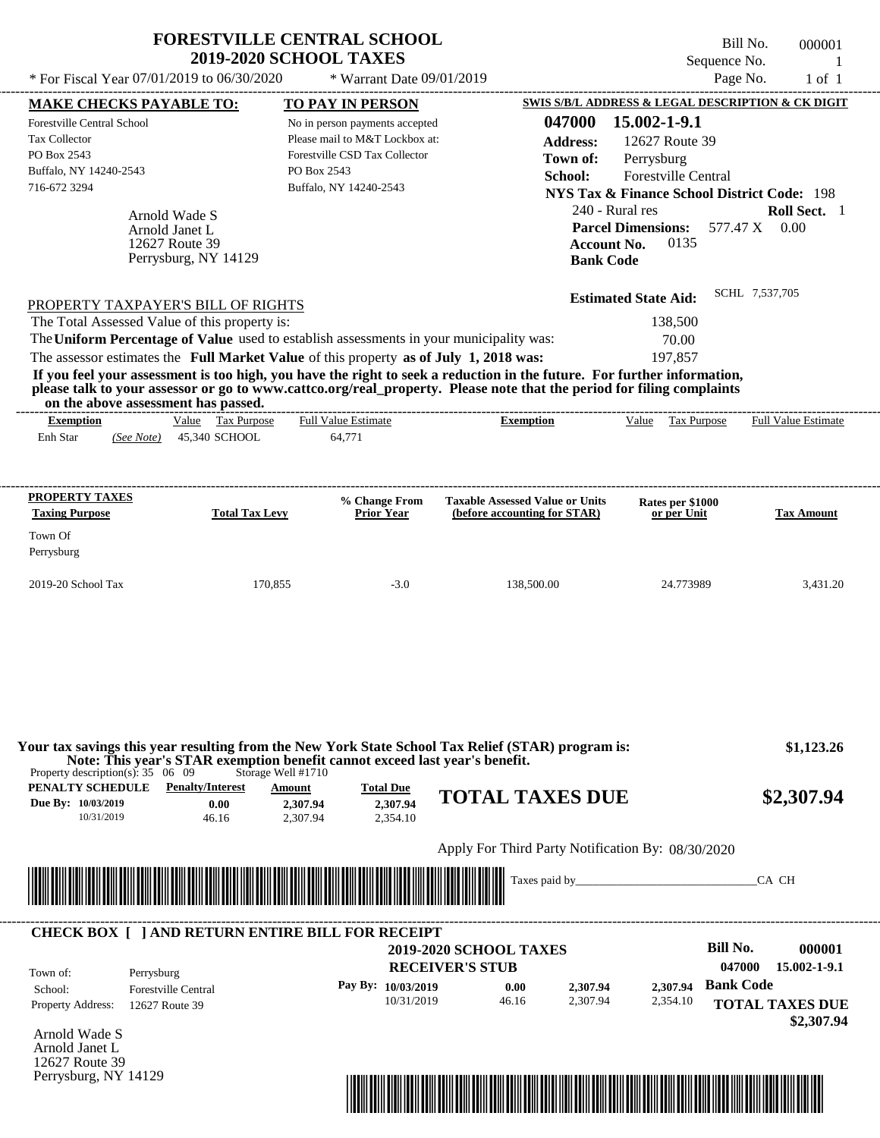| * For Fiscal Year 07/01/2019 to 06/30/2020                                                                                                    |                                                                           | <b>FORESTVILLE CENTRAL SCHOOL</b><br>2019-2020 SCHOOL TAXES<br>* Warrant Date 09/01/2019                                                                                         |                                                                                                                                                                                                                                                  | Sequence No.<br>Page No.                                                                                                                                                              | Bill No.<br>000001<br>-1<br>$1$ of $1$ |
|-----------------------------------------------------------------------------------------------------------------------------------------------|---------------------------------------------------------------------------|----------------------------------------------------------------------------------------------------------------------------------------------------------------------------------|--------------------------------------------------------------------------------------------------------------------------------------------------------------------------------------------------------------------------------------------------|---------------------------------------------------------------------------------------------------------------------------------------------------------------------------------------|----------------------------------------|
|                                                                                                                                               |                                                                           |                                                                                                                                                                                  |                                                                                                                                                                                                                                                  | SWIS S/B/L ADDRESS & LEGAL DESCRIPTION & CK DIGIT                                                                                                                                     |                                        |
| <b>MAKE CHECKS PAYABLE TO:</b><br>Forestville Central School<br><b>Tax Collector</b><br>PO Box 2543<br>Buffalo, NY 14240-2543<br>716-672 3294 | Arnold Wade S<br>Arnold Janet L<br>12627 Route 39<br>Perrysburg, NY 14129 | TO PAY IN PERSON<br>No in person payments accepted<br>Please mail to M&T Lockbox at:<br>Forestville CSD Tax Collector<br>PO Box 2543<br>Buffalo, NY 14240-2543                   | 047000<br><b>Address:</b><br>Town of:<br>School:<br>240 - Rural res<br><b>Account No.</b><br><b>Bank Code</b>                                                                                                                                    | 15.002-1-9.1<br>12627 Route 39<br>Perrysburg<br><b>Forestville Central</b><br><b>NYS Tax &amp; Finance School District Code: 198</b><br><b>Parcel Dimensions:</b><br>577.47 X<br>0135 | Roll Sect. 1<br>0.00                   |
| PROPERTY TAXPAYER'S BILL OF RIGHTS<br>The Total Assessed Value of this property is:<br>on the above assessment has passed.                    |                                                                           | The Uniform Percentage of Value used to establish assessments in your municipality was:<br>The assessor estimates the Full Market Value of this property as of July 1, 2018 was: | If you feel your assessment is too high, you have the right to seek a reduction in the future. For further information,<br>please talk to your assessor or go to www.cattco.org/real_property. Please note that the period for filing complaints | <b>Estimated State Aid:</b><br>138,500<br>70.00<br>197,857                                                                                                                            | SCHL 7,537,705                         |
| <b>Exemption</b><br>Enh Star<br>(See Note)<br>PROPERTY TAXES                                                                                  | Value Tax Purpose<br>45,340 SCHOOL                                        | <b>Full Value Estimate</b><br>64,771<br>% Change From                                                                                                                            | <b>Exemption</b><br><b>Taxable Assessed Value or Units</b>                                                                                                                                                                                       | Value Tax Purpose<br>Rates per \$1000                                                                                                                                                 | <b>Full Value Estimate</b>             |
| <b>Taxing Purpose</b><br>Town Of<br>Perrysburg                                                                                                | <b>Total Tax Levy</b>                                                     | <b>Prior Year</b>                                                                                                                                                                | (before accounting for STAR)                                                                                                                                                                                                                     | or per Unit                                                                                                                                                                           | <b>Tax Amount</b>                      |
| 2019-20 School Tax                                                                                                                            | 170,855                                                                   | $-3.0$                                                                                                                                                                           | 138,500.00                                                                                                                                                                                                                                       | 24.773989                                                                                                                                                                             | 3,431.20                               |
|                                                                                                                                               |                                                                           |                                                                                                                                                                                  |                                                                                                                                                                                                                                                  |                                                                                                                                                                                       |                                        |
| Property description(s): $35 \quad 06 \quad 09$<br>PENALTY SCHEDULE<br>Due By: 10/03/2019<br>10/31/2019                                       | Storage Well #1710<br><b>Penalty/Interest</b><br>0.00<br>46.16            | Note: This year's STAR exemption benefit cannot exceed last year's benefit.<br><b>Total Due</b><br>Amount<br>2,307.94<br>2,307.94<br>2,307.94<br>2,354.10                        | Your tax savings this year resulting from the New York State School Tax Relief (STAR) program is:<br><b>TOTAL TAXES DUE</b>                                                                                                                      |                                                                                                                                                                                       | \$1,123.26<br>\$2,307.94               |

|                          | <b>CHECK BOX     AND RETURN ENTIRE BILL FOR RECEIPT</b> | <b>2019-2020 SCHOOL TAXES</b> |       |          |          | Bill No.           | 000001                               |
|--------------------------|---------------------------------------------------------|-------------------------------|-------|----------|----------|--------------------|--------------------------------------|
| Town of:                 | Perrysburg                                              | <b>RECEIVER'S STUB</b>        |       |          |          | 047000             | 15.002-1-9.1                         |
| School:                  | <b>Forestville Central</b>                              | Pay By: $10/03/2019$          | 0.00  | 2,307.94 |          | 2,307.94 Bank Code |                                      |
| <b>Property Address:</b> | 12627 Route 39                                          | 10/31/2019                    | 46.16 | 2.307.94 | 2,354.10 |                    | <b>TOTAL TAXES DUE</b><br>\$2,307.94 |

Arnold Wade S Arnold Janet L 12627 Route 39 Perrysburg, NY 14129

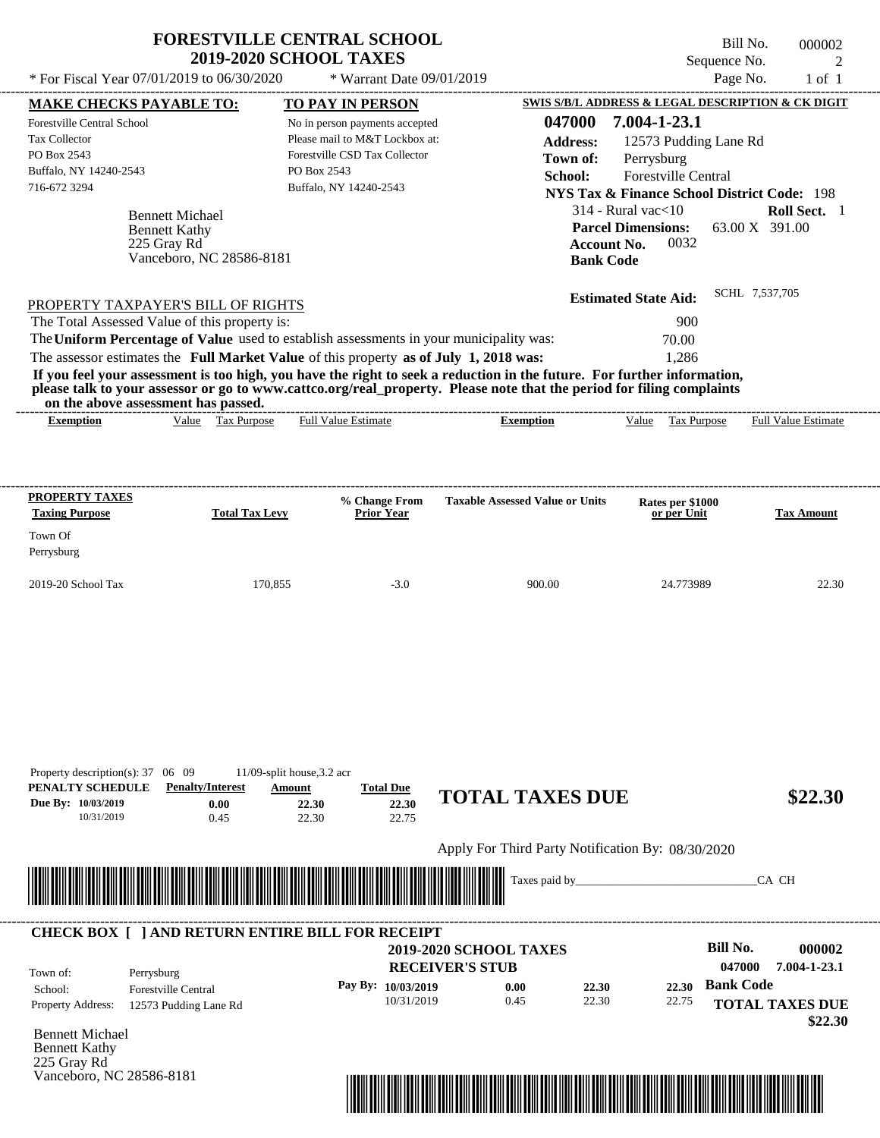| * For Fiscal Year 07/01/2019 to 06/30/2020<br><b>MAKE CHECKS PAYABLE TO:</b><br><b>Forestville Central School</b><br>Tax Collector<br>PO Box 2543<br>Buffalo, NY 14240-2543<br>716-672 3294 |                          | * Warrant Date 09/01/2019                                                               |                                                                                                                                                                                                                                                  | Sequence No.                                           | $\overline{2}$             |
|---------------------------------------------------------------------------------------------------------------------------------------------------------------------------------------------|--------------------------|-----------------------------------------------------------------------------------------|--------------------------------------------------------------------------------------------------------------------------------------------------------------------------------------------------------------------------------------------------|--------------------------------------------------------|----------------------------|
|                                                                                                                                                                                             |                          |                                                                                         |                                                                                                                                                                                                                                                  |                                                        | Page No.<br>$1$ of $1$     |
|                                                                                                                                                                                             |                          | TO PAY IN PERSON                                                                        |                                                                                                                                                                                                                                                  | SWIS S/B/L ADDRESS & LEGAL DESCRIPTION & CK DIGIT      |                            |
|                                                                                                                                                                                             |                          | No in person payments accepted                                                          | 047000                                                                                                                                                                                                                                           | 7.004-1-23.1                                           |                            |
|                                                                                                                                                                                             |                          | Please mail to M&T Lockbox at:                                                          | <b>Address:</b>                                                                                                                                                                                                                                  | 12573 Pudding Lane Rd                                  |                            |
|                                                                                                                                                                                             |                          | Forestville CSD Tax Collector                                                           | Town of:                                                                                                                                                                                                                                         | Perrysburg                                             |                            |
|                                                                                                                                                                                             |                          | PO Box 2543                                                                             | School:                                                                                                                                                                                                                                          | Forestville Central                                    |                            |
|                                                                                                                                                                                             |                          | Buffalo, NY 14240-2543                                                                  |                                                                                                                                                                                                                                                  | <b>NYS Tax &amp; Finance School District Code: 198</b> |                            |
|                                                                                                                                                                                             | <b>Bennett Michael</b>   |                                                                                         |                                                                                                                                                                                                                                                  | $314$ - Rural vac $<$ 10                               | Roll Sect. 1               |
|                                                                                                                                                                                             | <b>Bennett Kathy</b>     |                                                                                         |                                                                                                                                                                                                                                                  | <b>Parcel Dimensions:</b>                              | 63.00 X 391.00             |
| 225 Gray Rd                                                                                                                                                                                 |                          |                                                                                         | <b>Account No.</b>                                                                                                                                                                                                                               | 0032                                                   |                            |
|                                                                                                                                                                                             | Vanceboro, NC 28586-8181 |                                                                                         | <b>Bank Code</b>                                                                                                                                                                                                                                 |                                                        |                            |
|                                                                                                                                                                                             |                          |                                                                                         |                                                                                                                                                                                                                                                  | <b>Estimated State Aid:</b>                            | SCHL 7,537,705             |
| PROPERTY TAXPAYER'S BILL OF RIGHTS                                                                                                                                                          |                          |                                                                                         |                                                                                                                                                                                                                                                  |                                                        |                            |
| The Total Assessed Value of this property is:                                                                                                                                               |                          |                                                                                         |                                                                                                                                                                                                                                                  | 900                                                    |                            |
|                                                                                                                                                                                             |                          | The Uniform Percentage of Value used to establish assessments in your municipality was: |                                                                                                                                                                                                                                                  | 70.00                                                  |                            |
|                                                                                                                                                                                             |                          | The assessor estimates the Full Market Value of this property as of July 1, 2018 was:   |                                                                                                                                                                                                                                                  | 1.286                                                  |                            |
| on the above assessment has passed.                                                                                                                                                         |                          |                                                                                         | If you feel your assessment is too high, you have the right to seek a reduction in the future. For further information,<br>please talk to your assessor or go to www.cattco.org/real property. Please note that the period for filing complaints |                                                        |                            |
| <b>Exemption</b>                                                                                                                                                                            | Value Tax Purpose        | <b>Full Value Estimate</b>                                                              | <b>Exemption</b>                                                                                                                                                                                                                                 | Value Tax Purpose                                      | <b>Full Value Estimate</b> |
|                                                                                                                                                                                             |                          |                                                                                         |                                                                                                                                                                                                                                                  |                                                        |                            |
| <b>PROPERTY TAXES</b><br><b>Taxing Purpose</b><br>Town Of<br>Perrysburg                                                                                                                     | <b>Total Tax Levy</b>    | % Change From<br><b>Prior Year</b>                                                      | <b>Taxable Assessed Value or Units</b>                                                                                                                                                                                                           | Rates per \$1000<br>or per Unit                        | <b>Tax Amount</b>          |

Apply For Third Party Notification By: 08/30/2020



22.30

#### **RECEIVER'S STUB Bill No. 000002 Bank Code 22.30** Property Address: 12573 Pudding Lane Rd Perrysburg School: Forestville Central **TOTAL TAXES DUE \$22.30 2019-2020 SCHOOL TAXES 047000 7.004-1-23.1 Pay By: 10/03/2019** 10/31/2019 **0.00** 22.30 **22.30** 22.75 Town of: ---------------------------------------------------------------------------------------------------------------------------------------------------------------------------------------------------- **CHECK BOX [ ] AND RETURN ENTIRE BILL FOR RECEIPT**

22.75

Bennett Michael Bennett Kathy 225 Gray Rd Vanceboro, NC 28586-8181

10/31/2019 0.45

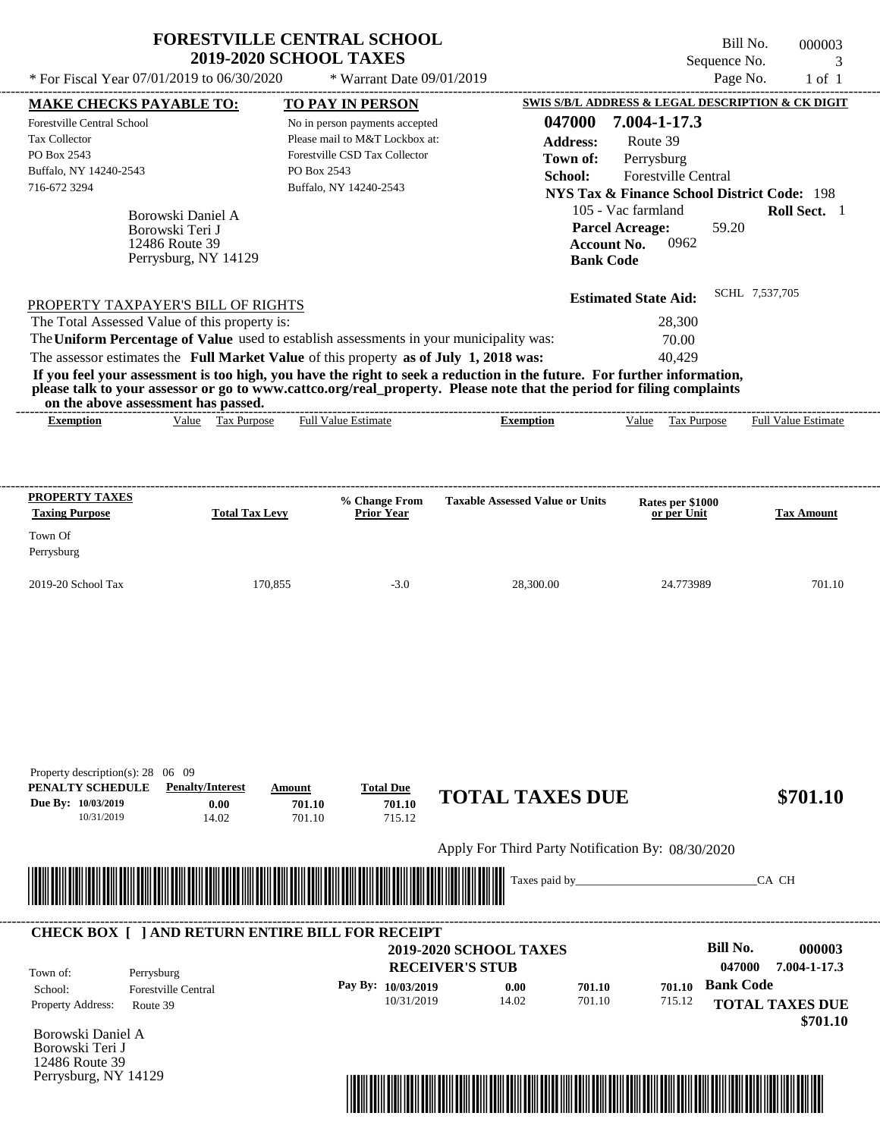|                                                                                                             |                                                        | <b>FORESTVILLE CENTRAL SCHOOL</b><br><b>2019-2020 SCHOOL TAXES</b>                                                                         |                                                                                                                                                                                                                                                  | Sequence No.                                                                                                                                                                                                          | Bill No.<br>000003<br>$\mathcal{R}$ |
|-------------------------------------------------------------------------------------------------------------|--------------------------------------------------------|--------------------------------------------------------------------------------------------------------------------------------------------|--------------------------------------------------------------------------------------------------------------------------------------------------------------------------------------------------------------------------------------------------|-----------------------------------------------------------------------------------------------------------------------------------------------------------------------------------------------------------------------|-------------------------------------|
| * For Fiscal Year 07/01/2019 to 06/30/2020                                                                  |                                                        | * Warrant Date 09/01/2019                                                                                                                  |                                                                                                                                                                                                                                                  | Page No.                                                                                                                                                                                                              | $1$ of $1$                          |
| <b>MAKE CHECKS PAYABLE TO:</b>                                                                              |                                                        | <b>TO PAY IN PERSON</b>                                                                                                                    |                                                                                                                                                                                                                                                  | SWIS S/B/L ADDRESS & LEGAL DESCRIPTION & CK DIGIT                                                                                                                                                                     |                                     |
| Forestville Central School<br><b>Tax Collector</b><br>PO Box 2543<br>Buffalo, NY 14240-2543<br>716-672 3294 | Borowski Daniel A<br>Borowski Teri J<br>12486 Route 39 | No in person payments accepted<br>Please mail to M&T Lockbox at:<br>Forestville CSD Tax Collector<br>PO Box 2543<br>Buffalo, NY 14240-2543 | 047000<br>Address:<br>Town of:<br>School:                                                                                                                                                                                                        | 7.004-1-17.3<br>Route 39<br>Perrysburg<br><b>Forestville Central</b><br><b>NYS Tax &amp; Finance School District Code: 198</b><br>105 - Vac farmland<br>59.20<br><b>Parcel Acreage:</b><br>0962<br><b>Account No.</b> | Roll Sect. 1                        |
| PROPERTY TAXPAYER'S BILL OF RIGHTS<br>The Total Assessed Value of this property is:                         | Perrysburg, NY 14129                                   | The Uniform Percentage of Value used to establish assessments in your municipality was:                                                    | <b>Bank Code</b>                                                                                                                                                                                                                                 | <b>Estimated State Aid:</b><br>28,300<br>70.00                                                                                                                                                                        | SCHL 7,537,705                      |
| on the above assessment has passed.                                                                         |                                                        | The assessor estimates the Full Market Value of this property as of July 1, 2018 was:                                                      | If you feel your assessment is too high, you have the right to seek a reduction in the future. For further information,<br>please talk to your assessor or go to www.cattco.org/real_property. Please note that the period for filing complaints | 40.429                                                                                                                                                                                                                |                                     |
| <b>Exemption</b>                                                                                            | Value Tax Purpose                                      | <b>Full Value Estimate</b>                                                                                                                 | <b>Exemption</b>                                                                                                                                                                                                                                 | Value<br>Tax Purpose                                                                                                                                                                                                  | <b>Full Value Estimate</b>          |
| PROPERTY TAXES<br><b>Taxing Purpose</b><br>Town Of<br>Perrysburg                                            | <b>Total Tax Levy</b>                                  | % Change From<br><b>Prior Year</b>                                                                                                         | <b>Taxable Assessed Value or Units</b>                                                                                                                                                                                                           | Rates per \$1000<br>or per Unit                                                                                                                                                                                       | <b>Tax Amount</b>                   |
| 2019-20 School Tax                                                                                          | 170,855                                                | $-3.0$                                                                                                                                     | 28.300.00                                                                                                                                                                                                                                        | 24.773989                                                                                                                                                                                                             | 701.10                              |

| <b>Penalty/Interest</b> | Amount              | <b>Total Due</b> |       |                                                                                                                                                  |                                                   |                                                             |
|-------------------------|---------------------|------------------|-------|--------------------------------------------------------------------------------------------------------------------------------------------------|---------------------------------------------------|-------------------------------------------------------------|
| 0.00<br>14.02           | 701.10<br>701.10    | 701.10<br>715.12 |       |                                                                                                                                                  |                                                   | \$701.10                                                    |
|                         |                     |                  |       |                                                                                                                                                  |                                                   |                                                             |
|                         |                     |                  |       |                                                                                                                                                  |                                                   | CA CH                                                       |
|                         |                     |                  |       |                                                                                                                                                  |                                                   |                                                             |
|                         |                     |                  |       |                                                                                                                                                  |                                                   |                                                             |
|                         |                     |                  |       |                                                                                                                                                  |                                                   | <b>Bill No.</b><br>000003                                   |
| Perrysburg              |                     |                  |       |                                                                                                                                                  |                                                   | 047000<br>7.004-1-17.3<br><b>Bank Code</b>                  |
| Route 39                |                     | 10/31/2019       | 14.02 | 701.10                                                                                                                                           | 715.12                                            | <b>TOTAL TAXES DUE</b>                                      |
|                         |                     |                  |       |                                                                                                                                                  |                                                   | \$701.10                                                    |
|                         |                     |                  |       |                                                                                                                                                  |                                                   |                                                             |
|                         |                     |                  |       |                                                                                                                                                  |                                                   |                                                             |
|                         | Forestville Central |                  |       | <b>CHECK BOX [ ] AND RETURN ENTIRE BILL FOR RECEIPT</b><br><b>2019-2020 SCHOOL TAXES</b><br><b>RECEIVER'S STUB</b><br>Pay By: 10/03/2019<br>0.00 | <b>TOTAL TAXES DUE</b><br>Taxes paid by<br>701.10 | Apply For Third Party Notification By: 08/30/2020<br>701.10 |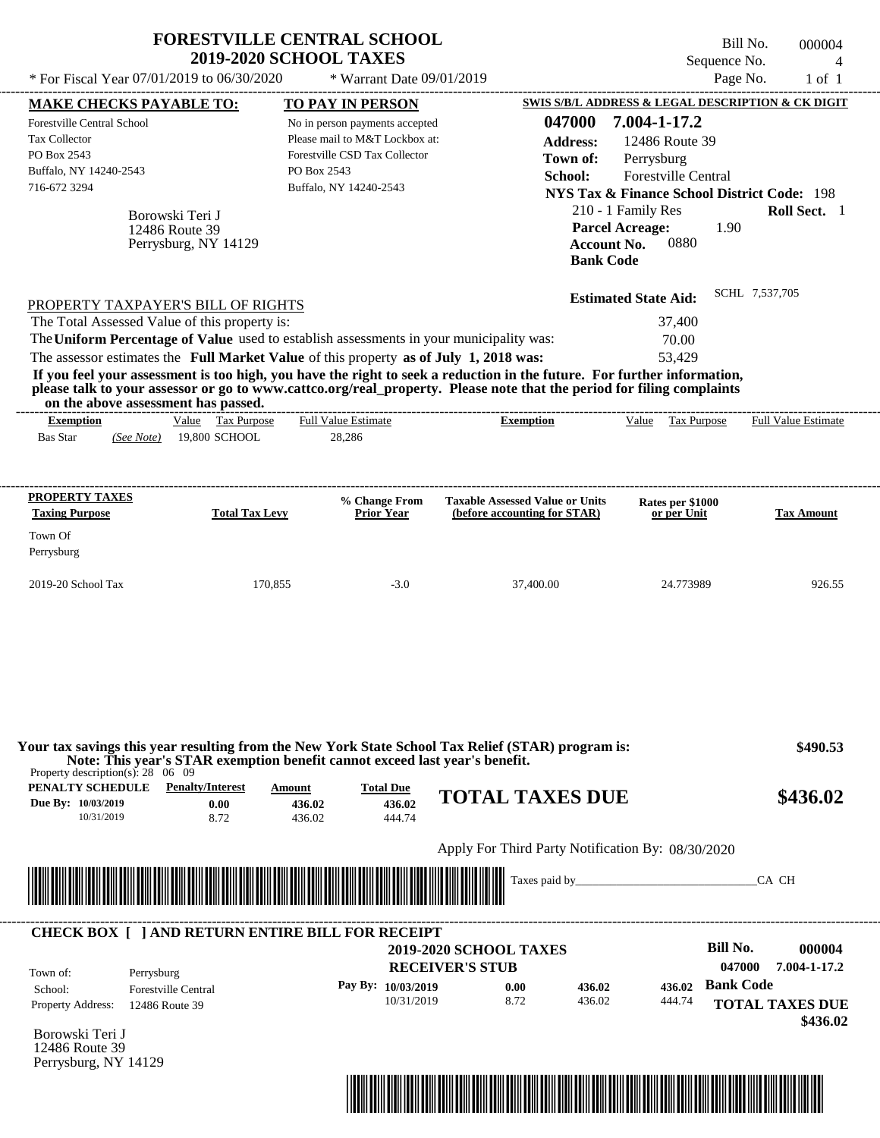|                                                                                                         | * For Fiscal Year 07/01/2019 to 06/30/2020 | <b>FORESTVILLE CENTRAL SCHOOL</b><br><b>2019-2020 SCHOOL TAXES</b><br>* Warrant Date 09/01/2019                                                          |                                                                                                                                                                                                                                                                                   | Sequence No.                                           | Bill No.<br>000004<br>$\overline{A}$<br>Page No.<br>$1$ of $1$ |
|---------------------------------------------------------------------------------------------------------|--------------------------------------------|----------------------------------------------------------------------------------------------------------------------------------------------------------|-----------------------------------------------------------------------------------------------------------------------------------------------------------------------------------------------------------------------------------------------------------------------------------|--------------------------------------------------------|----------------------------------------------------------------|
| <b>MAKE CHECKS PAYABLE TO:</b>                                                                          |                                            | <b>TO PAY IN PERSON</b>                                                                                                                                  |                                                                                                                                                                                                                                                                                   | SWIS S/B/L ADDRESS & LEGAL DESCRIPTION & CK DIGIT      |                                                                |
| <b>Forestville Central School</b>                                                                       |                                            | No in person payments accepted                                                                                                                           | 047000                                                                                                                                                                                                                                                                            | 7.004-1-17.2                                           |                                                                |
| Tax Collector                                                                                           |                                            | Please mail to M&T Lockbox at:                                                                                                                           | <b>Address:</b>                                                                                                                                                                                                                                                                   | 12486 Route 39                                         |                                                                |
| PO Box 2543                                                                                             |                                            | Forestville CSD Tax Collector                                                                                                                            | Town of:                                                                                                                                                                                                                                                                          | Perrysburg                                             |                                                                |
| Buffalo, NY 14240-2543                                                                                  |                                            | PO Box 2543                                                                                                                                              | School:                                                                                                                                                                                                                                                                           | Forestville Central                                    |                                                                |
| 716-672 3294                                                                                            |                                            | Buffalo, NY 14240-2543                                                                                                                                   |                                                                                                                                                                                                                                                                                   | <b>NYS Tax &amp; Finance School District Code: 198</b> |                                                                |
|                                                                                                         |                                            |                                                                                                                                                          |                                                                                                                                                                                                                                                                                   | 210 - 1 Family Res                                     | Roll Sect. 1                                                   |
|                                                                                                         | Borowski Teri J<br>12486 Route 39          |                                                                                                                                                          |                                                                                                                                                                                                                                                                                   | <b>Parcel Acreage:</b><br>1.90                         |                                                                |
|                                                                                                         | Perrysburg, NY 14129                       |                                                                                                                                                          | <b>Bank Code</b>                                                                                                                                                                                                                                                                  | 0880<br><b>Account No.</b>                             |                                                                |
| PROPERTY TAXPAYER'S BILL OF RIGHTS                                                                      |                                            |                                                                                                                                                          |                                                                                                                                                                                                                                                                                   | <b>Estimated State Aid:</b>                            | SCHL 7,537,705                                                 |
| The Total Assessed Value of this property is:                                                           |                                            |                                                                                                                                                          |                                                                                                                                                                                                                                                                                   | 37,400                                                 |                                                                |
|                                                                                                         |                                            | The Uniform Percentage of Value used to establish assessments in your municipality was:                                                                  |                                                                                                                                                                                                                                                                                   | 70.00                                                  |                                                                |
|                                                                                                         |                                            | The assessor estimates the Full Market Value of this property as of July 1, 2018 was:                                                                    |                                                                                                                                                                                                                                                                                   | 53,429                                                 |                                                                |
| on the above assessment has passed.                                                                     |                                            |                                                                                                                                                          | If you feel your assessment is too high, you have the right to seek a reduction in the future. For further information,<br>please talk to your assessor or go to www.cattco.org/real_property. Please note that the period for filing complaints<br>----------------------------- |                                                        |                                                                |
| <b>Exemption</b><br><b>Bas Star</b><br>(See Note)                                                       | Value Tax Purpose<br>19,800 SCHOOL         | <b>Full Value Estimate</b><br>28,286                                                                                                                     | <b>Exemption</b>                                                                                                                                                                                                                                                                  | Value Tax Purpose                                      | <b>Full Value Estimate</b>                                     |
|                                                                                                         |                                            |                                                                                                                                                          |                                                                                                                                                                                                                                                                                   |                                                        |                                                                |
| <b>PROPERTY TAXES</b>                                                                                   |                                            | % Change From                                                                                                                                            | <b>Taxable Assessed Value or Units</b>                                                                                                                                                                                                                                            | Rates per \$1000                                       |                                                                |
| <b>Taxing Purpose</b>                                                                                   | <b>Total Tax Levy</b>                      | <b>Prior Year</b>                                                                                                                                        | (before accounting for STAR)                                                                                                                                                                                                                                                      | or per Unit                                            | <b>Tax Amount</b>                                              |
| Town Of                                                                                                 |                                            |                                                                                                                                                          |                                                                                                                                                                                                                                                                                   |                                                        |                                                                |
| Perrysburg                                                                                              |                                            |                                                                                                                                                          |                                                                                                                                                                                                                                                                                   |                                                        |                                                                |
| 2019-20 School Tax                                                                                      | 170,855                                    | $-3.0$                                                                                                                                                   | 37,400.00                                                                                                                                                                                                                                                                         | 24.773989                                              | 926.55                                                         |
|                                                                                                         |                                            |                                                                                                                                                          |                                                                                                                                                                                                                                                                                   |                                                        |                                                                |
| Property description(s): $28 \quad 06 \quad 09$<br>PENALTY SCHEDULE<br>Due By: 10/03/2019<br>10/31/2019 | <b>Penalty/Interest</b><br>0.00<br>8.72    | Note: This year's STAR exemption benefit cannot exceed last year's benefit.<br><b>Total Due</b><br><b>Amount</b><br>436.02<br>436.02<br>436.02<br>444.74 | Your tax savings this year resulting from the New York State School Tax Relief (STAR) program is:<br><b>TOTAL TAXES DUE</b>                                                                                                                                                       |                                                        |                                                                |
|                                                                                                         |                                            |                                                                                                                                                          | Apply For Third Party Notification By: 08/30/2020                                                                                                                                                                                                                                 |                                                        | \$490.53<br>\$436.02                                           |
|                                                                                                         |                                            |                                                                                                                                                          |                                                                                                                                                                                                                                                                                   |                                                        | CA CH                                                          |
|                                                                                                         |                                            | <b>CHECK BOX [ ] AND RETURN ENTIRE BILL FOR RECEIPT</b>                                                                                                  |                                                                                                                                                                                                                                                                                   |                                                        |                                                                |
|                                                                                                         |                                            |                                                                                                                                                          | <b>2019-2020 SCHOOL TAXES</b>                                                                                                                                                                                                                                                     | <b>Bill No.</b>                                        | 000004                                                         |
| Perrysburg                                                                                              |                                            |                                                                                                                                                          | <b>RECEIVER'S STUB</b>                                                                                                                                                                                                                                                            | 047000                                                 | 7.004-1-17.2                                                   |
| Town of:<br>School:<br>Property Address:<br>12486 Route 39                                              | <b>Forestville Central</b>                 | Pay By: 10/03/2019<br>10/31/2019                                                                                                                         | 436.02<br>0.00<br>8.72<br>436.02                                                                                                                                                                                                                                                  | <b>Bank Code</b><br>436.02<br>444.74                   | <b>TOTAL TAXES DUE</b><br>\$436.02                             |

Borowski Teri J 12486 Route 39 Perrysburg, NY 14129

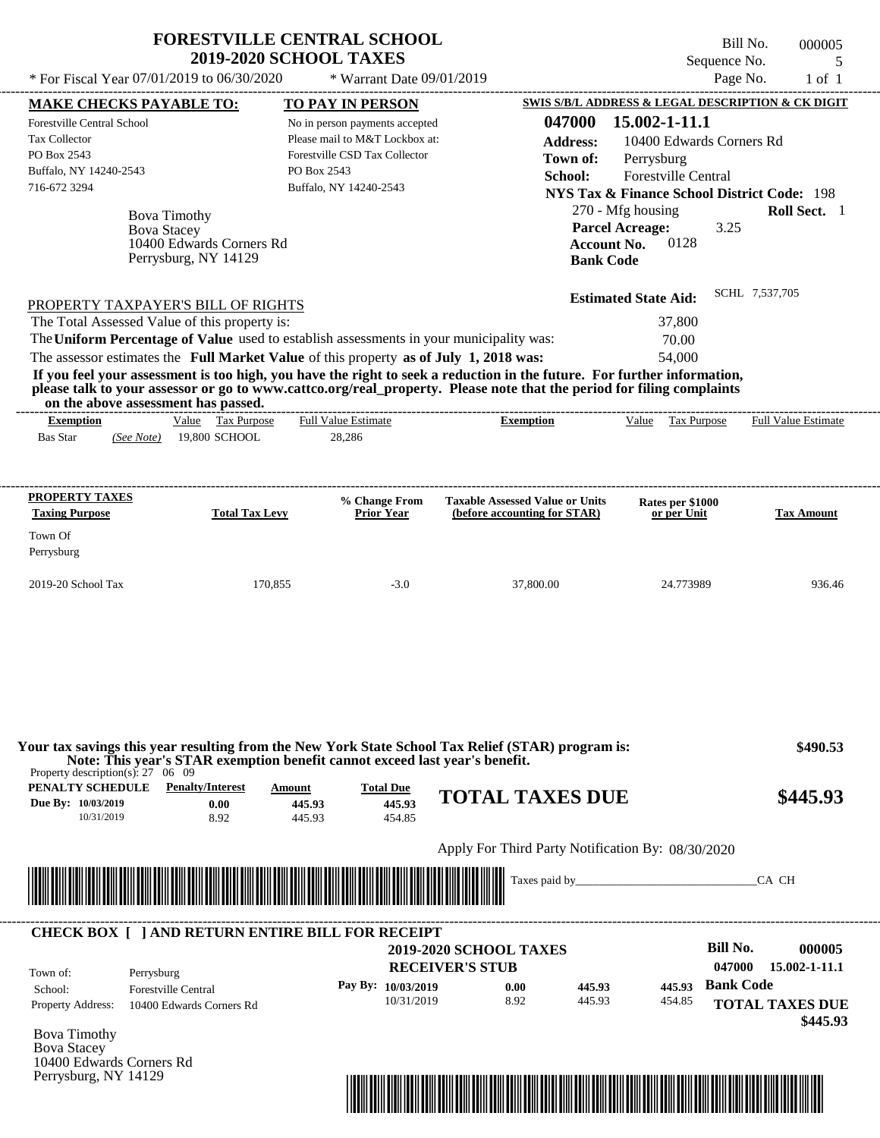| <b>FORESTVILLE CENTRAL SCHOOL</b> |
|-----------------------------------|
| <b>2019-2020 SCHOOL TAXES</b>     |

Bill No. 000005 Sequence No. 5  $*$  For Fiscal Year 07/01/2019 to 06/30/2020  $*$  Warrant Date 09/01/2019 Page No. 1 of 1

| <b>MAKE CHECKS PAYABLE TO:</b>                  |                                                                                                                         | <b>TO PAY IN PERSON</b>                                                                 |                                                                                                                         |                             | SWIS S/B/L ADDRESS & LEGAL DESCRIPTION & CK DIGIT      |
|-------------------------------------------------|-------------------------------------------------------------------------------------------------------------------------|-----------------------------------------------------------------------------------------|-------------------------------------------------------------------------------------------------------------------------|-----------------------------|--------------------------------------------------------|
| Forestville Central School                      |                                                                                                                         | No in person payments accepted                                                          | 047000                                                                                                                  | 15.002-1-11.1               |                                                        |
| Tax Collector                                   |                                                                                                                         | Please mail to M&T Lockbox at:                                                          | <b>Address:</b>                                                                                                         |                             | 10400 Edwards Corners Rd                               |
| PO Box 2543                                     |                                                                                                                         | Forestville CSD Tax Collector                                                           | Town of:                                                                                                                | Perrysburg                  |                                                        |
| Buffalo, NY 14240-2543                          |                                                                                                                         | PO Box 2543                                                                             | School:                                                                                                                 | Forestville Central         |                                                        |
| 716-672 3294                                    |                                                                                                                         | Buffalo, NY 14240-2543                                                                  |                                                                                                                         |                             | <b>NYS Tax &amp; Finance School District Code: 198</b> |
|                                                 |                                                                                                                         |                                                                                         |                                                                                                                         | 270 - Mfg housing           | Roll Sect. 1                                           |
|                                                 | <b>Bova Timothy</b>                                                                                                     |                                                                                         |                                                                                                                         | <b>Parcel Acreage:</b>      | 3.25                                                   |
|                                                 | <b>Bova Stacey</b><br>10400 Edwards Corners Rd                                                                          |                                                                                         |                                                                                                                         | 0128<br><b>Account No.</b>  |                                                        |
|                                                 | Perrysburg, NY 14129                                                                                                    |                                                                                         |                                                                                                                         | <b>Bank Code</b>            |                                                        |
|                                                 |                                                                                                                         |                                                                                         |                                                                                                                         |                             |                                                        |
|                                                 | PROPERTY TAXPAYER'S BILL OF RIGHTS                                                                                      |                                                                                         |                                                                                                                         | <b>Estimated State Aid:</b> | SCHL 7,537,705                                         |
|                                                 | The Total Assessed Value of this property is:                                                                           |                                                                                         |                                                                                                                         | 37,800                      |                                                        |
|                                                 |                                                                                                                         | The Uniform Percentage of Value used to establish assessments in your municipality was: |                                                                                                                         | 70.00                       |                                                        |
|                                                 |                                                                                                                         | The assessor estimates the Full Market Value of this property as of July 1, 2018 was:   |                                                                                                                         | 54,000                      |                                                        |
|                                                 |                                                                                                                         |                                                                                         | If you feel your assessment is too high, you have the right to seek a reduction in the future. For further information, |                             |                                                        |
|                                                 |                                                                                                                         |                                                                                         | please talk to your assessor or go to www.cattco.org/real_property. Please note that the period for filing complaints   |                             |                                                        |
| <b>Exemption</b>                                | on the above assessment has passed.<br>Value Tax Purpose                                                                | <b>Full Value Estimate</b>                                                              | <b>Exemption</b>                                                                                                        |                             | Value Tax Purpose Full Value Estimate                  |
| Bas Star                                        | (See Note) 19,800 SCHOOL                                                                                                | 28,286                                                                                  |                                                                                                                         |                             |                                                        |
|                                                 |                                                                                                                         |                                                                                         |                                                                                                                         |                             |                                                        |
|                                                 |                                                                                                                         |                                                                                         |                                                                                                                         |                             |                                                        |
| PROPERTY TAXES                                  |                                                                                                                         | % Change From                                                                           | <b>Taxable Assessed Value or Units</b>                                                                                  | Rates per \$1000            |                                                        |
| <b>Taxing Purpose</b>                           | <b>Total Tax Levy</b>                                                                                                   | <b>Prior Year</b>                                                                       | (before accounting for STAR)                                                                                            | or per Unit                 | <b>Tax Amount</b>                                      |
| Town Of                                         |                                                                                                                         |                                                                                         |                                                                                                                         |                             |                                                        |
| Perrysburg                                      |                                                                                                                         |                                                                                         |                                                                                                                         |                             |                                                        |
|                                                 |                                                                                                                         |                                                                                         |                                                                                                                         |                             |                                                        |
| 2019-20 School Tax                              |                                                                                                                         | 170,855<br>$-3.0$                                                                       | 37,800.00                                                                                                               | 24.773989                   | 936.46                                                 |
|                                                 |                                                                                                                         |                                                                                         |                                                                                                                         |                             |                                                        |
|                                                 |                                                                                                                         |                                                                                         |                                                                                                                         |                             |                                                        |
|                                                 |                                                                                                                         |                                                                                         |                                                                                                                         |                             |                                                        |
|                                                 |                                                                                                                         |                                                                                         |                                                                                                                         |                             |                                                        |
|                                                 |                                                                                                                         |                                                                                         |                                                                                                                         |                             |                                                        |
|                                                 |                                                                                                                         |                                                                                         |                                                                                                                         |                             |                                                        |
|                                                 |                                                                                                                         |                                                                                         | Your tax savings this year resulting from the New York State School Tax Relief (STAR) program is:                       |                             | \$490.53                                               |
| Property description(s): $27 \quad 06 \quad 09$ |                                                                                                                         | Note: This year's STAR exemption benefit cannot exceed last year's benefit.             |                                                                                                                         |                             |                                                        |
| PENALTY SCHEDULE                                | <b>Penalty/Interest</b>                                                                                                 | <b>Total Due</b><br>Amount                                                              | <b>TOTAL TAXES DUE</b>                                                                                                  |                             | \$445.93                                               |
| Due By: 10/03/2019<br>10/31/2019                | 0.00<br>8.92                                                                                                            | 445.93<br>445.93<br>445.93<br>454.85                                                    |                                                                                                                         |                             |                                                        |
|                                                 |                                                                                                                         |                                                                                         |                                                                                                                         |                             |                                                        |
|                                                 |                                                                                                                         |                                                                                         | Apply For Third Party Notification By: 08/30/2020                                                                       |                             |                                                        |
|                                                 |                                                                                                                         |                                                                                         |                                                                                                                         |                             | CA CH                                                  |
|                                                 | <u> Tanzania di Baratta di Baratta di Baratta di Baratta di Baratta di Baratta di Baratta di Baratta di Baratta di </u> |                                                                                         |                                                                                                                         |                             |                                                        |
|                                                 |                                                                                                                         |                                                                                         |                                                                                                                         |                             |                                                        |
|                                                 |                                                                                                                         | <b>CHECK BOX [ ] AND RETURN ENTIRE BILL FOR RECEIPT</b>                                 |                                                                                                                         |                             |                                                        |
|                                                 |                                                                                                                         |                                                                                         | <b>2019-2020 SCHOOL TAXES</b>                                                                                           |                             | <b>Bill No.</b><br>000005                              |
|                                                 |                                                                                                                         |                                                                                         | <b>RECEIVER'S STUB</b>                                                                                                  |                             | 047000<br>15.002-1-11.1                                |
| Town of:                                        | Perrysburg                                                                                                              | Pay By: 10/03/2019                                                                      |                                                                                                                         | 445.93                      | <b>Bank Code</b>                                       |
| School:                                         | <b>Forestville Central</b>                                                                                              | 10/31/2019                                                                              | 0.00<br>8.92                                                                                                            | 445.93<br>445.93<br>454.85  |                                                        |
| <b>Property Address:</b>                        | 10400 Edwards Corners Rd                                                                                                |                                                                                         |                                                                                                                         |                             | <b>TOTAL TAXES DUE</b>                                 |
| <b>Bova Timothy</b>                             |                                                                                                                         |                                                                                         |                                                                                                                         |                             | \$445.93                                               |
| <b>Bova Stacey</b>                              |                                                                                                                         |                                                                                         |                                                                                                                         |                             |                                                        |
|                                                 |                                                                                                                         |                                                                                         |                                                                                                                         |                             |                                                        |
| 10400 Edwards Corners Rd                        |                                                                                                                         |                                                                                         |                                                                                                                         |                             |                                                        |

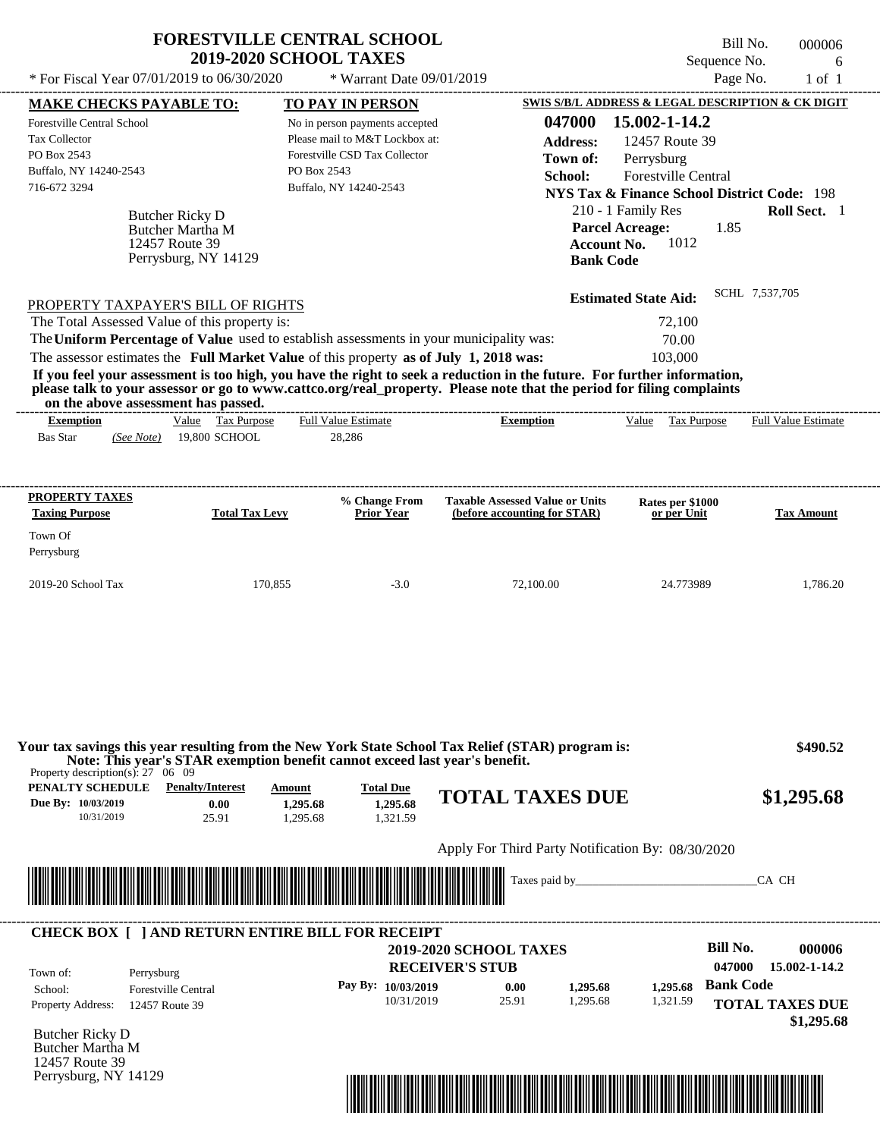| Sequence No.<br>* For Fiscal Year 07/01/2019 to 06/30/2020<br>Page No.<br>* Warrant Date 09/01/2019<br><b>MAKE CHECKS PAYABLE TO:</b><br><u>TO PAY IN PERSON</u><br>047000<br>15.002-1-14.2<br><b>Forestville Central School</b><br>No in person payments accepted<br>Please mail to M&T Lockbox at:<br><b>Tax Collector</b><br>12457 Route 39<br><b>Address:</b><br>PO Box 2543<br>Forestville CSD Tax Collector<br>Town of:<br>Perrysburg<br>PO Box 2543<br>Buffalo, NY 14240-2543<br>Forestville Central<br>School:<br>716-672 3294<br>Buffalo, NY 14240-2543<br>210 - 1 Family Res<br>Butcher Ricky D<br><b>Parcel Acreage:</b><br>1.85<br>Butcher Martha M<br>Account No.<br>1012<br>12457 Route 39<br>Perrysburg, NY 14129<br><b>Bank Code</b><br><b>Estimated State Aid:</b><br>PROPERTY TAXPAYER'S BILL OF RIGHTS<br>The Total Assessed Value of this property is:<br>72,100<br>The Uniform Percentage of Value used to establish assessments in your municipality was:<br>70.00<br>The assessor estimates the Full Market Value of this property as of July 1, 2018 was:<br>103,000<br>If you feel your assessment is too high, you have the right to seek a reduction in the future. For further information,<br>please talk to your assessor or go to www.cattco.org/real property. Please note that the period for filing complaints<br>on the above assessment has passed.<br>Value Tax Purpose<br><b>Exemption</b><br><b>Full Value Estimate</b><br>Value<br>Tax Purpose<br><b>Exemption</b><br><b>Bas Star</b><br>19,800 SCHOOL<br>28,286<br>(See Note) | $1$ of $1$<br>SWIS S/B/L ADDRESS & LEGAL DESCRIPTION & CK DIGIT<br><b>NYS Tax &amp; Finance School District Code: 198</b><br>Roll Sect. 1<br>SCHL 7,537,705 |
|------------------------------------------------------------------------------------------------------------------------------------------------------------------------------------------------------------------------------------------------------------------------------------------------------------------------------------------------------------------------------------------------------------------------------------------------------------------------------------------------------------------------------------------------------------------------------------------------------------------------------------------------------------------------------------------------------------------------------------------------------------------------------------------------------------------------------------------------------------------------------------------------------------------------------------------------------------------------------------------------------------------------------------------------------------------------------------------------------------------------------------------------------------------------------------------------------------------------------------------------------------------------------------------------------------------------------------------------------------------------------------------------------------------------------------------------------------------------------------------------------------------------------------------------------------------------|-------------------------------------------------------------------------------------------------------------------------------------------------------------|
|                                                                                                                                                                                                                                                                                                                                                                                                                                                                                                                                                                                                                                                                                                                                                                                                                                                                                                                                                                                                                                                                                                                                                                                                                                                                                                                                                                                                                                                                                                                                                                        |                                                                                                                                                             |
|                                                                                                                                                                                                                                                                                                                                                                                                                                                                                                                                                                                                                                                                                                                                                                                                                                                                                                                                                                                                                                                                                                                                                                                                                                                                                                                                                                                                                                                                                                                                                                        |                                                                                                                                                             |
|                                                                                                                                                                                                                                                                                                                                                                                                                                                                                                                                                                                                                                                                                                                                                                                                                                                                                                                                                                                                                                                                                                                                                                                                                                                                                                                                                                                                                                                                                                                                                                        |                                                                                                                                                             |
|                                                                                                                                                                                                                                                                                                                                                                                                                                                                                                                                                                                                                                                                                                                                                                                                                                                                                                                                                                                                                                                                                                                                                                                                                                                                                                                                                                                                                                                                                                                                                                        |                                                                                                                                                             |
|                                                                                                                                                                                                                                                                                                                                                                                                                                                                                                                                                                                                                                                                                                                                                                                                                                                                                                                                                                                                                                                                                                                                                                                                                                                                                                                                                                                                                                                                                                                                                                        |                                                                                                                                                             |
|                                                                                                                                                                                                                                                                                                                                                                                                                                                                                                                                                                                                                                                                                                                                                                                                                                                                                                                                                                                                                                                                                                                                                                                                                                                                                                                                                                                                                                                                                                                                                                        |                                                                                                                                                             |
|                                                                                                                                                                                                                                                                                                                                                                                                                                                                                                                                                                                                                                                                                                                                                                                                                                                                                                                                                                                                                                                                                                                                                                                                                                                                                                                                                                                                                                                                                                                                                                        |                                                                                                                                                             |
|                                                                                                                                                                                                                                                                                                                                                                                                                                                                                                                                                                                                                                                                                                                                                                                                                                                                                                                                                                                                                                                                                                                                                                                                                                                                                                                                                                                                                                                                                                                                                                        |                                                                                                                                                             |
|                                                                                                                                                                                                                                                                                                                                                                                                                                                                                                                                                                                                                                                                                                                                                                                                                                                                                                                                                                                                                                                                                                                                                                                                                                                                                                                                                                                                                                                                                                                                                                        |                                                                                                                                                             |
|                                                                                                                                                                                                                                                                                                                                                                                                                                                                                                                                                                                                                                                                                                                                                                                                                                                                                                                                                                                                                                                                                                                                                                                                                                                                                                                                                                                                                                                                                                                                                                        |                                                                                                                                                             |
|                                                                                                                                                                                                                                                                                                                                                                                                                                                                                                                                                                                                                                                                                                                                                                                                                                                                                                                                                                                                                                                                                                                                                                                                                                                                                                                                                                                                                                                                                                                                                                        |                                                                                                                                                             |
|                                                                                                                                                                                                                                                                                                                                                                                                                                                                                                                                                                                                                                                                                                                                                                                                                                                                                                                                                                                                                                                                                                                                                                                                                                                                                                                                                                                                                                                                                                                                                                        |                                                                                                                                                             |
|                                                                                                                                                                                                                                                                                                                                                                                                                                                                                                                                                                                                                                                                                                                                                                                                                                                                                                                                                                                                                                                                                                                                                                                                                                                                                                                                                                                                                                                                                                                                                                        |                                                                                                                                                             |
|                                                                                                                                                                                                                                                                                                                                                                                                                                                                                                                                                                                                                                                                                                                                                                                                                                                                                                                                                                                                                                                                                                                                                                                                                                                                                                                                                                                                                                                                                                                                                                        |                                                                                                                                                             |
|                                                                                                                                                                                                                                                                                                                                                                                                                                                                                                                                                                                                                                                                                                                                                                                                                                                                                                                                                                                                                                                                                                                                                                                                                                                                                                                                                                                                                                                                                                                                                                        |                                                                                                                                                             |
|                                                                                                                                                                                                                                                                                                                                                                                                                                                                                                                                                                                                                                                                                                                                                                                                                                                                                                                                                                                                                                                                                                                                                                                                                                                                                                                                                                                                                                                                                                                                                                        |                                                                                                                                                             |
|                                                                                                                                                                                                                                                                                                                                                                                                                                                                                                                                                                                                                                                                                                                                                                                                                                                                                                                                                                                                                                                                                                                                                                                                                                                                                                                                                                                                                                                                                                                                                                        |                                                                                                                                                             |
|                                                                                                                                                                                                                                                                                                                                                                                                                                                                                                                                                                                                                                                                                                                                                                                                                                                                                                                                                                                                                                                                                                                                                                                                                                                                                                                                                                                                                                                                                                                                                                        | <b>Full Value Estimate</b>                                                                                                                                  |
|                                                                                                                                                                                                                                                                                                                                                                                                                                                                                                                                                                                                                                                                                                                                                                                                                                                                                                                                                                                                                                                                                                                                                                                                                                                                                                                                                                                                                                                                                                                                                                        |                                                                                                                                                             |
|                                                                                                                                                                                                                                                                                                                                                                                                                                                                                                                                                                                                                                                                                                                                                                                                                                                                                                                                                                                                                                                                                                                                                                                                                                                                                                                                                                                                                                                                                                                                                                        |                                                                                                                                                             |
|                                                                                                                                                                                                                                                                                                                                                                                                                                                                                                                                                                                                                                                                                                                                                                                                                                                                                                                                                                                                                                                                                                                                                                                                                                                                                                                                                                                                                                                                                                                                                                        | PROPERTY TAXES<br>% Change From<br><b>Taxable Assessed Value or Units</b><br>Rates per \$1000                                                               |
| <b>Taxing Purpose</b><br><b>Total Tax Levy</b><br><b>Prior Year</b><br>(before accounting for STAR)<br>or per Unit                                                                                                                                                                                                                                                                                                                                                                                                                                                                                                                                                                                                                                                                                                                                                                                                                                                                                                                                                                                                                                                                                                                                                                                                                                                                                                                                                                                                                                                     | <b>Tax Amount</b>                                                                                                                                           |
| Town Of                                                                                                                                                                                                                                                                                                                                                                                                                                                                                                                                                                                                                                                                                                                                                                                                                                                                                                                                                                                                                                                                                                                                                                                                                                                                                                                                                                                                                                                                                                                                                                |                                                                                                                                                             |
| Perrysburg                                                                                                                                                                                                                                                                                                                                                                                                                                                                                                                                                                                                                                                                                                                                                                                                                                                                                                                                                                                                                                                                                                                                                                                                                                                                                                                                                                                                                                                                                                                                                             |                                                                                                                                                             |
| 2019-20 School Tax<br>170,855<br>$-3.0$<br>72,100.00<br>24.773989                                                                                                                                                                                                                                                                                                                                                                                                                                                                                                                                                                                                                                                                                                                                                                                                                                                                                                                                                                                                                                                                                                                                                                                                                                                                                                                                                                                                                                                                                                      | 1,786.20                                                                                                                                                    |

**PENALTY SCHEDULE Penalty/Interest Amount Total Due** Property description(s): 27 06 09

| і вімі і всперсее  | , спанудни сэс | лшоиш    | $I0$ and $I0$ and $I0$ |                        |            |
|--------------------|----------------|----------|------------------------|------------------------|------------|
| Due By: 10/03/2019 | 0.00           | 1.295.68 | 1.295.68               | <b>TOTAL TAXES DUE</b> | \$1,295.68 |
| 10/31/2019         | 25.91          | .295.68  | .321.59                |                        |            |
|                    |                |          |                        |                        |            |

# Apply For Third Party Notification By: 08/30/2020



| Town of:                 | Perrysburg                 |                      | <b>2019-2020 SCHOOL TAXES</b><br><b>RECEIVER'S STUB</b> |          |          | Bill No.<br>047000 | 000006<br>15.002-1-14.2              |
|--------------------------|----------------------------|----------------------|---------------------------------------------------------|----------|----------|--------------------|--------------------------------------|
| School:                  | <b>Forestville Central</b> | Pay By: $10/03/2019$ | 0.00                                                    | 1.295.68 | 1.295.68 | <b>Bank Code</b>   |                                      |
| <b>Property Address:</b> | 12457 Route 39             | 10/31/2019           | 25.91                                                   | 1,295.68 | 1,321.59 |                    | <b>TOTAL TAXES DUE</b><br>\$1,295.68 |

Butcher Ricky D Butcher Martha M 12457 Route 39 Perrysburg, NY 14129

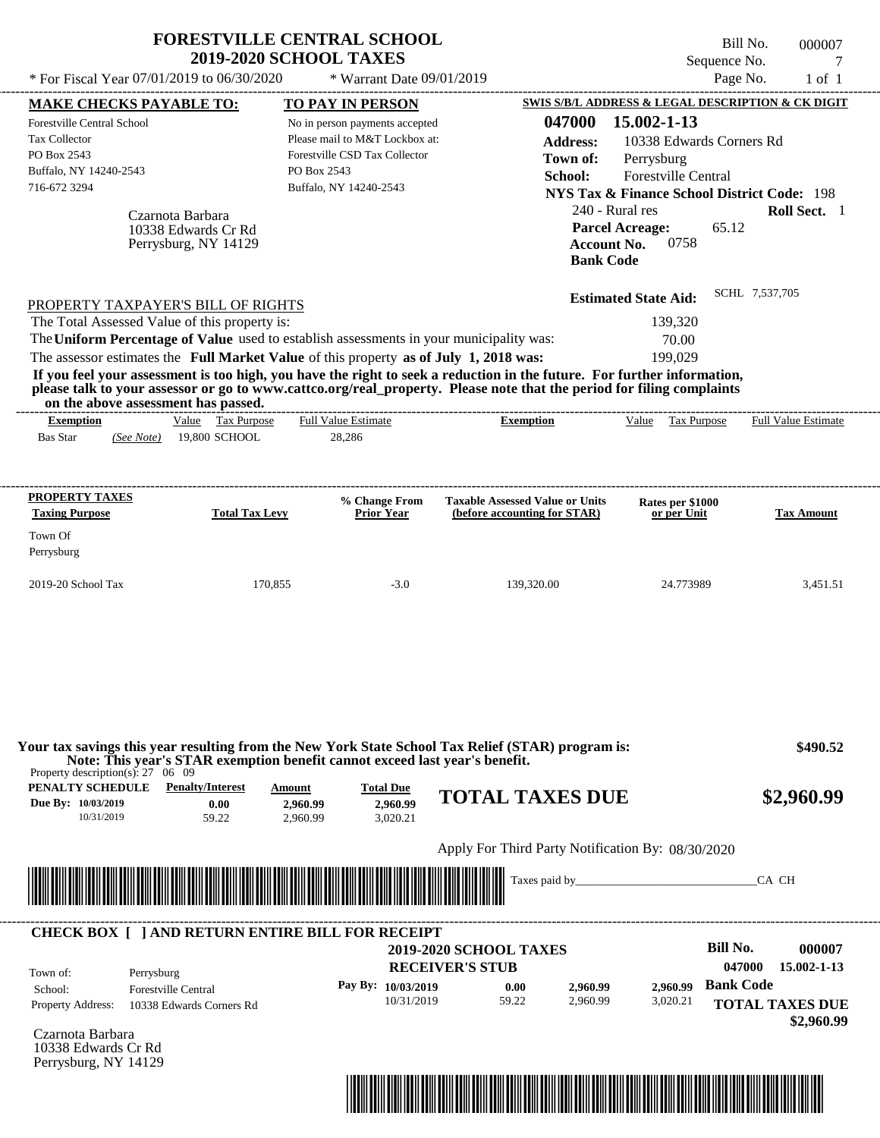|                                                                                               | 2019-2020 SCHOOL TAXES                                                      | <b>FORESTVILLE CENTRAL SCHOOL</b>        |                                                                                                                                                                                                                                                  | Bill No.<br>Sequence No.                               | 000007<br>7                         |
|-----------------------------------------------------------------------------------------------|-----------------------------------------------------------------------------|------------------------------------------|--------------------------------------------------------------------------------------------------------------------------------------------------------------------------------------------------------------------------------------------------|--------------------------------------------------------|-------------------------------------|
| * For Fiscal Year 07/01/2019 to 06/30/2020                                                    |                                                                             | * Warrant Date 09/01/2019                |                                                                                                                                                                                                                                                  | Page No.                                               | $1$ of $1$                          |
| <b>MAKE CHECKS PAYABLE TO:</b>                                                                |                                                                             | <b>TO PAY IN PERSON</b>                  |                                                                                                                                                                                                                                                  | SWIS S/B/L ADDRESS & LEGAL DESCRIPTION & CK DIGIT      |                                     |
| Forestville Central School                                                                    |                                                                             | No in person payments accepted           | 047000                                                                                                                                                                                                                                           | 15.002-1-13                                            |                                     |
| <b>Tax Collector</b>                                                                          |                                                                             | Please mail to M&T Lockbox at:           | <b>Address:</b>                                                                                                                                                                                                                                  | 10338 Edwards Corners Rd                               |                                     |
| PO Box 2543                                                                                   |                                                                             | Forestville CSD Tax Collector            | Town of:                                                                                                                                                                                                                                         | Perrysburg                                             |                                     |
| Buffalo, NY 14240-2543                                                                        | PO Box 2543                                                                 |                                          | School:                                                                                                                                                                                                                                          | <b>Forestville Central</b>                             |                                     |
| 716-672 3294                                                                                  |                                                                             | Buffalo, NY 14240-2543                   |                                                                                                                                                                                                                                                  | <b>NYS Tax &amp; Finance School District Code: 198</b> |                                     |
| Czarnota Barbara                                                                              |                                                                             |                                          | 240 - Rural res                                                                                                                                                                                                                                  |                                                        | Roll Sect. 1                        |
| 10338 Edwards Cr Rd                                                                           |                                                                             |                                          | <b>Parcel Acreage:</b>                                                                                                                                                                                                                           | 65.12                                                  |                                     |
|                                                                                               | Perrysburg, NY 14129                                                        |                                          | <b>Account No.</b>                                                                                                                                                                                                                               | 0758                                                   |                                     |
|                                                                                               |                                                                             |                                          | <b>Bank Code</b>                                                                                                                                                                                                                                 |                                                        |                                     |
|                                                                                               |                                                                             |                                          |                                                                                                                                                                                                                                                  |                                                        | SCHL 7,537,705                      |
| PROPERTY TAXPAYER'S BILL OF RIGHTS                                                            |                                                                             |                                          |                                                                                                                                                                                                                                                  | <b>Estimated State Aid:</b>                            |                                     |
| The Total Assessed Value of this property is:                                                 |                                                                             |                                          |                                                                                                                                                                                                                                                  | 139,320                                                |                                     |
| The Uniform Percentage of Value used to establish assessments in your municipality was:       |                                                                             |                                          |                                                                                                                                                                                                                                                  | 70.00                                                  |                                     |
| The assessor estimates the Full Market Value of this property as of July 1, 2018 was:         |                                                                             |                                          |                                                                                                                                                                                                                                                  | 199,029                                                |                                     |
|                                                                                               |                                                                             |                                          | If you feel your assessment is too high, you have the right to seek a reduction in the future. For further information,<br>please talk to your assessor or go to www.cattco.org/real_property. Please note that the period for filing complaints |                                                        |                                     |
| on the above assessment has passed.                                                           |                                                                             |                                          |                                                                                                                                                                                                                                                  |                                                        |                                     |
| <b>Exemption</b>                                                                              | Value Tax Purpose                                                           | <b>Full Value Estimate</b>               | <b>Exemption</b>                                                                                                                                                                                                                                 | Value Tax Purpose                                      | <b>Full Value Estimate</b>          |
| <b>Bas Star</b><br>(See Note)                                                                 | 19,800 SCHOOL                                                               | 28,286                                   |                                                                                                                                                                                                                                                  |                                                        |                                     |
|                                                                                               |                                                                             |                                          |                                                                                                                                                                                                                                                  |                                                        |                                     |
|                                                                                               |                                                                             |                                          |                                                                                                                                                                                                                                                  |                                                        |                                     |
| PROPERTY TAXES<br><b>Taxing Purpose</b>                                                       | <b>Total Tax Levy</b>                                                       | % Change From<br><b>Prior Year</b>       | <b>Taxable Assessed Value or Units</b><br>(before accounting for STAR)                                                                                                                                                                           | Rates per \$1000<br>or per Unit                        | <b>Tax Amount</b>                   |
|                                                                                               |                                                                             |                                          |                                                                                                                                                                                                                                                  |                                                        |                                     |
| Town Of                                                                                       |                                                                             |                                          |                                                                                                                                                                                                                                                  |                                                        |                                     |
| Perrysburg                                                                                    |                                                                             |                                          |                                                                                                                                                                                                                                                  |                                                        |                                     |
|                                                                                               |                                                                             |                                          |                                                                                                                                                                                                                                                  |                                                        |                                     |
|                                                                                               | 170,855                                                                     | $-3.0$                                   | 139,320.00                                                                                                                                                                                                                                       | 24.773989                                              | 3,451.51                            |
|                                                                                               |                                                                             |                                          |                                                                                                                                                                                                                                                  |                                                        |                                     |
| 2019-20 School Tax                                                                            |                                                                             |                                          |                                                                                                                                                                                                                                                  |                                                        |                                     |
| Property description(s): $27 \quad 06 \quad 09$                                               | Note: This year's STAR exemption benefit cannot exceed last year's benefit. |                                          | Your tax savings this year resulting from the New York State School Tax Relief (STAR) program is:                                                                                                                                                |                                                        | \$490.52                            |
| PENALTY SCHEDULE<br>Due By: 10/03/2019<br>10/31/2019                                          | <b>Penalty/Interest</b><br>Amount<br>0.00<br>2,960.99<br>59.22<br>2,960.99  | <b>Total Due</b><br>2.960.99<br>3,020.21 | <b>TOTAL TAXES DUE</b>                                                                                                                                                                                                                           |                                                        |                                     |
|                                                                                               |                                                                             |                                          | Apply For Third Party Notification By: 08/30/2020                                                                                                                                                                                                |                                                        |                                     |
|                                                                                               |                                                                             |                                          |                                                                                                                                                                                                                                                  |                                                        | CA CH                               |
|                                                                                               |                                                                             |                                          | Taxes paid by_                                                                                                                                                                                                                                   |                                                        |                                     |
|                                                                                               |                                                                             |                                          |                                                                                                                                                                                                                                                  |                                                        |                                     |
| <b>CHECK BOX [ ] AND RETURN ENTIRE BILL FOR RECEIPT</b>                                       |                                                                             |                                          | <b>2019-2020 SCHOOL TAXES</b>                                                                                                                                                                                                                    | <b>Bill No.</b>                                        |                                     |
|                                                                                               |                                                                             |                                          | <b>RECEIVER'S STUB</b>                                                                                                                                                                                                                           | 047000                                                 |                                     |
| Town of:<br>Perrysburg                                                                        |                                                                             |                                          |                                                                                                                                                                                                                                                  |                                                        | \$2,960.99<br>000007<br>15.002-1-13 |
| <b>Forestville Central</b><br>School:<br><b>Property Address:</b><br>10338 Edwards Corners Rd |                                                                             | Pay By: 10/03/2019<br>10/31/2019         | 0.00<br>2,960.99<br>59.22<br>2,960.99                                                                                                                                                                                                            | <b>Bank Code</b><br>2,960.99<br>3,020.21               | <b>TOTAL TAXES DUE</b>              |

Czarnota Barbara 10338 Edwards Cr Rd Perrysburg, NY 14129

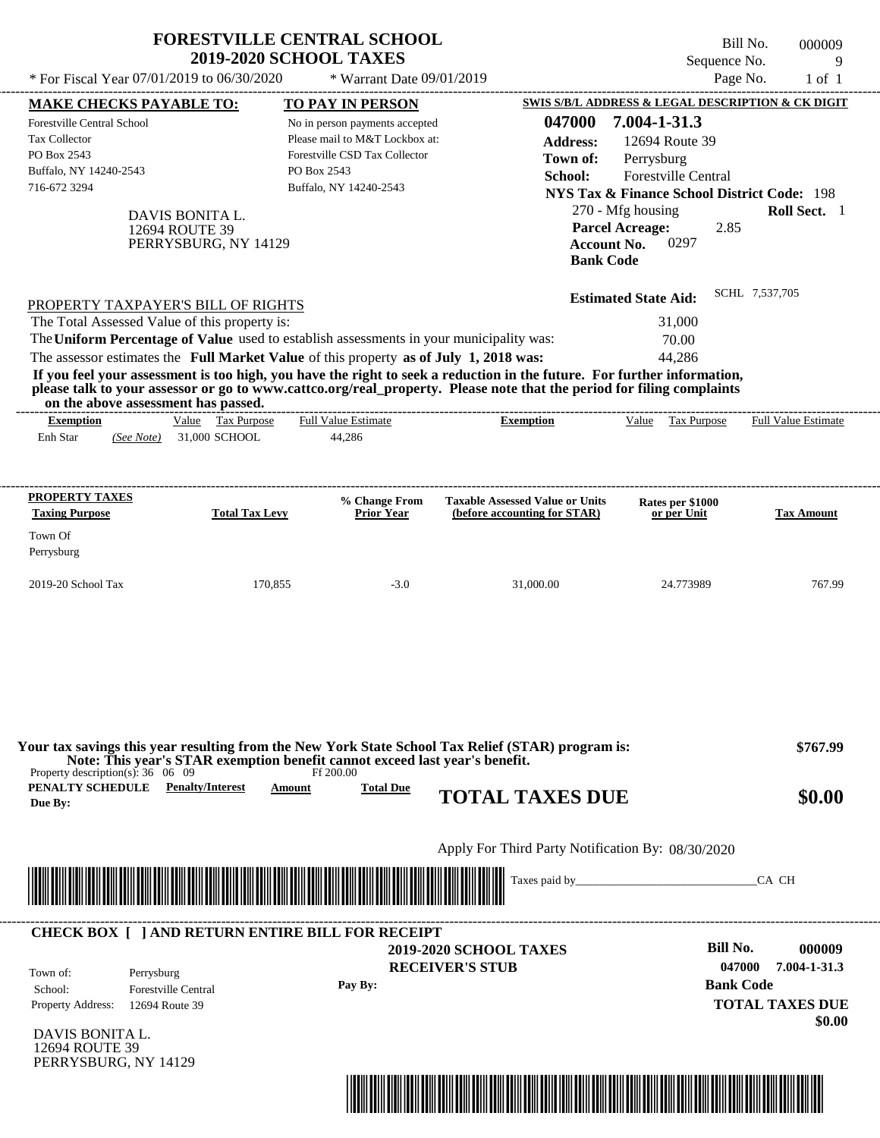| * For Fiscal Year 07/01/2019 to 06/30/2020<br>Page No.<br>* Warrant Date 09/01/2019<br>$1$ of $1$<br>SWIS S/B/L ADDRESS & LEGAL DESCRIPTION & CK DIGIT<br><b>MAKE CHECKS PAYABLE TO:</b><br><b>TO PAY IN PERSON</b><br>047000<br>7.004-1-31.3<br><b>Forestville Central School</b><br>No in person payments accepted<br>Please mail to M&T Lockbox at:<br>Tax Collector<br>12694 Route 39<br><b>Address:</b><br>Forestville CSD Tax Collector<br>PO Box 2543<br>Town of:<br>Perrysburg<br>Buffalo, NY 14240-2543<br>PO Box 2543<br>Forestville Central<br>School:<br>716-672 3294<br>Buffalo, NY 14240-2543<br><b>NYS Tax &amp; Finance School District Code: 198</b><br>270 - Mfg housing<br>DAVIS BONITA L.<br><b>Parcel Acreage:</b><br>2.85<br>12694 ROUTE 39<br>0297<br><b>Account No.</b><br>PERRYSBURG, NY 14129<br><b>Bank Code</b><br>SCHL 7,537,705<br><b>Estimated State Aid:</b><br>PROPERTY TAXPAYER'S BILL OF RIGHTS<br>The Total Assessed Value of this property is:<br>31,000<br>The Uniform Percentage of Value used to establish assessments in your municipality was:<br>70.00<br>The assessor estimates the Full Market Value of this property as of July 1, 2018 was:<br>44,286<br>If you feel your assessment is too high, you have the right to seek a reduction in the future. For further information,<br>please talk to your assessor or go to www.cattco.org/real_property. Please note that the period for filing complaints<br>on the above assessment has passed.<br>-----------------------------<br>Value Tax Purpose<br><b>Full Value Estimate</b><br>Value Tax Purpose<br><b>Exemption</b><br><b>Exemption</b><br><b>Full Value Estimate</b><br>31,000 SCHOOL<br>Enh Star<br>44,286<br>(See Note)<br><b>PROPERTY TAXES</b><br>% Change From<br><b>Taxable Assessed Value or Units</b><br>Rates per \$1000<br><b>Total Tax Levy</b><br><b>Taxing Purpose</b><br><b>Prior Year</b><br>(before accounting for STAR)<br>or per Unit<br><b>Tax Amount</b><br>Town Of<br>Perrysburg<br>2019-20 School Tax<br>170,855<br>$-3.0$<br>31,000.00<br>24.773989<br>Your tax savings this year resulting from the New York State School Tax Relief (STAR) program is:<br>Note: This year's STAR exemption benefit cannot exceed last year's benefit.<br>Property description(s): $36 \quad 06 \quad 09$<br>Ff 200.00<br><b>PENALTY SCHEDULE</b> Penalty/Interest<br><b>Total Due</b><br>Amount<br><b>TOTAL TAXES DUE</b><br>\$0.00<br>Due By:<br>Apply For Third Party Notification By: 08/30/2020<br><u> 1989 - Andrea Stadt British Stadt British Stadt British Stadt British Stadt British Stadt British Stadt British Stadt British Stadt British Stadt British Stadt British Stadt British Stadt British Stadt British Stadt Brit</u><br>CA CH<br><b>CHECK BOX [ ] AND RETURN ENTIRE BILL FOR RECEIPT</b> |  |                               |                 | Roll Sect. 1           |
|------------------------------------------------------------------------------------------------------------------------------------------------------------------------------------------------------------------------------------------------------------------------------------------------------------------------------------------------------------------------------------------------------------------------------------------------------------------------------------------------------------------------------------------------------------------------------------------------------------------------------------------------------------------------------------------------------------------------------------------------------------------------------------------------------------------------------------------------------------------------------------------------------------------------------------------------------------------------------------------------------------------------------------------------------------------------------------------------------------------------------------------------------------------------------------------------------------------------------------------------------------------------------------------------------------------------------------------------------------------------------------------------------------------------------------------------------------------------------------------------------------------------------------------------------------------------------------------------------------------------------------------------------------------------------------------------------------------------------------------------------------------------------------------------------------------------------------------------------------------------------------------------------------------------------------------------------------------------------------------------------------------------------------------------------------------------------------------------------------------------------------------------------------------------------------------------------------------------------------------------------------------------------------------------------------------------------------------------------------------------------------------------------------------------------------------------------------------------------------------------------------------------------------------------------------------------------------------------------------------------------------------------------------------------------------------------------------------------------------------------------------------------------------------------------------------------------------|--|-------------------------------|-----------------|------------------------|
|                                                                                                                                                                                                                                                                                                                                                                                                                                                                                                                                                                                                                                                                                                                                                                                                                                                                                                                                                                                                                                                                                                                                                                                                                                                                                                                                                                                                                                                                                                                                                                                                                                                                                                                                                                                                                                                                                                                                                                                                                                                                                                                                                                                                                                                                                                                                                                                                                                                                                                                                                                                                                                                                                                                                                                                                                                    |  |                               |                 |                        |
|                                                                                                                                                                                                                                                                                                                                                                                                                                                                                                                                                                                                                                                                                                                                                                                                                                                                                                                                                                                                                                                                                                                                                                                                                                                                                                                                                                                                                                                                                                                                                                                                                                                                                                                                                                                                                                                                                                                                                                                                                                                                                                                                                                                                                                                                                                                                                                                                                                                                                                                                                                                                                                                                                                                                                                                                                                    |  |                               |                 |                        |
|                                                                                                                                                                                                                                                                                                                                                                                                                                                                                                                                                                                                                                                                                                                                                                                                                                                                                                                                                                                                                                                                                                                                                                                                                                                                                                                                                                                                                                                                                                                                                                                                                                                                                                                                                                                                                                                                                                                                                                                                                                                                                                                                                                                                                                                                                                                                                                                                                                                                                                                                                                                                                                                                                                                                                                                                                                    |  |                               |                 |                        |
|                                                                                                                                                                                                                                                                                                                                                                                                                                                                                                                                                                                                                                                                                                                                                                                                                                                                                                                                                                                                                                                                                                                                                                                                                                                                                                                                                                                                                                                                                                                                                                                                                                                                                                                                                                                                                                                                                                                                                                                                                                                                                                                                                                                                                                                                                                                                                                                                                                                                                                                                                                                                                                                                                                                                                                                                                                    |  |                               |                 |                        |
|                                                                                                                                                                                                                                                                                                                                                                                                                                                                                                                                                                                                                                                                                                                                                                                                                                                                                                                                                                                                                                                                                                                                                                                                                                                                                                                                                                                                                                                                                                                                                                                                                                                                                                                                                                                                                                                                                                                                                                                                                                                                                                                                                                                                                                                                                                                                                                                                                                                                                                                                                                                                                                                                                                                                                                                                                                    |  |                               |                 | 767.99                 |
|                                                                                                                                                                                                                                                                                                                                                                                                                                                                                                                                                                                                                                                                                                                                                                                                                                                                                                                                                                                                                                                                                                                                                                                                                                                                                                                                                                                                                                                                                                                                                                                                                                                                                                                                                                                                                                                                                                                                                                                                                                                                                                                                                                                                                                                                                                                                                                                                                                                                                                                                                                                                                                                                                                                                                                                                                                    |  |                               |                 | \$767.99               |
|                                                                                                                                                                                                                                                                                                                                                                                                                                                                                                                                                                                                                                                                                                                                                                                                                                                                                                                                                                                                                                                                                                                                                                                                                                                                                                                                                                                                                                                                                                                                                                                                                                                                                                                                                                                                                                                                                                                                                                                                                                                                                                                                                                                                                                                                                                                                                                                                                                                                                                                                                                                                                                                                                                                                                                                                                                    |  |                               |                 |                        |
|                                                                                                                                                                                                                                                                                                                                                                                                                                                                                                                                                                                                                                                                                                                                                                                                                                                                                                                                                                                                                                                                                                                                                                                                                                                                                                                                                                                                                                                                                                                                                                                                                                                                                                                                                                                                                                                                                                                                                                                                                                                                                                                                                                                                                                                                                                                                                                                                                                                                                                                                                                                                                                                                                                                                                                                                                                    |  |                               |                 |                        |
|                                                                                                                                                                                                                                                                                                                                                                                                                                                                                                                                                                                                                                                                                                                                                                                                                                                                                                                                                                                                                                                                                                                                                                                                                                                                                                                                                                                                                                                                                                                                                                                                                                                                                                                                                                                                                                                                                                                                                                                                                                                                                                                                                                                                                                                                                                                                                                                                                                                                                                                                                                                                                                                                                                                                                                                                                                    |  |                               |                 |                        |
| <b>RECEIVER'S STUB</b><br>047000<br>Town of:<br>Perrysburg<br><b>Bank Code</b><br>Pay By:<br><b>Forestville Central</b><br>School:<br><b>TOTAL TAXES DUE</b><br>Property Address:<br>12694 Route 39<br>\$0.00<br>DAVIS BONITA L.                                                                                                                                                                                                                                                                                                                                                                                                                                                                                                                                                                                                                                                                                                                                                                                                                                                                                                                                                                                                                                                                                                                                                                                                                                                                                                                                                                                                                                                                                                                                                                                                                                                                                                                                                                                                                                                                                                                                                                                                                                                                                                                                                                                                                                                                                                                                                                                                                                                                                                                                                                                                   |  | <b>2019-2020 SCHOOL TAXES</b> | <b>Bill No.</b> | 000009<br>7.004-1-31.3 |

\*04700000000900000000000000\*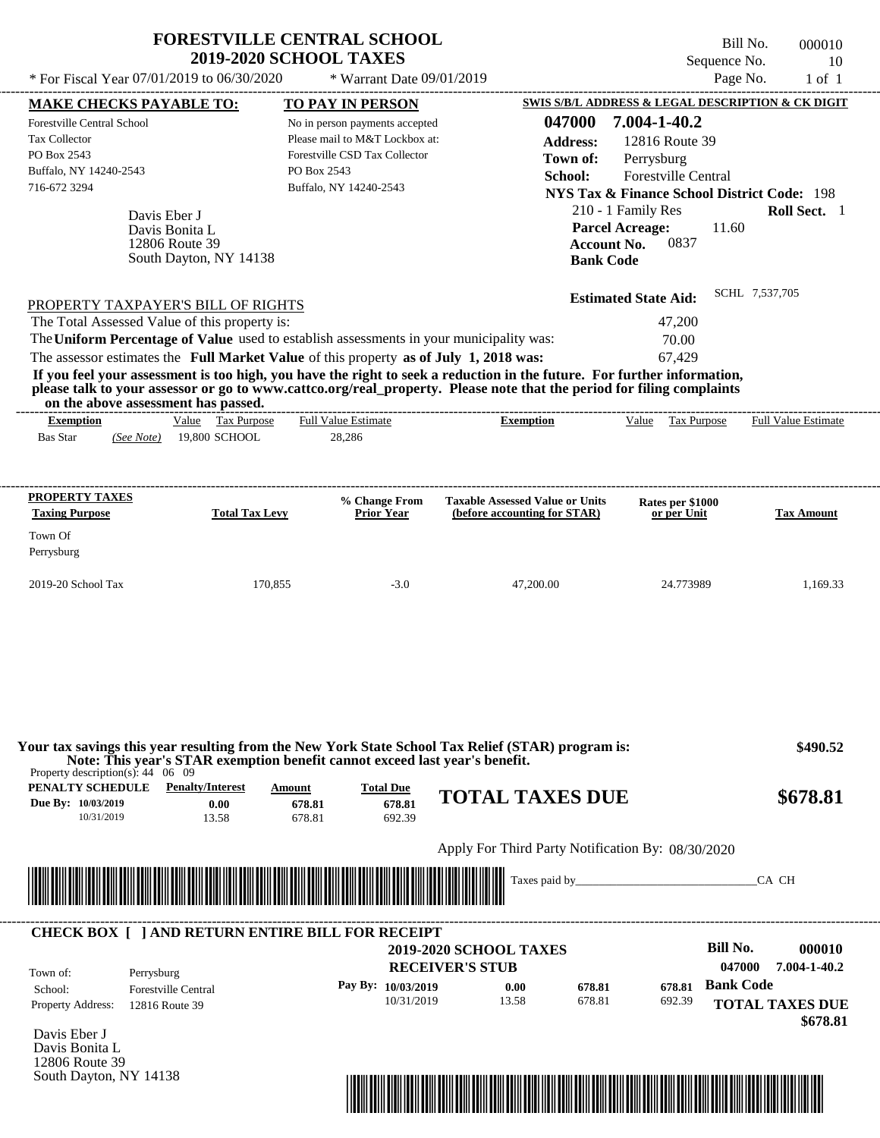| * For Fiscal Year $07/01/2019$ to $06/30/2020$ | <b>FORESTVILLE CENTRAL SCHOOL</b><br><b>2019-2020 SCHOOL TAXES</b><br>* Warrant Date $09/01/2019$ | Bill No.<br>000010<br>Sequence No.<br>10<br>Page No.<br>$1$ of $1$ |
|------------------------------------------------|---------------------------------------------------------------------------------------------------|--------------------------------------------------------------------|
| <b>MAKE CHECKS PAYABLE TO:</b>                 | <b>TO PAY IN PERSON</b>                                                                           | SWIS S/B/L ADDRESS & LEGAL DESCRIPTION & CK DIGIT                  |
| <b>Forestville Central School</b>              | No in person payments accepted                                                                    | 7.004-1-40.2<br>047000                                             |
| <b>Tax Collector</b>                           | Please mail to M&T Lockbox at:                                                                    | 12816 Route 39<br><b>Address:</b>                                  |
| PO Box 2543                                    | Forestville CSD Tax Collector                                                                     | Perrysburg<br>Town of:                                             |
| Buffalo, NY 14240-2543                         | PO Box 2543                                                                                       | <b>Forestville Central</b><br>School:                              |
| 716-672 3294                                   | Buffalo, NY 14240-2543                                                                            | <b>NYS Tax &amp; Finance School District Code: 198</b>             |
| $D_1, \ldots, D_k, \ldots, L$                  |                                                                                                   | Roll Sect.<br>210 - 1 Family Res                                   |

| Davis Eber J<br>Davis Bonita L<br>12806 Route 39<br>South Dayton, NY 14138              | 210 - 1 Family Res<br><b>Parcel Acreage:</b><br>0837<br><b>Account No.</b><br><b>Bank Code</b> | <b>Roll Sect.</b><br>11.60 |
|-----------------------------------------------------------------------------------------|------------------------------------------------------------------------------------------------|----------------------------|
| PROPERTY TAXPAYER'S BILL OF RIGHTS                                                      | <b>Estimated State Aid:</b>                                                                    | SCHL 7,537,705             |
| The Total Assessed Value of this property is:                                           | 47,200                                                                                         |                            |
| The Uniform Percentage of Value used to establish assessments in your municipality was: | 70.00                                                                                          |                            |
| The assessor estimates the Full Market Value of this property as of July 1, 2018 was:   | 67.429                                                                                         |                            |

**If you feel your assessment is too high, you have the right to seek a reduction in the future. For further information, please talk to your assessor or go to www.cattco.org/real\_property. Please note that the period for filing complaints on the above assessment has passed.** ----------------------------------------------------------------------------------------------------------------------------------------------------------------------------------------------------

| <b>Exemption</b> |            | Value | <b>Tax Purpose</b> | <b>Full Value Estimate</b> | <b>Exemption</b> | Value | Tax Purpose | <b>Full Value Estimate</b> |
|------------------|------------|-------|--------------------|----------------------------|------------------|-------|-------------|----------------------------|
| <b>Bas Star</b>  | (See Note) |       | 19.800 SCHOOL      | 28.286                     |                  |       |             |                            |
|                  |            |       |                    |                            |                  |       |             |                            |

| <b>PROPERTY TAXES</b><br><b>Taxing Purpose</b> | <b>Total Tax Levy</b> | % Change From<br><b>Prior Year</b> | <b>Taxable Assessed Value or Units</b><br>(before accounting for STAR) | Rates per \$1000<br>or per Unit | <b>Tax Amount</b> |
|------------------------------------------------|-----------------------|------------------------------------|------------------------------------------------------------------------|---------------------------------|-------------------|
| Town Of<br>Perrysburg                          |                       |                                    |                                                                        |                                 |                   |
| $2019-20$ School Tax                           | 170,855               | $-3.0$                             | 47,200.00                                                              | 24.773989                       | 1,169.33          |

| PENALTY SCHEDULE<br>Due By: 10/03/2019<br>10/31/2019 | <b>Penalty/Interest</b><br>0.00<br>13.58                | Amount<br>678.81<br>678.81 | <b>Total Due</b><br>678.81<br>692.39 | <b>TOTAL TAXES DUE</b>                                  | \$678.81                                     |
|------------------------------------------------------|---------------------------------------------------------|----------------------------|--------------------------------------|---------------------------------------------------------|----------------------------------------------|
|                                                      |                                                         |                            |                                      | Apply For Third Party Notification By: 08/30/2020       |                                              |
|                                                      |                                                         |                            |                                      |                                                         |                                              |
|                                                      | <b>CHECK BOX     AND RETURN ENTIRE BILL FOR RECEIPT</b> |                            |                                      | Taxes paid by                                           | CA CH                                        |
| Town of:                                             | Perrysburg                                              |                            |                                      | <b>2019-2020 SCHOOL TAXES</b><br><b>RECEIVER'S STUB</b> | Bill No.<br>000010<br>047000<br>7.004-1-40.2 |



South Dayton, NY 14138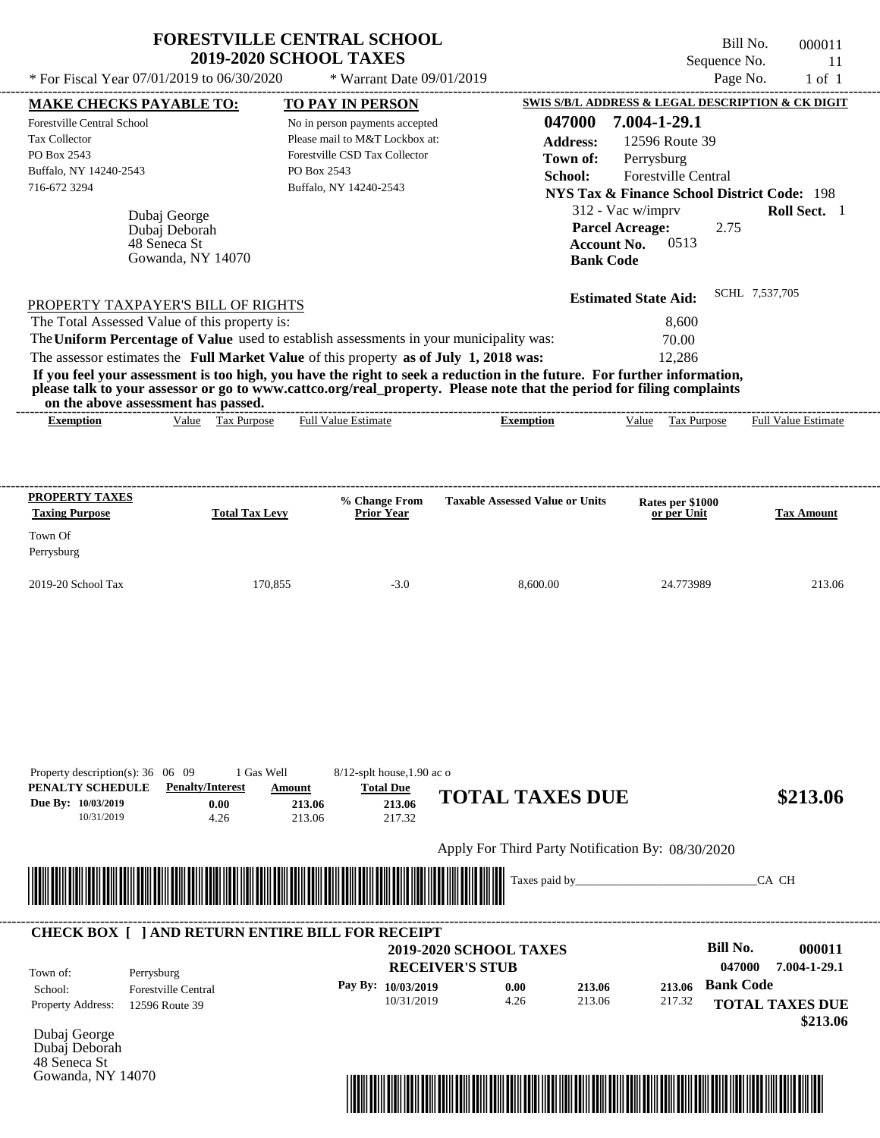|                                                                                                      | * For Fiscal Year $07/01/2019$ to $06/30/2020$                     | * Warrant Date 09/01/2019                                                                                                                  |                                                                                                                         |                                                                                                                                                                                              | Page No.<br>$1$ of $1$     |
|------------------------------------------------------------------------------------------------------|--------------------------------------------------------------------|--------------------------------------------------------------------------------------------------------------------------------------------|-------------------------------------------------------------------------------------------------------------------------|----------------------------------------------------------------------------------------------------------------------------------------------------------------------------------------------|----------------------------|
| <b>MAKE CHECKS PAYABLE TO:</b>                                                                       |                                                                    | TO PAY IN PERSON                                                                                                                           |                                                                                                                         | SWIS S/B/L ADDRESS & LEGAL DESCRIPTION & CK DIGIT                                                                                                                                            |                            |
| Forestville Central School<br>Tax Collector<br>PO Box 2543<br>Buffalo, NY 14240-2543<br>716-672 3294 | Dubaj George<br>Dubaj Deborah<br>48 Seneca St<br>Gowanda, NY 14070 | No in person payments accepted<br>Please mail to M&T Lockbox at:<br>Forestville CSD Tax Collector<br>PO Box 2543<br>Buffalo, NY 14240-2543 | 047000<br><b>Address:</b><br>Town of:<br>School:<br><b>Account No.</b><br><b>Bank Code</b>                              | 7.004-1-29.1<br>12596 Route 39<br>Perrysburg<br>Forestville Central<br><b>NYS Tax &amp; Finance School District Code: 198</b><br>312 - Vac w/imprv<br><b>Parcel Acreage:</b><br>2.75<br>0513 | <b>Roll Sect.</b> 1        |
|                                                                                                      |                                                                    |                                                                                                                                            |                                                                                                                         | <b>Estimated State Aid:</b>                                                                                                                                                                  | SCHL 7.537.705             |
| PROPERTY TAXPAYER'S BILL OF RIGHTS<br>The Total Assessed Value of this property is:                  |                                                                    |                                                                                                                                            |                                                                                                                         | 8.600                                                                                                                                                                                        |                            |
|                                                                                                      |                                                                    | The Uniform Percentage of Value used to establish assessments in your municipality was:                                                    |                                                                                                                         | 70.00                                                                                                                                                                                        |                            |
|                                                                                                      |                                                                    | The assessor estimates the Full Market Value of this property as of July 1, 2018 was:                                                      |                                                                                                                         | 12.286                                                                                                                                                                                       |                            |
|                                                                                                      |                                                                    |                                                                                                                                            | If you feel your assessment is too high, you have the right to seek a reduction in the future. For further information, |                                                                                                                                                                                              |                            |
|                                                                                                      | on the above assessment has passed.                                |                                                                                                                                            | please talk to your assessor or go to www.cattco.org/real_property. Please note that the period for filing complaints   |                                                                                                                                                                                              |                            |
| <b>Exemption</b>                                                                                     | Value Tax Purpose                                                  | <b>Full Value Estimate</b>                                                                                                                 | -------------------------<br><b>Exemption</b>                                                                           | Value Tax Purpose                                                                                                                                                                            | <b>Full Value Estimate</b> |
|                                                                                                      |                                                                    |                                                                                                                                            |                                                                                                                         |                                                                                                                                                                                              |                            |
| <b>PROPERTY TAXES</b>                                                                                |                                                                    | % Change From                                                                                                                              | <b>Taxable Assessed Value or Units</b>                                                                                  | Rates per \$1000                                                                                                                                                                             |                            |
| <b>Taxing Purpose</b>                                                                                | <b>Total Tax Levy</b>                                              | <b>Prior Year</b>                                                                                                                          |                                                                                                                         | or per Unit                                                                                                                                                                                  | <b>Tax Amount</b>          |
|                                                                                                      |                                                                    |                                                                                                                                            |                                                                                                                         |                                                                                                                                                                                              |                            |
| Town Of<br>Perrysburg                                                                                |                                                                    |                                                                                                                                            |                                                                                                                         |                                                                                                                                                                                              |                            |
|                                                                                                      | 170,855                                                            | $-3.0$                                                                                                                                     | 8,600.00                                                                                                                | 24.773989                                                                                                                                                                                    | 213.06                     |
|                                                                                                      |                                                                    |                                                                                                                                            |                                                                                                                         |                                                                                                                                                                                              |                            |
| 2019-20 School Tax<br>Property description(s): 36 06 09<br>PENALTY SCHEDULE<br>Due By: 10/03/2019    | 1 Gas Well<br><b>Penalty/Interest</b><br>0.00                      | 8/12-splt house, 1.90 ac o<br><b>Total Due</b><br>Amount                                                                                   | <b>TOTAL TAXES DUE</b>                                                                                                  |                                                                                                                                                                                              |                            |
| 10/31/2019                                                                                           | 4.26                                                               | 213.06<br>213.06<br>213.06<br>217.32                                                                                                       |                                                                                                                         |                                                                                                                                                                                              | \$213.06                   |
|                                                                                                      |                                                                    |                                                                                                                                            |                                                                                                                         |                                                                                                                                                                                              |                            |
|                                                                                                      |                                                                    |                                                                                                                                            | Apply For Third Party Notification By: 08/30/2020<br>Taxes paid by_                                                     |                                                                                                                                                                                              |                            |

| Town of:                 | Perrysburg                 | <b>2019-2020 SCHOOL TAXES</b><br><b>RECEIVER'S STUB</b> |      |        |        | Bill No.<br>047000 | 000011<br>7.004-1-29.1 |
|--------------------------|----------------------------|---------------------------------------------------------|------|--------|--------|--------------------|------------------------|
| School:                  | <b>Forestville Central</b> | Pay By: 10/03/2019                                      | 0.00 | 213.06 | 213.06 | <b>Bank Code</b>   |                        |
| <b>Property Address:</b> | 12596 Route 39             | 10/31/2019                                              | 4.26 | 213.06 | 217.32 |                    | <b>TOTAL TAXES DUE</b> |

Dubaj George Dubaj Deborah 48 Seneca St Gowanda, NY 14070

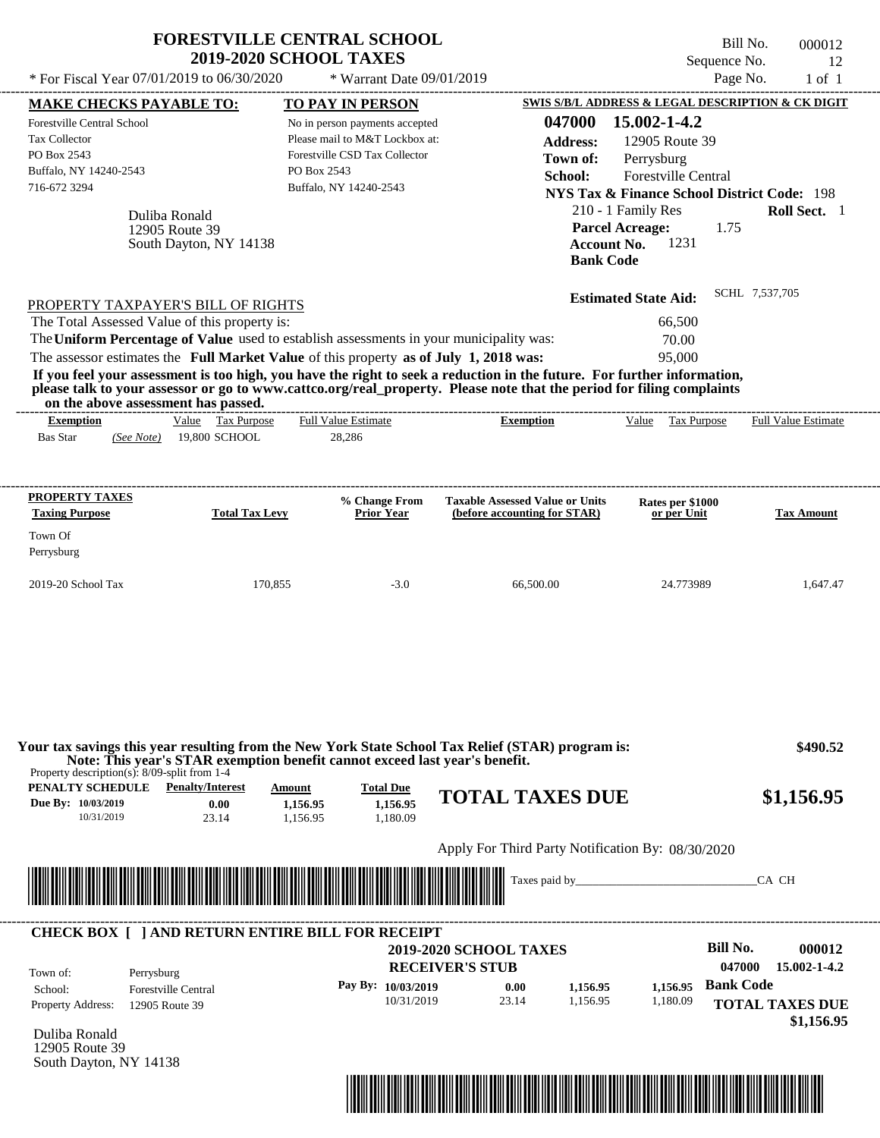| * For Fiscal Year 07/01/2019 to 06/30/2020                                                                                                                                                                                                                               | <b>2019-2020 SCHOOL TAXES</b>            | <b>FORESTVILLE CENTRAL SCHOOL</b><br>* Warrant Date 09/01/2019                                                                                  |                                                                                                                                                                                                                                                  | Sequence No.<br>Page No.                                                                                                            | Bill No.<br>000012<br>12<br>$1$ of $1$ |
|--------------------------------------------------------------------------------------------------------------------------------------------------------------------------------------------------------------------------------------------------------------------------|------------------------------------------|-------------------------------------------------------------------------------------------------------------------------------------------------|--------------------------------------------------------------------------------------------------------------------------------------------------------------------------------------------------------------------------------------------------|-------------------------------------------------------------------------------------------------------------------------------------|----------------------------------------|
| <b>MAKE CHECKS PAYABLE TO:</b>                                                                                                                                                                                                                                           |                                          | <b>TO PAY IN PERSON</b>                                                                                                                         | 047000                                                                                                                                                                                                                                           | SWIS S/B/L ADDRESS & LEGAL DESCRIPTION & CK DIGIT<br>15.002-1-4.2                                                                   |                                        |
| <b>Forestville Central School</b><br>Tax Collector<br>PO Box 2543<br>Buffalo, NY 14240-2543<br>716-672 3294                                                                                                                                                              | Duliba Ronald                            | No in person payments accepted<br>Please mail to M&T Lockbox at:<br>Forestville CSD Tax Collector<br>PO Box 2543<br>Buffalo, NY 14240-2543      | <b>Address:</b><br>Town of:<br>School:                                                                                                                                                                                                           | 12905 Route 39<br>Perrysburg<br>Forestville Central<br><b>NYS Tax &amp; Finance School District Code: 198</b><br>210 - 1 Family Res | Roll Sect. 1                           |
|                                                                                                                                                                                                                                                                          | 12905 Route 39<br>South Dayton, NY 14138 |                                                                                                                                                 | <b>Bank Code</b>                                                                                                                                                                                                                                 | <b>Parcel Acreage:</b><br>1.75<br>1231<br><b>Account No.</b>                                                                        |                                        |
| PROPERTY TAXPAYER'S BILL OF RIGHTS                                                                                                                                                                                                                                       |                                          |                                                                                                                                                 |                                                                                                                                                                                                                                                  | <b>Estimated State Aid:</b>                                                                                                         | SCHL 7,537,705                         |
| The Total Assessed Value of this property is:<br>The Uniform Percentage of Value used to establish assessments in your municipality was:<br>The assessor estimates the Full Market Value of this property as of July 1, 2018 was:<br>on the above assessment has passed. |                                          |                                                                                                                                                 | If you feel your assessment is too high, you have the right to seek a reduction in the future. For further information,<br>please talk to your assessor or go to www.cattco.org/real_property. Please note that the period for filing complaints | 66,500<br>70.00<br>95,000                                                                                                           |                                        |
| <b>Exemption</b><br><b>Bas Star</b><br>(See Note)                                                                                                                                                                                                                        | Value Tax Purpose<br>19,800 SCHOOL       | <b>Full Value Estimate</b><br>28,286                                                                                                            | ------------------------------<br><b>Exemption</b>                                                                                                                                                                                               | Value Tax Purpose                                                                                                                   | <b>Full Value Estimate</b>             |
| <b>PROPERTY TAXES</b>                                                                                                                                                                                                                                                    |                                          | % Change From                                                                                                                                   | <b>Taxable Assessed Value or Units</b>                                                                                                                                                                                                           | Rates per \$1000                                                                                                                    |                                        |
| <b>Taxing Purpose</b><br>Town Of<br>Perrysburg                                                                                                                                                                                                                           | <b>Total Tax Levy</b>                    | <b>Prior Year</b>                                                                                                                               | (before accounting for STAR)                                                                                                                                                                                                                     | or per Unit                                                                                                                         | <b>Tax Amount</b>                      |
| 2019-20 School Tax                                                                                                                                                                                                                                                       | 170,855                                  | $-3.0$                                                                                                                                          | 66,500.00                                                                                                                                                                                                                                        | 24.773989                                                                                                                           | 1,647.47                               |
| Property description(s): $8/09$ -split from 1-4<br><b>PENALTY SCHEDULE</b> Penalty/Interest<br>Due By: 10/03/2019<br>10/31/2019                                                                                                                                          | Amount<br>0.00<br>23.14                  | Note: This year's STAR exemption benefit cannot exceed last year's benefit.<br><b>Total Due</b><br>1,156.95<br>1,156.95<br>1,156.95<br>1.180.09 | Your tax savings this year resulting from the New York State School Tax Relief (STAR) program is:<br><b>TOTAL TAXES DUE</b>                                                                                                                      |                                                                                                                                     | \$490.52<br>\$1,156.95                 |
|                                                                                                                                                                                                                                                                          |                                          |                                                                                                                                                 | Apply For Third Party Notification By: 08/30/2020                                                                                                                                                                                                |                                                                                                                                     | CA CH                                  |
| <u> 1989 - Andrea Stadt British Stadt British Stadt British Stadt British Stadt British Stadt British Stadt British Stadt British Stadt British Stadt British Stadt British Stadt British Stadt British Stadt British Stadt Brit</u>                                     |                                          |                                                                                                                                                 |                                                                                                                                                                                                                                                  |                                                                                                                                     |                                        |
| <b>CHECK BOX [ ] AND RETURN ENTIRE BILL FOR RECEIPT</b><br>Town of:<br>Perrysburg<br>School:                                                                                                                                                                             | <b>Forestville Central</b>               | Pay By: 10/03/2019                                                                                                                              | <b>2019-2020 SCHOOL TAXES</b><br><b>RECEIVER'S STUB</b><br>0.00<br>1,156.95                                                                                                                                                                      | <b>Bill No.</b><br>047000<br><b>Bank Code</b><br>1,156.95                                                                           | 000012<br>15.002-1-4.2                 |
| Property Address:<br>12905 Route 39                                                                                                                                                                                                                                      |                                          | 10/31/2019                                                                                                                                      | 23.14<br>1,156.95                                                                                                                                                                                                                                | 1,180.09                                                                                                                            | <b>TOTAL TAXES DUE</b>                 |

12905 Route 39 South Dayton, NY 14138

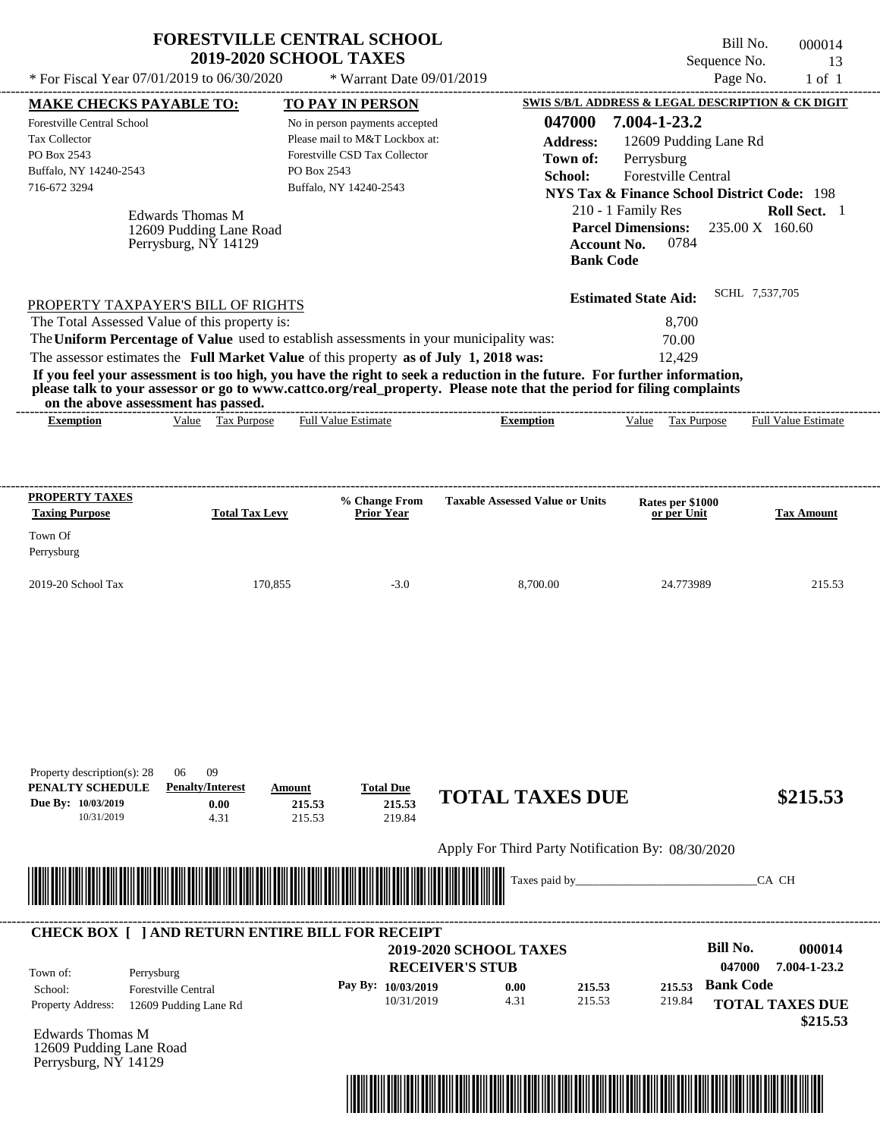|                                                                                                                                               | <b>FORESTVILLE CENTRAL SCHOOL</b><br><b>2019-2020 SCHOOL TAXES</b>                                                                                                                                                     |                                                                                                                                                                       |                                                                                                                                                                                                                                                  | Bill No.<br>Sequence No.                                                                                                                                                                                                                                    | 000014<br>13                    |
|-----------------------------------------------------------------------------------------------------------------------------------------------|------------------------------------------------------------------------------------------------------------------------------------------------------------------------------------------------------------------------|-----------------------------------------------------------------------------------------------------------------------------------------------------------------------|--------------------------------------------------------------------------------------------------------------------------------------------------------------------------------------------------------------------------------------------------|-------------------------------------------------------------------------------------------------------------------------------------------------------------------------------------------------------------------------------------------------------------|---------------------------------|
| * For Fiscal Year 07/01/2019 to 06/30/2020                                                                                                    |                                                                                                                                                                                                                        | * Warrant Date 09/01/2019                                                                                                                                             |                                                                                                                                                                                                                                                  | Page No.                                                                                                                                                                                                                                                    | $1$ of $1$                      |
| <b>MAKE CHECKS PAYABLE TO:</b><br>Forestville Central School<br><b>Tax Collector</b><br>PO Box 2543<br>Buffalo, NY 14240-2543<br>716-672 3294 | <b>Edwards Thomas M</b><br>12609 Pudding Lane Road<br>Perrysburg, NY 14129                                                                                                                                             | <b>TO PAY IN PERSON</b><br>No in person payments accepted<br>Please mail to M&T Lockbox at:<br>Forestville CSD Tax Collector<br>PO Box 2543<br>Buffalo, NY 14240-2543 | 047000<br><b>Address:</b><br>Town of:<br>School:<br><b>Account No.</b><br><b>Bank Code</b>                                                                                                                                                       | SWIS S/B/L ADDRESS & LEGAL DESCRIPTION & CK DIGIT<br>7.004-1-23.2<br>12609 Pudding Lane Rd<br>Perrysburg<br><b>Forestville Central</b><br><b>NYS Tax &amp; Finance School District Code: 198</b><br>210 - 1 Family Res<br><b>Parcel Dimensions:</b><br>0784 | Roll Sect. 1<br>235.00 X 160.60 |
| The Total Assessed Value of this property is:<br>on the above assessment has passed.                                                          | PROPERTY TAXPAYER'S BILL OF RIGHTS<br>The Uniform Percentage of Value used to establish assessments in your municipality was:<br>The assessor estimates the Full Market Value of this property as of July 1, 2018 was: |                                                                                                                                                                       | If you feel your assessment is too high, you have the right to seek a reduction in the future. For further information,<br>please talk to your assessor or go to www.cattco.org/real_property. Please note that the period for filing complaints | <b>Estimated State Aid:</b><br>8,700<br>70.00<br>12,429                                                                                                                                                                                                     | SCHL 7,537,705                  |
| <b>Exemption</b>                                                                                                                              | Value Tax Purpose                                                                                                                                                                                                      | <b>Full Value Estimate</b>                                                                                                                                            | <b>Exemption</b>                                                                                                                                                                                                                                 | Tax Purpose<br>Value                                                                                                                                                                                                                                        | <b>Full Value Estimate</b>      |
| <b>PROPERTY TAXES</b><br><b>Taxing Purpose</b><br>Town Of<br>Perrysburg<br>2019-20 School Tax                                                 | <b>Total Tax Levy</b><br>170,855                                                                                                                                                                                       | % Change From<br><b>Prior Year</b><br>$-3.0$                                                                                                                          | <b>Taxable Assessed Value or Units</b><br>8,700.00                                                                                                                                                                                               | Rates per \$1000<br>or per Unit<br>24.773989                                                                                                                                                                                                                | <b>Tax Amount</b><br>215.53     |
| Property description(s): 28<br>PENALTY SCHEDULE<br>Due By: 10/03/2019<br>10/31/2019                                                           | 09<br>06<br><b>Penalty/Interest</b><br>Amount<br>0.00<br>4.31                                                                                                                                                          | <b>Total Due</b><br>215.53<br>215.53<br>215.53<br>219.84                                                                                                              | <b>TOTAL TAXES DUE</b><br>Apply For Third Party Notification By: 08/30/2020                                                                                                                                                                      |                                                                                                                                                                                                                                                             | \$215.53                        |
|                                                                                                                                               |                                                                                                                                                                                                                        |                                                                                                                                                                       | Taxes paid by_                                                                                                                                                                                                                                   |                                                                                                                                                                                                                                                             | CA CH                           |
| Town of:<br>Perrysburg                                                                                                                        | <b>CHECK BOX [ ] AND RETURN ENTIRE BILL FOR RECEIPT</b>                                                                                                                                                                |                                                                                                                                                                       | <b>2019-2020 SCHOOL TAXES</b><br><b>RECEIVER'S STUB</b>                                                                                                                                                                                          | <b>Bill No.</b><br>047000                                                                                                                                                                                                                                   | 000014<br>7.004-1-23.2          |

**Pay By: 10/03/2019**

10/31/2019 4.31

**0.00**

Edwards Thomas M Property Address: 12609 Pudding Lane Rd 12609 Pudding Lane Road

Perrysburg, NY 14129

School: Forestville Central



215.53 **215.53**

**Bank Code 215.53**

219.84

**TOTAL TAXES DUE**

 **\$215.53**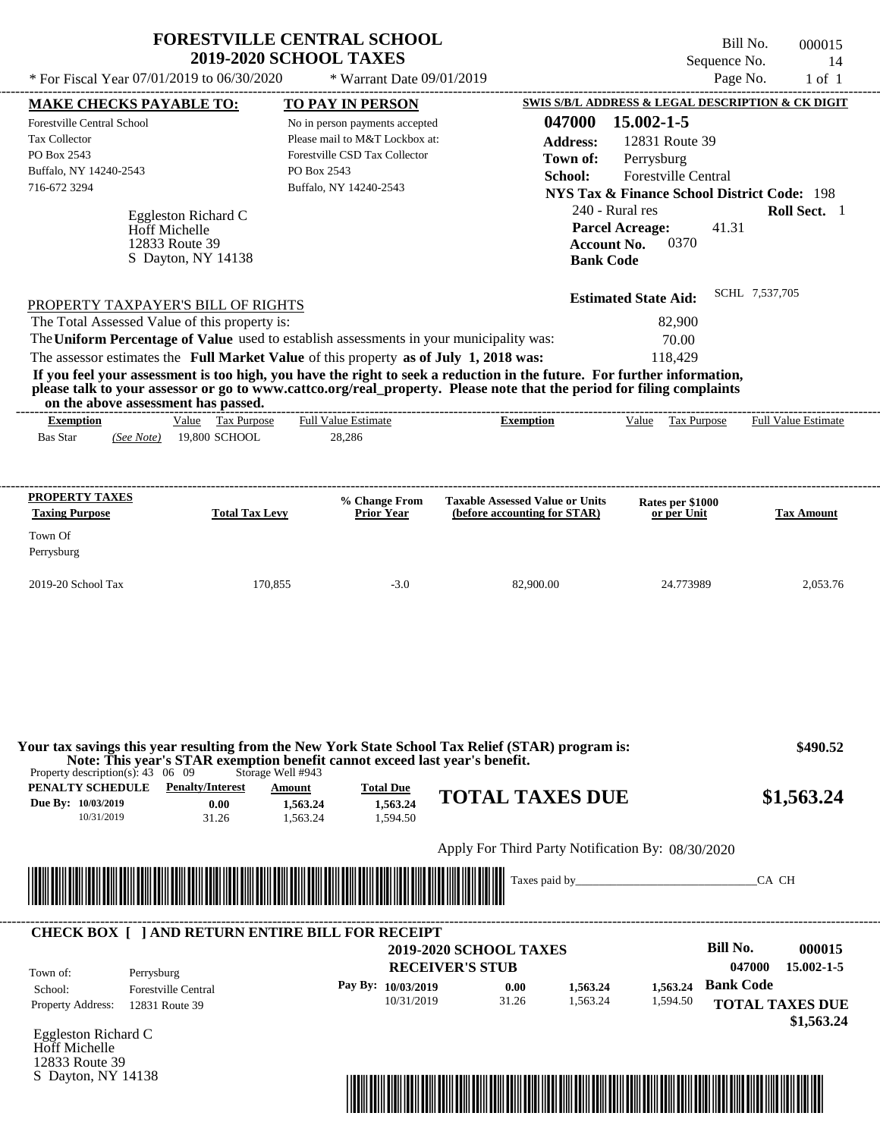| <b>MAKE CHECKS PAYABLE TO:</b>                                                                                                      |                                       |                                                                                                                                                                       |                                                                                                                         | Page No.                                                                                                                                                                                                                                              | $1$ of $1$                 |
|-------------------------------------------------------------------------------------------------------------------------------------|---------------------------------------|-----------------------------------------------------------------------------------------------------------------------------------------------------------------------|-------------------------------------------------------------------------------------------------------------------------|-------------------------------------------------------------------------------------------------------------------------------------------------------------------------------------------------------------------------------------------------------|----------------------------|
| <b>Forestville Central School</b><br>Tax Collector<br>PO Box 2543<br>Buffalo, NY 14240-2543<br>716-672 3294<br><b>Hoff Michelle</b> | Eggleston Richard C<br>12833 Route 39 | <b>TO PAY IN PERSON</b><br>No in person payments accepted<br>Please mail to M&T Lockbox at:<br>Forestville CSD Tax Collector<br>PO Box 2543<br>Buffalo, NY 14240-2543 | 047000<br><b>Address:</b><br>Town of:<br>School:<br><b>Account No.</b>                                                  | SWIS S/B/L ADDRESS & LEGAL DESCRIPTION & CK DIGIT<br>15.002-1-5<br>12831 Route 39<br>Perrysburg<br><b>Forestville Central</b><br><b>NYS Tax &amp; Finance School District Code: 198</b><br>240 - Rural res<br>41.31<br><b>Parcel Acreage:</b><br>0370 | Roll Sect. 1               |
|                                                                                                                                     | S Dayton, NY 14138                    |                                                                                                                                                                       | <b>Bank Code</b>                                                                                                        |                                                                                                                                                                                                                                                       |                            |
| PROPERTY TAXPAYER'S BILL OF RIGHTS                                                                                                  |                                       |                                                                                                                                                                       |                                                                                                                         | <b>Estimated State Aid:</b>                                                                                                                                                                                                                           | SCHL 7,537,705             |
| The Total Assessed Value of this property is:                                                                                       |                                       | The Uniform Percentage of Value used to establish assessments in your municipality was:                                                                               |                                                                                                                         | 82,900<br>70.00                                                                                                                                                                                                                                       |                            |
|                                                                                                                                     |                                       | The assessor estimates the Full Market Value of this property as of July 1, 2018 was:                                                                                 | If you feel your assessment is too high, you have the right to seek a reduction in the future. For further information, | 118.429                                                                                                                                                                                                                                               |                            |
| on the above assessment has passed.                                                                                                 |                                       |                                                                                                                                                                       | please talk to your assessor or go to www.cattco.org/real_property. Please note that the period for filing complaints   |                                                                                                                                                                                                                                                       |                            |
| <b>Exemption</b><br>(See Note)                                                                                                      | Value Tax Purpose<br>19,800 SCHOOL    | <b>Full Value Estimate</b><br>28,286                                                                                                                                  | <b>Exemption</b>                                                                                                        | Value<br>Tax Purpose                                                                                                                                                                                                                                  | <b>Full Value Estimate</b> |
| <b>Bas Star</b><br><b>PROPERTY TAXES</b><br><b>Taxing Purpose</b><br>Town Of<br>Perrysburg                                          | <b>Total Tax Levy</b>                 | % Change From<br><b>Prior Year</b>                                                                                                                                    | <b>Taxable Assessed Value or Units</b><br>(before accounting for STAR)                                                  | Rates per \$1000<br>or per Unit                                                                                                                                                                                                                       | <b>Tax Amount</b>          |

Property description(s): 43 06 09 Storage Well #943 **Note: This year's STAR exemption benefit cannot exceed last year's benefit.**

| PENALTY SCHEDULE   | <b>Penalty/Interest</b> | Amount   | <b>Total Due</b> |                        |            |
|--------------------|-------------------------|----------|------------------|------------------------|------------|
| Due By: 10/03/2019 | 0.00                    | 1,563.24 | 1,563.24         | <b>TOTAL TAXES DUE</b> | \$1,563.24 |
| 10/31/2019         | 31.26                   | .563.24  | .594.50          |                        |            |

Apply For Third Party Notification By: 08/30/2020



## **RECEIVER'S STUB Bill No. 000015** 0.00 **c** 1,563.24 **bank Code** Property Address: 12831 Route 39 Perrysburg School: Forestville Central **TOTAL TAXES DUE \$1,563.24 2019-2020 SCHOOL TAXES 047000 15.002-1-5 Pay By: 10/03/2019** 10/31/2019 1,563.24 **1,563.24** 1,594.50 **1,563.24** Town of: ---------------------------------------------------------------------------------------------------------------------------------------------------------------------------------------------------- **CHECK BOX [ ] AND RETURN ENTIRE BILL FOR RECEIPT**

Eggleston Richard C Hoff Michelle 12833 Route 39 S Dayton, NY 14138

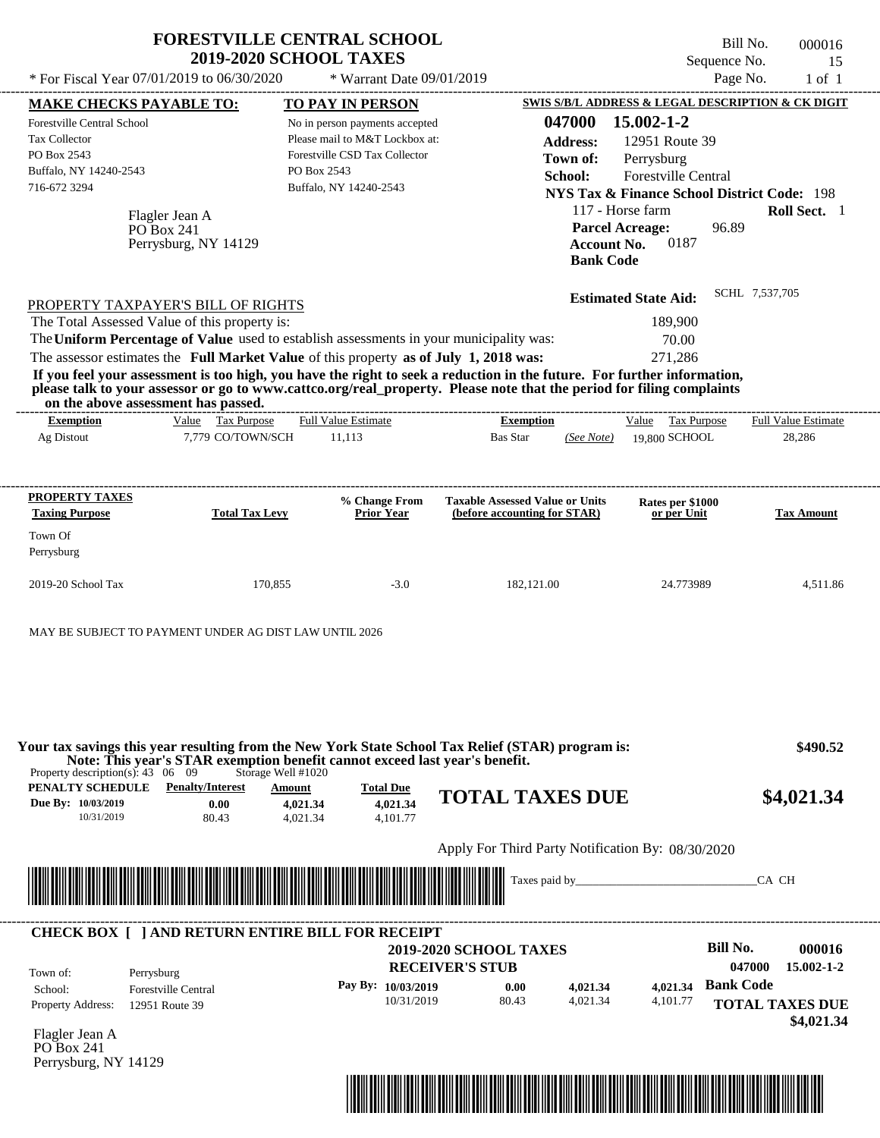|                                                                                                                                                                                                                                                                                         | <b>FORESTVILLE CENTRAL SCHOOL</b><br><b>2019-2020 SCHOOL TAXES</b> |                                                                                                   |                                                   |                                                       |                                                                   | Bill No.<br>Sequence No. | 000016<br>15           |
|-----------------------------------------------------------------------------------------------------------------------------------------------------------------------------------------------------------------------------------------------------------------------------------------|--------------------------------------------------------------------|---------------------------------------------------------------------------------------------------|---------------------------------------------------|-------------------------------------------------------|-------------------------------------------------------------------|--------------------------|------------------------|
| * For Fiscal Year 07/01/2019 to 06/30/2020                                                                                                                                                                                                                                              |                                                                    | * Warrant Date 09/01/2019                                                                         |                                                   |                                                       |                                                                   | Page No.                 | $1$ of $1$             |
| <b>MAKE CHECKS PAYABLE TO:</b>                                                                                                                                                                                                                                                          |                                                                    | TO PAY IN PERSON                                                                                  |                                                   |                                                       | SWIS S/B/L ADDRESS & LEGAL DESCRIPTION & CK DIGIT                 |                          |                        |
| <b>Forestville Central School</b><br>Tax Collector<br>PO Box 2543<br>Buffalo, NY 14240-2543                                                                                                                                                                                             | PO Box 2543                                                        | No in person payments accepted<br>Please mail to M&T Lockbox at:<br>Forestville CSD Tax Collector |                                                   | 047000<br><b>Address:</b><br>Town of:                 | 15.002-1-2<br>12951 Route 39<br>Perrysburg<br>Forestville Central |                          |                        |
| 716-672 3294<br>Flagler Jean A<br>PO Box 241                                                                                                                                                                                                                                            |                                                                    | Buffalo, NY 14240-2543                                                                            |                                                   | School:<br>117 - Horse farm<br><b>Parcel Acreage:</b> | <b>NYS Tax &amp; Finance School District Code: 198</b>            | 96.89                    | Roll Sect. 1           |
| Perrysburg, NY 14129                                                                                                                                                                                                                                                                    |                                                                    |                                                                                                   |                                                   | <b>Account No.</b><br><b>Bank Code</b>                | 0187                                                              |                          |                        |
| PROPERTY TAXPAYER'S BILL OF RIGHTS                                                                                                                                                                                                                                                      |                                                                    |                                                                                                   |                                                   |                                                       | <b>Estimated State Aid:</b>                                       | SCHL 7,537,705           |                        |
| The Total Assessed Value of this property is:                                                                                                                                                                                                                                           |                                                                    |                                                                                                   |                                                   |                                                       | 189,900                                                           |                          |                        |
| The Uniform Percentage of Value used to establish assessments in your municipality was:                                                                                                                                                                                                 |                                                                    |                                                                                                   |                                                   |                                                       | 70.00                                                             |                          |                        |
| The assessor estimates the Full Market Value of this property as of July 1, 2018 was:                                                                                                                                                                                                   |                                                                    |                                                                                                   |                                                   |                                                       | 271,286                                                           |                          |                        |
| If you feel your assessment is too high, you have the right to seek a reduction in the future. For further information,<br>please talk to your assessor or go to www.cattco.org/real_property. Please note that the period for filing complaints<br>on the above assessment has passed. |                                                                    |                                                                                                   |                                                   |                                                       |                                                                   |                          |                        |
| <b>Exemption</b>                                                                                                                                                                                                                                                                        | Value Tax Purpose                                                  | <b>Full Value Estimate</b>                                                                        | <b>Exemption</b>                                  |                                                       | Value Tax Purpose                                                 |                          | Full Value Estimate    |
| Ag Distout                                                                                                                                                                                                                                                                              | 7,779 CO/TOWN/SCH                                                  | 11,113                                                                                            | <b>Bas Star</b>                                   | (See Note)                                            | 19,800 SCHOOL                                                     |                          | 28,286                 |
| PROPERTY TAXES                                                                                                                                                                                                                                                                          |                                                                    | % Change From                                                                                     | <b>Taxable Assessed Value or Units</b>            |                                                       | Rates per \$1000                                                  |                          |                        |
| <b>Taxing Purpose</b><br>Town Of<br>Perrysburg                                                                                                                                                                                                                                          | <b>Total Tax Levy</b>                                              | Prior Year                                                                                        | (before accounting for STAR)                      |                                                       | or per Unit                                                       |                          | <b>Tax Amount</b>      |
| 2019-20 School Tax                                                                                                                                                                                                                                                                      | 170,855                                                            | $-3.0$                                                                                            | 182,121.00                                        |                                                       | 24.773989                                                         |                          | 4,511.86               |
| MAY BE SUBJECT TO PAYMENT UNDER AG DIST LAW UNTIL 2026                                                                                                                                                                                                                                  |                                                                    |                                                                                                   |                                                   |                                                       |                                                                   |                          |                        |
|                                                                                                                                                                                                                                                                                         |                                                                    |                                                                                                   |                                                   |                                                       |                                                                   |                          |                        |
| Your tax savings this year resulting from the New York State School Tax Relief (STAR) program is:<br>Note: This year's STAR exemption benefit cannot exceed last year's benefit.<br>Property description(s): $43 \quad 06 \quad 09$                                                     | Storage Well #1020                                                 |                                                                                                   |                                                   |                                                       |                                                                   |                          | \$490.52               |
| <b>PENALTY SCHEDULE</b> Penalty/Interest<br>Due By: 10/03/2019<br>10/31/2019                                                                                                                                                                                                            | <b>Amount</b><br>0.00<br>4,021.34<br>80.43<br>4,021.34             | <b>Total Due</b><br>4,021.34<br>4,101.77                                                          | <b>TOTAL TAXES DUE</b>                            |                                                       |                                                                   |                          | \$4,021.34             |
|                                                                                                                                                                                                                                                                                         |                                                                    |                                                                                                   | Apply For Third Party Notification By: 08/30/2020 |                                                       |                                                                   |                          |                        |
|                                                                                                                                                                                                                                                                                         |                                                                    |                                                                                                   | Taxes paid by                                     |                                                       |                                                                   | CA CH                    |                        |
| <b>CHECK BOX [ ] AND RETURN ENTIRE BILL FOR RECEIPT</b>                                                                                                                                                                                                                                 |                                                                    |                                                                                                   |                                                   |                                                       |                                                                   |                          |                        |
|                                                                                                                                                                                                                                                                                         |                                                                    |                                                                                                   | <b>2019-2020 SCHOOL TAXES</b>                     |                                                       |                                                                   | <b>Bill No.</b>          | 000016                 |
| Town of:<br>Perrysburg                                                                                                                                                                                                                                                                  |                                                                    | <b>RECEIVER'S STUB</b>                                                                            |                                                   |                                                       |                                                                   | 047000                   | $15.002 - 1 - 2$       |
| <b>Forestville Central</b><br>School:                                                                                                                                                                                                                                                   |                                                                    | Pay By: 10/03/2019                                                                                | 0.00                                              | 4,021.34                                              | 4,021.34                                                          | <b>Bank Code</b>         |                        |
| Property Address:<br>12951 Route 39                                                                                                                                                                                                                                                     |                                                                    | 10/31/2019                                                                                        | 80.43                                             | 4,021.34                                              | 4,101.77                                                          |                          | <b>TOTAL TAXES DUE</b> |

Flagler Jean A PO Box 241 Perrysburg, NY 14129



 **\$4,021.34**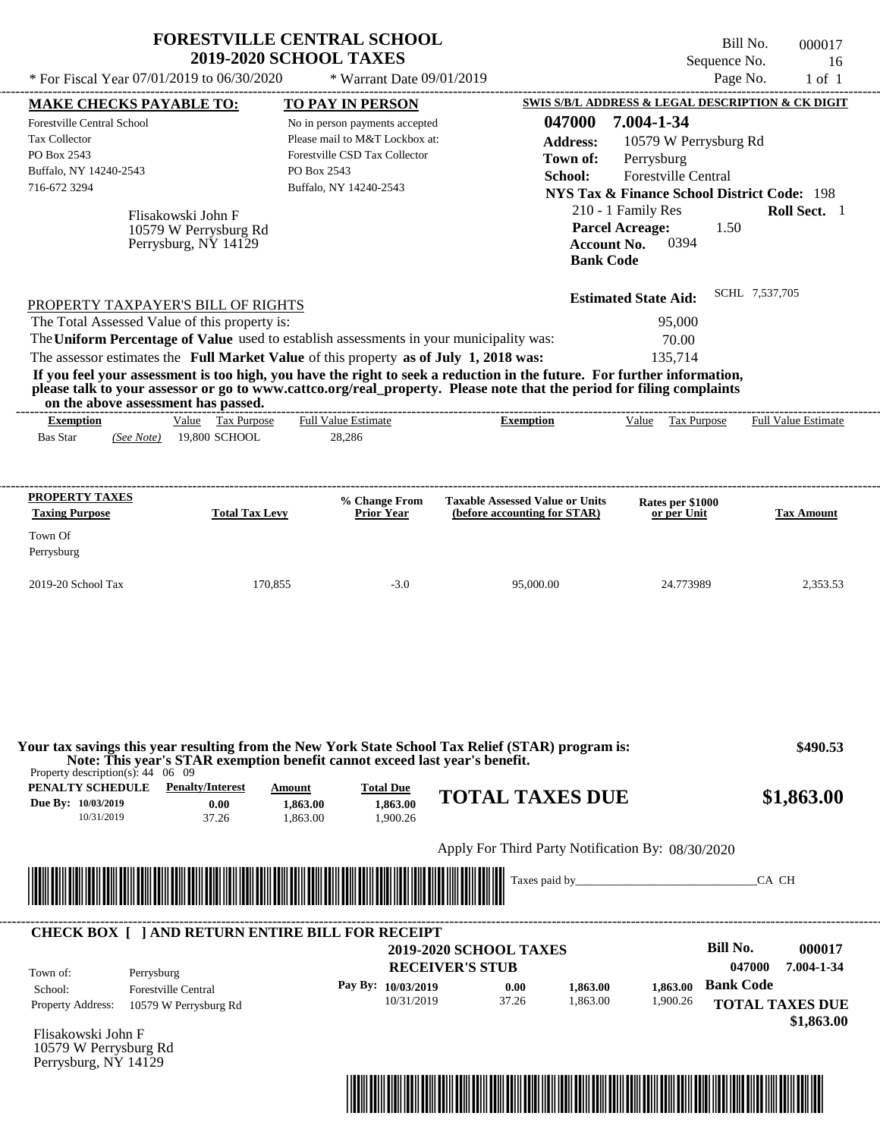|                                                                                                                                                                                                                                     | <b>FORESTVILLE CENTRAL SCHOOL</b><br><b>2019-2020 SCHOOL TAXES</b> |                                                    |                                                                        |                      |                                                        | Bill No.                 | 000017               |
|-------------------------------------------------------------------------------------------------------------------------------------------------------------------------------------------------------------------------------------|--------------------------------------------------------------------|----------------------------------------------------|------------------------------------------------------------------------|----------------------|--------------------------------------------------------|--------------------------|----------------------|
| * For Fiscal Year 07/01/2019 to 06/30/2020                                                                                                                                                                                          |                                                                    | * Warrant Date 09/01/2019                          |                                                                        |                      |                                                        | Sequence No.<br>Page No. | 16<br>$1$ of $1$     |
|                                                                                                                                                                                                                                     |                                                                    |                                                    |                                                                        |                      | SWIS S/B/L ADDRESS & LEGAL DESCRIPTION & CK DIGIT      |                          |                      |
| <b>MAKE CHECKS PAYABLE TO:</b><br>Forestville Central School                                                                                                                                                                        |                                                                    | TO PAY IN PERSON<br>No in person payments accepted |                                                                        | 047000               | 7.004-1-34                                             |                          |                      |
| <b>Tax Collector</b>                                                                                                                                                                                                                |                                                                    | Please mail to M&T Lockbox at:                     |                                                                        | <b>Address:</b>      | 10579 W Perrysburg Rd                                  |                          |                      |
| PO Box 2543                                                                                                                                                                                                                         |                                                                    | Forestville CSD Tax Collector                      |                                                                        | Town of:             | Perrysburg                                             |                          |                      |
| Buffalo, NY 14240-2543                                                                                                                                                                                                              | PO Box 2543                                                        |                                                    |                                                                        | School:              | Forestville Central                                    |                          |                      |
| 716-672 3294                                                                                                                                                                                                                        |                                                                    | Buffalo, NY 14240-2543                             |                                                                        |                      | <b>NYS Tax &amp; Finance School District Code: 198</b> |                          |                      |
| Flisakowski John F                                                                                                                                                                                                                  |                                                                    |                                                    |                                                                        |                      | 210 - 1 Family Res                                     |                          | Roll Sect. 1         |
| 10579 W Perrysburg Rd                                                                                                                                                                                                               |                                                                    |                                                    |                                                                        |                      | <b>Parcel Acreage:</b>                                 | 1.50                     |                      |
| Perrysburg, NY 14129                                                                                                                                                                                                                |                                                                    |                                                    |                                                                        |                      | 0394<br><b>Account No.</b>                             |                          |                      |
|                                                                                                                                                                                                                                     |                                                                    |                                                    |                                                                        | <b>Bank Code</b>     |                                                        |                          |                      |
|                                                                                                                                                                                                                                     |                                                                    |                                                    |                                                                        |                      | <b>Estimated State Aid:</b>                            | SCHL 7,537,705           |                      |
| PROPERTY TAXPAYER'S BILL OF RIGHTS                                                                                                                                                                                                  |                                                                    |                                                    |                                                                        |                      |                                                        |                          |                      |
| The Total Assessed Value of this property is:                                                                                                                                                                                       |                                                                    |                                                    |                                                                        |                      | 95,000                                                 |                          |                      |
| The Uniform Percentage of Value used to establish assessments in your municipality was:                                                                                                                                             |                                                                    |                                                    |                                                                        |                      | 70.00                                                  |                          |                      |
| The assessor estimates the Full Market Value of this property as of July 1, 2018 was:<br>If you feel your assessment is too high, you have the right to seek a reduction in the future. For further information,                    |                                                                    |                                                    |                                                                        |                      | 135,714                                                |                          |                      |
| please talk to your assessor or go to www.cattco.org/real_property. Please note that the period for filing complaints                                                                                                               |                                                                    |                                                    |                                                                        |                      |                                                        |                          |                      |
| on the above assessment has passed.                                                                                                                                                                                                 |                                                                    |                                                    |                                                                        |                      | Value Tax Purpose                                      |                          |                      |
| <b>Exemption</b><br><b>Bas Star</b><br>(See Note)                                                                                                                                                                                   | Value Tax Purpose<br>19,800 SCHOOL                                 | <b>Full Value Estimate</b><br>28,286               | <b>Exemption</b>                                                       |                      |                                                        |                          | Full Value Estimate  |
|                                                                                                                                                                                                                                     |                                                                    |                                                    |                                                                        |                      |                                                        |                          |                      |
| <b>PROPERTY TAXES</b>                                                                                                                                                                                                               |                                                                    |                                                    |                                                                        |                      |                                                        |                          |                      |
| <b>Taxing Purpose</b>                                                                                                                                                                                                               | <b>Total Tax Levy</b>                                              | % Change From<br><b>Prior Year</b>                 | <b>Taxable Assessed Value or Units</b><br>(before accounting for STAR) |                      | Rates per \$1000<br>or per Unit                        |                          | <b>Tax Amount</b>    |
| Town Of                                                                                                                                                                                                                             |                                                                    |                                                    |                                                                        |                      |                                                        |                          |                      |
| Perrysburg                                                                                                                                                                                                                          |                                                                    |                                                    |                                                                        |                      |                                                        |                          |                      |
|                                                                                                                                                                                                                                     |                                                                    |                                                    |                                                                        |                      |                                                        |                          |                      |
| 2019-20 School Tax                                                                                                                                                                                                                  | 170,855                                                            | $-3.0$                                             | 95,000.00                                                              |                      | 24.773989                                              |                          | 2,353.53             |
|                                                                                                                                                                                                                                     |                                                                    |                                                    |                                                                        |                      |                                                        |                          |                      |
|                                                                                                                                                                                                                                     |                                                                    |                                                    |                                                                        |                      |                                                        |                          |                      |
|                                                                                                                                                                                                                                     |                                                                    |                                                    |                                                                        |                      |                                                        |                          |                      |
| Your tax savings this year resulting from the New York State School Tax Relief (STAR) program is:<br>Note: This year's STAR exemption benefit cannot exceed last year's benefit.<br>Property description(s): $44 \quad 06 \quad 09$ |                                                                    |                                                    |                                                                        |                      |                                                        |                          | \$490.53             |
| <b>PENALTY SCHEDULE</b> Penalty/Interest<br>Due By: 10/03/2019<br>10/31/2019                                                                                                                                                        | Amount<br>0.00<br>1,863.00<br>37.26<br>1.863.00                    | <b>Total Due</b><br>1.863.00<br>1,900.26           | <b>TOTAL TAXES DUE</b>                                                 |                      |                                                        |                          | \$1,863.00           |
|                                                                                                                                                                                                                                     |                                                                    |                                                    | Apply For Third Party Notification By: 08/30/2020                      |                      |                                                        |                          |                      |
|                                                                                                                                                                                                                                     |                                                                    |                                                    |                                                                        |                      | Taxes paid by <u>example</u>                           | CA CH                    |                      |
|                                                                                                                                                                                                                                     |                                                                    |                                                    |                                                                        |                      |                                                        |                          |                      |
| <b>CHECK BOX [ ] AND RETURN ENTIRE BILL FOR RECEIPT</b>                                                                                                                                                                             |                                                                    |                                                    |                                                                        |                      |                                                        | <b>Bill No.</b>          |                      |
|                                                                                                                                                                                                                                     |                                                                    |                                                    | <b>2019-2020 SCHOOL TAXES</b><br><b>RECEIVER'S STUB</b>                |                      |                                                        | 047000                   | 000017<br>7.004-1-34 |
| Town of:<br>Perrysburg                                                                                                                                                                                                              |                                                                    |                                                    |                                                                        |                      |                                                        | <b>Bank Code</b>         |                      |
| <b>Forestville Central</b><br>School:                                                                                                                                                                                               |                                                                    | Pay By: 10/03/2019<br>10/31/2019                   | 0.00<br>37.26                                                          | 1,863.00<br>1.863.00 | 1,863.00<br>1,900.26                                   |                          |                      |
| Property Address:<br>10579 W Perrysburg Rd                                                                                                                                                                                          |                                                                    |                                                    |                                                                        |                      |                                                        | <b>TOTAL TAXES DUE</b>   |                      |
|                                                                                                                                                                                                                                     |                                                                    |                                                    |                                                                        |                      |                                                        |                          | \$1,863.00           |

Flisakowski John F 10579 W Perrysburg Rd Perrysburg, NY 14129

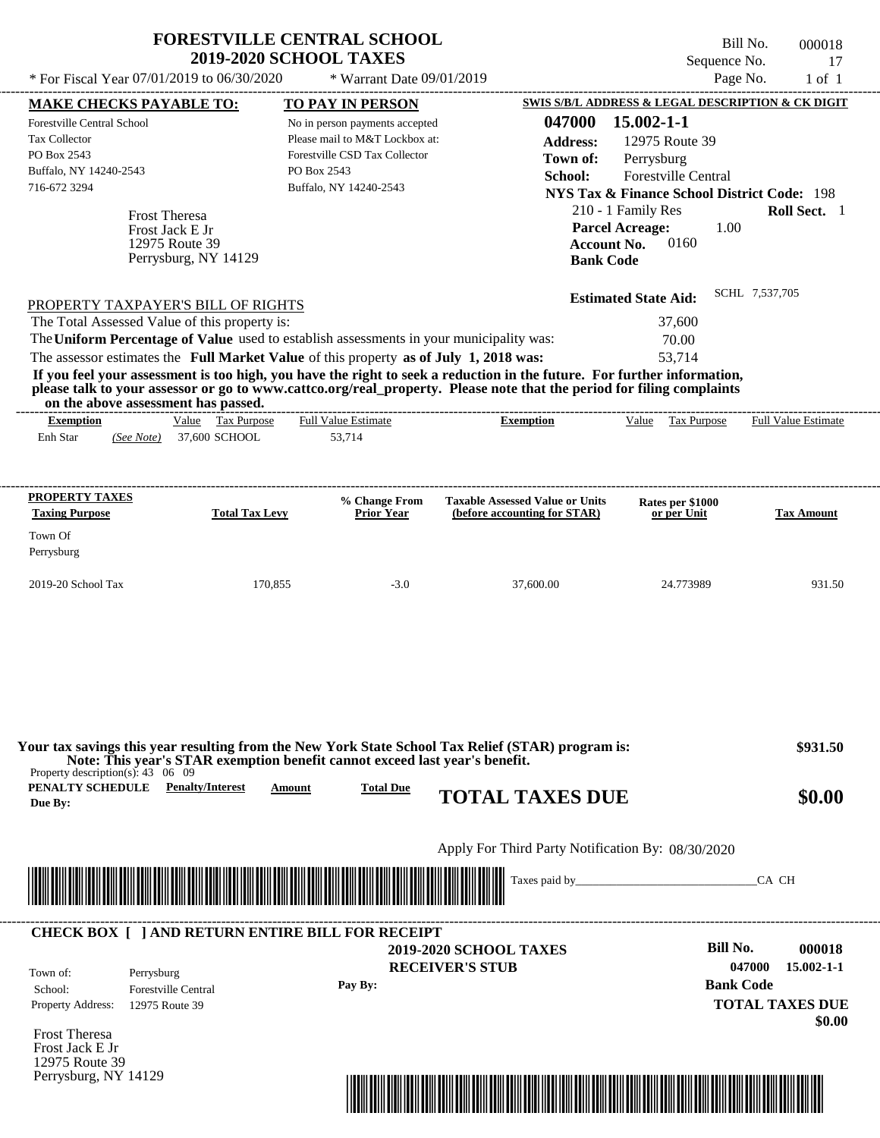|                                                                                                                                                                                                                                                                                                                                                                                                                                                                                                                                                                    | <b>FORESTVILLE CENTRAL SCHOOL</b><br><b>2019-2020 SCHOOL TAXES</b>                                                                         |                                                                        | Sequence No.                                                                                                                                                                                                                   | Bill No.<br>000018<br>17   |
|--------------------------------------------------------------------------------------------------------------------------------------------------------------------------------------------------------------------------------------------------------------------------------------------------------------------------------------------------------------------------------------------------------------------------------------------------------------------------------------------------------------------------------------------------------------------|--------------------------------------------------------------------------------------------------------------------------------------------|------------------------------------------------------------------------|--------------------------------------------------------------------------------------------------------------------------------------------------------------------------------------------------------------------------------|----------------------------|
| * For Fiscal Year 07/01/2019 to 06/30/2020                                                                                                                                                                                                                                                                                                                                                                                                                                                                                                                         | * Warrant Date 09/01/2019                                                                                                                  |                                                                        | Page No.                                                                                                                                                                                                                       | $1$ of $1$                 |
| <b>MAKE CHECKS PAYABLE TO:</b>                                                                                                                                                                                                                                                                                                                                                                                                                                                                                                                                     | <b>TO PAY IN PERSON</b>                                                                                                                    |                                                                        | SWIS S/B/L ADDRESS & LEGAL DESCRIPTION & CK DIGIT                                                                                                                                                                              |                            |
| Forestville Central School<br><b>Tax Collector</b><br>PO Box 2543<br>Buffalo, NY 14240-2543<br>716-672 3294<br><b>Frost Theresa</b><br>Frost Jack E Jr<br>12975 Route 39<br>Perrysburg, NY 14129                                                                                                                                                                                                                                                                                                                                                                   | No in person payments accepted<br>Please mail to M&T Lockbox at:<br>Forestville CSD Tax Collector<br>PO Box 2543<br>Buffalo, NY 14240-2543 | 047000<br><b>Address:</b><br>Town of:<br>School:<br><b>Bank Code</b>   | $15.002 - 1 - 1$<br>12975 Route 39<br>Perrysburg<br><b>Forestville Central</b><br><b>NYS Tax &amp; Finance School District Code: 198</b><br>210 - 1 Family Res<br>1.00<br><b>Parcel Acreage:</b><br>0160<br><b>Account No.</b> | Roll Sect. 1               |
| PROPERTY TAXPAYER'S BILL OF RIGHTS<br>The Total Assessed Value of this property is:<br>The Uniform Percentage of Value used to establish assessments in your municipality was:<br>The assessor estimates the Full Market Value of this property as of July 1, 2018 was:<br>If you feel your assessment is too high, you have the right to seek a reduction in the future. For further information,<br>please talk to your assessor or go to www.cattco.org/real_property. Please note that the period for filing complaints<br>on the above assessment has passed. |                                                                                                                                            |                                                                        | <b>Estimated State Aid:</b><br>37,600<br>70.00<br>53.714                                                                                                                                                                       | SCHL 7,537,705             |
| Value Tax Purpose<br><b>Exemption</b>                                                                                                                                                                                                                                                                                                                                                                                                                                                                                                                              | <b>Full Value Estimate</b>                                                                                                                 | <b>Exemption</b>                                                       | Value Tax Purpose                                                                                                                                                                                                              | <b>Full Value Estimate</b> |
| Enh Star<br>(See Note) 37,600 SCHOOL<br>PROPERTY TAXES<br><b>Taxing Purpose</b><br><b>Total Tax Levy</b>                                                                                                                                                                                                                                                                                                                                                                                                                                                           | 53.714<br>% Change From<br><b>Prior Year</b>                                                                                               | <b>Taxable Assessed Value or Units</b><br>(before accounting for STAR) | Rates per \$1000<br>or per Unit                                                                                                                                                                                                | <b>Tax Amount</b>          |
| Town Of<br>Perrysburg                                                                                                                                                                                                                                                                                                                                                                                                                                                                                                                                              |                                                                                                                                            |                                                                        |                                                                                                                                                                                                                                |                            |
| 2019-20 School Tax<br>170,855                                                                                                                                                                                                                                                                                                                                                                                                                                                                                                                                      | $-3.0$                                                                                                                                     | 37,600.00                                                              | 24.773989                                                                                                                                                                                                                      | 931.50                     |

| Property description(s): $43 \quad 06 \quad 09$ |                                                            |         | Your tax savings this year resulting from the New York State School Tax Relief (STAR) program is:<br>Note: This year's STAR exemption benefit cannot exceed last year's benefit. | \$931.50                                                                           |
|-------------------------------------------------|------------------------------------------------------------|---------|----------------------------------------------------------------------------------------------------------------------------------------------------------------------------------|------------------------------------------------------------------------------------|
| PENALTY SCHEDULE<br>Due By:                     | <b>Penalty/Interest</b>                                    | Amount  | <b>Total Due</b><br><b>TOTAL TAXES DUE</b>                                                                                                                                       | \$0.00                                                                             |
|                                                 |                                                            |         | Apply For Third Party Notification By: 08/30/2020                                                                                                                                |                                                                                    |
|                                                 |                                                            |         | <u> 1989 - Johann Stoff, Amerikaansk politiker († 1958)</u><br>Taxes paid by                                                                                                     | CA CH                                                                              |
|                                                 | <b>CHECK BOX   JAND RETURN ENTIRE BILL FOR RECEIPT</b>     |         |                                                                                                                                                                                  | Bill No.                                                                           |
| Town of:<br>School:<br>Property Address:        | Perrysburg<br><b>Forestville Central</b><br>12975 Route 39 | Pay By: | <b>2019-2020 SCHOOL TAXES</b><br><b>RECEIVER'S STUB</b>                                                                                                                          | 000018<br>047000<br>$15.002 - 1 - 1$<br><b>Bank Code</b><br><b>TOTAL TAXES DUE</b> |
| <b>Frost Theresa</b>                            |                                                            |         |                                                                                                                                                                                  | \$0.00                                                                             |

Frost Theresa Frost Jack E Jr 12975 Route 39 Perrysburg, NY 14129

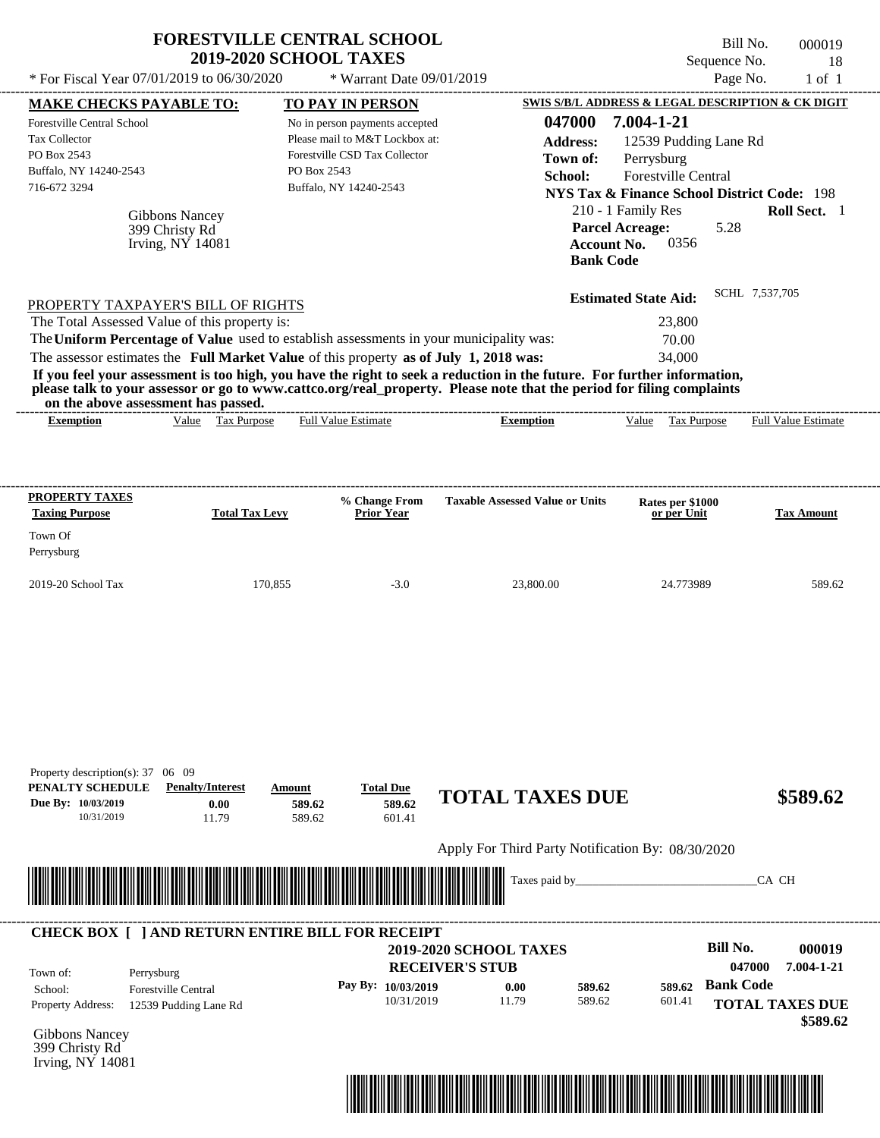| * For Fiscal Year 07/01/2019 to 06/30/2020                                                                                                                                                                                                                                                                                                                                                                                                                                                                                   | <b>FORESTVILLE CENTRAL SCHOOL</b><br><b>2019-2020 SCHOOL TAXES</b> |                            | * Warrant Date 09/01/2019                                                                                                                              |                                                   |                                                                                                            |                                                                    |                                              | Bill No.<br>Sequence No.<br>Page No. |                | 000019<br>18<br>$1$ of $1$  |
|------------------------------------------------------------------------------------------------------------------------------------------------------------------------------------------------------------------------------------------------------------------------------------------------------------------------------------------------------------------------------------------------------------------------------------------------------------------------------------------------------------------------------|--------------------------------------------------------------------|----------------------------|--------------------------------------------------------------------------------------------------------------------------------------------------------|---------------------------------------------------|------------------------------------------------------------------------------------------------------------|--------------------------------------------------------------------|----------------------------------------------|--------------------------------------|----------------|-----------------------------|
| <b>MAKE CHECKS PAYABLE TO:</b>                                                                                                                                                                                                                                                                                                                                                                                                                                                                                               |                                                                    |                            |                                                                                                                                                        |                                                   | SWIS S/B/L ADDRESS & LEGAL DESCRIPTION & CK DIGIT                                                          |                                                                    |                                              |                                      |                |                             |
| Forestville Central School<br><b>Tax Collector</b><br>PO Box 2543<br>Buffalo, NY 14240-2543<br>716-672 3294                                                                                                                                                                                                                                                                                                                                                                                                                  |                                                                    | PO Box 2543                | <b>TO PAY IN PERSON</b><br>No in person payments accepted<br>Please mail to M&T Lockbox at:<br>Forestville CSD Tax Collector<br>Buffalo, NY 14240-2543 |                                                   | 047000<br><b>Address:</b><br>Town of:<br>School:<br><b>NYS Tax &amp; Finance School District Code: 198</b> | 7.004-1-21<br>Perrysburg                                           | 12539 Pudding Lane Rd<br>Forestville Central |                                      |                |                             |
|                                                                                                                                                                                                                                                                                                                                                                                                                                                                                                                              | <b>Gibbons Nancey</b><br>399 Christy Rd<br>Irving, $NY$ 14081      |                            |                                                                                                                                                        |                                                   | <b>Bank Code</b>                                                                                           | 210 - 1 Family Res<br><b>Parcel Acreage:</b><br><b>Account No.</b> | 0356                                         | 5.28                                 |                | Roll Sect. 1                |
| PROPERTY TAXPAYER'S BILL OF RIGHTS                                                                                                                                                                                                                                                                                                                                                                                                                                                                                           |                                                                    |                            |                                                                                                                                                        |                                                   |                                                                                                            | <b>Estimated State Aid:</b>                                        |                                              |                                      | SCHL 7,537,705 |                             |
| The Total Assessed Value of this property is:<br>The Uniform Percentage of Value used to establish assessments in your municipality was:<br>The assessor estimates the Full Market Value of this property as of July 1, 2018 was:<br>If you feel your assessment is too high, you have the right to seek a reduction in the future. For further information,<br>please talk to your assessor or go to www.cattco.org/real_property. Please note that the period for filing complaints<br>on the above assessment has passed. |                                                                    |                            |                                                                                                                                                        |                                                   |                                                                                                            |                                                                    | 23,800<br>70.00<br>34,000                    |                                      |                |                             |
| <b>Exemption</b>                                                                                                                                                                                                                                                                                                                                                                                                                                                                                                             | Value Tax Purpose                                                  |                            | <b>Full Value Estimate</b>                                                                                                                             | <b>Exemption</b>                                  |                                                                                                            | Value                                                              | Tax Purpose                                  |                                      |                | <b>Full Value Estimate</b>  |
| <b>Taxing Purpose</b><br>Town Of<br>Perrysburg<br>2019-20 School Tax                                                                                                                                                                                                                                                                                                                                                                                                                                                         | <b>Total Tax Levy</b>                                              | 170,855                    | <b>Prior Year</b><br>$-3.0$                                                                                                                            | 23,800.00                                         |                                                                                                            |                                                                    | or per Unit<br>24.773989                     |                                      |                | <b>Tax Amount</b><br>589.62 |
| Property description(s): 37 06 09<br>PENALTY SCHEDULE<br>Due By: 10/03/2019<br>10/31/2019                                                                                                                                                                                                                                                                                                                                                                                                                                    | <b>Penalty/Interest</b><br>0.00<br>11.79                           | Amount<br>589.62<br>589.62 | <b>Total Due</b><br>589.62<br>601.41                                                                                                                   | <b>TOTAL TAXES DUE</b>                            |                                                                                                            |                                                                    |                                              |                                      |                | \$589.62                    |
|                                                                                                                                                                                                                                                                                                                                                                                                                                                                                                                              |                                                                    |                            |                                                                                                                                                        | Apply For Third Party Notification By: 08/30/2020 |                                                                                                            |                                                                    |                                              |                                      |                |                             |
|                                                                                                                                                                                                                                                                                                                                                                                                                                                                                                                              |                                                                    |                            |                                                                                                                                                        |                                                   | Taxes paid by_                                                                                             |                                                                    |                                              |                                      | CA CH          |                             |
| <b>CHECK BOX [ ] AND RETURN ENTIRE BILL FOR RECEIPT</b>                                                                                                                                                                                                                                                                                                                                                                                                                                                                      |                                                                    |                            |                                                                                                                                                        | 2019-2020 SCHOOL TAXES                            |                                                                                                            |                                                                    |                                              | <b>Bill No.</b>                      |                | 000019                      |

|                          |                                          |         | <b>RECEIVER'S STUB</b> | <b>2019-2020 SCHOOL TAXES</b> |        |        | BIII NO.<br>047000 | 000019<br>7.004-1-21               |
|--------------------------|------------------------------------------|---------|------------------------|-------------------------------|--------|--------|--------------------|------------------------------------|
| Town of:<br>School:      | Perrysburg<br><b>Forestville Central</b> | Pay By: | 10/03/2019             | 0.00                          | 589.62 | 589.62 | <b>Bank Code</b>   |                                    |
| <b>Property Address:</b> | 12539 Pudding Lane Rd                    |         | 10/31/2019             | 11.79                         | 589.62 | 601.41 |                    | <b>TOTAL TAXES DUE</b><br>\$589.62 |

Gibbons Nancey 399 Christy Rd Irving, NY 14081

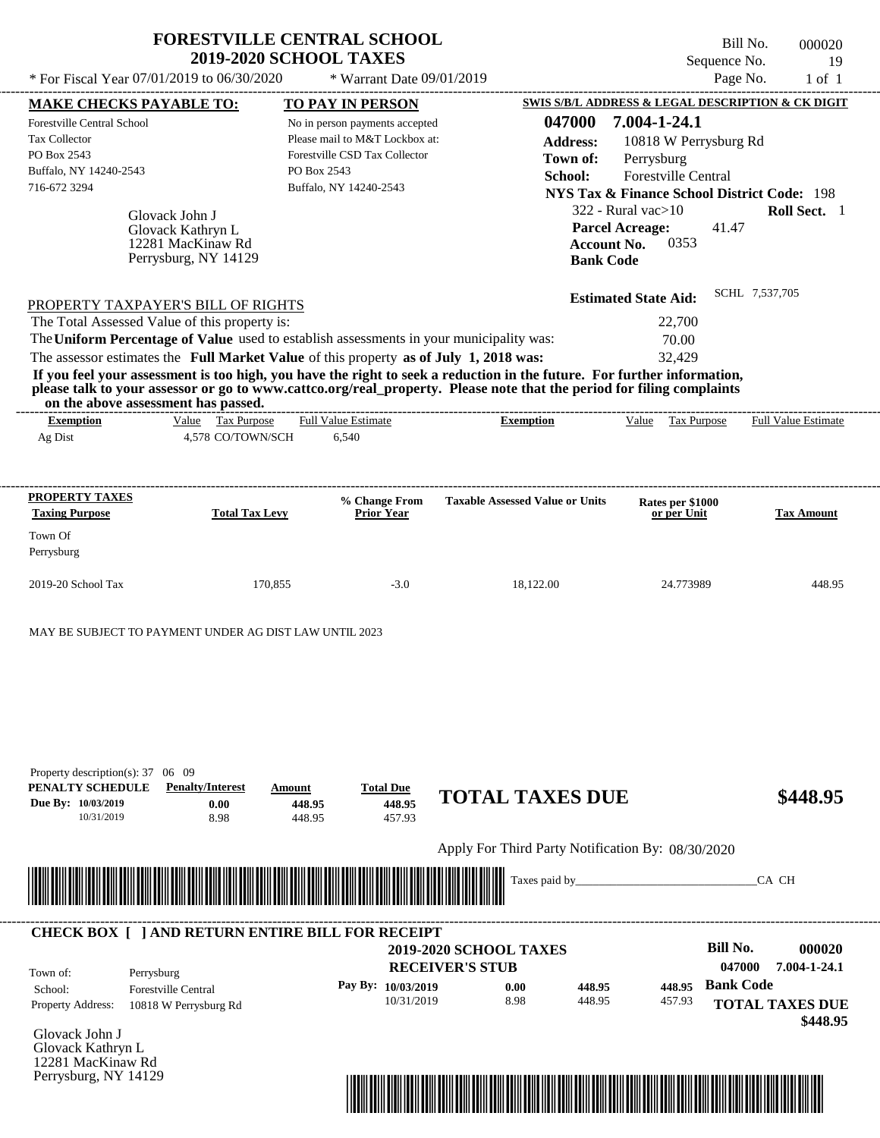|                                                                                                             |                                                                                     | <b>FORESTVILLE CENTRAL SCHOOL</b><br><b>2019-2020 SCHOOL TAXES</b>                                                                                                               |                                                                                                                                                                                                                                                  | Sequence No.                                                                                                                                                                                                                     | Bill No.<br>000020<br>19   |
|-------------------------------------------------------------------------------------------------------------|-------------------------------------------------------------------------------------|----------------------------------------------------------------------------------------------------------------------------------------------------------------------------------|--------------------------------------------------------------------------------------------------------------------------------------------------------------------------------------------------------------------------------------------------|----------------------------------------------------------------------------------------------------------------------------------------------------------------------------------------------------------------------------------|----------------------------|
|                                                                                                             | * For Fiscal Year 07/01/2019 to 06/30/2020                                          | * Warrant Date 09/01/2019                                                                                                                                                        |                                                                                                                                                                                                                                                  | Page No.                                                                                                                                                                                                                         | $1$ of $1$                 |
| <b>MAKE CHECKS PAYABLE TO:</b>                                                                              |                                                                                     | TO PAY IN PERSON                                                                                                                                                                 |                                                                                                                                                                                                                                                  | SWIS S/B/L ADDRESS & LEGAL DESCRIPTION & CK DIGIT                                                                                                                                                                                |                            |
| <b>Forestville Central School</b><br>Tax Collector<br>PO Box 2543<br>Buffalo, NY 14240-2543<br>716-672 3294 | Glovack John J<br>Glovack Kathryn L<br>12281 MacKinaw Rd<br>Perrysburg, NY 14129    | No in person payments accepted<br>Please mail to M&T Lockbox at:<br>Forestville CSD Tax Collector<br>PO Box 2543<br>Buffalo, NY 14240-2543                                       | 047000<br><b>Address:</b><br>Town of:<br>School:<br><b>Bank Code</b>                                                                                                                                                                             | 7.004-1-24.1<br>10818 W Perrysburg Rd<br>Perrysburg<br>Forestville Central<br><b>NYS Tax &amp; Finance School District Code: 198</b><br>$322$ - Rural vac $>10$<br><b>Parcel Acreage:</b><br>41.47<br><b>Account No.</b><br>0353 | Roll Sect. 1               |
|                                                                                                             | PROPERTY TAXPAYER'S BILL OF RIGHTS<br>The Total Assessed Value of this property is: | The Uniform Percentage of Value used to establish assessments in your municipality was:<br>The assessor estimates the Full Market Value of this property as of July 1, 2018 was: | If you feel your assessment is too high, you have the right to seek a reduction in the future. For further information,<br>please talk to your assessor or go to www.cattco.org/real_property. Please note that the period for filing complaints | <b>Estimated State Aid:</b><br>22,700<br>70.00<br>32.429                                                                                                                                                                         | SCHL 7,537,705             |
| on the above assessment has passed.<br><b>Exemption</b><br>Ag Dist                                          | Value Tax Purpose<br>4,578 CO/TOWN/SCH                                              | <b>Full Value Estimate</b><br>6,540                                                                                                                                              | <b>Exemption</b>                                                                                                                                                                                                                                 | Value Tax Purpose                                                                                                                                                                                                                | <b>Full Value Estimate</b> |
| PROPERTY TAXES<br><b>Taxing Purpose</b><br>Town Of<br>Perrysburg                                            | <b>Total Tax Levy</b>                                                               | % Change From<br><b>Prior Year</b>                                                                                                                                               | <b>Taxable Assessed Value or Units</b>                                                                                                                                                                                                           | Rates per \$1000<br>or per Unit                                                                                                                                                                                                  | <b>Tax Amount</b>          |
| 2019-20 School Tax                                                                                          | 170,855                                                                             | $-3.0$                                                                                                                                                                           | 18,122.00                                                                                                                                                                                                                                        | 24.773989                                                                                                                                                                                                                        | 448.95                     |
|                                                                                                             |                                                                                     |                                                                                                                                                                                  |                                                                                                                                                                                                                                                  |                                                                                                                                                                                                                                  |                            |
| Property description(s): 37 06 09                                                                           | MAY BE SUBJECT TO PAYMENT UNDER AG DIST LAW UNTIL 2023                              |                                                                                                                                                                                  |                                                                                                                                                                                                                                                  |                                                                                                                                                                                                                                  |                            |

|  | Apply For Third Party Notification By: 08/30/2020 |  |
|--|---------------------------------------------------|--|



448.95

#### **RECEIVER'S STUB Bill No. 000020 Bank Code 448.95** Property Address: 10818 W Perrysburg Rd Perrysburg School: Forestville Central **TOTAL TAXES DUE \$448.95 2019-2020 SCHOOL TAXES 047000 7.004-1-24.1 Pay By: 10/03/2019** 10/31/2019 8.98 **0.00** 448.95 **448.95** 457.93 Town of: ---------------------------------------------------------------------------------------------------------------------------------------------------------------------------------------------------- **CHECK BOX [ ] AND RETURN ENTIRE BILL FOR RECEIPT**

457.93

Glovack John J Glovack Kathryn L 12281 MacKinaw Rd Perrysburg, NY 14129

10/31/2019 8.98

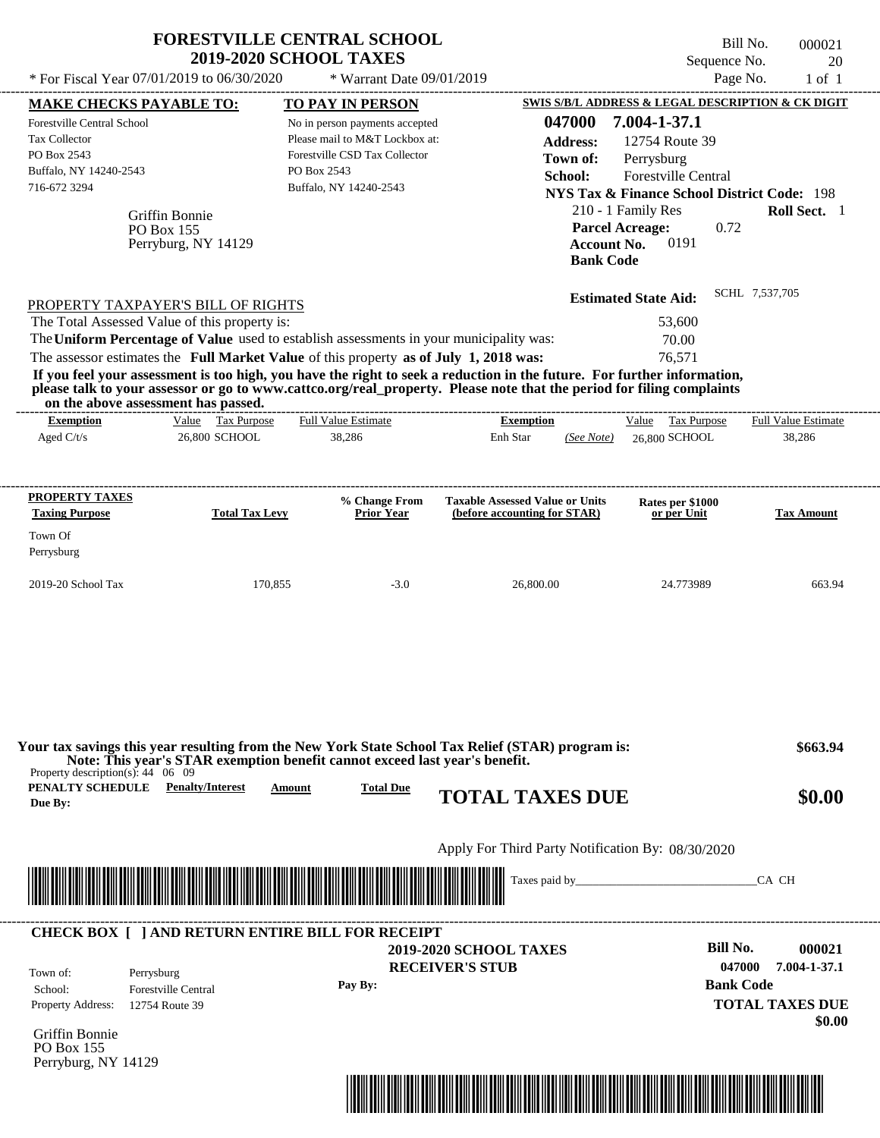|                                                     |                            | <b>FORESTVILLE CENTRAL SCHOOL</b><br><b>2019-2020 SCHOOL TAXES</b>                      |                                                                                                                                                                                                                                                  | Sequence No.                                           | Bill No.<br>000021<br>20   |
|-----------------------------------------------------|----------------------------|-----------------------------------------------------------------------------------------|--------------------------------------------------------------------------------------------------------------------------------------------------------------------------------------------------------------------------------------------------|--------------------------------------------------------|----------------------------|
| * For Fiscal Year 07/01/2019 to 06/30/2020          |                            | * Warrant Date 09/01/2019                                                               |                                                                                                                                                                                                                                                  | Page No.                                               | $1$ of $1$                 |
| <b>MAKE CHECKS PAYABLE TO:</b>                      |                            | TO PAY IN PERSON                                                                        |                                                                                                                                                                                                                                                  | SWIS S/B/L ADDRESS & LEGAL DESCRIPTION & CK DIGIT      |                            |
| Forestville Central School                          |                            | No in person payments accepted                                                          | 047000                                                                                                                                                                                                                                           | 7.004-1-37.1                                           |                            |
| <b>Tax Collector</b>                                |                            | Please mail to M&T Lockbox at:                                                          | <b>Address:</b>                                                                                                                                                                                                                                  | 12754 Route 39                                         |                            |
| PO Box 2543                                         |                            | Forestville CSD Tax Collector                                                           | Town of:                                                                                                                                                                                                                                         | Perrysburg                                             |                            |
| Buffalo, NY 14240-2543                              |                            | PO Box 2543                                                                             | School:                                                                                                                                                                                                                                          | Forestville Central                                    |                            |
| 716-672 3294                                        |                            | Buffalo, NY 14240-2543                                                                  |                                                                                                                                                                                                                                                  | <b>NYS Tax &amp; Finance School District Code: 198</b> |                            |
|                                                     | Griffin Bonnie             |                                                                                         |                                                                                                                                                                                                                                                  | 210 - 1 Family Res                                     | Roll Sect. 1               |
|                                                     | PO Box 155                 |                                                                                         |                                                                                                                                                                                                                                                  | <b>Parcel Acreage:</b><br>0.72                         |                            |
|                                                     | Perryburg, NY 14129        |                                                                                         | <b>Account No.</b><br><b>Bank Code</b>                                                                                                                                                                                                           | 0191                                                   |                            |
|                                                     |                            |                                                                                         |                                                                                                                                                                                                                                                  | <b>Estimated State Aid:</b>                            | SCHL 7,537,705             |
| PROPERTY TAXPAYER'S BILL OF RIGHTS                  |                            |                                                                                         |                                                                                                                                                                                                                                                  |                                                        |                            |
| The Total Assessed Value of this property is:       |                            |                                                                                         |                                                                                                                                                                                                                                                  | 53,600                                                 |                            |
|                                                     |                            | The Uniform Percentage of Value used to establish assessments in your municipality was: |                                                                                                                                                                                                                                                  | 70.00                                                  |                            |
|                                                     |                            | The assessor estimates the Full Market Value of this property as of July 1, 2018 was:   |                                                                                                                                                                                                                                                  | 76,571                                                 |                            |
|                                                     |                            |                                                                                         | If you feel your assessment is too high, you have the right to seek a reduction in the future. For further information,<br>please talk to your assessor or go to www.cattco.org/real_property. Please note that the period for filing complaints |                                                        |                            |
| on the above assessment has passed.                 |                            |                                                                                         |                                                                                                                                                                                                                                                  |                                                        |                            |
| <b>Exemption</b>                                    | Value Tax Purpose          | <b>Full Value Estimate</b>                                                              | <b>Exemption</b>                                                                                                                                                                                                                                 | Value Tax Purpose                                      | <b>Full Value Estimate</b> |
| Aged $C/t/s$                                        | 26,800 SCHOOL              | 38,286                                                                                  | Enh Star<br>(See Note)                                                                                                                                                                                                                           | 26,800 SCHOOL                                          | 38,286                     |
|                                                     |                            |                                                                                         |                                                                                                                                                                                                                                                  |                                                        |                            |
| <b>PROPERTY TAXES</b>                               |                            | % Change From                                                                           | <b>Taxable Assessed Value or Units</b>                                                                                                                                                                                                           | Rates per \$1000                                       |                            |
| <b>Taxing Purpose</b>                               | <b>Total Tax Levy</b>      | <b>Prior Year</b>                                                                       | (before accounting for STAR)                                                                                                                                                                                                                     | or per Unit                                            | <b>Tax Amount</b>          |
| Town Of                                             |                            |                                                                                         |                                                                                                                                                                                                                                                  |                                                        |                            |
| Perrysburg                                          |                            |                                                                                         |                                                                                                                                                                                                                                                  |                                                        |                            |
|                                                     |                            |                                                                                         |                                                                                                                                                                                                                                                  |                                                        |                            |
| 2019-20 School Tax                                  | 170,855                    | $-3.0$                                                                                  | 26,800.00                                                                                                                                                                                                                                        | 24.773989                                              | 663.94                     |
|                                                     |                            |                                                                                         |                                                                                                                                                                                                                                                  |                                                        |                            |
|                                                     |                            |                                                                                         |                                                                                                                                                                                                                                                  |                                                        |                            |
| Property description(s): $44 \quad 06 \quad 09$     |                            | Note: This year's STAR exemption benefit cannot exceed last year's benefit.             | Your tax savings this year resulting from the New York State School Tax Relief (STAR) program is:                                                                                                                                                |                                                        | \$663.94                   |
| <b>PENALTY SCHEDULE</b> Penalty/Interest<br>Due By: |                            | <b>Total Due</b><br>Amount                                                              | <b>TOTAL TAXES DUE</b>                                                                                                                                                                                                                           |                                                        | \$0.00                     |
|                                                     |                            |                                                                                         | Apply For Third Party Notification By: 08/30/2020                                                                                                                                                                                                |                                                        |                            |
|                                                     |                            |                                                                                         |                                                                                                                                                                                                                                                  |                                                        |                            |
|                                                     |                            |                                                                                         |                                                                                                                                                                                                                                                  |                                                        | CA CH                      |
|                                                     |                            | <b>CHECK BOX [ ] AND RETURN ENTIRE BILL FOR RECEIPT</b>                                 |                                                                                                                                                                                                                                                  |                                                        |                            |
|                                                     |                            |                                                                                         | <b>2019-2020 SCHOOL TAXES</b>                                                                                                                                                                                                                    | <b>Bill No.</b>                                        | 000021                     |
|                                                     |                            |                                                                                         | <b>RECEIVER'S STUB</b>                                                                                                                                                                                                                           | 047000                                                 | 7.004-1-37.1               |
| Town of:<br>Perrysburg                              |                            | Pay By:                                                                                 |                                                                                                                                                                                                                                                  | <b>Bank Code</b>                                       |                            |
| School:                                             | <b>Forestville Central</b> |                                                                                         |                                                                                                                                                                                                                                                  |                                                        |                            |
| Property Address:                                   | 12754 Route 39             |                                                                                         |                                                                                                                                                                                                                                                  |                                                        | <b>TOTAL TAXES DUE</b>     |
| Griffin Bonnie                                      |                            |                                                                                         |                                                                                                                                                                                                                                                  |                                                        | \$0.00                     |
|                                                     |                            |                                                                                         |                                                                                                                                                                                                                                                  |                                                        |                            |

PO Box 155 Perryburg, NY 14129

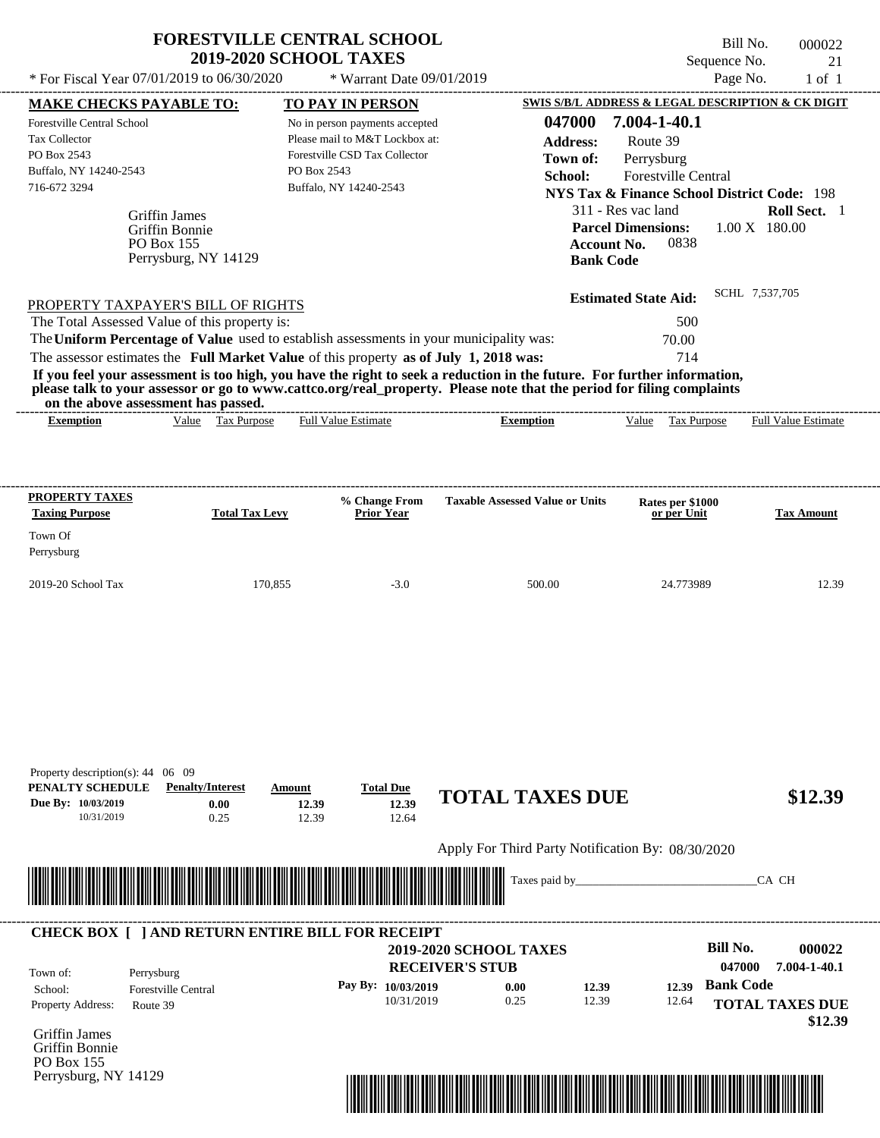|                                                         |                                               | <b>FORESTVILLE CENTRAL SCHOOL</b><br><b>2019-2020 SCHOOL TAXES</b>                                                                                                               |                                                                                                                                                                                                                                                  |                                                        | Bill No.<br>Sequence No. | 000022<br>21               |
|---------------------------------------------------------|-----------------------------------------------|----------------------------------------------------------------------------------------------------------------------------------------------------------------------------------|--------------------------------------------------------------------------------------------------------------------------------------------------------------------------------------------------------------------------------------------------|--------------------------------------------------------|--------------------------|----------------------------|
| * For Fiscal Year 07/01/2019 to 06/30/2020              |                                               | * Warrant Date 09/01/2019                                                                                                                                                        |                                                                                                                                                                                                                                                  |                                                        | Page No.                 | $1$ of $1$                 |
| <b>MAKE CHECKS PAYABLE TO:</b>                          |                                               | <b>TO PAY IN PERSON</b>                                                                                                                                                          |                                                                                                                                                                                                                                                  | SWIS S/B/L ADDRESS & LEGAL DESCRIPTION & CK DIGIT      |                          |                            |
| <b>Forestville Central School</b>                       |                                               | No in person payments accepted                                                                                                                                                   | 047000                                                                                                                                                                                                                                           | 7.004-1-40.1                                           |                          |                            |
| <b>Tax Collector</b>                                    |                                               | Please mail to M&T Lockbox at:                                                                                                                                                   | <b>Address:</b>                                                                                                                                                                                                                                  | Route 39                                               |                          |                            |
| PO Box 2543                                             |                                               | Forestville CSD Tax Collector                                                                                                                                                    | Town of:                                                                                                                                                                                                                                         | Perrysburg                                             |                          |                            |
| Buffalo, NY 14240-2543                                  |                                               | PO Box 2543                                                                                                                                                                      | School:                                                                                                                                                                                                                                          | <b>Forestville Central</b>                             |                          |                            |
| 716-672 3294                                            |                                               | Buffalo, NY 14240-2543                                                                                                                                                           |                                                                                                                                                                                                                                                  | <b>NYS Tax &amp; Finance School District Code: 198</b> |                          |                            |
|                                                         |                                               |                                                                                                                                                                                  |                                                                                                                                                                                                                                                  | 311 - Res vac land                                     |                          | Roll Sect. 1               |
|                                                         | Griffin James                                 |                                                                                                                                                                                  |                                                                                                                                                                                                                                                  | <b>Parcel Dimensions:</b>                              | $1.00 \text{ X}$ 180.00  |                            |
|                                                         | Griffin Bonnie<br>PO Box 155                  |                                                                                                                                                                                  | <b>Account No.</b>                                                                                                                                                                                                                               | 0838                                                   |                          |                            |
|                                                         | Perrysburg, NY 14129                          |                                                                                                                                                                                  | <b>Bank Code</b>                                                                                                                                                                                                                                 |                                                        |                          |                            |
|                                                         |                                               |                                                                                                                                                                                  |                                                                                                                                                                                                                                                  |                                                        |                          |                            |
|                                                         | PROPERTY TAXPAYER'S BILL OF RIGHTS            |                                                                                                                                                                                  |                                                                                                                                                                                                                                                  | <b>Estimated State Aid:</b>                            | SCHL 7,537,705           |                            |
|                                                         | The Total Assessed Value of this property is: |                                                                                                                                                                                  |                                                                                                                                                                                                                                                  | 500                                                    |                          |                            |
|                                                         |                                               |                                                                                                                                                                                  |                                                                                                                                                                                                                                                  |                                                        |                          |                            |
|                                                         |                                               |                                                                                                                                                                                  |                                                                                                                                                                                                                                                  |                                                        |                          |                            |
|                                                         |                                               | The Uniform Percentage of Value used to establish assessments in your municipality was:<br>The assessor estimates the Full Market Value of this property as of July 1, 2018 was: | If you feel your assessment is too high, you have the right to seek a reduction in the future. For further information,<br>please talk to your assessor or go to www.cattco.org/real_property. Please note that the period for filing complaints | 70.00<br>714                                           |                          |                            |
| on the above assessment has passed.<br><b>Exemption</b> | Value Tax Purpose                             | <b>Full Value Estimate</b>                                                                                                                                                       | <b>Exemption</b>                                                                                                                                                                                                                                 | Tax Purpose<br>Value                                   |                          | <b>Full Value Estimate</b> |
| PROPERTY TAXES                                          |                                               | % Change From                                                                                                                                                                    | <b>Taxable Assessed Value or Units</b>                                                                                                                                                                                                           | Rates per \$1000                                       |                          |                            |
| <b>Taxing Purpose</b>                                   | <b>Total Tax Levy</b>                         | <b>Prior Year</b>                                                                                                                                                                |                                                                                                                                                                                                                                                  | or per Unit                                            |                          |                            |
| Town Of                                                 |                                               |                                                                                                                                                                                  |                                                                                                                                                                                                                                                  |                                                        |                          |                            |
| Perrysburg                                              |                                               |                                                                                                                                                                                  |                                                                                                                                                                                                                                                  |                                                        |                          |                            |
| 2019-20 School Tax                                      | 170,855                                       | $-3.0$                                                                                                                                                                           | 500.00                                                                                                                                                                                                                                           | 24.773989                                              |                          | <b>Tax Amount</b>          |
|                                                         |                                               |                                                                                                                                                                                  |                                                                                                                                                                                                                                                  |                                                        |                          |                            |
|                                                         |                                               |                                                                                                                                                                                  |                                                                                                                                                                                                                                                  |                                                        |                          |                            |
|                                                         |                                               |                                                                                                                                                                                  |                                                                                                                                                                                                                                                  |                                                        |                          | 12.39                      |
|                                                         |                                               |                                                                                                                                                                                  |                                                                                                                                                                                                                                                  |                                                        |                          |                            |
|                                                         |                                               |                                                                                                                                                                                  |                                                                                                                                                                                                                                                  |                                                        |                          |                            |

| PENALTY SCHEDULE<br>Due By: 10/03/2019<br>10/31/2019 | <b>Penalty/Interest</b><br>0.00<br>0.25                 | Amount<br>12.39<br>12.39                                                                                             | <b>Total Due</b><br>12.39<br>12.64 | <b>TOTAL TAXES DUE</b>                            |       | \$12.39                                      |
|------------------------------------------------------|---------------------------------------------------------|----------------------------------------------------------------------------------------------------------------------|------------------------------------|---------------------------------------------------|-------|----------------------------------------------|
|                                                      |                                                         |                                                                                                                      |                                    | Apply For Third Party Notification By: 08/30/2020 |       |                                              |
|                                                      |                                                         | <u> 1989 - Johann Maria Maria Maria Maria Maria Maria Maria Maria Maria Maria Maria Maria Maria Maria Maria Mari</u> |                                    | Taxes paid by                                     |       | CA CH                                        |
|                                                      |                                                         |                                                                                                                      |                                    |                                                   |       |                                              |
|                                                      |                                                         |                                                                                                                      |                                    |                                                   |       |                                              |
|                                                      | <b>CHECK BOX [ ] AND RETURN ENTIRE BILL FOR RECEIPT</b> |                                                                                                                      | <b>RECEIVER'S STUB</b>             | <b>2019-2020 SCHOOL TAXES</b>                     |       | Bill No.<br>000022<br>047000<br>7.004-1-40.1 |
| Town of:<br>School:                                  | Perrysburg<br><b>Forestville Central</b>                |                                                                                                                      | Pay By: 10/03/2019                 | 0.00<br>12.39                                     | 12.39 | <b>Bank Code</b>                             |

Griffin James Griffin Bonnie PO Box 155 Perrysburg, NY 14129

Property description(s): 44 06 09

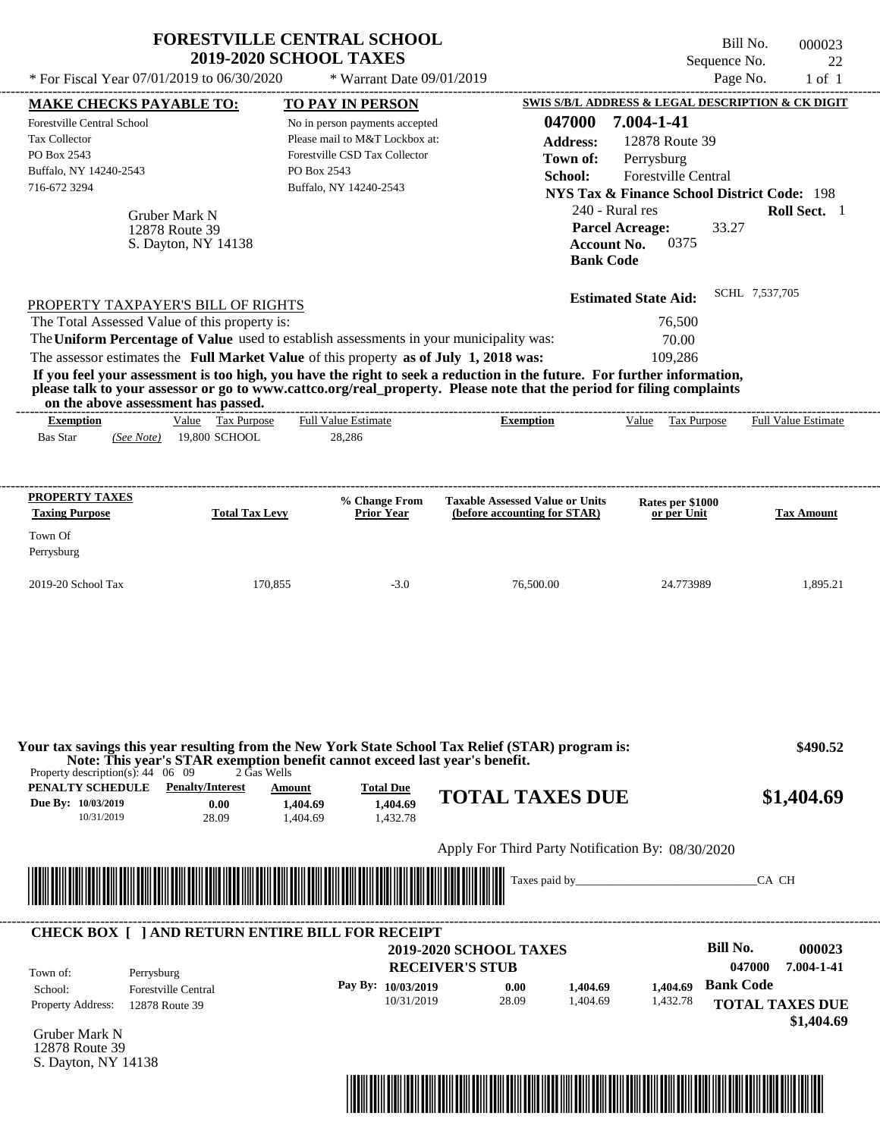|                                                                                                                                                                                                                                                                                                                                                                     | <b>2019-2020 SCHOOL TAXES</b>                                                             | <b>FORESTVILLE CENTRAL SCHOOL</b>                                                                                                                                     |                                                                                                                                                                                                                                                                      | Bill No.<br>Sequence No.                                                                                                                                                                          | 000023<br>22                                 |
|---------------------------------------------------------------------------------------------------------------------------------------------------------------------------------------------------------------------------------------------------------------------------------------------------------------------------------------------------------------------|-------------------------------------------------------------------------------------------|-----------------------------------------------------------------------------------------------------------------------------------------------------------------------|----------------------------------------------------------------------------------------------------------------------------------------------------------------------------------------------------------------------------------------------------------------------|---------------------------------------------------------------------------------------------------------------------------------------------------------------------------------------------------|----------------------------------------------|
| * For Fiscal Year 07/01/2019 to 06/30/2020                                                                                                                                                                                                                                                                                                                          |                                                                                           | * Warrant Date 09/01/2019                                                                                                                                             |                                                                                                                                                                                                                                                                      | Page No.                                                                                                                                                                                          | $1$ of $1$                                   |
| <b>MAKE CHECKS PAYABLE TO:</b><br><b>Forestville Central School</b><br>Tax Collector<br>PO Box 2543<br>Buffalo, NY 14240-2543<br>716-672 3294<br>Gruber Mark N<br>12878 Route 39                                                                                                                                                                                    | S. Dayton, NY 14138                                                                       | <b>TO PAY IN PERSON</b><br>No in person payments accepted<br>Please mail to M&T Lockbox at:<br>Forestville CSD Tax Collector<br>PO Box 2543<br>Buffalo, NY 14240-2543 | 047000<br><b>Address:</b><br>Town of:<br>School:<br>240 - Rural res<br><b>Parcel Acreage:</b><br><b>Account No.</b><br><b>Bank Code</b>                                                                                                                              | SWIS S/B/L ADDRESS & LEGAL DESCRIPTION & CK DIGIT<br>7.004-1-41<br>12878 Route 39<br>Perrysburg<br>Forestville Central<br><b>NYS Tax &amp; Finance School District Code: 198</b><br>33.27<br>0375 | Roll Sect. 1                                 |
| PROPERTY TAXPAYER'S BILL OF RIGHTS<br>The Total Assessed Value of this property is:<br>The Uniform Percentage of Value used to establish assessments in your municipality was:<br>The assessor estimates the Full Market Value of this property as of July 1, 2018 was:<br>on the above assessment has passed.<br><b>Exemption</b><br><b>Bas Star</b><br>(See Note) | Value Tax Purpose<br>19,800 SCHOOL                                                        | -----------------------------<br><b>Full Value Estimate</b><br>28,286                                                                                                 | If you feel your assessment is too high, you have the right to seek a reduction in the future. For further information,<br>please talk to your assessor or go to www.cattco.org/real_property. Please note that the period for filing complaints<br><b>Exemption</b> | <b>Estimated State Aid:</b><br>76,500<br>70.00<br>109,286<br>Value Tax Purpose                                                                                                                    | SCHL 7,537,705<br><b>Full Value Estimate</b> |
|                                                                                                                                                                                                                                                                                                                                                                     |                                                                                           |                                                                                                                                                                       |                                                                                                                                                                                                                                                                      |                                                                                                                                                                                                   |                                              |
| <b>PROPERTY TAXES</b>                                                                                                                                                                                                                                                                                                                                               |                                                                                           |                                                                                                                                                                       |                                                                                                                                                                                                                                                                      |                                                                                                                                                                                                   |                                              |
| <b>Taxing Purpose</b>                                                                                                                                                                                                                                                                                                                                               | <b>Total Tax Levy</b>                                                                     | % Change From<br><b>Prior Year</b>                                                                                                                                    | <b>Taxable Assessed Value or Units</b><br>(before accounting for STAR)                                                                                                                                                                                               | Rates per \$1000<br>or per Unit                                                                                                                                                                   | <b>Tax Amount</b>                            |
| Town Of<br>Perrysburg                                                                                                                                                                                                                                                                                                                                               |                                                                                           |                                                                                                                                                                       |                                                                                                                                                                                                                                                                      |                                                                                                                                                                                                   |                                              |
| 2019-20 School Tax                                                                                                                                                                                                                                                                                                                                                  | 170,855                                                                                   | $-3.0$                                                                                                                                                                | 76,500.00                                                                                                                                                                                                                                                            | 24.773989                                                                                                                                                                                         | 1,895.21                                     |
|                                                                                                                                                                                                                                                                                                                                                                     |                                                                                           |                                                                                                                                                                       |                                                                                                                                                                                                                                                                      |                                                                                                                                                                                                   |                                              |
| Property description(s): $44 \quad 06 \quad 09$<br>PENALTY SCHEDULE<br>Due By: 10/03/2019<br>10/31/2019                                                                                                                                                                                                                                                             | 2 Gas Wells<br><b>Penalty/Interest</b><br>Amount<br>0.00<br>1,404.69<br>28.09<br>1,404.69 | Note: This year's STAR exemption benefit cannot exceed last year's benefit.<br><b>Total Due</b><br>1.404.69<br>1,432.78                                               | Your tax savings this year resulting from the New York State School Tax Relief (STAR) program is:<br><b>TOTAL TAXES DUE</b>                                                                                                                                          |                                                                                                                                                                                                   | \$490.52<br>\$1,404.69                       |
|                                                                                                                                                                                                                                                                                                                                                                     |                                                                                           |                                                                                                                                                                       | Apply For Third Party Notification By: 08/30/2020                                                                                                                                                                                                                    |                                                                                                                                                                                                   |                                              |
|                                                                                                                                                                                                                                                                                                                                                                     |                                                                                           |                                                                                                                                                                       |                                                                                                                                                                                                                                                                      |                                                                                                                                                                                                   | CA CH                                        |
| <b>CHECK BOX [ ] AND RETURN ENTIRE BILL FOR RECEIPT</b>                                                                                                                                                                                                                                                                                                             |                                                                                           |                                                                                                                                                                       | <b>2019-2020 SCHOOL TAXES</b>                                                                                                                                                                                                                                        | <b>Bill No.</b>                                                                                                                                                                                   | 000023                                       |

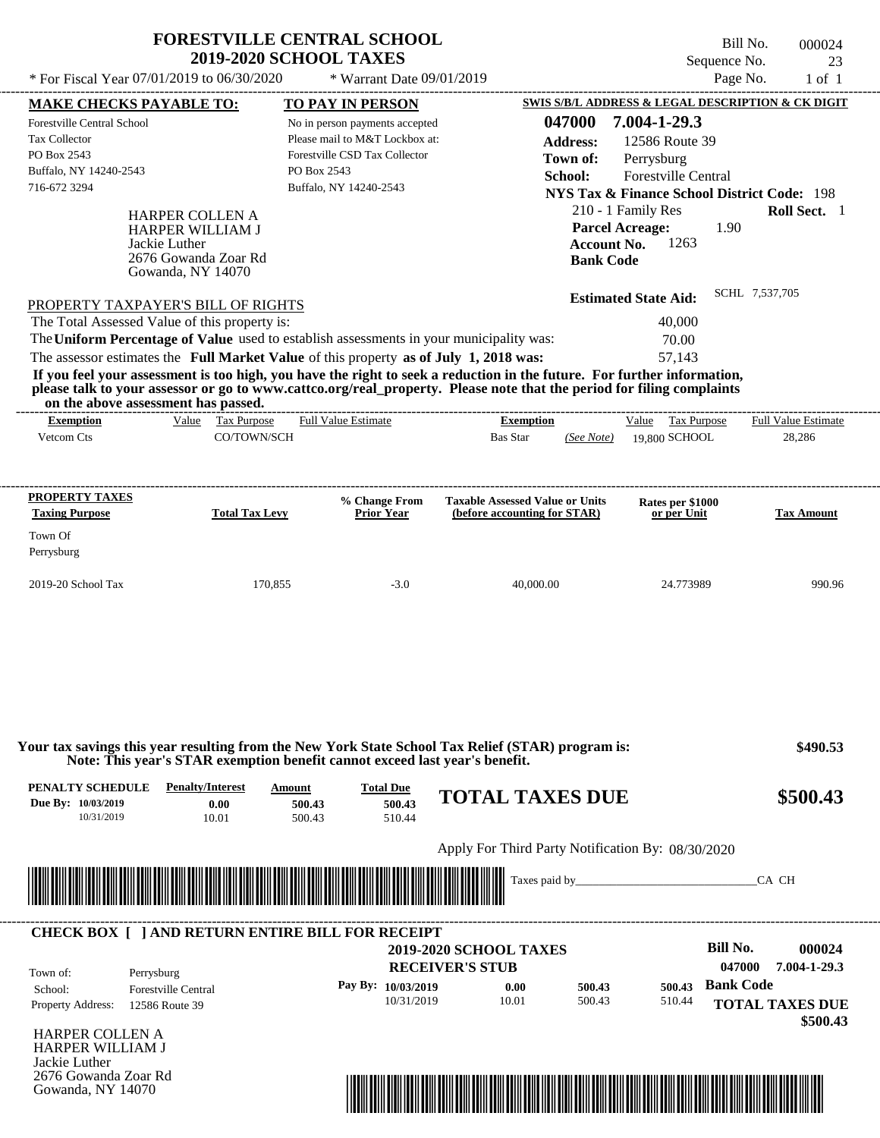| * For Fiscal Year 07/01/2019 to 06/30/2020                                                                                                                                                                                                                              | FORESTVILLE CENTRAL SCHOOL<br><b>2019-2020 SCHOOL TAXES</b><br>* Warrant Date 09/01/2019                                                                              | Bill No.<br>000024<br>Sequence No.<br>23<br>Page No.<br>$1$ of $1$                                                                                                                                                                                                                                                                                                             |
|-------------------------------------------------------------------------------------------------------------------------------------------------------------------------------------------------------------------------------------------------------------------------|-----------------------------------------------------------------------------------------------------------------------------------------------------------------------|--------------------------------------------------------------------------------------------------------------------------------------------------------------------------------------------------------------------------------------------------------------------------------------------------------------------------------------------------------------------------------|
| <b>MAKE CHECKS PAYABLE TO:</b><br>Forestville Central School<br><b>Tax Collector</b><br>PO Box 2543<br>Buffalo, NY 14240-2543<br>716-672 3294<br><b>HARPER COLLEN A</b><br><b>HARPER WILLIAM J</b><br>Jackie Luther<br>2676 Gowanda Zoar Rd<br>Gowanda, NY 14070        | <b>TO PAY IN PERSON</b><br>No in person payments accepted<br>Please mail to M&T Lockbox at:<br>Forestville CSD Tax Collector<br>PO Box 2543<br>Buffalo, NY 14240-2543 | SWIS S/B/L ADDRESS & LEGAL DESCRIPTION & CK DIGIT<br>7.004-1-29.3<br>047000<br>12586 Route 39<br><b>Address:</b><br>Town of:<br>Perrysburg<br>School:<br><b>Forestville Central</b><br><b>NYS Tax &amp; Finance School District Code: 198</b><br>210 - 1 Family Res<br><b>Roll Sect.</b> 1<br><b>Parcel Acreage:</b><br>1.90<br>1263<br><b>Account No.</b><br><b>Bank Code</b> |
| PROPERTY TAXPAYER'S BILL OF RIGHTS<br>The Total Assessed Value of this property is:<br>The Uniform Percentage of Value used to establish assessments in your municipality was:<br>The assessor estimates the Full Market Value of this property as of July 1, 2018 was: |                                                                                                                                                                       | SCHL 7,537,705<br><b>Estimated State Aid:</b><br>40,000<br>70.00<br>57,143                                                                                                                                                                                                                                                                                                     |

**If you feel your assessment is too high, you have the right to seek a reduction in the future. For further information, please talk to your assessor or go to www.cattco.org/real\_property. Please note that the period for filing complaints on the above assessment has passed.** ----------------------------------------------------------------------------------------------------------------------------------------------------------------------------------------------------

**FORESTVILLE CENTRAL SCHOOL**

| <b>Exemption</b>      | Value | Tax Purpose           | <b>Full Value Estimate</b> | <b>Exemption</b>                       | Tax Purpose<br>Value            | <b>Full Value Estimate</b> |
|-----------------------|-------|-----------------------|----------------------------|----------------------------------------|---------------------------------|----------------------------|
| Vetcom Cts            |       | CO/TOWN/SCH           |                            | <b>Bas Star</b><br>(See Note)          | 19,800 SCHOOL                   | 28,286                     |
|                       |       |                       |                            |                                        |                                 |                            |
|                       |       |                       |                            |                                        |                                 |                            |
| <b>PROPERTY TAXES</b> |       |                       | % Change From              | <b>Taxable Assessed Value or Units</b> | Rates per \$1000<br>or per Unit |                            |
| <b>Taxing Purpose</b> |       | <b>Total Tax Levy</b> | <b>Prior Year</b>          | (before accounting for STAR)           |                                 | <b>Tax Amount</b>          |
| Town Of               |       |                       |                            |                                        |                                 |                            |
| Perrysburg            |       |                       |                            |                                        |                                 |                            |
|                       |       |                       |                            |                                        |                                 |                            |
| 2019-20 School Tax    |       | 170,855               | $-3.0$                     | 40,000.00                              | 24.773989                       | 990.96                     |
|                       |       |                       |                            |                                        |                                 |                            |

| Your tax savings this year resulting from the New York State School Tax Relief (STAR) program is:<br>Note: This year's STAR exemption benefit cannot exceed last year's benefit. | \$490.53 |
|----------------------------------------------------------------------------------------------------------------------------------------------------------------------------------|----------|
|                                                                                                                                                                                  |          |

| PENALTY SCHEDULE   | <b>Penalty/Interest</b> | Amount | <b>Total Due</b> |                                                   |          |
|--------------------|-------------------------|--------|------------------|---------------------------------------------------|----------|
| Due By: 10/03/2019 | $0.00\,$                | 500.43 | 500.43           | <b>TOTAL TAXES DUE</b>                            | \$500.43 |
| 10/31/2019         | 10.01                   | 500.43 | 510.44           |                                                   |          |
|                    |                         |        |                  |                                                   |          |
|                    |                         |        |                  | Apply For Third Party Notification By: 08/30/2020 |          |



#### **RECEIVER'S STUB Bill No. 000024 Bank Code 500.43** Property Address: 12586 Route 39 Perrysburg School: Forestville Central **TOTAL TAXES DUE \$500.43 2019-2020 SCHOOL TAXES 047000 7.004-1-29.3 Pay By: 10/03/2019** 10/31/2019 10.01 **0.00** 500.43 **500.43** 510.44 Town of: ---------------------------------------------------------------------------------------------------------------------------------------------------------------------------------------------------- **CHECK BOX [ ] AND RETURN ENTIRE BILL FOR RECEIPT**

HARPER COLLEN A HARPER WILLIAM J Jackie Luther 2676 Gowanda Zoar Rd Gowanda, NY 14070

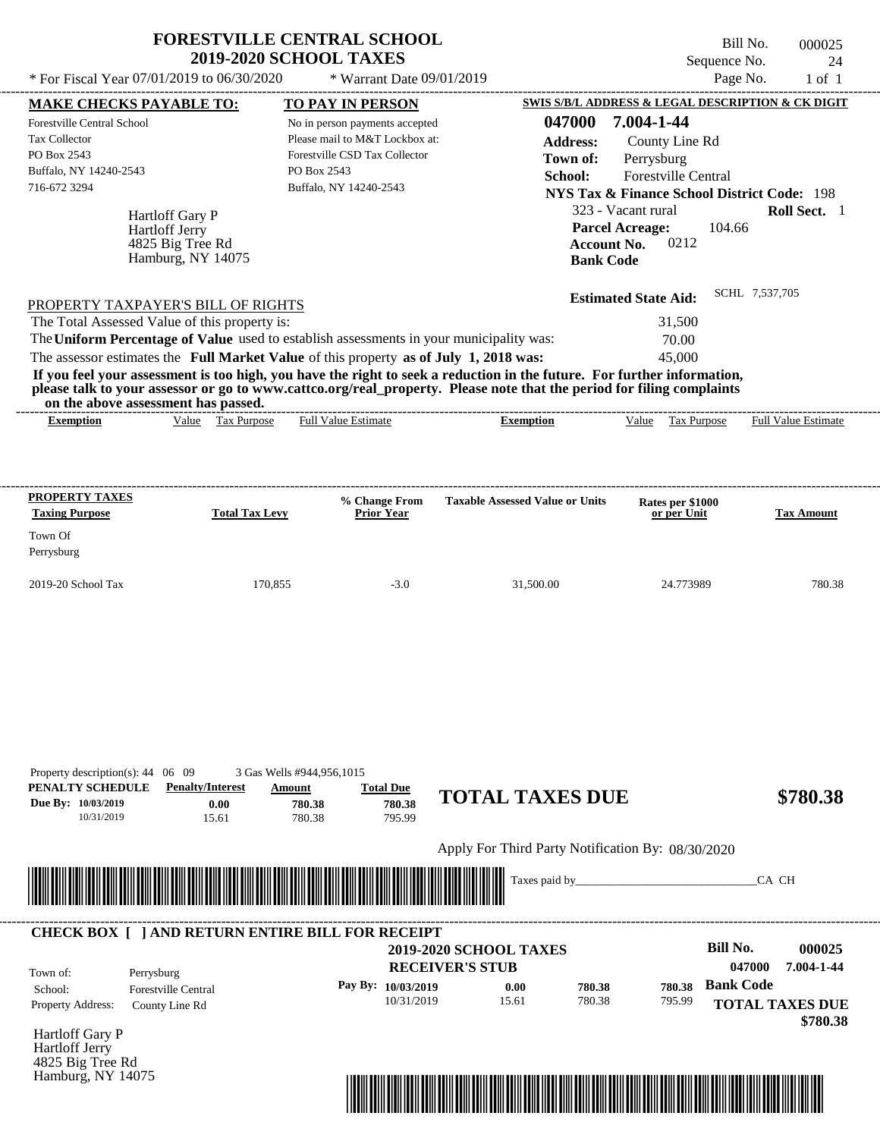|                                                                                                                                                                                                                                                                                                                                                                                                                                                                                                                                                                    | <b>FORESTVILLE CENTRAL SCHOOL</b><br><b>2019-2020 SCHOOL TAXES</b>                                                                          |                                                  | Sequence No.                                                                                                                                   | Bill No.<br>000025<br>24   |
|--------------------------------------------------------------------------------------------------------------------------------------------------------------------------------------------------------------------------------------------------------------------------------------------------------------------------------------------------------------------------------------------------------------------------------------------------------------------------------------------------------------------------------------------------------------------|---------------------------------------------------------------------------------------------------------------------------------------------|--------------------------------------------------|------------------------------------------------------------------------------------------------------------------------------------------------|----------------------------|
| * For Fiscal Year 07/01/2019 to 06/30/2020                                                                                                                                                                                                                                                                                                                                                                                                                                                                                                                         | * Warrant Date 09/01/2019                                                                                                                   |                                                  |                                                                                                                                                | Page No.<br>$1$ of $1$     |
| <b>MAKE CHECKS PAYABLE TO:</b><br>Forestville Central School<br><b>Tax Collector</b><br>PO Box 2543<br>Buffalo, NY 14240-2543                                                                                                                                                                                                                                                                                                                                                                                                                                      | <b>TO PAY IN PERSON</b><br>No in person payments accepted<br>Please mail to M&T Lockbox at:<br>Forestville CSD Tax Collector<br>PO Box 2543 | 047000<br><b>Address:</b><br>Town of:<br>School: | <b>SWIS S/B/L ADDRESS &amp; LEGAL DESCRIPTION &amp; CK DIGIT</b><br>7.004-1-44<br>County Line Rd<br>Perrysburg<br><b>Forestville Central</b>   |                            |
| 716-672 3294<br><b>Hartloff Gary P</b><br><b>Hartloff Jerry</b><br>4825 Big Tree Rd<br>Hamburg, NY 14075                                                                                                                                                                                                                                                                                                                                                                                                                                                           | Buffalo, NY 14240-2543                                                                                                                      | <b>Bank Code</b>                                 | <b>NYS Tax &amp; Finance School District Code: 198</b><br>323 - Vacant rural<br><b>Parcel Acreage:</b><br>104.66<br>0212<br><b>Account No.</b> | Roll Sect. 1               |
| PROPERTY TAXPAYER'S BILL OF RIGHTS<br>The Total Assessed Value of this property is:<br>The Uniform Percentage of Value used to establish assessments in your municipality was:<br>The assessor estimates the Full Market Value of this property as of July 1, 2018 was:<br>If you feel your assessment is too high, you have the right to seek a reduction in the future. For further information,<br>please talk to your assessor or go to www.cattco.org/real_property. Please note that the period for filing complaints<br>on the above assessment has passed. |                                                                                                                                             |                                                  | <b>Estimated State Aid:</b><br>31,500<br>70.00<br>45,000                                                                                       | SCHL 7,537,705             |
| Value Tax Purpose<br><b>Exemption</b>                                                                                                                                                                                                                                                                                                                                                                                                                                                                                                                              | <b>Full Value Estimate</b>                                                                                                                  | <b>Exemption</b>                                 | Value Tax Purpose                                                                                                                              | <b>Full Value Estimate</b> |
| <b>PROPERTY TAXES</b><br><b>Total Tax Levy</b><br><b>Taxing Purpose</b>                                                                                                                                                                                                                                                                                                                                                                                                                                                                                            | % Change From<br><b>Prior Year</b>                                                                                                          | <b>Taxable Assessed Value or Units</b>           | Rates per \$1000<br>or per Unit                                                                                                                | <b>Tax Amount</b>          |

| Town Of<br>Perrysburg |         |        |           |           |        |
|-----------------------|---------|--------|-----------|-----------|--------|
| 2019-20 School Tax    | 170,855 | $-3.0$ | 31,500.00 | 24.773989 | 780.38 |
|                       |         |        |           |           |        |

| PENALTY SCHEDULE         | <b>Penalty/Interest</b>                                | Amount                                                                                                               | <b>Total Due</b>     |                                                   |        |        |                        |            |
|--------------------------|--------------------------------------------------------|----------------------------------------------------------------------------------------------------------------------|----------------------|---------------------------------------------------|--------|--------|------------------------|------------|
| Due By: 10/03/2019       | 0.00                                                   | 780.38                                                                                                               | 780.38               | <b>TOTAL TAXES DUE</b>                            |        |        |                        | \$780.38   |
| 10/31/2019               | 15.61                                                  | 780.38                                                                                                               | 795.99               |                                                   |        |        |                        |            |
|                          |                                                        |                                                                                                                      |                      | Apply For Third Party Notification By: 08/30/2020 |        |        |                        |            |
|                          |                                                        |                                                                                                                      |                      |                                                   |        |        | CA CH                  |            |
|                          |                                                        | <u> 1989 - Andrew Maria Maria Maria Maria Maria Maria Maria Maria Maria Maria Maria Maria Maria Maria Maria Mari</u> |                      |                                                   |        |        |                        |            |
|                          |                                                        |                                                                                                                      |                      |                                                   |        |        |                        |            |
|                          | <b>CHECK BOX   JAND RETURN ENTIRE BILL FOR RECEIPT</b> |                                                                                                                      |                      |                                                   |        |        |                        |            |
|                          |                                                        |                                                                                                                      |                      | <b>2019-2020 SCHOOL TAXES</b>                     |        |        | Bill No.               | 000025     |
| Town of:                 | Perrysburg                                             |                                                                                                                      |                      | <b>RECEIVER'S STUB</b>                            |        |        | 047000                 | 7.004-1-44 |
| School:                  | <b>Forestville Central</b>                             |                                                                                                                      | Pay By: $10/03/2019$ | 0.00                                              | 780.38 | 780.38 | <b>Bank Code</b>       |            |
| <b>Property Address:</b> | County Line Rd                                         |                                                                                                                      | 10/31/2019           | 15.61                                             | 780.38 | 795.99 | <b>TOTAL TAXES DUE</b> |            |
|                          |                                                        |                                                                                                                      |                      |                                                   |        |        |                        | \$780.38   |
| Hartloff Gary P          |                                                        |                                                                                                                      |                      |                                                   |        |        |                        |            |

Hartloff Jerry 4825 Big Tree Rd Hamburg, NY 14075

Property description(s): 44 06 09 3 Gas Wells #944,956,1015

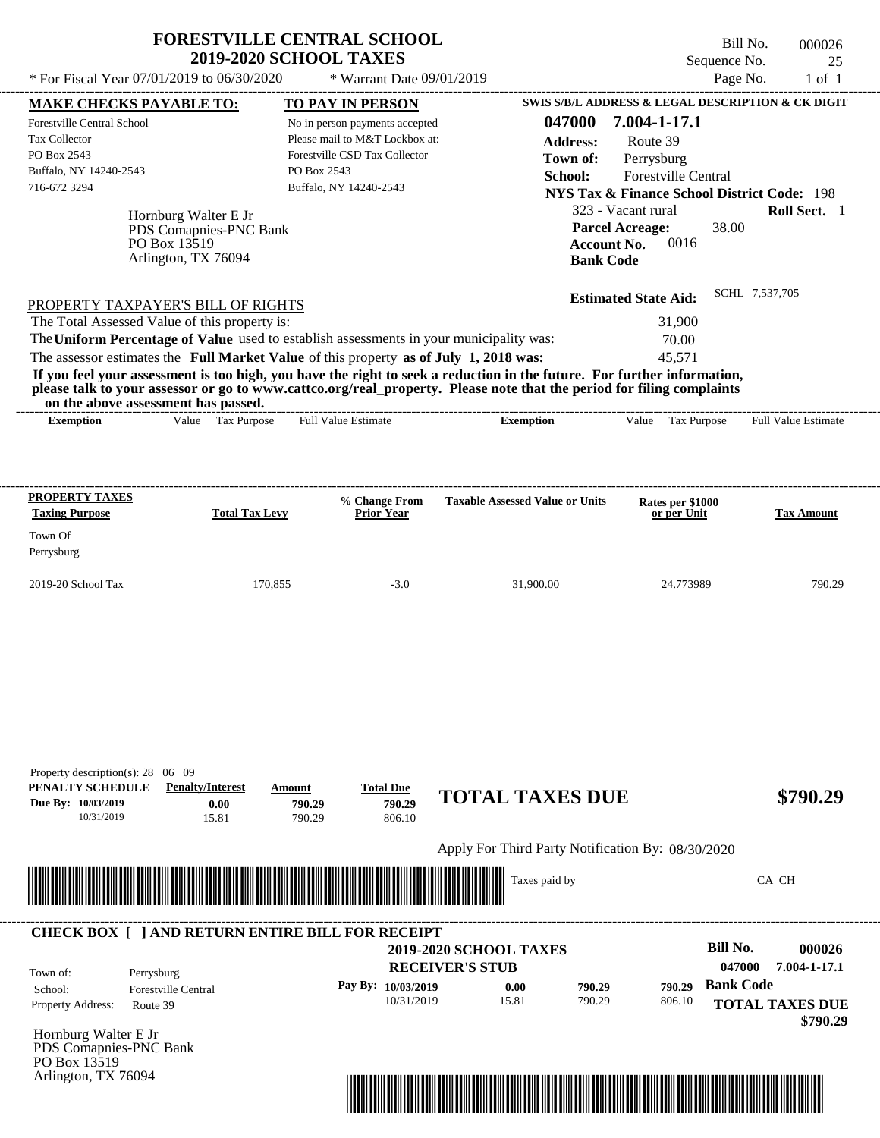| <b>FORESTVILLE CENTRAL SCHOOL</b> |  |
|-----------------------------------|--|
| <b>2019-2020 SCHOOL TAXES</b>     |  |

Arlington, TX 76094

Bill No. 000026 Sequence No. 25

| <b>MAKE CHECKS PAYABLE TO:</b>                                                                                                                                                                                                     |                                                                                       |                                                                                                                                                                                                                                                                                                                                |                                                                                                                                                                                                                                                                                                                                                |                                                                                                                                                                                                                                                             |                                |
|------------------------------------------------------------------------------------------------------------------------------------------------------------------------------------------------------------------------------------|---------------------------------------------------------------------------------------|--------------------------------------------------------------------------------------------------------------------------------------------------------------------------------------------------------------------------------------------------------------------------------------------------------------------------------|------------------------------------------------------------------------------------------------------------------------------------------------------------------------------------------------------------------------------------------------------------------------------------------------------------------------------------------------|-------------------------------------------------------------------------------------------------------------------------------------------------------------------------------------------------------------------------------------------------------------|--------------------------------|
|                                                                                                                                                                                                                                    |                                                                                       | TO PAY IN PERSON                                                                                                                                                                                                                                                                                                               |                                                                                                                                                                                                                                                                                                                                                | SWIS S/B/L ADDRESS & LEGAL DESCRIPTION & CK DIGIT                                                                                                                                                                                                           |                                |
| Forestville Central School<br>Tax Collector<br>PO Box 2543<br>Buffalo, NY 14240-2543<br>716-672 3294<br>PROPERTY TAXPAYER'S BILL OF RIGHTS<br>The Total Assessed Value of this property is:<br>on the above assessment has passed. | Hornburg Walter E Jr<br>PDS Comapnies-PNC Bank<br>PO Box 13519<br>Arlington, TX 76094 | No in person payments accepted<br>Please mail to M&T Lockbox at:<br>Forestville CSD Tax Collector<br>PO Box 2543<br>Buffalo, NY 14240-2543<br>The Uniform Percentage of Value used to establish assessments in your municipality was:<br>The assessor estimates the Full Market Value of this property as of July 1, 2018 was: | 047000<br><b>Address:</b><br>Town of:<br>School:<br><b>Account No.</b><br><b>Bank Code</b><br>If you feel your assessment is too high, you have the right to seek a reduction in the future. For further information,<br>please talk to your assessor or go to www.cattco.org/real_property. Please note that the period for filing complaints | 7.004-1-17.1<br>Route 39<br>Perrysburg<br><b>Forestville Central</b><br><b>NYS Tax &amp; Finance School District Code: 198</b><br>323 - Vacant rural<br><b>Parcel Acreage:</b><br>38.00<br>0016<br><b>Estimated State Aid:</b><br>31,900<br>70.00<br>45,571 | Roll Sect. 1<br>SCHL 7,537,705 |
| <b>Exemption</b>                                                                                                                                                                                                                   | Value Tax Purpose                                                                     | <b>Full Value Estimate</b>                                                                                                                                                                                                                                                                                                     | <b>Exemption</b>                                                                                                                                                                                                                                                                                                                               | Value Tax Purpose                                                                                                                                                                                                                                           | <b>Full Value Estimate</b>     |
| <b>PROPERTY TAXES</b><br><b>Taxing Purpose</b><br>Town Of<br>Perrysburg<br>2019-20 School Tax                                                                                                                                      | <b>Total Tax Levy</b><br>170,855                                                      | % Change From<br><b>Prior Year</b><br>$-3.0$                                                                                                                                                                                                                                                                                   | <b>Taxable Assessed Value or Units</b><br>31,900.00                                                                                                                                                                                                                                                                                            | Rates per \$1000<br>or per Unit<br>24.773989                                                                                                                                                                                                                | <b>Tax Amount</b><br>790.29    |
|                                                                                                                                                                                                                                    |                                                                                       |                                                                                                                                                                                                                                                                                                                                |                                                                                                                                                                                                                                                                                                                                                |                                                                                                                                                                                                                                                             |                                |
| Property description(s): $28 \quad 06 \quad 09$<br>PENALTY SCHEDULE<br>Due By: 10/03/2019<br>10/31/2019                                                                                                                            | <b>Penalty/Interest</b><br>0.00<br>15.81                                              | <b>Total Due</b><br>Amount<br>790.29<br>790.29<br>790.29<br>806.10                                                                                                                                                                                                                                                             | <b>TOTAL TAXES DUE</b><br>Apply For Third Party Notification By: 08/30/2020                                                                                                                                                                                                                                                                    |                                                                                                                                                                                                                                                             | \$790.29                       |

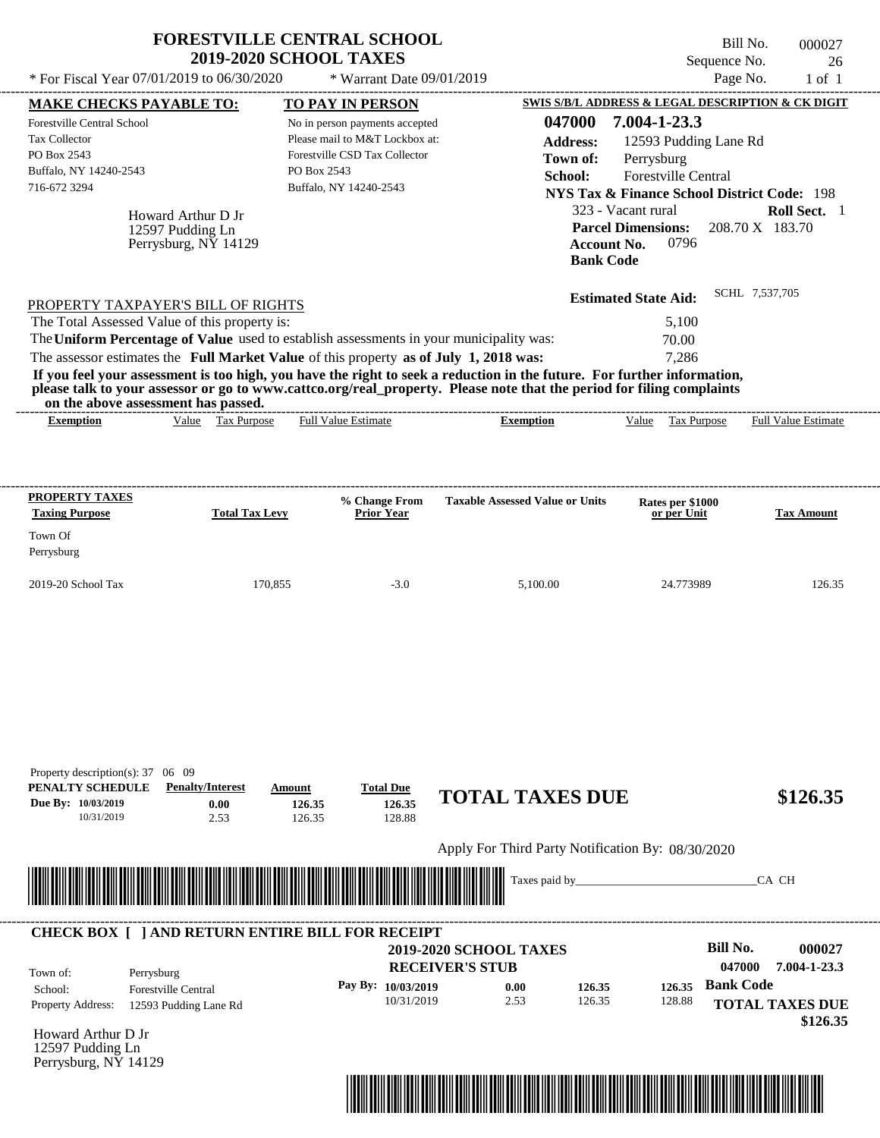| * For Fiscal Year $07/01/2019$ to $06/30/2020$                                                                                                                                                                  | <b>2019-2020 SCHOOL TAXES</b>                                         | <b>FORESTVILLE CENTRAL SCHOOL</b><br>* Warrant Date 09/01/2019                                                                                         |                                                                                                                                                                                                                                                               | Bill No.<br>Sequence No.<br>Page No.                                                                                                                                                            | 000027<br>26<br>$1$ of $1$      |
|-----------------------------------------------------------------------------------------------------------------------------------------------------------------------------------------------------------------|-----------------------------------------------------------------------|--------------------------------------------------------------------------------------------------------------------------------------------------------|---------------------------------------------------------------------------------------------------------------------------------------------------------------------------------------------------------------------------------------------------------------|-------------------------------------------------------------------------------------------------------------------------------------------------------------------------------------------------|---------------------------------|
|                                                                                                                                                                                                                 |                                                                       |                                                                                                                                                        |                                                                                                                                                                                                                                                               | SWIS S/B/L ADDRESS & LEGAL DESCRIPTION & CK DIGIT                                                                                                                                               |                                 |
| <b>MAKE CHECKS PAYABLE TO:</b><br><b>Forestville Central School</b><br>Tax Collector<br>PO Box 2543<br>Buffalo, NY 14240-2543<br>716-672 3294<br>Howard Arthur D Jr<br>12597 Pudding Ln<br>Perrysburg, NY 14129 | PO Box 2543                                                           | <b>TO PAY IN PERSON</b><br>No in person payments accepted<br>Please mail to M&T Lockbox at:<br>Forestville CSD Tax Collector<br>Buffalo, NY 14240-2543 | 047000<br><b>Address:</b><br>Town of:<br>School:<br><b>Account No.</b><br><b>Bank Code</b>                                                                                                                                                                    | 7.004-1-23.3<br>12593 Pudding Lane Rd<br>Perrysburg<br>Forestville Central<br><b>NYS Tax &amp; Finance School District Code: 198</b><br>323 - Vacant rural<br><b>Parcel Dimensions:</b><br>0796 | Roll Sect. 1<br>208.70 X 183.70 |
| PROPERTY TAXPAYER'S BILL OF RIGHTS                                                                                                                                                                              |                                                                       |                                                                                                                                                        |                                                                                                                                                                                                                                                               | <b>Estimated State Aid:</b>                                                                                                                                                                     | SCHL 7,537,705                  |
| The Total Assessed Value of this property is:                                                                                                                                                                   |                                                                       |                                                                                                                                                        |                                                                                                                                                                                                                                                               | 5,100                                                                                                                                                                                           |                                 |
| The Uniform Percentage of Value used to establish assessments in your municipality was:                                                                                                                         |                                                                       |                                                                                                                                                        |                                                                                                                                                                                                                                                               | 70.00                                                                                                                                                                                           |                                 |
| The assessor estimates the Full Market Value of this property as of July 1, 2018 was:                                                                                                                           |                                                                       |                                                                                                                                                        |                                                                                                                                                                                                                                                               | 7.286                                                                                                                                                                                           |                                 |
| on the above assessment has passed.<br><b>Exemption</b>                                                                                                                                                         | Value Tax Purpose                                                     | <b>Full Value Estimate</b>                                                                                                                             | If you feel your assessment is too high, you have the right to seek a reduction in the future. For further information,<br>please talk to your assessor or go to www.cattco.org/real_property. Please note that the period for filing complaints<br>Exemption | Value Tax Purpose                                                                                                                                                                               | <b>Full Value Estimate</b>      |
|                                                                                                                                                                                                                 |                                                                       |                                                                                                                                                        |                                                                                                                                                                                                                                                               |                                                                                                                                                                                                 |                                 |
|                                                                                                                                                                                                                 | <b>Total Tax Levy</b>                                                 | % Change From<br><b>Prior Year</b>                                                                                                                     | <b>Taxable Assessed Value or Units</b>                                                                                                                                                                                                                        | Rates per \$1000<br>or per Unit                                                                                                                                                                 | <b>Tax Amount</b>               |
| <b>Taxing Purpose</b>                                                                                                                                                                                           |                                                                       |                                                                                                                                                        |                                                                                                                                                                                                                                                               |                                                                                                                                                                                                 |                                 |
|                                                                                                                                                                                                                 | 170,855                                                               | $-3.0$                                                                                                                                                 | 5,100.00                                                                                                                                                                                                                                                      | 24.773989                                                                                                                                                                                       | 126.35                          |
| PROPERTY TAXES<br>Town Of<br>Perrysburg<br>2019-20 School Tax<br>Property description(s): 37 06 09<br>PENALTY SCHEDULE<br>Due By: 10/03/2019<br>10/31/2019                                                      | <b>Penalty/Interest</b><br>Amount<br>0.00<br>126.35<br>2.53<br>126.35 | <b>Total Due</b><br>126.35<br>128.88                                                                                                                   | <b>TOTAL TAXES DUE</b>                                                                                                                                                                                                                                        |                                                                                                                                                                                                 | \$126.35                        |
|                                                                                                                                                                                                                 |                                                                       |                                                                                                                                                        | Apply For Third Party Notification By: 08/30/2020                                                                                                                                                                                                             |                                                                                                                                                                                                 |                                 |
|                                                                                                                                                                                                                 |                                                                       |                                                                                                                                                        | Taxes paid by_                                                                                                                                                                                                                                                |                                                                                                                                                                                                 | CA CH                           |

| Town of:                 | Perrysburg                 |         | <b>2019-2020 SCHOOL TAXES</b><br><b>RECEIVER'S STUB</b> |      |        | <b>Bill No.</b><br>047000 | 000027<br>7.004-1-23.3 |                                    |
|--------------------------|----------------------------|---------|---------------------------------------------------------|------|--------|---------------------------|------------------------|------------------------------------|
| School:                  | <b>Forestville Central</b> | Pay By: | 10/03/2019                                              | 0.00 | 126.35 | 126.35                    | <b>Bank Code</b>       |                                    |
| <b>Property Address:</b> | 12593 Pudding Lane Rd      |         | 10/31/2019                                              | 2.53 | 126.35 | 128.88                    |                        | <b>TOTAL TAXES DUE</b><br>\$126.35 |

Howard Arthur D Jr 12597 Pudding Ln Perrysburg, NY 14129

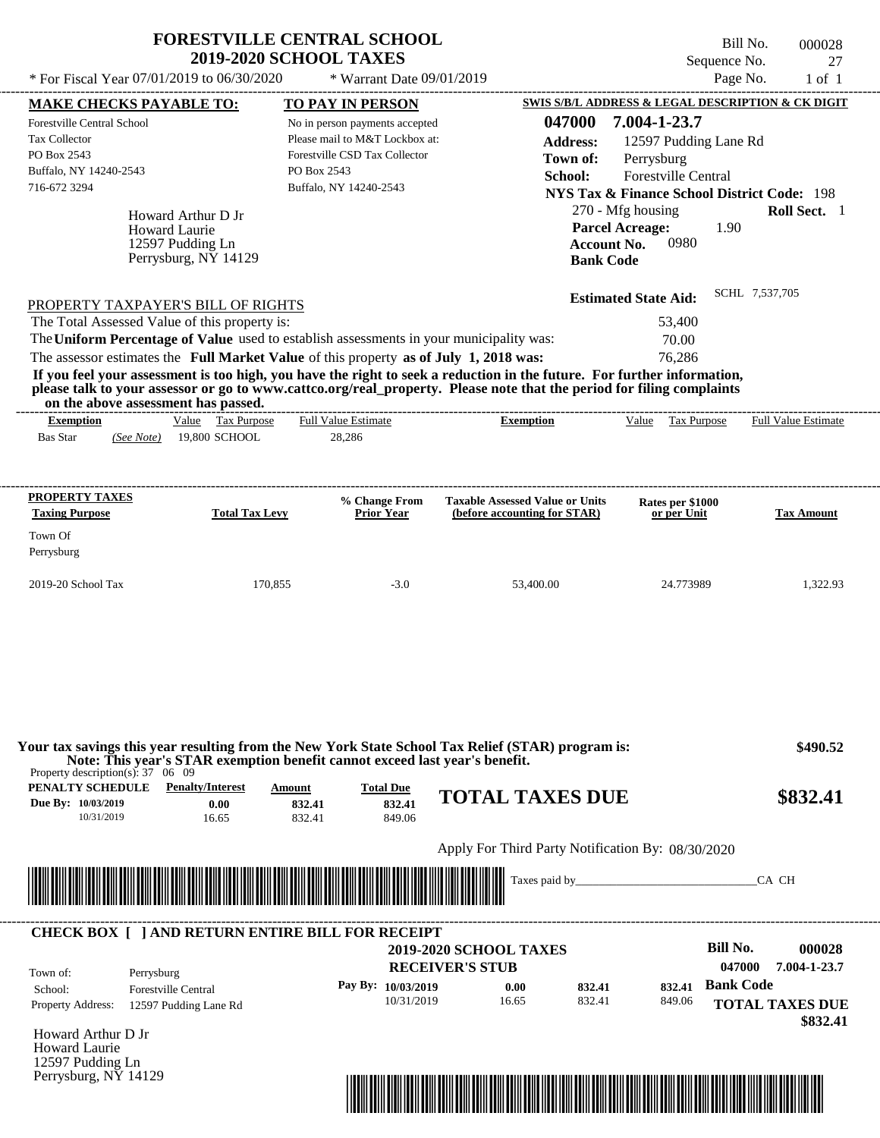|                                                | <b>FORESTVILLE CENTRAL SCHOOL</b><br><b>2019-2020 SCHOOL TAXES</b> | Bill No.<br>Sequence No.                          | 000028 |
|------------------------------------------------|--------------------------------------------------------------------|---------------------------------------------------|--------|
| * For Fiscal Year $07/01/2019$ to $06/30/2020$ | $*$ Warrant Date 09/01/2019                                        | Page No.                                          | 1 of 1 |
| <b>MAKE CHECKS PAYABLE TO:</b>                 | <b>TO PAY IN PERSON</b>                                            | SWIS S/B/L ADDRESS & LEGAL DESCRIPTION & CK DIGIT |        |
| <b>Forestville Central School</b>              | No in person payments accepted                                     | 047000<br>7.004-1-23.7                            |        |

| <b>Tax Collector</b><br>PO Box 2543<br>Buffalo, NY 14240-2543<br>716-672 3294                                              | Howard Arthur D Jr<br><b>Howard Laurie</b><br>12597 Pudding Ln<br>Perrysburg, NY 14129                                                                                           | Please mail to M&T Lockbox at:<br>Forestville CSD Tax Collector<br>PO Box 2543<br>Buffalo, NY 14240-2543 | <b>Address:</b><br>Town of:<br>School:<br><b>Account No.</b><br><b>Bank Code</b>                                                                                                                                                                 | 12597 Pudding Lane Rd<br>Perrysburg<br><b>Forestville Central</b><br><b>NYS Tax &amp; Finance School District Code: 198</b><br>270 - Mfg housing<br><b>Parcel Acreage:</b><br>1.90<br>0980 | Roll Sect. 1               |
|----------------------------------------------------------------------------------------------------------------------------|----------------------------------------------------------------------------------------------------------------------------------------------------------------------------------|----------------------------------------------------------------------------------------------------------|--------------------------------------------------------------------------------------------------------------------------------------------------------------------------------------------------------------------------------------------------|--------------------------------------------------------------------------------------------------------------------------------------------------------------------------------------------|----------------------------|
| PROPERTY TAXPAYER'S BILL OF RIGHTS<br>The Total Assessed Value of this property is:<br>on the above assessment has passed. | The Uniform Percentage of Value used to establish assessments in your municipality was:<br>The assessor estimates the Full Market Value of this property as of July 1, 2018 was: |                                                                                                          | If you feel your assessment is too high, you have the right to seek a reduction in the future. For further information,<br>please talk to your assessor or go to www.cattco.org/real_property. Please note that the period for filing complaints | <b>Estimated State Aid:</b><br>53,400<br>70.00<br>76.286                                                                                                                                   | SCHL 7,537,705             |
| <b>Exemption</b><br><b>Bas Star</b><br>(See Note)                                                                          | Value Tax Purpose<br>19,800 SCHOOL                                                                                                                                               | <b>Full Value Estimate</b><br>28,286                                                                     | <b>Exemption</b>                                                                                                                                                                                                                                 | Tax Purpose<br>Value                                                                                                                                                                       | <b>Full Value Estimate</b> |
| PROPERTY TAXES<br><b>Taxing Purpose</b><br>Town Of<br>Perrysburg                                                           | <b>Total Tax Levy</b>                                                                                                                                                            | % Change From<br><b>Prior Year</b>                                                                       | <b>Taxable Assessed Value or Units</b><br>(before accounting for STAR)                                                                                                                                                                           | Rates per \$1000<br>or per Unit                                                                                                                                                            | <b>Tax Amount</b>          |

| Your tax savings this year resulting from the New York State School Tax Relief (STAR) program is:<br>Note: This year's STAR exemption benefit cannot exceed last year's benefit.<br>Property description(s): $37 \quad 06 \quad 09$ | \$490.52                |        |                  |                        |          |
|-------------------------------------------------------------------------------------------------------------------------------------------------------------------------------------------------------------------------------------|-------------------------|--------|------------------|------------------------|----------|
| PENALTY SCHEDULE                                                                                                                                                                                                                    | <b>Penalty/Interest</b> | Amount | <b>Total Due</b> |                        |          |
| Due By: 10/03/2019                                                                                                                                                                                                                  | 0.00                    | 832.41 | 832.41           | <b>TOTAL TAXES DUE</b> | \$832.41 |
| 10/31/2019                                                                                                                                                                                                                          | 16.65                   | 832.41 | 849.06           |                        |          |

2019-20 School Tax 170,855 -3.0 53,400.00 24.773989 1,322.93

Apply For Third Party Notification By: 08/30/2020



| Town of:                 | Perrysburg                 | <b>2019-2020 SCHOOL TAXES</b><br><b>RECEIVER'S STUB</b> |       |        |        | Bill No.<br>047000 | 000028<br>7.004-1-23.7             |
|--------------------------|----------------------------|---------------------------------------------------------|-------|--------|--------|--------------------|------------------------------------|
| School:                  | <b>Forestville Central</b> | Pay By: $10/03/2019$                                    | 0.00  | 832.41 | 832.41 | <b>Bank Code</b>   |                                    |
| <b>Property Address:</b> | 12597 Pudding Lane Rd      | 10/31/2019                                              | 16.65 | 832.41 | 849.06 |                    | <b>TOTAL TAXES DUE</b><br>\$832.41 |

Howard Arthur D Jr Howard Laurie 12597 Pudding Ln Perrysburg, NY 14129

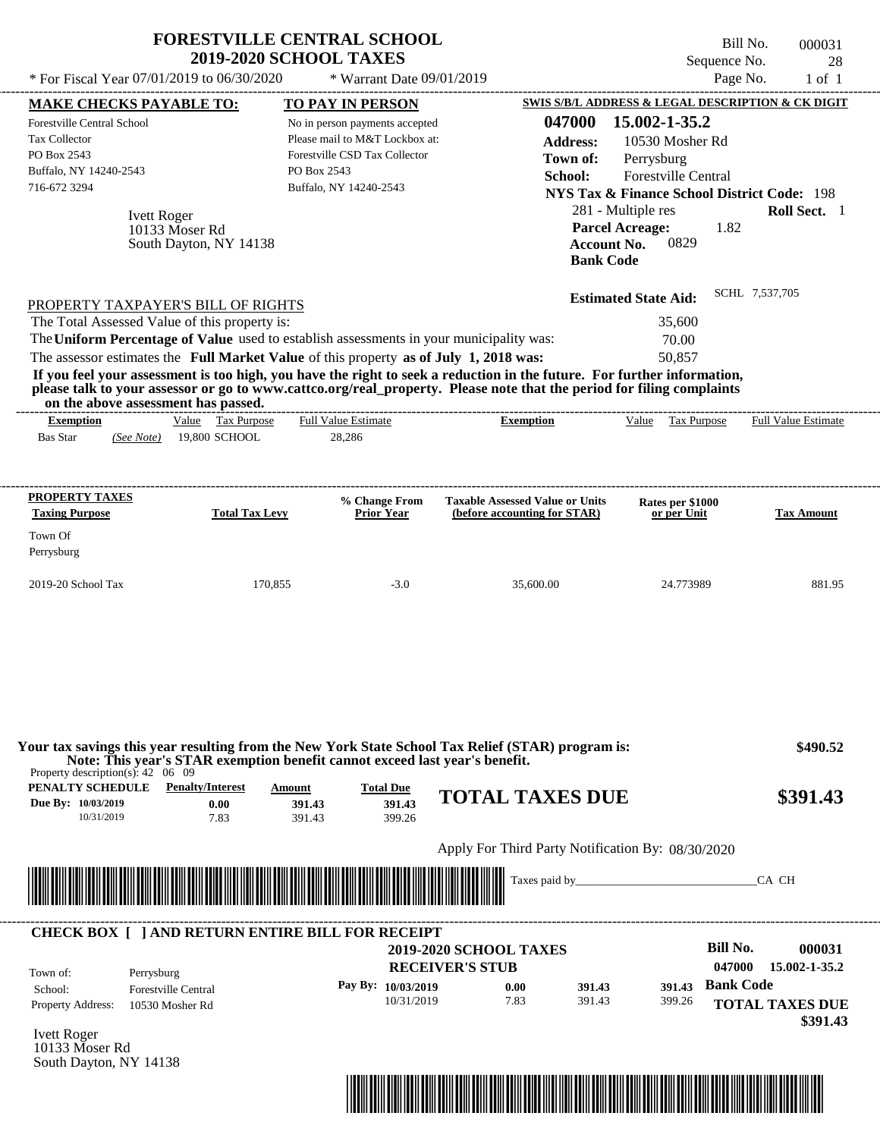| * For Fiscal Year 07/01/2019 to 06/30/2020                                                                                                                          | <b>FORESTVILLE CENTRAL SCHOOL</b><br><b>2019-2020 SCHOOL TAXES</b>                                                                                                                                                                          | * Warrant Date 09/01/2019                                                                                                                                             |                                                                                                                                                                                                                                                                                                        | Bill No.<br>Sequence No.<br>Page No.                                                                                                                                                                                                                                       | 000031<br>28<br>$1$ of $1$                   |
|---------------------------------------------------------------------------------------------------------------------------------------------------------------------|---------------------------------------------------------------------------------------------------------------------------------------------------------------------------------------------------------------------------------------------|-----------------------------------------------------------------------------------------------------------------------------------------------------------------------|--------------------------------------------------------------------------------------------------------------------------------------------------------------------------------------------------------------------------------------------------------------------------------------------------------|----------------------------------------------------------------------------------------------------------------------------------------------------------------------------------------------------------------------------------------------------------------------------|----------------------------------------------|
| <b>MAKE CHECKS PAYABLE TO:</b><br><b>Forestville Central School</b><br>Tax Collector<br>PO Box 2543<br>Buffalo, NY 14240-2543<br>716-672 3294<br><b>Ivett Roger</b> | 10133 Moser Rd<br>South Dayton, NY 14138                                                                                                                                                                                                    | <b>TO PAY IN PERSON</b><br>No in person payments accepted<br>Please mail to M&T Lockbox at:<br>Forestville CSD Tax Collector<br>PO Box 2543<br>Buffalo, NY 14240-2543 | 047000<br><b>Address:</b><br>Town of:<br>School:<br><b>Bank Code</b>                                                                                                                                                                                                                                   | SWIS S/B/L ADDRESS & LEGAL DESCRIPTION & CK DIGIT<br>15.002-1-35.2<br>10530 Mosher Rd<br>Perrysburg<br>Forestville Central<br><b>NYS Tax &amp; Finance School District Code: 198</b><br>281 - Multiple res<br><b>Parcel Acreage:</b><br>1.82<br>0829<br><b>Account No.</b> | Roll Sect. 1                                 |
| The Total Assessed Value of this property is:<br>on the above assessment has passed.<br><b>Exemption</b>                                                            | PROPERTY TAXPAYER'S BILL OF RIGHTS<br>The Uniform Percentage of Value used to establish assessments in your municipality was:<br>The assessor estimates the Full Market Value of this property as of July 1, 2018 was:<br>Value Tax Purpose | <b>Full Value Estimate</b>                                                                                                                                            | If you feel your assessment is too high, you have the right to seek a reduction in the future. For further information,<br>please talk to your assessor or go to www.cattco.org/real_property. Please note that the period for filing complaints<br>------------------------------<br><b>Exemption</b> | <b>Estimated State Aid:</b><br>35,600<br>70.00<br>50,857<br>Value Tax Purpose                                                                                                                                                                                              | SCHL 7,537,705<br><b>Full Value Estimate</b> |
| <b>Bas Star</b><br>(See Note)                                                                                                                                       | 19,800 SCHOOL                                                                                                                                                                                                                               | 28,286                                                                                                                                                                |                                                                                                                                                                                                                                                                                                        |                                                                                                                                                                                                                                                                            |                                              |
| <b>PROPERTY TAXES</b><br><b>Taxing Purpose</b><br>Town Of<br>Perrysburg                                                                                             | <b>Total Tax Levy</b>                                                                                                                                                                                                                       | % Change From<br><b>Prior Year</b>                                                                                                                                    | <b>Taxable Assessed Value or Units</b><br>(before accounting for STAR)                                                                                                                                                                                                                                 | Rates per \$1000<br>or per Unit                                                                                                                                                                                                                                            | <b>Tax Amount</b>                            |
| 2019-20 School Tax                                                                                                                                                  | 170,855                                                                                                                                                                                                                                     | $-3.0$                                                                                                                                                                | 35,600.00                                                                                                                                                                                                                                                                                              | 24.773989                                                                                                                                                                                                                                                                  | 881.95                                       |
|                                                                                                                                                                     | Note: This year's STAR exemption benefit cannot exceed last year's benefit.                                                                                                                                                                 |                                                                                                                                                                       | Your tax savings this year resulting from the New York State School Tax Relief (STAR) program is:                                                                                                                                                                                                      |                                                                                                                                                                                                                                                                            | \$490.52                                     |
| Property description(s): $42 \quad 06 \quad 09$<br>PENALTY SCHEDULE<br>Due By: 10/03/2019<br>10/31/2019                                                             | <b>Penalty/Interest</b><br><b>Amount</b><br>0.00<br>7.83                                                                                                                                                                                    | <b>Total Due</b><br>391.43<br>391.43<br>391.43<br>399.26                                                                                                              | <b>TOTAL TAXES DUE</b>                                                                                                                                                                                                                                                                                 |                                                                                                                                                                                                                                                                            | \$391.43                                     |
|                                                                                                                                                                     |                                                                                                                                                                                                                                             |                                                                                                                                                                       | Apply For Third Party Notification By: 08/30/2020                                                                                                                                                                                                                                                      |                                                                                                                                                                                                                                                                            |                                              |
| <u> 1989 - Andrea Stadt British, martin british bashkritish bashkritish bashkritish bashkritish bashkritish bash</u>                                                |                                                                                                                                                                                                                                             |                                                                                                                                                                       |                                                                                                                                                                                                                                                                                                        |                                                                                                                                                                                                                                                                            | CA CH                                        |
| Town of:<br>Perrysburg                                                                                                                                              | <b>CHECK BOX [ ] AND RETURN ENTIRE BILL FOR RECEIPT</b>                                                                                                                                                                                     |                                                                                                                                                                       | <b>2019-2020 SCHOOL TAXES</b><br><b>RECEIVER'S STUB</b>                                                                                                                                                                                                                                                | <b>Bill No.</b><br>047000                                                                                                                                                                                                                                                  | 000031<br>15.002-1-35.2                      |
| School:<br><b>Property Address:</b>                                                                                                                                 | <b>Forestville Central</b><br>10530 Mosher Rd                                                                                                                                                                                               | Pay By: 10/03/2019<br>10/31/2019                                                                                                                                      | 0.00<br>391.43<br>7.83<br>391.43                                                                                                                                                                                                                                                                       | <b>Bank Code</b><br>391.43<br>399.26                                                                                                                                                                                                                                       | <b>TOTAL TAXES DUE</b><br>\$391.43           |

Ivett Roger 10133 Moser Rd South Dayton, NY 14138

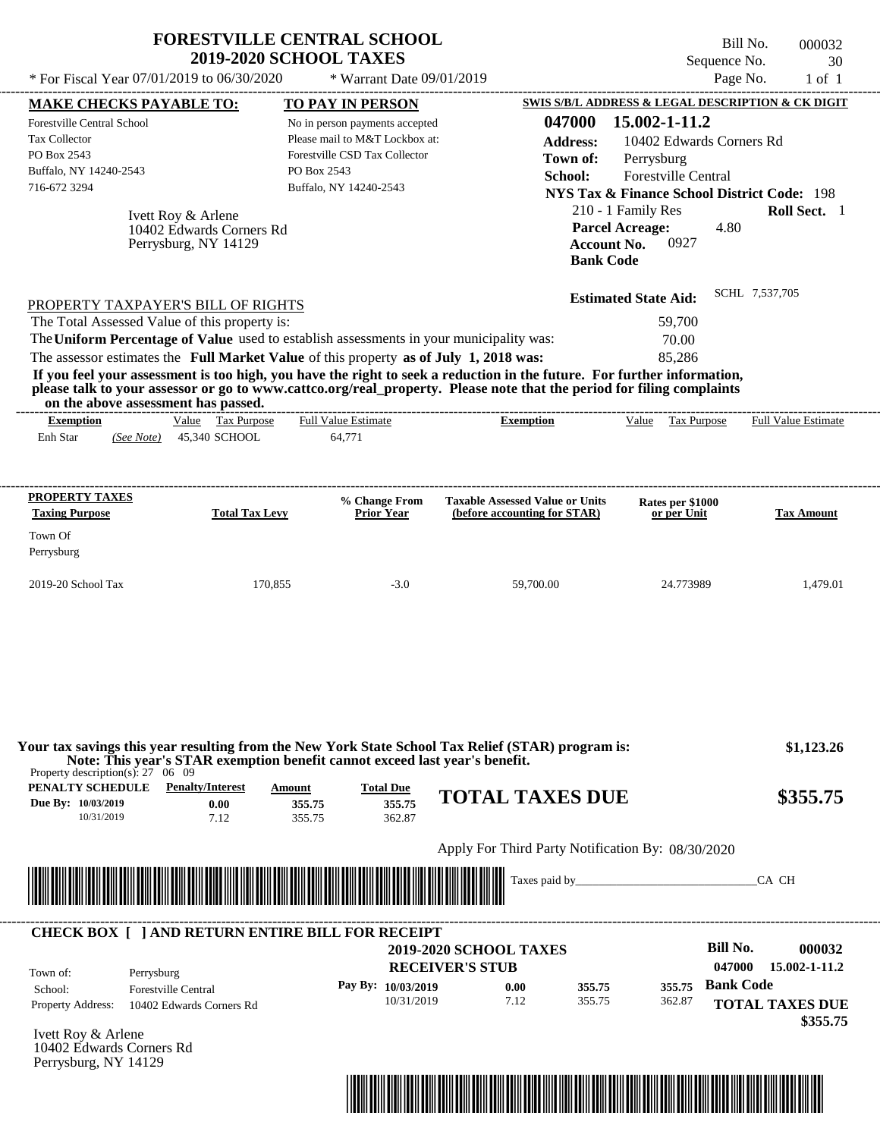|                                               | <b>FORESTVILLE CENTRAL SCHOOL</b>                                                                                     | Bill No.<br>000032                                                                                                      |  |
|-----------------------------------------------|-----------------------------------------------------------------------------------------------------------------------|-------------------------------------------------------------------------------------------------------------------------|--|
|                                               | <b>2019-2020 SCHOOL TAXES</b>                                                                                         | Sequence No.<br>30                                                                                                      |  |
| * For Fiscal Year 07/01/2019 to 06/30/2020    | * Warrant Date 09/01/2019                                                                                             | Page No.<br>$1$ of $1$                                                                                                  |  |
| <b>MAKE CHECKS PAYABLE TO:</b>                | <b>TO PAY IN PERSON</b>                                                                                               | SWIS S/B/L ADDRESS & LEGAL DESCRIPTION & CK DIGIT                                                                       |  |
| Forestville Central School                    | No in person payments accepted                                                                                        | 047000<br>15.002-1-11.2                                                                                                 |  |
| <b>Tax Collector</b>                          | Please mail to M&T Lockbox at:                                                                                        | <b>Address:</b><br>10402 Edwards Corners Rd                                                                             |  |
| PO Box 2543                                   | Forestville CSD Tax Collector                                                                                         | Perrysburg<br>Town of:                                                                                                  |  |
| Buffalo, NY 14240-2543                        | PO Box 2543                                                                                                           | School:<br><b>Forestville Central</b>                                                                                   |  |
| 716-672 3294                                  | Buffalo, NY 14240-2543                                                                                                | <b>NYS Tax &amp; Finance School District Code: 198</b>                                                                  |  |
| Ivett Roy & Arlene                            |                                                                                                                       | <b>Roll Sect.</b> 1<br>210 - 1 Family Res                                                                               |  |
| 10402 Edwards Corners Rd                      |                                                                                                                       | <b>Parcel Acreage:</b><br>4.80                                                                                          |  |
| Perrysburg, NY 14129                          |                                                                                                                       | <b>Account No.</b><br>0927                                                                                              |  |
|                                               |                                                                                                                       | <b>Bank Code</b>                                                                                                        |  |
| PROPERTY TAXPAYER'S BILL OF RIGHTS            |                                                                                                                       | SCHL 7,537,705<br><b>Estimated State Aid:</b>                                                                           |  |
| The Total Assessed Value of this property is: |                                                                                                                       | 59,700                                                                                                                  |  |
|                                               | The Uniform Percentage of Value used to establish assessments in your municipality was:                               | 70.00                                                                                                                   |  |
|                                               | The assessor estimates the Full Market Value of this property as of July 1, 2018 was:                                 | 85,286                                                                                                                  |  |
|                                               | please talk to your assessor or go to www.cattco.org/real_property. Please note that the period for filing complaints | If you feel your assessment is too high, you have the right to seek a reduction in the future. For further information, |  |

**on the above assessment has passed.**

|           |            | vn me above assessment nas basseu. |                            |                |       |                          |                            |
|-----------|------------|------------------------------------|----------------------------|----------------|-------|--------------------------|----------------------------|
| Exemption |            | <u>Value</u><br>I'ax Purpose       | <b>Full Value Estimate</b> | -<br>Exemption | Value | $\sim$<br>Гaх<br>Purpose | <b>Full Value Estimate</b> |
| Enh Star  | (See Note) | 45,340 SCHOOL                      | 1.77<br>64.7               |                |       |                          |                            |
|           |            |                                    |                            |                |       |                          |                            |

| <b>PROPERTY TAXES</b><br><b>Taxing Purpose</b> | <b>Total Tax Levy</b> | % Change From<br><b>Prior Year</b> | <b>Taxable Assessed Value or Units</b><br>(before accounting for STAR) | Rates per \$1000<br>or per Unit | <b>Tax Amount</b> |
|------------------------------------------------|-----------------------|------------------------------------|------------------------------------------------------------------------|---------------------------------|-------------------|
| Town Of<br>Perrysburg                          |                       |                                    |                                                                        |                                 |                   |
| $2019-20$ School Tax                           | 170.855               | $-3.0$                             | 59,700.00                                                              | 24.773989                       | 1.479.01          |

| PENALTY SCHEDULE<br>Due By: 10/03/2019<br>10/31/2019 | <b>Penalty/Interest</b><br>0.00<br>7.12                | Amount<br>355.75<br>355.75                                                                                            | <b>Total Due</b><br>355.75<br>362.87 | <b>TOTAL TAXES DUE</b>                            |                  | \$355.75                                    |
|------------------------------------------------------|--------------------------------------------------------|-----------------------------------------------------------------------------------------------------------------------|--------------------------------------|---------------------------------------------------|------------------|---------------------------------------------|
|                                                      |                                                        |                                                                                                                       |                                      | Apply For Third Party Notification By: 08/30/2020 |                  |                                             |
|                                                      |                                                        | <u> Harry Harry Harry Harry Harry Harry Harry Harry Harry Harry Harry Harry Harry Harry Harry Harry Harry Harry H</u> |                                      | Taxes paid by                                     |                  | CA CH                                       |
|                                                      | <b>CHECK BOX   JAND RETURN ENTIRE BILL FOR RECEIPT</b> |                                                                                                                       |                                      | <b>2019-2020 SCHOOL TAXES</b>                     |                  | Bill No.<br>000032                          |
| Town of:<br>School:                                  | Perrysburg<br><b>Forestville Central</b>               |                                                                                                                       | Pay By: 10/03/2019                   | <b>RECEIVER'S STUB</b><br>0.00                    | 355.75<br>355.75 | 047000<br>15.002-1-11.2<br><b>Bank Code</b> |

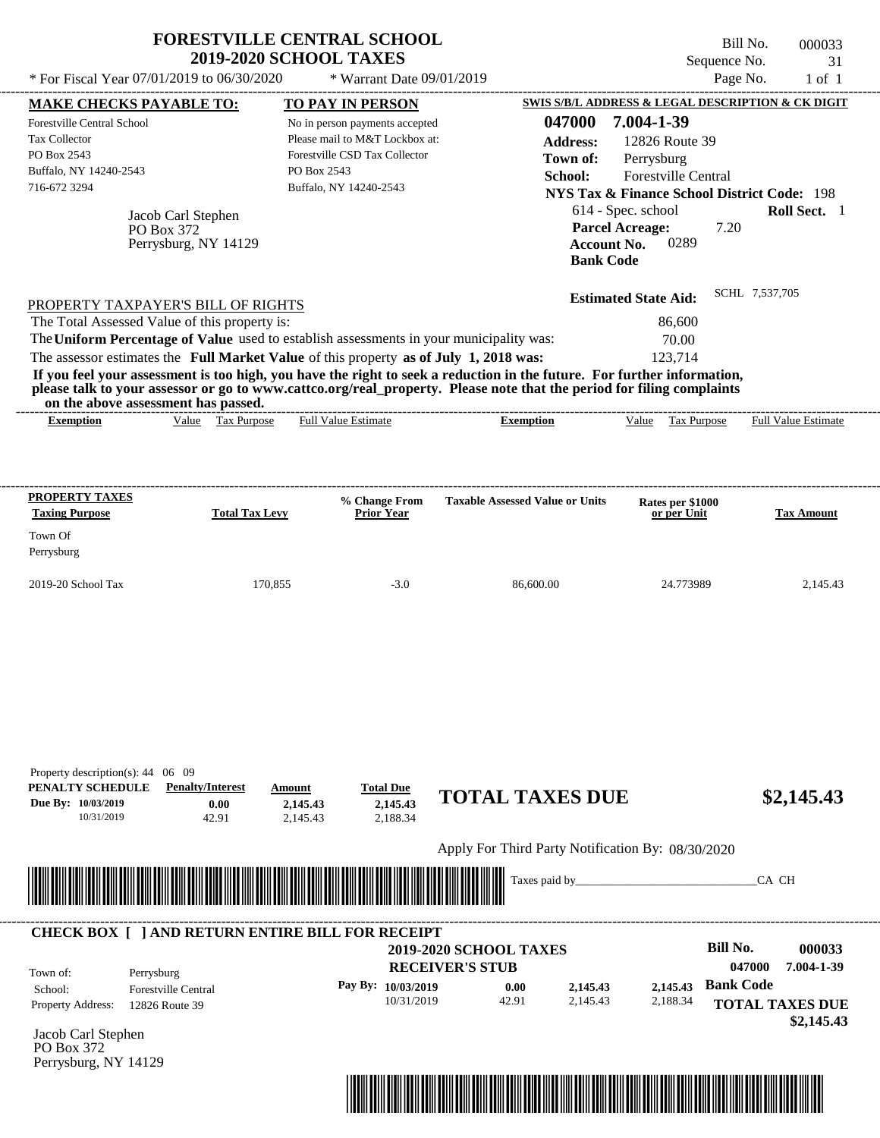| * For Fiscal Year 07/01/2019 to 06/30/2020                                                                                             | <b>FORESTVILLE CENTRAL SCHOOL</b>                        | <b>2019-2020 SCHOOL TAXES</b> | * Warrant Date 09/01/2019                                                                                                   |                                                                                                                                                                                                                                                  | Sequence No.<br>Page No.                                                                                                                                                                           | Bill No.<br>000033<br>31<br>$1$ of $1$ |
|----------------------------------------------------------------------------------------------------------------------------------------|----------------------------------------------------------|-------------------------------|-----------------------------------------------------------------------------------------------------------------------------|--------------------------------------------------------------------------------------------------------------------------------------------------------------------------------------------------------------------------------------------------|----------------------------------------------------------------------------------------------------------------------------------------------------------------------------------------------------|----------------------------------------|
|                                                                                                                                        |                                                          |                               | TO PAY IN PERSON                                                                                                            |                                                                                                                                                                                                                                                  | SWIS S/B/L ADDRESS & LEGAL DESCRIPTION & CK DIGIT                                                                                                                                                  |                                        |
| <b>MAKE CHECKS PAYABLE TO:</b><br>Forestville Central School<br>Tax Collector<br>PO Box 2543<br>Buffalo, NY 14240-2543<br>716-672 3294 | Jacob Carl Stephen<br>PO Box 372<br>Perrysburg, NY 14129 | PO Box 2543                   | No in person payments accepted<br>Please mail to M&T Lockbox at:<br>Forestville CSD Tax Collector<br>Buffalo, NY 14240-2543 | 047000<br><b>Address:</b><br>Town of:<br>School:<br><b>Account No.</b><br><b>Bank Code</b>                                                                                                                                                       | 7.004-1-39<br>12826 Route 39<br>Perrysburg<br><b>Forestville Central</b><br><b>NYS Tax &amp; Finance School District Code: 198</b><br>614 - Spec. school<br><b>Parcel Acreage:</b><br>7.20<br>0289 | Roll Sect. 1                           |
| PROPERTY TAXPAYER'S BILL OF RIGHTS                                                                                                     |                                                          |                               |                                                                                                                             |                                                                                                                                                                                                                                                  | <b>Estimated State Aid:</b>                                                                                                                                                                        | SCHL 7,537,705                         |
| The Total Assessed Value of this property is:                                                                                          |                                                          |                               |                                                                                                                             |                                                                                                                                                                                                                                                  | 86,600                                                                                                                                                                                             |                                        |
|                                                                                                                                        |                                                          |                               |                                                                                                                             | The Uniform Percentage of Value used to establish assessments in your municipality was:                                                                                                                                                          | 70.00                                                                                                                                                                                              |                                        |
| The assessor estimates the Full Market Value of this property as of July 1, 2018 was:                                                  |                                                          |                               |                                                                                                                             |                                                                                                                                                                                                                                                  | 123,714                                                                                                                                                                                            |                                        |
| on the above assessment has passed.                                                                                                    |                                                          |                               |                                                                                                                             | If you feel your assessment is too high, you have the right to seek a reduction in the future. For further information,<br>please talk to your assessor or go to www.cattco.org/real_property. Please note that the period for filing complaints |                                                                                                                                                                                                    |                                        |
| <b>Exemption</b>                                                                                                                       | Value Tax Purpose                                        |                               | <b>Full Value Estimate</b>                                                                                                  | <b>Exemption</b>                                                                                                                                                                                                                                 | Value Tax Purpose                                                                                                                                                                                  | <b>Full Value Estimate</b>             |
| <b>PROPERTY TAXES</b><br><b>Taxing Purpose</b><br>Town Of<br>Perrysburg                                                                | <b>Total Tax Levy</b>                                    |                               | % Change From<br><b>Prior Year</b>                                                                                          | <b>Taxable Assessed Value or Units</b>                                                                                                                                                                                                           | Rates per \$1000<br>or per Unit                                                                                                                                                                    | <b>Tax Amount</b>                      |
| 2019-20 School Tax                                                                                                                     |                                                          | 170,855                       | $-3.0$                                                                                                                      | 86,600.00                                                                                                                                                                                                                                        | 24.773989                                                                                                                                                                                          | 2,145.43                               |
| Property description(s): 44 06 09<br>PENALTY SCHEDULE                                                                                  | <b>Penalty/Interest</b>                                  | Amount                        | <b>Total Due</b>                                                                                                            |                                                                                                                                                                                                                                                  |                                                                                                                                                                                                    |                                        |
| Due By: 10/03/2019<br>10/31/2019                                                                                                       | 0.00<br>42.91                                            | 2,145.43<br>2,145.43          | 2,145.43<br>2,188.34                                                                                                        | <b>TOTAL TAXES DUE</b>                                                                                                                                                                                                                           |                                                                                                                                                                                                    | \$2,145.43                             |

Apply For Third Party Notification By: 08/30/2020



# **RECEIVER'S STUB Bill No. 000033 Pay By: 10/03/2019 b 0.00 c 2,145.43 b 2,145.43 Bank Code** Property Address: 12826 Route 39 Perrysburg School: Forestville Central **TOTAL TAXES DUE \$2,145.43 2019-2020 SCHOOL TAXES 047000 7.004-1-39** 10/31/2019 42.91 **0.00** 2,145.43 **2,145.43** 2,188.34 **2,145.43** Town of: ---------------------------------------------------------------------------------------------------------------------------------------------------------------------------------------------------- **CHECK BOX [ ] AND RETURN ENTIRE BILL FOR RECEIPT**

Jacob Carl Stephen PO Box 372 Perrysburg, NY 14129

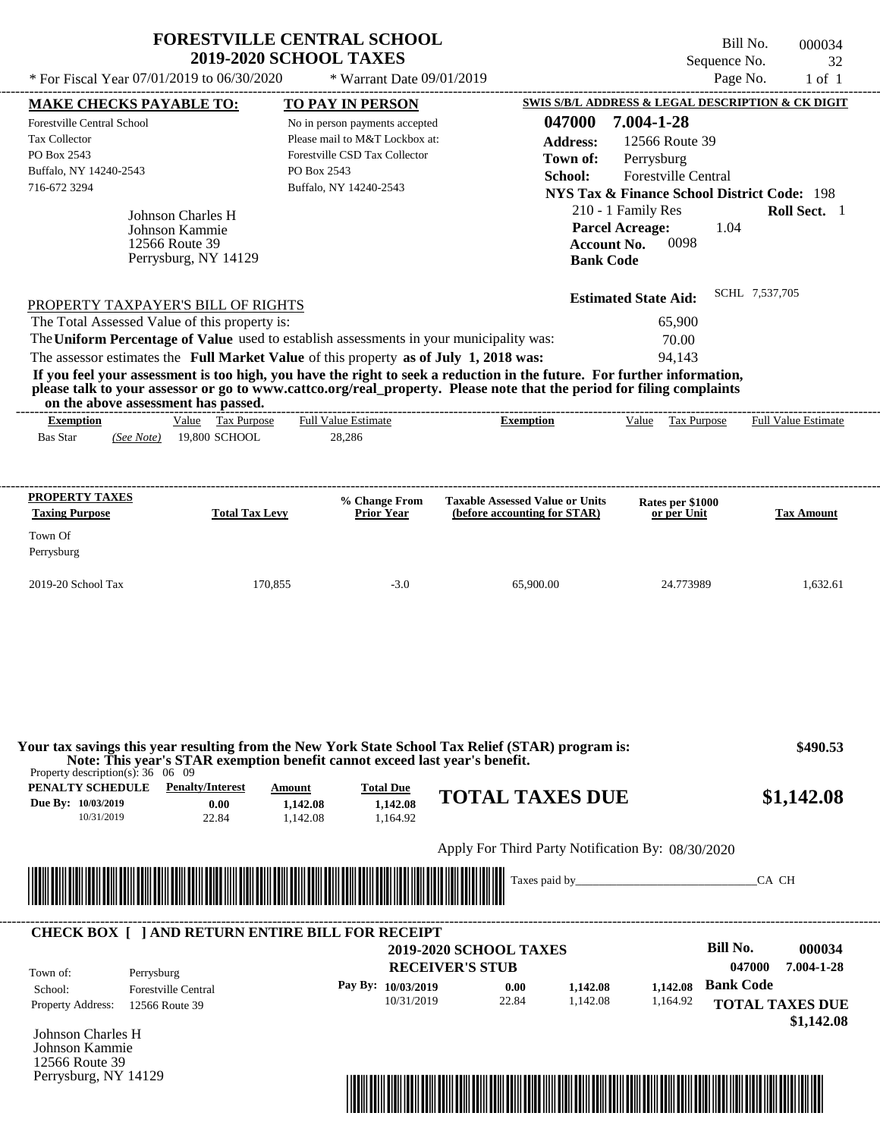| * For Fiscal Year $07/01/2019$ to $06/30/2020$ | <b>FORESTVILLE CENTRAL SCHOOL</b><br><b>2019-2020 SCHOOL TAXES</b><br>* Warrant Date $09/01/2019$ | Bill No.<br>000034<br>Sequence No.<br>32<br>Page No.<br>$1$ of $1$          |
|------------------------------------------------|---------------------------------------------------------------------------------------------------|-----------------------------------------------------------------------------|
| <b>MAKE CHECKS PAYABLE TO:</b>                 | <b>TO PAY IN PERSON</b>                                                                           | SWIS S/B/L ADDRESS & LEGAL DESCRIPTION & CK DIGIT                           |
| <b>Forestville Central School</b>              | No in person payments accepted                                                                    | 7.004-1-28<br>047000                                                        |
| Tax Collector                                  | Please mail to M&T Lockbox at:                                                                    | 12566 Route 39<br><b>Address:</b>                                           |
| PO Box 2543                                    | Forestyille CSD Tax Collector                                                                     | Perrysburg<br>Town of:                                                      |
| Buffalo, NY 14240-2543                         | PO Box 2543                                                                                       | School:<br><b>Forestville Central</b>                                       |
| 716-672 3294                                   | Buffalo, NY 14240-2543                                                                            | <b>NYS Tax &amp; Finance School District Code: 198</b>                      |
| Johnson Charles H<br>Johnson Kammie            |                                                                                                   | 210 - 1 Family Res<br><b>Roll Sect.</b> 1<br><b>Parcel Acreage:</b><br>1.04 |

| PROPERTY TAXPAYER'S BILL OF RIGHTS                                                      | <b>Estimated State Aid:</b> | SCHL 7,537,705 |
|-----------------------------------------------------------------------------------------|-----------------------------|----------------|
| The Total Assessed Value of this property is:                                           | 65,900                      |                |
| The Uniform Percentage of Value used to establish assessments in your municipality was: | 70.00                       |                |
| The assessor estimates the Full Market Value of this property as of July 1, 2018 was:   | 94.143                      |                |

**Account No.** 0098

**Bank Code**

**If you feel your assessment is too high, you have the right to seek a reduction in the future. For further information, please talk to your assessor or go to www.cattco.org/real\_property. Please note that the period for filing complaints on the above assessment has passed.** ----------------------------------------------------------------------------------------------------------------------------------------------------------------------------------------------------

12566 Route 39 Perrysburg, NY 14129

| <b>Exemption</b> |            | Value | Tax Purpose   | <b>Full Value Estimate</b> | <b>Exemption</b> | <u>Value</u> | Tax Purpose | <b>Full Value Estimate</b> |
|------------------|------------|-------|---------------|----------------------------|------------------|--------------|-------------|----------------------------|
| <b>Bas Star</b>  | (See Note) |       | 19,800 SCHOOL | 28.286                     |                  |              |             |                            |
|                  |            |       |               |                            |                  |              |             |                            |

| <b>PROPERTY TAXES</b><br><b>Taxing Purpose</b> | <b>Total Tax Levy</b> | % Change From<br><b>Prior Year</b> | <b>Taxable Assessed Value or Units</b><br>(before accounting for STAR) | <b>Rates per \$1000</b><br>or per Unit | <b>Tax Amount</b> |
|------------------------------------------------|-----------------------|------------------------------------|------------------------------------------------------------------------|----------------------------------------|-------------------|
| Town Of<br>Perrysburg                          |                       |                                    |                                                                        |                                        |                   |
| $2019-20$ School Tax                           | 170,855               | $-3.0$                             | 65,900.00                                                              | 24.773989                              | 1.632.61          |

| Property description(s): $36 \quad 06 \quad 09$      | Note: This year's STAR exemption benefit cannot exceed last year's benefit. |                                |                                          |                                                         |  |                    |                      |
|------------------------------------------------------|-----------------------------------------------------------------------------|--------------------------------|------------------------------------------|---------------------------------------------------------|--|--------------------|----------------------|
| PENALTY SCHEDULE<br>Due By: 10/03/2019<br>10/31/2019 | <b>Penalty/Interest</b><br>0.00<br>22.84                                    | Amount<br>1,142.08<br>1.142.08 | <b>Total Due</b><br>1,142.08<br>1.164.92 | <b>TOTAL TAXES DUE</b>                                  |  |                    | \$1,142.08           |
|                                                      |                                                                             |                                |                                          | Apply For Third Party Notification By: 08/30/2020       |  |                    |                      |
|                                                      |                                                                             |                                |                                          |                                                         |  | CA CH              |                      |
|                                                      |                                                                             |                                |                                          |                                                         |  |                    |                      |
| Town of:                                             | <b>CHECK BOX [ ] AND RETURN ENTIRE BILL FOR RECEIPT</b><br>Perrysburg       |                                |                                          | <b>2019-2020 SCHOOL TAXES</b><br><b>RECEIVER'S STUB</b> |  | Bill No.<br>047000 | 000034<br>7.004-1-28 |

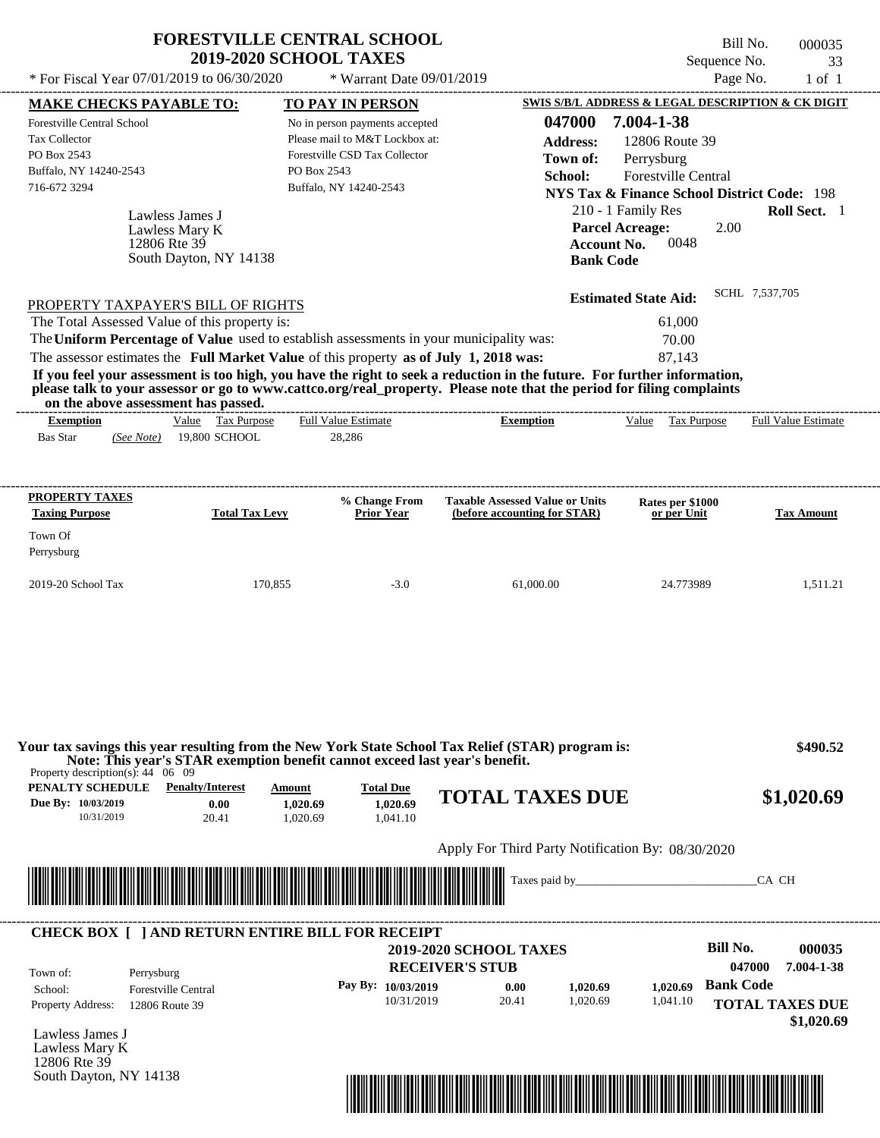| <b>FORESTVILLE CENTRAL SCHOOL</b> |  |
|-----------------------------------|--|
| <b>2019-2020 SCHOOL TAXES</b>     |  |

Bill No. 000035 Sequence No. 33

| * For Fiscal Year 07/01/2019 to 06/30/2020                                                                                                                                                                                          |                        |                                | * Warrant Date 09/01/2019 |                        |                                        |                  |                                                        | Page No.         | $1$ of $1$             |
|-------------------------------------------------------------------------------------------------------------------------------------------------------------------------------------------------------------------------------------|------------------------|--------------------------------|---------------------------|------------------------|----------------------------------------|------------------|--------------------------------------------------------|------------------|------------------------|
| <b>MAKE CHECKS PAYABLE TO:</b>                                                                                                                                                                                                      |                        | TO PAY IN PERSON               |                           |                        |                                        |                  | SWIS S/B/L ADDRESS & LEGAL DESCRIPTION & CK DIGIT      |                  |                        |
| <b>Forestville Central School</b>                                                                                                                                                                                                   |                        | No in person payments accepted |                           |                        | 047000                                 |                  | 7.004-1-38                                             |                  |                        |
| Tax Collector                                                                                                                                                                                                                       |                        | Please mail to M&T Lockbox at: |                           |                        | <b>Address:</b>                        |                  | 12806 Route 39                                         |                  |                        |
| PO Box 2543                                                                                                                                                                                                                         |                        | Forestville CSD Tax Collector  |                           |                        | Town of:                               |                  | Perrysburg                                             |                  |                        |
| Buffalo, NY 14240-2543                                                                                                                                                                                                              |                        | PO Box 2543                    |                           |                        | School:                                |                  | <b>Forestville Central</b>                             |                  |                        |
| 716-672 3294                                                                                                                                                                                                                        |                        | Buffalo, NY 14240-2543         |                           |                        |                                        |                  | <b>NYS Tax &amp; Finance School District Code: 198</b> |                  |                        |
| Lawless James J                                                                                                                                                                                                                     |                        |                                |                           |                        |                                        |                  | 210 - 1 Family Res                                     |                  | Roll Sect. 1           |
| Lawless Mary K                                                                                                                                                                                                                      |                        |                                |                           |                        |                                        |                  | <b>Parcel Acreage:</b>                                 | 2.00             |                        |
| 12806 Rte 39                                                                                                                                                                                                                        |                        |                                |                           |                        |                                        |                  | 0048<br><b>Account No.</b>                             |                  |                        |
|                                                                                                                                                                                                                                     | South Dayton, NY 14138 |                                |                           |                        |                                        | <b>Bank Code</b> |                                                        |                  |                        |
|                                                                                                                                                                                                                                     |                        |                                |                           |                        |                                        |                  | <b>Estimated State Aid:</b>                            | SCHL 7,537,705   |                        |
| PROPERTY TAXPAYER'S BILL OF RIGHTS<br>The Total Assessed Value of this property is:                                                                                                                                                 |                        |                                |                           |                        |                                        |                  | 61,000                                                 |                  |                        |
| The Uniform Percentage of Value used to establish assessments in your municipality was:                                                                                                                                             |                        |                                |                           |                        |                                        |                  | 70.00                                                  |                  |                        |
| The assessor estimates the Full Market Value of this property as of July 1, 2018 was:                                                                                                                                               |                        |                                |                           |                        |                                        |                  | 87,143                                                 |                  |                        |
| If you feel your assessment is too high, you have the right to seek a reduction in the future. For further information,                                                                                                             |                        |                                |                           |                        |                                        |                  |                                                        |                  |                        |
| please talk to your assessor or go to www.cattco.org/real property. Please note that the period for filing complaints                                                                                                               |                        |                                |                           |                        |                                        |                  |                                                        |                  |                        |
| on the above assessment has passed.                                                                                                                                                                                                 |                        |                                |                           |                        |                                        |                  |                                                        |                  |                        |
| <b>Exemption</b>                                                                                                                                                                                                                    | Value Tax Purpose      | <b>Full Value Estimate</b>     |                           |                        | <b>Exemption</b>                       |                  | Value Tax Purpose                                      |                  | Full Value Estimate    |
| <b>Bas Star</b><br>(See Note)                                                                                                                                                                                                       | 19,800 SCHOOL          | 28,286                         |                           |                        |                                        |                  |                                                        |                  |                        |
|                                                                                                                                                                                                                                     |                        |                                |                           |                        |                                        |                  |                                                        |                  |                        |
|                                                                                                                                                                                                                                     |                        |                                |                           |                        |                                        |                  |                                                        |                  |                        |
| <b>PROPERTY TAXES</b>                                                                                                                                                                                                               |                        |                                | % Change From             |                        | <b>Taxable Assessed Value or Units</b> |                  | Rates per \$1000                                       |                  |                        |
| <b>Taxing Purpose</b>                                                                                                                                                                                                               | <b>Total Tax Levy</b>  |                                | <b>Prior Year</b>         |                        | (before accounting for STAR)           |                  | or per Unit                                            |                  | <b>Tax Amount</b>      |
| Town Of                                                                                                                                                                                                                             |                        |                                |                           |                        |                                        |                  |                                                        |                  |                        |
| Perrysburg                                                                                                                                                                                                                          |                        |                                |                           |                        |                                        |                  |                                                        |                  |                        |
|                                                                                                                                                                                                                                     |                        |                                |                           |                        |                                        |                  |                                                        |                  |                        |
| 2019-20 School Tax                                                                                                                                                                                                                  | 170,855                |                                | $-3.0$                    |                        | 61,000.00                              |                  | 24.773989                                              |                  | 1,511.21               |
|                                                                                                                                                                                                                                     |                        |                                |                           |                        |                                        |                  |                                                        |                  |                        |
|                                                                                                                                                                                                                                     |                        |                                |                           |                        |                                        |                  |                                                        |                  |                        |
| Your tax savings this year resulting from the New York State School Tax Relief (STAR) program is:<br>Note: This year's STAR exemption benefit cannot exceed last year's benefit.<br>Property description(s): $44 \quad 06 \quad 09$ |                        |                                |                           |                        |                                        |                  |                                                        |                  | \$490.52               |
| <b>PENALTY SCHEDULE</b> Penalty/Interest                                                                                                                                                                                            |                        | <b>Amount</b>                  | <b>Total Due</b>          |                        |                                        |                  |                                                        |                  |                        |
| Due By: 10/03/2019                                                                                                                                                                                                                  | 0.00                   | 1,020.69                       | 1,020.69                  |                        | <b>TOTAL TAXES DUE</b>                 |                  |                                                        |                  | \$1,020.69             |
| 10/31/2019                                                                                                                                                                                                                          | 20.41                  | 1,020.69                       | 1,041.10                  |                        |                                        |                  |                                                        |                  |                        |
|                                                                                                                                                                                                                                     |                        |                                |                           |                        |                                        |                  | Apply For Third Party Notification By: 08/30/2020      |                  |                        |
|                                                                                                                                                                                                                                     |                        |                                |                           |                        |                                        |                  |                                                        |                  |                        |
|                                                                                                                                                                                                                                     |                        |                                |                           |                        |                                        |                  |                                                        |                  | CA CH                  |
|                                                                                                                                                                                                                                     |                        |                                |                           |                        |                                        |                  |                                                        |                  |                        |
| <b>CHECK BOX [ ] AND RETURN ENTIRE BILL FOR RECEIPT</b>                                                                                                                                                                             |                        |                                |                           | 2019-2020 SCHOOL TAXES |                                        |                  |                                                        | <b>Bill No.</b>  | 000035                 |
| Town of:<br>Perrysburg                                                                                                                                                                                                              |                        |                                |                           | <b>RECEIVER'S STUB</b> |                                        |                  |                                                        | 047000           | 7.004-1-38             |
| School:<br><b>Forestville Central</b>                                                                                                                                                                                               |                        |                                | Pay By: 10/03/2019        |                        | 0.00                                   | 1,020.69         | 1.020.69                                               | <b>Bank Code</b> |                        |
| <b>Property Address:</b><br>12806 Route 39                                                                                                                                                                                          |                        |                                | 10/31/2019                |                        | 20.41                                  | 1,020.69         | 1,041.10                                               |                  | <b>TOTAL TAXES DUE</b> |
|                                                                                                                                                                                                                                     |                        |                                |                           |                        |                                        |                  |                                                        |                  | \$1,020.69             |
| Lawless James J                                                                                                                                                                                                                     |                        |                                |                           |                        |                                        |                  |                                                        |                  |                        |
| Lawless Mary K<br>12806 Rte 39                                                                                                                                                                                                      |                        |                                |                           |                        |                                        |                  |                                                        |                  |                        |
| South Dayton, NY 14138                                                                                                                                                                                                              |                        |                                |                           |                        |                                        |                  |                                                        |                  |                        |
|                                                                                                                                                                                                                                     |                        |                                |                           |                        |                                        |                  |                                                        |                  |                        |

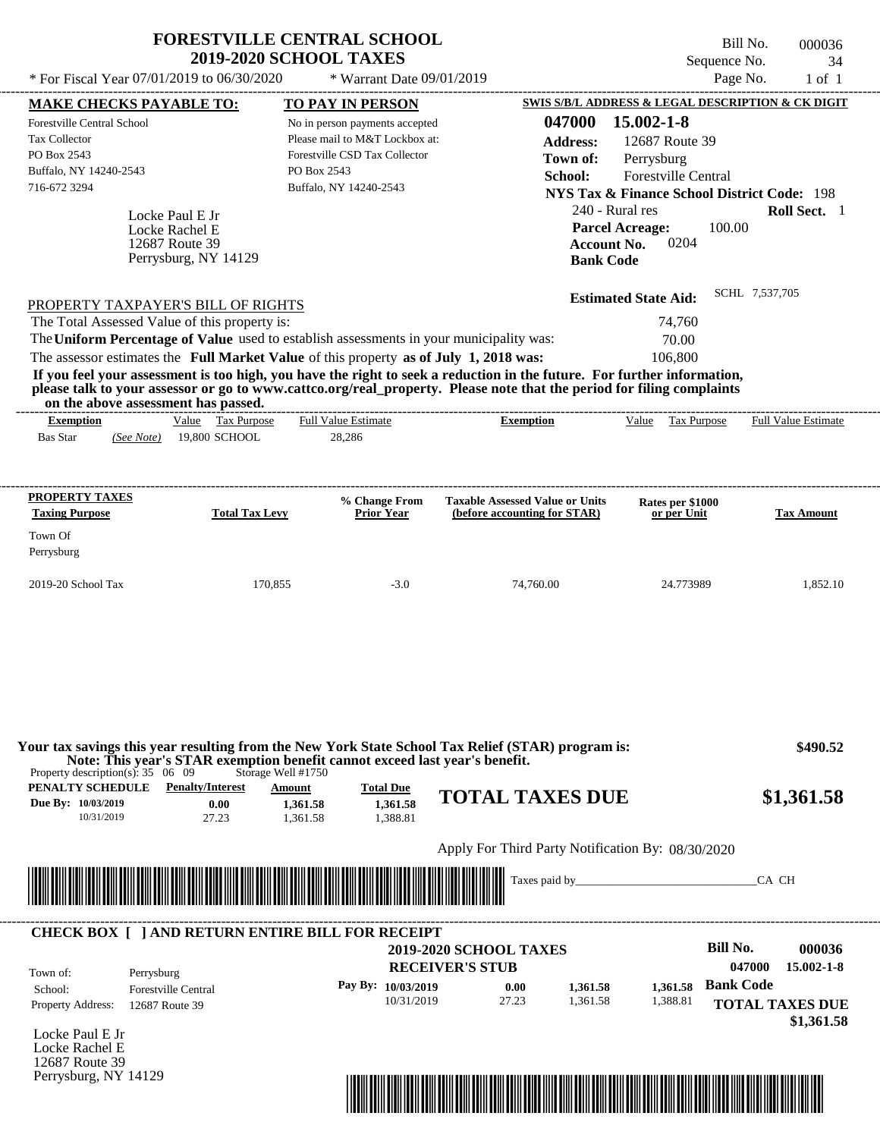|                                                                                         | <b>2019-2020 SCHOOL TAXES</b>                                                                                         |                                        | Bill No.<br>Sequence No.                               | 000036<br>34               |
|-----------------------------------------------------------------------------------------|-----------------------------------------------------------------------------------------------------------------------|----------------------------------------|--------------------------------------------------------|----------------------------|
| * For Fiscal Year 07/01/2019 to 06/30/2020                                              | * Warrant Date 09/01/2019                                                                                             |                                        | Page No.                                               | $1$ of $1$                 |
| <b>MAKE CHECKS PAYABLE TO:</b>                                                          | TO PAY IN PERSON                                                                                                      |                                        | SWIS S/B/L ADDRESS & LEGAL DESCRIPTION & CK DIGIT      |                            |
| Forestville Central School                                                              | No in person payments accepted                                                                                        | 047000                                 | 15.002-1-8                                             |                            |
| <b>Tax Collector</b>                                                                    | Please mail to M&T Lockbox at:                                                                                        | <b>Address:</b>                        | 12687 Route 39                                         |                            |
| PO Box 2543                                                                             | Forestville CSD Tax Collector                                                                                         | Town of:                               | Perrysburg                                             |                            |
| Buffalo, NY 14240-2543                                                                  | PO Box 2543                                                                                                           | School:                                | <b>Forestville Central</b>                             |                            |
| 716-672 3294                                                                            | Buffalo, NY 14240-2543                                                                                                |                                        | <b>NYS Tax &amp; Finance School District Code: 198</b> |                            |
| Locke Paul E Jr                                                                         |                                                                                                                       |                                        | 240 - Rural res                                        | Roll Sect. 1               |
| Locke Rachel E                                                                          |                                                                                                                       |                                        | 100.00<br><b>Parcel Acreage:</b>                       |                            |
| 12687 Route 39                                                                          |                                                                                                                       | <b>Account No.</b>                     | 0204                                                   |                            |
| Perrysburg, NY 14129                                                                    |                                                                                                                       | <b>Bank Code</b>                       |                                                        |                            |
|                                                                                         |                                                                                                                       |                                        | <b>Estimated State Aid:</b>                            | SCHL 7,537,705             |
| PROPERTY TAXPAYER'S BILL OF RIGHTS                                                      |                                                                                                                       |                                        |                                                        |                            |
| The Total Assessed Value of this property is:                                           |                                                                                                                       |                                        | 74,760                                                 |                            |
| The Uniform Percentage of Value used to establish assessments in your municipality was: |                                                                                                                       |                                        | 70.00                                                  |                            |
| The assessor estimates the Full Market Value of this property as of July 1, 2018 was:   |                                                                                                                       |                                        | 106,800                                                |                            |
|                                                                                         | please talk to your assessor or go to www.cattco.org/real_property. Please note that the period for filing complaints |                                        |                                                        |                            |
| on the above assessment has passed.<br>Value Tax Purpose<br><b>Exemption</b>            | <b>Full Value Estimate</b>                                                                                            | <b>Exemption</b>                       | Value<br>Tax Purpose                                   | <b>Full Value Estimate</b> |
| <b>Bas Star</b><br>19,800 SCHOOL<br>(See Note)                                          | 28,286                                                                                                                |                                        |                                                        |                            |
| PROPERTY TAXES                                                                          | % Change From                                                                                                         | <b>Taxable Assessed Value or Units</b> | Rates per \$1000                                       |                            |
| <b>Taxing Purpose</b>                                                                   | <b>Total Tax Levy</b><br>Prior Year                                                                                   | (before accounting for STAR)           | or per Unit                                            |                            |
|                                                                                         |                                                                                                                       |                                        |                                                        | <b>Tax Amount</b>          |
| Town Of<br>Perrysburg                                                                   |                                                                                                                       |                                        |                                                        |                            |
| 2019-20 School Tax                                                                      | 170,855<br>$-3.0$                                                                                                     | 74.760.00                              | 24.773989                                              | 1,852.10                   |
|                                                                                         |                                                                                                                       |                                        |                                                        |                            |

| PENALTY SCHEDULE   | <b>Penalty/Interest</b> | Amount  | <b>Total Due</b> |                        |            |
|--------------------|-------------------------|---------|------------------|------------------------|------------|
| Due By: 10/03/2019 | 0.00                    | .361.58 | 1.361.58         | <b>TOTAL TAXES DUE</b> | \$1,361.58 |
| 10/31/2019         |                         | .361.58 | .388.81          |                        |            |

# Apply For Third Party Notification By: 08/30/2020



| Town of:                 | Perrysburg                 | <b>2019-2020 SCHOOL TAXES</b><br><b>RECEIVER'S STUB</b> |       |          |          | Bill No.<br>047000     | 000036<br>$15.002 - 1 - 8$ |
|--------------------------|----------------------------|---------------------------------------------------------|-------|----------|----------|------------------------|----------------------------|
| School:                  | <b>Forestville Central</b> | Pay By: 10/03/2019                                      | 0.00  | 1.361.58 | 1.361.58 | <b>Bank Code</b>       |                            |
| <b>Property Address:</b> | 12687 Route 39             | 10/31/2019                                              | 27.23 | 1.361.58 | 1,388.81 | <b>TOTAL TAXES DUE</b> |                            |

Locke Paul E Jr Locke Rachel E 12687 Route 39 Perrysburg, NY 14129

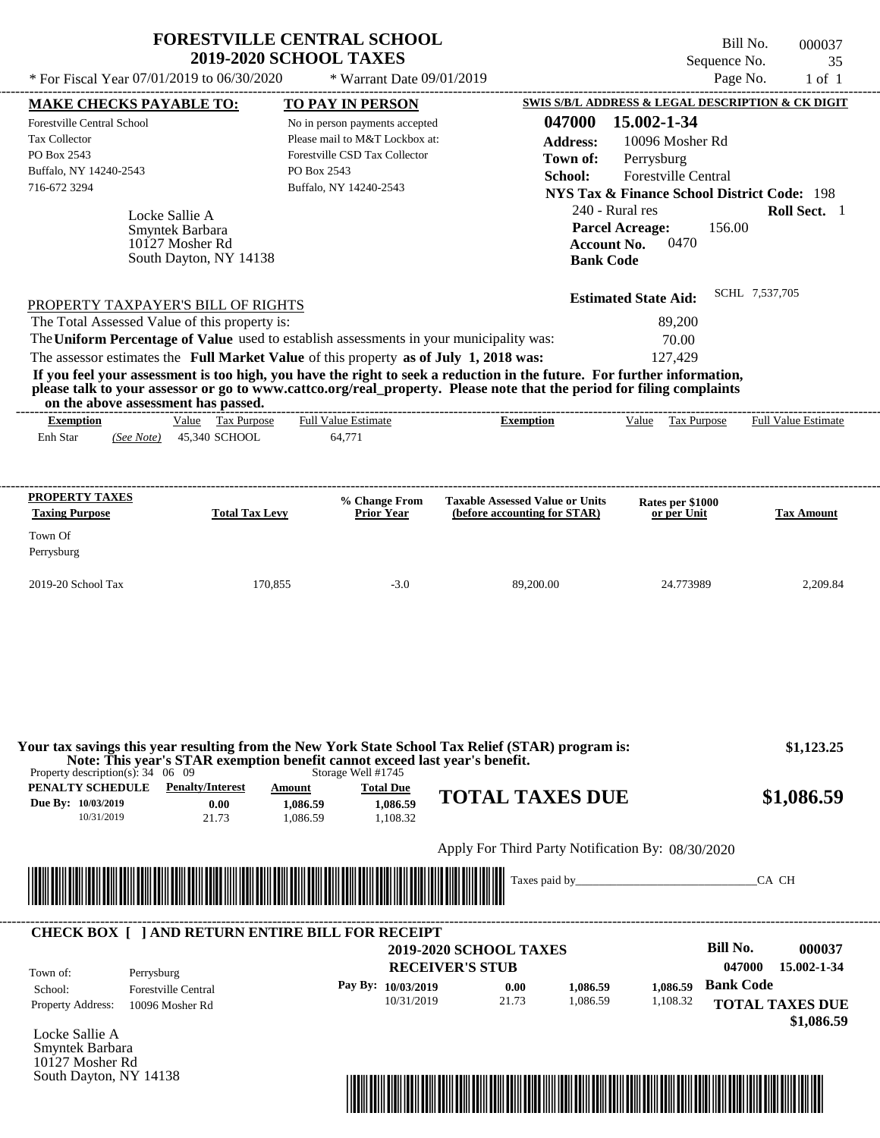| * For Fiscal Year 07/01/2019 to 06/30/2020                                                                                                                                                                                                                                                                                                                                                                                                                                                                                                                         | <b>FORESTVILLE CENTRAL SCHOOL</b><br><b>2019-2020 SCHOOL TAXES</b><br>* Warrant Date 09/01/2019                                                                       |                                                                        | Bill No.<br>Sequence No.<br>Page No.                                                                                                                                                                                                                                | 000037<br>35<br>$1$ of $1$ |
|--------------------------------------------------------------------------------------------------------------------------------------------------------------------------------------------------------------------------------------------------------------------------------------------------------------------------------------------------------------------------------------------------------------------------------------------------------------------------------------------------------------------------------------------------------------------|-----------------------------------------------------------------------------------------------------------------------------------------------------------------------|------------------------------------------------------------------------|---------------------------------------------------------------------------------------------------------------------------------------------------------------------------------------------------------------------------------------------------------------------|----------------------------|
| <b>MAKE CHECKS PAYABLE TO:</b><br><b>Forestville Central School</b><br><b>Tax Collector</b><br>PO Box 2543<br>Buffalo, NY 14240-2543<br>716-672 3294<br>Locke Sallie A<br>Smyntek Barbara<br>10127 Mosher Rd<br>South Dayton, NY 14138                                                                                                                                                                                                                                                                                                                             | <b>TO PAY IN PERSON</b><br>No in person payments accepted<br>Please mail to M&T Lockbox at:<br>Forestville CSD Tax Collector<br>PO Box 2543<br>Buffalo, NY 14240-2543 | 047000<br>Address:<br>Town of:<br>School:<br><b>Bank Code</b>          | SWIS S/B/L ADDRESS & LEGAL DESCRIPTION & CK DIGIT<br>15.002-1-34<br>10096 Mosher Rd<br>Perrysburg<br><b>Forestville Central</b><br>NYS Tax & Finance School District Code: 198<br>240 - Rural res<br><b>Parcel Acreage:</b><br>156.00<br>0470<br><b>Account No.</b> | Roll Sect. 1               |
| PROPERTY TAXPAYER'S BILL OF RIGHTS<br>The Total Assessed Value of this property is:<br>The Uniform Percentage of Value used to establish assessments in your municipality was:<br>The assessor estimates the Full Market Value of this property as of July 1, 2018 was:<br>If you feel your assessment is too high, you have the right to seek a reduction in the future. For further information,<br>please talk to your assessor or go to www.cattco.org/real_property. Please note that the period for filing complaints<br>on the above assessment has passed. |                                                                                                                                                                       |                                                                        | <b>Estimated State Aid:</b><br>89.200<br>70.00<br>127.429                                                                                                                                                                                                           | SCHL 7,537,705             |
| Value Tax Purpose<br><b>Exemption</b><br>Enh Star<br>45,340 SCHOOL<br>(See Note)                                                                                                                                                                                                                                                                                                                                                                                                                                                                                   | <b>Full Value Estimate</b><br>64,771                                                                                                                                  | <b>Exemption</b>                                                       | Value<br>Tax Purpose                                                                                                                                                                                                                                                | <b>Full Value Estimate</b> |
| PROPERTY TAXES<br><b>Taxing Purpose</b><br><b>Total Tax Levy</b>                                                                                                                                                                                                                                                                                                                                                                                                                                                                                                   | % Change From<br><b>Prior Year</b>                                                                                                                                    | <b>Taxable Assessed Value or Units</b><br>(before accounting for STAR) | Rates per \$1000<br>or per Unit                                                                                                                                                                                                                                     | <b>Tax Amount</b>          |

| Perrysburg         |         |        |           |           |          |
|--------------------|---------|--------|-----------|-----------|----------|
| 2019-20 School Tax | 170,855 | $-3.0$ | 89,200.00 | 24.773989 | 2,209.84 |
|                    |         |        |           |           |          |

Town Of

South Dayton, NY 14138

| Property description(s): $34 \quad 06 \quad 09$      | Your tax savings this year resulting from the New York State School Tax Relief (STAR) program is:<br>Note: This year's STAR exemption benefit cannot exceed last year's benefit. |                                | Storage Well #1745                       |                                                         |               | \$1,123.25                                  |
|------------------------------------------------------|----------------------------------------------------------------------------------------------------------------------------------------------------------------------------------|--------------------------------|------------------------------------------|---------------------------------------------------------|---------------|---------------------------------------------|
| PENALTY SCHEDULE<br>Due By: 10/03/2019<br>10/31/2019 | <b>Penalty/Interest</b><br>0.00<br>21.73                                                                                                                                         | Amount<br>1.086.59<br>1.086.59 | <b>Total Due</b><br>1.086.59<br>1,108.32 | <b>TOTAL TAXES DUE</b>                                  |               | \$1,086.59                                  |
|                                                      |                                                                                                                                                                                  |                                |                                          | Apply For Third Party Notification By: 08/30/2020       |               |                                             |
|                                                      |                                                                                                                                                                                  |                                |                                          |                                                         |               |                                             |
|                                                      |                                                                                                                                                                                  |                                |                                          | <u>' IIII IIII IIIII IIII III</u>                       | Taxes paid by | CA CH                                       |
| Town of:                                             | <b>CHECK BOX [ ] AND RETURN ENTIRE BILL FOR RECEIPT</b><br>Perrysburg                                                                                                            |                                |                                          | <b>2019-2020 SCHOOL TAXES</b><br><b>RECEIVER'S STUB</b> |               | Bill No.<br>000037<br>047000<br>15.002-1-34 |

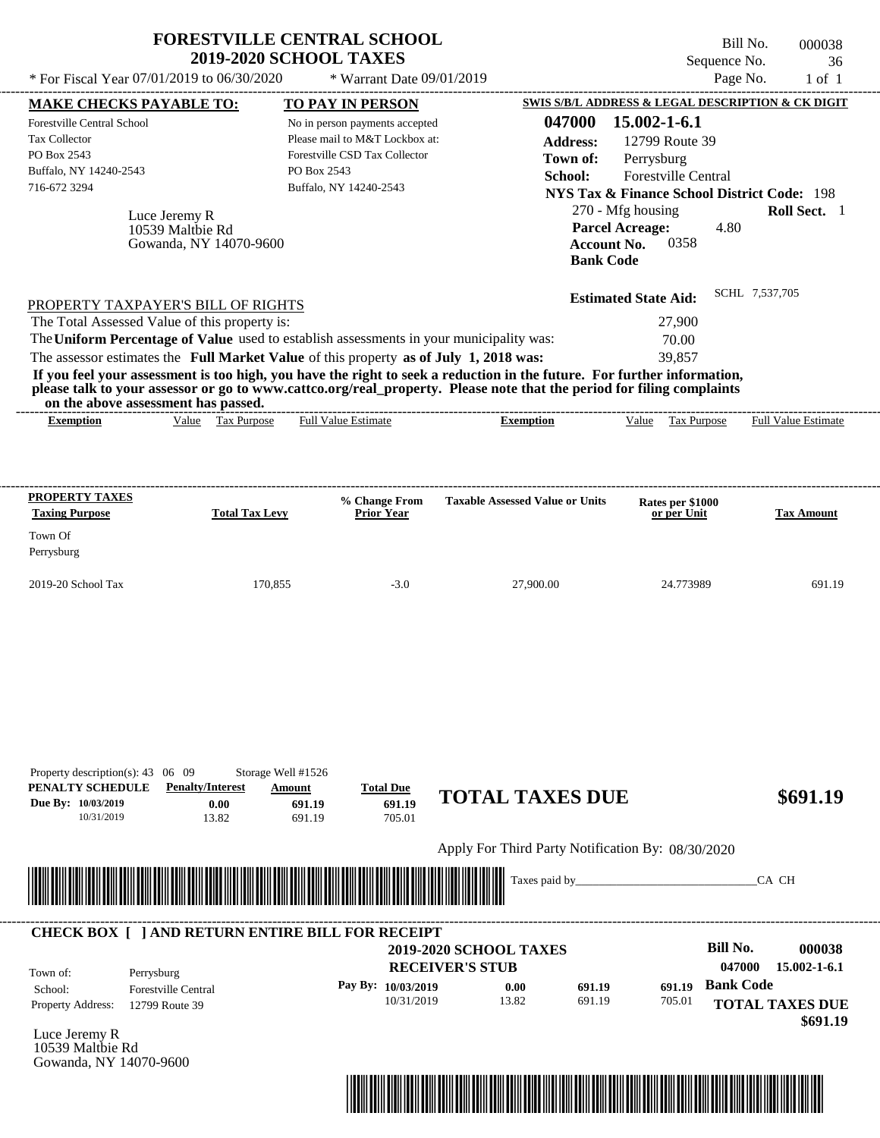|                                                                                                                                                            |                                                             | <b>FORESTVILLE CENTRAL SCHOOL</b><br><b>2019-2020 SCHOOL TAXES</b>                                                                                                               |                                                                                                                                                                                                                                                  | Bill No.<br>Sequence No.                                                                                                                                                                     | 000038<br>36        |
|------------------------------------------------------------------------------------------------------------------------------------------------------------|-------------------------------------------------------------|----------------------------------------------------------------------------------------------------------------------------------------------------------------------------------|--------------------------------------------------------------------------------------------------------------------------------------------------------------------------------------------------------------------------------------------------|----------------------------------------------------------------------------------------------------------------------------------------------------------------------------------------------|---------------------|
| * For Fiscal Year 07/01/2019 to 06/30/2020                                                                                                                 |                                                             | * Warrant Date 09/01/2019                                                                                                                                                        |                                                                                                                                                                                                                                                  | Page No.                                                                                                                                                                                     | $1$ of $1$          |
| <b>MAKE CHECKS PAYABLE TO:</b>                                                                                                                             |                                                             | <b>TO PAY IN PERSON</b>                                                                                                                                                          |                                                                                                                                                                                                                                                  | SWIS S/B/L ADDRESS & LEGAL DESCRIPTION & CK DIGIT                                                                                                                                            |                     |
| <b>Forestville Central School</b><br>Tax Collector<br>PO Box 2543<br>Buffalo, NY 14240-2543<br>716-672 3294                                                | Luce Jeremy R<br>10539 Maltbie Rd<br>Gowanda, NY 14070-9600 | No in person payments accepted<br>Please mail to M&T Lockbox at:<br>Forestville CSD Tax Collector<br>PO Box 2543<br>Buffalo, NY 14240-2543                                       | 047000<br><b>Address:</b><br>Town of:<br>School:<br><b>Account No.</b><br><b>Bank Code</b>                                                                                                                                                       | 15.002-1-6.1<br>12799 Route 39<br>Perrysburg<br>Forestville Central<br><b>NYS Tax &amp; Finance School District Code: 198</b><br>270 - Mfg housing<br><b>Parcel Acreage:</b><br>4.80<br>0358 | <b>Roll Sect.</b> 1 |
| PROPERTY TAXPAYER'S BILL OF RIGHTS<br>The Total Assessed Value of this property is:                                                                        |                                                             | The Uniform Percentage of Value used to establish assessments in your municipality was:<br>The assessor estimates the Full Market Value of this property as of July 1, 2018 was: | If you feel your assessment is too high, you have the right to seek a reduction in the future. For further information,<br>please talk to your assessor or go to www.cattco.org/real_property. Please note that the period for filing complaints | <b>Estimated State Aid:</b><br>27,900<br>70.00<br>39,857                                                                                                                                     | SCHL 7,537,705      |
| on the above assessment has passed.<br><b>Exemption</b>                                                                                                    | Value Tax Purpose                                           | <b>Full Value Estimate</b>                                                                                                                                                       | <b>Exemption</b>                                                                                                                                                                                                                                 | Value<br>Tax Purpose                                                                                                                                                                         | Full Value Estimate |
|                                                                                                                                                            |                                                             |                                                                                                                                                                                  |                                                                                                                                                                                                                                                  |                                                                                                                                                                                              |                     |
| <b>Taxing Purpose</b>                                                                                                                                      | <b>Total Tax Levy</b>                                       | % Change From<br><b>Prior Year</b>                                                                                                                                               | <b>Taxable Assessed Value or Units</b>                                                                                                                                                                                                           | Rates per \$1000<br>or per Unit                                                                                                                                                              | <b>Tax Amount</b>   |
|                                                                                                                                                            | 170,855                                                     | $-3.0$                                                                                                                                                                           | 27,900.00                                                                                                                                                                                                                                        | 24.773989                                                                                                                                                                                    |                     |
| PROPERTY TAXES<br>Town Of<br>Perrysburg<br>2019-20 School Tax<br>Property description(s): 43 06 09<br>PENALTY SCHEDULE<br>Due By: 10/03/2019<br>10/31/2019 | <b>Penalty/Interest</b><br>0.00<br>13.82                    | Storage Well #1526<br><b>Total Due</b><br>Amount<br>691.19<br>691.19<br>691.19<br>705.01                                                                                         | <b>TOTAL TAXES DUE</b>                                                                                                                                                                                                                           |                                                                                                                                                                                              | 691.19<br>\$691.19  |



## **RECEIVER'S STUB Bill No. 000038 Bank Code 691.19** Property Address: 12799 Route 39 Perrysburg School: Forestville Central **TOTAL TAXES DUE \$691.19 2019-2020 SCHOOL TAXES 047000 15.002-1-6.1 Pay By: 10/03/2019** 10/31/2019 **0.00** 691.19 **691.19** 705.01 Town of: ---------------------------------------------------------------------------------------------------------------------------------------------------------------------------------------------------- **CHECK BOX [ ] AND RETURN ENTIRE BILL FOR RECEIPT**

Luce Jeremy R 10539 Maltbie Rd Gowanda, NY 14070-9600

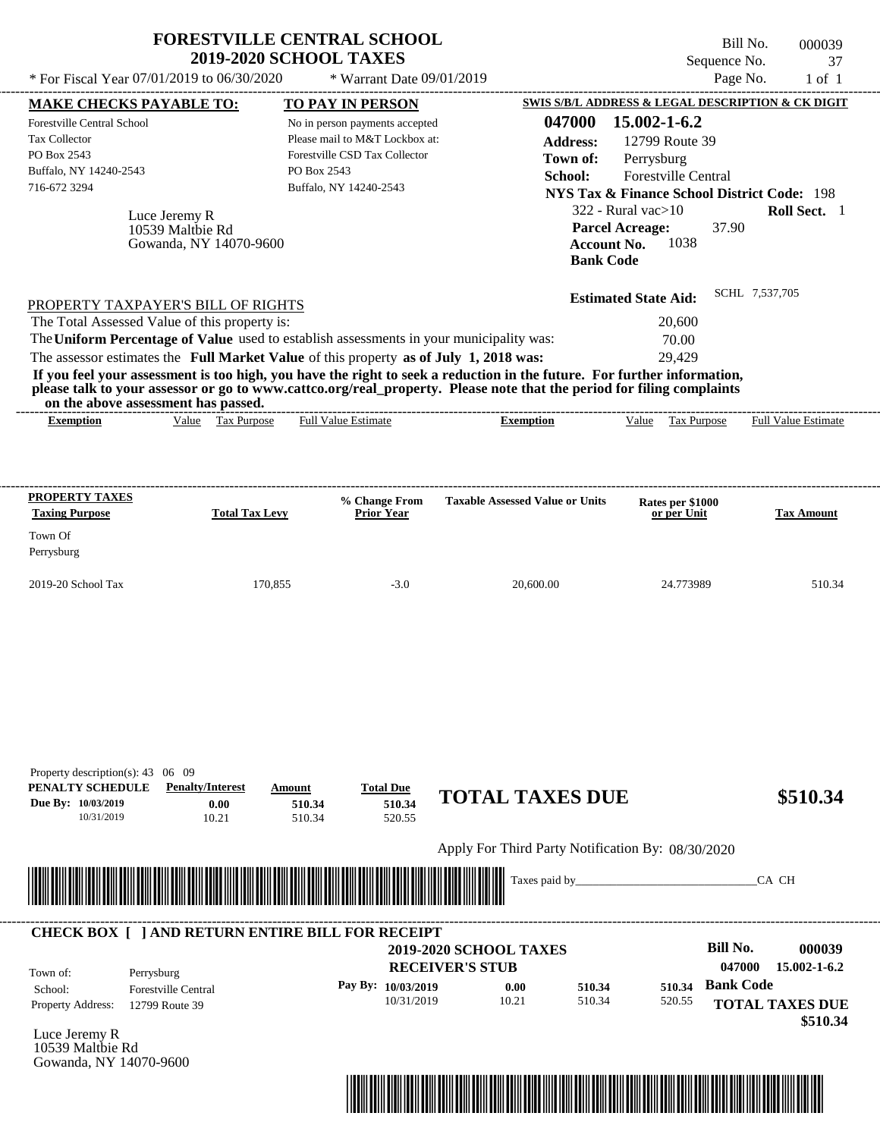| * For Fiscal Year 07/01/2019 to 06/30/2020                                                                                                                                                                                                                                                                     | <b>FORESTVILLE CENTRAL SCHOOL</b><br><b>2019-2020 SCHOOL TAXES</b> |                            | * Warrant Date 09/01/2019                                                                                                                       |                                                                                                                                                                                                                                                  | Sequence No.<br>Page No.                                                                                                                                                                                                                                                                         | Bill No.<br>000039<br>37<br>$1$ of $1$ |
|----------------------------------------------------------------------------------------------------------------------------------------------------------------------------------------------------------------------------------------------------------------------------------------------------------------|--------------------------------------------------------------------|----------------------------|-------------------------------------------------------------------------------------------------------------------------------------------------|--------------------------------------------------------------------------------------------------------------------------------------------------------------------------------------------------------------------------------------------------|--------------------------------------------------------------------------------------------------------------------------------------------------------------------------------------------------------------------------------------------------------------------------------------------------|----------------------------------------|
| <b>MAKE CHECKS PAYABLE TO:</b><br>Forestville Central School<br><b>Tax Collector</b><br>PO Box 2543<br>Buffalo, NY 14240-2543<br>716-672 3294                                                                                                                                                                  | Luce Jeremy R<br>10539 Maltbie Rd<br>Gowanda, NY 14070-9600        | PO Box 2543                | TO PAY IN PERSON<br>No in person payments accepted<br>Please mail to M&T Lockbox at:<br>Forestville CSD Tax Collector<br>Buffalo, NY 14240-2543 | 047000<br><b>Address:</b><br>Town of:<br>School:                                                                                                                                                                                                 | SWIS S/B/L ADDRESS & LEGAL DESCRIPTION & CK DIGIT<br>15.002-1-6.2<br>12799 Route 39<br>Perrysburg<br>Forestville Central<br><b>NYS Tax &amp; Finance School District Code: 198</b><br>322 - Rural vac $>10$<br><b>Parcel Acreage:</b><br>37.90<br>1038<br><b>Account No.</b><br><b>Bank Code</b> | Roll Sect. 1                           |
| PROPERTY TAXPAYER'S BILL OF RIGHTS<br>The Total Assessed Value of this property is:<br>The Uniform Percentage of Value used to establish assessments in your municipality was:<br>The assessor estimates the Full Market Value of this property as of July 1, 2018 was:<br>on the above assessment has passed. |                                                                    |                            |                                                                                                                                                 | If you feel your assessment is too high, you have the right to seek a reduction in the future. For further information,<br>please talk to your assessor or go to www.cattco.org/real_property. Please note that the period for filing complaints | <b>Estimated State Aid:</b><br>20,600<br>70.00<br>29.429                                                                                                                                                                                                                                         | SCHL 7,537,705                         |
| <b>Exemption</b>                                                                                                                                                                                                                                                                                               | Value Tax Purpose                                                  |                            | <b>Full Value Estimate</b>                                                                                                                      | <b>Exemption</b>                                                                                                                                                                                                                                 | <b>Tax Purpose</b><br>Value                                                                                                                                                                                                                                                                      | <b>Full Value Estimate</b>             |
| <b>PROPERTY TAXES</b><br><b>Taxing Purpose</b><br>Town Of<br>Perrysburg                                                                                                                                                                                                                                        | <b>Total Tax Levy</b>                                              |                            | % Change From<br><b>Prior Year</b>                                                                                                              | <b>Taxable Assessed Value or Units</b>                                                                                                                                                                                                           | Rates per \$1000<br>or per Unit                                                                                                                                                                                                                                                                  | <b>Tax Amount</b>                      |
| 2019-20 School Tax                                                                                                                                                                                                                                                                                             | 170,855                                                            |                            | $-3.0$                                                                                                                                          | 20,600.00                                                                                                                                                                                                                                        | 24.773989                                                                                                                                                                                                                                                                                        | 510.34                                 |
| Property description(s): 43 06 09<br>PENALTY SCHEDULE<br>Due Bv: 10/03/2019<br>10/31/2019                                                                                                                                                                                                                      | <b>Penalty/Interest</b><br>0.00<br>10.21                           | Amount<br>510.34<br>510.34 | <b>Total Due</b><br>510.34<br>520.55                                                                                                            | <b>TOTAL TAXES DUE</b>                                                                                                                                                                                                                           |                                                                                                                                                                                                                                                                                                  | \$510.34                               |
|                                                                                                                                                                                                                                                                                                                |                                                                    |                            |                                                                                                                                                 | Apply For Third Party Notification By: 08/30/2020                                                                                                                                                                                                |                                                                                                                                                                                                                                                                                                  |                                        |
|                                                                                                                                                                                                                                                                                                                |                                                                    |                            |                                                                                                                                                 | Taxes paid by_                                                                                                                                                                                                                                   |                                                                                                                                                                                                                                                                                                  | CA CH                                  |
| <b>CHECK BOX [ ] AND RETURN ENTIRE BILL FOR RECEIPT</b>                                                                                                                                                                                                                                                        |                                                                    |                            |                                                                                                                                                 | <b>2019-2020 SCHOOL TAXES</b><br><b>RECEIVER'S STUB</b>                                                                                                                                                                                          | <b>Bill No.</b><br>047000                                                                                                                                                                                                                                                                        | 000039<br>15.002-1-6.2                 |

| Town of:<br>School:      | Perrysburg                 | <b>RECEIVER'S STUB</b> |       |        |        | 047000<br>$15.002 - 1 - 6.2$ |  |  |
|--------------------------|----------------------------|------------------------|-------|--------|--------|------------------------------|--|--|
|                          | <b>Forestville Central</b> | Pay By: 10/03/2019     | 0.00  | 510.34 |        | 510.34 Bank Code             |  |  |
| <b>Property Address:</b> | 12799 Route 39             | 10/31/2019             | 10.21 | 510.34 | 520.55 | <b>TOTAL TAXES DUE</b>       |  |  |
|                          |                            |                        |       |        |        | \$510.34                     |  |  |

Luce Jeremy R 10539 Maltbie Rd Gowanda, NY 14070-9600



 **\$510.34**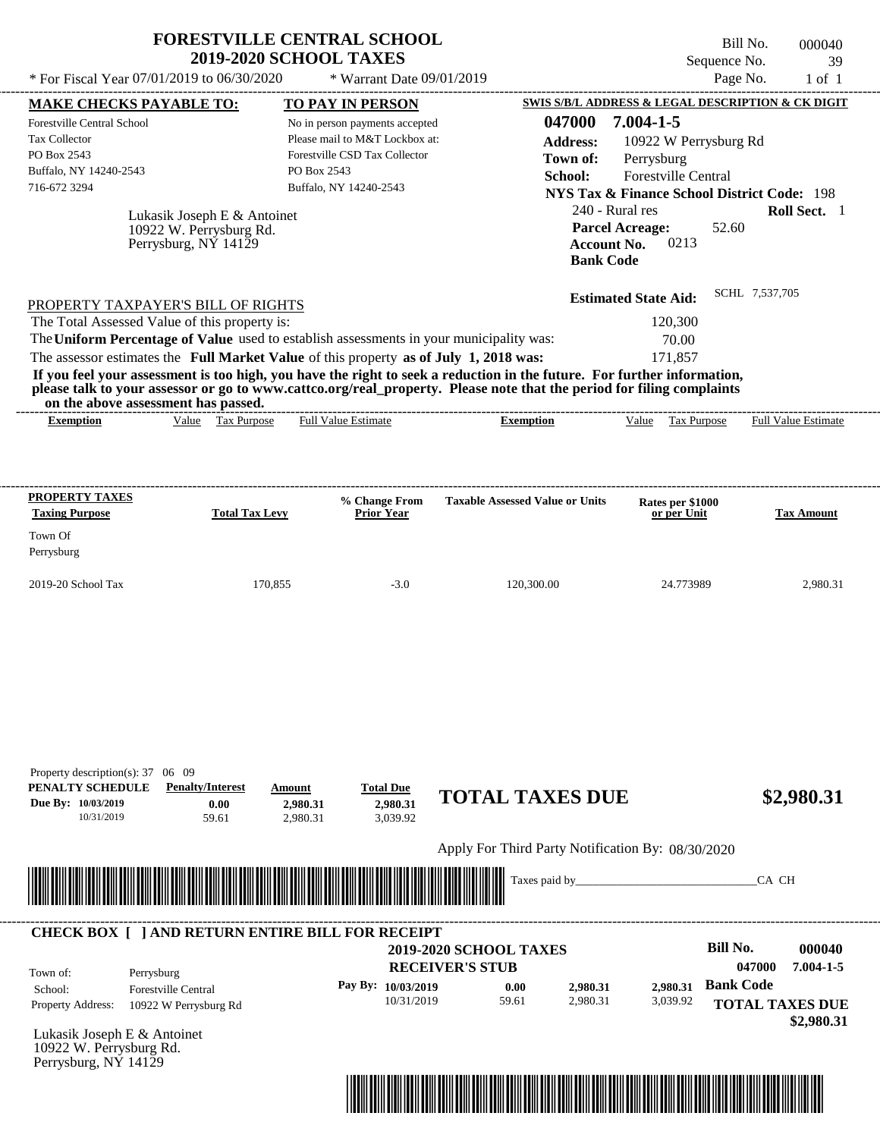|                                                                                                                                                                                                                                                                                                                | <b>FORESTVILLE CENTRAL SCHOOL</b><br><b>2019-2020 SCHOOL TAXES</b>             |                                       |                                                                                                   |                                                                                                                                                                                                                                                  | Sequence No.                                                                                                                               | Bill No.<br>000040<br>39      |
|----------------------------------------------------------------------------------------------------------------------------------------------------------------------------------------------------------------------------------------------------------------------------------------------------------------|--------------------------------------------------------------------------------|---------------------------------------|---------------------------------------------------------------------------------------------------|--------------------------------------------------------------------------------------------------------------------------------------------------------------------------------------------------------------------------------------------------|--------------------------------------------------------------------------------------------------------------------------------------------|-------------------------------|
| * For Fiscal Year 07/01/2019 to 06/30/2020                                                                                                                                                                                                                                                                     |                                                                                |                                       | * Warrant Date 09/01/2019                                                                         |                                                                                                                                                                                                                                                  |                                                                                                                                            | Page No.<br>$1$ of $1$        |
| MAKE CHECKS PAYABLE TO:                                                                                                                                                                                                                                                                                        |                                                                                | <b>TO PAY IN PERSON</b>               |                                                                                                   |                                                                                                                                                                                                                                                  | SWIS S/B/L ADDRESS & LEGAL DESCRIPTION & CK DIGIT                                                                                          |                               |
| Forestville Central School<br>Tax Collector<br>PO Box 2543<br>Buffalo, NY 14240-2543<br>716-672 3294                                                                                                                                                                                                           |                                                                                | PO Box 2543<br>Buffalo, NY 14240-2543 | No in person payments accepted<br>Please mail to M&T Lockbox at:<br>Forestville CSD Tax Collector | 047000<br><b>Address:</b><br>Town of:<br>School:                                                                                                                                                                                                 | 7.004-1-5<br>10922 W Perrysburg Rd<br>Perrysburg<br>Forestville Central                                                                    |                               |
|                                                                                                                                                                                                                                                                                                                | Lukasik Joseph E & Antoinet<br>10922 W. Perrysburg Rd.<br>Perrysburg, NÝ 14129 |                                       |                                                                                                   | <b>Bank Code</b>                                                                                                                                                                                                                                 | <b>NYS Tax &amp; Finance School District Code: 198</b><br>240 - Rural res<br><b>Parcel Acreage:</b><br>52.60<br>0213<br><b>Account No.</b> | Roll Sect. 1                  |
| PROPERTY TAXPAYER'S BILL OF RIGHTS<br>The Total Assessed Value of this property is:<br>The Uniform Percentage of Value used to establish assessments in your municipality was:<br>The assessor estimates the Full Market Value of this property as of July 1, 2018 was:<br>on the above assessment has passed. |                                                                                |                                       |                                                                                                   | If you feel your assessment is too high, you have the right to seek a reduction in the future. For further information,<br>please talk to your assessor or go to www.cattco.org/real property. Please note that the period for filing complaints | <b>Estimated State Aid:</b><br>120,300<br>70.00<br>171,857                                                                                 | SCHL 7,537,705                |
| <b>Exemption</b>                                                                                                                                                                                                                                                                                               | Tax Purpose<br>Value                                                           | <b>Full Value Estimate</b>            |                                                                                                   | <b>Exemption</b>                                                                                                                                                                                                                                 | Value<br>Tax Purpose                                                                                                                       | Full Value Estimate           |
| <b>Taxing Purpose</b><br>Town Of<br>Perrysburg<br>2019-20 School Tax                                                                                                                                                                                                                                           | <b>Total Tax Levy</b><br>170,855                                               |                                       | Prior Year<br>$-3.0$                                                                              | 120,300.00                                                                                                                                                                                                                                       | Rates per \$1000<br>or per Unit<br>24.773989                                                                                               | <b>Tax Amount</b><br>2,980.31 |
|                                                                                                                                                                                                                                                                                                                |                                                                                |                                       |                                                                                                   |                                                                                                                                                                                                                                                  |                                                                                                                                            |                               |
| Property description(s): 37 06 09<br>PENALTY SCHEDULE<br>Due By: 10/03/2019<br>10/31/2019                                                                                                                                                                                                                      | <b>Penalty/Interest</b><br>0.00<br>59.61                                       | Amount<br>2,980.31<br>2,980.31        | <b>Total Due</b><br>2.980.31<br>3,039.92                                                          | <b>TOTAL TAXES DUE</b>                                                                                                                                                                                                                           |                                                                                                                                            | \$2,980.31                    |
|                                                                                                                                                                                                                                                                                                                |                                                                                |                                       |                                                                                                   | Apply For Third Party Notification By: 08/30/2020                                                                                                                                                                                                |                                                                                                                                            |                               |
|                                                                                                                                                                                                                                                                                                                |                                                                                |                                       |                                                                                                   | Taxes paid by_                                                                                                                                                                                                                                   |                                                                                                                                            | CA CH                         |
|                                                                                                                                                                                                                                                                                                                |                                                                                |                                       |                                                                                                   |                                                                                                                                                                                                                                                  |                                                                                                                                            |                               |

| Town of:<br>School:      | Perrysburg<br><b>Forestville Central</b><br>10922 W Perrysburg Rd | <b>2019-2020 SCHOOL TAXES</b><br><b>RECEIVER'S STUB</b> |       |                      |                      | Bill No.<br>047000                   | 000040<br>$7.004 - 1 - 5$ |
|--------------------------|-------------------------------------------------------------------|---------------------------------------------------------|-------|----------------------|----------------------|--------------------------------------|---------------------------|
|                          |                                                                   | Pay By: $10/03/2019$                                    | 0.00  | 2,980.31<br>2.980.31 | 2.980.31<br>3.039.92 | <b>Bank Code</b>                     |                           |
| <b>Property Address:</b> |                                                                   | 10/31/2019                                              | 59.61 |                      |                      | <b>TOTAL TAXES DUE</b><br>\$2,980.31 |                           |

Lukasik Joseph E & Antoinet 10922 W. Perrysburg Rd. Perrysburg, NY 14129

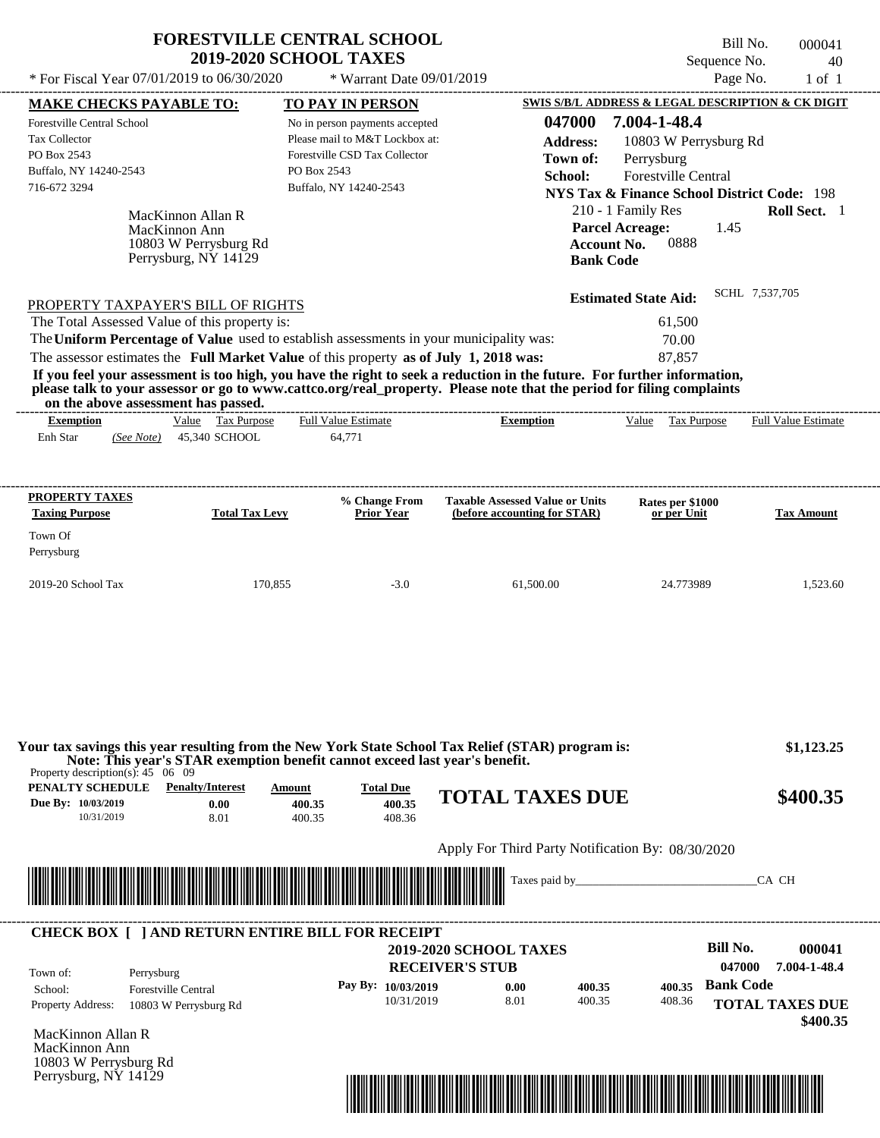|                                                                                                                                                                                                                                                                                                                                                                                                    | <b>FORESTVILLE CENTRAL SCHOOL</b><br><b>2019-2020 SCHOOL TAXES</b>                                                                                                    | Bill No.<br>000041<br>Sequence No.<br>40                                                                                                                                                                                                                                                                                |
|----------------------------------------------------------------------------------------------------------------------------------------------------------------------------------------------------------------------------------------------------------------------------------------------------------------------------------------------------------------------------------------------------|-----------------------------------------------------------------------------------------------------------------------------------------------------------------------|-------------------------------------------------------------------------------------------------------------------------------------------------------------------------------------------------------------------------------------------------------------------------------------------------------------------------|
| * For Fiscal Year $07/01/2019$ to $06/30/2020$                                                                                                                                                                                                                                                                                                                                                     | * Warrant Date 09/01/2019                                                                                                                                             | Page No.<br>$1$ of $1$                                                                                                                                                                                                                                                                                                  |
| <b>MAKE CHECKS PAYABLE TO:</b><br>Forestville Central School<br><b>Tax Collector</b><br>PO Box 2543<br>Buffalo, NY 14240-2543<br>716-672 3294                                                                                                                                                                                                                                                      | <b>TO PAY IN PERSON</b><br>No in person payments accepted<br>Please mail to M&T Lockbox at:<br>Forestville CSD Tax Collector<br>PO Box 2543<br>Buffalo, NY 14240-2543 | <b>SWIS S/B/L ADDRESS &amp; LEGAL DESCRIPTION &amp; CK DIGIT</b><br>047000<br>7.004-1-48.4<br><b>Address:</b><br>10803 W Perrysburg Rd<br>Perrysburg<br>Town of:<br><b>School:</b><br><b>Forestville Central</b><br><b>NYS Tax &amp; Finance School District Code: 198</b><br>210 - 1 Family Res<br><b>Roll Sect.</b> 1 |
| MacKinnon Allan R<br>MacKinnon Ann<br>10803 W Perrysburg Rd<br>Perrysburg, NY 14129                                                                                                                                                                                                                                                                                                                |                                                                                                                                                                       | <b>Parcel Acreage:</b><br>1.45<br>0888<br><b>Account No.</b><br><b>Bank Code</b>                                                                                                                                                                                                                                        |
| PROPERTY TAXPAYER'S BILL OF RIGHTS<br>The Total Assessed Value of this property is:<br>The Uniform Percentage of Value used to establish assessments in your municipality was:<br>The assessor estimates the Full Market Value of this property as of July 1, 2018 was:<br>If you feel your assessment is too high, you have the right to seek a reduction in the future. For further information, |                                                                                                                                                                       | SCHL 7,537,705<br><b>Estimated State Aid:</b><br>61,500<br>70.00<br>87.857                                                                                                                                                                                                                                              |

**If you feel your assessment is too high, you have the right to seek a reduction in the future. For further information, please talk to your assessor or go to www.cattco.org/real\_property. Please note that the period for filing complaints**

| on the above assessment has passed. |            |       |                    |                            |           |       |             |                            |
|-------------------------------------|------------|-------|--------------------|----------------------------|-----------|-------|-------------|----------------------------|
| Exemption                           |            | Value | <b>Tax Purpose</b> | <b>Full Value Estimate</b> | Exemption | Value | Tax Purpose | <b>Full Value Estimate</b> |
| Enh Star                            | (See Note) |       | 45.340 SCHOOL      | 177<br>64.7                |           |       |             |                            |
|                                     |            |       |                    |                            |           |       |             |                            |

| <b>PROPERTY TAXES</b><br><b>Taxing Purpose</b> | <b>Total Tax Levy</b> | % Change From<br><b>Prior Year</b> | <b>Taxable Assessed Value or Units</b><br>(before accounting for STAR) | <b>Rates per \$1000<br/>or per Unit</b> | <b>Tax Amount</b> |
|------------------------------------------------|-----------------------|------------------------------------|------------------------------------------------------------------------|-----------------------------------------|-------------------|
| Town Of<br>Perrysburg                          |                       |                                    |                                                                        |                                         |                   |
| $2019-20$ School Tax                           | 170,855               | $-3.0$                             | 61,500.00                                                              | 24.773989                               | 1,523.60          |

| PENALTY SCHEDULE<br>Due By: 10/03/2019<br>10/31/2019 | <b>Penalty/Interest</b><br>0.00<br>8.01                               | Amount<br>400.35<br>400.35     | <b>Total Due</b><br>400.35<br>408.36 | <b>TOTAL TAXES DUE</b>                                  |  |                    | \$400.35               |
|------------------------------------------------------|-----------------------------------------------------------------------|--------------------------------|--------------------------------------|---------------------------------------------------------|--|--------------------|------------------------|
|                                                      |                                                                       |                                |                                      | Apply For Third Party Notification By: 08/30/2020       |  |                    |                        |
|                                                      |                                                                       |                                |                                      |                                                         |  |                    |                        |
|                                                      |                                                                       | <u> Hillingin kanalikan ka</u> |                                      |                                                         |  |                    | CA CH                  |
| Town of:                                             | <b>CHECK BOX [ ] AND RETURN ENTIRE BILL FOR RECEIPT</b><br>Perrysburg |                                |                                      | <b>2019-2020 SCHOOL TAXES</b><br><b>RECEIVER'S STUB</b> |  | Bill No.<br>047000 | 000041<br>7.004-1-48.4 |

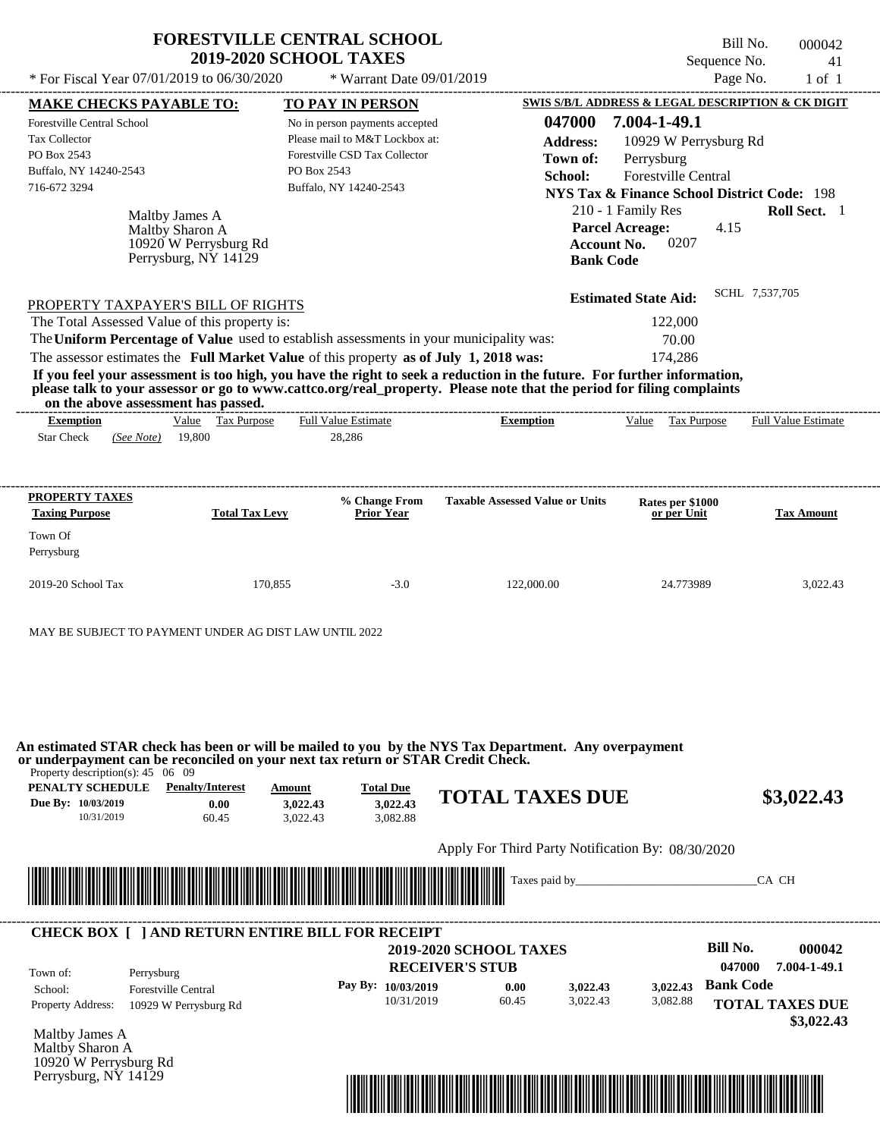| * For Fiscal Year 07/01/2019 to 06/30/2020<br>* Warrant Date 09/01/2019<br><b>MAKE CHECKS PAYABLE TO:</b><br>TO PAY IN PERSON<br>No in person payments accepted<br>Please mail to M&T Lockbox at:<br>Forestville CSD Tax Collector<br>PO Box 2543<br>Buffalo, NY 14240-2543<br>Maltby James A  | Page No.<br>$1$ of $1$<br>SWIS S/B/L ADDRESS & LEGAL DESCRIPTION & CK DIGIT<br>7.004-1-49.1<br>047000<br><b>Address:</b><br>10929 W Perrysburg Rd<br>Town of:<br>Perrysburg<br><b>Forestville Central</b><br>School:<br><b>NYS Tax &amp; Finance School District Code: 198</b><br>210 - 1 Family Res<br>Roll Sect. 1                                      |
|------------------------------------------------------------------------------------------------------------------------------------------------------------------------------------------------------------------------------------------------------------------------------------------------|-----------------------------------------------------------------------------------------------------------------------------------------------------------------------------------------------------------------------------------------------------------------------------------------------------------------------------------------------------------|
|                                                                                                                                                                                                                                                                                                |                                                                                                                                                                                                                                                                                                                                                           |
|                                                                                                                                                                                                                                                                                                |                                                                                                                                                                                                                                                                                                                                                           |
|                                                                                                                                                                                                                                                                                                |                                                                                                                                                                                                                                                                                                                                                           |
|                                                                                                                                                                                                                                                                                                |                                                                                                                                                                                                                                                                                                                                                           |
|                                                                                                                                                                                                                                                                                                |                                                                                                                                                                                                                                                                                                                                                           |
|                                                                                                                                                                                                                                                                                                |                                                                                                                                                                                                                                                                                                                                                           |
|                                                                                                                                                                                                                                                                                                |                                                                                                                                                                                                                                                                                                                                                           |
|                                                                                                                                                                                                                                                                                                |                                                                                                                                                                                                                                                                                                                                                           |
|                                                                                                                                                                                                                                                                                                | <b>Parcel Acreage:</b><br>4.15                                                                                                                                                                                                                                                                                                                            |
|                                                                                                                                                                                                                                                                                                | 0207<br><b>Account No.</b>                                                                                                                                                                                                                                                                                                                                |
|                                                                                                                                                                                                                                                                                                | <b>Bank Code</b>                                                                                                                                                                                                                                                                                                                                          |
| The Total Assessed Value of this property is:                                                                                                                                                                                                                                                  |                                                                                                                                                                                                                                                                                                                                                           |
| The Uniform Percentage of Value used to establish assessments in your municipality was:<br>The assessor estimates the Full Market Value of this property as of July 1, 2018 was:<br>on the above assessment has passed.<br>Value Tax Purpose<br><b>Full Value Estimate</b><br>19,800<br>28,286 | 122,000<br>70.00<br>174,286<br>If you feel your assessment is too high, you have the right to seek a reduction in the future. For further information,<br>please talk to your assessor or go to www.cattco.org/real_property. Please note that the period for filing complaints<br>Tax Purpose<br><b>Full Value Estimate</b><br>Value<br><b>Exemption</b> |
| % Change From<br><b>Total Tax Levy</b><br><b>Prior Year</b>                                                                                                                                                                                                                                    | <b>Taxable Assessed Value or Units</b><br>Rates per \$1000<br>or per Unit<br><b>Tax Amount</b>                                                                                                                                                                                                                                                            |
|                                                                                                                                                                                                                                                                                                |                                                                                                                                                                                                                                                                                                                                                           |
|                                                                                                                                                                                                                                                                                                |                                                                                                                                                                                                                                                                                                                                                           |
|                                                                                                                                                                                                                                                                                                |                                                                                                                                                                                                                                                                                                                                                           |
|                                                                                                                                                                                                                                                                                                | Maltby Sharon A<br>10920 W Perrysburg Rd<br>Perrysburg, NY 14129<br>PROPERTY TAXPAYER'S BILL OF RIGHTS                                                                                                                                                                                                                                                    |

**An estimated STAR check has been or will be mailed to you by the NYS Tax Department. Any overpayment or underpayment can be reconciled on your next tax return or STAR Credit Check.**

Property description(s): 45 06 09

| PENALTY SCHEDULE   | <b>Penalty/Interest</b> | Amount   | <b>Total Due</b> |                                                   |            |
|--------------------|-------------------------|----------|------------------|---------------------------------------------------|------------|
| Due By: 10/03/2019 | 0.00                    | 3.022.43 | 3.022.43         | <b>TOTAL TAXES DUE</b>                            | \$3,022.43 |
| 10/31/2019         | 60.45                   | 3.022.43 | 3.082.88         |                                                   |            |
|                    |                         |          |                  |                                                   |            |
|                    |                         |          |                  | Apply For Third Party Notification By: 08/30/2020 |            |



| Town of:                 | Perrysburg                 | <b>2019-2020 SCHOOL TAXES</b><br><b>RECEIVER'S STUB</b> |       |          |          | Bill No.<br>047000 | 000042<br>7.004-1-49.1               |
|--------------------------|----------------------------|---------------------------------------------------------|-------|----------|----------|--------------------|--------------------------------------|
| School:                  | <b>Forestville Central</b> | Pay By: $10/03/2019$                                    | 0.00  | 3,022.43 | 3.022.43 | <b>Bank Code</b>   |                                      |
| <b>Property Address:</b> | 10929 W Perrysburg Rd      | 10/31/2019                                              | 60.45 | 3.022.43 | 3,082.88 |                    | <b>TOTAL TAXES DUE</b><br>\$3,022.43 |

Maltby Sharon A 10920 W Perrysburg Rd Perrysburg, NY 14129

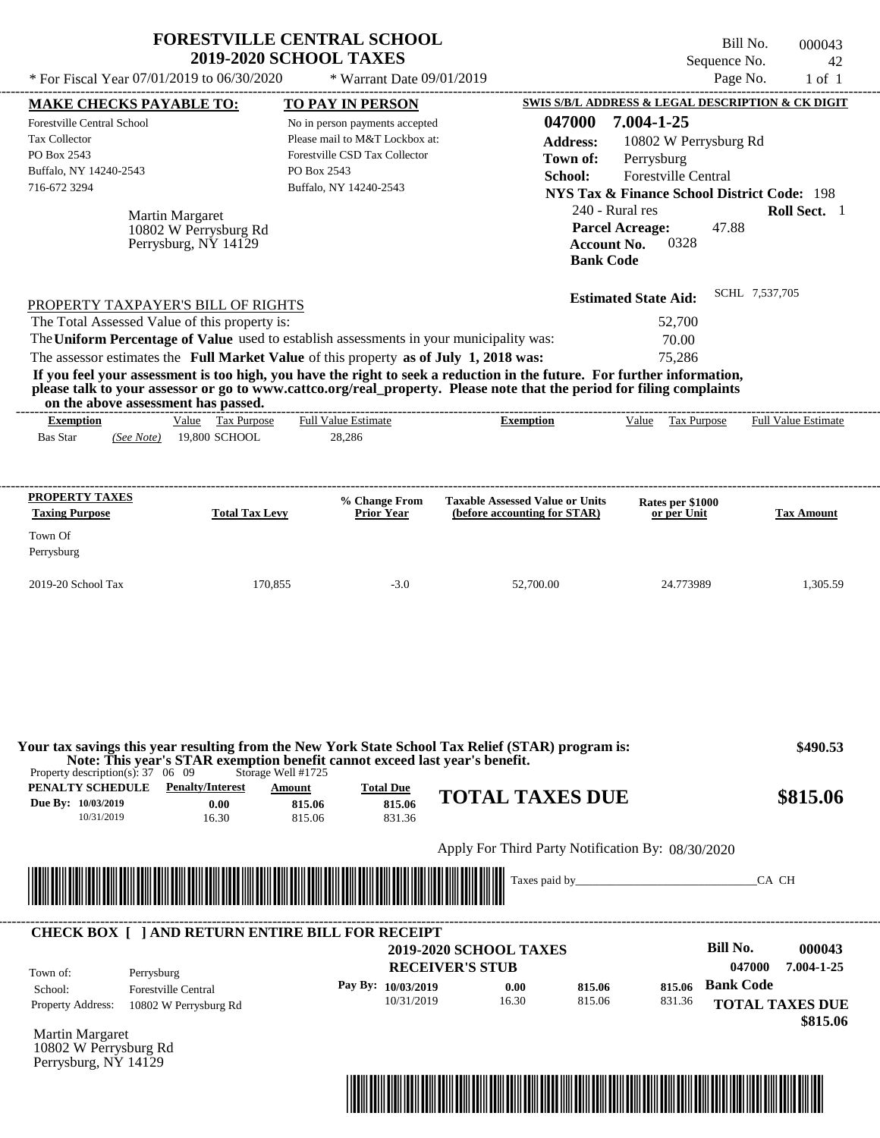|                                                                                                                                                                                                                                                                                                                                                                                                                                                                 |                                                                  | <b>FORESTVILLE CENTRAL SCHOOL</b><br><b>2019-2020 SCHOOL TAXES</b>                                                                                                      |                                                                       |                                                   |                                                                                                                                                                                                                                                                                                                                                    | Bill No.<br>Sequence No.                      | 000043<br>42                                   |
|-----------------------------------------------------------------------------------------------------------------------------------------------------------------------------------------------------------------------------------------------------------------------------------------------------------------------------------------------------------------------------------------------------------------------------------------------------------------|------------------------------------------------------------------|-------------------------------------------------------------------------------------------------------------------------------------------------------------------------|-----------------------------------------------------------------------|---------------------------------------------------|----------------------------------------------------------------------------------------------------------------------------------------------------------------------------------------------------------------------------------------------------------------------------------------------------------------------------------------------------|-----------------------------------------------|------------------------------------------------|
|                                                                                                                                                                                                                                                                                                                                                                                                                                                                 |                                                                  |                                                                                                                                                                         |                                                                       |                                                   |                                                                                                                                                                                                                                                                                                                                                    |                                               | $1$ of $1$                                     |
| * For Fiscal Year 07/01/2019 to 06/30/2020<br><b>MAKE CHECKS PAYABLE TO:</b><br>Forestville Central School<br>Tax Collector<br>PO Box 2543<br>Buffalo, NY 14240-2543<br>716-672 3294<br>PROPERTY TAXPAYER'S BILL OF RIGHTS<br>The Total Assessed Value of this property is:<br>The Uniform Percentage of Value used to establish assessments in your municipality was:<br>The assessor estimates the Full Market Value of this property as of July 1, 2018 was: | Martin Margaret<br>10802 W Perrysburg Rd<br>Perrysburg, NY 14129 | <b>TO PAY IN PERSON</b><br>No in person payments accepted<br>Please mail to M&T Lockbox at:<br>Forestville CSD Tax Collector<br>PO Box 2543<br>Buffalo, NY 14240-2543   | * Warrant Date 09/01/2019                                             | 047000<br><b>Address:</b><br>Town of:<br>School:  | SWIS S/B/L ADDRESS & LEGAL DESCRIPTION & CK DIGIT<br>7.004-1-25<br>10802 W Perrysburg Rd<br>Perrysburg<br>Forestville Central<br><b>NYS Tax &amp; Finance School District Code: 198</b><br>240 - Rural res<br><b>Parcel Acreage:</b><br>0328<br><b>Account No.</b><br><b>Bank Code</b><br><b>Estimated State Aid:</b><br>52,700<br>70.00<br>75,286 | Page No.<br>47.88<br>SCHL 7,537,705           | Roll Sect. 1                                   |
| If you feel your assessment is too high, you have the right to seek a reduction in the future. For further information,<br>please talk to your assessor or go to www.cattco.org/real_property. Please note that the period for filing complaints<br>on the above assessment has passed.                                                                                                                                                                         |                                                                  |                                                                                                                                                                         |                                                                       |                                                   |                                                                                                                                                                                                                                                                                                                                                    |                                               |                                                |
| <b>Exemption</b><br><b>Bas Star</b><br>(See Note)                                                                                                                                                                                                                                                                                                                                                                                                               | Value Tax Purpose<br>19,800 SCHOOL                               | <b>Full Value Estimate</b><br>28,286                                                                                                                                    | ------------------------------                                        | <b>Exemption</b>                                  | Value Tax Purpose                                                                                                                                                                                                                                                                                                                                  |                                               | <b>Full Value Estimate</b>                     |
| <b>PROPERTY TAXES</b>                                                                                                                                                                                                                                                                                                                                                                                                                                           |                                                                  | % Change From                                                                                                                                                           |                                                                       | <b>Taxable Assessed Value or Units</b>            | Rates per \$1000                                                                                                                                                                                                                                                                                                                                   |                                               |                                                |
| <b>Taxing Purpose</b><br>Town Of<br>Perrysburg                                                                                                                                                                                                                                                                                                                                                                                                                  | <b>Total Tax Levy</b>                                            | <b>Prior Year</b>                                                                                                                                                       |                                                                       | (before accounting for STAR)                      | or per Unit                                                                                                                                                                                                                                                                                                                                        |                                               | <b>Tax Amount</b>                              |
| 2019-20 School Tax                                                                                                                                                                                                                                                                                                                                                                                                                                              | 170,855                                                          | $-3.0$                                                                                                                                                                  |                                                                       | 52,700.00                                         | 24.773989                                                                                                                                                                                                                                                                                                                                          |                                               | 1,305.59                                       |
| Your tax savings this year resulting from the New York State School Tax Relief (STAR) program is:<br>Property description(s): $37 \quad 06 \quad 09$<br>PENALTY SCHEDULE<br>Due By: 10/03/2019<br>10/31/2019                                                                                                                                                                                                                                                    | <b>Penalty/Interest</b><br>0.00<br>16.30                         | Note: This year's STAR exemption benefit cannot exceed last year's benefit.<br>Storage Well #1725<br><b>Total Due</b><br>Amount<br>815.06<br>815.06<br>815.06<br>831.36 |                                                                       | <b>TOTAL TAXES DUE</b>                            |                                                                                                                                                                                                                                                                                                                                                    |                                               | \$490.53<br>\$815.06                           |
|                                                                                                                                                                                                                                                                                                                                                                                                                                                                 |                                                                  |                                                                                                                                                                         |                                                                       | Apply For Third Party Notification By: 08/30/2020 |                                                                                                                                                                                                                                                                                                                                                    |                                               |                                                |
| <u> Harry Harry Harry Harry Harry Harry Harry Harry Harry Harry Harry Harry Harry Harry Harry Harry Harry Harry Harry Harry Harry Harry Harry Harry Harry Harry Harry Harry Harry Harry Harry Harry Harry Harry Harry Harry Harr</u>                                                                                                                                                                                                                            |                                                                  |                                                                                                                                                                         |                                                                       |                                                   |                                                                                                                                                                                                                                                                                                                                                    | CA CH                                         |                                                |
| <b>CHECK BOX [ ] AND RETURN ENTIRE BILL FOR RECEIPT</b><br>Town of:<br>Perrysburg<br>School:<br><b>Property Address:</b>                                                                                                                                                                                                                                                                                                                                        | <b>Forestville Central</b><br>10802 W Perrysburg Rd              | Pay By: 10/03/2019                                                                                                                                                      | <b>2019-2020 SCHOOL TAXES</b><br><b>RECEIVER'S STUB</b><br>10/31/2019 | 815.06<br>0.00<br>16.30<br>815.06                 | 815.06<br>831.36                                                                                                                                                                                                                                                                                                                                   | <b>Bill No.</b><br>047000<br><b>Bank Code</b> | 000043<br>7.004-1-25<br><b>TOTAL TAXES DUE</b> |
| Martin Margaret<br>10802 W Perrysburg Rd                                                                                                                                                                                                                                                                                                                                                                                                                        |                                                                  |                                                                                                                                                                         |                                                                       |                                                   |                                                                                                                                                                                                                                                                                                                                                    |                                               | \$815.06                                       |

Perrysburg, NY 14129

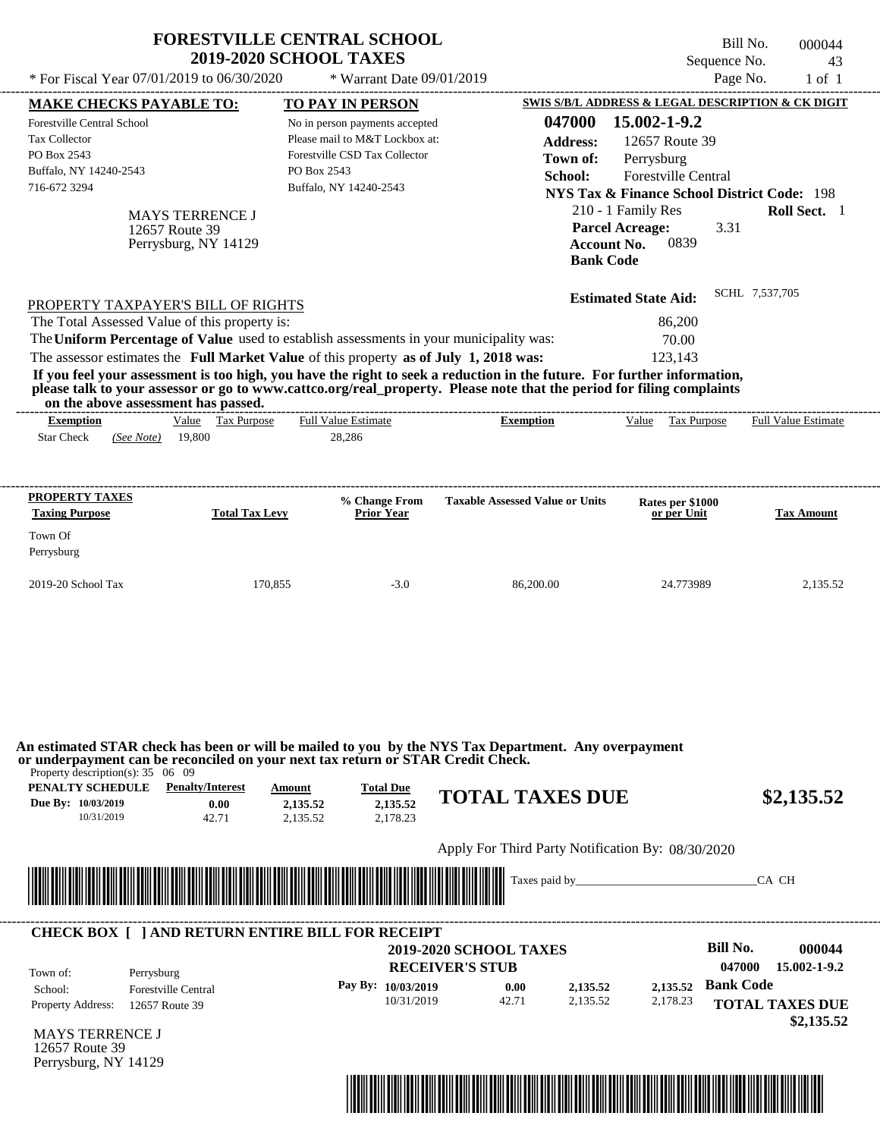| <b>MAKE CHECKS PAYABLE TO:</b>                                                                                                                                                    | * For Fiscal Year 07/01/2019 to 06/30/2020                       | <b>FORESTVILLE CENTRAL SCHOOL</b><br><b>2019-2020 SCHOOL TAXES</b><br>* Warrant Date 09/01/2019                                                                                                                                                                                                                                                                                                                                                                                                           |                                                                                            | Sequence No.<br>Page No.                                                                                                                                                                  | Bill No.<br>000044<br>43<br>$1$ of $1$       |
|-----------------------------------------------------------------------------------------------------------------------------------------------------------------------------------|------------------------------------------------------------------|-----------------------------------------------------------------------------------------------------------------------------------------------------------------------------------------------------------------------------------------------------------------------------------------------------------------------------------------------------------------------------------------------------------------------------------------------------------------------------------------------------------|--------------------------------------------------------------------------------------------|-------------------------------------------------------------------------------------------------------------------------------------------------------------------------------------------|----------------------------------------------|
|                                                                                                                                                                                   |                                                                  |                                                                                                                                                                                                                                                                                                                                                                                                                                                                                                           |                                                                                            | SWIS S/B/L ADDRESS & LEGAL DESCRIPTION & CK DIGIT                                                                                                                                         |                                              |
| <b>Forestville Central School</b><br><b>Tax Collector</b><br>PO Box 2543<br>Buffalo, NY 14240-2543<br>716-672 3294                                                                | <b>MAYS TERRENCE J</b><br>12657 Route 39<br>Perrysburg, NY 14129 | <b>TO PAY IN PERSON</b><br>No in person payments accepted<br>Please mail to M&T Lockbox at:<br>Forestville CSD Tax Collector<br>PO Box 2543<br>Buffalo, NY 14240-2543                                                                                                                                                                                                                                                                                                                                     | 047000<br><b>Address:</b><br>Town of:<br>School:<br><b>Account No.</b><br><b>Bank Code</b> | 15.002-1-9.2<br>12657 Route 39<br>Perrysburg<br><b>Forestville Central</b><br>NYS Tax & Finance School District Code: 198<br>210 - 1 Family Res<br><b>Parcel Acreage:</b><br>3.31<br>0839 | Roll Sect. 1                                 |
| PROPERTY TAXPAYER'S BILL OF RIGHTS<br>The Total Assessed Value of this property is:<br>on the above assessment has passed.<br><b>Exemption</b><br><b>Star Check</b><br>(See Note) | Value Tax Purpose<br>19,800                                      | The Uniform Percentage of Value used to establish assessments in your municipality was:<br>The assessor estimates the Full Market Value of this property as of July 1, 2018 was:<br>If you feel your assessment is too high, you have the right to seek a reduction in the future. For further information,<br>please talk to your assessor or go to www.cattco.org/real_property. Please note that the period for filing complaints<br>-------------------------<br><b>Full Value Estimate</b><br>28,286 | <b>Exemption</b>                                                                           | <b>Estimated State Aid:</b><br>86,200<br>70.00<br>123,143<br>Value Tax Purpose                                                                                                            | SCHL 7.537.705<br><b>Full Value Estimate</b> |
|                                                                                                                                                                                   |                                                                  |                                                                                                                                                                                                                                                                                                                                                                                                                                                                                                           |                                                                                            |                                                                                                                                                                                           |                                              |
| <b>PROPERTY TAXES</b><br><b>Taxing Purpose</b>                                                                                                                                    | <b>Total Tax Levy</b>                                            | % Change From<br><b>Prior Year</b>                                                                                                                                                                                                                                                                                                                                                                                                                                                                        | <b>Taxable Assessed Value or Units</b>                                                     | Rates per \$1000<br>or per Unit                                                                                                                                                           | <b>Tax Amount</b>                            |
| Town Of<br>Perrysburg                                                                                                                                                             |                                                                  |                                                                                                                                                                                                                                                                                                                                                                                                                                                                                                           |                                                                                            |                                                                                                                                                                                           |                                              |

**An estimated STAR check has been or will be mailed to you by the NYS Tax Department. Any overpayment or underpayment can be reconciled on your next tax return or STAR Credit Check.**

Property description(s): 35 06 09

| PENALTY SCHEDULE   | <b>Penalty/Interest</b> | Amount   | <b>Total Due</b> |                        |            |
|--------------------|-------------------------|----------|------------------|------------------------|------------|
| Due By: 10/03/2019 | 0.00                    | 2.135.52 | 2,135.52         | <b>TOTAL TAXES DUE</b> | \$2,135.52 |
| 10/31/2019         |                         | 2.135.52 | 2.178.23         |                        |            |
|                    |                         |          |                  |                        |            |

Apply For Third Party Notification By: 08/30/2020



| Town of:                 | Perrysburg                 | <b>2019-2020 SCHOOL TAXES</b><br><b>RECEIVER'S STUB</b> |       |          |          | Bill No.<br>047000 | 000044<br>15.002-1-9.2 |
|--------------------------|----------------------------|---------------------------------------------------------|-------|----------|----------|--------------------|------------------------|
| School:                  | <b>Forestville Central</b> | Pay By: $10/03/2019$                                    | 0.00  | 2,135.52 | 2,135.52 | <b>Bank Code</b>   |                        |
| <b>Property Address:</b> | 12657 Route 39             | 10/31/2019                                              | 42.71 | 2.135.52 | 2,178.23 |                    | <b>TOTAL TAXES DUE</b> |

MAYS TERRENCE J 12657 Route 39 Perrysburg, NY 14129

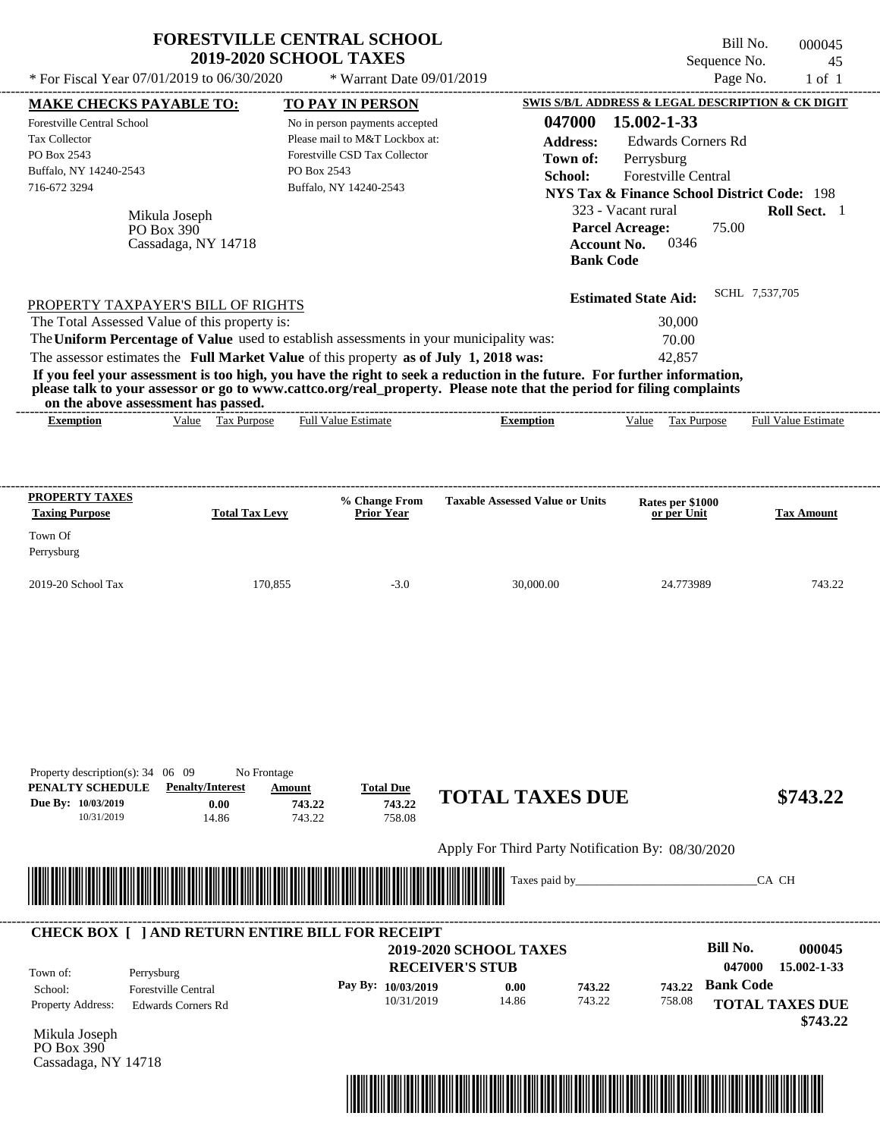| * For Fiscal Year 07/01/2019 to 06/30/2020                                                                                                                                                                                                                                                                     | <b>FORESTVILLE CENTRAL SCHOOL</b><br><b>2019-2020 SCHOOL TAXES</b>                    | * Warrant Date 09/01/2019                                                                                                   |                                                                                                                                                                                                                                                  | Sequence No.                                                                                                                                                                                             | Bill No.<br>000045<br>45<br>Page No.<br>$1$ of $1$ |
|----------------------------------------------------------------------------------------------------------------------------------------------------------------------------------------------------------------------------------------------------------------------------------------------------------------|---------------------------------------------------------------------------------------|-----------------------------------------------------------------------------------------------------------------------------|--------------------------------------------------------------------------------------------------------------------------------------------------------------------------------------------------------------------------------------------------|----------------------------------------------------------------------------------------------------------------------------------------------------------------------------------------------------------|----------------------------------------------------|
| <b>MAKE CHECKS PAYABLE TO:</b>                                                                                                                                                                                                                                                                                 |                                                                                       | <b>TO PAY IN PERSON</b>                                                                                                     |                                                                                                                                                                                                                                                  |                                                                                                                                                                                                          | SWIS S/B/L ADDRESS & LEGAL DESCRIPTION & CK DIGIT  |
| <b>Forestville Central School</b><br><b>Tax Collector</b><br>PO Box 2543<br>Buffalo, NY 14240-2543<br>716-672 3294<br>Mikula Joseph<br>PO Box 390                                                                                                                                                              | PO Box 2543<br>Cassadaga, NY 14718                                                    | No in person payments accepted<br>Please mail to M&T Lockbox at:<br>Forestville CSD Tax Collector<br>Buffalo, NY 14240-2543 | 047000<br><b>Address:</b><br>Town of:<br>School:<br><b>Account No.</b><br><b>Bank Code</b>                                                                                                                                                       | 15.002-1-33<br><b>Edwards Corners Rd</b><br>Perrysburg<br>Forestville Central<br><b>NYS Tax &amp; Finance School District Code: 198</b><br>323 - Vacant rural<br><b>Parcel Acreage:</b><br>75.00<br>0346 | Roll Sect. 1                                       |
| PROPERTY TAXPAYER'S BILL OF RIGHTS<br>The Total Assessed Value of this property is:<br>The Uniform Percentage of Value used to establish assessments in your municipality was:<br>The assessor estimates the Full Market Value of this property as of July 1, 2018 was:<br>on the above assessment has passed. |                                                                                       |                                                                                                                             | If you feel your assessment is too high, you have the right to seek a reduction in the future. For further information,<br>please talk to your assessor or go to www.cattco.org/real_property. Please note that the period for filing complaints | <b>Estimated State Aid:</b><br>30,000<br>70.00<br>42,857                                                                                                                                                 | SCHL 7,537,705                                     |
| <b>Exemption</b>                                                                                                                                                                                                                                                                                               | Value Tax Purpose                                                                     | <b>Full Value Estimate</b>                                                                                                  | <b>Exemption</b>                                                                                                                                                                                                                                 | Tax Purpose<br>Value                                                                                                                                                                                     | <b>Full Value Estimate</b>                         |
|                                                                                                                                                                                                                                                                                                                |                                                                                       |                                                                                                                             |                                                                                                                                                                                                                                                  |                                                                                                                                                                                                          |                                                    |
| <b>Taxing Purpose</b>                                                                                                                                                                                                                                                                                          | <b>Total Tax Levy</b>                                                                 | % Change From<br><b>Prior Year</b>                                                                                          | <b>Taxable Assessed Value or Units</b>                                                                                                                                                                                                           | Rates per \$1000<br>or per Unit                                                                                                                                                                          | <b>Tax Amount</b>                                  |
| Town Of<br>Perrysburg<br>2019-20 School Tax                                                                                                                                                                                                                                                                    | 170,855                                                                               | $-3.0$                                                                                                                      | 30,000.00                                                                                                                                                                                                                                        | 24.773989                                                                                                                                                                                                | 743.22                                             |
| <b>PROPERTY TAXES</b><br>Property description(s): 34 06 09<br>PENALTY SCHEDULE<br>Due Bv: 10/03/2019<br>10/31/2019                                                                                                                                                                                             | No Frontage<br><b>Penalty/Interest</b><br>Amount<br>0.00<br>743.22<br>743.22<br>14.86 | <b>Total Due</b><br>743.22<br>758.08                                                                                        | <b>TOTAL TAXES DUE</b>                                                                                                                                                                                                                           |                                                                                                                                                                                                          | \$743.22                                           |
|                                                                                                                                                                                                                                                                                                                |                                                                                       |                                                                                                                             | Apply For Third Party Notification By: 08/30/2020                                                                                                                                                                                                |                                                                                                                                                                                                          |                                                    |

|                          | <b>CHECK BOX   JAND RETURN ENTIRE BILL FOR RECEIPT</b> |                        |                               |        |        |                  |                                    |
|--------------------------|--------------------------------------------------------|------------------------|-------------------------------|--------|--------|------------------|------------------------------------|
|                          |                                                        |                        | <b>2019-2020 SCHOOL TAXES</b> |        |        | Bill No.         | 000045                             |
| Town of:                 | Perrysburg                                             | <b>RECEIVER'S STUB</b> |                               |        |        | 047000           | 15.002-1-33                        |
| School:                  | <b>Forestville Central</b>                             | Pay By: $10/03/2019$   | 0.00                          | 743.22 |        | 743.22 Bank Code |                                    |
| <b>Property Address:</b> | <b>Edwards Corners Rd</b>                              | 10/31/2019             | 14.86                         | 743.22 | 758.08 |                  | <b>TOTAL TAXES DUE</b><br>\$743.22 |

Mikula Joseph PO Box 390 Cassadaga, NY 14718

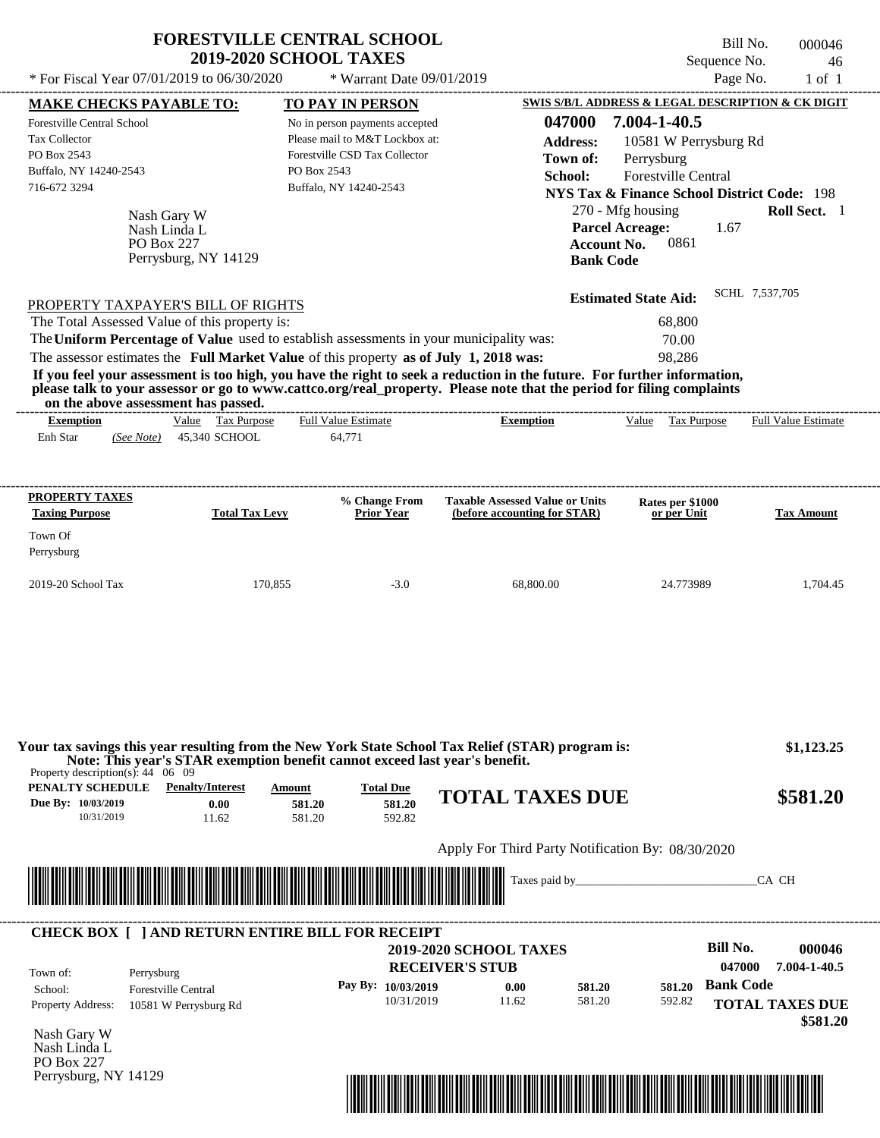|                                                         | <b>2019-2020 SCHOOL TAXES</b>              |                                                                                                                                                                                  |                                                                                                                                                                                                                                                  | Sequence No.                                           | 46                         |
|---------------------------------------------------------|--------------------------------------------|----------------------------------------------------------------------------------------------------------------------------------------------------------------------------------|--------------------------------------------------------------------------------------------------------------------------------------------------------------------------------------------------------------------------------------------------|--------------------------------------------------------|----------------------------|
|                                                         | * For Fiscal Year 07/01/2019 to 06/30/2020 | * Warrant Date 09/01/2019                                                                                                                                                        |                                                                                                                                                                                                                                                  |                                                        | Page No.<br>$1$ of $1$     |
| <b>MAKE CHECKS PAYABLE TO:</b>                          |                                            | <b>TO PAY IN PERSON</b>                                                                                                                                                          |                                                                                                                                                                                                                                                  | SWIS S/B/L ADDRESS & LEGAL DESCRIPTION & CK DIGIT      |                            |
| Forestville Central School                              |                                            | No in person payments accepted                                                                                                                                                   | 047000                                                                                                                                                                                                                                           | 7.004-1-40.5                                           |                            |
| <b>Tax Collector</b>                                    |                                            | Please mail to M&T Lockbox at:                                                                                                                                                   | <b>Address:</b>                                                                                                                                                                                                                                  | 10581 W Perrysburg Rd                                  |                            |
| PO Box 2543                                             |                                            | Forestville CSD Tax Collector                                                                                                                                                    | Town of:                                                                                                                                                                                                                                         | Perrysburg                                             |                            |
| Buffalo, NY 14240-2543                                  |                                            | PO Box 2543                                                                                                                                                                      | School:                                                                                                                                                                                                                                          | Forestville Central                                    |                            |
| 716-672 3294                                            |                                            | Buffalo, NY 14240-2543                                                                                                                                                           |                                                                                                                                                                                                                                                  | <b>NYS Tax &amp; Finance School District Code: 198</b> |                            |
|                                                         | Nash Gary W                                |                                                                                                                                                                                  |                                                                                                                                                                                                                                                  | 270 - Mfg housing                                      | Roll Sect. 1               |
|                                                         | Nash Linda L                               |                                                                                                                                                                                  |                                                                                                                                                                                                                                                  | <b>Parcel Acreage:</b><br>1.67                         |                            |
|                                                         | PO Box 227                                 |                                                                                                                                                                                  |                                                                                                                                                                                                                                                  | 0861<br><b>Account No.</b>                             |                            |
|                                                         | Perrysburg, NY 14129                       |                                                                                                                                                                                  | <b>Bank Code</b>                                                                                                                                                                                                                                 |                                                        |                            |
| PROPERTY TAXPAYER'S BILL OF RIGHTS                      |                                            |                                                                                                                                                                                  |                                                                                                                                                                                                                                                  | <b>Estimated State Aid:</b>                            | SCHL 7,537,705             |
|                                                         |                                            |                                                                                                                                                                                  |                                                                                                                                                                                                                                                  | 68,800                                                 |                            |
|                                                         |                                            |                                                                                                                                                                                  |                                                                                                                                                                                                                                                  |                                                        |                            |
| The Total Assessed Value of this property is:           |                                            |                                                                                                                                                                                  |                                                                                                                                                                                                                                                  |                                                        |                            |
|                                                         |                                            | The Uniform Percentage of Value used to establish assessments in your municipality was:<br>The assessor estimates the Full Market Value of this property as of July 1, 2018 was: | If you feel your assessment is too high, you have the right to seek a reduction in the future. For further information,<br>please talk to your assessor or go to www.cattco.org/real_property. Please note that the period for filing complaints | 70.00<br>98,286                                        |                            |
| on the above assessment has passed.<br><b>Exemption</b> | Value Tax Purpose                          | <b>Full Value Estimate</b>                                                                                                                                                       | <b>Exemption</b>                                                                                                                                                                                                                                 | Value<br><b>Tax Purpose</b>                            | <b>Full Value Estimate</b> |
| Enh Star<br>(See Note)                                  | 45.340 SCHOOL                              | 64,771                                                                                                                                                                           |                                                                                                                                                                                                                                                  |                                                        |                            |
| PROPERTY TAXES<br><b>Taxing Purpose</b>                 | <b>Total Tax Levy</b>                      | % Change From<br><b>Prior Year</b>                                                                                                                                               | <b>Taxable Assessed Value or Units</b><br>(before accounting for STAR)                                                                                                                                                                           | Rates per \$1000<br>or per Unit                        | <b>Tax Amount</b>          |
| Town Of<br>Perrysburg                                   |                                            |                                                                                                                                                                                  |                                                                                                                                                                                                                                                  |                                                        |                            |

| Property description(s): $44 \quad 06 \quad 09$      |                                          |                            |                                      | Your tax savings this year resulting from the New York State School Tax Relief (STAR) program is:<br>Note: This year's STAR exemption benefit cannot exceed last year's benefit. | \$1,123.25 |
|------------------------------------------------------|------------------------------------------|----------------------------|--------------------------------------|----------------------------------------------------------------------------------------------------------------------------------------------------------------------------------|------------|
| PENALTY SCHEDULE<br>Due By: 10/03/2019<br>10/31/2019 | <b>Penalty/Interest</b><br>0.00<br>11.62 | Amount<br>581.20<br>581.20 | <b>Total Due</b><br>581.20<br>592.82 | <b>TOTAL TAXES DUE</b>                                                                                                                                                           | \$581.20   |

## Apply For Third Party Notification By: 08/30/2020



| Town of:                 | Perrysburg                 | <b>RECEIVER'S STUB</b> | <b>2019-2020 SCHOOL TAXES</b> |        |        | Bill No.<br>047000 | 000046<br>7.004-1-40.5 |
|--------------------------|----------------------------|------------------------|-------------------------------|--------|--------|--------------------|------------------------|
| School:                  | <b>Forestville Central</b> | Pay By: 10/03/2019     | 0.00                          | 581.20 | 581.20 | <b>Bank Code</b>   |                        |
| <b>Property Address:</b> | 10581 W Perrysburg Rd      | 10/31/2019             | 11.62                         | 581.20 | 592.82 |                    | <b>TOTAL TAXES DUE</b> |

Nash Gary W Nash Linda L PO Box 227 Perrysburg, NY 14129

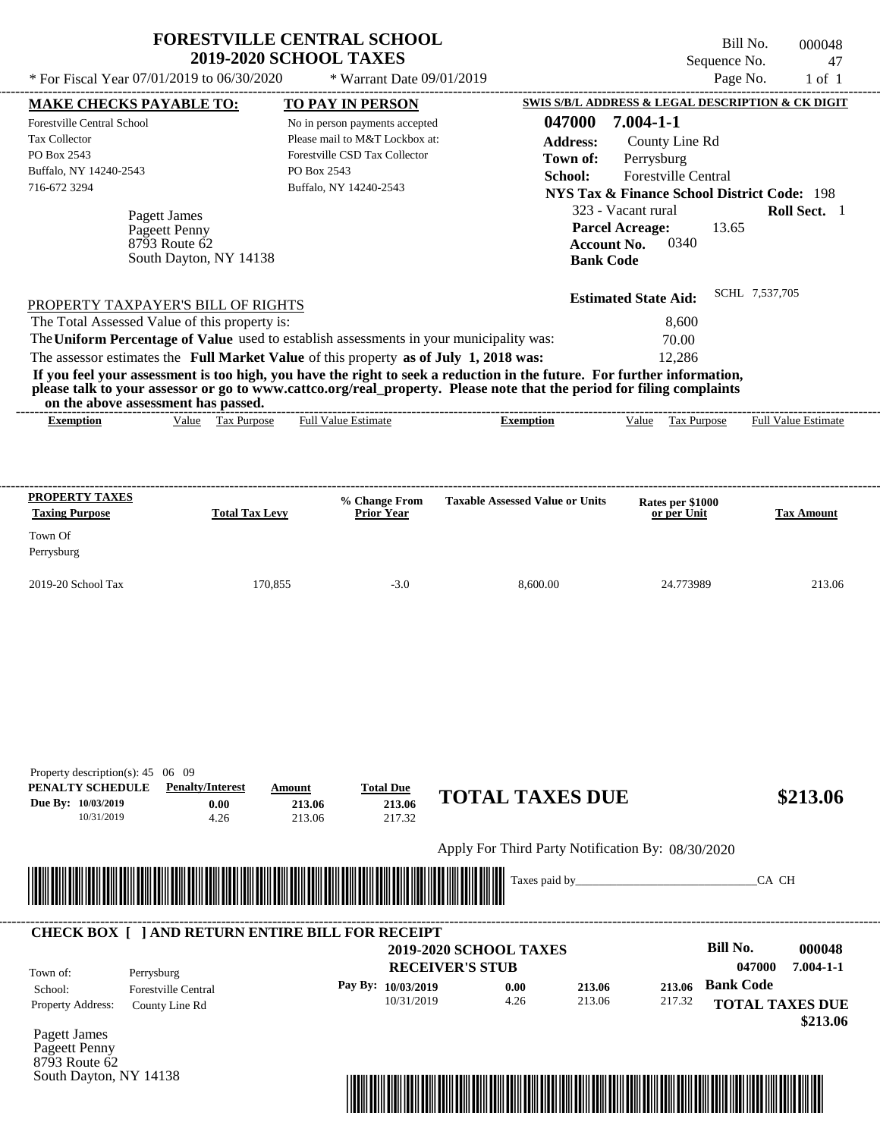|                                                | <b>FORESTVILLE CENTRAL SCHOOL</b><br><b>2019-2020 SCHOOL TAXES</b> |                 | Bill No.<br>Sequence No.                          | 000048<br>-47 |
|------------------------------------------------|--------------------------------------------------------------------|-----------------|---------------------------------------------------|---------------|
| * For Fiscal Year $07/01/2019$ to $06/30/2020$ | $*$ Warrant Date 09/01/2019                                        |                 | Page No.                                          | 1 of 1        |
| <b>MAKE CHECKS PAYABLE TO:</b>                 | <b>TO PAY IN PERSON</b>                                            |                 | SWIS S/B/L ADDRESS & LEGAL DESCRIPTION & CK DIGIT |               |
| <b>Forestville Central School</b>              | No in person payments accepted                                     | 047000          | 7.004-1-1                                         |               |
| Tax Collector                                  | Please mail to M&T Lockbox at:                                     | <b>Address:</b> | County Line Rd                                    |               |

| PO Box 2543<br>Buffalo, NY 14240-2543<br>716-672 3294                    | Forestville CSD Tax Collector<br>PO Box 2543<br>Buffalo, NY 14240-2543                                                                                                                                                                           | Town of:<br>School: | Perrysburg<br>323 - Vacant rural      | <b>Forestville Central</b> |       | <b>NYS Tax &amp; Finance School District Code: 198</b><br><b>Roll Sect.</b> 1 |
|--------------------------------------------------------------------------|--------------------------------------------------------------------------------------------------------------------------------------------------------------------------------------------------------------------------------------------------|---------------------|---------------------------------------|----------------------------|-------|-------------------------------------------------------------------------------|
| Pagett James<br>Pageett Penny<br>8793 Route 62<br>South Dayton, NY 14138 |                                                                                                                                                                                                                                                  | <b>Bank Code</b>    | <b>Parcel Acreage:</b><br>Account No. | 0340                       | 13.65 |                                                                               |
| PROPERTY TAXPAYER'S BILL OF RIGHTS                                       |                                                                                                                                                                                                                                                  |                     | <b>Estimated State Aid:</b>           |                            |       | SCHL 7,537,705                                                                |
| The Total Assessed Value of this property is:                            |                                                                                                                                                                                                                                                  |                     |                                       | 8,600                      |       |                                                                               |
|                                                                          | The Uniform Percentage of Value used to establish assessments in your municipality was:                                                                                                                                                          |                     |                                       | 70.00                      |       |                                                                               |
|                                                                          | The assessor estimates the Full Market Value of this property as of July 1, 2018 was:                                                                                                                                                            |                     |                                       | 12.286                     |       |                                                                               |
| on the above assessment has passed.                                      | If you feel your assessment is too high, you have the right to seek a reduction in the future. For further information,<br>please talk to your assessor or go to www.cattco.org/real_property. Please note that the period for filing complaints |                     |                                       |                            |       |                                                                               |
| Tax Purpose<br><b>Exemption</b><br>Value                                 | <b>Full Value Estimate</b><br>Exemption                                                                                                                                                                                                          |                     | Value                                 | Tax Purpose                |       | <b>Full Value Estimate</b>                                                    |

| <b>PROPERTY TAXES</b><br><b>Taxing Purpose</b> | <b>Total Tax Levy</b> | % Change From<br><b>Prior Year</b> | <b>Taxable Assessed Value or Units</b> | <b>Rates per \$1000<br/>or per Unit</b> | <b>Tax Amount</b> |
|------------------------------------------------|-----------------------|------------------------------------|----------------------------------------|-----------------------------------------|-------------------|
| Town Of<br>Perrysburg                          |                       |                                    |                                        |                                         |                   |
| $2019-20$ School Tax                           | 170.855               | $-3.0$                             | 8,600.00                               | 24.773989                               | 213.06            |

| Property description(s): $45 \quad 06 \quad 09$<br>PENALTY SCHEDULE<br>Due By: 10/03/2019<br>10/31/2019 | <b>Penalty/Interest</b><br>0.00<br>4.26                               | Amount<br>213.06<br>213.06                                  | <b>Total Due</b><br>213.06<br>217.32 | <b>TOTAL TAXES DUE</b>                            |                  |                  |                                            | \$213.06                  |
|---------------------------------------------------------------------------------------------------------|-----------------------------------------------------------------------|-------------------------------------------------------------|--------------------------------------|---------------------------------------------------|------------------|------------------|--------------------------------------------|---------------------------|
|                                                                                                         |                                                                       |                                                             |                                      | Apply For Third Party Notification By: 08/30/2020 |                  |                  |                                            |                           |
|                                                                                                         |                                                                       | <u> 1989 - Johann Stoff, Amerikaansk politiker († 1958)</u> |                                      |                                                   |                  |                  | CA CH                                      |                           |
| Town of:                                                                                                | <b>CHECK BOX     AND RETURN ENTIRE BILL FOR RECEIPT</b><br>Perrysburg |                                                             | <b>RECEIVER'S STUB</b>               | <b>2019-2020 SCHOOL TAXES</b>                     |                  |                  | Bill No.<br>047000                         | 000048<br>$7.004 - 1 - 1$ |
|                                                                                                         |                                                                       |                                                             |                                      |                                                   |                  |                  |                                            |                           |
| School:<br>Property Address:                                                                            | <b>Forestville Central</b><br>County Line Rd                          |                                                             | Pay By: 10/03/2019<br>10/31/2019     | 0.00<br>4.26                                      | 213.06<br>213.06 | 213.06<br>217.32 | <b>Bank Code</b><br><b>TOTAL TAXES DUE</b> | \$213.06                  |

South Dayton, NY 14138

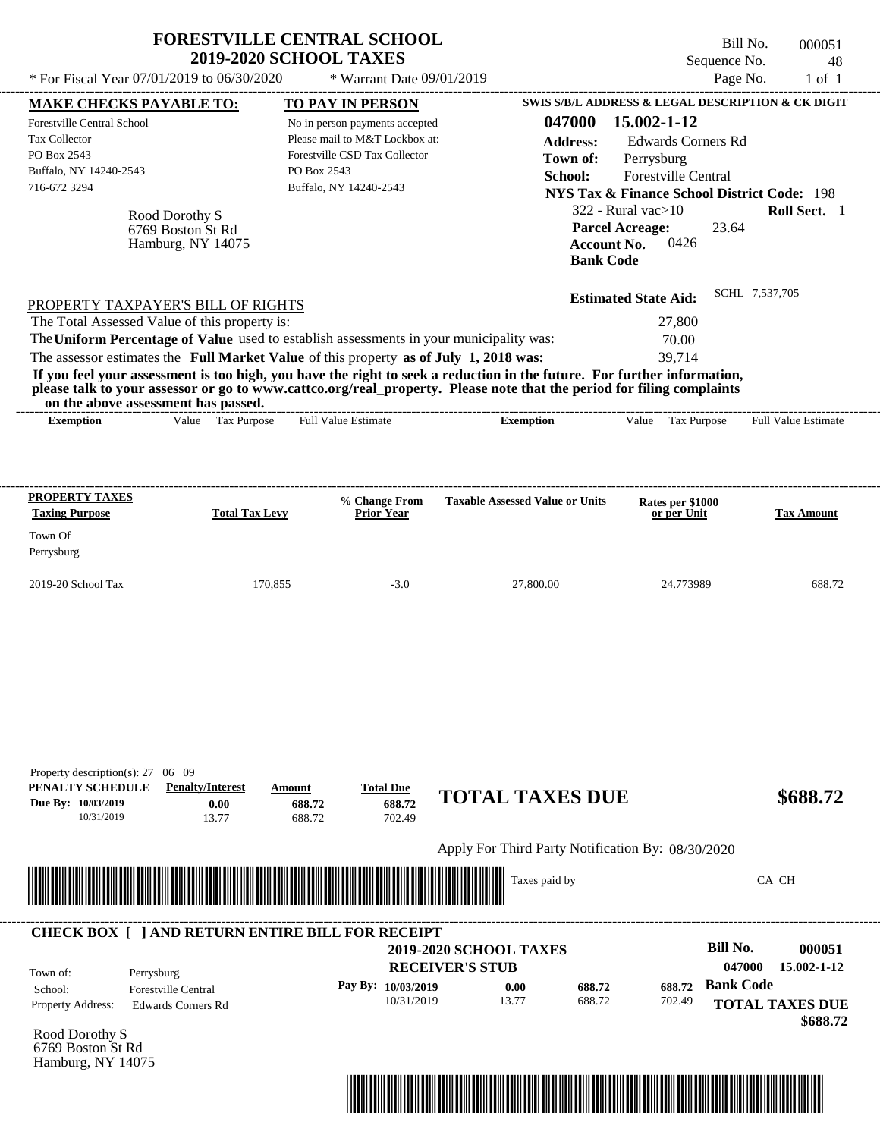|                                                                                                                                                                                                                                                                                                                | 2019-2020 SCHOOL TAXES                                   | <b>FORESTVILLE CENTRAL SCHOOL</b>                                                                                                                                     |                                                                                                                                                                                                                                                  | Bill No.<br>Sequence No.                                                                                                                                                                                                            | 000051<br>48               |
|----------------------------------------------------------------------------------------------------------------------------------------------------------------------------------------------------------------------------------------------------------------------------------------------------------------|----------------------------------------------------------|-----------------------------------------------------------------------------------------------------------------------------------------------------------------------|--------------------------------------------------------------------------------------------------------------------------------------------------------------------------------------------------------------------------------------------------|-------------------------------------------------------------------------------------------------------------------------------------------------------------------------------------------------------------------------------------|----------------------------|
| * For Fiscal Year 07/01/2019 to 06/30/2020                                                                                                                                                                                                                                                                     |                                                          | * Warrant Date 09/01/2019                                                                                                                                             |                                                                                                                                                                                                                                                  | Page No.                                                                                                                                                                                                                            | $1$ of $1$                 |
| <b>MAKE CHECKS PAYABLE TO:</b><br><b>Forestville Central School</b><br>Tax Collector<br>PO Box 2543<br>Buffalo, NY 14240-2543<br>716-672 3294                                                                                                                                                                  | Rood Dorothy S<br>6769 Boston St Rd<br>Hamburg, NY 14075 | <b>TO PAY IN PERSON</b><br>No in person payments accepted<br>Please mail to M&T Lockbox at:<br>Forestville CSD Tax Collector<br>PO Box 2543<br>Buffalo, NY 14240-2543 | 047000<br><b>Address:</b><br>Town of:<br>School:<br><b>Parcel Acreage:</b><br><b>Account No.</b><br><b>Bank Code</b>                                                                                                                             | SWIS S/B/L ADDRESS & LEGAL DESCRIPTION & CK DIGIT<br>15.002-1-12<br><b>Edwards Corners Rd</b><br>Perrysburg<br>Forestville Central<br><b>NYS Tax &amp; Finance School District Code: 198</b><br>322 - Rural vac>10<br>23.64<br>0426 | <b>Roll Sect.</b> 1        |
| PROPERTY TAXPAYER'S BILL OF RIGHTS<br>The Total Assessed Value of this property is:<br>The Uniform Percentage of Value used to establish assessments in your municipality was:<br>The assessor estimates the Full Market Value of this property as of July 1, 2018 was:<br>on the above assessment has passed. |                                                          |                                                                                                                                                                       | If you feel your assessment is too high, you have the right to seek a reduction in the future. For further information,<br>please talk to your assessor or go to www.cattco.org/real_property. Please note that the period for filing complaints | SCHL 7,537,705<br><b>Estimated State Aid:</b><br>27,800<br>70.00<br>39,714                                                                                                                                                          |                            |
| <b>Exemption</b>                                                                                                                                                                                                                                                                                               | Value Tax Purpose                                        | <b>Full Value Estimate</b>                                                                                                                                            | <b>Exemption</b>                                                                                                                                                                                                                                 | Value Tax Purpose                                                                                                                                                                                                                   | <b>Full Value Estimate</b> |
| <b>PROPERTY TAXES</b><br><b>Taxing Purpose</b>                                                                                                                                                                                                                                                                 | <b>Total Tax Levy</b>                                    | % Change From<br>Prior Year                                                                                                                                           | <b>Taxable Assessed Value or Units</b>                                                                                                                                                                                                           | Rates per \$1000<br>or per Unit                                                                                                                                                                                                     | <b>Tax Amount</b>          |
| Town Of<br>Perrysburg                                                                                                                                                                                                                                                                                          |                                                          |                                                                                                                                                                       |                                                                                                                                                                                                                                                  |                                                                                                                                                                                                                                     |                            |
| 2019-20 School Tax                                                                                                                                                                                                                                                                                             | 170,855                                                  | $-3.0$                                                                                                                                                                | 27,800.00                                                                                                                                                                                                                                        | 24.773989                                                                                                                                                                                                                           | 688.72                     |
| Property description(s): $27 \quad 06 \quad 09$                                                                                                                                                                                                                                                                | <b>Penalty/Interest</b><br>Amount<br>0.00<br>688.72      | <b>Total Due</b><br>688.72                                                                                                                                            | <b>TOTAL TAXES DUE</b>                                                                                                                                                                                                                           |                                                                                                                                                                                                                                     | \$688.72                   |
| PENALTY SCHEDULE<br>Due By: 10/03/2019                                                                                                                                                                                                                                                                         |                                                          |                                                                                                                                                                       |                                                                                                                                                                                                                                                  |                                                                                                                                                                                                                                     |                            |
| 10/31/2019                                                                                                                                                                                                                                                                                                     | 688.72<br>13.77                                          | 702.49                                                                                                                                                                |                                                                                                                                                                                                                                                  |                                                                                                                                                                                                                                     |                            |
|                                                                                                                                                                                                                                                                                                                |                                                          |                                                                                                                                                                       | Apply For Third Party Notification By: 08/30/2020                                                                                                                                                                                                |                                                                                                                                                                                                                                     |                            |

| Town of:                 | Perrysburg                 | <b>RECEIVER'S STUB</b> | <b>2019-2020 SCHOOL TAXES</b> |        |        | Bill No.<br>047000 | 000051<br>15.002-1-12  |
|--------------------------|----------------------------|------------------------|-------------------------------|--------|--------|--------------------|------------------------|
| School:                  | <b>Forestville Central</b> | Pay By: $10/03/2019$   | 0.00                          | 688.72 | 688.72 | <b>Bank Code</b>   |                        |
| <b>Property Address:</b> | Edwards Corners Rd         | 10/31/2019             | 13.77                         | 688.72 | 702.49 |                    | <b>TOTAL TAXES DUE</b> |

Rood Dorothy S 6769 Boston St Rd Hamburg, NY 14075

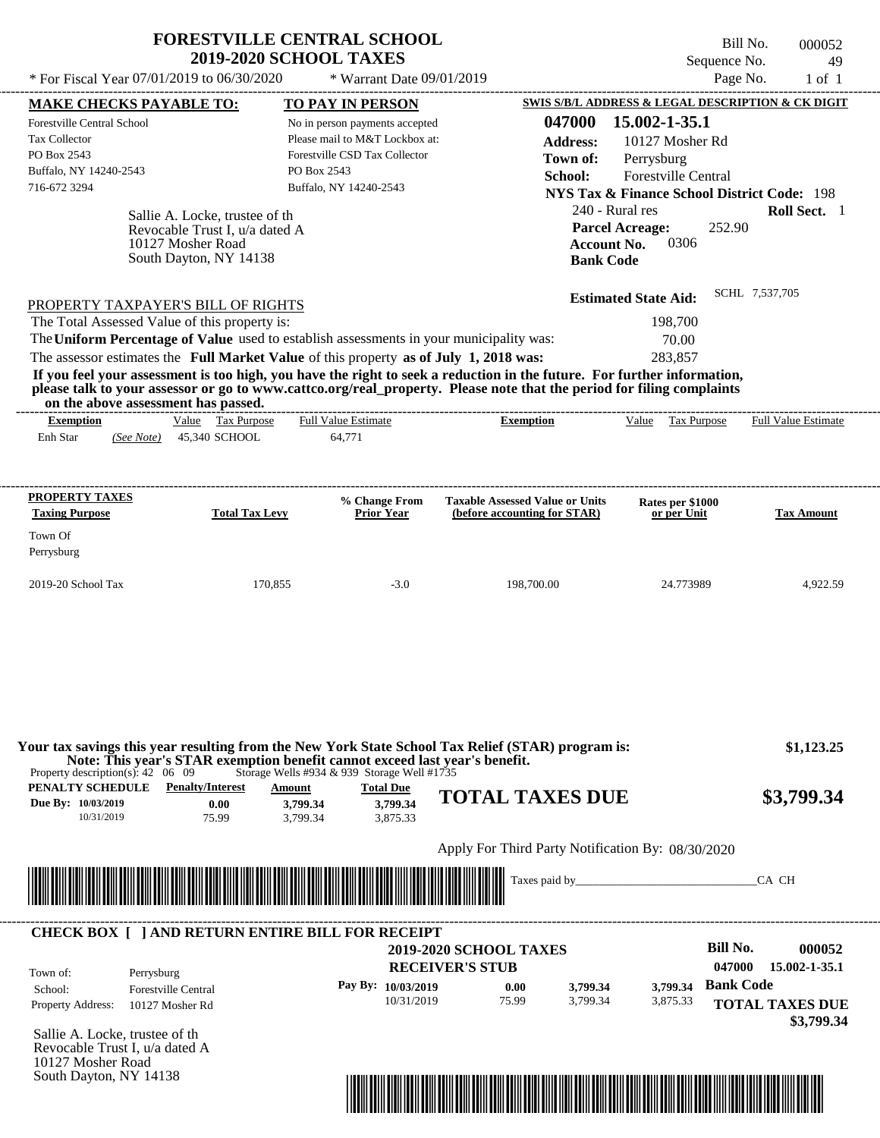| <b>FORESTVILLE CENTRAL SCHOOL</b> |
|-----------------------------------|
| <b>2019-2020 SCHOOL TAXES</b>     |

Bill No. 000052 Sequence No. 49

| * For Fiscal Year 07/01/2019 to 06/30/2020                                                                                                                                                                                                                                                                                           | * Warrant Date 09/01/2019                                                                                                 |                                                                        | Page No.                                               | $1$ of $1$               |
|--------------------------------------------------------------------------------------------------------------------------------------------------------------------------------------------------------------------------------------------------------------------------------------------------------------------------------------|---------------------------------------------------------------------------------------------------------------------------|------------------------------------------------------------------------|--------------------------------------------------------|--------------------------|
| <b>MAKE CHECKS PAYABLE TO:</b>                                                                                                                                                                                                                                                                                                       | TO PAY IN PERSON                                                                                                          |                                                                        | SWIS S/B/L ADDRESS & LEGAL DESCRIPTION & CK DIGIT      |                          |
| Forestville Central School                                                                                                                                                                                                                                                                                                           | No in person payments accepted                                                                                            | 047000                                                                 | 15.002-1-35.1                                          |                          |
| Tax Collector                                                                                                                                                                                                                                                                                                                        | Please mail to M&T Lockbox at:                                                                                            | <b>Address:</b>                                                        | 10127 Mosher Rd                                        |                          |
| PO Box 2543                                                                                                                                                                                                                                                                                                                          | Forestville CSD Tax Collector                                                                                             | Town of:                                                               | Perrysburg                                             |                          |
| Buffalo, NY 14240-2543<br>716-672 3294                                                                                                                                                                                                                                                                                               | PO Box 2543                                                                                                               | School:                                                                | <b>Forestville Central</b>                             |                          |
|                                                                                                                                                                                                                                                                                                                                      | Buffalo, NY 14240-2543                                                                                                    |                                                                        | <b>NYS Tax &amp; Finance School District Code: 198</b> |                          |
| Sallie A. Locke, trustee of the                                                                                                                                                                                                                                                                                                      |                                                                                                                           |                                                                        | 240 - Rural res                                        | Roll Sect. 1             |
| Revocable Trust I, u/a dated A                                                                                                                                                                                                                                                                                                       |                                                                                                                           |                                                                        | <b>Parcel Acreage:</b><br>252.90                       |                          |
| 10127 Mosher Road<br>South Dayton, NY 14138                                                                                                                                                                                                                                                                                          |                                                                                                                           | <b>Account No.</b><br><b>Bank Code</b>                                 | 0306                                                   |                          |
|                                                                                                                                                                                                                                                                                                                                      |                                                                                                                           |                                                                        |                                                        |                          |
| PROPERTY TAXPAYER'S BILL OF RIGHTS                                                                                                                                                                                                                                                                                                   |                                                                                                                           |                                                                        | <b>Estimated State Aid:</b>                            | SCHL 7,537,705           |
| The Total Assessed Value of this property is:                                                                                                                                                                                                                                                                                        |                                                                                                                           |                                                                        | 198,700                                                |                          |
| The Uniform Percentage of Value used to establish assessments in your municipality was:                                                                                                                                                                                                                                              |                                                                                                                           |                                                                        | 70.00                                                  |                          |
| The assessor estimates the Full Market Value of this property as of July 1, 2018 was:                                                                                                                                                                                                                                                |                                                                                                                           |                                                                        | 283,857                                                |                          |
| If you feel your assessment is too high, you have the right to seek a reduction in the future. For further information,<br>please talk to your assessor or go to www.cattco.org/real property. Please note that the period for filing complaints                                                                                     |                                                                                                                           |                                                                        |                                                        |                          |
| on the above assessment has passed.<br>Value Tax Purpose<br><b>Exemption</b>                                                                                                                                                                                                                                                         | <b>Full Value Estimate</b>                                                                                                | <b>Exemption</b>                                                       | Value Tax Purpose                                      | Full Value Estimate      |
| 45,340 SCHOOL<br>Enh Star<br>(See Note)                                                                                                                                                                                                                                                                                              | 64,771                                                                                                                    |                                                                        |                                                        |                          |
|                                                                                                                                                                                                                                                                                                                                      |                                                                                                                           |                                                                        |                                                        |                          |
| <b>PROPERTY TAXES</b><br><b>Taxing Purpose</b><br><b>Total Tax Levy</b>                                                                                                                                                                                                                                                              | % Change From<br><b>Prior Year</b>                                                                                        | <b>Taxable Assessed Value or Units</b><br>(before accounting for STAR) | Rates per \$1000<br>or per Unit                        | <b>Tax Amount</b>        |
|                                                                                                                                                                                                                                                                                                                                      |                                                                                                                           |                                                                        |                                                        |                          |
| Town Of<br>Perrysburg                                                                                                                                                                                                                                                                                                                |                                                                                                                           |                                                                        |                                                        |                          |
|                                                                                                                                                                                                                                                                                                                                      |                                                                                                                           |                                                                        |                                                        |                          |
| 2019-20 School Tax                                                                                                                                                                                                                                                                                                                   | 170,855<br>$-3.0$                                                                                                         | 198,700.00                                                             | 24.773989                                              | 4,922.59                 |
| Your tax savings this year resulting from the New York State School Tax Relief (STAR) program is:<br>Note: This year's STAR exemption benefit cannot exceed last year's benefit.<br>Property description(s): $42 \quad 06 \quad 09$<br><b>PENALTY SCHEDULE</b> Penalty/Interest<br>Due By: 10/03/2019<br>0.00<br>10/31/2019<br>75.99 | Storage Wells #934 & 939 Storage Well #1735<br><b>Total Due</b><br>Amount<br>3,799.34<br>3,799.34<br>3,875.33<br>3,799.34 | <b>TOTAL TAXES DUE</b>                                                 |                                                        | \$1,123.25<br>\$3,799.34 |
|                                                                                                                                                                                                                                                                                                                                      |                                                                                                                           | Apply For Third Party Notification By: 08/30/2020                      |                                                        |                          |
|                                                                                                                                                                                                                                                                                                                                      |                                                                                                                           |                                                                        |                                                        |                          |
| <u> Indian State of the State of the State of the State of the State of the State of the State of the State of the State of the State of the State of the State of the State of the State of the State of the State of the State</u>                                                                                                 |                                                                                                                           |                                                                        |                                                        | CA CH                    |
| <b>CHECK BOX [ ] AND RETURN ENTIRE BILL FOR RECEIPT</b>                                                                                                                                                                                                                                                                              |                                                                                                                           |                                                                        |                                                        |                          |
|                                                                                                                                                                                                                                                                                                                                      |                                                                                                                           | <b>2019-2020 SCHOOL TAXES</b>                                          | <b>Bill No.</b>                                        | 000052                   |
| Town of:<br>Perrysburg                                                                                                                                                                                                                                                                                                               |                                                                                                                           | <b>RECEIVER'S STUB</b>                                                 | 047000                                                 | 15.002-1-35.1            |
| School:<br><b>Forestville Central</b>                                                                                                                                                                                                                                                                                                | Pay By: 10/03/2019                                                                                                        | 3,799.34<br>0.00                                                       | <b>Bank Code</b><br>3,799.34                           |                          |
| <b>Property Address:</b><br>10127 Mosher Rd                                                                                                                                                                                                                                                                                          | 10/31/2019                                                                                                                | 75.99<br>3,799.34                                                      | 3,875.33                                               | <b>TOTAL TAXES DUE</b>   |
|                                                                                                                                                                                                                                                                                                                                      |                                                                                                                           |                                                                        |                                                        | \$3,799.34               |
| Sallie A. Locke, trustee of the<br>Revocable Trust I, u/a dated A                                                                                                                                                                                                                                                                    |                                                                                                                           |                                                                        |                                                        |                          |
| 10127 Mosher Road                                                                                                                                                                                                                                                                                                                    |                                                                                                                           |                                                                        |                                                        |                          |
| South Dayton, NY 14138                                                                                                                                                                                                                                                                                                               |                                                                                                                           |                                                                        |                                                        |                          |
|                                                                                                                                                                                                                                                                                                                                      |                                                                                                                           |                                                                        |                                                        |                          |
|                                                                                                                                                                                                                                                                                                                                      |                                                                                                                           |                                                                        |                                                        |                          |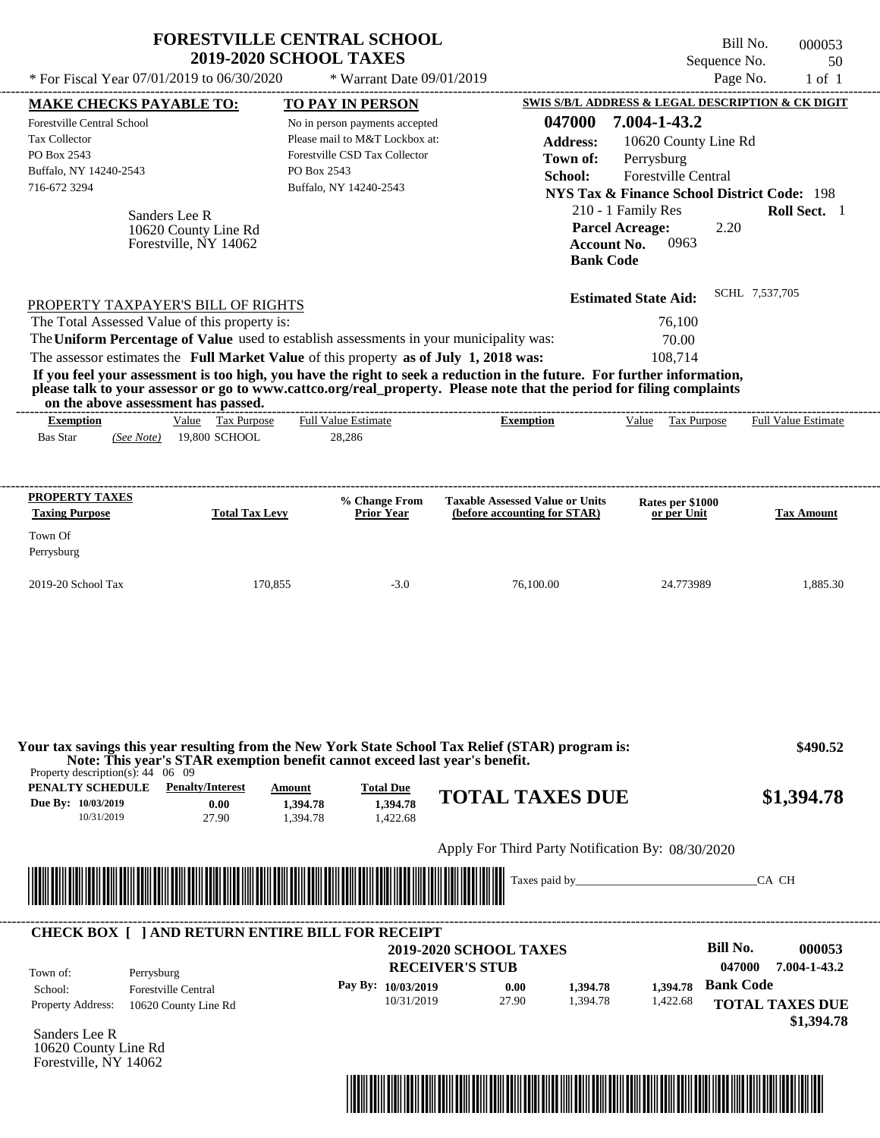| * For Fiscal Year 07/01/2019 to 06/30/2020                                                                                                                                                                                                       | <b>FORESTVILLE CENTRAL SCHOOL</b><br><b>2019-2020 SCHOOL TAXES</b> | * Warrant Date 09/01/2019                                                                                                    |                                                   | Sequence No.<br>Page No.                                                                                   | Bill No.<br>000053<br>50<br>$1$ of $1$ |
|--------------------------------------------------------------------------------------------------------------------------------------------------------------------------------------------------------------------------------------------------|--------------------------------------------------------------------|------------------------------------------------------------------------------------------------------------------------------|---------------------------------------------------|------------------------------------------------------------------------------------------------------------|----------------------------------------|
|                                                                                                                                                                                                                                                  |                                                                    |                                                                                                                              |                                                   | SWIS S/B/L ADDRESS & LEGAL DESCRIPTION & CK DIGIT                                                          |                                        |
| <b>MAKE CHECKS PAYABLE TO:</b><br>Forestville Central School<br><b>Tax Collector</b><br>PO Box 2543                                                                                                                                              |                                                                    | <b>TO PAY IN PERSON</b><br>No in person payments accepted<br>Please mail to M&T Lockbox at:<br>Forestville CSD Tax Collector | 047000<br><b>Address:</b><br>Town of:             | 7.004-1-43.2<br>10620 County Line Rd<br>Perrysburg                                                         |                                        |
| Buffalo, NY 14240-2543<br>716-672 3294                                                                                                                                                                                                           | PO Box 2543                                                        | Buffalo, NY 14240-2543                                                                                                       | School:                                           | <b>Forestville Central</b><br><b>NYS Tax &amp; Finance School District Code: 198</b><br>210 - 1 Family Res | Roll Sect. 1                           |
| Sanders Lee R<br>10620 County Line Rd<br>Forestville, NY 14062                                                                                                                                                                                   |                                                                    |                                                                                                                              | <b>Bank Code</b>                                  | <b>Parcel Acreage:</b><br>2.20<br>0963<br><b>Account No.</b>                                               |                                        |
| PROPERTY TAXPAYER'S BILL OF RIGHTS                                                                                                                                                                                                               |                                                                    |                                                                                                                              |                                                   | <b>Estimated State Aid:</b>                                                                                | SCHL 7,537,705                         |
| The Total Assessed Value of this property is:<br>The Uniform Percentage of Value used to establish assessments in your municipality was:                                                                                                         |                                                                    |                                                                                                                              |                                                   | 76,100                                                                                                     |                                        |
| The assessor estimates the Full Market Value of this property as of July 1, 2018 was:                                                                                                                                                            |                                                                    |                                                                                                                              |                                                   | 70.00<br>108,714                                                                                           |                                        |
| If you feel your assessment is too high, you have the right to seek a reduction in the future. For further information,<br>please talk to your assessor or go to www.cattco.org/real_property. Please note that the period for filing complaints |                                                                    |                                                                                                                              |                                                   |                                                                                                            |                                        |
| on the above assessment has passed.<br><b>Exemption</b>                                                                                                                                                                                          | Value Tax Purpose                                                  | <b>Full Value Estimate</b>                                                                                                   | <b>Exemption</b>                                  | Value Tax Purpose                                                                                          | <b>Full Value Estimate</b>             |
| <b>Bas Star</b><br>(See Note)                                                                                                                                                                                                                    | 19,800 SCHOOL                                                      | 28,286                                                                                                                       |                                                   |                                                                                                            |                                        |
|                                                                                                                                                                                                                                                  |                                                                    |                                                                                                                              |                                                   |                                                                                                            |                                        |
| PROPERTY TAXES                                                                                                                                                                                                                                   |                                                                    | % Change From                                                                                                                | <b>Taxable Assessed Value or Units</b>            | Rates per \$1000                                                                                           |                                        |
| <b>Taxing Purpose</b>                                                                                                                                                                                                                            | <b>Total Tax Levy</b>                                              | <b>Prior Year</b>                                                                                                            | (before accounting for STAR)                      | or per Unit                                                                                                | <b>Tax Amount</b>                      |
| Town Of                                                                                                                                                                                                                                          |                                                                    |                                                                                                                              |                                                   |                                                                                                            |                                        |
| Perrysburg                                                                                                                                                                                                                                       |                                                                    |                                                                                                                              |                                                   |                                                                                                            |                                        |
| 2019-20 School Tax                                                                                                                                                                                                                               | 170,855                                                            | $-3.0$                                                                                                                       | 76,100.00                                         | 24.773989                                                                                                  | 1,885.30                               |
|                                                                                                                                                                                                                                                  |                                                                    |                                                                                                                              |                                                   |                                                                                                            |                                        |
| Your tax savings this year resulting from the New York State School Tax Relief (STAR) program is:<br>Note: This year's STAR exemption benefit cannot exceed last year's benefit.<br>Property description(s): $44 \quad 06 \quad 09$              |                                                                    |                                                                                                                              |                                                   |                                                                                                            | \$490.52                               |
| <b>PENALTY SCHEDULE</b> Penalty/Interest<br>Due By: 10/03/2019                                                                                                                                                                                   | Amount                                                             | <b>Total Due</b><br>1.394.78                                                                                                 | <b>TOTAL TAXES DUE</b>                            |                                                                                                            | \$1,394.78                             |
| 10/31/2019                                                                                                                                                                                                                                       | 0.00<br>1,394.78<br>27.90<br>1,394.78                              | 1,422.68                                                                                                                     |                                                   |                                                                                                            |                                        |
|                                                                                                                                                                                                                                                  |                                                                    |                                                                                                                              | Apply For Third Party Notification By: 08/30/2020 |                                                                                                            |                                        |
|                                                                                                                                                                                                                                                  |                                                                    |                                                                                                                              | Taxes paid by                                     |                                                                                                            | CA CH                                  |
|                                                                                                                                                                                                                                                  |                                                                    |                                                                                                                              |                                                   |                                                                                                            |                                        |
| <b>CHECK BOX [ ] AND RETURN ENTIRE BILL FOR RECEIPT</b>                                                                                                                                                                                          |                                                                    |                                                                                                                              |                                                   |                                                                                                            |                                        |
|                                                                                                                                                                                                                                                  |                                                                    |                                                                                                                              | <b>2019-2020 SCHOOL TAXES</b>                     | <b>Bill No.</b>                                                                                            | 000053                                 |
| Town of:<br>Perrysburg                                                                                                                                                                                                                           |                                                                    |                                                                                                                              | <b>RECEIVER'S STUB</b>                            | 047000<br><b>Bank Code</b>                                                                                 | 7.004-1-43.2                           |
| <b>Forestville Central</b><br>School:<br>Property Address:<br>10620 County Line Rd                                                                                                                                                               |                                                                    | Pay By: 10/03/2019<br>10/31/2019                                                                                             | 0.00<br>1,394.78<br>27.90<br>1.394.78             | 1,394.78<br>1,422.68                                                                                       | <b>TOTAL TAXES DUE</b>                 |
| Sanders Lee R<br>10620 County Line Rd<br>Forestville, NY 14062                                                                                                                                                                                   |                                                                    |                                                                                                                              |                                                   |                                                                                                            | \$1,394.78                             |

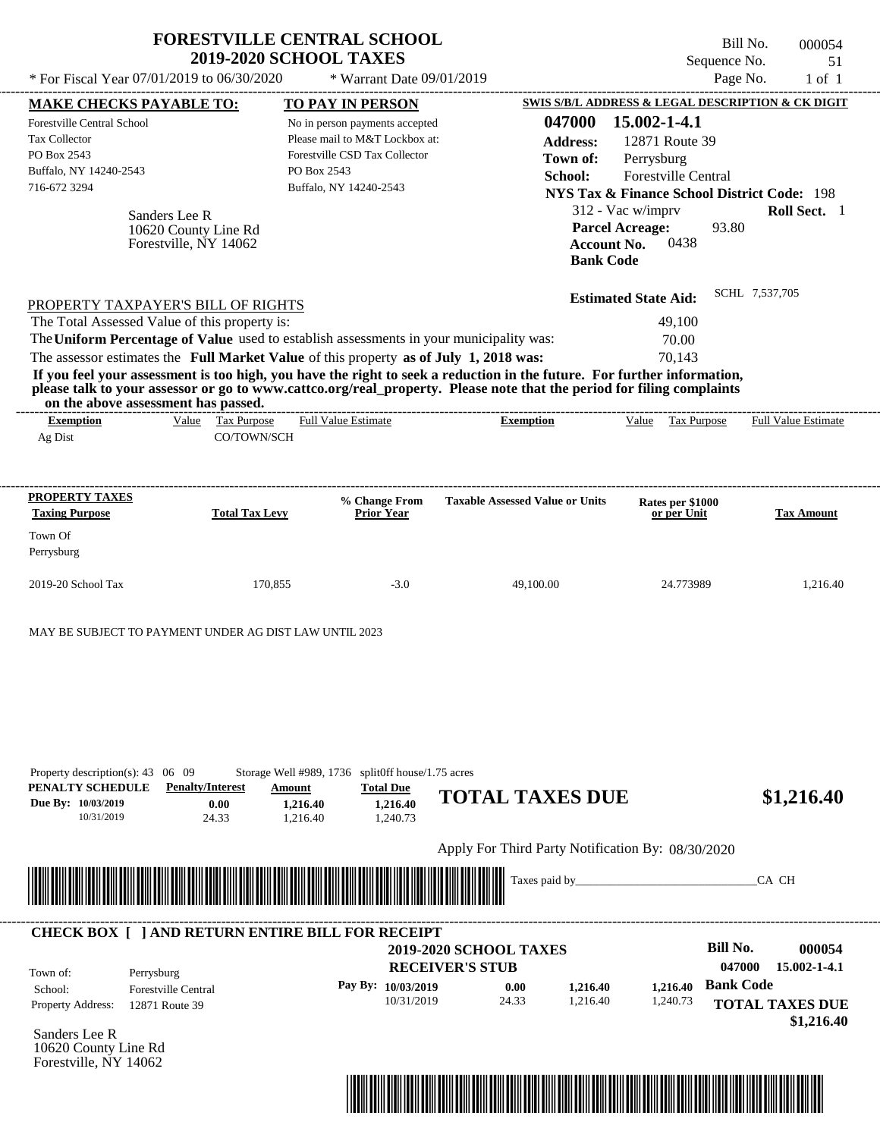| * For Fiscal Year 07/01/2019 to 06/30/2020                                                                                                                                                                                                                                                                                                                                                                                                                                                                                                                         |                                                                |                       | <b>FORESTVILLE CENTRAL SCHOOL</b><br><b>2019-2020 SCHOOL TAXES</b>                                                                                                    | * Warrant Date 09/01/2019                |                                                   |                                                                                                                                                                                     |                                                                                          |                                               | Bill No.<br>Sequence No.<br>Page No. |       | 000054<br>51<br>$1$ of $1$ |
|--------------------------------------------------------------------------------------------------------------------------------------------------------------------------------------------------------------------------------------------------------------------------------------------------------------------------------------------------------------------------------------------------------------------------------------------------------------------------------------------------------------------------------------------------------------------|----------------------------------------------------------------|-----------------------|-----------------------------------------------------------------------------------------------------------------------------------------------------------------------|------------------------------------------|---------------------------------------------------|-------------------------------------------------------------------------------------------------------------------------------------------------------------------------------------|------------------------------------------------------------------------------------------|-----------------------------------------------|--------------------------------------|-------|----------------------------|
| <b>MAKE CHECKS PAYABLE TO:</b><br><b>Forestville Central School</b><br><b>Tax Collector</b><br>PO Box 2543<br>Buffalo, NY 14240-2543<br>716-672 3294                                                                                                                                                                                                                                                                                                                                                                                                               | Sanders Lee R<br>10620 County Line Rd<br>Forestville, NY 14062 |                       | <b>TO PAY IN PERSON</b><br>No in person payments accepted<br>Please mail to M&T Lockbox at:<br>Forestville CSD Tax Collector<br>PO Box 2543<br>Buffalo, NY 14240-2543 |                                          |                                                   | SWIS S/B/L ADDRESS & LEGAL DESCRIPTION & CK DIGIT<br>047000<br><b>Address:</b><br>Town of:<br>School:<br><b>NYS Tax &amp; Finance School District Code: 198</b><br><b>Bank Code</b> | 15.002-1-4.1<br>Perrysburg<br>312 - Vac w/imprv<br><b>Parcel Acreage:</b><br>Account No. | 12871 Route 39<br>Forestville Central<br>0438 | 93.80                                |       | Roll Sect. 1               |
| PROPERTY TAXPAYER'S BILL OF RIGHTS<br>The Total Assessed Value of this property is:<br>The Uniform Percentage of Value used to establish assessments in your municipality was:<br>The assessor estimates the Full Market Value of this property as of July 1, 2018 was:<br>If you feel your assessment is too high, you have the right to seek a reduction in the future. For further information,<br>please talk to your assessor or go to www.cattco.org/real_property. Please note that the period for filing complaints<br>on the above assessment has passed. |                                                                |                       |                                                                                                                                                                       |                                          | -----------------------------                     |                                                                                                                                                                                     | <b>Estimated State Aid:</b>                                                              | 49,100<br>70.00<br>70,143                     | SCHL 7,537,705                       |       |                            |
| <b>Exemption</b><br>Ag Dist                                                                                                                                                                                                                                                                                                                                                                                                                                                                                                                                        | Value Tax Purpose                                              | CO/TOWN/SCH           | <b>Full Value Estimate</b>                                                                                                                                            |                                          | <b>Exemption</b>                                  |                                                                                                                                                                                     |                                                                                          | Value Tax Purpose                             |                                      |       | <b>Full Value Estimate</b> |
| PROPERTY TAXES<br><b>Taxing Purpose</b><br>Town Of<br>Perrysburg                                                                                                                                                                                                                                                                                                                                                                                                                                                                                                   |                                                                | <b>Total Tax Levy</b> |                                                                                                                                                                       | % Change From<br><b>Prior Year</b>       | <b>Taxable Assessed Value or Units</b>            |                                                                                                                                                                                     |                                                                                          | Rates per \$1000<br>or per Unit               |                                      |       | <b>Tax Amount</b>          |
| 2019-20 School Tax                                                                                                                                                                                                                                                                                                                                                                                                                                                                                                                                                 |                                                                | 170,855               |                                                                                                                                                                       | $-3.0$                                   | 49,100.00                                         |                                                                                                                                                                                     |                                                                                          | 24.773989                                     |                                      |       | 1,216.40                   |
| MAY BE SUBJECT TO PAYMENT UNDER AG DIST LAW UNTIL 2023<br>Property description(s): $43 \quad 06 \quad 09$<br>PENALTY SCHEDULE<br>Due By: 10/03/2019<br>10/31/2019                                                                                                                                                                                                                                                                                                                                                                                                  | <b>Penalty/Interest</b><br>0.00<br>24.33                       |                       | Storage Well #989, 1736 split0ff house/1.75 acres<br>Amount<br>1,216.40<br>1,216.40                                                                                   | <b>Total Due</b><br>1,216.40<br>1,240.73 | <b>TOTAL TAXES DUE</b>                            |                                                                                                                                                                                     |                                                                                          |                                               |                                      |       | \$1,216.40                 |
|                                                                                                                                                                                                                                                                                                                                                                                                                                                                                                                                                                    |                                                                |                       |                                                                                                                                                                       |                                          | Apply For Third Party Notification By: 08/30/2020 |                                                                                                                                                                                     |                                                                                          |                                               |                                      |       |                            |
|                                                                                                                                                                                                                                                                                                                                                                                                                                                                                                                                                                    |                                                                |                       |                                                                                                                                                                       |                                          |                                                   | Taxes paid by_                                                                                                                                                                      |                                                                                          |                                               |                                      | CA CH |                            |
|                                                                                                                                                                                                                                                                                                                                                                                                                                                                                                                                                                    |                                                                |                       |                                                                                                                                                                       |                                          |                                                   |                                                                                                                                                                                     |                                                                                          |                                               |                                      |       |                            |

Forestville, NY 14062

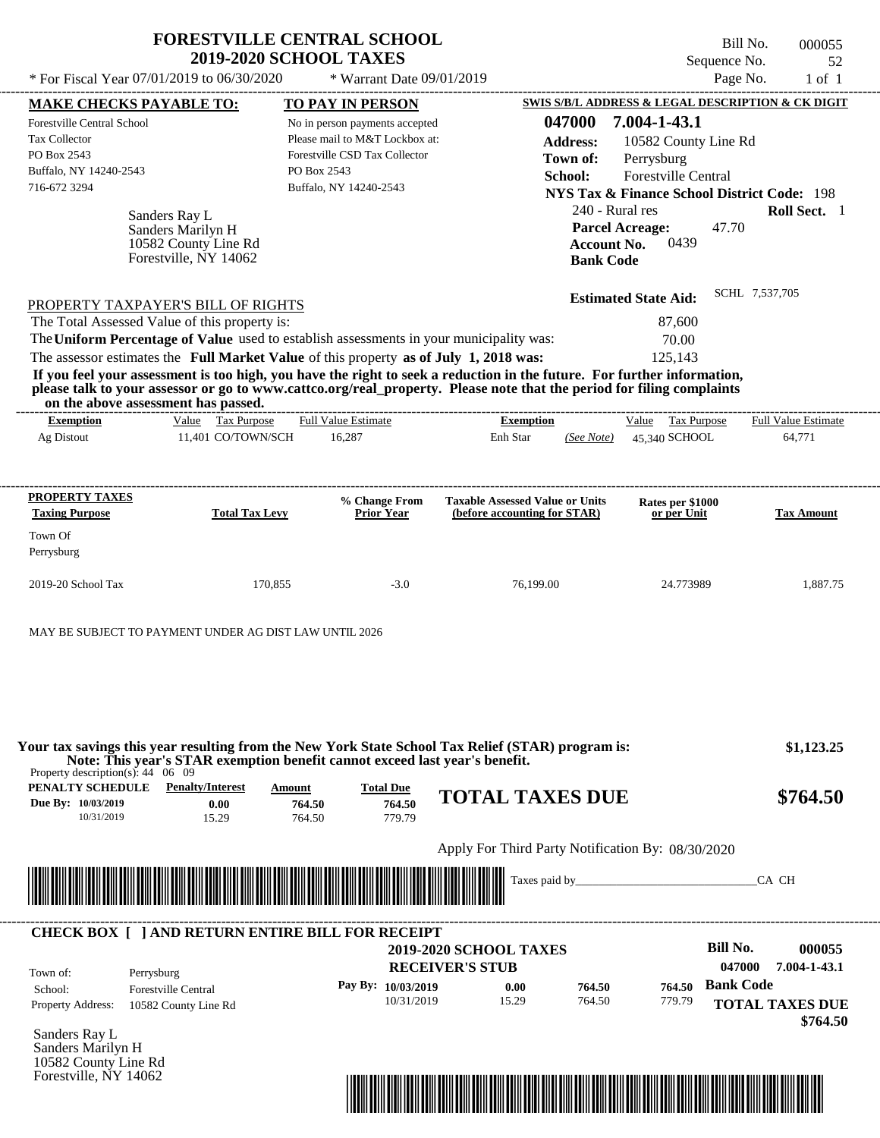| * For Fiscal Year $07/01/2019$ to $06/30/2020$                                                                                                                                                                                                                                                                                                                                   | <b>FORESTVILLE CENTRAL SCHOOL</b><br><b>2019-2020 SCHOOL TAXES</b><br>* Warrant Date 09/01/2019                                            |                                                  |                                                                                                                                            | Bill No.<br>Sequence No.<br>Page No. | 000055<br>52<br>$1$ of $1$ |
|----------------------------------------------------------------------------------------------------------------------------------------------------------------------------------------------------------------------------------------------------------------------------------------------------------------------------------------------------------------------------------|--------------------------------------------------------------------------------------------------------------------------------------------|--------------------------------------------------|--------------------------------------------------------------------------------------------------------------------------------------------|--------------------------------------|----------------------------|
| <b>MAKE CHECKS PAYABLE TO:</b>                                                                                                                                                                                                                                                                                                                                                   | <b>TO PAY IN PERSON</b>                                                                                                                    |                                                  | SWIS S/B/L ADDRESS & LEGAL DESCRIPTION & CK DIGIT                                                                                          |                                      |                            |
| <b>Forestville Central School</b><br><b>Tax Collector</b><br>PO Box 2543<br>Buffalo, NY 14240-2543<br>716-672 3294                                                                                                                                                                                                                                                               | No in person payments accepted<br>Please mail to M&T Lockbox at:<br>Forestville CSD Tax Collector<br>PO Box 2543<br>Buffalo, NY 14240-2543 | 047000<br><b>Address:</b><br>Town of:<br>School: | 7.004-1-43.1<br>10582 County Line Rd<br>Perrysburg<br><b>Forestville Central</b><br><b>NYS Tax &amp; Finance School District Code: 198</b> |                                      |                            |
| Sanders Ray L<br>Sanders Marilyn H<br>10582 County Line Rd<br>Forestville, NY 14062                                                                                                                                                                                                                                                                                              |                                                                                                                                            |                                                  | 240 - Rural res<br><b>Parcel Acreage:</b><br>0439<br><b>Account No.</b><br><b>Bank Code</b>                                                | 47.70                                | Roll Sect. 1               |
| PROPERTY TAXPAYER'S BILL OF RIGHTS<br>The Total Assessed Value of this property is:<br>The Uniform Percentage of Value used to establish assessments in your municipality was:                                                                                                                                                                                                   |                                                                                                                                            |                                                  | <b>Estimated State Aid:</b><br>87,600<br>70.00                                                                                             | SCHL 7,537,705                       |                            |
| The assessor estimates the Full Market Value of this property as of July 1, 2018 was:<br>If you feel your assessment is too high, you have the right to seek a reduction in the future. For further information,<br>please talk to your assessor or go to www.cattco.org/real_property. Please note that the period for filing complaints<br>on the above assessment has passed. |                                                                                                                                            |                                                  | 125.143                                                                                                                                    |                                      |                            |
| Value Tax Purpose<br><b>Exemption</b>                                                                                                                                                                                                                                                                                                                                            | <b>Full Value Estimate</b>                                                                                                                 | <b>Exemption</b>                                 | Tax Purpose<br>Value                                                                                                                       |                                      | <b>Full Value Estimate</b> |
| 11.401 CO/TOWN/SCH<br>Ag Distout                                                                                                                                                                                                                                                                                                                                                 | 16,287                                                                                                                                     | Enh Star<br>(See Note)                           | 45.340 SCHOOL                                                                                                                              |                                      | 64.771                     |

| <b>PROPERTY TAXES</b><br><b>Taxing Purpose</b> | <b>Total Tax Levy</b> | % Change From<br><b>Prior Year</b> | <b>Taxable Assessed Value or Units</b><br>(before accounting for STAR) | Rates per \$1000<br>or per Unit | <b>Tax Amount</b> |
|------------------------------------------------|-----------------------|------------------------------------|------------------------------------------------------------------------|---------------------------------|-------------------|
| Town Of<br>Perrysburg                          |                       |                                    |                                                                        |                                 |                   |
| $2019-20$ School Tax                           | 170,855               | $-3.0$                             | 76.199.00                                                              | 24.773989                       | 1.887.75          |

MAY BE SUBJECT TO PAYMENT UNDER AG DIST LAW UNTIL 2026

**PENALTY SCHEDULE Penalty/Interest Amount Total Due Due By: 10/03/2019** 10/31/2019 15.29 **0.00** 764.50 **764.50** 779.79 **764.50 TOTAL TAXES DUE \$764.50** Apply For Third Party Notification By: 08/30/2020 Sanders Ray L **RECEIVER'S STUB Bill No. 000055 Bank Code 764.50** Property Address: 10582 County Line Rd Perrysburg School: Forestville Central **TOTAL TAXES DUE \$764.50 2019-2020 SCHOOL TAXES \$1,123.25 047000 7.004-1-43.1 Pay By: 10/03/2019** 10/31/2019 15.29 **0.00** 764.50 **764.50** 779.79 Taxes paid by\_\_\_\_\_\_\_\_\_\_\_\_\_\_\_\_\_\_\_\_\_\_\_\_\_\_\_\_\_\_\_CA CH Property description(s): 44 06 09 Town of: **Your tax savings this year resulting from the New York State School Tax Relief (STAR) program is: Note: This year's STAR exemption benefit cannot exceed last year's benefit.** ---------------------------------------------------------------------------------------------------------------------------------------------------------------------------------------------------- **CHECK BOX [ ] AND RETURN ENTIRE BILL FOR RECEIPT** \*04700000005500000000076450\*

Sanders Marilyn H 10582 County Line Rd Forestville, NY 14062

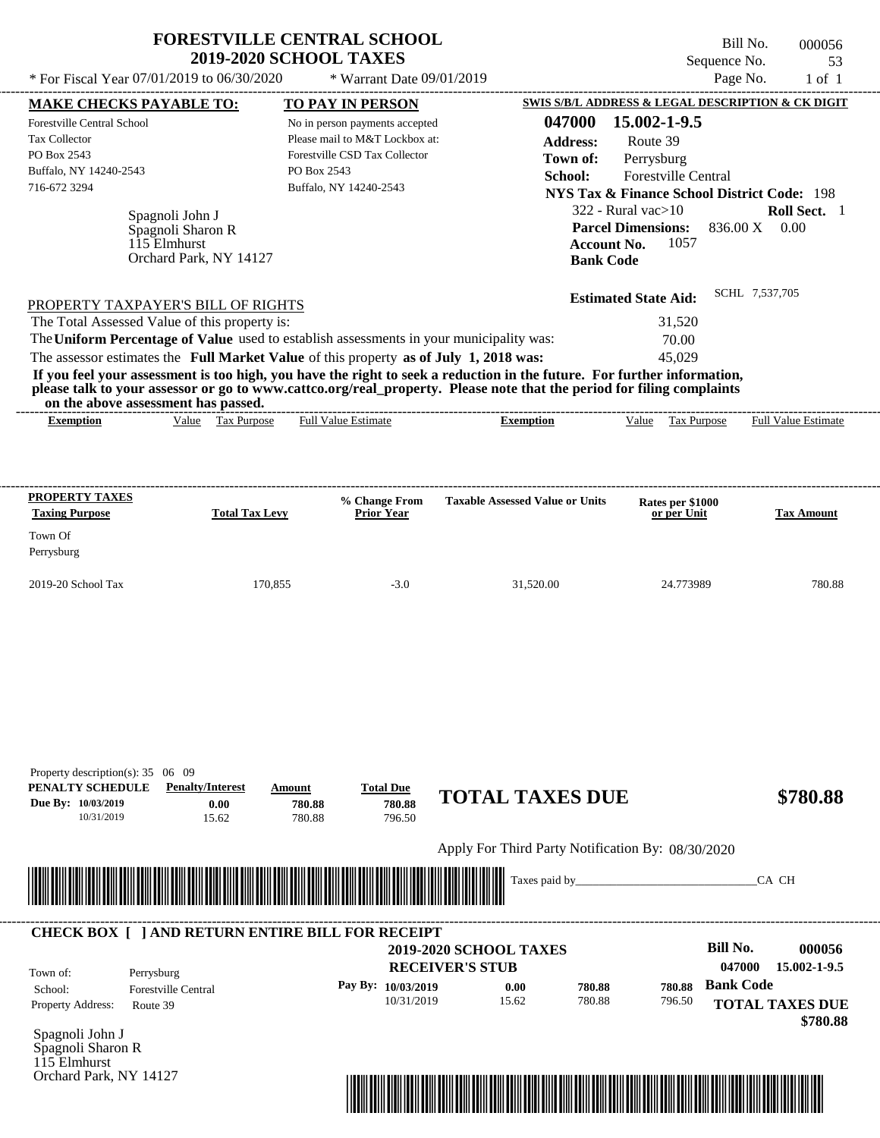|                                                | <b>2019-2020 SCHOOL TAXES</b><br>* For Fiscal Year 07/01/2019 to 06/30/2020                               | * Warrant Date 09/01/2019                                                                                                                                                                                                                                                                                                                                                                                                                                          |                                        | Sequence No.                                           | 53<br>Page No.<br>$1$ of $1$ |
|------------------------------------------------|-----------------------------------------------------------------------------------------------------------|--------------------------------------------------------------------------------------------------------------------------------------------------------------------------------------------------------------------------------------------------------------------------------------------------------------------------------------------------------------------------------------------------------------------------------------------------------------------|----------------------------------------|--------------------------------------------------------|------------------------------|
| <b>MAKE CHECKS PAYABLE TO:</b>                 |                                                                                                           | TO PAY IN PERSON                                                                                                                                                                                                                                                                                                                                                                                                                                                   |                                        | SWIS S/B/L ADDRESS & LEGAL DESCRIPTION & CK DIGIT      |                              |
| Forestville Central School                     |                                                                                                           | No in person payments accepted                                                                                                                                                                                                                                                                                                                                                                                                                                     | 047000                                 | 15.002-1-9.5                                           |                              |
| <b>Tax Collector</b>                           |                                                                                                           | Please mail to M&T Lockbox at:                                                                                                                                                                                                                                                                                                                                                                                                                                     | <b>Address:</b>                        | Route 39                                               |                              |
| PO Box 2543                                    |                                                                                                           | Forestville CSD Tax Collector                                                                                                                                                                                                                                                                                                                                                                                                                                      | Town of:                               | Perrysburg                                             |                              |
| Buffalo, NY 14240-2543                         |                                                                                                           | PO Box 2543                                                                                                                                                                                                                                                                                                                                                                                                                                                        | School:                                | Forestville Central                                    |                              |
| 716-672 3294                                   |                                                                                                           | Buffalo, NY 14240-2543                                                                                                                                                                                                                                                                                                                                                                                                                                             |                                        | <b>NYS Tax &amp; Finance School District Code: 198</b> |                              |
|                                                |                                                                                                           |                                                                                                                                                                                                                                                                                                                                                                                                                                                                    |                                        | $322$ - Rural vac $>10$                                | Roll Sect. 1                 |
|                                                | Spagnoli John J                                                                                           |                                                                                                                                                                                                                                                                                                                                                                                                                                                                    |                                        | <b>Parcel Dimensions:</b>                              | 836.00 X 0.00                |
|                                                | Spagnoli Sharon R<br>115 Elmhurst                                                                         |                                                                                                                                                                                                                                                                                                                                                                                                                                                                    | <b>Account No.</b>                     | 1057                                                   |                              |
|                                                | Orchard Park, NY 14127                                                                                    |                                                                                                                                                                                                                                                                                                                                                                                                                                                                    | <b>Bank Code</b>                       |                                                        |                              |
|                                                | PROPERTY TAXPAYER'S BILL OF RIGHTS                                                                        |                                                                                                                                                                                                                                                                                                                                                                                                                                                                    |                                        |                                                        |                              |
| <b>Exemption</b>                               | The Total Assessed Value of this property is:<br>on the above assessment has passed.<br>Value Tax Purpose | The Uniform Percentage of Value used to establish assessments in your municipality was:<br>The assessor estimates the Full Market Value of this property as of July 1, 2018 was:<br>If you feel your assessment is too high, you have the right to seek a reduction in the future. For further information,<br>please talk to your assessor or go to www.cattco.org/real_property. Please note that the period for filing complaints<br><b>Full Value Estimate</b> | <b>Exemption</b>                       | 31,520<br>70.00<br>45,029<br>Value Tax Purpose         | <b>Full Value Estimate</b>   |
| <b>PROPERTY TAXES</b><br><b>Taxing Purpose</b> | <b>Total Tax Levy</b>                                                                                     | % Change From<br><b>Prior Year</b>                                                                                                                                                                                                                                                                                                                                                                                                                                 | <b>Taxable Assessed Value or Units</b> | Rates per \$1000<br>or per Unit                        | <b>Tax Amount</b>            |
|                                                |                                                                                                           |                                                                                                                                                                                                                                                                                                                                                                                                                                                                    |                                        |                                                        |                              |
|                                                |                                                                                                           |                                                                                                                                                                                                                                                                                                                                                                                                                                                                    |                                        |                                                        |                              |
| Town Of<br>Perrysburg                          |                                                                                                           |                                                                                                                                                                                                                                                                                                                                                                                                                                                                    |                                        |                                                        |                              |

| Property description(s): $35 \quad 06 \quad 09$<br>PENALTY SCHEDULE<br>Due By: 10/03/2019<br>10/31/2019 | <b>Penalty/Interest</b><br>0.00<br>15.62 | Amount<br>780.88<br>780.88                              | <b>Total Due</b><br>780.88<br>796.50 | <b>TOTAL TAXES DUE</b>                                  |        |        | \$780.88                                            |
|---------------------------------------------------------------------------------------------------------|------------------------------------------|---------------------------------------------------------|--------------------------------------|---------------------------------------------------------|--------|--------|-----------------------------------------------------|
|                                                                                                         |                                          |                                                         |                                      | Apply For Third Party Notification By: 08/30/2020       |        |        |                                                     |
|                                                                                                         |                                          |                                                         |                                      |                                                         |        |        | CA CH                                               |
|                                                                                                         |                                          |                                                         |                                      |                                                         |        |        |                                                     |
|                                                                                                         |                                          | <b>CHECK BOX [ ] AND RETURN ENTIRE BILL FOR RECEIPT</b> |                                      |                                                         |        |        |                                                     |
| Town of:                                                                                                | Perrysburg                               |                                                         |                                      | <b>2019-2020 SCHOOL TAXES</b><br><b>RECEIVER'S STUB</b> |        |        | <b>Bill No.</b><br>000056<br>047000<br>15.002-1-9.5 |
| School:                                                                                                 | <b>Forestville Central</b>               |                                                         | Pay By: 10/03/2019                   | 0.00                                                    | 780.88 | 780.88 | <b>Bank Code</b>                                    |
| Property Address:                                                                                       | Route 39                                 |                                                         | 10/31/2019                           | 15.62                                                   | 780.88 | 796.50 | <b>TOTAL TAXES DUE</b><br>\$780.88                  |
| Spagnoli John J<br>Spagnoli Sharon R                                                                    |                                          |                                                         |                                      |                                                         |        |        |                                                     |
| $1\overline{1}5$ Elmhurst<br>Orchard Park, NY 14127                                                     |                                          |                                                         |                                      |                                                         |        |        |                                                     |
|                                                                                                         |                                          |                                                         |                                      |                                                         |        |        |                                                     |
|                                                                                                         |                                          |                                                         |                                      |                                                         |        |        |                                                     |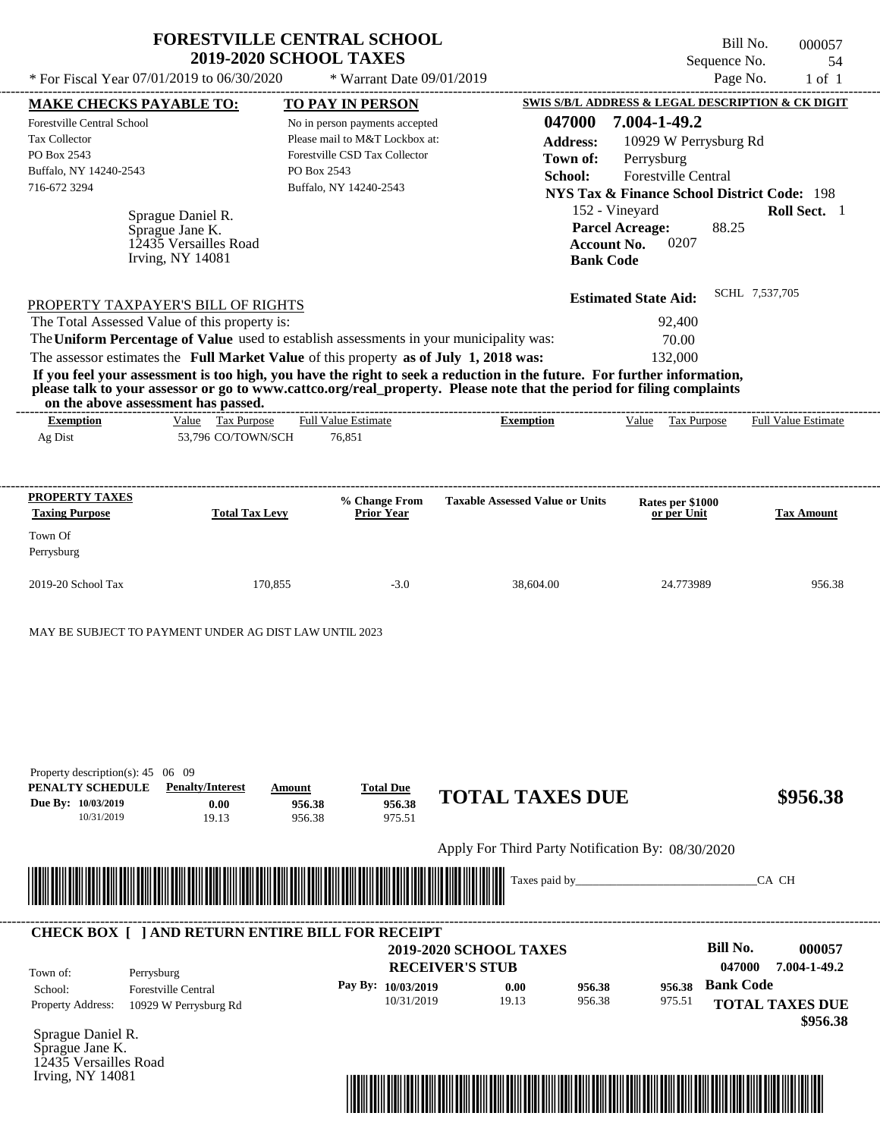|                                                                                                                                               | <b>FORESTVILLE CENTRAL SCHOOL</b><br><b>2019-2020 SCHOOL TAXES</b><br>* For Fiscal Year 07/01/2019 to 06/30/2020                                                                                                                                                                                               |                                                                                                                                                                       | * Warrant Date 09/01/2019            |                                                                                                                                                                                                                                                  | Sequence No.                                                                                                                                                                              | Bill No.<br>000057<br>54<br>Page No. |
|-----------------------------------------------------------------------------------------------------------------------------------------------|----------------------------------------------------------------------------------------------------------------------------------------------------------------------------------------------------------------------------------------------------------------------------------------------------------------|-----------------------------------------------------------------------------------------------------------------------------------------------------------------------|--------------------------------------|--------------------------------------------------------------------------------------------------------------------------------------------------------------------------------------------------------------------------------------------------|-------------------------------------------------------------------------------------------------------------------------------------------------------------------------------------------|--------------------------------------|
|                                                                                                                                               |                                                                                                                                                                                                                                                                                                                |                                                                                                                                                                       |                                      |                                                                                                                                                                                                                                                  |                                                                                                                                                                                           | $1$ of $1$                           |
| <b>MAKE CHECKS PAYABLE TO:</b><br><b>Forestville Central School</b><br>Tax Collector<br>PO Box 2543<br>Buffalo, NY 14240-2543<br>716-672 3294 |                                                                                                                                                                                                                                                                                                                | <b>TO PAY IN PERSON</b><br>No in person payments accepted<br>Please mail to M&T Lockbox at:<br>Forestville CSD Tax Collector<br>PO Box 2543<br>Buffalo, NY 14240-2543 |                                      | 047000<br><b>Address:</b><br>Town of:<br>School:                                                                                                                                                                                                 | SWIS S/B/L ADDRESS & LEGAL DESCRIPTION & CK DIGIT<br>7.004-1-49.2<br>10929 W Perrysburg Rd<br>Perrysburg<br>Forestville Central<br><b>NYS Tax &amp; Finance School District Code: 198</b> |                                      |
|                                                                                                                                               | Sprague Daniel R.<br>Sprague Jane K.<br>12435 Versailles Road<br><b>Irving, NY 14081</b>                                                                                                                                                                                                                       |                                                                                                                                                                       |                                      |                                                                                                                                                                                                                                                  | 152 - Vineyard<br><b>Parcel Acreage:</b><br>88.25<br>0207<br><b>Account No.</b><br><b>Bank Code</b>                                                                                       | Roll Sect. 1                         |
|                                                                                                                                               | PROPERTY TAXPAYER'S BILL OF RIGHTS<br>The Total Assessed Value of this property is:<br>The Uniform Percentage of Value used to establish assessments in your municipality was:<br>The assessor estimates the Full Market Value of this property as of July 1, 2018 was:<br>on the above assessment has passed. |                                                                                                                                                                       |                                      | If you feel your assessment is too high, you have the right to seek a reduction in the future. For further information,<br>please talk to your assessor or go to www.cattco.org/real_property. Please note that the period for filing complaints | <b>Estimated State Aid:</b><br>92,400<br>70.00<br>132,000                                                                                                                                 | SCHL 7,537,705                       |
| <b>Exemption</b><br>Ag Dist                                                                                                                   | Value Tax Purpose<br>53,796 CO/TOWN/SCH                                                                                                                                                                                                                                                                        | Full Value Estimate<br>76,851                                                                                                                                         |                                      | <b>Exemption</b>                                                                                                                                                                                                                                 | Value<br>Tax Purpose                                                                                                                                                                      | <b>Full Value Estimate</b>           |
| PROPERTY TAXES<br><b>Taxing Purpose</b><br>Town Of                                                                                            | <b>Total Tax Levy</b>                                                                                                                                                                                                                                                                                          |                                                                                                                                                                       | % Change From<br>Prior Year          | <b>Taxable Assessed Value or Units</b>                                                                                                                                                                                                           | Rates per \$1000<br>or per Unit                                                                                                                                                           | <b>Tax Amount</b>                    |
| Perrysburg                                                                                                                                    |                                                                                                                                                                                                                                                                                                                |                                                                                                                                                                       |                                      |                                                                                                                                                                                                                                                  |                                                                                                                                                                                           |                                      |
| 2019-20 School Tax                                                                                                                            | 170,855                                                                                                                                                                                                                                                                                                        |                                                                                                                                                                       | $-3.0$                               | 38,604.00                                                                                                                                                                                                                                        | 24.773989                                                                                                                                                                                 | 956.38                               |
|                                                                                                                                               | MAY BE SUBJECT TO PAYMENT UNDER AG DIST LAW UNTIL 2023                                                                                                                                                                                                                                                         |                                                                                                                                                                       |                                      |                                                                                                                                                                                                                                                  |                                                                                                                                                                                           |                                      |
| Property description(s): 45 06 09<br>PENALTY SCHEDULE<br>Due Bv: 10/03/2019<br>10/31/2019                                                     | <b>Penalty/Interest</b><br>0.00<br>19.13                                                                                                                                                                                                                                                                       | Amount<br>956.38<br>956.38                                                                                                                                            | <b>Total Due</b><br>956.38<br>975.51 | <b>TOTAL TAXES DUE</b>                                                                                                                                                                                                                           |                                                                                                                                                                                           | \$956.38                             |
|                                                                                                                                               |                                                                                                                                                                                                                                                                                                                |                                                                                                                                                                       |                                      | Apply For Third Party Notification By: 08/30/2020                                                                                                                                                                                                |                                                                                                                                                                                           |                                      |
|                                                                                                                                               |                                                                                                                                                                                                                                                                                                                |                                                                                                                                                                       |                                      | Taxes paid by_                                                                                                                                                                                                                                   |                                                                                                                                                                                           | CA CH                                |
|                                                                                                                                               |                                                                                                                                                                                                                                                                                                                |                                                                                                                                                                       |                                      |                                                                                                                                                                                                                                                  |                                                                                                                                                                                           |                                      |

|                          |                                          | <b>RECEIVER'S STUB</b> | <b>2019-2020 SCHOOL TAXES</b> |        |        | <b>Bill No.</b><br>047000 | 000057<br>7.004-1-49.2             |
|--------------------------|------------------------------------------|------------------------|-------------------------------|--------|--------|---------------------------|------------------------------------|
| Town of:<br>School:      | Perrysburg<br><b>Forestville Central</b> | Pay By: $10/03/2019$   | 0.00                          | 956.38 | 956.38 | <b>Bank Code</b>          |                                    |
| <b>Property Address:</b> | 10929 W Perrysburg Rd                    | 10/31/2019             | 19.13                         | 956.38 | 975.51 |                           | <b>TOTAL TAXES DUE</b><br>\$956.38 |

Sprague Daniel R. Sprague Jane K. 12435 Versailles Road Irving, NY 14081

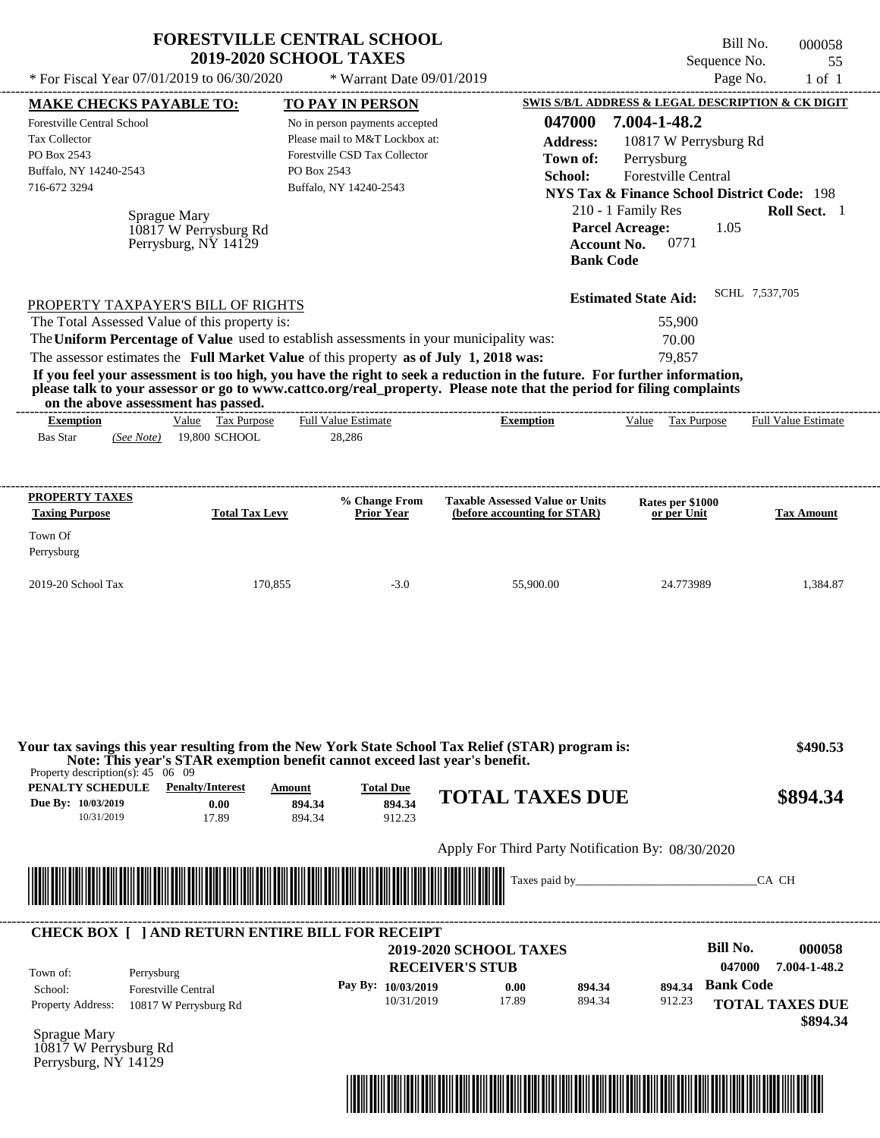|                                                                                                                                                                                                                                                                                                                                                                                                                                                                                                                                                                    | <b>FORESTVILLE CENTRAL SCHOOL</b>                                                                                       | <b>2019-2020 SCHOOL TAXES</b>                                                                                                                                         |                                      |                                                                        |                                                                                                                      | Sequence No.                                                 | Bill No.<br>000058<br>55                                                                                                    |
|--------------------------------------------------------------------------------------------------------------------------------------------------------------------------------------------------------------------------------------------------------------------------------------------------------------------------------------------------------------------------------------------------------------------------------------------------------------------------------------------------------------------------------------------------------------------|-------------------------------------------------------------------------------------------------------------------------|-----------------------------------------------------------------------------------------------------------------------------------------------------------------------|--------------------------------------|------------------------------------------------------------------------|----------------------------------------------------------------------------------------------------------------------|--------------------------------------------------------------|-----------------------------------------------------------------------------------------------------------------------------|
| * For Fiscal Year 07/01/2019 to 06/30/2020                                                                                                                                                                                                                                                                                                                                                                                                                                                                                                                         |                                                                                                                         |                                                                                                                                                                       | * Warrant Date 09/01/2019            |                                                                        |                                                                                                                      | Page No.                                                     | $1$ of $1$                                                                                                                  |
| <b>MAKE CHECKS PAYABLE TO:</b><br>Forestville Central School<br>Tax Collector<br>PO Box 2543<br>Buffalo, NY 14240-2543<br>716-672 3294                                                                                                                                                                                                                                                                                                                                                                                                                             | Sprague Mary<br>10817 W Perrysburg Rd<br>Perrysburg, NY 14129                                                           | <b>TO PAY IN PERSON</b><br>No in person payments accepted<br>Please mail to M&T Lockbox at:<br>Forestville CSD Tax Collector<br>PO Box 2543<br>Buffalo, NY 14240-2543 |                                      | 047000<br><b>Address:</b><br>Town of:<br>School:                       | 7.004-1-48.2<br>Perrysburg<br>210 - 1 Family Res<br><b>Parcel Acreage:</b><br><b>Account No.</b><br><b>Bank Code</b> | 10817 W Perrysburg Rd<br>Forestville Central<br>1.05<br>0771 | SWIS S/B/L ADDRESS & LEGAL DESCRIPTION & CK DIGIT<br><b>NYS Tax &amp; Finance School District Code: 198</b><br>Roll Sect. 1 |
| PROPERTY TAXPAYER'S BILL OF RIGHTS<br>The Total Assessed Value of this property is:<br>The Uniform Percentage of Value used to establish assessments in your municipality was:<br>The assessor estimates the Full Market Value of this property as of July 1, 2018 was:<br>If you feel your assessment is too high, you have the right to seek a reduction in the future. For further information,<br>please talk to your assessor or go to www.cattco.org/real_property. Please note that the period for filing complaints<br>on the above assessment has passed. |                                                                                                                         |                                                                                                                                                                       |                                      |                                                                        | <b>Estimated State Aid:</b>                                                                                          | 55,900<br>70.00<br>79,857                                    | SCHL 7,537,705                                                                                                              |
| <b>Exemption</b><br><b>Bas Star</b><br>(See Note)                                                                                                                                                                                                                                                                                                                                                                                                                                                                                                                  | Value Tax Purpose<br>19,800 SCHOOL                                                                                      | <b>Full Value Estimate</b><br>28,286                                                                                                                                  |                                      | <b>Exemption</b>                                                       |                                                                                                                      | Value Tax Purpose                                            | <b>Full Value Estimate</b>                                                                                                  |
| <b>PROPERTY TAXES</b><br><b>Taxing Purpose</b><br>Town Of<br>Perrysburg                                                                                                                                                                                                                                                                                                                                                                                                                                                                                            | <b>Total Tax Levy</b>                                                                                                   |                                                                                                                                                                       | % Change From<br><b>Prior Year</b>   | <b>Taxable Assessed Value or Units</b><br>(before accounting for STAR) |                                                                                                                      | Rates per \$1000<br>or per Unit                              | <b>Tax Amount</b>                                                                                                           |
| 2019-20 School Tax                                                                                                                                                                                                                                                                                                                                                                                                                                                                                                                                                 | 170,855                                                                                                                 |                                                                                                                                                                       | $-3.0$                               | 55,900.00                                                              |                                                                                                                      | 24.773989                                                    | 1,384.87                                                                                                                    |
| Your tax savings this year resulting from the New York State School Tax Relief (STAR) program is:<br>Property description(s): $45 \quad 06 \quad 09$<br>PENALTY SCHEDULE<br>Due By: 10/03/2019<br>10/31/2019                                                                                                                                                                                                                                                                                                                                                       | Note: This year's STAR exemption benefit cannot exceed last year's benefit.<br><b>Penalty/Interest</b><br>0.00<br>17.89 | Amount<br>894.34<br>894.34                                                                                                                                            | <b>Total Due</b><br>894.34<br>912.23 | <b>TOTAL TAXES DUE</b>                                                 |                                                                                                                      |                                                              | \$490.53<br>\$894.34                                                                                                        |
|                                                                                                                                                                                                                                                                                                                                                                                                                                                                                                                                                                    |                                                                                                                         |                                                                                                                                                                       |                                      | Apply For Third Party Notification By: 08/30/2020                      |                                                                                                                      |                                                              |                                                                                                                             |
|                                                                                                                                                                                                                                                                                                                                                                                                                                                                                                                                                                    |                                                                                                                         | <u> 1989 - Johann Amerikaanse kommunister (* 1950)</u>                                                                                                                |                                      |                                                                        |                                                                                                                      |                                                              | CA CH                                                                                                                       |
|                                                                                                                                                                                                                                                                                                                                                                                                                                                                                                                                                                    |                                                                                                                         |                                                                                                                                                                       |                                      |                                                                        |                                                                                                                      |                                                              |                                                                                                                             |

Perrysburg, NY 14129

\*04700000005800000000089434\*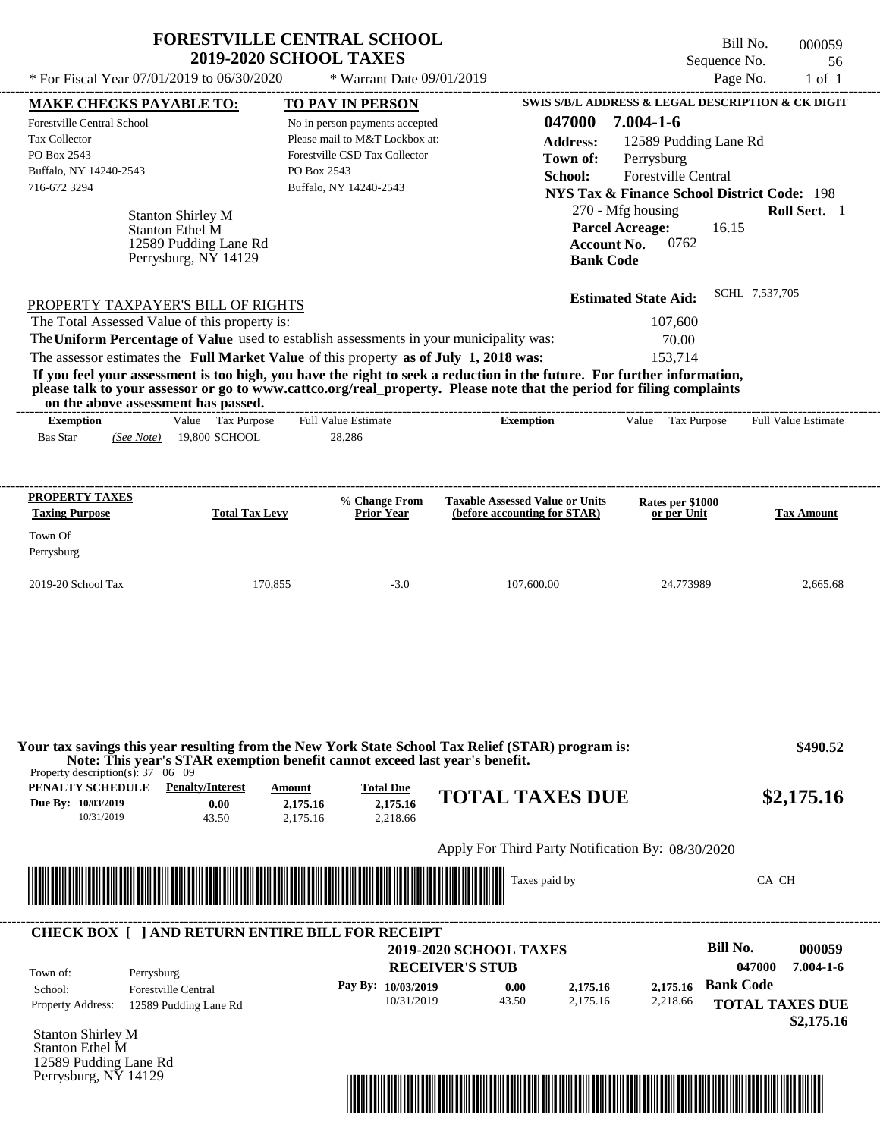| * For Fiscal Year 07/01/2019 to 06/30/2020                                          |                                               | * Warrant Date 09/01/2019                                                               |                                                                                                                                                         | SWIS S/B/L ADDRESS & LEGAL DESCRIPTION & CK DIGIT      | Page No.<br>$1$ of $1$     |
|-------------------------------------------------------------------------------------|-----------------------------------------------|-----------------------------------------------------------------------------------------|---------------------------------------------------------------------------------------------------------------------------------------------------------|--------------------------------------------------------|----------------------------|
| <b>MAKE CHECKS PAYABLE TO:</b><br><b>Forestville Central School</b>                 |                                               | TO PAY IN PERSON<br>No in person payments accepted                                      | 047000                                                                                                                                                  | 7.004-1-6                                              |                            |
| <b>Tax Collector</b>                                                                |                                               | Please mail to M&T Lockbox at:                                                          |                                                                                                                                                         |                                                        |                            |
| PO Box 2543                                                                         |                                               | Forestville CSD Tax Collector                                                           | <b>Address:</b>                                                                                                                                         | 12589 Pudding Lane Rd                                  |                            |
| Buffalo, NY 14240-2543                                                              |                                               | PO Box 2543                                                                             | Town of:                                                                                                                                                | Perrysburg                                             |                            |
| 716-672 3294                                                                        |                                               | Buffalo, NY 14240-2543                                                                  | School:                                                                                                                                                 | Forestville Central                                    |                            |
|                                                                                     |                                               |                                                                                         |                                                                                                                                                         | <b>NYS Tax &amp; Finance School District Code: 198</b> |                            |
|                                                                                     | <b>Stanton Shirley M</b>                      |                                                                                         |                                                                                                                                                         | 270 - Mfg housing                                      | <b>Roll Sect.</b> 1        |
|                                                                                     | Stanton Ethel M                               |                                                                                         |                                                                                                                                                         | <b>Parcel Acreage:</b><br>16.15                        |                            |
|                                                                                     | 12589 Pudding Lane Rd<br>Perrysburg, NY 14129 |                                                                                         | <b>Account No.</b>                                                                                                                                      | 0762                                                   |                            |
|                                                                                     |                                               |                                                                                         | <b>Bank Code</b>                                                                                                                                        |                                                        |                            |
|                                                                                     |                                               |                                                                                         |                                                                                                                                                         | <b>Estimated State Aid:</b>                            | SCHL 7,537,705             |
| PROPERTY TAXPAYER'S BILL OF RIGHTS<br>The Total Assessed Value of this property is: |                                               |                                                                                         |                                                                                                                                                         | 107,600                                                |                            |
|                                                                                     |                                               | The Uniform Percentage of Value used to establish assessments in your municipality was: |                                                                                                                                                         | 70.00                                                  |                            |
|                                                                                     |                                               | The assessor estimates the Full Market Value of this property as of July 1, 2018 was:   |                                                                                                                                                         | 153,714                                                |                            |
|                                                                                     |                                               |                                                                                         | If you feel your assessment is too high, you have the right to seek a reduction in the future. For further information,                                 |                                                        |                            |
| on the above assessment has passed.                                                 |                                               |                                                                                         | please talk to your assessor or go to www.cattco.org/real_property. Please note that the period for filing complaints<br>______________________________ |                                                        |                            |
| <b>Exemption</b><br>Bas Star<br>(See Note)                                          | Value Tax Purpose<br>19,800 SCHOOL            | <b>Full Value Estimate</b><br>28,286                                                    | <b>Exemption</b>                                                                                                                                        | Value Tax Purpose                                      | <b>Full Value Estimate</b> |
| PROPERTY TAXES<br><b>Taxing Purpose</b><br>Town Of<br>Perrysburg                    | <b>Total Tax Levy</b>                         | % Change From<br><b>Prior Year</b>                                                      | <b>Taxable Assessed Value or Units</b><br>(before accounting for STAR)                                                                                  | Rates per \$1000<br>or per Unit                        | <b>Tax Amount</b>          |

**Due By: 10/03/2019** 10/31/2019 43.50 **0.00** 2,175.16 **2,175.16** 2,218.66 <u><sup>2,175.16</sub> **TOTAL TAXES DUE** \$2,175.16</u></u></sup> Apply For Third Party Notification By: 08/30/2020 **RECEIVER'S STUB Bill No. 000059 Pay By: 10/03/2019 b 0.00 c 2,175.16 b 2,175.16 Bank Code** Property Address: 12589 Pudding Lane Rd Perrysburg School: Forestville Central **TOTAL TAXES DUE \$2,175.16 2019-2020 SCHOOL TAXES 047000 7.004-1-6** 10/31/2019 43.50 **0.00** 2,175.16 **2,175.16** 2,218.66 **2,175.16** Taxes paid by\_\_\_\_\_\_\_\_\_\_\_\_\_\_\_\_\_\_\_\_\_\_\_\_\_\_\_\_\_\_\_CA CH Town of: ---------------------------------------------------------------------------------------------------------------------------------------------------------------------------------------------------- **CHECK BOX [ ] AND RETURN ENTIRE BILL FOR RECEIPT** \*04700000005900000000217516\*

Stanton Shirley M Stanton Ethel M 12589 Pudding Lane Rd Perrysburg, NY 14129

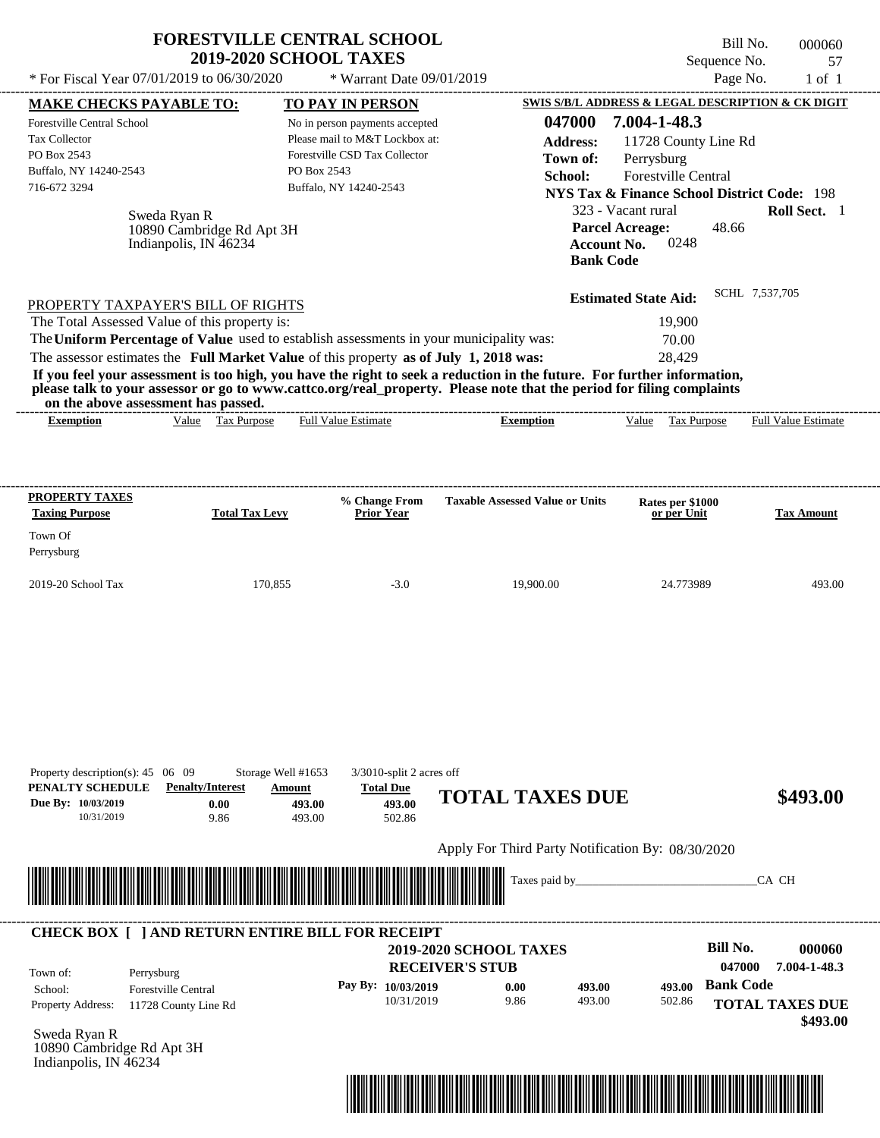|                                                                                                                                                                                                                                                                                                             | <b>FORESTVILLE CENTRAL SCHOOL</b><br><b>2019-2020 SCHOOL TAXES</b>                          |                                                                  |                                                                             |                                                                  |                                                        | Bill No.<br>Sequence No.  | 000060<br>57           |
|-------------------------------------------------------------------------------------------------------------------------------------------------------------------------------------------------------------------------------------------------------------------------------------------------------------|---------------------------------------------------------------------------------------------|------------------------------------------------------------------|-----------------------------------------------------------------------------|------------------------------------------------------------------|--------------------------------------------------------|---------------------------|------------------------|
| * For Fiscal Year 07/01/2019 to 06/30/2020                                                                                                                                                                                                                                                                  |                                                                                             | * Warrant Date 09/01/2019                                        |                                                                             |                                                                  |                                                        | Page No.                  | $1$ of $1$             |
| <b>MAKE CHECKS PAYABLE TO:</b>                                                                                                                                                                                                                                                                              |                                                                                             | TO PAY IN PERSON                                                 |                                                                             |                                                                  | SWIS S/B/L ADDRESS & LEGAL DESCRIPTION & CK DIGIT      |                           |                        |
| Forestville Central School                                                                                                                                                                                                                                                                                  |                                                                                             | No in person payments accepted                                   |                                                                             | 047000                                                           | 7.004-1-48.3                                           |                           |                        |
| <b>Tax Collector</b>                                                                                                                                                                                                                                                                                        |                                                                                             | Please mail to M&T Lockbox at:                                   |                                                                             | <b>Address:</b>                                                  | 11728 County Line Rd                                   |                           |                        |
| PO Box 2543                                                                                                                                                                                                                                                                                                 |                                                                                             | Forestville CSD Tax Collector                                    |                                                                             | Town of:                                                         | Perrysburg                                             |                           |                        |
| Buffalo, NY 14240-2543                                                                                                                                                                                                                                                                                      | PO Box 2543                                                                                 |                                                                  |                                                                             | School:                                                          | Forestville Central                                    |                           |                        |
| 716-672 3294                                                                                                                                                                                                                                                                                                |                                                                                             | Buffalo, NY 14240-2543                                           |                                                                             |                                                                  | <b>NYS Tax &amp; Finance School District Code: 198</b> |                           |                        |
|                                                                                                                                                                                                                                                                                                             |                                                                                             |                                                                  |                                                                             |                                                                  | 323 - Vacant rural                                     |                           | Roll Sect. 1           |
| Sweda Ryan R<br>Indianpolis, IN 46234                                                                                                                                                                                                                                                                       | 10890 Cambridge Rd Apt 3H                                                                   |                                                                  |                                                                             | <b>Parcel Acreage:</b><br><b>Account No.</b><br><b>Bank Code</b> | 0248                                                   | 48.66                     |                        |
| PROPERTY TAXPAYER'S BILL OF RIGHTS                                                                                                                                                                                                                                                                          |                                                                                             |                                                                  |                                                                             |                                                                  | <b>Estimated State Aid:</b>                            | SCHL 7,537,705            |                        |
| The Total Assessed Value of this property is:                                                                                                                                                                                                                                                               |                                                                                             |                                                                  |                                                                             |                                                                  | 19,900                                                 |                           |                        |
| The Uniform Percentage of Value used to establish assessments in your municipality was:                                                                                                                                                                                                                     |                                                                                             |                                                                  |                                                                             |                                                                  | 70.00                                                  |                           |                        |
| The assessor estimates the Full Market Value of this property as of July 1, 2018 was:                                                                                                                                                                                                                       |                                                                                             |                                                                  |                                                                             |                                                                  | 28,429                                                 |                           |                        |
| If you feel your assessment is too high, you have the right to seek a reduction in the future. For further information,<br>please talk to your assessor or go to www.cattco.org/real_property. Please note that the period for filing complaints<br>on the above assessment has passed.<br><b>Exemption</b> | Value Tax Purpose                                                                           | <b>Full Value Estimate</b>                                       | <b>Exemption</b>                                                            |                                                                  | Value<br>Tax Purpose                                   |                           | Full Value Estimate    |
|                                                                                                                                                                                                                                                                                                             |                                                                                             |                                                                  |                                                                             |                                                                  |                                                        |                           |                        |
| <b>PROPERTY TAXES</b>                                                                                                                                                                                                                                                                                       |                                                                                             | % Change From                                                    | <b>Taxable Assessed Value or Units</b>                                      |                                                                  | Rates per \$1000                                       |                           |                        |
| <b>Taxing Purpose</b>                                                                                                                                                                                                                                                                                       | <b>Total Tax Levy</b>                                                                       | Prior Year                                                       |                                                                             |                                                                  | or per Unit                                            |                           | <b>Tax Amount</b>      |
| Town Of                                                                                                                                                                                                                                                                                                     |                                                                                             |                                                                  |                                                                             |                                                                  |                                                        |                           |                        |
| Perrysburg                                                                                                                                                                                                                                                                                                  |                                                                                             |                                                                  |                                                                             |                                                                  |                                                        |                           |                        |
|                                                                                                                                                                                                                                                                                                             |                                                                                             |                                                                  |                                                                             |                                                                  |                                                        |                           |                        |
| 2019-20 School Tax                                                                                                                                                                                                                                                                                          | 170,855                                                                                     | $-3.0$                                                           | 19,900.00                                                                   |                                                                  | 24.773989                                              |                           | 493.00                 |
| Property description(s): $45 \quad 06 \quad 09$<br>PENALTY SCHEDULE<br>Due By: 10/03/2019<br>10/31/2019                                                                                                                                                                                                     | Storage Well #1653<br><b>Penalty/Interest</b><br>Amount<br>493.00<br>0.00<br>9.86<br>493.00 | 3/3010-split 2 acres off<br><b>Total Due</b><br>493.00<br>502.86 | <b>TOTAL TAXES DUE</b><br>Apply For Third Party Notification By: 08/30/2020 |                                                                  |                                                        |                           | \$493.00               |
|                                                                                                                                                                                                                                                                                                             |                                                                                             |                                                                  |                                                                             | Taxes paid by_                                                   |                                                        | CA CH                     |                        |
| <b>CHECK BOX [ ] AND RETURN ENTIRE BILL FOR RECEIPT</b>                                                                                                                                                                                                                                                     |                                                                                             |                                                                  |                                                                             |                                                                  |                                                        |                           |                        |
| Town of:<br>Perrysburg                                                                                                                                                                                                                                                                                      |                                                                                             |                                                                  | <b>2019-2020 SCHOOL TAXES</b><br><b>RECEIVER'S STUB</b>                     |                                                                  |                                                        | <b>Bill No.</b><br>047000 | 000060<br>7.004-1-48.3 |
| Forestville Central<br>School:                                                                                                                                                                                                                                                                              |                                                                                             | Pay By: 10/03/2019                                               | 0.00                                                                        | 493.00                                                           | 493.00                                                 | <b>Bank Code</b>          |                        |
| <b>Property Address:</b><br>11728 County Line Rd                                                                                                                                                                                                                                                            |                                                                                             |                                                                  |                                                                             |                                                                  |                                                        |                           |                        |

Sweda Ryan R 10890 Cambridge Rd Apt 3H Indianpolis, IN 46234

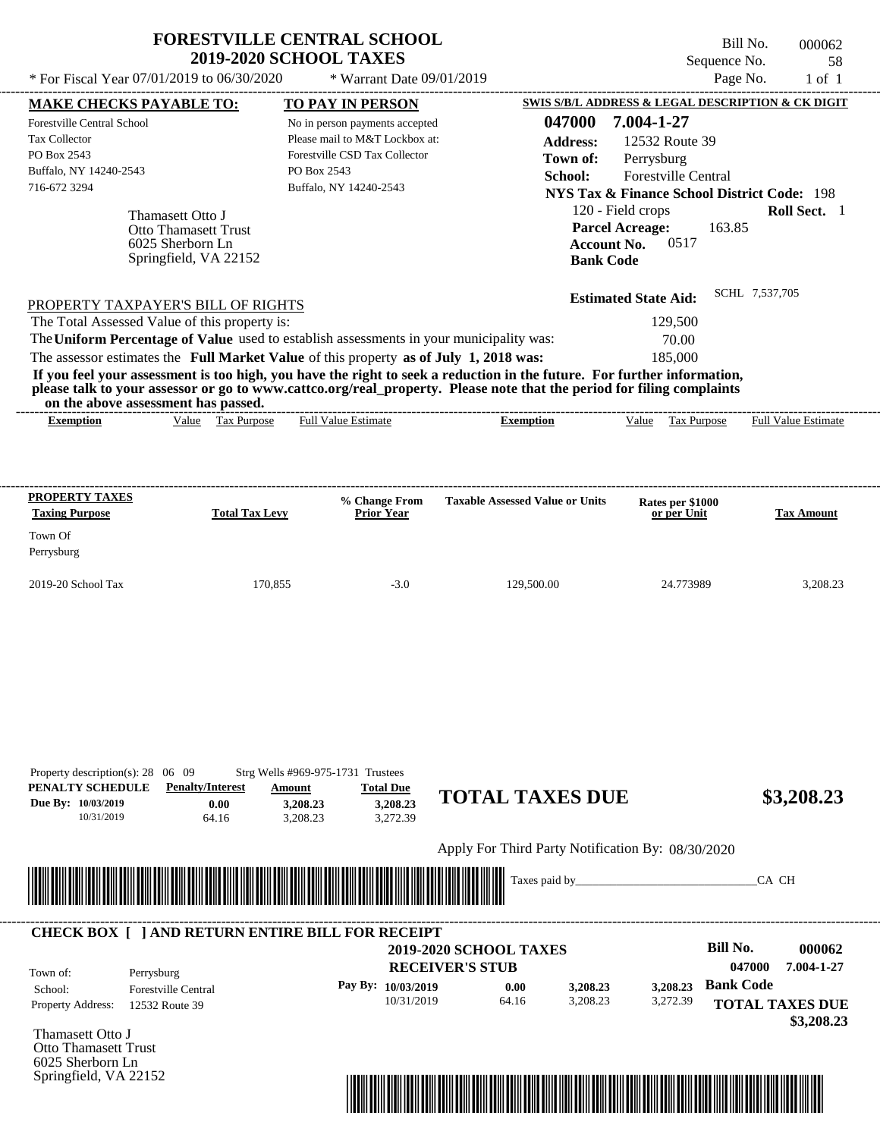|                                                    | * For Fiscal Year 07/01/2019 to 06/30/2020               | * Warrant Date 09/01/2019                                                               |                                                                                                                                                                                                                                                  | Page No.                                                         | $1$ of $1$                 |
|----------------------------------------------------|----------------------------------------------------------|-----------------------------------------------------------------------------------------|--------------------------------------------------------------------------------------------------------------------------------------------------------------------------------------------------------------------------------------------------|------------------------------------------------------------------|----------------------------|
| <b>MAKE CHECKS PAYABLE TO:</b>                     |                                                          | <b>TO PAY IN PERSON</b>                                                                 |                                                                                                                                                                                                                                                  | <b>SWIS S/B/L ADDRESS &amp; LEGAL DESCRIPTION &amp; CK DIGIT</b> |                            |
| Forestville Central School                         |                                                          | No in person payments accepted                                                          | 047000                                                                                                                                                                                                                                           | 7.004-1-27                                                       |                            |
| <b>Tax Collector</b>                               |                                                          | Please mail to M&T Lockbox at:                                                          | <b>Address:</b>                                                                                                                                                                                                                                  | 12532 Route 39                                                   |                            |
| PO Box 2543                                        |                                                          | Forestville CSD Tax Collector                                                           | Town of:                                                                                                                                                                                                                                         | Perrysburg                                                       |                            |
| Buffalo, NY 14240-2543                             |                                                          | PO Box 2543                                                                             | School:                                                                                                                                                                                                                                          | Forestville Central                                              |                            |
| 716-672 3294                                       |                                                          | Buffalo, NY 14240-2543                                                                  |                                                                                                                                                                                                                                                  | <b>NYS Tax &amp; Finance School District Code: 198</b>           |                            |
|                                                    | Thamasett Otto J                                         |                                                                                         |                                                                                                                                                                                                                                                  | 120 - Field crops                                                | Roll Sect. 1               |
|                                                    | <b>Otto Thamasett Trust</b>                              |                                                                                         |                                                                                                                                                                                                                                                  | <b>Parcel Acreage:</b><br>163.85                                 |                            |
|                                                    | 6025 Sherborn Ln                                         |                                                                                         |                                                                                                                                                                                                                                                  | <b>Account No.</b><br>0517                                       |                            |
|                                                    | Springfield, VA 22152                                    |                                                                                         |                                                                                                                                                                                                                                                  | <b>Bank Code</b>                                                 |                            |
|                                                    |                                                          |                                                                                         |                                                                                                                                                                                                                                                  |                                                                  | SCHL 7,537,705             |
|                                                    | PROPERTY TAXPAYER'S BILL OF RIGHTS                       |                                                                                         |                                                                                                                                                                                                                                                  | <b>Estimated State Aid:</b>                                      |                            |
|                                                    | The Total Assessed Value of this property is:            |                                                                                         |                                                                                                                                                                                                                                                  | 129,500                                                          |                            |
|                                                    |                                                          | The Uniform Percentage of Value used to establish assessments in your municipality was: |                                                                                                                                                                                                                                                  | 70.00                                                            |                            |
|                                                    |                                                          | The assessor estimates the Full Market Value of this property as of July 1, 2018 was:   |                                                                                                                                                                                                                                                  |                                                                  |                            |
|                                                    |                                                          |                                                                                         | If you feel your assessment is too high, you have the right to seek a reduction in the future. For further information,<br>please talk to your assessor or go to www.cattco.org/real_property. Please note that the period for filing complaints | 185,000                                                          |                            |
| <b>Exemption</b>                                   | on the above assessment has passed.<br>Value Tax Purpose | <b>Full Value Estimate</b>                                                              | <b>Exemption</b>                                                                                                                                                                                                                                 | <b>Tax Purpose</b><br>Value                                      | <b>Full Value Estimate</b> |
| PROPERTY TAXES<br><b>Taxing Purpose</b><br>Town Of | <b>Total Tax Levy</b>                                    | % Change From<br><b>Prior Year</b>                                                      | <b>Taxable Assessed Value or Units</b>                                                                                                                                                                                                           | Rates per \$1000<br>or per Unit                                  | <b>Tax Amount</b>          |
| Perrysburg                                         |                                                          |                                                                                         |                                                                                                                                                                                                                                                  |                                                                  |                            |

| Property description(s): $28 \quad 06 \quad 09$ |                         | Strg Wells #969-975-1731 Trustees |                  |              |
|-------------------------------------------------|-------------------------|-----------------------------------|------------------|--------------|
| PENALTY SCHEDULE                                | <b>Penalty/Interest</b> | Amount                            | <b>Total Due</b> |              |
| Due By: 10/03/2019                              | 0.00                    | 3.208.23                          | 3.208.23         | <b>TOTAL</b> |
| 10/31/2019                                      | 64.16                   | 3.208.23                          | 3.272.39         |              |

# **3,208.23 \$3,208.23**

Apply For Third Party Notification By: 08/30/2020



#### **RECEIVER'S STUB Bill No. 000062 Bank Code** Property Address: 12532 Route 39 Perrysburg School: Forestville Central **TOTAL TAXES DUE \$3,208.23 2019-2020 SCHOOL TAXES 047000 7.004-1-27 Pay By: 10/03/2019** 10/31/2019 64.16 **0.00** 3,208.23 **3,208.23** 3,272.39 **3,208.23** Town of: ---------------------------------------------------------------------------------------------------------------------------------------------------------------------------------------------------- **CHECK BOX [ ] AND RETURN ENTIRE BILL FOR RECEIPT**

Thamasett Otto J Otto Thamasett Trust 6025 Sherborn Ln Springfield, VA 22152

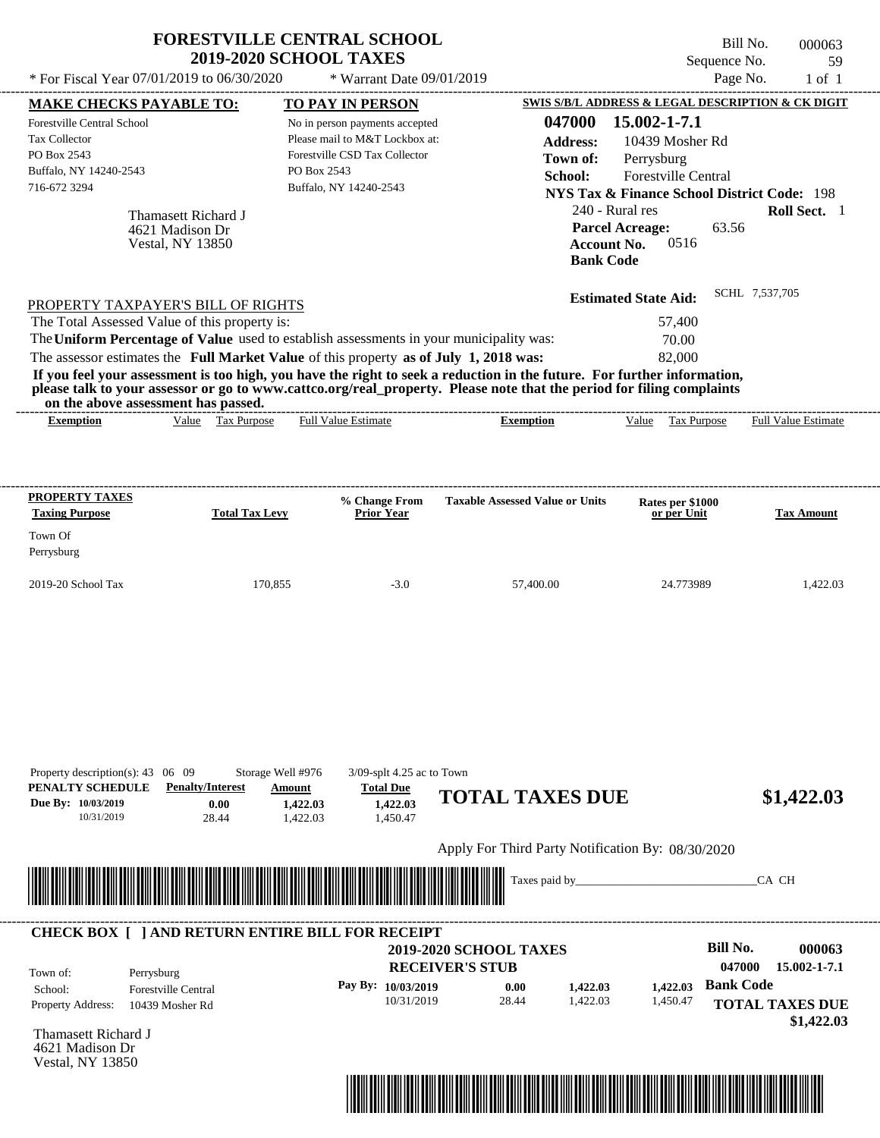| * For Fiscal Year $07/01/2019$ to $06/30/2020$                                                                                                       |                                                                   | <b>FORESTVILLE CENTRAL SCHOOL</b><br><b>2019-2020 SCHOOL TAXES</b><br>* Warrant Date 09/01/2019                                                                                  |                                                                                                                                                                                                                                                  | Bill No.<br>Sequence No.<br>Page No.                                                                                                                                                                                                              | 000063<br>59<br>$1$ of $1$    |
|------------------------------------------------------------------------------------------------------------------------------------------------------|-------------------------------------------------------------------|----------------------------------------------------------------------------------------------------------------------------------------------------------------------------------|--------------------------------------------------------------------------------------------------------------------------------------------------------------------------------------------------------------------------------------------------|---------------------------------------------------------------------------------------------------------------------------------------------------------------------------------------------------------------------------------------------------|-------------------------------|
|                                                                                                                                                      |                                                                   |                                                                                                                                                                                  |                                                                                                                                                                                                                                                  |                                                                                                                                                                                                                                                   |                               |
| <b>MAKE CHECKS PAYABLE TO:</b><br><b>Forestville Central School</b><br><b>Tax Collector</b><br>PO Box 2543<br>Buffalo, NY 14240-2543<br>716-672 3294 | Thamasett Richard J<br>4621 Madison Dr<br><b>Vestal, NY 13850</b> | <b>TO PAY IN PERSON</b><br>No in person payments accepted<br>Please mail to M&T Lockbox at:<br>Forestville CSD Tax Collector<br>PO Box 2543<br>Buffalo, NY 14240-2543            | 047000<br><b>Address:</b><br>Town of:<br>School:<br><b>Account No.</b><br><b>Bank Code</b>                                                                                                                                                       | SWIS S/B/L ADDRESS & LEGAL DESCRIPTION & CK DIGIT<br>15.002-1-7.1<br>10439 Mosher Rd<br>Perrysburg<br>Forestville Central<br><b>NYS Tax &amp; Finance School District Code: 198</b><br>240 - Rural res<br><b>Parcel Acreage:</b><br>63.56<br>0516 | Roll Sect. 1                  |
| PROPERTY TAXPAYER'S BILL OF RIGHTS<br>The Total Assessed Value of this property is:                                                                  |                                                                   | The Uniform Percentage of Value used to establish assessments in your municipality was:<br>The assessor estimates the Full Market Value of this property as of July 1, 2018 was: | If you feel your assessment is too high, you have the right to seek a reduction in the future. For further information,<br>please talk to your assessor or go to www.cattco.org/real_property. Please note that the period for filing complaints | <b>Estimated State Aid:</b><br>57,400<br>70.00<br>82,000                                                                                                                                                                                          | SCHL 7,537,705                |
| on the above assessment has passed.<br><b>Exemption</b>                                                                                              | Value Tax Purpose                                                 | <b>Full Value Estimate</b>                                                                                                                                                       | <b>Exemption</b>                                                                                                                                                                                                                                 | Value Tax Purpose                                                                                                                                                                                                                                 | <b>Full Value Estimate</b>    |
|                                                                                                                                                      |                                                                   |                                                                                                                                                                                  |                                                                                                                                                                                                                                                  |                                                                                                                                                                                                                                                   |                               |
|                                                                                                                                                      | <b>Total Tax Levy</b><br>170,855                                  | % Change From<br>Prior Year<br>$-3.0$                                                                                                                                            | <b>Taxable Assessed Value or Units</b><br>57.400.00                                                                                                                                                                                              | Rates per \$1000<br>or per Unit<br>24.773989                                                                                                                                                                                                      | <b>Tax Amount</b><br>1,422.03 |
| <b>PROPERTY TAXES</b><br><b>Taxing Purpose</b><br>Town Of<br>Perrysburg<br>2019-20 School Tax<br>Property description(s): $43 \quad 06 \quad 09$     |                                                                   | Storage Well #976<br>$3/09$ -splt 4.25 ac to Town                                                                                                                                |                                                                                                                                                                                                                                                  |                                                                                                                                                                                                                                                   |                               |
| PENALTY SCHEDULE<br>Due By: 10/03/2019<br>10/31/2019                                                                                                 | <b>Penalty/Interest</b><br>0.00<br>28.44                          | Amount<br><b>Total Due</b><br>1,422.03<br>1,422.03<br>1,450.47<br>1,422.03                                                                                                       | <b>TOTAL TAXES DUE</b>                                                                                                                                                                                                                           |                                                                                                                                                                                                                                                   |                               |
|                                                                                                                                                      |                                                                   |                                                                                                                                                                                  | Apply For Third Party Notification By: 08/30/2020                                                                                                                                                                                                |                                                                                                                                                                                                                                                   | \$1,422.03                    |

| Town of:                 | Perrysburg                 | <b>2019-2020 SCHOOL TAXES</b><br><b>RECEIVER'S STUB</b> |       |          |          | Bill No.<br>047000 | 000063<br>15.002-1-7.1 |
|--------------------------|----------------------------|---------------------------------------------------------|-------|----------|----------|--------------------|------------------------|
| School:                  | <b>Forestville Central</b> | Pay By: $10/03/2019$                                    | 0.00  | 1,422.03 | 1.422.03 | <b>Bank Code</b>   |                        |
| <b>Property Address:</b> | 10439 Mosher Rd            | 10/31/2019                                              | 28.44 | 1,422.03 | 1,450.47 |                    | <b>TOTAL TAXES DUE</b> |

Thamasett Richard J 4621 Madison Dr Vestal, NY 13850

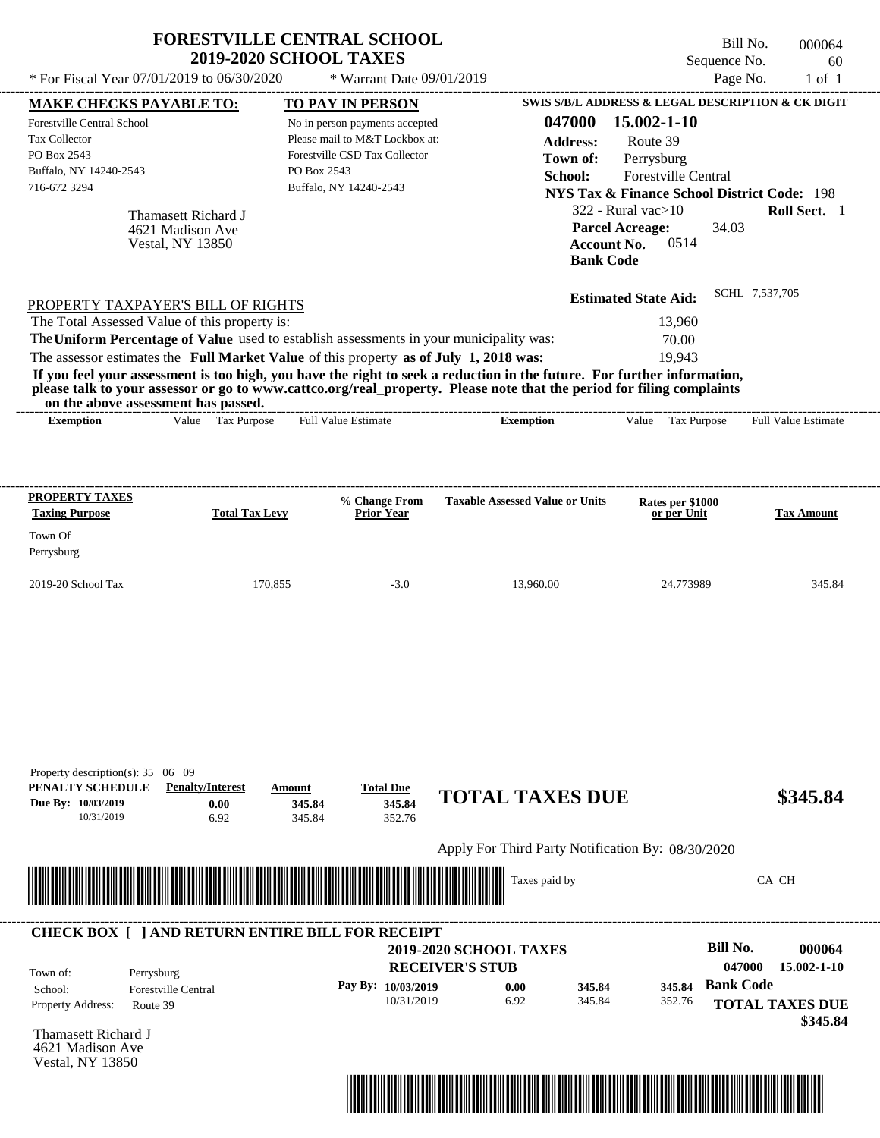|                                                                                                                                                                                                       | <b>FORESTVILLE CENTRAL SCHOOL</b><br><b>2019-2020 SCHOOL TAXES</b> |                                        | Sequence No.                                                                    | Bill No.<br>000064<br>60   |
|-------------------------------------------------------------------------------------------------------------------------------------------------------------------------------------------------------|--------------------------------------------------------------------|----------------------------------------|---------------------------------------------------------------------------------|----------------------------|
| * For Fiscal Year 07/01/2019 to 06/30/2020                                                                                                                                                            | * Warrant Date 09/01/2019                                          |                                        |                                                                                 | Page No.<br>$1$ of $1$     |
| <b>MAKE CHECKS PAYABLE TO:</b><br><b>Forestville Central School</b>                                                                                                                                   | <b>TO PAY IN PERSON</b>                                            | 047000                                 | <b>SWIS S/B/L ADDRESS &amp; LEGAL DESCRIPTION &amp; CK DIGIT</b><br>15.002-1-10 |                            |
| <b>Tax Collector</b>                                                                                                                                                                                  | No in person payments accepted<br>Please mail to M&T Lockbox at:   | <b>Address:</b>                        | Route 39                                                                        |                            |
| PO Box 2543                                                                                                                                                                                           | Forestville CSD Tax Collector                                      | Town of:                               | Perrysburg                                                                      |                            |
| Buffalo, NY 14240-2543                                                                                                                                                                                | PO Box 2543                                                        | School:                                | <b>Forestville Central</b>                                                      |                            |
| 716-672 3294                                                                                                                                                                                          | Buffalo, NY 14240-2543                                             |                                        | <b>NYS Tax &amp; Finance School District Code: 198</b>                          |                            |
| Thamasett Richard J                                                                                                                                                                                   |                                                                    |                                        | $322$ - Rural vac $>10$                                                         | Roll Sect. 1               |
| 4621 Madison Ave                                                                                                                                                                                      |                                                                    |                                        | <b>Parcel Acreage:</b><br>34.03                                                 |                            |
| <b>Vestal, NY 13850</b>                                                                                                                                                                               |                                                                    | <b>Account No.</b><br><b>Bank Code</b> | 0514                                                                            |                            |
| PROPERTY TAXPAYER'S BILL OF RIGHTS                                                                                                                                                                    |                                                                    |                                        | <b>Estimated State Aid:</b>                                                     | SCHL 7,537,705             |
| The Total Assessed Value of this property is:                                                                                                                                                         |                                                                    |                                        | 13,960                                                                          |                            |
| The Uniform Percentage of Value used to establish assessments in your municipality was:                                                                                                               |                                                                    |                                        | 70.00                                                                           |                            |
| The assessor estimates the Full Market Value of this property as of July 1, 2018 was:                                                                                                                 |                                                                    |                                        | 19.943                                                                          |                            |
| please talk to your assessor or go to www.cattco.org/real_property. Please note that the period for filing complaints<br>on the above assessment has passed.<br>Value Tax Purpose<br><b>Exemption</b> | <b>Full Value Estimate</b>                                         | <b>Exemption</b>                       | Value Tax Purpose                                                               | <b>Full Value Estimate</b> |
|                                                                                                                                                                                                       |                                                                    |                                        |                                                                                 |                            |
| PROPERTY TAXES<br><b>Taxing Purpose</b><br><b>Total Tax Levy</b>                                                                                                                                      | % Change From<br>Prior Year                                        | <b>Taxable Assessed Value or Units</b> | Rates per \$1000<br>or per Unit                                                 | <b>Tax Amount</b>          |
| Town Of<br>Perrysburg                                                                                                                                                                                 |                                                                    |                                        |                                                                                 |                            |
| 2019-20 School Tax                                                                                                                                                                                    | 170,855<br>$-3.0$                                                  | 13.960.00                              | 24.773989                                                                       | 345.84                     |
| Property description(s): 35 06 09<br>PENALTY SCHEDULE<br><b>Penalty/Interest</b><br>Due By: 10/03/2019<br>0.00<br>10/31/2019<br>6.92                                                                  | <b>Total Due</b><br>Amount<br>345.84<br>345.84<br>345.84<br>352.76 | <b>TOTAL TAXES DUE</b>                 |                                                                                 | \$345.84                   |

Apply For Third Party Notification By: 08/30/2020



#### **RECEIVER'S STUB Bill No. 000064 Bank Code** Property Address: Route 39 Perrysburg School: Forestville Central **TOTAL TAXES DUE \$345.84 2019-2020 SCHOOL TAXES 047000 15.002-1-10 Pay By: 10/03/2019** 10/31/2019 6.92 **0.00** 345.84 **345.84** 352.76 **345.84** Town of: ---------------------------------------------------------------------------------------------------------------------------------------------------------------------------------------------------- **CHECK BOX [ ] AND RETURN ENTIRE BILL FOR RECEIPT**

Thamasett Richard J 4621 Madison Ave Vestal, NY 13850

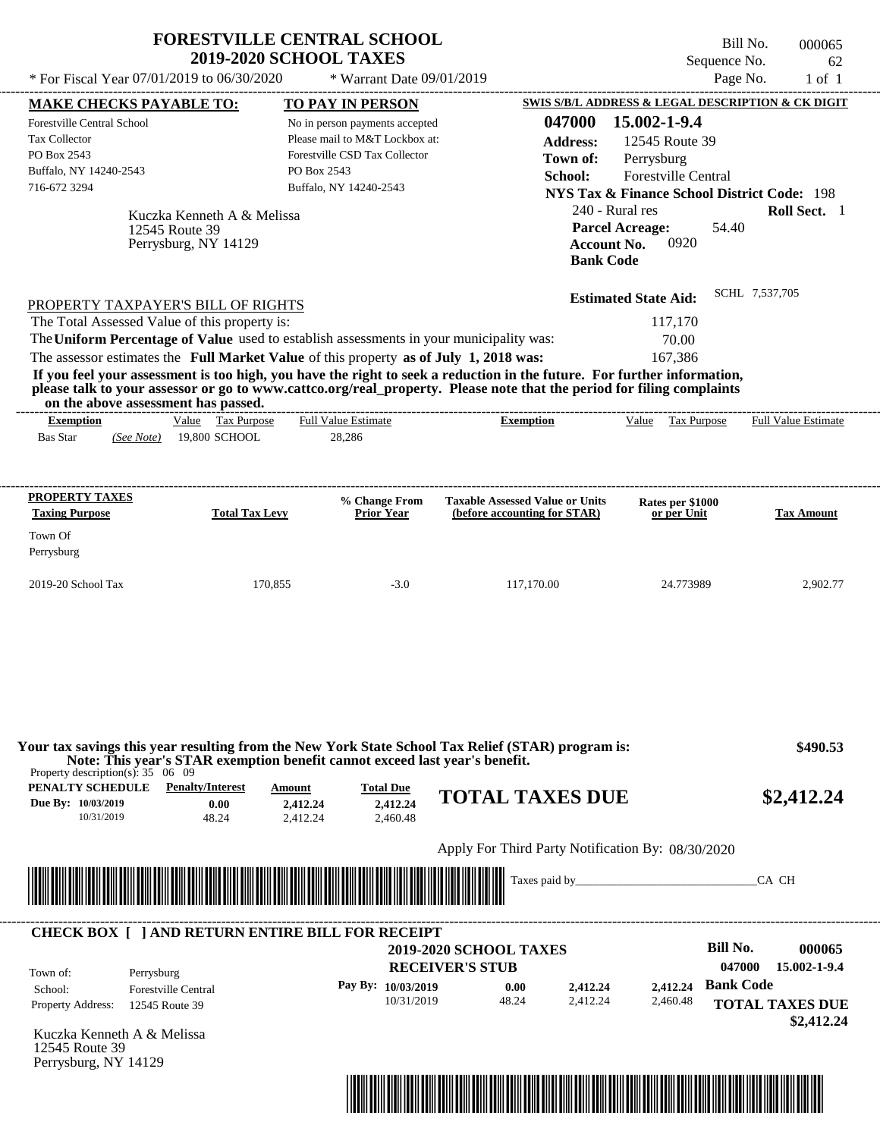|                                                                                             | <b>FORESTVILLE CENTRAL SCHOOL</b>                                           | <b>2019-2020 SCHOOL TAXES</b> |                                |                                                                                                   | Sequence No.                                           | Bill No.<br>000065<br>62   |
|---------------------------------------------------------------------------------------------|-----------------------------------------------------------------------------|-------------------------------|--------------------------------|---------------------------------------------------------------------------------------------------|--------------------------------------------------------|----------------------------|
| * For Fiscal Year 07/01/2019 to 06/30/2020                                                  |                                                                             |                               | * Warrant Date 09/01/2019      |                                                                                                   | Page No.                                               | $1$ of $1$                 |
| <b>MAKE CHECKS PAYABLE TO:</b>                                                              |                                                                             |                               | TO PAY IN PERSON               |                                                                                                   | SWIS S/B/L ADDRESS & LEGAL DESCRIPTION & CK DIGIT      |                            |
| <b>Forestville Central School</b>                                                           |                                                                             |                               | No in person payments accepted | 047000                                                                                            | 15.002-1-9.4                                           |                            |
| <b>Tax Collector</b>                                                                        |                                                                             |                               | Please mail to M&T Lockbox at: | <b>Address:</b>                                                                                   | 12545 Route 39                                         |                            |
| PO Box 2543                                                                                 |                                                                             |                               | Forestville CSD Tax Collector  | Town of:                                                                                          | Perrysburg                                             |                            |
| Buffalo, NY 14240-2543                                                                      |                                                                             | PO Box 2543                   |                                | School:                                                                                           | Forestville Central                                    |                            |
| 716-672 3294                                                                                |                                                                             |                               | Buffalo, NY 14240-2543         |                                                                                                   | <b>NYS Tax &amp; Finance School District Code: 198</b> |                            |
|                                                                                             |                                                                             |                               |                                | 240 - Rural res                                                                                   |                                                        | Roll Sect. 1               |
|                                                                                             | Kuczka Kenneth A & Melissa                                                  |                               |                                |                                                                                                   | <b>Parcel Acreage:</b><br>54.40                        |                            |
|                                                                                             | 12545 Route 39<br>Perrysburg, NY 14129                                      |                               |                                | <b>Account No.</b>                                                                                | 0920                                                   |                            |
|                                                                                             |                                                                             |                               |                                | <b>Bank Code</b>                                                                                  |                                                        |                            |
|                                                                                             |                                                                             |                               |                                |                                                                                                   |                                                        | SCHL 7,537,705             |
| PROPERTY TAXPAYER'S BILL OF RIGHTS                                                          |                                                                             |                               |                                |                                                                                                   | <b>Estimated State Aid:</b>                            |                            |
| The Total Assessed Value of this property is:                                               |                                                                             |                               |                                |                                                                                                   | 117,170                                                |                            |
| The Uniform Percentage of Value used to establish assessments in your municipality was:     |                                                                             |                               |                                |                                                                                                   | 70.00                                                  |                            |
| The assessor estimates the Full Market Value of this property as of July 1, 2018 was:       |                                                                             |                               |                                |                                                                                                   | 167,386                                                |                            |
|                                                                                             |                                                                             |                               |                                |                                                                                                   |                                                        |                            |
| <b>Exemption</b>                                                                            | on the above assessment has passed.<br>Value Tax Purpose                    |                               | <b>Full Value Estimate</b>     | <b>Exemption</b>                                                                                  | Value Tax Purpose                                      | <b>Full Value Estimate</b> |
| <b>Bas Star</b><br>(See Note)                                                               | 19,800 SCHOOL                                                               |                               | 28,286                         |                                                                                                   |                                                        |                            |
| PROPERTY TAXES                                                                              |                                                                             |                               | % Change From                  | <b>Taxable Assessed Value or Units</b>                                                            | Rates per \$1000                                       |                            |
| <b>Taxing Purpose</b>                                                                       | <b>Total Tax Levy</b>                                                       |                               | <b>Prior Year</b>              | (before accounting for STAR)                                                                      | or per Unit                                            | <b>Tax Amount</b>          |
|                                                                                             |                                                                             |                               |                                |                                                                                                   |                                                        |                            |
|                                                                                             |                                                                             |                               |                                |                                                                                                   |                                                        |                            |
| Town Of                                                                                     |                                                                             |                               |                                |                                                                                                   |                                                        |                            |
| Perrysburg<br>2019-20 School Tax                                                            |                                                                             | 170,855                       | $-3.0$                         | 117,170.00                                                                                        | 24.773989                                              |                            |
|                                                                                             | Note: This year's STAR exemption benefit cannot exceed last year's benefit. |                               |                                | Your tax savings this year resulting from the New York State School Tax Relief (STAR) program is: |                                                        | 2,902.77<br>\$490.53       |
| Property description(s): $35 \quad 06 \quad 09$<br><b>PENALTY SCHEDULE</b> Penalty/Interest |                                                                             | <b>Amount</b>                 | <b>Total Due</b>               | <b>TOTAL TAXES DUE</b>                                                                            |                                                        | \$2,412.24                 |

| Apply For Third Party Notification By: 08/30/2020 |  |
|---------------------------------------------------|--|
|                                                   |  |



2,412.24

| Town of:                 | Perrysburg                 | <b>2019-2020 SCHOOL TAXES</b><br><b>RECEIVER'S STUB</b> |       |          |          | Bill No.<br>047000 | 000065<br>15.002-1-9.4 |
|--------------------------|----------------------------|---------------------------------------------------------|-------|----------|----------|--------------------|------------------------|
| School:                  | <b>Forestville Central</b> | Pay By: $10/03/2019$                                    | 0.00  | 2.412.24 | 2.412.24 | <b>Bank Code</b>   |                        |
| <b>Property Address:</b> | 12545 Route 39             | 10/31/2019                                              | 48.24 | 2.412.24 | 2,460.48 |                    | <b>TOTAL TAXES DUE</b> |

2,460.48

Kuczka Kenneth A & Melissa 12545 Route 39 Perrysburg, NY 14129

10/31/2019 48.24

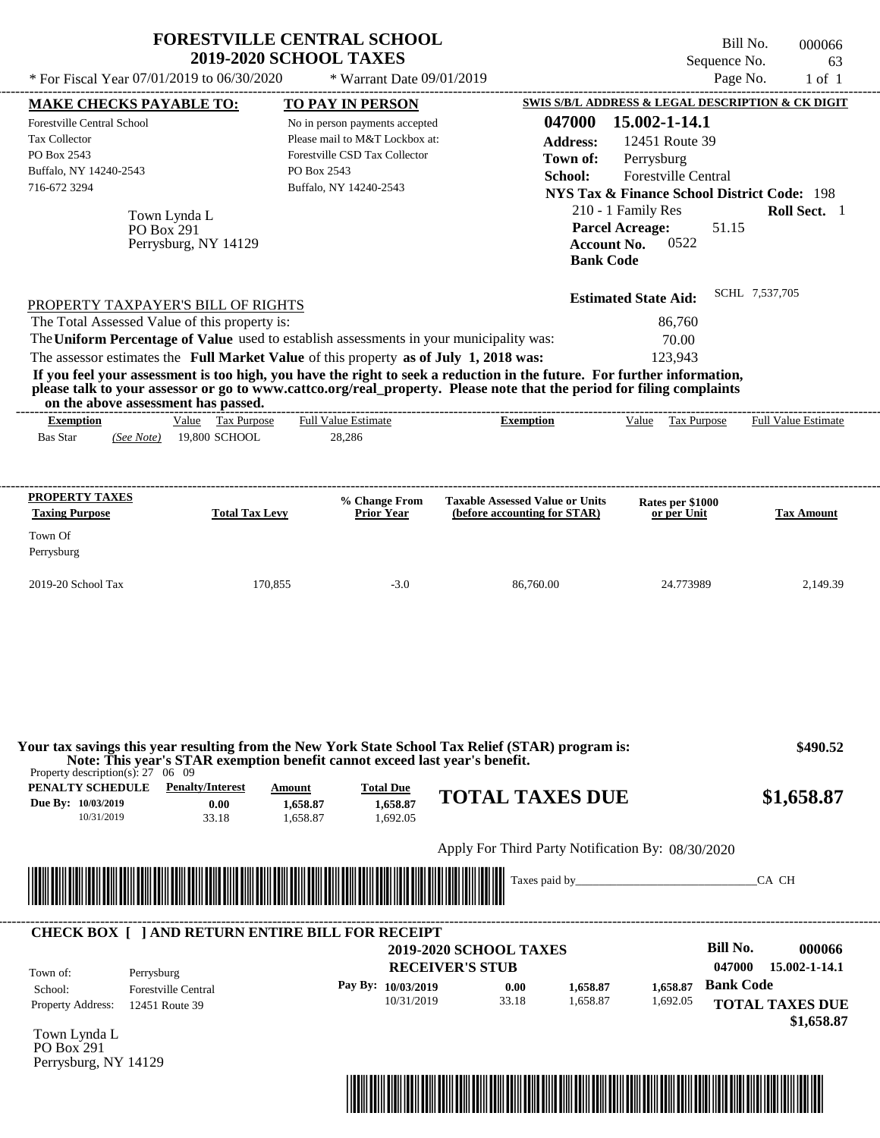|                                                                                                                                                                                                                                                                                                                                                                                                                                                                                                                                                                    | <b>FORESTVILLE CENTRAL SCHOOL</b><br><b>2019-2020 SCHOOL TAXES</b>                                                                         |                                                                                                  | Bill No.<br>Sequence No.                                                                                                                                                                               | 000066<br>63                         |
|--------------------------------------------------------------------------------------------------------------------------------------------------------------------------------------------------------------------------------------------------------------------------------------------------------------------------------------------------------------------------------------------------------------------------------------------------------------------------------------------------------------------------------------------------------------------|--------------------------------------------------------------------------------------------------------------------------------------------|--------------------------------------------------------------------------------------------------|--------------------------------------------------------------------------------------------------------------------------------------------------------------------------------------------------------|--------------------------------------|
| * For Fiscal Year 07/01/2019 to 06/30/2020                                                                                                                                                                                                                                                                                                                                                                                                                                                                                                                         | * Warrant Date 09/01/2019                                                                                                                  |                                                                                                  | Page No.                                                                                                                                                                                               | $1$ of $1$                           |
| <b>MAKE CHECKS PAYABLE TO:</b>                                                                                                                                                                                                                                                                                                                                                                                                                                                                                                                                     | <b>TO PAY IN PERSON</b>                                                                                                                    |                                                                                                  | SWIS S/B/L ADDRESS & LEGAL DESCRIPTION & CK DIGIT                                                                                                                                                      |                                      |
| Forestville Central School<br><b>Tax Collector</b><br>PO Box 2543<br>Buffalo, NY 14240-2543<br>716-672 3294<br>Town Lynda L<br>PO Box 291<br>Perrysburg, NY 14129                                                                                                                                                                                                                                                                                                                                                                                                  | No in person payments accepted<br>Please mail to M&T Lockbox at:<br>Forestville CSD Tax Collector<br>PO Box 2543<br>Buffalo, NY 14240-2543 | 047000<br><b>Address:</b><br>Town of:<br>School:<br><b>Account No.</b><br><b>Bank Code</b>       | 15.002-1-14.1<br>12451 Route 39<br>Perrysburg<br><b>Forestville Central</b><br><b>NYS Tax &amp; Finance School District Code: 198</b><br>210 - 1 Family Res<br><b>Parcel Acreage:</b><br>51.15<br>0522 | Roll Sect. 1                         |
| PROPERTY TAXPAYER'S BILL OF RIGHTS<br>The Total Assessed Value of this property is:<br>The Uniform Percentage of Value used to establish assessments in your municipality was:<br>The assessor estimates the Full Market Value of this property as of July 1, 2018 was:<br>If you feel your assessment is too high, you have the right to seek a reduction in the future. For further information,<br>please talk to your assessor or go to www.cattco.org/real_property. Please note that the period for filing complaints<br>on the above assessment has passed. |                                                                                                                                            |                                                                                                  | <b>Estimated State Aid:</b><br>86,760<br>70.00<br>123,943                                                                                                                                              | SCHL 7,537,705                       |
| Value Tax Purpose<br><b>Exemption</b><br><b>Bas Star</b><br>19,800 SCHOOL<br>(See Note)                                                                                                                                                                                                                                                                                                                                                                                                                                                                            | <b>Full Value Estimate</b><br>28,286                                                                                                       | <b>Exemption</b>                                                                                 | Value<br>Tax Purpose                                                                                                                                                                                   | <b>Full Value Estimate</b>           |
| <b>PROPERTY TAXES</b><br><b>Taxing Purpose</b><br><b>Total Tax Levy</b>                                                                                                                                                                                                                                                                                                                                                                                                                                                                                            | % Change From<br>Prior Year                                                                                                                | <b>Taxable Assessed Value or Units</b><br>(before accounting for STAR)                           | Rates per \$1000<br>or per Unit                                                                                                                                                                        | <b>Tax Amount</b>                    |
| Town Of<br>Perrysburg                                                                                                                                                                                                                                                                                                                                                                                                                                                                                                                                              |                                                                                                                                            |                                                                                                  |                                                                                                                                                                                                        |                                      |
| 2019-20 School Tax                                                                                                                                                                                                                                                                                                                                                                                                                                                                                                                                                 | 170,855<br>$-3.0$                                                                                                                          | 86,760.00                                                                                        | 24.773989                                                                                                                                                                                              | 2,149.39                             |
| Your tax savings this year resulting from the New York State School Tax Relief (STAR) program is:<br>Note: This year's STAR exemption benefit cannot exceed last year's benefit.<br>Property description(s): $27 \quad 06 \quad 09$<br>PENALTY SCHEDULE<br><b>Penalty/Interest</b><br>Due By: 10/03/2019<br>0.00<br>10/31/2019<br>33.18                                                                                                                                                                                                                            | Amount<br><b>Total Due</b><br>1,658.87<br>1,658.87<br>1.658.87<br>1.692.05                                                                 | <b>TOTAL TAXES DUE</b>                                                                           |                                                                                                                                                                                                        | \$490.52<br>\$1,658.87               |
|                                                                                                                                                                                                                                                                                                                                                                                                                                                                                                                                                                    |                                                                                                                                            | Apply For Third Party Notification By: 08/30/2020                                                |                                                                                                                                                                                                        |                                      |
|                                                                                                                                                                                                                                                                                                                                                                                                                                                                                                                                                                    |                                                                                                                                            | Taxes paid by_                                                                                   |                                                                                                                                                                                                        | CA CH                                |
| <b>CHECK BOX [ ] AND RETURN ENTIRE BILL FOR RECEIPT</b>                                                                                                                                                                                                                                                                                                                                                                                                                                                                                                            |                                                                                                                                            |                                                                                                  |                                                                                                                                                                                                        |                                      |
| Perrysburg<br>Town of:<br><b>Forestville Central</b><br>School:                                                                                                                                                                                                                                                                                                                                                                                                                                                                                                    | Pay By: 10/03/2019<br>10/31/2019                                                                                                           | <b>2019-2020 SCHOOL TAXES</b><br><b>RECEIVER'S STUB</b><br>0.00<br>1,658.87<br>33.18<br>1,658.87 | <b>Bill No.</b><br>047000<br><b>Bank Code</b><br>1,658.87<br>1,692.05                                                                                                                                  | 000066<br>15.002-1-14.1              |
| Property Address:<br>12451 Route 39<br>$T_{\text{atm}}$ I $\text{mda}$ I                                                                                                                                                                                                                                                                                                                                                                                                                                                                                           |                                                                                                                                            |                                                                                                  |                                                                                                                                                                                                        | <b>TOTAL TAXES DUE</b><br>\$1,658.87 |

Town Lynda L PO Box 291 Perrysburg, NY 14129

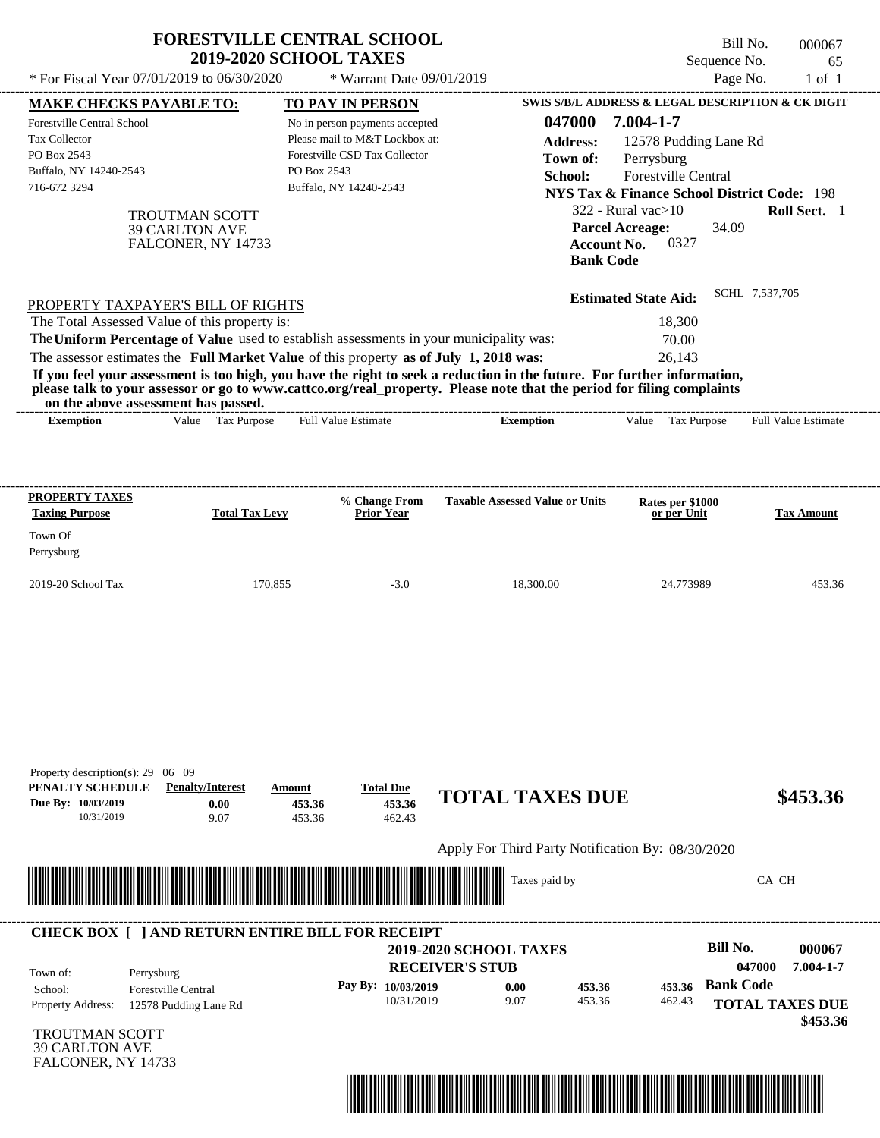| * For Fiscal Year 07/01/2019 to 06/30/2020<br><b>MAKE CHECKS PAYABLE TO:</b><br>Forestville Central School<br>Tax Collector<br>PO Box 2543                                                                                                                                                                                                                                                                                                                                                                                                                         | <b>TO PAY IN PERSON</b>                                                                                                                    | * Warrant Date 09/01/2019                  |                                                                                                                                                                                                                                                                                                                                                   | Page No.<br>$1$ of $1$                  |
|--------------------------------------------------------------------------------------------------------------------------------------------------------------------------------------------------------------------------------------------------------------------------------------------------------------------------------------------------------------------------------------------------------------------------------------------------------------------------------------------------------------------------------------------------------------------|--------------------------------------------------------------------------------------------------------------------------------------------|--------------------------------------------|---------------------------------------------------------------------------------------------------------------------------------------------------------------------------------------------------------------------------------------------------------------------------------------------------------------------------------------------------|-----------------------------------------|
| Buffalo, NY 14240-2543<br>716-672 3294<br><b>TROUTMAN SCOTT</b><br><b>39 CARLTON AVE</b><br>FALCONER, NY 14733                                                                                                                                                                                                                                                                                                                                                                                                                                                     | No in person payments accepted<br>Please mail to M&T Lockbox at:<br>Forestville CSD Tax Collector<br>PO Box 2543<br>Buffalo, NY 14240-2543 |                                            | SWIS S/B/L ADDRESS & LEGAL DESCRIPTION & CK DIGIT<br>047000<br>7.004-1-7<br>12578 Pudding Lane Rd<br><b>Address:</b><br>Perrysburg<br>Town of:<br>Forestville Central<br>School:<br><b>NYS Tax &amp; Finance School District Code: 198</b><br>$322$ - Rural vac $>10$<br><b>Parcel Acreage:</b><br>0327<br><b>Account No.</b><br><b>Bank Code</b> | Roll Sect. 1<br>34.09                   |
| PROPERTY TAXPAYER'S BILL OF RIGHTS<br>The Total Assessed Value of this property is:<br>The Uniform Percentage of Value used to establish assessments in your municipality was:<br>The assessor estimates the Full Market Value of this property as of July 1, 2018 was:<br>If you feel your assessment is too high, you have the right to seek a reduction in the future. For further information,<br>please talk to your assessor or go to www.cattco.org/real_property. Please note that the period for filing complaints<br>on the above assessment has passed. |                                                                                                                                            |                                            | <b>Estimated State Aid:</b><br>18,300<br>70.00<br>26,143                                                                                                                                                                                                                                                                                          | SCHL 7,537,705                          |
| Value<br><b>Exemption</b>                                                                                                                                                                                                                                                                                                                                                                                                                                                                                                                                          | <b>Full Value Estimate</b><br><b>Tax Purpose</b>                                                                                           | <b>Exemption</b>                           | $V$ alue<br>Tax Purpose                                                                                                                                                                                                                                                                                                                           | Full Value Estimate                     |
| PROPERTY TAXES<br><b>Taxing Purpose</b><br>Town Of<br>Perrysburg                                                                                                                                                                                                                                                                                                                                                                                                                                                                                                   | % Change From<br><b>Total Tax Levy</b><br>Prior Year                                                                                       | <b>Taxable Assessed Value or Units</b>     | Rates per \$1000<br>or per Unit                                                                                                                                                                                                                                                                                                                   | <b>Tax Amount</b>                       |
| 2019-20 School Tax                                                                                                                                                                                                                                                                                                                                                                                                                                                                                                                                                 | 170,855                                                                                                                                    | $-3.0$<br>18,300.00                        | 24.773989                                                                                                                                                                                                                                                                                                                                         | 453.36                                  |
| Property description(s): $29 \quad 06 \quad 09$                                                                                                                                                                                                                                                                                                                                                                                                                                                                                                                    |                                                                                                                                            |                                            |                                                                                                                                                                                                                                                                                                                                                   |                                         |
| PENALTY SCHEDULE<br><b>Penalty/Interest</b><br>Due By: 10/03/2019<br>0.00<br>9.07<br>10/31/2019                                                                                                                                                                                                                                                                                                                                                                                                                                                                    | <b>Total Due</b><br>Amount<br>453.36<br>453.36                                                                                             | <b>TOTAL TAXES DUE</b><br>453.36<br>462.43 |                                                                                                                                                                                                                                                                                                                                                   | \$453.36                                |
|                                                                                                                                                                                                                                                                                                                                                                                                                                                                                                                                                                    |                                                                                                                                            |                                            | Apply For Third Party Notification By: 08/30/2020                                                                                                                                                                                                                                                                                                 |                                         |
|                                                                                                                                                                                                                                                                                                                                                                                                                                                                                                                                                                    |                                                                                                                                            | Taxes paid by_                             |                                                                                                                                                                                                                                                                                                                                                   | CA CH                                   |
| <b>CHECK BOX [ ] AND RETURN ENTIRE BILL FOR RECEIPT</b>                                                                                                                                                                                                                                                                                                                                                                                                                                                                                                            |                                                                                                                                            | 2019-2020 SCHOOL TAXES                     |                                                                                                                                                                                                                                                                                                                                                   | <b>Bill No.</b><br>000067               |
| Town of:<br>Perrysburg                                                                                                                                                                                                                                                                                                                                                                                                                                                                                                                                             | Pay By: 10/03/2019                                                                                                                         | <b>RECEIVER'S STUB</b>                     | 453.36                                                                                                                                                                                                                                                                                                                                            | 7.004-1-7<br>047000<br><b>Bank Code</b> |

TROUTMAN SCOTT 39 CARLTON AVE FALCONER, NY 14733

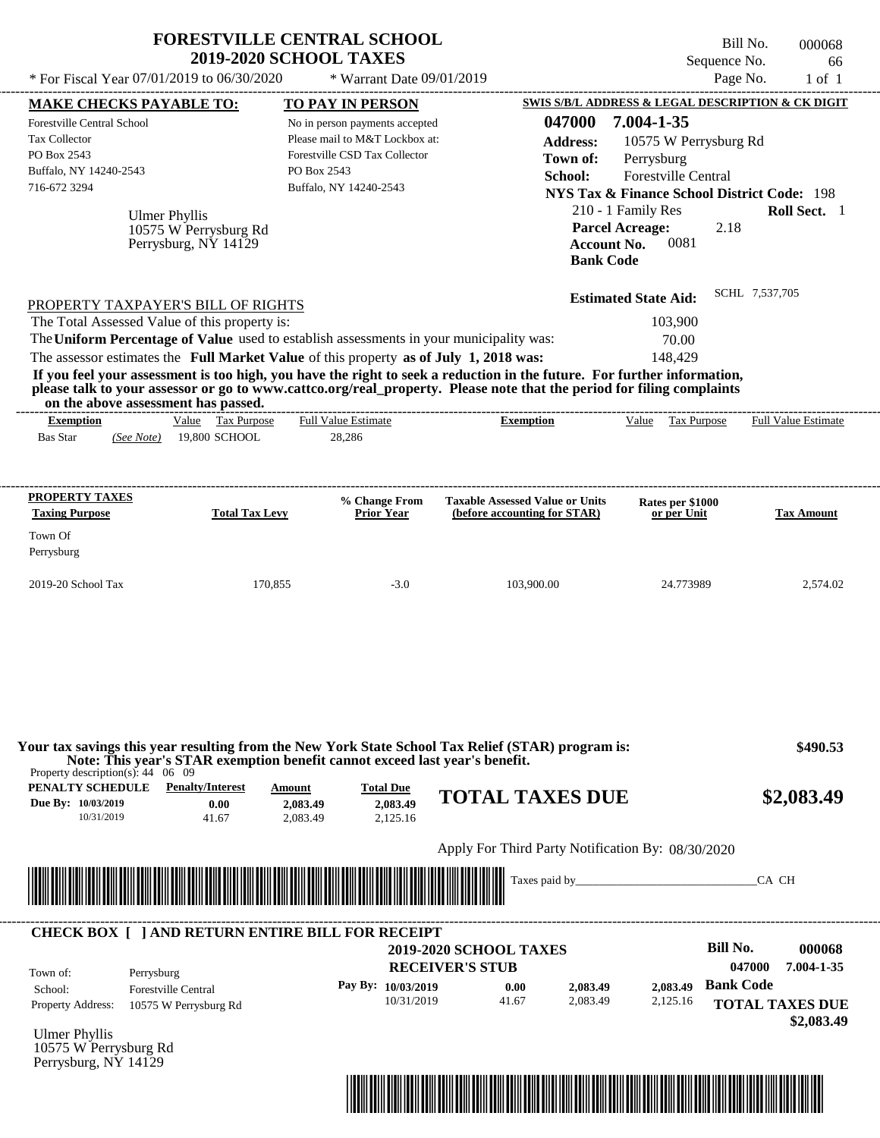| * For Fiscal Year 07/01/2019 to 06/30/2020                                                                                   |                                               | <b>FORESTVILLE CENTRAL SCHOOL</b><br><b>2019-2020 SCHOOL TAXES</b><br>* Warrant Date 09/01/2019                                                                                  |                                                                                                                                                                                                                                                  | Bill No.<br>Sequence No.<br>Page No.                                                                                                                                     | 000068<br>66<br>$1$ of $1$    |
|------------------------------------------------------------------------------------------------------------------------------|-----------------------------------------------|----------------------------------------------------------------------------------------------------------------------------------------------------------------------------------|--------------------------------------------------------------------------------------------------------------------------------------------------------------------------------------------------------------------------------------------------|--------------------------------------------------------------------------------------------------------------------------------------------------------------------------|-------------------------------|
| <b>MAKE CHECKS PAYABLE TO:</b>                                                                                               |                                               | <b>TO PAY IN PERSON</b>                                                                                                                                                          |                                                                                                                                                                                                                                                  | SWIS S/B/L ADDRESS & LEGAL DESCRIPTION & CK DIGIT                                                                                                                        |                               |
| Forestville Central School<br>Tax Collector<br>PO Box 2543<br>Buffalo, NY 14240-2543<br>716-672 3294<br><b>Ulmer Phyllis</b> | 10575 W Perrysburg Rd<br>Perrysburg, NY 14129 | No in person payments accepted<br>Please mail to M&T Lockbox at:<br>Forestville CSD Tax Collector<br>PO Box 2543<br>Buffalo, NY 14240-2543                                       | 047000<br><b>Address:</b><br>Town of:<br>School:<br><b>Parcel Acreage:</b><br><b>Account No.</b><br><b>Bank Code</b>                                                                                                                             | 7.004-1-35<br>10575 W Perrysburg Rd<br>Perrysburg<br>Forestville Central<br><b>NYS Tax &amp; Finance School District Code: 198</b><br>210 - 1 Family Res<br>2.18<br>0081 | Roll Sect. 1                  |
| PROPERTY TAXPAYER'S BILL OF RIGHTS<br>The Total Assessed Value of this property is:<br>on the above assessment has passed.   |                                               | The Uniform Percentage of Value used to establish assessments in your municipality was:<br>The assessor estimates the Full Market Value of this property as of July 1, 2018 was: | If you feel your assessment is too high, you have the right to seek a reduction in the future. For further information,<br>please talk to your assessor or go to www.cattco.org/real_property. Please note that the period for filing complaints | <b>Estimated State Aid:</b><br>103,900<br>70.00<br>148,429                                                                                                               | SCHL 7,537,705                |
| <b>Exemption</b><br><b>Bas Star</b><br>(See Note)                                                                            | Value Tax Purpose<br>19,800 SCHOOL            | <b>Full Value Estimate</b><br>28,286                                                                                                                                             | <b>Exemption</b>                                                                                                                                                                                                                                 | Value Tax Purpose                                                                                                                                                        | <b>Full Value Estimate</b>    |
| <b>PROPERTY TAXES</b><br><b>Taxing Purpose</b><br>Town Of<br>Perrysburg<br>2019-20 School Tax                                | <b>Total Tax Levy</b><br>170,855              | % Change From<br><b>Prior Year</b><br>$-3.0$                                                                                                                                     | <b>Taxable Assessed Value or Units</b><br>(before accounting for STAR)<br>103,900.00                                                                                                                                                             | Rates per \$1000<br>or per Unit<br>24.773989                                                                                                                             | <b>Tax Amount</b><br>2,574.02 |
|                                                                                                                              |                                               |                                                                                                                                                                                  | Your tax savings this year resulting from the New York State School Tax Relief (STAR) program is:                                                                                                                                                |                                                                                                                                                                          | \$490.53                      |
| Property description(s): $44 \quad 06 \quad 09$<br><b>PENALTY SCHEDULE</b> Penalty/Interest                                  | Amount                                        | Note: This year's STAR exemption benefit cannot exceed last year's benefit.<br><b>Total Due</b>                                                                                  |                                                                                                                                                                                                                                                  |                                                                                                                                                                          |                               |
| Due By: 10/03/2019<br>10/31/2019                                                                                             | 0.00<br>41.67                                 | 2,083.49<br>2.083.49<br>2,083.49<br>2,125.16                                                                                                                                     | <b>TOTAL TAXES DUE</b>                                                                                                                                                                                                                           |                                                                                                                                                                          | \$2,083.49                    |
|                                                                                                                              |                                               |                                                                                                                                                                                  | Apply For Third Party Notification By: 08/30/2020                                                                                                                                                                                                |                                                                                                                                                                          |                               |
|                                                                                                                              |                                               |                                                                                                                                                                                  | Taxes paid by_                                                                                                                                                                                                                                   |                                                                                                                                                                          | CA CH                         |

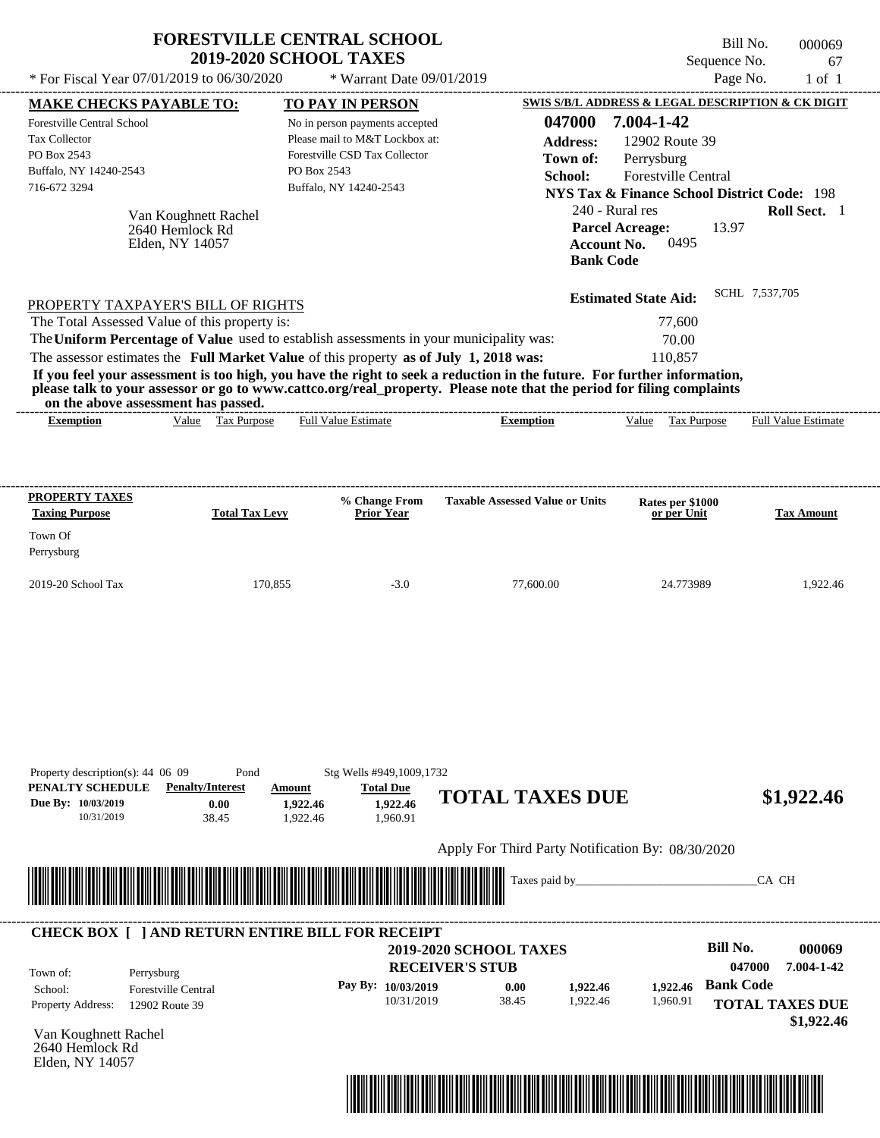| * For Fiscal Year 07/01/2019 to 06/30/2020                                                                                                                                                                                                                                                                     |                                                  | <b>FORESTVILLE CENTRAL SCHOOL</b><br><b>2019-2020 SCHOOL TAXES</b><br>* Warrant Date 09/01/2019                                            |                                                                                                                                                                                                                                                  | Bill No.<br>Sequence No.<br>Page No.                                                                                                                                   | 000069<br>67<br>$1$ of $1$                                             |
|----------------------------------------------------------------------------------------------------------------------------------------------------------------------------------------------------------------------------------------------------------------------------------------------------------------|--------------------------------------------------|--------------------------------------------------------------------------------------------------------------------------------------------|--------------------------------------------------------------------------------------------------------------------------------------------------------------------------------------------------------------------------------------------------|------------------------------------------------------------------------------------------------------------------------------------------------------------------------|------------------------------------------------------------------------|
| <b>MAKE CHECKS PAYABLE TO:</b>                                                                                                                                                                                                                                                                                 |                                                  | <b>TO PAY IN PERSON</b>                                                                                                                    |                                                                                                                                                                                                                                                  | SWIS S/B/L ADDRESS & LEGAL DESCRIPTION & CK DIGIT                                                                                                                      |                                                                        |
| Forestville Central School<br><b>Tax Collector</b><br>PO Box 2543<br>Buffalo, NY 14240-2543<br>716-672 3294<br>2640 Hemlock Rd<br>Elden, NY 14057                                                                                                                                                              | Van Koughnett Rachel                             | No in person payments accepted<br>Please mail to M&T Lockbox at:<br>Forestville CSD Tax Collector<br>PO Box 2543<br>Buffalo, NY 14240-2543 | 047000<br><b>Address:</b><br>Town of:<br>School:<br>240 - Rural res<br><b>Account No.</b><br><b>Bank Code</b>                                                                                                                                    | 7.004-1-42<br>12902 Route 39<br>Perrysburg<br>Forestville Central<br><b>NYS Tax &amp; Finance School District Code: 198</b><br>13.97<br><b>Parcel Acreage:</b><br>0495 | Roll Sect. 1                                                           |
| PROPERTY TAXPAYER'S BILL OF RIGHTS<br>The Total Assessed Value of this property is:<br>The Uniform Percentage of Value used to establish assessments in your municipality was:<br>The assessor estimates the Full Market Value of this property as of July 1, 2018 was:<br>on the above assessment has passed. |                                                  |                                                                                                                                            | If you feel your assessment is too high, you have the right to seek a reduction in the future. For further information,<br>please talk to your assessor or go to www.cattco.org/real_property. Please note that the period for filing complaints | <b>Estimated State Aid:</b><br>77,600<br>70.00<br>110,857                                                                                                              | SCHL 7,537,705                                                         |
| <b>Exemption</b>                                                                                                                                                                                                                                                                                               | Value Tax Purpose                                | <b>Full Value Estimate</b>                                                                                                                 | <b>Exemption</b>                                                                                                                                                                                                                                 | Tax Purpose<br>Value                                                                                                                                                   | <b>Full Value Estimate</b>                                             |
| <b>PROPERTY TAXES</b>                                                                                                                                                                                                                                                                                          |                                                  | % Change From                                                                                                                              | <b>Taxable Assessed Value or Units</b>                                                                                                                                                                                                           | Rates per \$1000                                                                                                                                                       |                                                                        |
| <b>Taxing Purpose</b><br>Town Of<br>Perrysburg                                                                                                                                                                                                                                                                 | <b>Total Tax Levy</b>                            | <b>Prior Year</b>                                                                                                                          |                                                                                                                                                                                                                                                  | or per Unit                                                                                                                                                            | <b>Tax Amount</b>                                                      |
| 2019-20 School Tax                                                                                                                                                                                                                                                                                             | 170,855                                          | $-3.0$                                                                                                                                     | 77,600.00                                                                                                                                                                                                                                        | 24.773989                                                                                                                                                              | 1,922.46                                                               |
| Property description(s): 44 06 09<br>PENALTY SCHEDULE<br>Due By: 10/03/2019<br>10/31/2019                                                                                                                                                                                                                      | Pond<br><b>Penalty/Interest</b><br>0.00<br>38.45 | Stg Wells #949,1009,1732<br><b>Total Due</b><br>Amount<br>1.922.46<br>1,922.46<br>1,922.46<br>1,960.91                                     | <b>TOTAL TAXES DUE</b>                                                                                                                                                                                                                           |                                                                                                                                                                        | \$1,922.46                                                             |
|                                                                                                                                                                                                                                                                                                                |                                                  |                                                                                                                                            | Apply For Third Party Notification By: 08/30/2020                                                                                                                                                                                                |                                                                                                                                                                        |                                                                        |
| <u> 1989 - Andrea Stadt Britain, Amerikaansk politiker (* 1951)</u>                                                                                                                                                                                                                                            |                                                  |                                                                                                                                            | Taxes paid by_                                                                                                                                                                                                                                   |                                                                                                                                                                        | CA CH                                                                  |
| <b>CHECK BOX [ ] AND RETURN ENTIRE BILL FOR RECEIPT</b><br>Town of:<br>Perrysburg<br><b>Forestville Central</b><br>School:<br>Property Address:<br>12902 Route 39                                                                                                                                              |                                                  | Pay By: 10/03/2019<br>10/31/2019                                                                                                           | <b>2019-2020 SCHOOL TAXES</b><br><b>RECEIVER'S STUB</b><br>0.00<br>1,922.46<br>38.45<br>1,922.46                                                                                                                                                 | <b>Bill No.</b><br><b>Bank Code</b><br>1,922.46<br>1,960.91                                                                                                            | 000069<br>047000<br>7.004-1-42<br><b>TOTAL TAXES DUE</b><br>\$1,922.46 |
| Van Koughnett Rachel                                                                                                                                                                                                                                                                                           |                                                  |                                                                                                                                            |                                                                                                                                                                                                                                                  |                                                                                                                                                                        |                                                                        |

2640 Hemlock Rd Elden, NY 14057

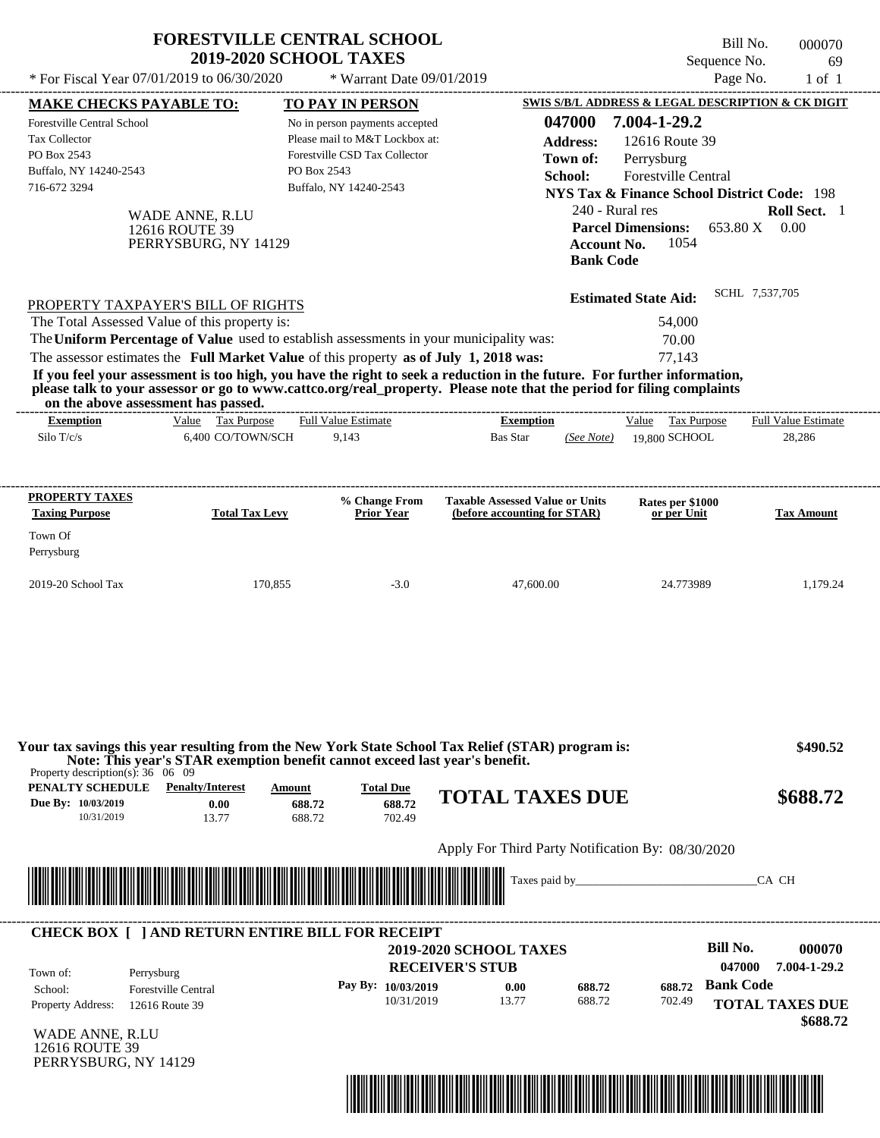|                                                                                                                                                                                                                                                                                         | <b>FORESTVILLE CENTRAL SCHOOL</b><br><b>2019-2020 SCHOOL TAXES</b>                                             |                                       |                                                                                                   |                                                                        |                                                  |                                        | Sequence No.                                                                                                                                                                          | Bill No.       | 000070<br>69         |
|-----------------------------------------------------------------------------------------------------------------------------------------------------------------------------------------------------------------------------------------------------------------------------------------|----------------------------------------------------------------------------------------------------------------|---------------------------------------|---------------------------------------------------------------------------------------------------|------------------------------------------------------------------------|--------------------------------------------------|----------------------------------------|---------------------------------------------------------------------------------------------------------------------------------------------------------------------------------------|----------------|----------------------|
| * For Fiscal Year 07/01/2019 to 06/30/2020                                                                                                                                                                                                                                              |                                                                                                                |                                       | * Warrant Date 09/01/2019                                                                         |                                                                        |                                                  |                                        |                                                                                                                                                                                       | Page No.       | $1$ of $1$           |
| <b>MAKE CHECKS PAYABLE TO:</b>                                                                                                                                                                                                                                                          |                                                                                                                |                                       | <b>TO PAY IN PERSON</b>                                                                           |                                                                        |                                                  |                                        | SWIS S/B/L ADDRESS & LEGAL DESCRIPTION & CK DIGIT                                                                                                                                     |                |                      |
| <b>Forestville Central School</b><br><b>Tax Collector</b><br>PO Box 2543<br>Buffalo, NY 14240-2543<br>716-672 3294                                                                                                                                                                      | WADE ANNE, R.LU<br>12616 ROUTE 39<br>PERRYSBURG, NY 14129                                                      | PO Box 2543<br>Buffalo, NY 14240-2543 | No in person payments accepted<br>Please mail to M&T Lockbox at:<br>Forestville CSD Tax Collector |                                                                        | 047000<br><b>Address:</b><br>Town of:<br>School: | <b>Account No.</b><br><b>Bank Code</b> | 7.004-1-29.2<br>12616 Route 39<br>Perrysburg<br>Forestville Central<br><b>NYS Tax &amp; Finance School District Code: 198</b><br>240 - Rural res<br><b>Parcel Dimensions:</b><br>1054 | 653.80 X 0.00  | Roll Sect. 1         |
| PROPERTY TAXPAYER'S BILL OF RIGHTS<br>The Total Assessed Value of this property is:<br>The Uniform Percentage of Value used to establish assessments in your municipality was:<br>The assessor estimates the Full Market Value of this property as of July 1, 2018 was:                 |                                                                                                                |                                       |                                                                                                   |                                                                        |                                                  |                                        | <b>Estimated State Aid:</b><br>54,000<br>70.00<br>77,143                                                                                                                              | SCHL 7,537,705 |                      |
| If you feel your assessment is too high, you have the right to seek a reduction in the future. For further information,<br>please talk to your assessor or go to www.cattco.org/real_property. Please note that the period for filing complaints<br>on the above assessment has passed. |                                                                                                                |                                       |                                                                                                   |                                                                        |                                                  |                                        |                                                                                                                                                                                       |                |                      |
| <b>Exemption</b>                                                                                                                                                                                                                                                                        | Value Tax Purpose                                                                                              | <b>Full Value Estimate</b>            |                                                                                                   |                                                                        | <b>Exemption</b>                                 |                                        | Value Tax Purpose                                                                                                                                                                     |                | Full Value Estimate  |
| Silo T/c/s                                                                                                                                                                                                                                                                              | 6.400 CO/TOWN/SCH                                                                                              |                                       | 9,143                                                                                             | <b>Bas Star</b>                                                        |                                                  | (See Note)                             | 19,800 SCHOOL                                                                                                                                                                         |                | 28,286               |
| PROPERTY TAXES<br><b>Taxing Purpose</b><br>Town Of<br>Perrysburg                                                                                                                                                                                                                        | <b>Total Tax Levy</b>                                                                                          |                                       | % Change From<br><b>Prior Year</b>                                                                | <b>Taxable Assessed Value or Units</b><br>(before accounting for STAR) |                                                  |                                        | Rates per \$1000<br>or per Unit                                                                                                                                                       |                | <b>Tax Amount</b>    |
| 2019-20 School Tax                                                                                                                                                                                                                                                                      | 170,855                                                                                                        |                                       | $-3.0$                                                                                            |                                                                        | 47,600.00                                        |                                        | 24.773989                                                                                                                                                                             |                | 1,179.24             |
| Your tax savings this year resulting from the New York State School Tax Relief (STAR) program is:<br>Property description(s): $36 \quad 06 \quad 09$<br>PENALTY SCHEDULE<br>Due By: 10/03/2019                                                                                          | Note: This year's STAR exemption benefit cannot exceed last year's benefit.<br><b>Penalty/Interest</b><br>0.00 | Amount<br>688.72                      | <b>Total Due</b><br>688.72                                                                        | <b>TOTAL TAXES DUE</b>                                                 |                                                  |                                        |                                                                                                                                                                                       |                | \$490.52<br>\$688.72 |
| 10/31/2019                                                                                                                                                                                                                                                                              | 13.77                                                                                                          | 688.72                                | 702.49                                                                                            |                                                                        |                                                  |                                        | Apply For Third Party Notification By: 08/30/2020                                                                                                                                     |                |                      |
|                                                                                                                                                                                                                                                                                         |                                                                                                                |                                       |                                                                                                   |                                                                        |                                                  |                                        |                                                                                                                                                                                       |                |                      |

| Town of:                 | Perrysburg                 | <b>RECEIVER'S STUB</b> | <b>2019-2020 SCHOOL TAXES</b> |        |        | Bill No.<br>047000 | 000070<br>7.004-1-29.2 |
|--------------------------|----------------------------|------------------------|-------------------------------|--------|--------|--------------------|------------------------|
| School:                  | <b>Forestville Central</b> | Pay By: $10/03/2019$   | 0.00                          | 688.72 | 688.72 | <b>Bank Code</b>   |                        |
| <b>Property Address:</b> | 12616 Route 39             | 10/31/2019             | 13.77                         | 688.72 | 702.49 |                    | <b>TOTAL TAXES DUE</b> |

WADE ANNE, R.LU 12616 ROUTE 39 PERRYSBURG, NY 14129

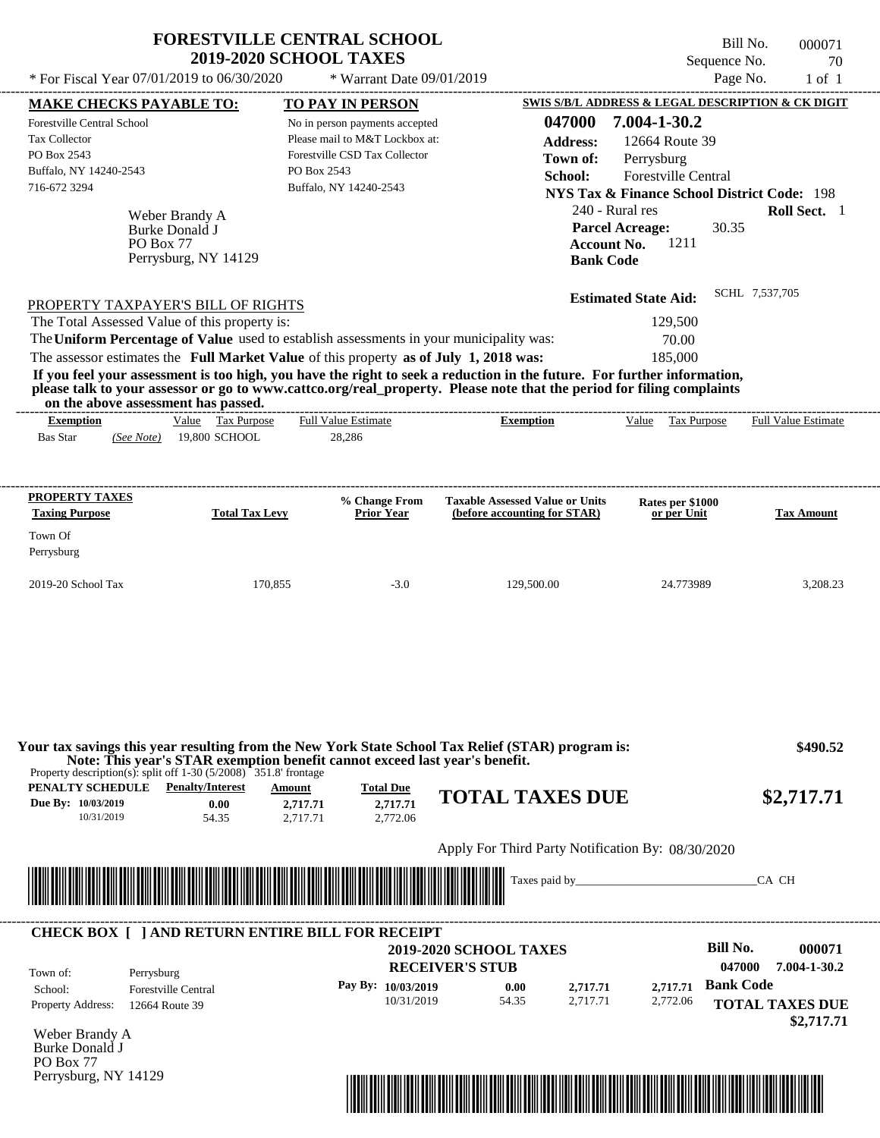|                                                                                         | <b>2019-2020 SCHOOL TAXES</b>                                               | <b>FORESTVILLE CENTRAL SCHOOL</b> |                                                                                                                                                                                                                                                  | Sequence No.                                           | Bill No.<br>000071<br>70   |
|-----------------------------------------------------------------------------------------|-----------------------------------------------------------------------------|-----------------------------------|--------------------------------------------------------------------------------------------------------------------------------------------------------------------------------------------------------------------------------------------------|--------------------------------------------------------|----------------------------|
| * For Fiscal Year 07/01/2019 to 06/30/2020                                              |                                                                             | * Warrant Date 09/01/2019         |                                                                                                                                                                                                                                                  | Page No.                                               | $1$ of $1$                 |
| <b>MAKE CHECKS PAYABLE TO:</b>                                                          |                                                                             | <b>TO PAY IN PERSON</b>           |                                                                                                                                                                                                                                                  | SWIS S/B/L ADDRESS & LEGAL DESCRIPTION & CK DIGIT      |                            |
| <b>Forestville Central School</b>                                                       |                                                                             | No in person payments accepted    | 047000                                                                                                                                                                                                                                           | 7.004-1-30.2                                           |                            |
| Tax Collector                                                                           |                                                                             | Please mail to M&T Lockbox at:    | <b>Address:</b>                                                                                                                                                                                                                                  | 12664 Route 39                                         |                            |
| PO Box 2543                                                                             |                                                                             | Forestville CSD Tax Collector     | Town of:                                                                                                                                                                                                                                         | Perrysburg                                             |                            |
| Buffalo, NY 14240-2543                                                                  | PO Box 2543                                                                 |                                   | School:                                                                                                                                                                                                                                          | Forestville Central                                    |                            |
| 716-672 3294                                                                            |                                                                             | Buffalo, NY 14240-2543            |                                                                                                                                                                                                                                                  | <b>NYS Tax &amp; Finance School District Code: 198</b> |                            |
|                                                                                         |                                                                             |                                   | 240 - Rural res                                                                                                                                                                                                                                  |                                                        | Roll Sect. 1               |
| Weber Brandy A<br>Burke Donald J                                                        |                                                                             |                                   | <b>Parcel Acreage:</b>                                                                                                                                                                                                                           | 30.35                                                  |                            |
| PO Box 77                                                                               |                                                                             |                                   | <b>Account No.</b>                                                                                                                                                                                                                               | 1211                                                   |                            |
|                                                                                         | Perrysburg, NY 14129                                                        |                                   | <b>Bank Code</b>                                                                                                                                                                                                                                 |                                                        |                            |
|                                                                                         |                                                                             |                                   |                                                                                                                                                                                                                                                  | <b>Estimated State Aid:</b>                            | SCHL 7,537,705             |
| PROPERTY TAXPAYER'S BILL OF RIGHTS                                                      |                                                                             |                                   |                                                                                                                                                                                                                                                  |                                                        |                            |
| The Total Assessed Value of this property is:                                           |                                                                             |                                   |                                                                                                                                                                                                                                                  | 129,500                                                |                            |
| The Uniform Percentage of Value used to establish assessments in your municipality was: |                                                                             |                                   |                                                                                                                                                                                                                                                  | 70.00                                                  |                            |
| The assessor estimates the Full Market Value of this property as of July 1, 2018 was:   |                                                                             |                                   |                                                                                                                                                                                                                                                  | 185,000                                                |                            |
| on the above assessment has passed.                                                     |                                                                             |                                   | If you feel your assessment is too high, you have the right to seek a reduction in the future. For further information,<br>please talk to your assessor or go to www.cattco.org/real_property. Please note that the period for filing complaints |                                                        |                            |
| <b>Exemption</b>                                                                        | Value Tax Purpose                                                           | <b>Full Value Estimate</b>        | <b>Exemption</b>                                                                                                                                                                                                                                 | Value Tax Purpose                                      | <b>Full Value Estimate</b> |
| <b>Bas Star</b><br>(See Note)                                                           | 19,800 SCHOOL                                                               | 28,286                            |                                                                                                                                                                                                                                                  |                                                        |                            |
|                                                                                         |                                                                             |                                   |                                                                                                                                                                                                                                                  |                                                        |                            |
| <b>PROPERTY TAXES</b>                                                                   |                                                                             | % Change From                     | <b>Taxable Assessed Value or Units</b>                                                                                                                                                                                                           | Rates per \$1000                                       |                            |
| <b>Taxing Purpose</b>                                                                   | <b>Total Tax Levy</b>                                                       | <b>Prior Year</b>                 | (before accounting for STAR)                                                                                                                                                                                                                     | or per Unit                                            | <b>Tax Amount</b>          |
| Town Of                                                                                 |                                                                             |                                   |                                                                                                                                                                                                                                                  |                                                        |                            |
| Perrysburg                                                                              |                                                                             |                                   |                                                                                                                                                                                                                                                  |                                                        |                            |
| 2019-20 School Tax                                                                      | 170,855                                                                     | $-3.0$                            | 129,500.00                                                                                                                                                                                                                                       | 24.773989                                              | 3,208.23                   |
|                                                                                         |                                                                             |                                   |                                                                                                                                                                                                                                                  |                                                        |                            |
|                                                                                         |                                                                             |                                   |                                                                                                                                                                                                                                                  |                                                        |                            |
|                                                                                         |                                                                             |                                   |                                                                                                                                                                                                                                                  |                                                        |                            |
| Property description(s): split off $1-30$ (5/2008) 351.8' frontage                      | Note: This year's STAR exemption benefit cannot exceed last year's benefit. |                                   | Your tax savings this year resulting from the New York State School Tax Relief (STAR) program is:                                                                                                                                                |                                                        | \$490.52                   |
|                                                                                         | Amount                                                                      | <b>Total Due</b>                  | <b>TOTAL TAXES DUE</b>                                                                                                                                                                                                                           |                                                        |                            |
| 10/31/2019                                                                              | 0.00<br>2,717.71<br>54.35<br>2.717.71                                       | 2,717.71<br>2,772.06              |                                                                                                                                                                                                                                                  |                                                        | \$2,717.71                 |
|                                                                                         |                                                                             |                                   |                                                                                                                                                                                                                                                  |                                                        |                            |
|                                                                                         |                                                                             |                                   | Apply For Third Party Notification By: 08/30/2020                                                                                                                                                                                                |                                                        |                            |
| <b>PENALTY SCHEDULE</b> Penalty/Interest<br>Due By: 10/03/2019                          |                                                                             |                                   | Taxes paid by_                                                                                                                                                                                                                                   |                                                        | CA CH                      |
|                                                                                         |                                                                             |                                   |                                                                                                                                                                                                                                                  |                                                        |                            |
|                                                                                         |                                                                             |                                   | <b>2019-2020 SCHOOL TAXES</b>                                                                                                                                                                                                                    | <b>Bill No.</b>                                        |                            |
| <b>CHECK BOX [ ] AND RETURN ENTIRE BILL FOR RECEIPT</b><br>Town of:<br>Perrysburg       |                                                                             |                                   | <b>RECEIVER'S STUB</b>                                                                                                                                                                                                                           | 047000                                                 | 000071<br>7.004-1-30.2     |

10/31/2019 54.35

Property Address: 12664 Route 39 School: Forestville Central

Weber Brandy A Burke Donald J PO Box 77 Perrysburg, NY 14129



2,717.71

2,772.06

**TOTAL TAXES DUE**

 **\$2,717.71**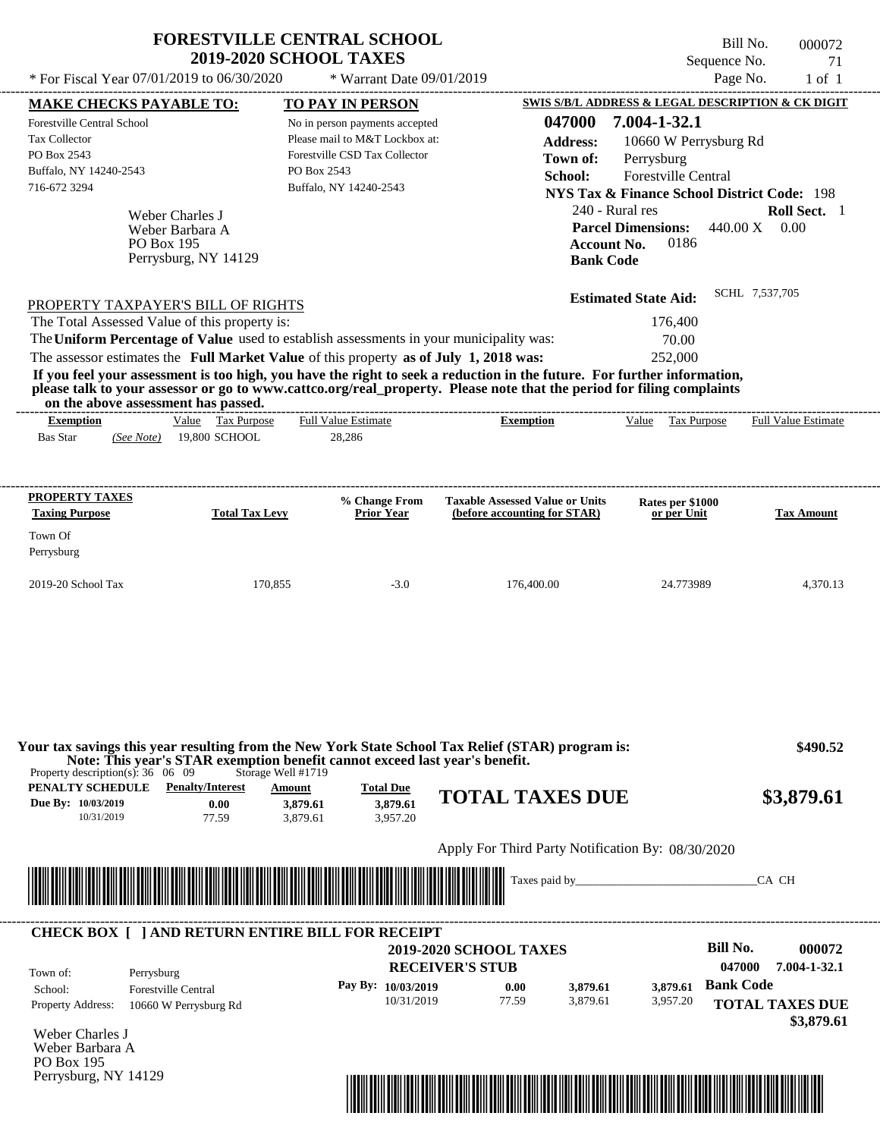|                                                                                         | <b>FORESTVILLE CENTRAL SCHOOL</b><br><b>2019-2020 SCHOOL TAXES</b>                                |                                          |                                                                                                                         | Bill No.<br>Sequence No.                               | 000072<br>71               |
|-----------------------------------------------------------------------------------------|---------------------------------------------------------------------------------------------------|------------------------------------------|-------------------------------------------------------------------------------------------------------------------------|--------------------------------------------------------|----------------------------|
| * For Fiscal Year 07/01/2019 to 06/30/2020                                              |                                                                                                   | * Warrant Date 09/01/2019                |                                                                                                                         | Page No.                                               | $1$ of $1$                 |
| <b>MAKE CHECKS PAYABLE TO:</b>                                                          |                                                                                                   | <b>TO PAY IN PERSON</b>                  |                                                                                                                         | SWIS S/B/L ADDRESS & LEGAL DESCRIPTION & CK DIGIT      |                            |
| Forestville Central School                                                              |                                                                                                   | No in person payments accepted           | 047000                                                                                                                  | 7.004-1-32.1                                           |                            |
| <b>Tax Collector</b>                                                                    |                                                                                                   | Please mail to M&T Lockbox at:           | <b>Address:</b>                                                                                                         | 10660 W Perrysburg Rd                                  |                            |
| PO Box 2543                                                                             |                                                                                                   | Forestville CSD Tax Collector            | Town of:                                                                                                                | Perrysburg                                             |                            |
| Buffalo, NY 14240-2543                                                                  |                                                                                                   | PO Box 2543                              | School:                                                                                                                 | Forestville Central                                    |                            |
| 716-672 3294                                                                            |                                                                                                   | Buffalo, NY 14240-2543                   |                                                                                                                         | <b>NYS Tax &amp; Finance School District Code: 198</b> |                            |
|                                                                                         | Weber Charles J                                                                                   |                                          | 240 - Rural res                                                                                                         |                                                        | Roll Sect. 1               |
|                                                                                         | Weber Barbara A                                                                                   |                                          |                                                                                                                         | <b>Parcel Dimensions:</b><br>440.00 X                  | 0.00                       |
| PO Box 195                                                                              |                                                                                                   |                                          | <b>Account No.</b>                                                                                                      | 0186                                                   |                            |
|                                                                                         | Perrysburg, NY 14129                                                                              |                                          | <b>Bank Code</b>                                                                                                        |                                                        |                            |
|                                                                                         |                                                                                                   |                                          |                                                                                                                         |                                                        | SCHL 7,537,705             |
| PROPERTY TAXPAYER'S BILL OF RIGHTS                                                      |                                                                                                   |                                          |                                                                                                                         | <b>Estimated State Aid:</b>                            |                            |
| The Total Assessed Value of this property is:                                           |                                                                                                   |                                          |                                                                                                                         | 176,400                                                |                            |
| The Uniform Percentage of Value used to establish assessments in your municipality was: |                                                                                                   |                                          |                                                                                                                         | 70.00                                                  |                            |
|                                                                                         | The assessor estimates the Full Market Value of this property as of July 1, 2018 was:             |                                          |                                                                                                                         | 252,000                                                |                            |
|                                                                                         |                                                                                                   |                                          | If you feel your assessment is too high, you have the right to seek a reduction in the future. For further information, |                                                        |                            |
| on the above assessment has passed.                                                     |                                                                                                   |                                          | please talk to your assessor or go to www.cattco.org/real_property. Please note that the period for filing complaints   |                                                        |                            |
| <b>Exemption</b>                                                                        | Value Tax Purpose                                                                                 | <b>Full Value Estimate</b>               | <b>Exemption</b>                                                                                                        | Value<br>Tax Purpose                                   | <b>Full Value Estimate</b> |
| <b>Bas Star</b><br>(See Note)                                                           | 19,800 SCHOOL                                                                                     | 28,286                                   |                                                                                                                         |                                                        |                            |
|                                                                                         |                                                                                                   |                                          |                                                                                                                         |                                                        |                            |
|                                                                                         |                                                                                                   |                                          |                                                                                                                         |                                                        |                            |
| <b>PROPERTY TAXES</b><br><b>Taxing Purpose</b>                                          | <b>Total Tax Levy</b>                                                                             | % Change From<br>Prior Year              | <b>Taxable Assessed Value or Units</b>                                                                                  | Rates per \$1000<br>or per Unit                        |                            |
|                                                                                         |                                                                                                   |                                          | (before accounting for STAR)                                                                                            |                                                        | <b>Tax Amount</b>          |
| Town Of                                                                                 |                                                                                                   |                                          |                                                                                                                         |                                                        |                            |
| Perrysburg                                                                              |                                                                                                   |                                          |                                                                                                                         |                                                        |                            |
| 2019-20 School Tax                                                                      | 170,855                                                                                           | $-3.0$                                   | 176,400.00                                                                                                              | 24.773989                                              | 4,370.13                   |
|                                                                                         |                                                                                                   |                                          |                                                                                                                         |                                                        |                            |
| Property description(s): $36 \quad 06 \quad 09$                                         | Note: This year's STAR exemption benefit cannot exceed last year's benefit.<br>Storage Well #1719 |                                          | Your tax savings this year resulting from the New York State School Tax Relief (STAR) program is:                       |                                                        | \$490.52                   |
| PENALTY SCHEDULE<br>Due By: 10/03/2019<br>10/31/2019                                    | <b>Penalty/Interest</b><br>Amount<br>0.00<br>3,879.61<br>77.59<br>3,879.61                        | <b>Total Due</b><br>3,879.61<br>3,957.20 | <b>TOTAL TAXES DUE</b>                                                                                                  |                                                        | \$3,879.61                 |
|                                                                                         |                                                                                                   |                                          | Apply For Third Party Notification By: 08/30/2020                                                                       |                                                        |                            |
|                                                                                         |                                                                                                   |                                          | Taxes paid by_                                                                                                          |                                                        | CA CH                      |
|                                                                                         |                                                                                                   |                                          |                                                                                                                         |                                                        |                            |
|                                                                                         | <b>CHECK BOX [ ] AND RETURN ENTIRE BILL FOR RECEIPT</b>                                           |                                          |                                                                                                                         |                                                        |                            |
|                                                                                         |                                                                                                   |                                          | <b>2019-2020 SCHOOL TAXES</b>                                                                                           | <b>Bill No.</b>                                        | 000072                     |
| Perrysburg<br>Town of:                                                                  |                                                                                                   |                                          | <b>RECEIVER'S STUB</b>                                                                                                  | 047000                                                 | 7.004-1-32.1               |
| <b>Forestville Central</b><br>School:                                                   |                                                                                                   | Pay By: 10/03/2019                       | 3,879.61<br>0.00                                                                                                        | <b>Bank Code</b><br>3,879.61                           |                            |
| <b>Property Address:</b>                                                                | 10660 W Perrysburg Rd                                                                             | 10/31/2019                               | 77.59<br>3,879.61                                                                                                       | 3,957.20                                               | <b>TOTAL TAXES DUE</b>     |
|                                                                                         |                                                                                                   |                                          |                                                                                                                         |                                                        |                            |
|                                                                                         |                                                                                                   |                                          |                                                                                                                         |                                                        | \$3,879.61                 |

Weber Charles J Weber Barbara A PO Box 195 Perrysburg, NY 14129

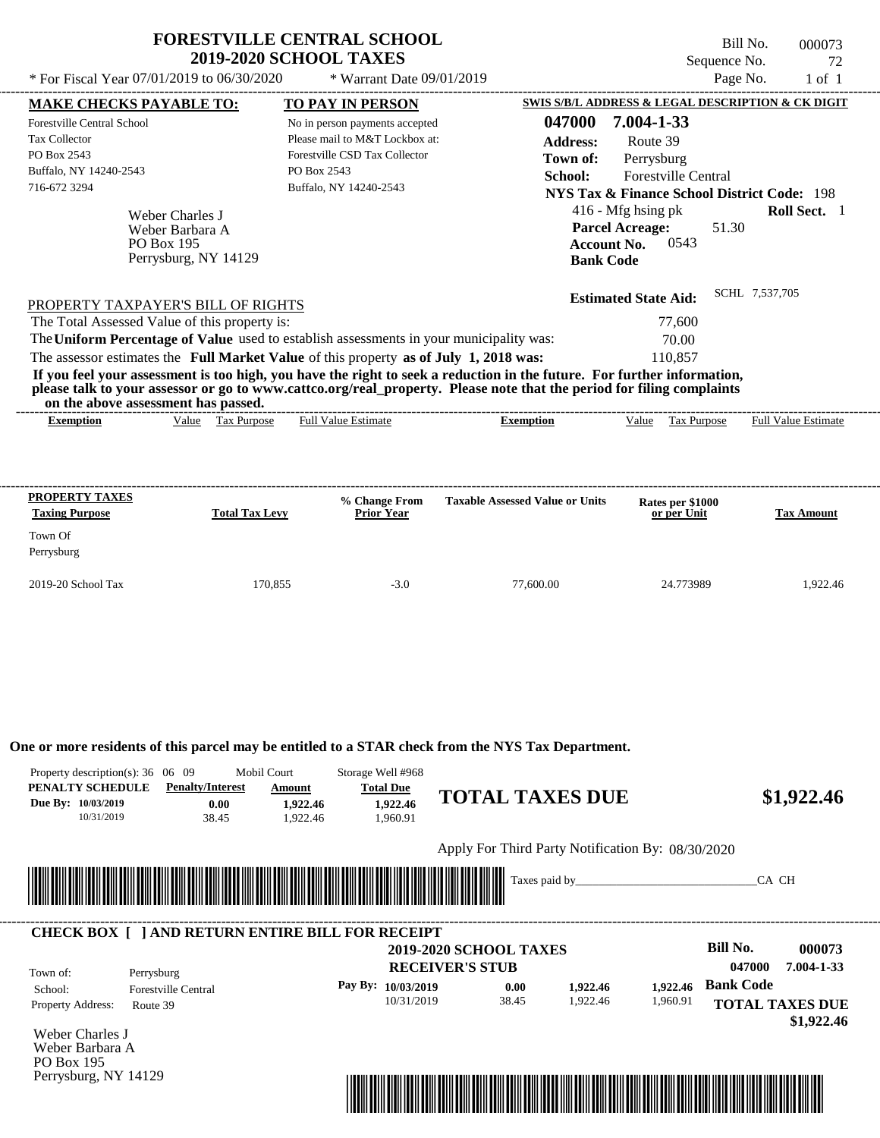|                                                                                                                                                                                                                                                                                                                                                            | <b>FORESTVILLE CENTRAL SCHOOL</b><br><b>2019-2020 SCHOOL TAXES</b> | Bill No.<br>000073<br>Sequence No.<br>72                                                                                                                                                                                                         |
|------------------------------------------------------------------------------------------------------------------------------------------------------------------------------------------------------------------------------------------------------------------------------------------------------------------------------------------------------------|--------------------------------------------------------------------|--------------------------------------------------------------------------------------------------------------------------------------------------------------------------------------------------------------------------------------------------|
| * For Fiscal Year $07/01/2019$ to $06/30/2020$                                                                                                                                                                                                                                                                                                             | * Warrant Date $09/01/2019$                                        | Page No.<br>$1$ of $1$                                                                                                                                                                                                                           |
| <b>MAKE CHECKS PAYABLE TO:</b>                                                                                                                                                                                                                                                                                                                             | <b>TO PAY IN PERSON</b>                                            | SWIS S/B/L ADDRESS & LEGAL DESCRIPTION & CK DIGIT                                                                                                                                                                                                |
| Forestville Central School                                                                                                                                                                                                                                                                                                                                 | No in person payments accepted                                     | 7.004-1-33<br>047000                                                                                                                                                                                                                             |
| <b>Tax Collector</b>                                                                                                                                                                                                                                                                                                                                       | Please mail to M&T Lockbox at:                                     | <b>Address:</b><br>Route 39                                                                                                                                                                                                                      |
| PO Box 2543                                                                                                                                                                                                                                                                                                                                                | Forestville CSD Tax Collector                                      | Perrysburg<br>Town of:                                                                                                                                                                                                                           |
| Buffalo, NY 14240-2543                                                                                                                                                                                                                                                                                                                                     | PO Box 2543                                                        | <b>Forestville Central</b><br>School:                                                                                                                                                                                                            |
| 716-672 3294                                                                                                                                                                                                                                                                                                                                               | Buffalo, NY 14240-2543                                             | <b>NYS Tax &amp; Finance School District Code: 198</b>                                                                                                                                                                                           |
| Weber Charles J<br>Weber Barbara A<br><b>PO Box 195</b><br>Perrysburg, NY 14129<br>PROPERTY TAXPAYER'S BILL OF RIGHTS<br>The Total Assessed Value of this property is:<br>The Uniform Percentage of Value used to establish assessments in your municipality was:<br>The assessor estimates the Full Market Value of this property as of July 1, 2018 was: |                                                                    | $416$ - Mfg hsing pk<br>Roll Sect. 1<br><b>Parcel Acreage:</b><br>51.30<br>0543<br><b>Account No.</b><br><b>Bank Code</b><br>SCHL 7,537,705<br><b>Estimated State Aid:</b><br>77.600<br>70.00<br>110.857                                         |
| on the above assessment has passed.                                                                                                                                                                                                                                                                                                                        |                                                                    | If you feel your assessment is too high, you have the right to seek a reduction in the future. For further information,<br>please talk to your assessor or go to www.cattco.org/real_property. Please note that the period for filing complaints |
| Value<br><b>Exemption</b>                                                                                                                                                                                                                                                                                                                                  | <b>Full Value Estimate</b><br>Tax Purpose                          | Tax Purpose<br><b>Full Value Estimate</b><br><b>Exemption</b><br>Value                                                                                                                                                                           |

| <b>PROPERTY TAXES</b><br><b>Taxing Purpose</b> | <b>Total Tax Levy</b> | % Change From<br><b>Prior Year</b> | <b>Taxable Assessed Value or Units</b> | Rates per \$1000<br>or per Unit | <b>Tax Amount</b> |
|------------------------------------------------|-----------------------|------------------------------------|----------------------------------------|---------------------------------|-------------------|
| Town Of<br>Perrysburg                          |                       |                                    |                                        |                                 |                   |
| $2019-20$ School Tax                           | 170,855               | $-3.0$                             | 77,600.00                              | 24.773989                       | 1.922.46          |

**One or more residents of this parcel may be entitled to a STAR check from the NYS Tax Department.**

| Property description(s): $36 \quad 06 \quad 09$<br>PENALTY SCHEDULE<br>Due By: 10/03/2019<br>10/31/2019 | <b>Penalty/Interest</b><br>0.00<br>38.45 | Mobil Court<br>Storage Well #968<br><b>Total Due</b><br>Amount<br>1,922.46<br>1,922.46<br>1,922.46<br>1,960.91 |                                                         | <b>TOTAL TAXES DUE</b>                            |                      | \$1,922.46                                               |
|---------------------------------------------------------------------------------------------------------|------------------------------------------|----------------------------------------------------------------------------------------------------------------|---------------------------------------------------------|---------------------------------------------------|----------------------|----------------------------------------------------------|
|                                                                                                         |                                          |                                                                                                                |                                                         | Apply For Third Party Notification By: 08/30/2020 |                      |                                                          |
|                                                                                                         |                                          |                                                                                                                |                                                         | Taxes paid by_                                    |                      | CA CH                                                    |
| Town of:                                                                                                | Perrysburg                               | <b>CHECK BOX [ ] AND RETURN ENTIRE BILL FOR RECEIPT</b>                                                        | <b>2019-2020 SCHOOL TAXES</b><br><b>RECEIVER'S STUB</b> |                                                   |                      | Bill No.<br>000073<br>7.004-1-33<br>047000               |
| School:<br>Property Address:                                                                            | <b>Forestville Central</b><br>Route 39   | Pay By: 10/03/2019                                                                                             | 10/31/2019                                              | 0.00<br>1,922.46<br>1,922.46<br>38.45             | 1,922.46<br>1,960.91 | <b>Bank Code</b><br><b>TOTAL TAXES DUE</b><br>\$1,922.46 |
| Weber Charles J<br>Weber Barbara A<br>PO Box 195<br>Perrysburg, NY 14129                                |                                          |                                                                                                                |                                                         |                                                   |                      |                                                          |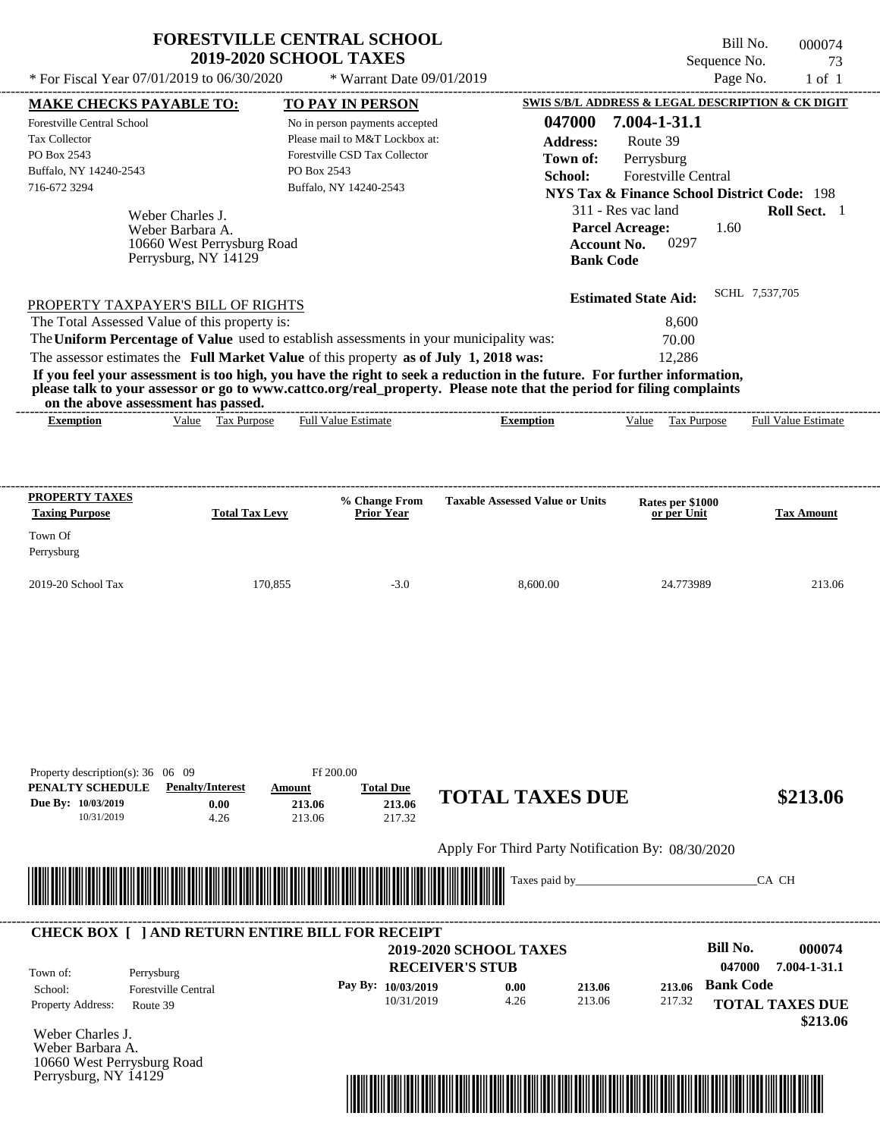| <b>FORESTVILLE CENTRAL SCHOOL</b> |  |
|-----------------------------------|--|
| <b>2019-2020 SCHOOL TAXES</b>     |  |

Perrysburg, NY 14129

Bill No. 000074 Sequence No. 73

| * For Fiscal Year 07/01/2019 to 06/30/2020                                                                                                                                                                                                                                                                                                                                                                                                                                                                                  |                                         | * Warrant Date 09/01/2019                                                                                                   |                                                                         |                                                                                                                                                                                                          | Page No.<br>$1$ of $1$                                                                                        |
|-----------------------------------------------------------------------------------------------------------------------------------------------------------------------------------------------------------------------------------------------------------------------------------------------------------------------------------------------------------------------------------------------------------------------------------------------------------------------------------------------------------------------------|-----------------------------------------|-----------------------------------------------------------------------------------------------------------------------------|-------------------------------------------------------------------------|----------------------------------------------------------------------------------------------------------------------------------------------------------------------------------------------------------|---------------------------------------------------------------------------------------------------------------|
| <b>MAKE CHECKS PAYABLE TO:</b>                                                                                                                                                                                                                                                                                                                                                                                                                                                                                              |                                         | <b>TO PAY IN PERSON</b>                                                                                                     |                                                                         |                                                                                                                                                                                                          | <b>SWIS S/B/L ADDRESS &amp; LEGAL DESCRIPTION &amp; CK DIGIT</b>                                              |
| Forestville Central School<br>Tax Collector<br>PO Box 2543<br>Buffalo, NY 14240-2543<br>716-672 3294<br>Weber Charles J.<br>Weber Barbara A.<br>10660 West Perrysburg Road<br>Perrysburg, NY 14129                                                                                                                                                                                                                                                                                                                          | PO Box 2543                             | No in person payments accepted<br>Please mail to M&T Lockbox at:<br>Forestville CSD Tax Collector<br>Buffalo, NY 14240-2543 | School:                                                                 | 7.004-1-31.1<br>047000<br><b>Address:</b><br>Route 39<br>Town of:<br>Perrysburg<br>Forestville Central<br>311 - Res vac land<br><b>Parcel Acreage:</b><br>0297<br><b>Account No.</b><br><b>Bank Code</b> | <b>NYS Tax &amp; Finance School District Code: 198</b><br>Roll Sect. 1<br>1.60                                |
|                                                                                                                                                                                                                                                                                                                                                                                                                                                                                                                             |                                         |                                                                                                                             |                                                                         | <b>Estimated State Aid:</b>                                                                                                                                                                              | SCHL 7,537,705                                                                                                |
| PROPERTY TAXPAYER'S BILL OF RIGHTS<br>The Total Assessed Value of this property is:<br>The Uniform Percentage of Value used to establish assessments in your municipality was:<br>The assessor estimates the Full Market Value of this property as of July 1, 2018 was:<br>If you feel your assessment is too high, you have the right to seek a reduction in the future. For further information,<br>please talk to your assessor or go to www.cattco.org/real_property. Please note that the period for filing complaints |                                         |                                                                                                                             |                                                                         | 8,600<br>70.00<br>12,286                                                                                                                                                                                 |                                                                                                               |
| on the above assessment has passed.<br>Value Tax Purpose<br><b>Exemption</b>                                                                                                                                                                                                                                                                                                                                                                                                                                                |                                         | <b>Full Value Estimate</b>                                                                                                  | <b>Exemption</b>                                                        | Value Tax Purpose                                                                                                                                                                                        | <b>Full Value Estimate</b>                                                                                    |
| <b>PROPERTY TAXES</b><br><b>Taxing Purpose</b><br>Town Of<br>Perrysburg<br>2019-20 School Tax                                                                                                                                                                                                                                                                                                                                                                                                                               | <b>Total Tax Levy</b><br>170,855        | % Change From<br><b>Prior Year</b><br>$-3.0$                                                                                | <b>Taxable Assessed Value or Units</b><br>8,600.00                      | Rates per \$1000<br>or per Unit<br>24.773989                                                                                                                                                             | <b>Tax Amount</b><br>213.06                                                                                   |
| Property description(s): $36 \quad 06 \quad 09$<br>PENALTY SCHEDULE<br><b>Penalty/Interest</b><br>Due By: 10/03/2019<br>0.00<br>10/31/2019<br>4.26                                                                                                                                                                                                                                                                                                                                                                          | Ff 200.00<br>Amount<br>213.06<br>213.06 | <b>Total Due</b><br>213.06<br>217.32                                                                                        | <b>TOTAL TAXES DUE</b>                                                  |                                                                                                                                                                                                          | \$213.06                                                                                                      |
|                                                                                                                                                                                                                                                                                                                                                                                                                                                                                                                             |                                         |                                                                                                                             | Apply For Third Party Notification By: 08/30/2020                       |                                                                                                                                                                                                          |                                                                                                               |
| <u> Harry Harry Harry Harry Harry Harry Harry Harry Harry Harry Harry Harry Harry Harry Harry Harry Harry Harry Harry Harry Harry Harry Harry Harry Harry Harry Harry Harry Harry Harry Harry Harry Harry Harry Harry Harry Harr</u>                                                                                                                                                                                                                                                                                        |                                         |                                                                                                                             | Taxes paid by                                                           |                                                                                                                                                                                                          | CA CH                                                                                                         |
| <b>CHECK BOX [ ] AND RETURN ENTIRE BILL FOR RECEIPT</b><br>Town of:<br>Perrysburg<br>School:<br><b>Forestville Central</b><br>Property Address:<br>Route 39<br>Weber Charles J.<br>Weber Barbara A.                                                                                                                                                                                                                                                                                                                         |                                         | Pay By: 10/03/2019<br>10/31/2019                                                                                            | <b>2019-2020 SCHOOL TAXES</b><br><b>RECEIVER'S STUB</b><br>0.00<br>4.26 | 213.06<br>213.06<br>213.06<br>217.32                                                                                                                                                                     | <b>Bill No.</b><br>000074<br>047000<br>7.004-1-31.1<br><b>Bank Code</b><br><b>TOTAL TAXES DUE</b><br>\$213.06 |

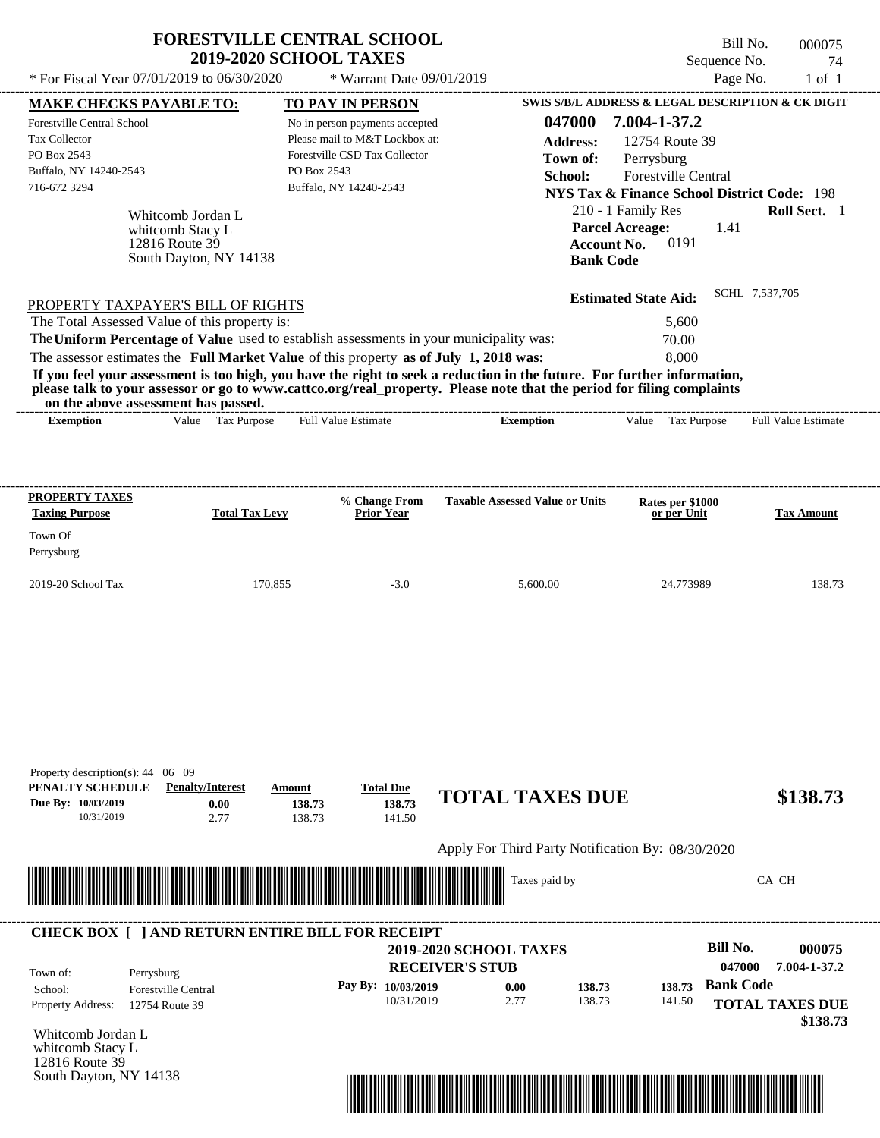|                                                                                                                                                                                                                                                                                                                                                                                                    | <b>FORESTVILLE CENTRAL SCHOOL</b><br><b>2019-2020 SCHOOL TAXES</b>                                                                         |                                                                                            | Bill No.                                                                                                                                                                                  | 000075                     |
|----------------------------------------------------------------------------------------------------------------------------------------------------------------------------------------------------------------------------------------------------------------------------------------------------------------------------------------------------------------------------------------------------|--------------------------------------------------------------------------------------------------------------------------------------------|--------------------------------------------------------------------------------------------|-------------------------------------------------------------------------------------------------------------------------------------------------------------------------------------------|----------------------------|
| * For Fiscal Year 07/01/2019 to 06/30/2020                                                                                                                                                                                                                                                                                                                                                         | * Warrant Date 09/01/2019                                                                                                                  |                                                                                            | Sequence No.<br>Page No.                                                                                                                                                                  | 74<br>$1$ of $1$           |
| <b>MAKE CHECKS PAYABLE TO:</b>                                                                                                                                                                                                                                                                                                                                                                     | <b>TO PAY IN PERSON</b>                                                                                                                    |                                                                                            | SWIS S/B/L ADDRESS & LEGAL DESCRIPTION & CK DIGIT                                                                                                                                         |                            |
| Forestville Central School<br><b>Tax Collector</b><br>PO Box 2543<br>Buffalo, NY 14240-2543<br>716-672 3294<br>Whitcomb Jordan L<br>whitcomb Stacy L<br>12816 Route 39<br>South Dayton, NY 14138                                                                                                                                                                                                   | No in person payments accepted<br>Please mail to M&T Lockbox at:<br>Forestville CSD Tax Collector<br>PO Box 2543<br>Buffalo, NY 14240-2543 | 047000<br><b>Address:</b><br>Town of:<br>School:<br><b>Account No.</b><br><b>Bank Code</b> | 7.004-1-37.2<br>12754 Route 39<br>Perrysburg<br><b>Forestville Central</b><br>NYS Tax & Finance School District Code: 198<br>210 - 1 Family Res<br><b>Parcel Acreage:</b><br>1.41<br>0191 | Roll Sect. 1               |
| PROPERTY TAXPAYER'S BILL OF RIGHTS<br>The Total Assessed Value of this property is:<br>The Uniform Percentage of Value used to establish assessments in your municipality was:<br>The assessor estimates the Full Market Value of this property as of July 1, 2018 was:<br>If you feel your assessment is too high, you have the right to seek a reduction in the future. For further information, |                                                                                                                                            |                                                                                            | <b>Estimated State Aid:</b><br>5.600<br>70.00<br>8.000                                                                                                                                    | SCHL 7,537,705             |
| please talk to your assessor or go to www.cattco.org/real_property. Please note that the period for filing complaints                                                                                                                                                                                                                                                                              |                                                                                                                                            |                                                                                            |                                                                                                                                                                                           |                            |
| on the above assessment has passed.<br>Value Tax Purpose<br><b>Exemption</b>                                                                                                                                                                                                                                                                                                                       | <b>Full Value Estimate</b>                                                                                                                 | <b>Exemption</b>                                                                           | <b>Tax Purpose</b><br>Value                                                                                                                                                               | <b>Full Value Estimate</b> |
| PROPERTY TAXES<br><b>Total Tax Levy</b><br><b>Taxing Purpose</b><br>Town Of<br>Perrysburg                                                                                                                                                                                                                                                                                                          | % Change From<br><b>Prior Year</b>                                                                                                         | <b>Taxable Assessed Value or Units</b>                                                     | Rates per \$1000<br>or per Unit                                                                                                                                                           | <b>Tax Amount</b>          |

| Property description(s): $44 \quad 06 \quad 09$<br>PENALTY SCHEDULE<br>Due By: 10/03/2019<br>10/31/2019 | <b>Penalty/Interest</b><br>0.00<br>2.77                 | Amount<br>138.73<br>138.73  | <b>Total Due</b><br>138.73<br>141.50 | <b>TOTAL TAXES DUE</b>                            |                |        |        |                  | \$138.73                           |
|---------------------------------------------------------------------------------------------------------|---------------------------------------------------------|-----------------------------|--------------------------------------|---------------------------------------------------|----------------|--------|--------|------------------|------------------------------------|
|                                                                                                         |                                                         |                             |                                      | Apply For Third Party Notification By: 08/30/2020 |                |        |        |                  |                                    |
|                                                                                                         |                                                         | <u> Tanzania (h. 1878).</u> |                                      |                                                   | Taxes paid by_ |        |        |                  | CA CH                              |
|                                                                                                         |                                                         |                             |                                      |                                                   |                |        |        |                  |                                    |
|                                                                                                         | <b>CHECK BOX [ ] AND RETURN ENTIRE BILL FOR RECEIPT</b> |                             |                                      | <b>2019-2020 SCHOOL TAXES</b>                     |                |        |        | Bill No.         | 000075                             |
| Town of:                                                                                                | Perrysburg                                              |                             |                                      | <b>RECEIVER'S STUB</b>                            |                |        |        | 047000           | 7.004-1-37.2                       |
| School:                                                                                                 | <b>Forestville Central</b>                              |                             | Pay By: 10/03/2019                   | 0.00                                              |                | 138.73 | 138.73 | <b>Bank Code</b> |                                    |
| Property Address:                                                                                       | 12754 Route 39                                          |                             | 10/31/2019                           | 2.77                                              |                | 138.73 | 141.50 |                  | <b>TOTAL TAXES DUE</b><br>\$138.73 |
| Whitcomb Jordan L                                                                                       |                                                         |                             |                                      |                                                   |                |        |        |                  |                                    |
| whitcomb Stacy L<br>12816 Route 39                                                                      |                                                         |                             |                                      |                                                   |                |        |        |                  |                                    |
| South Dayton, NY 14138                                                                                  |                                                         |                             |                                      |                                                   |                |        |        |                  |                                    |

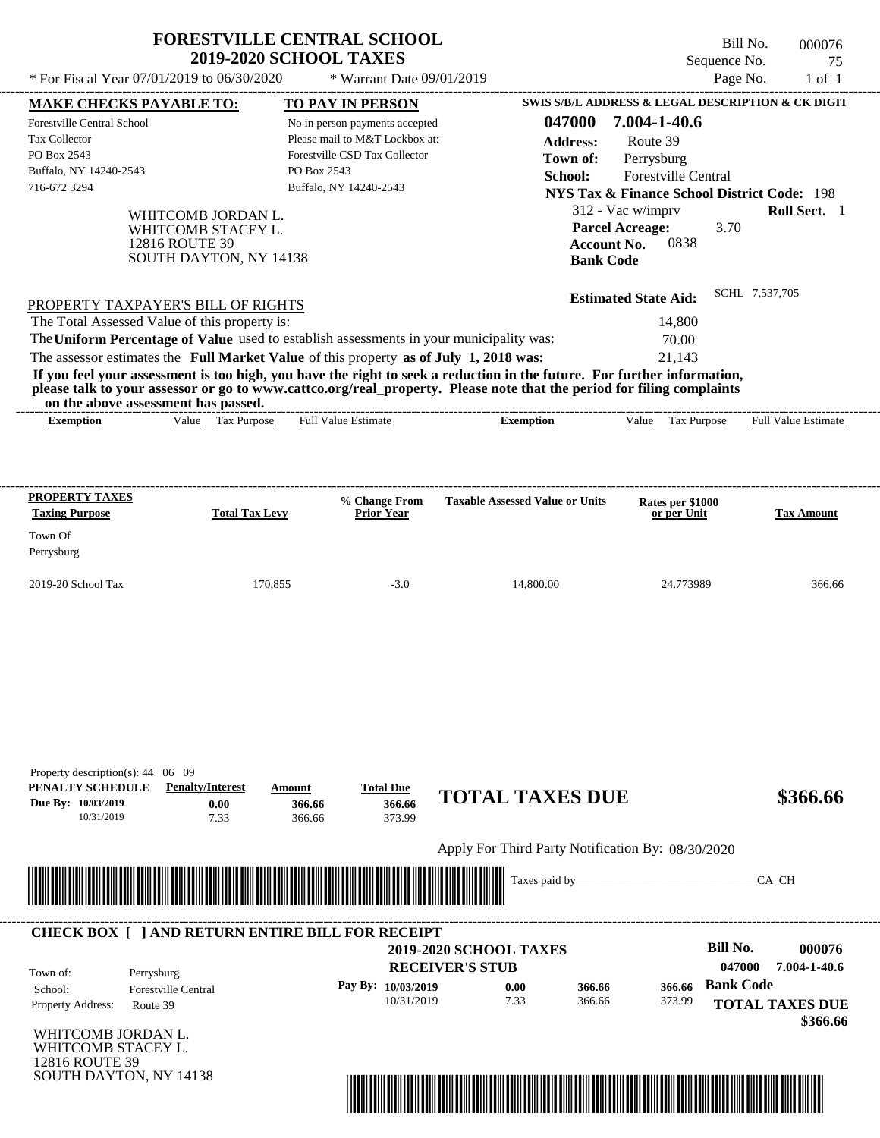| * For Fiscal Year $07/01/2019$ to $06/30/2020$                                                                                                                                                                                                                                                                 | <b>FORESTVILLE CENTRAL SCHOOL</b><br><b>2019-2020 SCHOOL TAXES</b>                   |                  | * Warrant Date 09/01/2019                                                                                                                              |                                                                                                                                                                                                                                                  |                                                                                                                                                                                                                                                                               | Bill No.<br>Sequence No.<br>Page No. | 000076<br>75<br>$1$ of $1$ |
|----------------------------------------------------------------------------------------------------------------------------------------------------------------------------------------------------------------------------------------------------------------------------------------------------------------|--------------------------------------------------------------------------------------|------------------|--------------------------------------------------------------------------------------------------------------------------------------------------------|--------------------------------------------------------------------------------------------------------------------------------------------------------------------------------------------------------------------------------------------------|-------------------------------------------------------------------------------------------------------------------------------------------------------------------------------------------------------------------------------------------------------------------------------|--------------------------------------|----------------------------|
| <b>MAKE CHECKS PAYABLE TO:</b><br>Forestville Central School<br>Tax Collector<br>PO Box 2543<br>Buffalo, NY 14240-2543<br>716-672 3294                                                                                                                                                                         | WHITCOMB JORDAN L.<br>WHITCOMB STACEY L.<br>12816 ROUTE 39<br>SOUTH DAYTON, NY 14138 | PO Box 2543      | <b>TO PAY IN PERSON</b><br>No in person payments accepted<br>Please mail to M&T Lockbox at:<br>Forestville CSD Tax Collector<br>Buffalo, NY 14240-2543 | 047000<br><b>Address:</b><br>Town of:<br>School:                                                                                                                                                                                                 | SWIS S/B/L ADDRESS & LEGAL DESCRIPTION & CK DIGIT<br>7.004-1-40.6<br>Route 39<br>Perrysburg<br>Forestville Central<br><b>NYS Tax &amp; Finance School District Code: 198</b><br>312 - Vac w/imprv<br><b>Parcel Acreage:</b><br>0838<br><b>Account No.</b><br><b>Bank Code</b> | 3.70<br>SCHL 7.537.705               | <b>Roll Sect.</b> 1        |
| PROPERTY TAXPAYER'S BILL OF RIGHTS<br>The Total Assessed Value of this property is:<br>The Uniform Percentage of Value used to establish assessments in your municipality was:<br>The assessor estimates the Full Market Value of this property as of July 1, 2018 was:<br>on the above assessment has passed. |                                                                                      |                  |                                                                                                                                                        | If you feel your assessment is too high, you have the right to seek a reduction in the future. For further information,<br>please talk to your assessor or go to www.cattco.org/real_property. Please note that the period for filing complaints | <b>Estimated State Aid:</b><br>14,800<br>70.00<br>21.143                                                                                                                                                                                                                      |                                      |                            |
| <b>Exemption</b>                                                                                                                                                                                                                                                                                               | Value Tax Purpose                                                                    |                  | <b>Full Value Estimate</b>                                                                                                                             | -------------------------<br><b>Exemption</b>                                                                                                                                                                                                    | Value Tax Purpose                                                                                                                                                                                                                                                             |                                      | <b>Full Value Estimate</b> |
| <b>PROPERTY TAXES</b><br><b>Taxing Purpose</b><br>Town Of<br>Perrysburg                                                                                                                                                                                                                                        | <b>Total Tax Levy</b>                                                                |                  | % Change From<br><b>Prior Year</b>                                                                                                                     | <b>Taxable Assessed Value or Units</b>                                                                                                                                                                                                           | Rates per \$1000<br>or per Unit                                                                                                                                                                                                                                               |                                      | <b>Tax Amount</b>          |
| 2019-20 School Tax                                                                                                                                                                                                                                                                                             |                                                                                      | 170,855          | $-3.0$                                                                                                                                                 | 14,800.00                                                                                                                                                                                                                                        | 24.773989                                                                                                                                                                                                                                                                     |                                      | 366.66                     |
|                                                                                                                                                                                                                                                                                                                |                                                                                      |                  |                                                                                                                                                        |                                                                                                                                                                                                                                                  |                                                                                                                                                                                                                                                                               |                                      |                            |
| Property description(s): 44 06 09<br>Due By: 10/03/2019                                                                                                                                                                                                                                                        | <b>Penalty/Interest</b><br>0.00                                                      | Amount<br>366.66 | <b>Total Due</b><br>366.66                                                                                                                             | <b>TOTAL TAXES DUE</b>                                                                                                                                                                                                                           |                                                                                                                                                                                                                                                                               |                                      | \$366.66                   |
| PENALTY SCHEDULE<br>10/31/2019                                                                                                                                                                                                                                                                                 | 7.33                                                                                 | 366.66           | 373.99                                                                                                                                                 | Apply For Third Party Notification By: 08/30/2020                                                                                                                                                                                                |                                                                                                                                                                                                                                                                               |                                      |                            |

| Town of:                 | Perrysburg                 | <b>2019-2020 SCHOOL TAXES</b><br><b>RECEIVER'S STUB</b> |      |        |        | Bill No.<br>047000 | 000076<br>7.004-1-40.6 |
|--------------------------|----------------------------|---------------------------------------------------------|------|--------|--------|--------------------|------------------------|
| School:                  | <b>Forestville Central</b> | Pay By: 10/03/2019                                      | 0.00 | 366.66 | 366.66 | <b>Bank Code</b>   |                        |
| <b>Property Address:</b> | Route 39                   | 10/31/2019                                              | 7.33 | 366.66 | 373.99 |                    | <b>TOTAL TAXES DUE</b> |

WHITCOMB JORDAN L. WHITCOMB STACEY L. 12816 ROUTE 39 SOUTH DAYTON, NY 14138

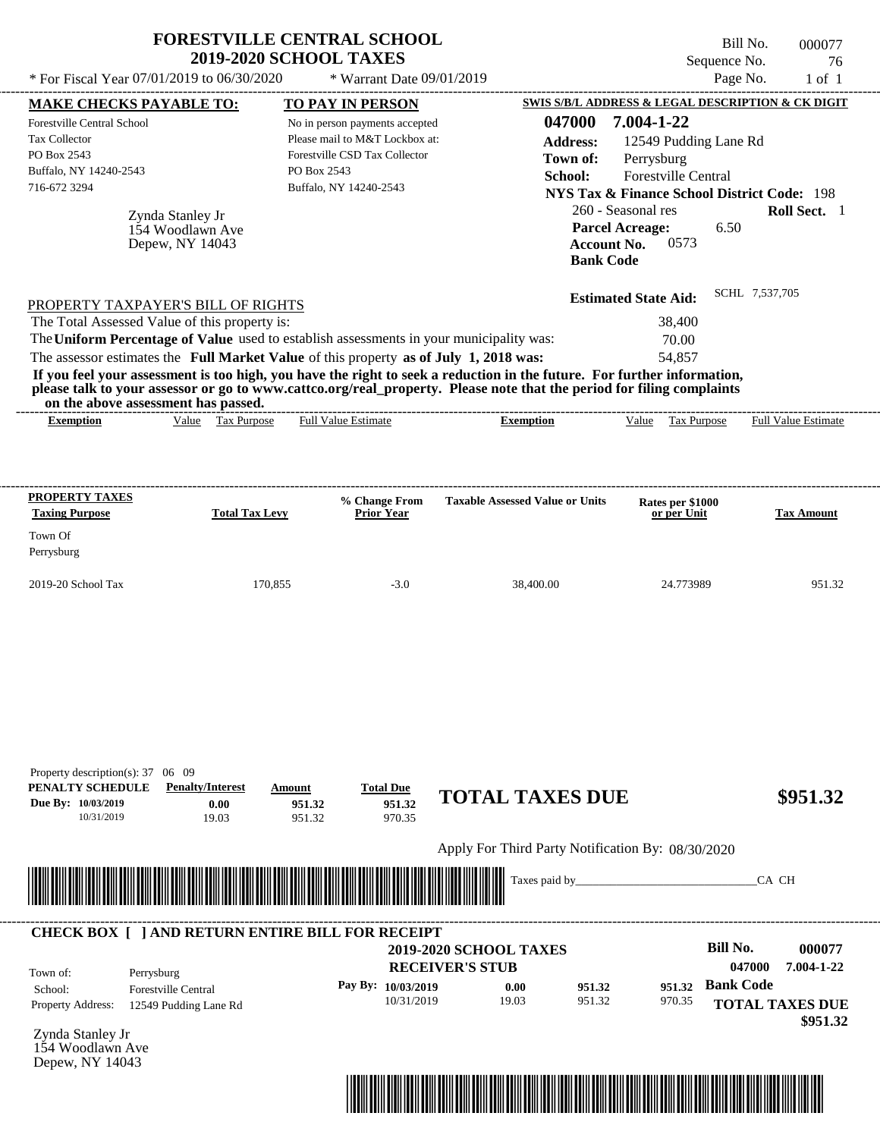|                                                                                                                                                                                                                                                                                                                                                                                                                                                                                                                                                                    | <b>FORESTVILLE CENTRAL SCHOOL</b>                       | <b>2019-2020 SCHOOL TAXES</b>                                                                                                                                  |                                    |                                                   |                                                                                                                                                                                                                          |                                                                          | Sequence No.                                                        | Bill No.       | 000077<br>76               |
|--------------------------------------------------------------------------------------------------------------------------------------------------------------------------------------------------------------------------------------------------------------------------------------------------------------------------------------------------------------------------------------------------------------------------------------------------------------------------------------------------------------------------------------------------------------------|---------------------------------------------------------|----------------------------------------------------------------------------------------------------------------------------------------------------------------|------------------------------------|---------------------------------------------------|--------------------------------------------------------------------------------------------------------------------------------------------------------------------------------------------------------------------------|--------------------------------------------------------------------------|---------------------------------------------------------------------|----------------|----------------------------|
| * For Fiscal Year 07/01/2019 to 06/30/2020                                                                                                                                                                                                                                                                                                                                                                                                                                                                                                                         |                                                         |                                                                                                                                                                | * Warrant Date 09/01/2019          |                                                   |                                                                                                                                                                                                                          |                                                                          |                                                                     | Page No.       | $1$ of $1$                 |
| <b>MAKE CHECKS PAYABLE TO:</b><br>Forestville Central School<br><b>Tax Collector</b><br>PO Box 2543<br>Buffalo, NY 14240-2543<br>716-672 3294                                                                                                                                                                                                                                                                                                                                                                                                                      | Zynda Stanley Jr<br>154 Woodlawn Ave<br>Depew, NY 14043 | TO PAY IN PERSON<br>No in person payments accepted<br>Please mail to M&T Lockbox at:<br>Forestville CSD Tax Collector<br>PO Box 2543<br>Buffalo, NY 14240-2543 |                                    |                                                   | <b>SWIS S/B/L ADDRESS &amp; LEGAL DESCRIPTION &amp; CK DIGIT</b><br>047000<br><b>Address:</b><br>Town of:<br>School:<br><b>NYS Tax &amp; Finance School District Code: 198</b><br><b>Account No.</b><br><b>Bank Code</b> | 7.004-1-22<br>Perrysburg<br>260 - Seasonal res<br><b>Parcel Acreage:</b> | 12549 Pudding Lane Rd<br><b>Forestville Central</b><br>6.50<br>0573 |                | Roll Sect. 1               |
| PROPERTY TAXPAYER'S BILL OF RIGHTS<br>The Total Assessed Value of this property is:<br>The Uniform Percentage of Value used to establish assessments in your municipality was:<br>The assessor estimates the Full Market Value of this property as of July 1, 2018 was:<br>If you feel your assessment is too high, you have the right to seek a reduction in the future. For further information,<br>please talk to your assessor or go to www.cattco.org/real_property. Please note that the period for filing complaints<br>on the above assessment has passed. |                                                         |                                                                                                                                                                |                                    |                                                   |                                                                                                                                                                                                                          | <b>Estimated State Aid:</b>                                              | 38,400<br>70.00<br>54,857                                           | SCHL 7,537,705 |                            |
| <b>Exemption</b>                                                                                                                                                                                                                                                                                                                                                                                                                                                                                                                                                   | <b>Tax Purpose</b><br>Value                             | <b>Full Value Estimate</b>                                                                                                                                     |                                    | <b>Exemption</b>                                  |                                                                                                                                                                                                                          | Value                                                                    | Tax Purpose                                                         |                | <b>Full Value Estimate</b> |
| <b>PROPERTY TAXES</b><br><b>Taxing Purpose</b><br>Town Of<br>Perrysburg                                                                                                                                                                                                                                                                                                                                                                                                                                                                                            | <b>Total Tax Levy</b>                                   |                                                                                                                                                                | % Change From<br><b>Prior Year</b> | <b>Taxable Assessed Value or Units</b>            |                                                                                                                                                                                                                          |                                                                          | Rates per \$1000<br>or per Unit                                     |                | <b>Tax Amount</b>          |
| 2019-20 School Tax                                                                                                                                                                                                                                                                                                                                                                                                                                                                                                                                                 | 170,855                                                 |                                                                                                                                                                | $-3.0$                             | 38,400.00                                         |                                                                                                                                                                                                                          |                                                                          | 24.773989                                                           |                | 951.32                     |
| Property description(s): 37 06 09<br>PENALTY SCHEDULE<br>Due By: 10/03/2019                                                                                                                                                                                                                                                                                                                                                                                                                                                                                        | <b>Penalty/Interest</b><br>0.00                         | Amount<br>951.32                                                                                                                                               | <b>Total Due</b><br>951.32         | <b>TOTAL TAXES DUE</b>                            |                                                                                                                                                                                                                          |                                                                          |                                                                     |                | \$951.32                   |
| 10/31/2019                                                                                                                                                                                                                                                                                                                                                                                                                                                                                                                                                         | 19.03                                                   | 951.32                                                                                                                                                         | 970.35                             |                                                   |                                                                                                                                                                                                                          |                                                                          |                                                                     |                |                            |
|                                                                                                                                                                                                                                                                                                                                                                                                                                                                                                                                                                    |                                                         |                                                                                                                                                                |                                    | Apply For Third Party Notification By: 08/30/2020 | Taxes paid by_                                                                                                                                                                                                           |                                                                          |                                                                     | CA CH          |                            |
| CHECK BOX [ ] AND RETURN ENTIRE BILL FOR RECEIPT                                                                                                                                                                                                                                                                                                                                                                                                                                                                                                                   |                                                         |                                                                                                                                                                |                                    |                                                   |                                                                                                                                                                                                                          |                                                                          |                                                                     |                |                            |

**RECEIVER'S STUB Bill No. 000077 Bank Code 951.32** Property Address: 12549 Pudding Lane Rd Perrysburg School: Forestville Central **TOTAL TAXES DUE \$951.32 2019-2020 SCHOOL TAXES 047000 7.004-1-22 Pay By: 10/03/2019** 10/31/2019 **0.00** 951.32 **951.32** 970.35 Town of:

Zynda Stanley Jr 154 Woodlawn Ave Depew, NY 14043

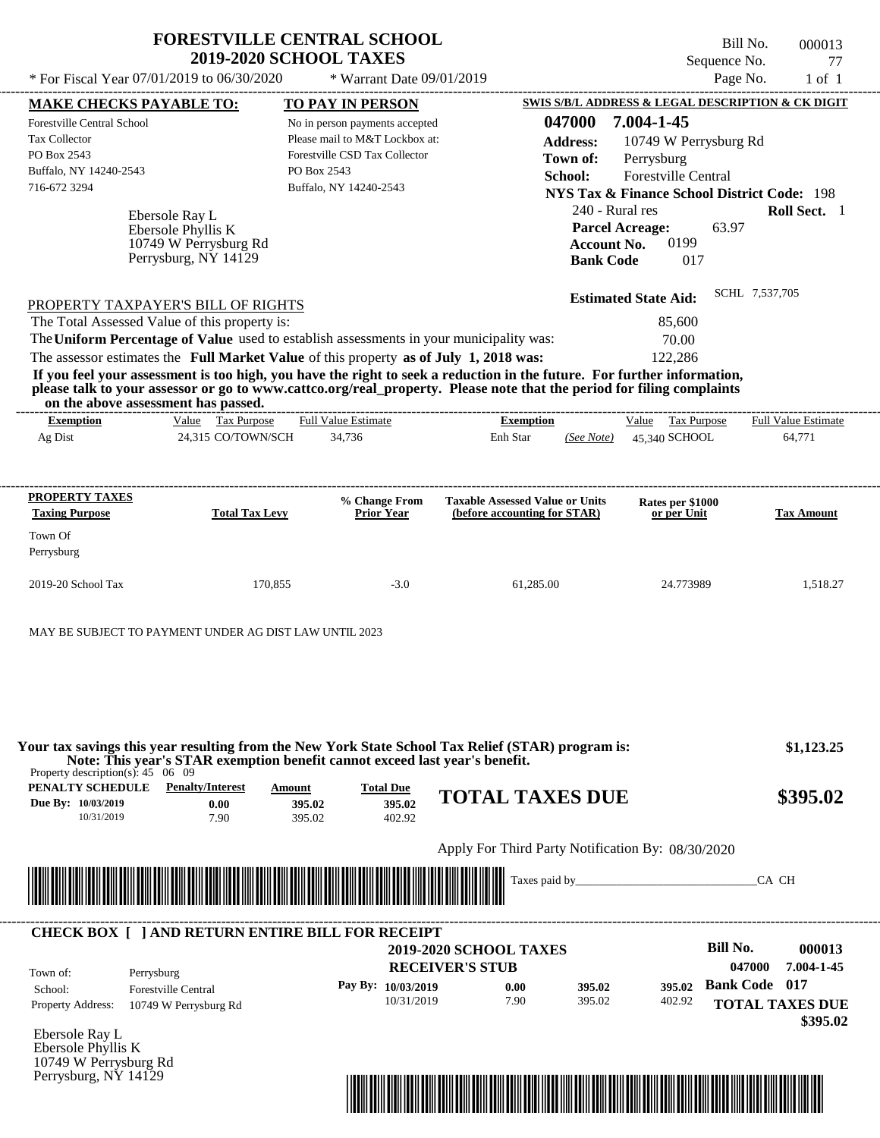| Bill No.<br>000013<br>77<br>$1$ of $1$ | Sequence No.<br>Page No.                               |                                                           | * Warrant Date 09/01/2019 | <b>FORESTVILLE CENTRAL SCHOOL</b><br><b>2019-2020 SCHOOL TAXES</b> |                    | * For Fiscal Year $07/01/2019$ to $06/30/2020$                                                                                                                                                                                                                                          |
|----------------------------------------|--------------------------------------------------------|-----------------------------------------------------------|---------------------------|--------------------------------------------------------------------|--------------------|-----------------------------------------------------------------------------------------------------------------------------------------------------------------------------------------------------------------------------------------------------------------------------------------|
|                                        | SWIS S/B/L ADDRESS & LEGAL DESCRIPTION & CK DIGIT      |                                                           |                           | <b>TO PAY IN PERSON</b>                                            |                    | <b>MAKE CHECKS PAYABLE TO:</b>                                                                                                                                                                                                                                                          |
|                                        | 7.004-1-45                                             | 047000                                                    |                           | No in person payments accepted                                     |                    | <b>Forestville Central School</b>                                                                                                                                                                                                                                                       |
|                                        | 10749 W Perrysburg Rd                                  | <b>Address:</b>                                           |                           | Please mail to M&T Lockbox at:<br>Forestville CSD Tax Collector    |                    | <b>Tax Collector</b><br>PO Box 2543                                                                                                                                                                                                                                                     |
|                                        | Perrysburg                                             | Town of:                                                  |                           | PO Box 2543                                                        |                    | Buffalo, NY 14240-2543                                                                                                                                                                                                                                                                  |
|                                        | <b>Forestville Central</b>                             | School:                                                   |                           | Buffalo, NY 14240-2543                                             |                    | 716-672 3294                                                                                                                                                                                                                                                                            |
|                                        | <b>NYS Tax &amp; Finance School District Code: 198</b> |                                                           |                           |                                                                    |                    |                                                                                                                                                                                                                                                                                         |
| <b>Roll Sect.</b> 1                    | <b>Parcel Acreage:</b><br>63.97<br>0199<br>017         | 240 - Rural res<br><b>Account No.</b><br><b>Bank Code</b> |                           |                                                                    |                    | Ebersole Ray L<br>Ebersole Phyllis K<br>10749 W Perrysburg Rd<br>Perrysburg, NY 14129                                                                                                                                                                                                   |
| SCHL 7,537,705                         | <b>Estimated State Aid:</b>                            |                                                           |                           |                                                                    |                    | PROPERTY TAXPAYER'S BILL OF RIGHTS                                                                                                                                                                                                                                                      |
|                                        | 85,600                                                 |                                                           |                           |                                                                    |                    | The Total Assessed Value of this property is:                                                                                                                                                                                                                                           |
|                                        | 70.00                                                  |                                                           |                           |                                                                    |                    | The Uniform Percentage of Value used to establish assessments in your municipality was:                                                                                                                                                                                                 |
|                                        | 122,286                                                |                                                           |                           |                                                                    |                    | The assessor estimates the Full Market Value of this property as of July 1, 2018 was:                                                                                                                                                                                                   |
|                                        |                                                        |                                                           |                           |                                                                    |                    | If you feel your assessment is too high, you have the right to seek a reduction in the future. For further information,<br>please talk to your assessor or go to www.cattco.org/real_property. Please note that the period for filing complaints<br>on the above assessment has passed. |
| <b>Full Value Estimate</b>             | Tax Purpose<br>Value                                   |                                                           | <b>Exemption</b>          | <b>Full Value Estimate</b>                                         | Value Tax Purpose  | <b>Exemption</b>                                                                                                                                                                                                                                                                        |
| 64,771                                 | 45,340 SCHOOL                                          | (See Note)                                                | Enh Star                  | 34,736                                                             | 24,315 CO/TOWN/SCH | Ag Dist                                                                                                                                                                                                                                                                                 |

| <b>PROPERTY TAXES</b><br><b>Taxing Purpose</b> | <b>Total Tax Levy</b> | % Change From<br><b>Prior Year</b> | <b>Taxable Assessed Value or Units</b><br>(before accounting for STAR) | <b>Rates per \$1000<br/>or per Unit</b> | <b>Tax Amount</b> |
|------------------------------------------------|-----------------------|------------------------------------|------------------------------------------------------------------------|-----------------------------------------|-------------------|
| Town Of<br>Perrysburg                          |                       |                                    |                                                                        |                                         |                   |
| $2019-20$ School Tax                           | 170,855               | $-3.0$                             | 61.285.00                                                              | 24.773989                               | 1.518.27          |

MAY BE SUBJECT TO PAYMENT UNDER AG DIST LAW UNTIL 2023

**PENALTY SCHEDULE Penalty/Interest Amount Total Due Due By: 10/03/2019** 10/31/2019 7.90 **0.00** 395.02 **395.02** 402.92 **395.02 TOTAL TAXES DUE \$395.02** Apply For Third Party Notification By: 08/30/2020 Ebersole Ray L **RECEIVER'S STUB Bill No. 000013 Bank Code 017 395.02** Property Address: 10749 W Perrysburg Rd Perrysburg School: Forestville Central **TOTAL TAXES DUE \$395.02 2019-2020 SCHOOL TAXES \$1,123.25 047000 7.004-1-45 Pay By: 10/03/2019** 10/31/2019 7.90 **0.00** 395.02 **395.02** 402.92 Taxes paid by\_\_\_\_\_\_\_\_\_\_\_\_\_\_\_\_\_\_\_\_\_\_\_\_\_\_\_\_\_\_\_CA CH Property description(s): 45 06 09 Town of: **Your tax savings this year resulting from the New York State School Tax Relief (STAR) program is: Note: This year's STAR exemption benefit cannot exceed last year's benefit.** ---------------------------------------------------------------------------------------------------------------------------------------------------------------------------------------------------- **CHECK BOX [ ] AND RETURN ENTIRE BILL FOR RECEIPT** \*04700000001300000000039502\*

Ebersole Phyllis K 10749 W Perrysburg Rd Perrysburg, NY 14129

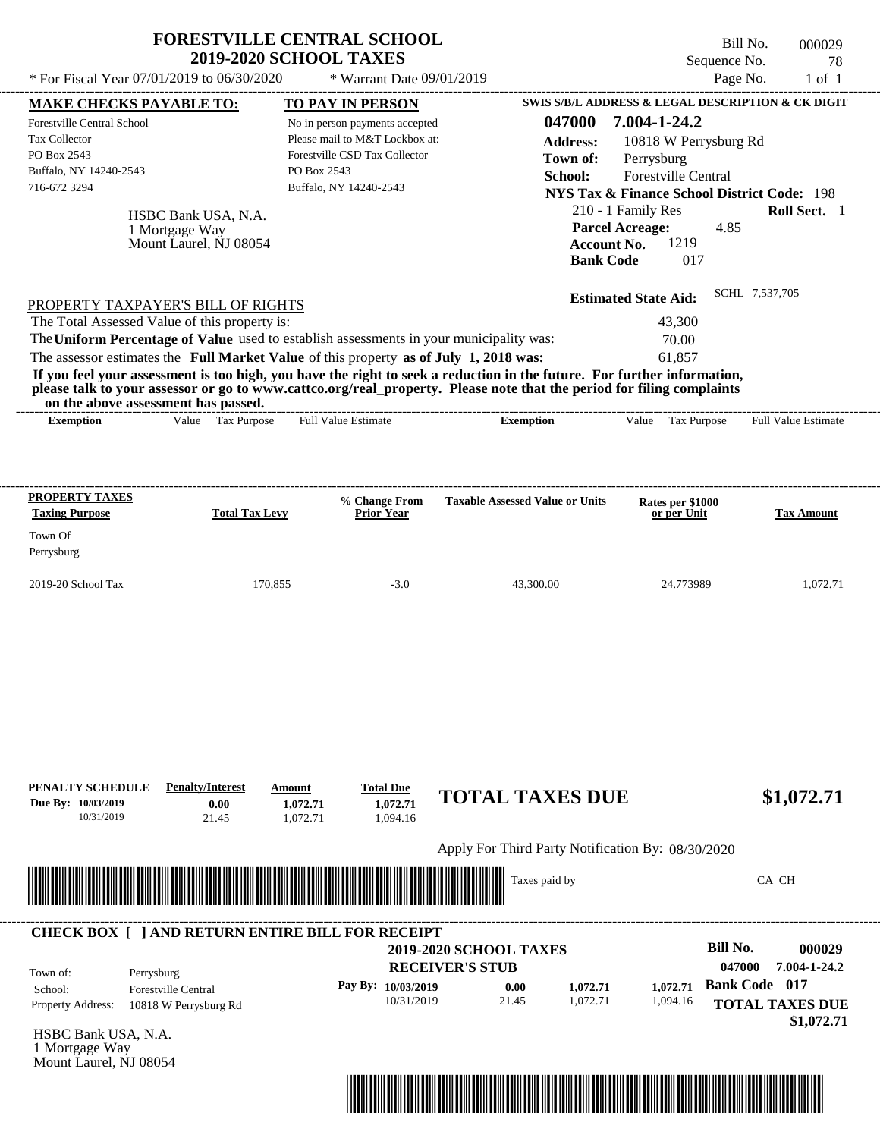|                                                                                                      |                                                                 | <b>FORESTVILLE CENTRAL SCHOOL</b><br><b>2019-2020 SCHOOL TAXES</b>                                                                         |                                                                                                                                                                        | Sequence No.                                                                                                                         | Bill No.<br>000029<br>78   |
|------------------------------------------------------------------------------------------------------|-----------------------------------------------------------------|--------------------------------------------------------------------------------------------------------------------------------------------|------------------------------------------------------------------------------------------------------------------------------------------------------------------------|--------------------------------------------------------------------------------------------------------------------------------------|----------------------------|
| * For Fiscal Year $07/01/2019$ to $06/30/2020$                                                       |                                                                 | * Warrant Date 09/01/2019                                                                                                                  |                                                                                                                                                                        |                                                                                                                                      | Page No.<br>$1$ of $1$     |
| <b>MAKE CHECKS PAYABLE TO:</b>                                                                       |                                                                 | <b>TO PAY IN PERSON</b>                                                                                                                    |                                                                                                                                                                        | SWIS S/B/L ADDRESS & LEGAL DESCRIPTION & CK DIGIT                                                                                    |                            |
| Forestville Central School<br>Tax Collector<br>PO Box 2543<br>Buffalo, NY 14240-2543<br>716-672 3294 |                                                                 | No in person payments accepted<br>Please mail to M&T Lockbox at:<br>Forestville CSD Tax Collector<br>PO Box 2543<br>Buffalo, NY 14240-2543 | 047000<br><b>Address:</b><br>Town of:<br>School:                                                                                                                       | 7.004-1-24.2<br>10818 W Perrysburg Rd<br>Perrysburg<br>Forestville Central<br><b>NYS Tax &amp; Finance School District Code: 198</b> |                            |
|                                                                                                      | HSBC Bank USA, N.A.<br>1 Mortgage Way<br>Mount Laurel, NJ 08054 |                                                                                                                                            |                                                                                                                                                                        | 210 - 1 Family Res<br><b>Parcel Acreage:</b><br>4.85<br>1219<br><b>Account No.</b><br><b>Bank Code</b><br>017                        | <b>Roll Sect.</b> 1        |
| PROPERTY TAXPAYER'S BILL OF RIGHTS                                                                   |                                                                 |                                                                                                                                            |                                                                                                                                                                        | <b>Estimated State Aid:</b>                                                                                                          | SCHL 7.537.705             |
| The Total Assessed Value of this property is:                                                        |                                                                 |                                                                                                                                            |                                                                                                                                                                        | 43,300                                                                                                                               |                            |
|                                                                                                      |                                                                 | The Uniform Percentage of Value used to establish assessments in your municipality was:                                                    |                                                                                                                                                                        | 70.00                                                                                                                                |                            |
|                                                                                                      |                                                                 | The assessor estimates the Full Market Value of this property as of July 1, 2018 was:                                                      |                                                                                                                                                                        | 61.857                                                                                                                               |                            |
|                                                                                                      |                                                                 |                                                                                                                                            | If you feel your assessment is too high, you have the right to seek a reduction in the future. For further information,                                                |                                                                                                                                      |                            |
| <b>Exemption</b>                                                                                     | on the above assessment has passed.<br>Value Tax Purpose        | <b>Full Value Estimate</b>                                                                                                                 | please talk to your assessor or go to www.cattco.org/real_property. Please note that the period for filing complaints<br>-------------------------<br><b>Exemption</b> | Value Tax Purpose                                                                                                                    | <b>Full Value Estimate</b> |
| <b>Taxing Purpose</b>                                                                                | <b>Total Tax Levy</b>                                           | % Change From<br><b>Prior Year</b>                                                                                                         | <b>Taxable Assessed Value or Units</b>                                                                                                                                 | Rates per \$1000<br>or per Unit                                                                                                      | <b>Tax Amount</b>          |
| <b>PROPERTY TAXES</b><br>Town Of<br>Perrysburg                                                       |                                                                 |                                                                                                                                            |                                                                                                                                                                        |                                                                                                                                      |                            |
| 2019-20 School Tax                                                                                   |                                                                 | 170,855<br>$-3.0$                                                                                                                          | 43,300.00                                                                                                                                                              | 24.773989                                                                                                                            | 1.072.71                   |

Apply For Third Party Notification By: 08/30/2020



### **RECEIVER'S STUB Bill No. 000029** 0.00 **1,072.71 1,072.71 Bank Code** 017 Property Address: 10818 W Perrysburg Rd Perrysburg School: Forestville Central **TOTAL TAXES DUE \$1,072.71 2019-2020 SCHOOL TAXES 047000 7.004-1-24.2 Pay By: 10/03/2019** 10/31/2019 1,072.71 **1,072.71** 1,094.16 **1,072.71** Town of: ---------------------------------------------------------------------------------------------------------------------------------------------------------------------------------------------------- **CHECK BOX [ ] AND RETURN ENTIRE BILL FOR RECEIPT**

HSBC Bank USA, N.A. 1 Mortgage Way Mount Laurel, NJ 08054

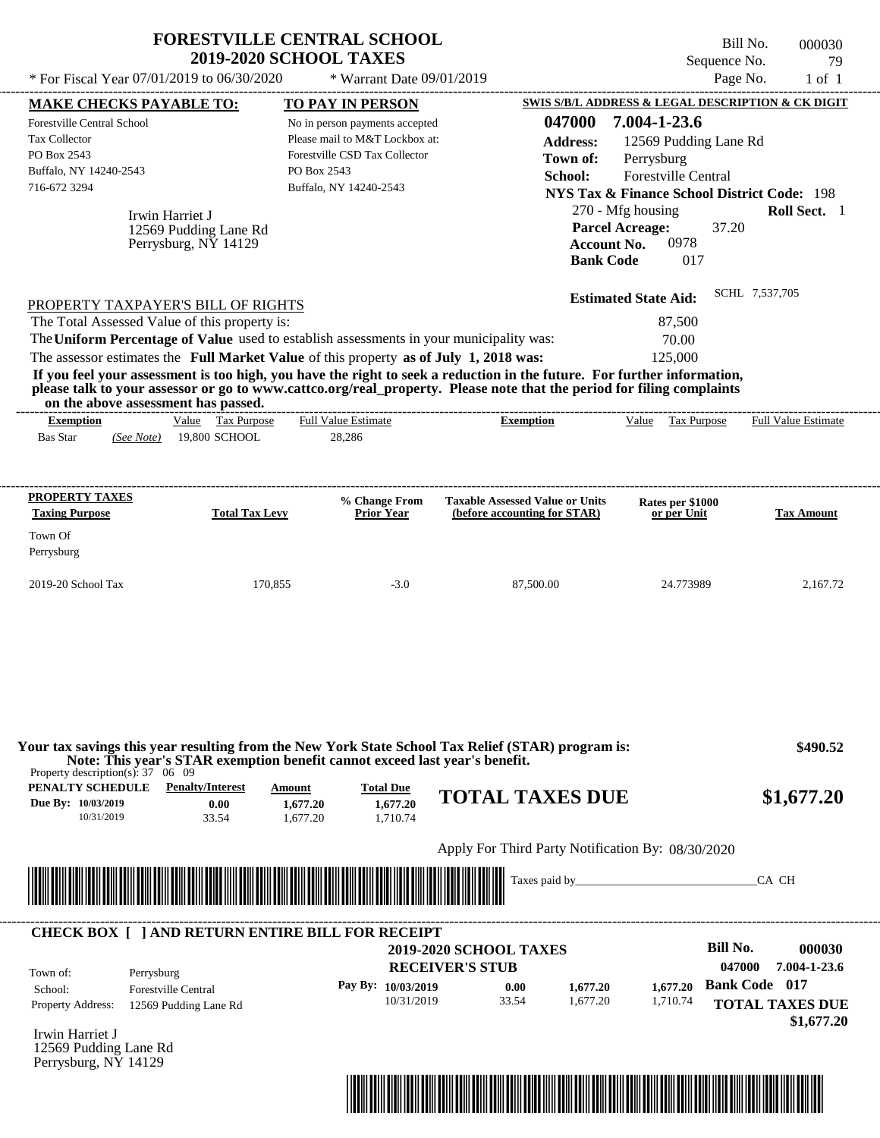| * For Fiscal Year 07/01/2019 to 06/30/2020                                                                                                                                                                          | <b>FORESTVILLE CENTRAL SCHOOL</b><br><b>2019-2020 SCHOOL TAXES</b>                                                                                                               | * Warrant Date 09/01/2019                                                                                                                       |                                                                                                                                                                                                                                                  | Sequence No.<br>Page No.                                                                                                                                                                                                                                         | Bill No.<br>000030<br>79<br>$1$ of $1$                                                 |
|---------------------------------------------------------------------------------------------------------------------------------------------------------------------------------------------------------------------|----------------------------------------------------------------------------------------------------------------------------------------------------------------------------------|-------------------------------------------------------------------------------------------------------------------------------------------------|--------------------------------------------------------------------------------------------------------------------------------------------------------------------------------------------------------------------------------------------------|------------------------------------------------------------------------------------------------------------------------------------------------------------------------------------------------------------------------------------------------------------------|----------------------------------------------------------------------------------------|
| <b>MAKE CHECKS PAYABLE TO:</b><br><b>Forestville Central School</b><br>Tax Collector<br>PO Box 2543<br>Buffalo, NY 14240-2543<br>716-672 3294<br>Irwin Harriet J                                                    | PO Box 2543<br>12569 Pudding Lane Rd<br>Perrysburg, NY 14129                                                                                                                     | TO PAY IN PERSON<br>No in person payments accepted<br>Please mail to M&T Lockbox at:<br>Forestville CSD Tax Collector<br>Buffalo, NY 14240-2543 | 047000<br><b>Address:</b><br>Town of:<br>School:<br><b>Account No.</b><br><b>Bank Code</b>                                                                                                                                                       | SWIS S/B/L ADDRESS & LEGAL DESCRIPTION & CK DIGIT<br>7.004-1-23.6<br>12569 Pudding Lane Rd<br>Perrysburg<br>Forestville Central<br><b>NYS Tax &amp; Finance School District Code: 198</b><br>270 - Mfg housing<br><b>Parcel Acreage:</b><br>37.20<br>0978<br>017 | Roll Sect. 1                                                                           |
| PROPERTY TAXPAYER'S BILL OF RIGHTS<br>The Total Assessed Value of this property is:<br>on the above assessment has passed.                                                                                          | The Uniform Percentage of Value used to establish assessments in your municipality was:<br>The assessor estimates the Full Market Value of this property as of July 1, 2018 was: |                                                                                                                                                 | If you feel your assessment is too high, you have the right to seek a reduction in the future. For further information,<br>please talk to your assessor or go to www.cattco.org/real_property. Please note that the period for filing complaints | <b>Estimated State Aid:</b><br>87,500<br>70.00<br>125,000                                                                                                                                                                                                        | SCHL 7,537,705                                                                         |
| <b>Exemption</b><br><b>Bas Star</b><br>(See Note)                                                                                                                                                                   | Value Tax Purpose<br>19,800 SCHOOL                                                                                                                                               | Full Value Estimate<br>28,286                                                                                                                   | <b>Exemption</b>                                                                                                                                                                                                                                 | Value Tax Purpose                                                                                                                                                                                                                                                | Full Value Estimate                                                                    |
| Perrysburg<br>2019-20 School Tax                                                                                                                                                                                    | 170,855                                                                                                                                                                          | $-3.0$                                                                                                                                          | 87,500.00                                                                                                                                                                                                                                        | 24.773989                                                                                                                                                                                                                                                        | 2,167.72                                                                               |
| Property description(s): $37 \quad 06 \quad 09$<br><b>PENALTY SCHEDULE</b> Penalty/Interest                                                                                                                         | Note: This year's STAR exemption benefit cannot exceed last year's benefit.<br>Amount                                                                                            | <b>Total Due</b>                                                                                                                                | Your tax savings this year resulting from the New York State School Tax Relief (STAR) program is:                                                                                                                                                |                                                                                                                                                                                                                                                                  | \$490.52                                                                               |
| Due By: 10/03/2019<br>10/31/2019                                                                                                                                                                                    | 0.00<br>1,677.20<br>33.54<br>1,677.20                                                                                                                                            | 1,677.20<br>1,710.74                                                                                                                            | <b>TOTAL TAXES DUE</b>                                                                                                                                                                                                                           |                                                                                                                                                                                                                                                                  | \$1,677.20                                                                             |
|                                                                                                                                                                                                                     |                                                                                                                                                                                  |                                                                                                                                                 | Apply For Third Party Notification By: 08/30/2020                                                                                                                                                                                                |                                                                                                                                                                                                                                                                  |                                                                                        |
|                                                                                                                                                                                                                     |                                                                                                                                                                                  |                                                                                                                                                 | Taxes paid by                                                                                                                                                                                                                                    |                                                                                                                                                                                                                                                                  | CA CH                                                                                  |
| <b>CHECK BOX [ ] AND RETURN ENTIRE BILL FOR RECEIPT</b><br>Town of:<br>Perrysburg<br>School:<br><b>Forestville Central</b><br>Property Address:<br>Irwin Harriet J<br>12569 Pudding Lane Rd<br>Perrysburg, NY 14129 | 12569 Pudding Lane Rd                                                                                                                                                            | Pay By: 10/03/2019<br>10/31/2019                                                                                                                | <b>2019-2020 SCHOOL TAXES</b><br><b>RECEIVER'S STUB</b><br>0.00<br>1,677.20<br>33.54<br>1,677.20                                                                                                                                                 | <b>Bill No.</b><br>047000<br>1,677.20<br>1,710.74                                                                                                                                                                                                                | 000030<br>7.004-1-23.6<br><b>Bank Code</b> 017<br><b>TOTAL TAXES DUE</b><br>\$1,677.20 |

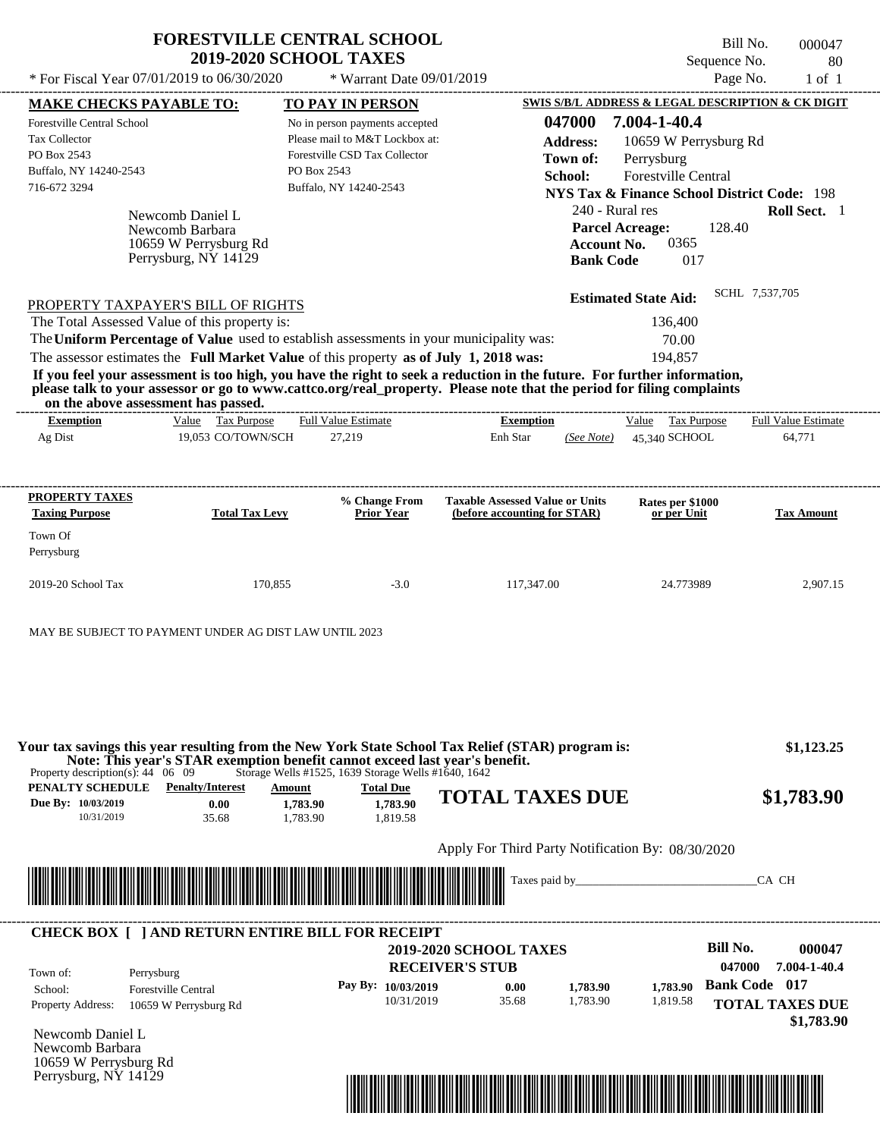|                                                                                                                    | * For Fiscal Year 07/01/2019 to 06/30/2020                                           | <b>FORESTVILLE CENTRAL SCHOOL</b><br><b>2019-2020 SCHOOL TAXES</b><br>* Warrant Date $09/01/2019$                                                                                |                                                                                                                                                                                                                                                  | Sequence No.                                                                                                                 | Bill No.<br>000047<br>80<br>Page No.<br>$1$ of $1$ |
|--------------------------------------------------------------------------------------------------------------------|--------------------------------------------------------------------------------------|----------------------------------------------------------------------------------------------------------------------------------------------------------------------------------|--------------------------------------------------------------------------------------------------------------------------------------------------------------------------------------------------------------------------------------------------|------------------------------------------------------------------------------------------------------------------------------|----------------------------------------------------|
| <b>MAKE CHECKS PAYABLE TO:</b>                                                                                     |                                                                                      | TO PAY IN PERSON                                                                                                                                                                 |                                                                                                                                                                                                                                                  | <b>SWIS S/B/L ADDRESS &amp; LEGAL DESCRIPTION &amp; CK DIGIT</b>                                                             |                                                    |
| <b>Forestville Central School</b><br><b>Tax Collector</b><br>PO Box 2543<br>Buffalo, NY 14240-2543<br>716-672 3294 |                                                                                      | No in person payments accepted<br>Please mail to M&T Lockbox at:<br>Forestville CSD Tax Collector<br>PO Box 2543<br>Buffalo, NY 14240-2543                                       | 047000<br><b>Address:</b><br>Town of:<br>School:                                                                                                                                                                                                 | 7.004-1-40.4<br>10659 W Perrysburg Rd<br>Perrysburg<br><b>Forestville Central</b>                                            |                                                    |
|                                                                                                                    | Newcomb Daniel L<br>Newcomb Barbara<br>10659 W Perrysburg Rd<br>Perrysburg, NY 14129 |                                                                                                                                                                                  | <b>Account No.</b><br><b>Bank Code</b>                                                                                                                                                                                                           | <b>NYS Tax &amp; Finance School District Code: 198</b><br>240 - Rural res<br><b>Parcel Acreage:</b><br>128.40<br>0365<br>017 | Roll Sect. 1                                       |
|                                                                                                                    | PROPERTY TAXPAYER'S BILL OF RIGHTS<br>The Total Assessed Value of this property is:  |                                                                                                                                                                                  |                                                                                                                                                                                                                                                  | <b>Estimated State Aid:</b><br>136,400                                                                                       |                                                    |
|                                                                                                                    | on the above assessment has passed.                                                  | The Uniform Percentage of Value used to establish assessments in your municipality was:<br>The assessor estimates the Full Market Value of this property as of July 1, 2018 was: | If you feel your assessment is too high, you have the right to seek a reduction in the future. For further information,<br>please talk to your assessor or go to www.cattco.org/real property. Please note that the period for filing complaints | 70.00<br>194,857                                                                                                             |                                                    |
| <b>Exemption</b>                                                                                                   | Value Tax Purpose                                                                    | <b>Full Value Estimate</b>                                                                                                                                                       | <b>Exemption</b>                                                                                                                                                                                                                                 | Tax Purpose<br>Value                                                                                                         | <b>Full Value Estimate</b>                         |
| Ag Dist<br>PROPERTY TAXES<br><b>Taxing Purpose</b><br>Town Of<br>Perrysburg                                        | 19.053 CO/TOWN/SCH<br><b>Total Tax Levy</b>                                          | 27,219<br>% Change From<br>Prior Year                                                                                                                                            | Enh Star<br>(See Note)<br><b>Taxable Assessed Value or Units</b><br>(before accounting for STAR)                                                                                                                                                 | 45.340 SCHOOL<br>Rates per \$1000<br>or per Unit                                                                             | 64,771<br><b>Tax Amount</b>                        |

| Property description(s): $44 \quad 06 \quad 09$      |                                          |                                | Storage Wells #1525, 1639 Storage Wells #1640, 1642 | Your tax savings this year resulting from the New York State School Tax Relief (STAR) program is:<br>Note: This year's STAR exemption benefit cannot exceed last year's benefit. | \$1,123.25 |
|------------------------------------------------------|------------------------------------------|--------------------------------|-----------------------------------------------------|----------------------------------------------------------------------------------------------------------------------------------------------------------------------------------|------------|
| PENALTY SCHEDULE<br>Due By: 10/03/2019<br>10/31/2019 | <b>Penalty/Interest</b><br>0.00<br>35.68 | Amount<br>1,783.90<br>1.783.90 | <b>Total Due</b><br>1,783.90<br>1.819.58            | <b>TOTAL TAXES DUE</b>                                                                                                                                                           | \$1,783.90 |
|                                                      |                                          |                                |                                                     | Apply For Third Party Notification By: 08/30/2020                                                                                                                                |            |



| Town of:                 | Perrysburg                 | <b>2019-2020 SCHOOL TAXES</b><br><b>RECEIVER'S STUB</b> |       |          |          | Bill No.<br>047000   | 000047<br>7.004-1-40.4 |
|--------------------------|----------------------------|---------------------------------------------------------|-------|----------|----------|----------------------|------------------------|
| School:                  | <b>Forestville Central</b> | Pay By: 10/03/2019                                      | 0.00  | 1,783.90 | 1.783.90 | <b>Bank Code</b> 017 |                        |
| <b>Property Address:</b> | 10659 W Perrysburg Rd      | 10/31/2019                                              | 35.68 | 1.783.90 | 1,819.58 |                      | <b>TOTAL TAXES DUE</b> |

Newcomb Daniel L Newcomb Barbara 10659 W Perrysburg Rd Perrysburg, NY 14129

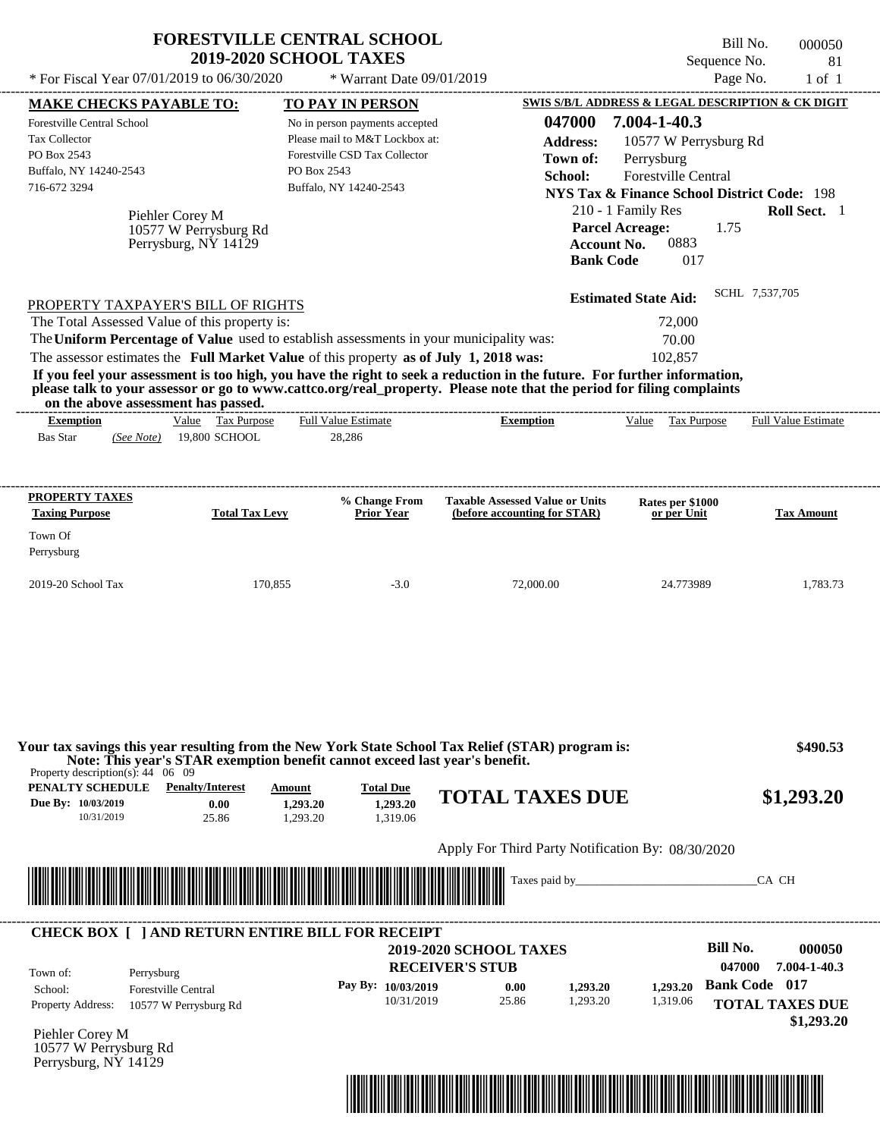|                                                                                                                                                                                                                                                                                                                                                                     | <b>FORESTVILLE CENTRAL SCHOOL</b><br><b>2019-2020 SCHOOL TAXES</b>                                                                                               |                                                                                                                                                        |                                                                                                                                                                                                                                                                      | Sequence No.                                                                                                                                                                                                                                                                           | Bill No.<br>000050<br>81                                                     |
|---------------------------------------------------------------------------------------------------------------------------------------------------------------------------------------------------------------------------------------------------------------------------------------------------------------------------------------------------------------------|------------------------------------------------------------------------------------------------------------------------------------------------------------------|--------------------------------------------------------------------------------------------------------------------------------------------------------|----------------------------------------------------------------------------------------------------------------------------------------------------------------------------------------------------------------------------------------------------------------------|----------------------------------------------------------------------------------------------------------------------------------------------------------------------------------------------------------------------------------------------------------------------------------------|------------------------------------------------------------------------------|
| * For Fiscal Year 07/01/2019 to 06/30/2020                                                                                                                                                                                                                                                                                                                          |                                                                                                                                                                  | * Warrant Date 09/01/2019                                                                                                                              |                                                                                                                                                                                                                                                                      | Page No.                                                                                                                                                                                                                                                                               | $1$ of $1$                                                                   |
| <b>MAKE CHECKS PAYABLE TO:</b><br>Forestville Central School<br>Tax Collector<br>PO Box 2543<br>Buffalo, NY 14240-2543<br>716-672 3294<br>Piehler Corey M                                                                                                                                                                                                           | PO Box 2543<br>10577 W Perrysburg Rd<br>Perrysburg, NY 14129                                                                                                     | <b>TO PAY IN PERSON</b><br>No in person payments accepted<br>Please mail to M&T Lockbox at:<br>Forestville CSD Tax Collector<br>Buffalo, NY 14240-2543 | 047000<br><b>Address:</b><br>Town of:<br>School:<br><b>Bank Code</b>                                                                                                                                                                                                 | SWIS S/B/L ADDRESS & LEGAL DESCRIPTION & CK DIGIT<br>7.004-1-40.3<br>10577 W Perrysburg Rd<br>Perrysburg<br>Forestville Central<br><b>NYS Tax &amp; Finance School District Code: 198</b><br>210 - 1 Family Res<br><b>Parcel Acreage:</b><br>1.75<br>0883<br><b>Account No.</b><br>017 | Roll Sect. 1                                                                 |
| PROPERTY TAXPAYER'S BILL OF RIGHTS<br>The Total Assessed Value of this property is:<br>The Uniform Percentage of Value used to establish assessments in your municipality was:<br>The assessor estimates the Full Market Value of this property as of July 1, 2018 was:<br>on the above assessment has passed.<br><b>Exemption</b><br><b>Bas Star</b><br>(See Note) | Value Tax Purpose<br>19,800 SCHOOL                                                                                                                               | <b>Full Value Estimate</b><br>28,286                                                                                                                   | If you feel your assessment is too high, you have the right to seek a reduction in the future. For further information,<br>please talk to your assessor or go to www.cattco.org/real_property. Please note that the period for filing complaints<br><b>Exemption</b> | <b>Estimated State Aid:</b><br>72,000<br>70.00<br>102,857<br>Value Tax Purpose                                                                                                                                                                                                         | SCHL 7,537,705<br><b>Full Value Estimate</b>                                 |
|                                                                                                                                                                                                                                                                                                                                                                     |                                                                                                                                                                  |                                                                                                                                                        |                                                                                                                                                                                                                                                                      |                                                                                                                                                                                                                                                                                        |                                                                              |
| <b>PROPERTY TAXES</b>                                                                                                                                                                                                                                                                                                                                               |                                                                                                                                                                  | % Change From                                                                                                                                          | <b>Taxable Assessed Value or Units</b>                                                                                                                                                                                                                               |                                                                                                                                                                                                                                                                                        |                                                                              |
| <b>Taxing Purpose</b>                                                                                                                                                                                                                                                                                                                                               | <b>Total Tax Levy</b>                                                                                                                                            | <b>Prior Year</b>                                                                                                                                      | (before accounting for STAR)                                                                                                                                                                                                                                         | Rates per \$1000<br>or per Unit                                                                                                                                                                                                                                                        | <b>Tax Amount</b>                                                            |
| Town Of<br>Perrysburg                                                                                                                                                                                                                                                                                                                                               |                                                                                                                                                                  |                                                                                                                                                        |                                                                                                                                                                                                                                                                      |                                                                                                                                                                                                                                                                                        |                                                                              |
| 2019-20 School Tax                                                                                                                                                                                                                                                                                                                                                  | 170,855                                                                                                                                                          | $-3.0$                                                                                                                                                 | 72,000.00                                                                                                                                                                                                                                                            | 24.773989                                                                                                                                                                                                                                                                              | 1,783.73                                                                     |
| Property description(s): $44 \quad 06 \quad 09$<br>PENALTY SCHEDULE<br>Due By: 10/03/2019<br>10/31/2019                                                                                                                                                                                                                                                             | Note: This year's STAR exemption benefit cannot exceed last year's benefit.<br><b>Penalty/Interest</b><br><b>Amount</b><br>0.00<br>1.293.20<br>25.86<br>1,293.20 | <b>Total Due</b><br>1,293.20<br>1.319.06                                                                                                               | Your tax savings this year resulting from the New York State School Tax Relief (STAR) program is:<br><b>TOTAL TAXES DUE</b>                                                                                                                                          |                                                                                                                                                                                                                                                                                        | \$490.53<br>\$1,293.20                                                       |
|                                                                                                                                                                                                                                                                                                                                                                     |                                                                                                                                                                  |                                                                                                                                                        | Apply For Third Party Notification By: 08/30/2020                                                                                                                                                                                                                    |                                                                                                                                                                                                                                                                                        |                                                                              |
|                                                                                                                                                                                                                                                                                                                                                                     |                                                                                                                                                                  |                                                                                                                                                        |                                                                                                                                                                                                                                                                      |                                                                                                                                                                                                                                                                                        | CA CH                                                                        |
| <b>CHECK BOX [ ] AND RETURN ENTIRE BILL FOR RECEIPT</b>                                                                                                                                                                                                                                                                                                             |                                                                                                                                                                  |                                                                                                                                                        | <b>2019-2020 SCHOOL TAXES</b>                                                                                                                                                                                                                                        | <b>Bill No.</b>                                                                                                                                                                                                                                                                        | 000050                                                                       |
| Town of:<br>Perrysburg<br><b>Forestville Central</b><br>School:<br><b>Property Address:</b><br>10577 W Perrysburg Rd<br>Piehler Corey M<br>10577 W Perrysburg Rd<br>Perrysburg, NY 14129                                                                                                                                                                            |                                                                                                                                                                  | Pay By: 10/03/2019<br>10/31/2019                                                                                                                       | <b>RECEIVER'S STUB</b><br>0.00<br>1,293.20<br>25.86<br>1,293.20                                                                                                                                                                                                      | 047000<br>1,293.20<br>1,319.06                                                                                                                                                                                                                                                         | 7.004-1-40.3<br><b>Bank Code 017</b><br><b>TOTAL TAXES DUE</b><br>\$1,293.20 |

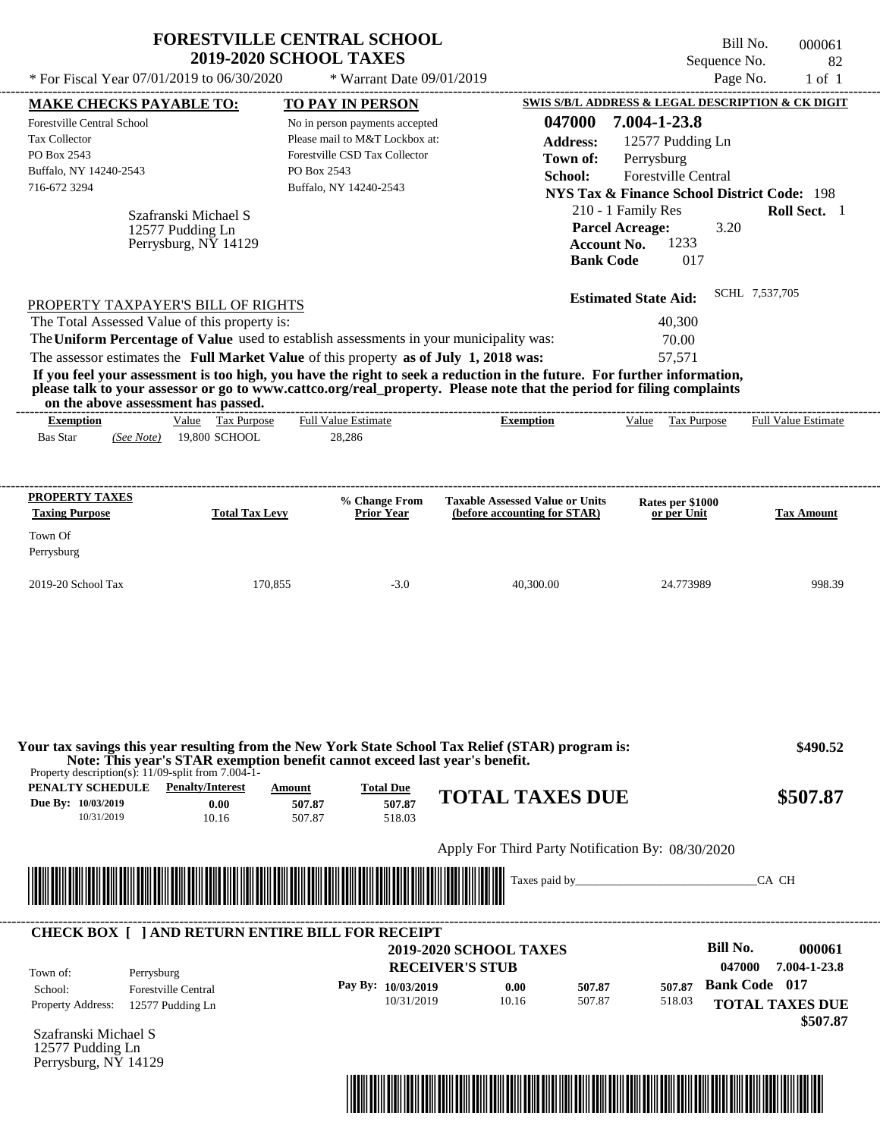|                                                                                                                                               |                                                                  |                       | <b>FORESTVILLE CENTRAL SCHOOL</b><br><b>2019-2020 SCHOOL TAXES</b>                                                                                                                                                                                                                                                                                                                                                                   |                                                                        |                                                                                                                                                                                                           |                                                                                                          |                                 | Bill No.<br>Sequence No.                          |       | 000061<br>82               |
|-----------------------------------------------------------------------------------------------------------------------------------------------|------------------------------------------------------------------|-----------------------|--------------------------------------------------------------------------------------------------------------------------------------------------------------------------------------------------------------------------------------------------------------------------------------------------------------------------------------------------------------------------------------------------------------------------------------|------------------------------------------------------------------------|-----------------------------------------------------------------------------------------------------------------------------------------------------------------------------------------------------------|----------------------------------------------------------------------------------------------------------|---------------------------------|---------------------------------------------------|-------|----------------------------|
| * For Fiscal Year 07/01/2019 to 06/30/2020                                                                                                    |                                                                  |                       | * Warrant Date 09/01/2019                                                                                                                                                                                                                                                                                                                                                                                                            |                                                                        |                                                                                                                                                                                                           |                                                                                                          |                                 | Page No.                                          |       | $1$ of $1$                 |
| <b>MAKE CHECKS PAYABLE TO:</b><br>Forestville Central School<br><b>Tax Collector</b><br>PO Box 2543<br>Buffalo, NY 14240-2543<br>716-672 3294 | Szafranski Michael S<br>12577 Pudding Ln<br>Perrysburg, NY 14129 |                       | TO PAY IN PERSON<br>No in person payments accepted<br>Please mail to M&T Lockbox at:<br>Forestville CSD Tax Collector<br>PO Box 2543<br>Buffalo, NY 14240-2543                                                                                                                                                                                                                                                                       |                                                                        | SWIS S/B/L ADDRESS & LEGAL DESCRIPTION & CK DIGIT<br>047000<br><b>Address:</b><br>Town of:<br>School:<br><b>NYS Tax &amp; Finance School District Code: 198</b><br><b>Account No.</b><br><b>Bank Code</b> | 7.004-1-23.8<br>Perrysburg<br><b>Forestville Central</b><br>210 - 1 Family Res<br><b>Parcel Acreage:</b> | 12577 Pudding Ln<br>1233<br>017 | 3.20                                              |       | Roll Sect. 1               |
| PROPERTY TAXPAYER'S BILL OF RIGHTS<br>The Total Assessed Value of this property is:<br>on the above assessment has passed.                    |                                                                  |                       | The Uniform Percentage of Value used to establish assessments in your municipality was:<br>The assessor estimates the Full Market Value of this property as of July 1, 2018 was:<br>If you feel your assessment is too high, you have the right to seek a reduction in the future. For further information,<br>please talk to your assessor or go to www.cattco.org/real_property. Please note that the period for filing complaints |                                                                        |                                                                                                                                                                                                           | <b>Estimated State Aid:</b>                                                                              | 40,300<br>70.00<br>57,571       | SCHL 7,537,705                                    |       |                            |
| <b>Exemption</b><br><b>Bas Star</b><br>(See Note)                                                                                             | Value Tax Purpose<br>19,800 SCHOOL                               |                       | <b>Full Value Estimate</b><br>28,286                                                                                                                                                                                                                                                                                                                                                                                                 | <b>Exemption</b>                                                       |                                                                                                                                                                                                           | Value                                                                                                    | Tax Purpose                     |                                                   |       | <b>Full Value Estimate</b> |
| PROPERTY TAXES<br><b>Taxing Purpose</b><br>Town Of<br>Perrysburg                                                                              |                                                                  | <b>Total Tax Levy</b> | % Change From<br>Prior Year                                                                                                                                                                                                                                                                                                                                                                                                          | <b>Taxable Assessed Value or Units</b><br>(before accounting for STAR) |                                                                                                                                                                                                           |                                                                                                          | Rates per \$1000<br>or per Unit |                                                   |       | <b>Tax Amount</b>          |
|                                                                                                                                               |                                                                  |                       |                                                                                                                                                                                                                                                                                                                                                                                                                                      |                                                                        |                                                                                                                                                                                                           |                                                                                                          |                                 |                                                   |       |                            |
| Property description(s): $11/09$ -split from 7.004-1-                                                                                         |                                                                  |                       | Your tax savings this year resulting from the New York State School Tax Relief (STAR) program is:<br>Note: This year's STAR exemption benefit cannot exceed last year's benefit.                                                                                                                                                                                                                                                     |                                                                        |                                                                                                                                                                                                           |                                                                                                          |                                 |                                                   |       | \$490.52                   |
| <b>PENALTY SCHEDULE</b> Penalty/Interest<br>Due By: 10/03/2019<br>10/31/2019                                                                  | 0.00<br>10.16                                                    | Amount                | <b>Total Due</b><br>507.87<br>507.87<br>507.87<br>518.03                                                                                                                                                                                                                                                                                                                                                                             | <b>TOTAL TAXES DUE</b>                                                 |                                                                                                                                                                                                           |                                                                                                          |                                 |                                                   |       | \$507.87                   |
|                                                                                                                                               |                                                                  |                       |                                                                                                                                                                                                                                                                                                                                                                                                                                      | Apply For Third Party Notification By: 08/30/2020                      |                                                                                                                                                                                                           |                                                                                                          |                                 |                                                   |       |                            |
|                                                                                                                                               |                                                                  |                       |                                                                                                                                                                                                                                                                                                                                                                                                                                      |                                                                        |                                                                                                                                                                                                           |                                                                                                          |                                 |                                                   | CA CH |                            |
|                                                                                                                                               |                                                                  |                       |                                                                                                                                                                                                                                                                                                                                                                                                                                      |                                                                        |                                                                                                                                                                                                           |                                                                                                          |                                 |                                                   |       |                            |
|                                                                                                                                               |                                                                  |                       | <b>CHECK BOX [ ] AND RETURN ENTIRE BILL FOR RECEIPT</b>                                                                                                                                                                                                                                                                                                                                                                              |                                                                        |                                                                                                                                                                                                           |                                                                                                          |                                 |                                                   |       |                            |
| Town of:<br>Perrysburg                                                                                                                        |                                                                  |                       | Pay By: 10/03/2019                                                                                                                                                                                                                                                                                                                                                                                                                   | 2019-2020 SCHOOL TAXES<br><b>RECEIVER'S STUB</b>                       |                                                                                                                                                                                                           |                                                                                                          |                                 | <b>Bill No.</b><br>047000<br><b>Bank Code</b> 017 |       | 000061<br>7.004-1-23.8     |

Szafranski Michael S 12577 Pudding Ln Perrysburg, NY 14129



 **\$507.87**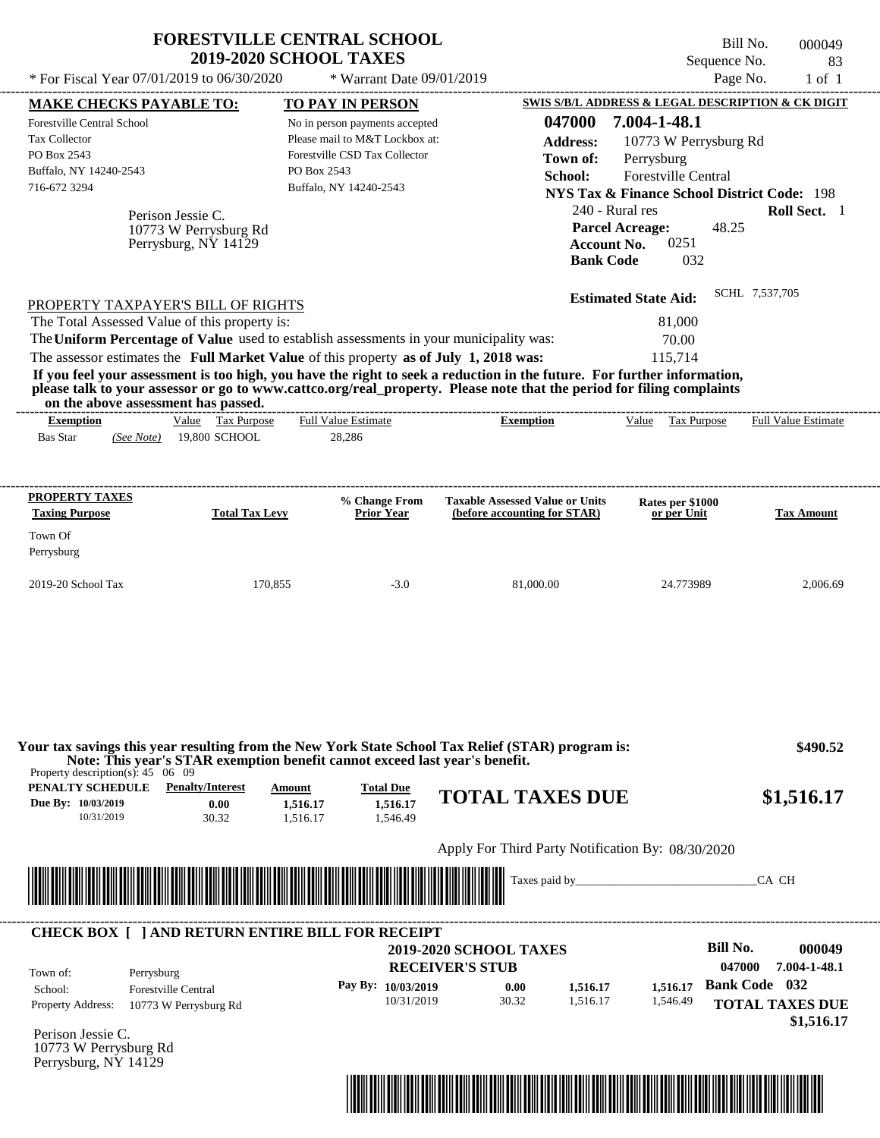| * For Fiscal Year 07/01/2019 to 06/30/2020                                                                                                                                                                                                                              | <b>FORESTVILLE CENTRAL SCHOOL</b><br><b>2019-2020 SCHOOL TAXES</b>                                                             | * Warrant Date 09/01/2019                                                                                                                                             |                                                                                                                                                                                                                                                                      | Sequence No.                                                                                                                                                                                                                                    | Bill No.<br>000049<br>83<br>Page No.<br>$1$ of $1$                                               |
|-------------------------------------------------------------------------------------------------------------------------------------------------------------------------------------------------------------------------------------------------------------------------|--------------------------------------------------------------------------------------------------------------------------------|-----------------------------------------------------------------------------------------------------------------------------------------------------------------------|----------------------------------------------------------------------------------------------------------------------------------------------------------------------------------------------------------------------------------------------------------------------|-------------------------------------------------------------------------------------------------------------------------------------------------------------------------------------------------------------------------------------------------|--------------------------------------------------------------------------------------------------|
| <b>MAKE CHECKS PAYABLE TO:</b><br>Forestville Central School<br><b>Tax Collector</b><br>PO Box 2543<br>Buffalo, NY 14240-2543<br>716-672 3294                                                                                                                           | Perison Jessie C.<br>10773 W Perrysburg Rd                                                                                     | <b>TO PAY IN PERSON</b><br>No in person payments accepted<br>Please mail to M&T Lockbox at:<br>Forestville CSD Tax Collector<br>PO Box 2543<br>Buffalo, NY 14240-2543 | 047000<br><b>Address:</b><br>Town of:<br>School:                                                                                                                                                                                                                     | SWIS S/B/L ADDRESS & LEGAL DESCRIPTION & CK DIGIT<br>7.004-1-48.1<br>10773 W Perrysburg Rd<br>Perrysburg<br>Forestville Central<br><b>NYS Tax &amp; Finance School District Code: 198</b><br>240 - Rural res<br><b>Parcel Acreage:</b><br>48.25 | Roll Sect. 1                                                                                     |
| PROPERTY TAXPAYER'S BILL OF RIGHTS<br>The Total Assessed Value of this property is:<br>The Uniform Percentage of Value used to establish assessments in your municipality was:<br>The assessor estimates the Full Market Value of this property as of July 1, 2018 was: | Perrysburg, NY 14129                                                                                                           |                                                                                                                                                                       | <b>Bank Code</b><br>If you feel your assessment is too high, you have the right to seek a reduction in the future. For further information,<br>please talk to your assessor or go to www.cattco.org/real_property. Please note that the period for filing complaints | 0251<br><b>Account No.</b><br>032<br><b>Estimated State Aid:</b><br>81,000<br>70.00<br>115,714                                                                                                                                                  | SCHL 7,537,705                                                                                   |
| on the above assessment has passed.<br><b>Exemption</b><br><b>Bas Star</b><br>(See Note)                                                                                                                                                                                | Value Tax Purpose<br>19,800 SCHOOL                                                                                             | <b>Full Value Estimate</b><br>28,286                                                                                                                                  | <b>Exemption</b>                                                                                                                                                                                                                                                     | Value Tax Purpose                                                                                                                                                                                                                               | <b>Full Value Estimate</b>                                                                       |
| PROPERTY TAXES<br><b>Taxing Purpose</b><br>Town Of<br>Perrysburg                                                                                                                                                                                                        | <b>Total Tax Levy</b>                                                                                                          | % Change From<br><b>Prior Year</b>                                                                                                                                    | <b>Taxable Assessed Value or Units</b><br>(before accounting for STAR)                                                                                                                                                                                               | Rates per \$1000<br>or per Unit                                                                                                                                                                                                                 | <b>Tax Amount</b>                                                                                |
| 2019-20 School Tax                                                                                                                                                                                                                                                      | 170,855                                                                                                                        | $-3.0$                                                                                                                                                                | 81,000.00                                                                                                                                                                                                                                                            | 24.773989                                                                                                                                                                                                                                       | 2,006.69                                                                                         |
| Property description(s): $45 \quad 06 \quad 09$<br><b>PENALTY SCHEDULE</b> Penalty/Interest<br>Due By: 10/03/2019<br>10/31/2019                                                                                                                                         | Note: This year's STAR exemption benefit cannot exceed last year's benefit.<br>Amount<br>0.00<br>1,516.17<br>30.32<br>1,516.17 | <b>Total Due</b><br>1,516.17<br>1.546.49                                                                                                                              | Your tax savings this year resulting from the New York State School Tax Relief (STAR) program is:<br><b>TOTAL TAXES DUE</b>                                                                                                                                          |                                                                                                                                                                                                                                                 | \$490.52<br>\$1,516.17                                                                           |
|                                                                                                                                                                                                                                                                         |                                                                                                                                |                                                                                                                                                                       | Apply For Third Party Notification By: 08/30/2020<br>Taxes paid by                                                                                                                                                                                                   |                                                                                                                                                                                                                                                 | CA CH                                                                                            |
| <b>CHECK BOX [ ] AND RETURN ENTIRE BILL FOR RECEIPT</b><br>Town of:<br>Perrysburg<br>School:<br>Property Address:<br>Perison Jessie C.<br>10773 W Perrysburg Rd<br>Perrysburg, NY 14129                                                                                 | <b>Forestville Central</b><br>10773 W Perrysburg Rd                                                                            | Pay By: 10/03/2019<br>10/31/2019                                                                                                                                      | <b>2019-2020 SCHOOL TAXES</b><br><b>RECEIVER'S STUB</b><br>0.00<br>1,516.17<br>30.32<br>1.516.17                                                                                                                                                                     | <b>Bill No.</b><br>1,516.17<br>1,546.49                                                                                                                                                                                                         | 000049<br>047000<br>7.004-1-48.1<br><b>Bank Code</b> 032<br><b>TOTAL TAXES DUE</b><br>\$1,516.17 |

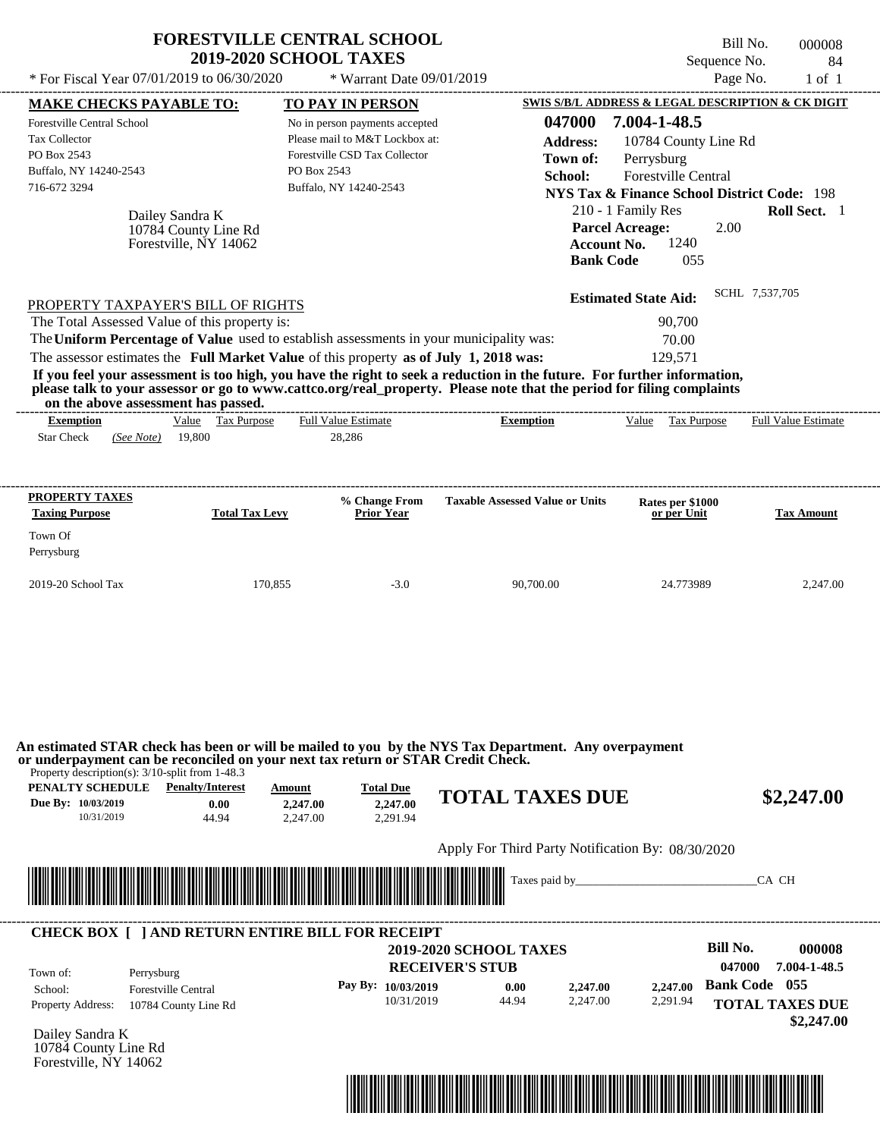| * For Fiscal Year 07/01/2019 to 06/30/2020                                                                                                                                                                                                                              | <b>2019-2020 SCHOOL TAXES</b>                                    | <b>FORESTVILLE CENTRAL SCHOOL</b><br>* Warrant Date 09/01/2019                                                                                                 |                                                                                                                                                                                                                                                  | Sequence No.<br>Page No.                                                                                                                                                                                                                     | Bill No.<br>000008<br>84<br>$1$ of $1$ |
|-------------------------------------------------------------------------------------------------------------------------------------------------------------------------------------------------------------------------------------------------------------------------|------------------------------------------------------------------|----------------------------------------------------------------------------------------------------------------------------------------------------------------|--------------------------------------------------------------------------------------------------------------------------------------------------------------------------------------------------------------------------------------------------|----------------------------------------------------------------------------------------------------------------------------------------------------------------------------------------------------------------------------------------------|----------------------------------------|
|                                                                                                                                                                                                                                                                         |                                                                  |                                                                                                                                                                |                                                                                                                                                                                                                                                  |                                                                                                                                                                                                                                              |                                        |
| <b>MAKE CHECKS PAYABLE TO:</b><br><b>Forestville Central School</b><br>Tax Collector<br>PO Box 2543<br>Buffalo, NY 14240-2543<br>716-672 3294                                                                                                                           | Dailey Sandra K<br>10784 County Line Rd<br>Forestville, NY 14062 | TO PAY IN PERSON<br>No in person payments accepted<br>Please mail to M&T Lockbox at:<br>Forestville CSD Tax Collector<br>PO Box 2543<br>Buffalo, NY 14240-2543 | 047000<br><b>Address:</b><br>Town of:<br>School:<br><b>Parcel Acreage:</b><br><b>Account No.</b><br><b>Bank Code</b>                                                                                                                             | SWIS S/B/L ADDRESS & LEGAL DESCRIPTION & CK DIGIT<br>7.004-1-48.5<br>10784 County Line Rd<br>Perrysburg<br><b>Forestville Central</b><br><b>NYS Tax &amp; Finance School District Code: 198</b><br>210 - 1 Family Res<br>2.00<br>1240<br>055 | Roll Sect. 1                           |
| PROPERTY TAXPAYER'S BILL OF RIGHTS<br>The Total Assessed Value of this property is:<br>The Uniform Percentage of Value used to establish assessments in your municipality was:<br>The assessor estimates the Full Market Value of this property as of July 1, 2018 was: |                                                                  |                                                                                                                                                                | If you feel your assessment is too high, you have the right to seek a reduction in the future. For further information,<br>please talk to your assessor or go to www.cattco.org/real_property. Please note that the period for filing complaints | <b>Estimated State Aid:</b><br>90,700<br>70.00<br>129,571                                                                                                                                                                                    | SCHL 7,537,705                         |
| on the above assessment has passed.<br><b>Exemption</b><br><b>Star Check</b><br>(See Note)                                                                                                                                                                              | Value Tax Purpose<br>19,800                                      | <b>Full Value Estimate</b><br>28,286                                                                                                                           | <b>Exemption</b>                                                                                                                                                                                                                                 | Value Tax Purpose                                                                                                                                                                                                                            | <b>Full Value Estimate</b>             |
| <b>PROPERTY TAXES</b><br><b>Taxing Purpose</b>                                                                                                                                                                                                                          | <b>Total Tax Levy</b>                                            | % Change From<br><b>Prior Year</b>                                                                                                                             | <b>Taxable Assessed Value or Units</b>                                                                                                                                                                                                           | Rates per \$1000<br>or per Unit                                                                                                                                                                                                              | <b>Tax Amount</b>                      |
| Town Of<br>Perrysburg                                                                                                                                                                                                                                                   |                                                                  |                                                                                                                                                                |                                                                                                                                                                                                                                                  |                                                                                                                                                                                                                                              |                                        |
|                                                                                                                                                                                                                                                                         |                                                                  |                                                                                                                                                                |                                                                                                                                                                                                                                                  |                                                                                                                                                                                                                                              |                                        |
| 2019-20 School Tax                                                                                                                                                                                                                                                      | 170,855                                                          | $-3.0$                                                                                                                                                         | 90,700.00                                                                                                                                                                                                                                        | 24.773989                                                                                                                                                                                                                                    | 2,247.00                               |
| or underpayment can be reconciled on your next tax return or STAR Credit Check.<br>Property description(s): 3/10-split from 1-48.3<br><b>PENALTY SCHEDULE</b> Penalty/Interest<br>Due By: 10/03/2019<br>10/31/2019                                                      | Amount<br>0.00<br>44.94                                          | <b>Total Due</b><br>2,247.00<br>2,247.00<br>2,291.94<br>2,247.00                                                                                               | An estimated STAR check has been or will be mailed to you by the NYS Tax Department. Any overpayment<br><b>TOTAL TAXES DUE</b>                                                                                                                   |                                                                                                                                                                                                                                              |                                        |
|                                                                                                                                                                                                                                                                         |                                                                  |                                                                                                                                                                | Apply For Third Party Notification By: 08/30/2020                                                                                                                                                                                                |                                                                                                                                                                                                                                              | \$2,247.00                             |



Dailey Sandra K 10784 County Line Rd Forestville, NY 14062

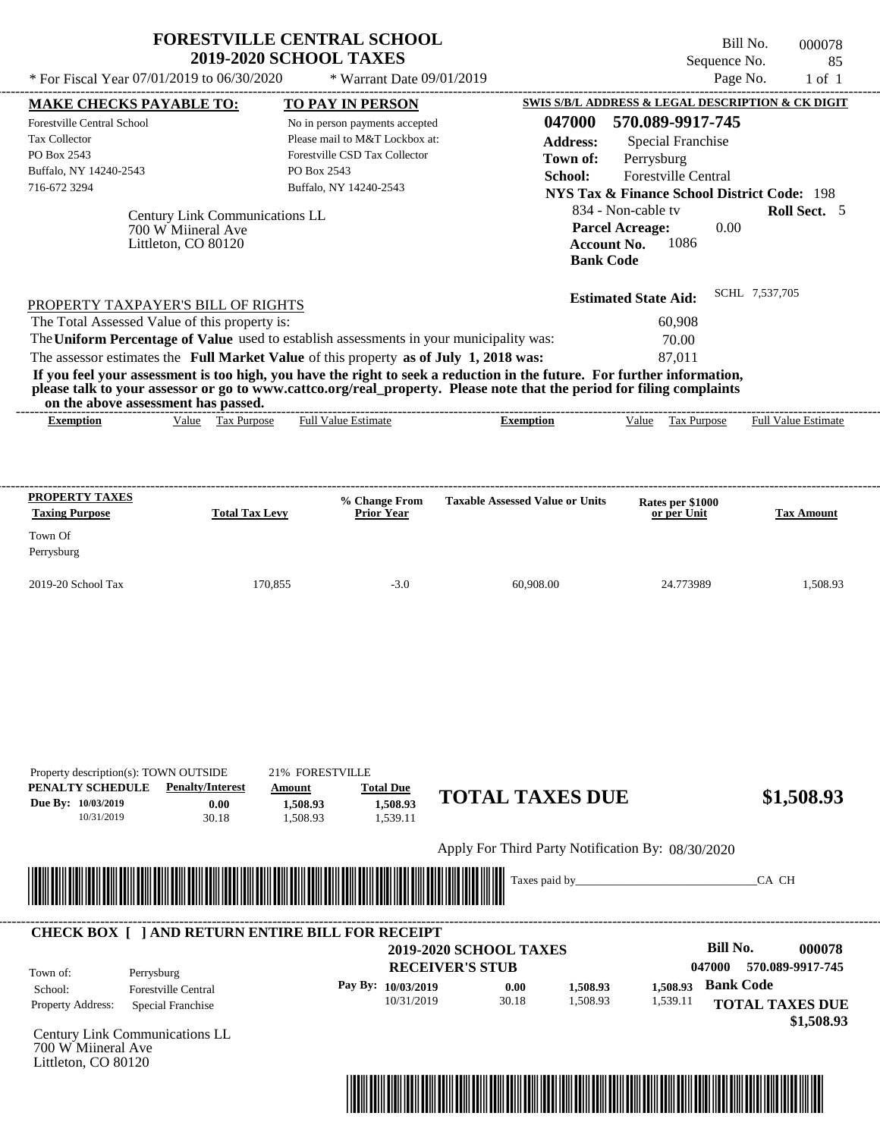|                                                | <b>FORESTVILLE CENTRAL SCHOOL</b><br><b>2019-2020 SCHOOL TAXES</b>                                                                                                                                                                               |                                                                  |                                                   | Bill No.                   | 000078           |
|------------------------------------------------|--------------------------------------------------------------------------------------------------------------------------------------------------------------------------------------------------------------------------------------------------|------------------------------------------------------------------|---------------------------------------------------|----------------------------|------------------|
| * For Fiscal Year $07/01/2019$ to $06/30/2020$ | * Warrant Date 09/01/2019                                                                                                                                                                                                                        |                                                                  | Sequence No.                                      | Page No.                   | 85<br>$1$ of $1$ |
| <b>MAKE CHECKS PAYABLE TO:</b>                 | <b>TO PAY IN PERSON</b>                                                                                                                                                                                                                          |                                                                  | SWIS S/B/L ADDRESS & LEGAL DESCRIPTION & CK DIGIT |                            |                  |
| Forestville Central School                     | No in person payments accepted                                                                                                                                                                                                                   | 047000                                                           | 570.089-9917-745                                  |                            |                  |
| <b>Tax Collector</b>                           | Please mail to M&T Lockbox at:                                                                                                                                                                                                                   | <b>Address:</b>                                                  | Special Franchise                                 |                            |                  |
| PO Box 2543                                    | Forestville CSD Tax Collector                                                                                                                                                                                                                    | Town of:                                                         | Perrysburg                                        |                            |                  |
| Buffalo, NY 14240-2543                         | PO Box 2543                                                                                                                                                                                                                                      | School:                                                          | <b>Forestville Central</b>                        |                            |                  |
| 716-672 3294                                   | Buffalo, NY 14240-2543                                                                                                                                                                                                                           |                                                                  | NYS Tax & Finance School District Code: 198       |                            |                  |
| 700 W Miineral Ave<br>Littleton, CO 80120      |                                                                                                                                                                                                                                                  | <b>Parcel Acreage:</b><br><b>Account No.</b><br><b>Bank Code</b> | 1086                                              |                            |                  |
| PROPERTY TAXPAYER'S BILL OF RIGHTS             |                                                                                                                                                                                                                                                  |                                                                  | <b>Estimated State Aid:</b>                       | SCHL 7,537,705             |                  |
| The Total Assessed Value of this property is:  |                                                                                                                                                                                                                                                  |                                                                  | 60,908                                            |                            |                  |
|                                                | The Uniform Percentage of Value used to establish assessments in your municipality was:                                                                                                                                                          |                                                                  | 70.00                                             |                            |                  |
|                                                | The assessor estimates the Full Market Value of this property as of July 1, 2018 was:                                                                                                                                                            |                                                                  | 87.011                                            |                            |                  |
| on the above assessment has passed.            | If you feel your assessment is too high, you have the right to seek a reduction in the future. For further information,<br>please talk to your assessor or go to www.cattco.org/real_property. Please note that the period for filing complaints |                                                                  |                                                   |                            |                  |
|                                                | <b>Full Value Estimate</b><br><b>Tax Purpose</b>                                                                                                                                                                                                 | <b>Exemption</b>                                                 | Tax Purpose<br>Value                              | <b>Full Value Estimate</b> |                  |

| <b>PROPERTY TAXES</b><br><b>Taxing Purpose</b> | <b>Total Tax Levy</b> | % Change From<br><b>Prior Year</b> | <b>Taxable Assessed Value or Units</b> | <b>Rates per \$1000<br/>or per Unit</b> | <b>Tax Amount</b> |
|------------------------------------------------|-----------------------|------------------------------------|----------------------------------------|-----------------------------------------|-------------------|
| Town Of<br>Perrysburg                          |                       |                                    |                                        |                                         |                   |
| $2019-20$ School Tax                           | 170.855               | $-3.0$                             | 60,908.00                              | 24.773989                               | 1,508.93          |

| PENALTY SCHEDULE<br>Due By: 10/03/2019<br>10/31/2019 | Property description(s): TOWN OUTSIDE<br><b>Penalty/Interest</b><br>0.00<br>30.18 | 21% FORESTVILLE<br>Amount<br>1,508.93<br>1,508.93 | <b>Total Due</b><br>1,508.93<br>1,539.11 | <b>TOTAL TAXES DUE</b>                                  |                      |                      | \$1,508.93                                              |
|------------------------------------------------------|-----------------------------------------------------------------------------------|---------------------------------------------------|------------------------------------------|---------------------------------------------------------|----------------------|----------------------|---------------------------------------------------------|
|                                                      |                                                                                   |                                                   |                                          | Apply For Third Party Notification By: 08/30/2020       |                      |                      |                                                         |
|                                                      |                                                                                   |                                                   |                                          | Taxes paid by_                                          |                      |                      | CA CH                                                   |
|                                                      | <b>CHECK BOX [ ] AND RETURN ENTIRE BILL FOR RECEIPT</b>                           |                                                   |                                          |                                                         |                      |                      |                                                         |
| Town of:                                             | Perrysburg                                                                        |                                                   |                                          | <b>2019-2020 SCHOOL TAXES</b><br><b>RECEIVER'S STUB</b> |                      |                      | <b>Bill No.</b><br>000078<br>047000<br>570.089-9917-745 |
| School:                                              | <b>Forestville Central</b>                                                        |                                                   | Pay By: 10/03/2019<br>10/31/2019         | 0.00<br>30.18                                           | 1,508.93<br>1,508.93 | 1,508.93<br>1,539.11 | <b>Bank Code</b><br><b>TOTAL TAXES DUE</b>              |
| Property Address:                                    | Special Franchise                                                                 |                                                   |                                          |                                                         |                      |                      |                                                         |
| 700 W Miineral Ave<br>Littleton, CO 80120            | Century Link Communications LL                                                    |                                                   |                                          |                                                         |                      |                      | \$1,508.93                                              |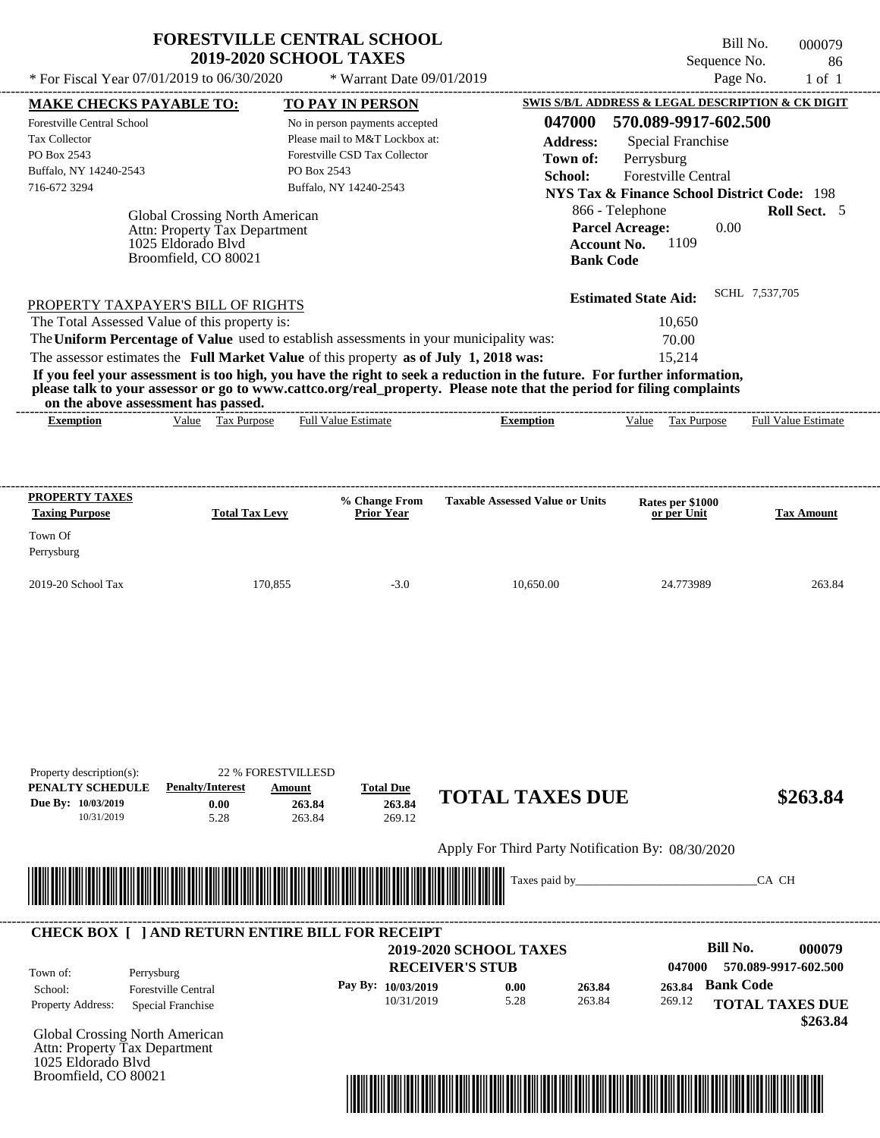|                                                                                                                                                                                                                                                                                                                                                                                  | <b>FORESTVILLE CENTRAL SCHOOL</b><br><b>2019-2020 SCHOOL TAXES</b>                                                                         |                                                  | Sequence No.                                                                                                                                            | Bill No.<br>000079<br>86   |
|----------------------------------------------------------------------------------------------------------------------------------------------------------------------------------------------------------------------------------------------------------------------------------------------------------------------------------------------------------------------------------|--------------------------------------------------------------------------------------------------------------------------------------------|--------------------------------------------------|---------------------------------------------------------------------------------------------------------------------------------------------------------|----------------------------|
| * For Fiscal Year 07/01/2019 to 06/30/2020                                                                                                                                                                                                                                                                                                                                       | * Warrant Date 09/01/2019                                                                                                                  |                                                  |                                                                                                                                                         | Page No.<br>$1$ of $1$     |
| <b>MAKE CHECKS PAYABLE TO:</b>                                                                                                                                                                                                                                                                                                                                                   | <b>TO PAY IN PERSON</b>                                                                                                                    |                                                  | SWIS S/B/L ADDRESS & LEGAL DESCRIPTION & CK DIGIT                                                                                                       |                            |
| <b>Forestville Central School</b><br><b>Tax Collector</b><br>PO Box 2543<br>Buffalo, NY 14240-2543<br>716-672 3294                                                                                                                                                                                                                                                               | No in person payments accepted<br>Please mail to M&T Lockbox at:<br>Forestville CSD Tax Collector<br>PO Box 2543<br>Buffalo, NY 14240-2543 | 047000<br><b>Address:</b><br>Town of:<br>School: | 570.089-9917-602.500<br>Special Franchise<br>Perrysburg<br><b>Forestville Central</b><br>NYS Tax & Finance School District Code: 198<br>866 - Telephone | Roll Sect. 5               |
| <b>Global Crossing North American</b><br>Attn: Property Tax Department<br>1025 Eldorado Blyd<br>Broomfield, CO 80021                                                                                                                                                                                                                                                             |                                                                                                                                            | <b>Bank Code</b>                                 | <b>Parcel Acreage:</b><br>0.00<br>1109<br>Account No.                                                                                                   |                            |
| PROPERTY TAXPAYER'S BILL OF RIGHTS                                                                                                                                                                                                                                                                                                                                               |                                                                                                                                            |                                                  | <b>Estimated State Aid:</b>                                                                                                                             | SCHL 7,537,705             |
| The Total Assessed Value of this property is:<br>The Uniform Percentage of Value used to establish assessments in your municipality was:                                                                                                                                                                                                                                         |                                                                                                                                            |                                                  | 10.650<br>70.00                                                                                                                                         |                            |
|                                                                                                                                                                                                                                                                                                                                                                                  |                                                                                                                                            |                                                  | 15.214                                                                                                                                                  |                            |
| The assessor estimates the Full Market Value of this property as of July 1, 2018 was:<br>If you feel your assessment is too high, you have the right to seek a reduction in the future. For further information,<br>please talk to your assessor or go to www.cattco.org/real_property. Please note that the period for filing complaints<br>on the above assessment has passed. |                                                                                                                                            |                                                  |                                                                                                                                                         |                            |
| Value Tax Purpose<br><b>Exemption</b>                                                                                                                                                                                                                                                                                                                                            | <b>Full Value Estimate</b>                                                                                                                 | <b>Exemption</b>                                 | Value<br>Tax Purpose                                                                                                                                    | <b>Full Value Estimate</b> |
| PROPERTY TAXES<br><b>Total Tax Levy</b><br><b>Taxing Purpose</b>                                                                                                                                                                                                                                                                                                                 | % Change From<br><b>Prior Year</b>                                                                                                         | <b>Taxable Assessed Value or Units</b>           | Rates per \$1000<br>or per Unit                                                                                                                         | <b>Tax Amount</b>          |

2019-20 School Tax 170,855 120,855 -3.0 10,650.00 24.773989 263.84

| Property description(s):<br>PENALTY SCHEDULE | <b>Penalty/Interest</b>                                         | <b>22 % FORESTVILLESD</b>                                                                                                                                                                                                            |                                      |                                                   |                  |                                          |
|----------------------------------------------|-----------------------------------------------------------------|--------------------------------------------------------------------------------------------------------------------------------------------------------------------------------------------------------------------------------------|--------------------------------------|---------------------------------------------------|------------------|------------------------------------------|
| Due By: 10/03/2019<br>10/31/2019             | 0.00<br>5.28                                                    | Amount<br>263.84<br>263.84                                                                                                                                                                                                           | <b>Total Due</b><br>263.84<br>269.12 | <b>TOTAL TAXES DUE</b>                            |                  | \$263.84                                 |
|                                              |                                                                 |                                                                                                                                                                                                                                      |                                      | Apply For Third Party Notification By: 08/30/2020 |                  |                                          |
|                                              |                                                                 | <u> 1989 - Andrea Stadt British Stadt British Stadt British Stadt British Stadt British Stadt British Stadt British Stadt British Stadt British Stadt British Stadt British Stadt British Stadt British Stadt British Stadt Brit</u> |                                      |                                                   |                  | CA CH                                    |
|                                              |                                                                 |                                                                                                                                                                                                                                      |                                      |                                                   |                  |                                          |
|                                              | <b>CHECK BOX [ ] AND RETURN ENTIRE BILL FOR RECEIPT</b>         |                                                                                                                                                                                                                                      |                                      | <b>2019-2020 SCHOOL TAXES</b>                     |                  | <b>Bill No.</b><br>000079                |
| Town of:<br>School:                          | Perrysburg<br><b>Forestville Central</b>                        |                                                                                                                                                                                                                                      | Pay By: 10/03/2019                   | <b>RECEIVER'S STUB</b><br>263.84<br>0.00          | 047000<br>263.84 | 570.089-9917-602.500<br><b>Bank Code</b> |
| Property Address:                            | Special Franchise                                               |                                                                                                                                                                                                                                      | 10/31/2019                           | 263.84<br>5.28                                    | 269.12           | <b>TOTAL TAXES DUE</b><br>\$263.84       |
|                                              | Global Crossing North American<br>Attn: Property Tax Department |                                                                                                                                                                                                                                      |                                      |                                                   |                  |                                          |
| 1025 Eldorado Blvd                           |                                                                 |                                                                                                                                                                                                                                      |                                      |                                                   |                  |                                          |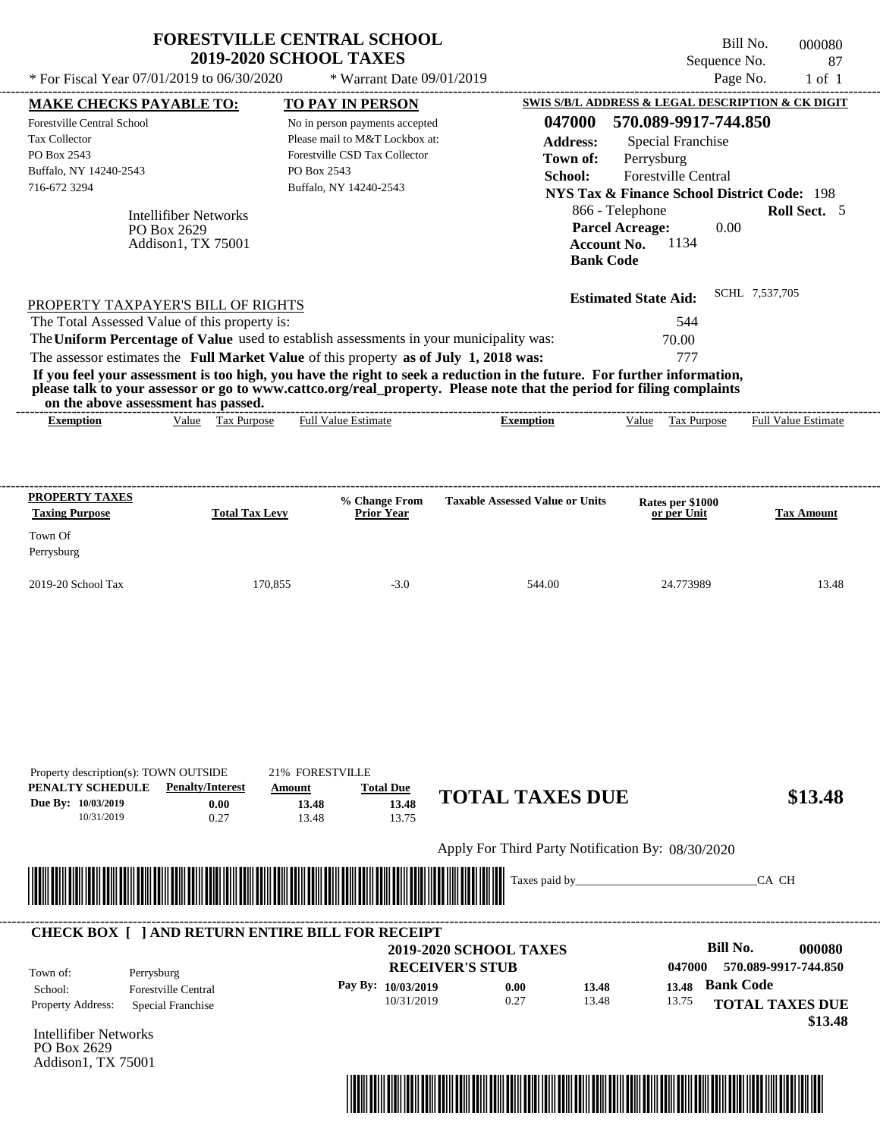| <b>MAKE CHECKS PAYABLE TO:</b><br><b>Forestville Central School</b><br><b>Tax Collector</b><br>PO Box 2543<br>Buffalo, NY 14240-2543<br>716-672 3294 | <b>Intellifiber Networks</b><br>PO Box 2629<br>Addison1, TX 75001 | TO PAY IN PERSON<br>No in person payments accepted<br>Please mail to M&T Lockbox at:<br>Forestville CSD Tax Collector<br>PO Box 2543<br>Buffalo, NY 14240-2543 | 047000<br><b>Address:</b><br>Town of:<br>School:                                                                                                                                                                                                 | SWIS S/B/L ADDRESS & LEGAL DESCRIPTION & CK DIGIT<br>570.089-9917-744.850<br><b>Special Franchise</b><br>Perrysburg<br>Forestville Central<br><b>NYS Tax &amp; Finance School District Code: 198</b><br>866 - Telephone |                            |
|------------------------------------------------------------------------------------------------------------------------------------------------------|-------------------------------------------------------------------|----------------------------------------------------------------------------------------------------------------------------------------------------------------|--------------------------------------------------------------------------------------------------------------------------------------------------------------------------------------------------------------------------------------------------|-------------------------------------------------------------------------------------------------------------------------------------------------------------------------------------------------------------------------|----------------------------|
|                                                                                                                                                      |                                                                   |                                                                                                                                                                |                                                                                                                                                                                                                                                  |                                                                                                                                                                                                                         |                            |
|                                                                                                                                                      |                                                                   |                                                                                                                                                                |                                                                                                                                                                                                                                                  |                                                                                                                                                                                                                         |                            |
|                                                                                                                                                      |                                                                   |                                                                                                                                                                |                                                                                                                                                                                                                                                  |                                                                                                                                                                                                                         |                            |
|                                                                                                                                                      |                                                                   |                                                                                                                                                                |                                                                                                                                                                                                                                                  |                                                                                                                                                                                                                         |                            |
|                                                                                                                                                      |                                                                   |                                                                                                                                                                |                                                                                                                                                                                                                                                  |                                                                                                                                                                                                                         |                            |
|                                                                                                                                                      |                                                                   |                                                                                                                                                                |                                                                                                                                                                                                                                                  |                                                                                                                                                                                                                         |                            |
|                                                                                                                                                      |                                                                   |                                                                                                                                                                |                                                                                                                                                                                                                                                  |                                                                                                                                                                                                                         | Roll Sect. 5               |
|                                                                                                                                                      |                                                                   |                                                                                                                                                                |                                                                                                                                                                                                                                                  | <b>Parcel Acreage:</b>                                                                                                                                                                                                  | 0.00                       |
|                                                                                                                                                      |                                                                   |                                                                                                                                                                |                                                                                                                                                                                                                                                  | 1134<br><b>Account No.</b>                                                                                                                                                                                              |                            |
|                                                                                                                                                      |                                                                   |                                                                                                                                                                |                                                                                                                                                                                                                                                  | <b>Bank Code</b>                                                                                                                                                                                                        |                            |
|                                                                                                                                                      |                                                                   |                                                                                                                                                                |                                                                                                                                                                                                                                                  | <b>Estimated State Aid:</b>                                                                                                                                                                                             | SCHL 7.537.705             |
| PROPERTY TAXPAYER'S BILL OF RIGHTS                                                                                                                   |                                                                   |                                                                                                                                                                |                                                                                                                                                                                                                                                  |                                                                                                                                                                                                                         |                            |
| The Total Assessed Value of this property is:                                                                                                        |                                                                   |                                                                                                                                                                |                                                                                                                                                                                                                                                  | 544                                                                                                                                                                                                                     |                            |
|                                                                                                                                                      |                                                                   |                                                                                                                                                                | The Uniform Percentage of Value used to establish assessments in your municipality was:                                                                                                                                                          | 70.00                                                                                                                                                                                                                   |                            |
|                                                                                                                                                      |                                                                   |                                                                                                                                                                | The assessor estimates the Full Market Value of this property as of July 1, 2018 was:                                                                                                                                                            | 777                                                                                                                                                                                                                     |                            |
|                                                                                                                                                      | on the above assessment has passed.                               |                                                                                                                                                                | If you feel your assessment is too high, you have the right to seek a reduction in the future. For further information,<br>please talk to your assessor or go to www.cattco.org/real_property. Please note that the period for filing complaints |                                                                                                                                                                                                                         |                            |
| <b>Exemption</b>                                                                                                                                     | Value Tax Purpose                                                 | <b>Full Value Estimate</b>                                                                                                                                     | <b>Exemption</b>                                                                                                                                                                                                                                 | Value Tax Purpose                                                                                                                                                                                                       | <b>Full Value Estimate</b> |
|                                                                                                                                                      |                                                                   |                                                                                                                                                                |                                                                                                                                                                                                                                                  |                                                                                                                                                                                                                         |                            |
| PROPERTY TAXES<br><b>Taxing Purpose</b><br>Town Of<br>Perrysburg                                                                                     | <b>Total Tax Levy</b>                                             | % Change From<br><b>Prior Year</b>                                                                                                                             | <b>Taxable Assessed Value or Units</b>                                                                                                                                                                                                           | Rates per \$1000<br>or per Unit                                                                                                                                                                                         | <b>Tax Amount</b>          |

| PENALTY SCHEDULE                     | <b>Penalty/Interest</b>    | Amount                                                  | <b>Total Due</b>     |                                                   |       |        |                           |
|--------------------------------------|----------------------------|---------------------------------------------------------|----------------------|---------------------------------------------------|-------|--------|---------------------------|
| Due By: 10/03/2019                   | 0.00                       | 13.48                                                   | 13.48                | <b>TOTAL TAXES DUE</b>                            |       |        | \$13.48                   |
| 10/31/2019                           | 0.27                       | 13.48                                                   | 13.75                |                                                   |       |        |                           |
|                                      |                            |                                                         |                      | Apply For Third Party Notification By: 08/30/2020 |       |        |                           |
|                                      |                            |                                                         |                      |                                                   |       |        | CA CH                     |
|                                      | ▓                          |                                                         |                      | Taxes paid by_                                    |       |        |                           |
|                                      |                            |                                                         |                      |                                                   |       |        |                           |
|                                      |                            | <b>CHECK BOX     AND RETURN ENTIRE BILL FOR RECEIPT</b> |                      |                                                   |       |        |                           |
|                                      |                            |                                                         |                      | <b>2019-2020 SCHOOL TAXES</b>                     |       |        | <b>Bill No.</b><br>000080 |
| Town of:                             | Perrysburg                 |                                                         |                      | <b>RECEIVER'S STUB</b>                            |       | 047000 | 570.089-9917-744.850      |
| School:                              | <b>Forestville Central</b> |                                                         | Pay By: $10/03/2019$ | 0.00                                              | 13.48 | 13.48  | <b>Bank Code</b>          |
| Property Address:                    | Special Franchise          |                                                         | 10/31/2019           | 0.27                                              | 13.48 | 13.75  | <b>TOTAL TAXES DUE</b>    |
|                                      |                            |                                                         |                      |                                                   |       |        | \$13.48                   |
| Intellifiber Networks<br>PO Box 2629 |                            |                                                         |                      |                                                   |       |        |                           |
|                                      |                            |                                                         |                      |                                                   |       |        |                           |



Property description(s): TOWN OUTSIDE 21% FORESTVILLE

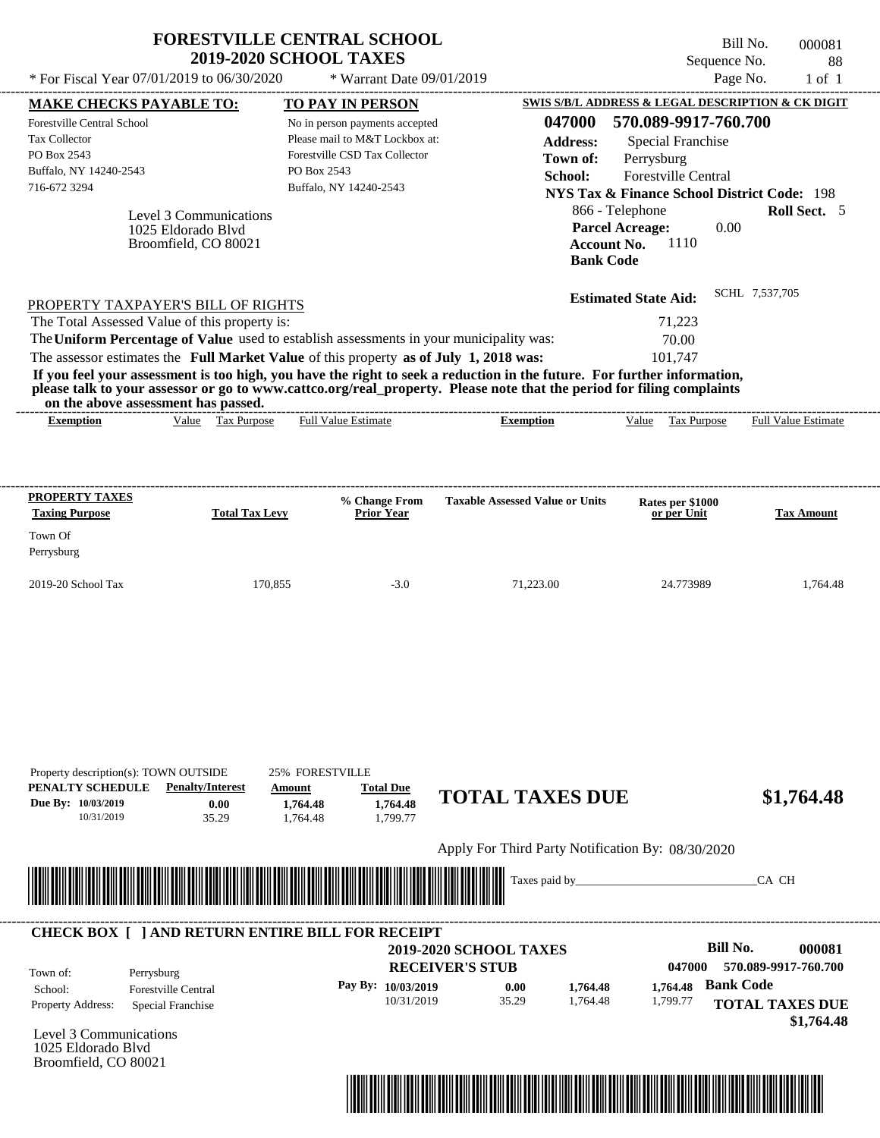| * For Fiscal Year 07/01/2019 to 06/30/2020                                                                                                                                       |                        |                       |                                                                                                                                                                                                                                                                                                                                                                                                                                      |                                        |                  |                                                                  | Sequence No. | 88                         |
|----------------------------------------------------------------------------------------------------------------------------------------------------------------------------------|------------------------|-----------------------|--------------------------------------------------------------------------------------------------------------------------------------------------------------------------------------------------------------------------------------------------------------------------------------------------------------------------------------------------------------------------------------------------------------------------------------|----------------------------------------|------------------|------------------------------------------------------------------|--------------|----------------------------|
|                                                                                                                                                                                  |                        |                       | * Warrant Date 09/01/2019                                                                                                                                                                                                                                                                                                                                                                                                            |                                        |                  |                                                                  | Page No.     | $1$ of $1$                 |
| <b>MAKE CHECKS PAYABLE TO:</b>                                                                                                                                                   |                        |                       | TO PAY IN PERSON                                                                                                                                                                                                                                                                                                                                                                                                                     |                                        |                  | <b>SWIS S/B/L ADDRESS &amp; LEGAL DESCRIPTION &amp; CK DIGIT</b> |              |                            |
| Forestville Central School                                                                                                                                                       |                        |                       | No in person payments accepted                                                                                                                                                                                                                                                                                                                                                                                                       |                                        | 047000           | 570.089-9917-760.700                                             |              |                            |
| <b>Tax Collector</b>                                                                                                                                                             |                        |                       | Please mail to M&T Lockbox at:                                                                                                                                                                                                                                                                                                                                                                                                       |                                        | <b>Address:</b>  | <b>Special Franchise</b>                                         |              |                            |
| PO Box 2543                                                                                                                                                                      |                        |                       | Forestville CSD Tax Collector                                                                                                                                                                                                                                                                                                                                                                                                        |                                        | Town of:         | Perrysburg                                                       |              |                            |
| Buffalo, NY 14240-2543                                                                                                                                                           |                        |                       | PO Box 2543                                                                                                                                                                                                                                                                                                                                                                                                                          |                                        | School:          | Forestville Central                                              |              |                            |
| 716-672 3294                                                                                                                                                                     |                        |                       | Buffalo, NY 14240-2543                                                                                                                                                                                                                                                                                                                                                                                                               |                                        |                  | <b>NYS Tax &amp; Finance School District Code: 198</b>           |              |                            |
|                                                                                                                                                                                  | Level 3 Communications |                       |                                                                                                                                                                                                                                                                                                                                                                                                                                      |                                        |                  | 866 - Telephone                                                  |              | Roll Sect. 5               |
|                                                                                                                                                                                  | 1025 Eldorado Blyd     |                       |                                                                                                                                                                                                                                                                                                                                                                                                                                      |                                        |                  | <b>Parcel Acreage:</b>                                           | 0.00         |                            |
|                                                                                                                                                                                  | Broomfield, CO 80021   |                       |                                                                                                                                                                                                                                                                                                                                                                                                                                      |                                        |                  | 1110<br><b>Account No.</b>                                       |              |                            |
|                                                                                                                                                                                  |                        |                       |                                                                                                                                                                                                                                                                                                                                                                                                                                      |                                        | <b>Bank Code</b> |                                                                  |              |                            |
|                                                                                                                                                                                  |                        |                       |                                                                                                                                                                                                                                                                                                                                                                                                                                      |                                        |                  | <b>Estimated State Aid:</b>                                      |              | SCHL 7,537,705             |
|                                                                                                                                                                                  |                        |                       |                                                                                                                                                                                                                                                                                                                                                                                                                                      |                                        |                  |                                                                  |              |                            |
|                                                                                                                                                                                  |                        |                       |                                                                                                                                                                                                                                                                                                                                                                                                                                      |                                        |                  |                                                                  |              |                            |
|                                                                                                                                                                                  |                        |                       |                                                                                                                                                                                                                                                                                                                                                                                                                                      |                                        |                  | 71.223                                                           |              |                            |
|                                                                                                                                                                                  |                        |                       | The Uniform Percentage of Value used to establish assessments in your municipality was:<br>The assessor estimates the Full Market Value of this property as of July 1, 2018 was:<br>If you feel your assessment is too high, you have the right to seek a reduction in the future. For further information,<br>please talk to your assessor or go to www.cattco.org/real_property. Please note that the period for filing complaints |                                        |                  | 70.00<br>101.747                                                 |              |                            |
| <b>Exemption</b>                                                                                                                                                                 |                        | Value Tax Purpose     | <b>Full Value Estimate</b>                                                                                                                                                                                                                                                                                                                                                                                                           | <b>Exemption</b>                       |                  | Value Tax Purpose                                                |              | <b>Full Value Estimate</b> |
| PROPERTY TAXPAYER'S BILL OF RIGHTS<br>The Total Assessed Value of this property is:<br>on the above assessment has passed.<br>PROPERTY TAXES<br><b>Taxing Purpose</b><br>Town Of |                        | <b>Total Tax Levy</b> | % Change From<br><b>Prior Year</b>                                                                                                                                                                                                                                                                                                                                                                                                   | <b>Taxable Assessed Value or Units</b> |                  | Rates per \$1000<br>or per Unit                                  |              | <b>Tax Amount</b>          |
| Perrysburg                                                                                                                                                                       |                        |                       |                                                                                                                                                                                                                                                                                                                                                                                                                                      |                                        |                  |                                                                  |              |                            |

| Property description(s): TOWN OUTSIDE       |                    |       |  |  |  |
|---------------------------------------------|--------------------|-------|--|--|--|
| PENALTY SCHEDULE<br><b>Penalty/Interest</b> |                    |       |  |  |  |
|                                             | Due By: 10/03/2019 | 0.00  |  |  |  |
|                                             | 10/31/2019         | 35.29 |  |  |  |

1,764.48 **1,764.48**

**PENALTY SCHEDULE PENALTY PENALTY PENALTY PENALTY PENALTY PENALTY PENALTY PENALTY PENALTY PENALTY PENALTY PENALTY PENALTY PENALTY PENALTY PENALTY PENALTY PENALTY PENALTY PENALTY PE** 1,799.77 25% FORESTVILLE

# **1,764.48 TOTAL TAXES DUE \$1,764.48**

Apply For Third Party Notification By: 08/30/2020



# Level 3 Communications **RECEIVER'S STUB Bill No. 000081 Bank Code 1,764.48 1,764.48** Property Address: Special Franchise Perrysburg School: Forestville Central **TOTAL TAXES DUE \$1,764.48 2019-2020 SCHOOL TAXES 047000 570.089-9917-760.700 Pay By: 10/03/2019** 10/31/2019 35.29 **0.00** 1,764.48 1,799.77 Town of: ---------------------------------------------------------------------------------------------------------------------------------------------------------------------------------------------------- **CHECK BOX [ ] AND RETURN ENTIRE BILL FOR RECEIPT**

1025 Eldorado Blvd Broomfield, CO 80021

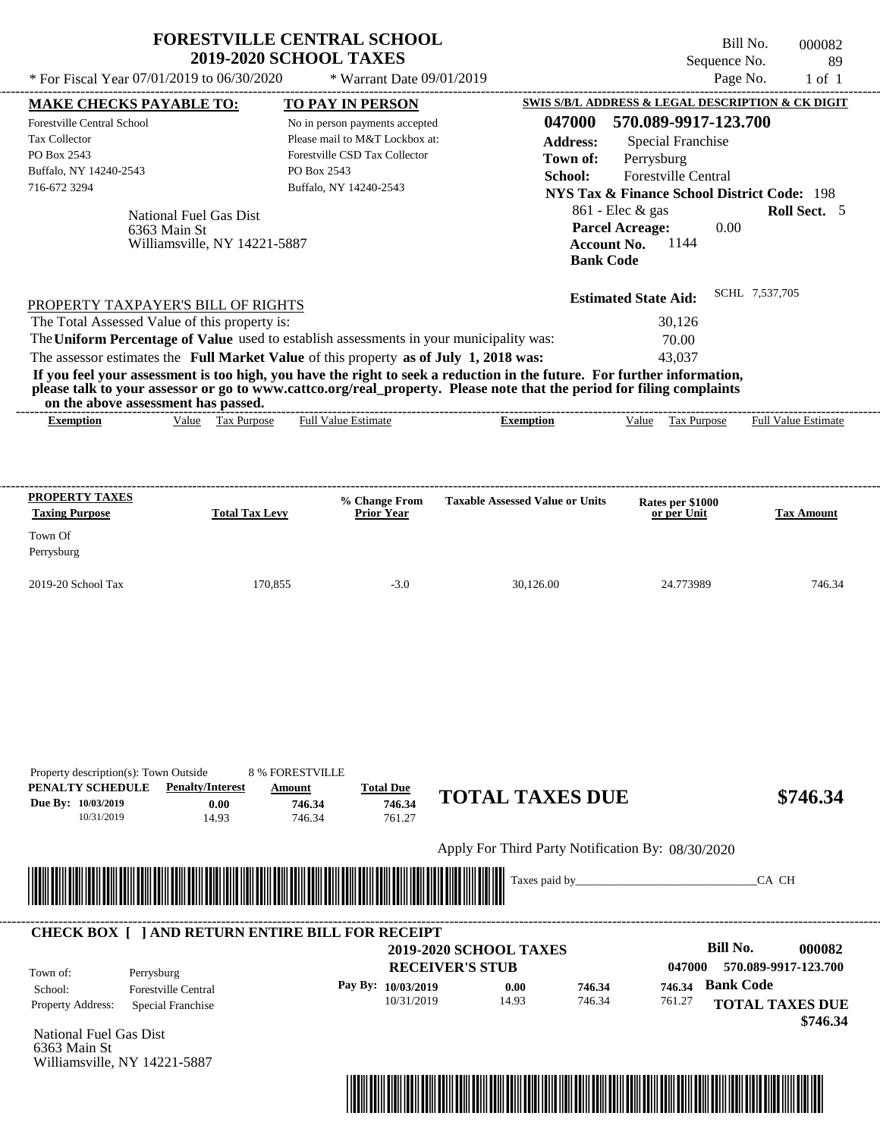| <b>FORESTVILLE CENTRAL SCHOOL</b><br><b>2019-2020 SCHOOL TAXES</b>                                                                                           |                                                                                                                         |                                                   |                                                                                 | Bill No.<br>Sequence No.   | 000082                                                 |
|--------------------------------------------------------------------------------------------------------------------------------------------------------------|-------------------------------------------------------------------------------------------------------------------------|---------------------------------------------------|---------------------------------------------------------------------------------|----------------------------|--------------------------------------------------------|
| * For Fiscal Year 07/01/2019 to 06/30/2020                                                                                                                   | * Warrant Date 09/01/2019                                                                                               |                                                   |                                                                                 | Page No.                   | $1$ of $1$                                             |
| <b>MAKE CHECKS PAYABLE TO:</b>                                                                                                                               | <b>TO PAY IN PERSON</b>                                                                                                 | SWIS S/B/L ADDRESS & LEGAL DESCRIPTION & CK DIGIT |                                                                                 |                            |                                                        |
| Forestville Central School                                                                                                                                   | No in person payments accepted                                                                                          | 047000                                            |                                                                                 | 570.089-9917-123.700       |                                                        |
| <b>Tax Collector</b>                                                                                                                                         | Please mail to M&T Lockbox at:                                                                                          | <b>Address:</b>                                   |                                                                                 | Special Franchise          |                                                        |
| PO Box 2543                                                                                                                                                  | Forestville CSD Tax Collector                                                                                           | Town of:                                          | Perrysburg                                                                      |                            |                                                        |
| Buffalo, NY 14240-2543                                                                                                                                       | PO Box 2543                                                                                                             | School:                                           |                                                                                 | <b>Forestville Central</b> |                                                        |
| 716-672 3294                                                                                                                                                 | Buffalo, NY 14240-2543                                                                                                  |                                                   |                                                                                 |                            | <b>NYS Tax &amp; Finance School District Code: 198</b> |
| National Fuel Gas Dist<br>6363 Main St<br>Williamsville, NY 14221-5887                                                                                       |                                                                                                                         |                                                   | $861$ - Elec & gas<br><b>Parcel Acreage:</b><br>Account No.<br><b>Bank Code</b> | 0.00<br>1144               | Roll Sect. 5                                           |
| PROPERTY TAXPAYER'S BILL OF RIGHTS                                                                                                                           |                                                                                                                         |                                                   | <b>Estimated State Aid:</b>                                                     |                            | SCHL 7.537.705                                         |
| The Total Assessed Value of this property is:                                                                                                                |                                                                                                                         |                                                   |                                                                                 | 30.126                     |                                                        |
| The Uniform Percentage of Value used to establish assessments in your municipality was:                                                                      |                                                                                                                         |                                                   |                                                                                 | 70.00                      |                                                        |
| The assessor estimates the Full Market Value of this property as of July 1, 2018 was:                                                                        |                                                                                                                         |                                                   |                                                                                 | 43.037                     |                                                        |
| please talk to your assessor or go to www.cattco.org/real_property. Please note that the period for filing complaints<br>on the above assessment has passed. | If you feel your assessment is too high, you have the right to seek a reduction in the future. For further information, |                                                   |                                                                                 |                            |                                                        |
|                                                                                                                                                              | <b>Full Value Estimate</b><br>Tax Purpose                                                                               |                                                   | Value                                                                           | <b>Tax Purpose</b>         | <b>Full Value Estimate</b>                             |

| <b>PROPERTY TAXES</b><br><b>Taxing Purpose</b> | <b>Total Tax Levy</b> | % Change From<br><b>Prior Year</b> | <b>Taxable Assessed Value or Units</b> | Rates per \$1000<br>or per Unit | <b>Tax Amount</b> |
|------------------------------------------------|-----------------------|------------------------------------|----------------------------------------|---------------------------------|-------------------|
| Town Of<br>Perrysburg                          |                       |                                    |                                        |                                 |                   |
| $2019-20$ School Tax                           | 170.855               | $-3.0$                             | 30,126.00                              | 24.773989                       | 746.34            |

----------------------------------------------------------------------------------------------------------------------------------------------------------------------------------------------------

| Property description(s): Town Outside<br>PENALTY SCHEDULE<br>Due By: 10/03/2019<br>10/31/2019 | <b>Penalty/Interest</b><br>0.00<br>14.93                | <b>8% FORESTVILLE</b><br>Amount<br>746.34<br>746.34  | <b>Total Due</b><br>746.34<br>761.27 | <b>TOTAL TAXES DUE</b>                                  |        |        |                  | \$746.34                           |
|-----------------------------------------------------------------------------------------------|---------------------------------------------------------|------------------------------------------------------|--------------------------------------|---------------------------------------------------------|--------|--------|------------------|------------------------------------|
|                                                                                               |                                                         |                                                      |                                      | Apply For Third Party Notification By: 08/30/2020       |        |        |                  |                                    |
|                                                                                               |                                                         | <u> 1989 - Johann Stoff, Amerikaansk politiker (</u> |                                      |                                                         |        |        |                  | CA CH                              |
|                                                                                               | <b>CHECK BOX [ ] AND RETURN ENTIRE BILL FOR RECEIPT</b> |                                                      |                                      |                                                         |        |        |                  |                                    |
| Town of:                                                                                      | Perrysburg                                              |                                                      |                                      | <b>2019-2020 SCHOOL TAXES</b><br><b>RECEIVER'S STUB</b> |        | 047000 | <b>Bill No.</b>  | 000082<br>570.089-9917-123.700     |
| School:                                                                                       | <b>Forestville Central</b>                              |                                                      | Pay By: 10/03/2019                   | 0.00                                                    | 746.34 | 746.34 | <b>Bank Code</b> |                                    |
| Property Address:                                                                             | Special Franchise                                       |                                                      | 10/31/2019                           | 14.93                                                   | 746.34 | 761.27 |                  | <b>TOTAL TAXES DUE</b><br>\$746.34 |
| National Fuel Gas Dist<br>6363 Main St                                                        | Williamsville, NY 14221-5887                            |                                                      |                                      |                                                         |        |        |                  |                                    |
|                                                                                               |                                                         |                                                      |                                      |                                                         |        |        |                  |                                    |

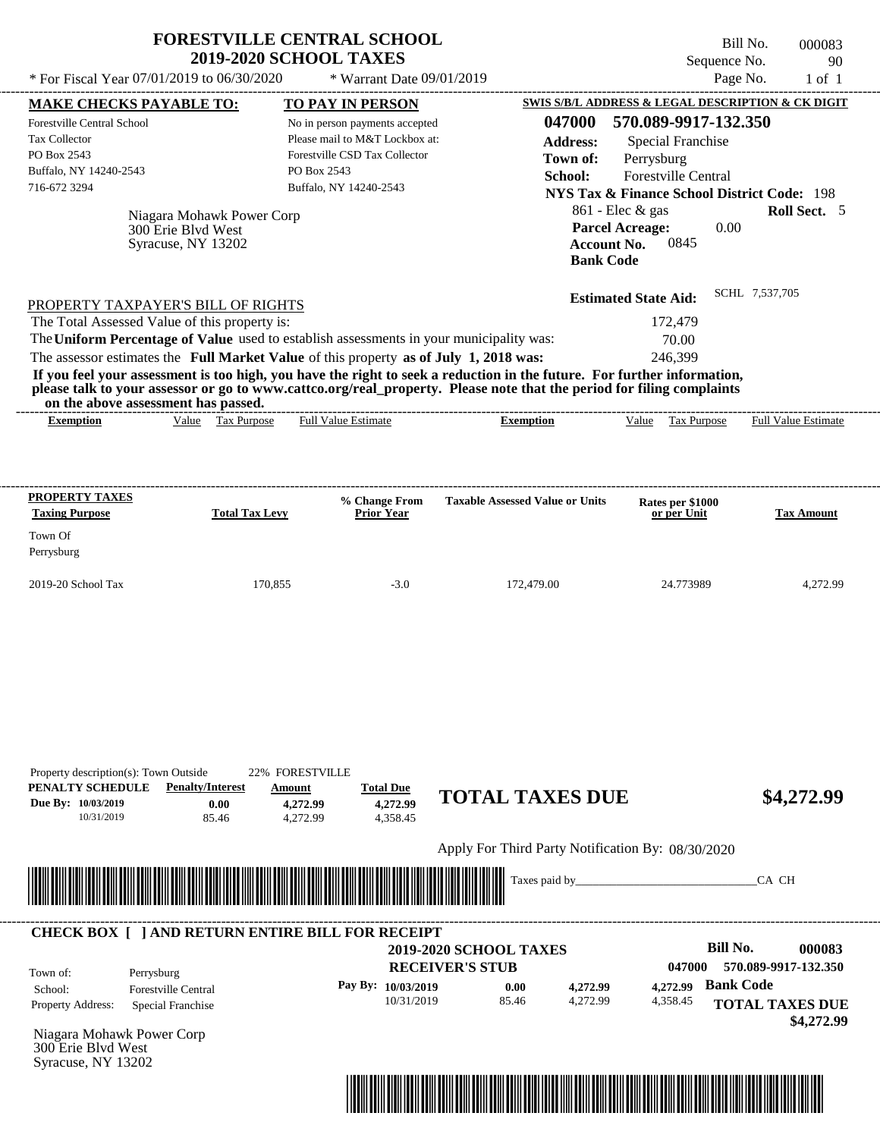| * For Fiscal Year 07/01/2019 to 06/30/2020              |                                                 |                       | <b>2019-2020 SCHOOL TAXES</b>                                                           |                                                                                                                                                                                                                                                  | Sequence No.                                           | 90                         |
|---------------------------------------------------------|-------------------------------------------------|-----------------------|-----------------------------------------------------------------------------------------|--------------------------------------------------------------------------------------------------------------------------------------------------------------------------------------------------------------------------------------------------|--------------------------------------------------------|----------------------------|
|                                                         |                                                 |                       | * Warrant Date 09/01/2019                                                               |                                                                                                                                                                                                                                                  |                                                        | Page No.<br>$1$ of $1$     |
| <b>MAKE CHECKS PAYABLE TO:</b>                          |                                                 |                       | TO PAY IN PERSON                                                                        |                                                                                                                                                                                                                                                  | SWIS S/B/L ADDRESS & LEGAL DESCRIPTION & CK DIGIT      |                            |
| <b>Forestville Central School</b>                       |                                                 |                       | No in person payments accepted                                                          | 047000                                                                                                                                                                                                                                           | 570.089-9917-132.350                                   |                            |
| Tax Collector                                           |                                                 |                       | Please mail to M&T Lockbox at:                                                          | <b>Address:</b>                                                                                                                                                                                                                                  | <b>Special Franchise</b>                               |                            |
| PO Box 2543                                             |                                                 |                       | Forestville CSD Tax Collector                                                           | Town of:                                                                                                                                                                                                                                         | Perrysburg                                             |                            |
| Buffalo, NY 14240-2543                                  |                                                 |                       | PO Box 2543                                                                             | School:                                                                                                                                                                                                                                          | Forestville Central                                    |                            |
| 716-672 3294                                            |                                                 |                       | Buffalo, NY 14240-2543                                                                  |                                                                                                                                                                                                                                                  | <b>NYS Tax &amp; Finance School District Code: 198</b> |                            |
|                                                         |                                                 |                       |                                                                                         |                                                                                                                                                                                                                                                  | 861 - Elec & gas                                       | Roll Sect. 5               |
|                                                         | Niagara Mohawk Power Corp<br>300 Erie Blvd West |                       |                                                                                         |                                                                                                                                                                                                                                                  | <b>Parcel Acreage:</b><br>0.00                         |                            |
|                                                         | Syracuse, NY 13202                              |                       |                                                                                         |                                                                                                                                                                                                                                                  | 0845<br><b>Account No.</b>                             |                            |
|                                                         |                                                 |                       |                                                                                         |                                                                                                                                                                                                                                                  | <b>Bank Code</b>                                       |                            |
|                                                         |                                                 |                       |                                                                                         |                                                                                                                                                                                                                                                  | <b>Estimated State Aid:</b>                            | SCHL 7,537,705             |
| PROPERTY TAXPAYER'S BILL OF RIGHTS                      |                                                 |                       |                                                                                         |                                                                                                                                                                                                                                                  |                                                        |                            |
| The Total Assessed Value of this property is:           |                                                 |                       |                                                                                         |                                                                                                                                                                                                                                                  | 172,479                                                |                            |
|                                                         |                                                 |                       | The Uniform Percentage of Value used to establish assessments in your municipality was: |                                                                                                                                                                                                                                                  | 70.00                                                  |                            |
|                                                         |                                                 |                       |                                                                                         |                                                                                                                                                                                                                                                  |                                                        |                            |
|                                                         |                                                 |                       | The assessor estimates the Full Market Value of this property as of July 1, 2018 was:   | If you feel your assessment is too high, you have the right to seek a reduction in the future. For further information,<br>please talk to your assessor or go to www.cattco.org/real_property. Please note that the period for filing complaints | 246.399                                                |                            |
| on the above assessment has passed.<br><b>Exemption</b> | Value Tax Purpose                               |                       | <b>Full Value Estimate</b>                                                              | <b>Exemption</b>                                                                                                                                                                                                                                 | Tax Purpose<br>Value                                   | <b>Full Value Estimate</b> |
| PROPERTY TAXES<br><b>Taxing Purpose</b><br>Town Of      |                                                 | <b>Total Tax Levy</b> | % Change From<br>Prior Year                                                             | <b>Taxable Assessed Value or Units</b>                                                                                                                                                                                                           | Rates per \$1000<br>or per Unit                        | <b>Tax Amount</b>          |
| Perrysburg                                              |                                                 |                       |                                                                                         |                                                                                                                                                                                                                                                  |                                                        |                            |

| Property description(s): Town Outside |                         | 22% FORESTVILLE      |                      |                        |            |
|---------------------------------------|-------------------------|----------------------|----------------------|------------------------|------------|
| PENALTY SCHEDULE                      | <b>Penalty/Interest</b> | Amount               | <b>Total Due</b>     | <b>TOTAL TAXES DUE</b> | \$4,272.99 |
| Due By: 10/03/2019<br>10/31/2019      | 0.00<br>85.46           | 4,272.99<br>4.272.99 | 4,272.99<br>4.358.45 |                        |            |
|                                       |                         |                      |                      |                        |            |

Apply For Third Party Notification By: 08/30/2020



### Niagara Mohawk Power Corp **RECEIVER'S STUB Bill No. 000083 Bank Code** Property Address: Special Franchise Perrysburg School: Forestville Central **TOTAL TAXES DUE \$4,272.99 2019-2020 SCHOOL TAXES 047000 570.089-9917-132.350 Pay By: 10/03/2019** 10/31/2019 85.46 **0.00** 4,272.99 **4,272.99** 4,358.45 **4,272.99** Town of: ---------------------------------------------------------------------------------------------------------------------------------------------------------------------------------------------------- **CHECK BOX [ ] AND RETURN ENTIRE BILL FOR RECEIPT**



300 Erie Blvd West Syracuse, NY 13202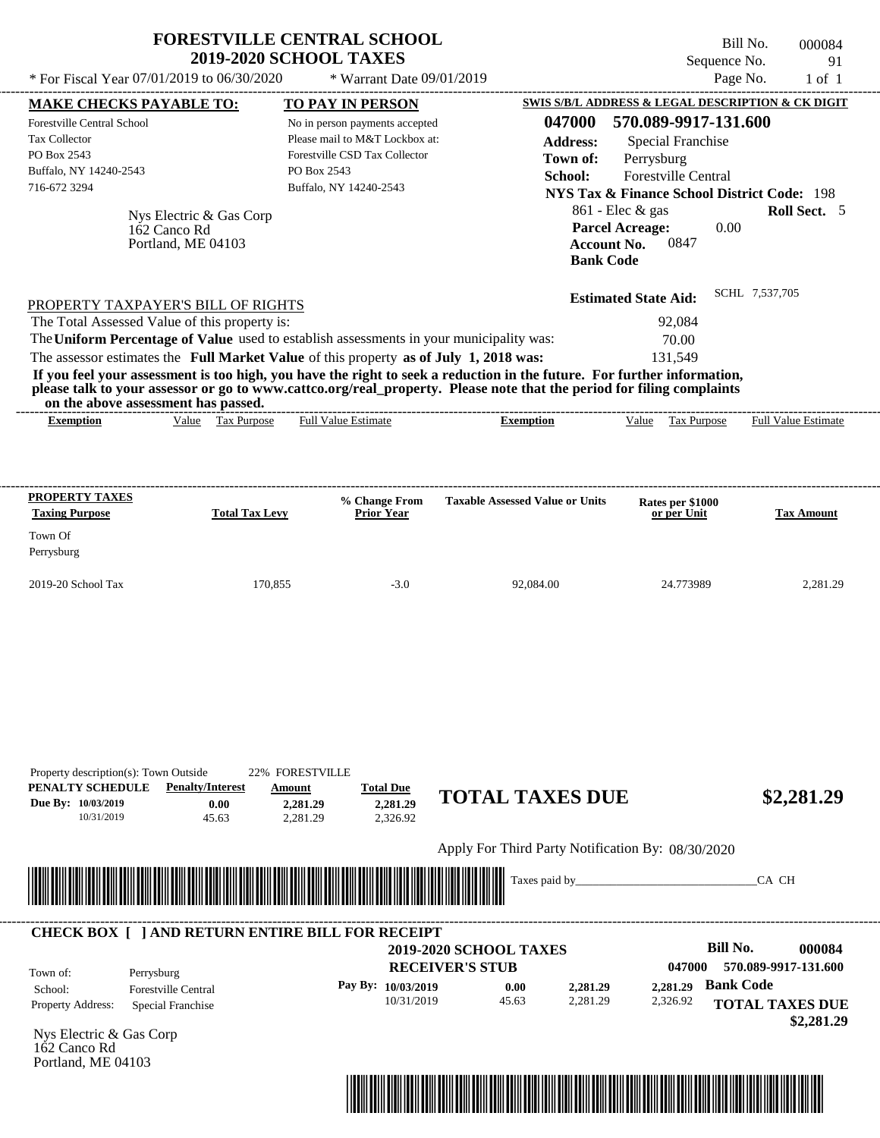|                                               |                                                               | <b>FORESTVILLE CENTRAL SCHOOL</b><br><b>2019-2020 SCHOOL TAXES</b>                      |                                                                                                                                                                                                                                                  | Sequence No.                                                                   | Bill No.<br>000084<br>91   |
|-----------------------------------------------|---------------------------------------------------------------|-----------------------------------------------------------------------------------------|--------------------------------------------------------------------------------------------------------------------------------------------------------------------------------------------------------------------------------------------------|--------------------------------------------------------------------------------|----------------------------|
| * For Fiscal Year 07/01/2019 to 06/30/2020    |                                                               | * Warrant Date 09/01/2019                                                               |                                                                                                                                                                                                                                                  |                                                                                | Page No.<br>$1$ of $1$     |
| <b>MAKE CHECKS PAYABLE TO:</b>                |                                                               | <b>TO PAY IN PERSON</b>                                                                 |                                                                                                                                                                                                                                                  | SWIS S/B/L ADDRESS & LEGAL DESCRIPTION & CK DIGIT                              |                            |
| Forestville Central School                    |                                                               | No in person payments accepted                                                          | 047000                                                                                                                                                                                                                                           | 570.089-9917-131.600                                                           |                            |
| <b>Tax Collector</b>                          |                                                               | Please mail to M&T Lockbox at:                                                          | <b>Address:</b>                                                                                                                                                                                                                                  | <b>Special Franchise</b>                                                       |                            |
| PO Box 2543                                   |                                                               | Forestville CSD Tax Collector                                                           | Town of:                                                                                                                                                                                                                                         | Perrysburg                                                                     |                            |
| Buffalo, NY 14240-2543                        |                                                               | PO Box 2543                                                                             | School:                                                                                                                                                                                                                                          | <b>Forestville Central</b>                                                     |                            |
| 716-672 3294                                  |                                                               | Buffalo, NY 14240-2543                                                                  |                                                                                                                                                                                                                                                  | <b>NYS Tax &amp; Finance School District Code: 198</b>                         |                            |
|                                               | Nys Electric & Gas Corp<br>162 Canco Rd<br>Portland, ME 04103 |                                                                                         | <b>Bank Code</b>                                                                                                                                                                                                                                 | $861$ - Elec $\&$ gas<br><b>Parcel Acreage:</b><br>0.00<br>0847<br>Account No. | <b>Roll Sect.</b> 5        |
| PROPERTY TAXPAYER'S BILL OF RIGHTS            |                                                               |                                                                                         |                                                                                                                                                                                                                                                  | <b>Estimated State Aid:</b>                                                    | SCHL 7.537.705             |
| The Total Assessed Value of this property is: |                                                               |                                                                                         |                                                                                                                                                                                                                                                  | 92,084                                                                         |                            |
|                                               |                                                               | The Uniform Percentage of Value used to establish assessments in your municipality was: |                                                                                                                                                                                                                                                  | 70.00                                                                          |                            |
|                                               |                                                               | The assessor estimates the Full Market Value of this property as of July 1, 2018 was:   |                                                                                                                                                                                                                                                  | 131,549                                                                        |                            |
| on the above assessment has passed.           |                                                               |                                                                                         | If you feel your assessment is too high, you have the right to seek a reduction in the future. For further information,<br>please talk to your assessor or go to www.cattco.org/real_property. Please note that the period for filing complaints |                                                                                |                            |
| <b>Exemption</b>                              | Value Tax Purpose                                             | <b>Full Value Estimate</b>                                                              | <b>Exemption</b>                                                                                                                                                                                                                                 | Value Tax Purpose                                                              | <b>Full Value Estimate</b> |
|                                               |                                                               |                                                                                         |                                                                                                                                                                                                                                                  |                                                                                |                            |
| PROPERTY TAXES<br><b>Taxing Purpose</b>       | <b>Total Tax Levy</b>                                         | % Change From<br><b>Prior Year</b>                                                      | <b>Taxable Assessed Value or Units</b>                                                                                                                                                                                                           | Rates per \$1000<br>or per Unit                                                | <b>Tax Amount</b>          |
| Town Of<br>Perrysburg                         |                                                               |                                                                                         |                                                                                                                                                                                                                                                  |                                                                                |                            |
| 2019-20 School Tax                            | 170.855                                                       | $-3.0$                                                                                  | 92.084.00                                                                                                                                                                                                                                        | 24.773989                                                                      | 2.281.29                   |

| PENALTY SCHEDULE                        | <b>Penalty/Interest</b>                                 | Amount   | <b>Total Due</b>   |                                                   |          |          |                  |                        |
|-----------------------------------------|---------------------------------------------------------|----------|--------------------|---------------------------------------------------|----------|----------|------------------|------------------------|
| Due By: 10/03/2019                      | 0.00                                                    | 2,281.29 | 2,281.29           | <b>TOTAL TAXES DUE</b>                            |          |          |                  | \$2,281.29             |
| 10/31/2019                              | 45.63                                                   | 2,281.29 | 2,326.92           |                                                   |          |          |                  |                        |
|                                         |                                                         |          |                    | Apply For Third Party Notification By: 08/30/2020 |          |          |                  |                        |
|                                         |                                                         |          |                    |                                                   |          |          |                  | CA CH                  |
|                                         | <u> Tanzania (h. 1888).</u>                             |          |                    |                                                   |          |          |                  |                        |
|                                         |                                                         |          |                    |                                                   |          |          |                  |                        |
|                                         | <b>CHECK BOX     AND RETURN ENTIRE BILL FOR RECEIPT</b> |          |                    | <b>2019-2020 SCHOOL TAXES</b>                     |          |          | Bill No.         | 000084                 |
| Town of:                                | Perrysburg                                              |          |                    | <b>RECEIVER'S STUB</b>                            |          | 047000   |                  | 570.089-9917-131.600   |
| School:                                 | <b>Forestville Central</b>                              |          | Pay By: 10/03/2019 | 0.00                                              | 2,281.29 | 2,281.29 | <b>Bank Code</b> |                        |
| Property Address:                       | Special Franchise                                       |          | 10/31/2019         | 45.63                                             | 2,281.29 | 2,326.92 |                  | <b>TOTAL TAXES DUE</b> |
|                                         |                                                         |          |                    |                                                   |          |          |                  | \$2,281.29             |
| Nys Electric & Gas Corp<br>162 Canco Rd |                                                         |          |                    |                                                   |          |          |                  |                        |
| Portland, ME 04103                      |                                                         |          |                    |                                                   |          |          |                  |                        |

Property description(s): Town Outside 22% FORESTVILLE

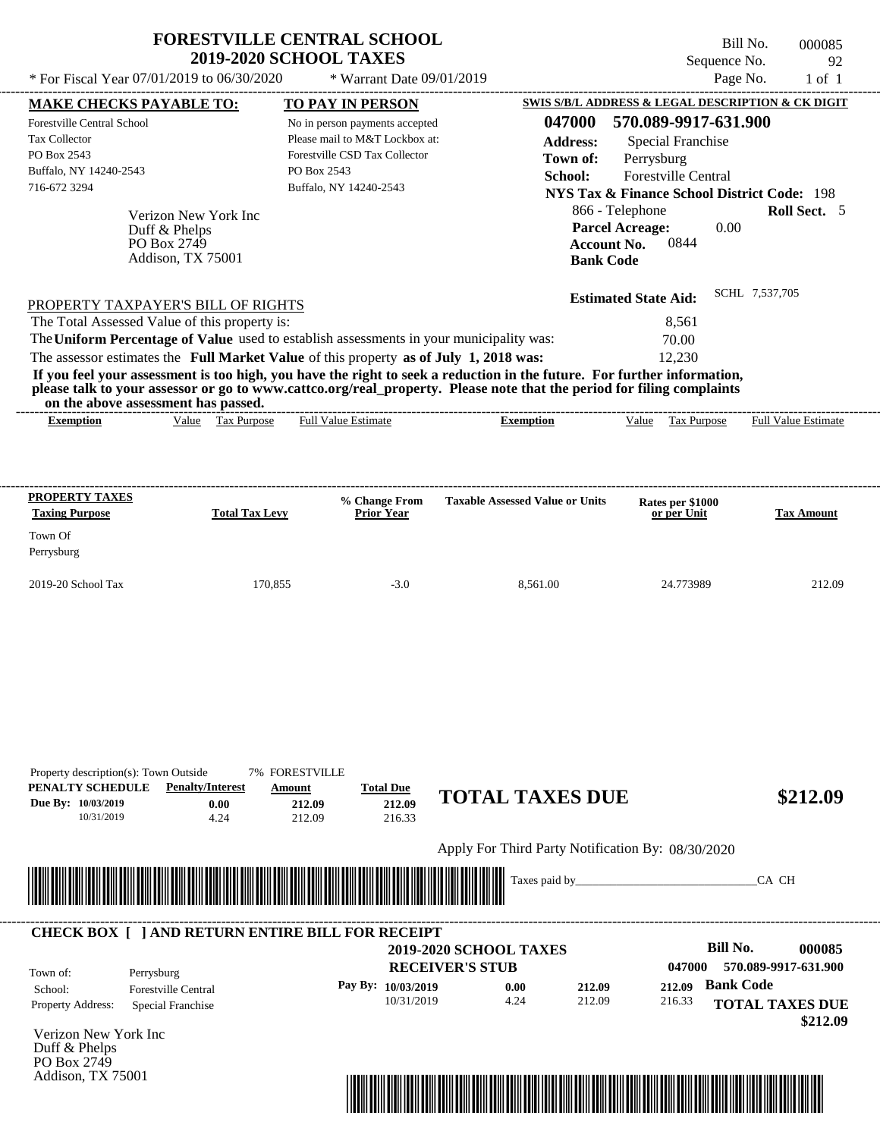|                                                                                     | <b>FORESTVILLE CENTRAL SCHOOL</b><br><b>2019-2020 SCHOOL TAXES</b>                      | Bill No.<br>000085<br>Sequence No.<br>92                                                                                                                                                                                                         |
|-------------------------------------------------------------------------------------|-----------------------------------------------------------------------------------------|--------------------------------------------------------------------------------------------------------------------------------------------------------------------------------------------------------------------------------------------------|
| * For Fiscal Year $07/01/2019$ to $06/30/2020$                                      | * Warrant Date 09/01/2019                                                               | Page No.<br>$1$ of $1$                                                                                                                                                                                                                           |
| <b>MAKE CHECKS PAYABLE TO:</b>                                                      | <b>TO PAY IN PERSON</b>                                                                 | SWIS S/B/L ADDRESS & LEGAL DESCRIPTION & CK DIGIT                                                                                                                                                                                                |
| Forestville Central School                                                          | No in person payments accepted                                                          | 047000<br>570.089-9917-631.900                                                                                                                                                                                                                   |
| <b>Tax Collector</b>                                                                | Please mail to M&T Lockbox at:                                                          | <b>Address:</b><br>Special Franchise                                                                                                                                                                                                             |
| PO Box 2543                                                                         | Forestville CSD Tax Collector                                                           | Town of:<br>Perrysburg                                                                                                                                                                                                                           |
| Buffalo, NY 14240-2543                                                              | PO Box 2543                                                                             | School:<br><b>Forestville Central</b>                                                                                                                                                                                                            |
| 716-672 3294                                                                        | Buffalo, NY 14240-2543                                                                  | <b>NYS Tax &amp; Finance School District Code: 198</b>                                                                                                                                                                                           |
| Verizon New York Inc<br>Duff & Phelps<br>PO Box 2749<br>Addison, TX 75001           |                                                                                         | 866 - Telephone<br><b>Roll Sect.</b> 5<br><b>Parcel Acreage:</b><br>0.00<br><b>Account No.</b><br>0844<br><b>Bank Code</b>                                                                                                                       |
| PROPERTY TAXPAYER'S BILL OF RIGHTS<br>The Total Assessed Value of this property is: |                                                                                         | SCHL 7,537,705<br><b>Estimated State Aid:</b><br>8,561                                                                                                                                                                                           |
|                                                                                     | The Uniform Percentage of Value used to establish assessments in your municipality was: | 70.00                                                                                                                                                                                                                                            |
|                                                                                     | The assessor estimates the Full Market Value of this property as of July 1, 2018 was:   | 12,230                                                                                                                                                                                                                                           |
| on the above accessment has nacced                                                  |                                                                                         | If you feel your assessment is too high, you have the right to seek a reduction in the future. For further information,<br>please talk to your assessor or go to www.cattco.org/real_property. Please note that the period for filing complaints |

| the<br>or<br>. abov | har<br>passeq.<br>reman.<br>ээнг |                       |       |              |                             |                                |
|---------------------|----------------------------------|-----------------------|-------|--------------|-----------------------------|--------------------------------|
| *xemption           | value<br>аx<br>.rdose            | ∴stımə±<br>Ful<br>. . | ption | - 1<br>∕alue | $\sim$<br>'urpos<br>"<br>__ | Full<br><b>Estimate</b><br>alu |
|                     |                                  |                       |       |              |                             |                                |

| <b>PROPERTY TAXES</b><br><b>Taxing Purpose</b> | <b>Total Tax Levy</b> | % Change From<br><b>Prior Year</b> | <b>Taxable Assessed Value or Units</b> | Rates per \$1000<br>or per Unit | <b>Tax Amount</b> |
|------------------------------------------------|-----------------------|------------------------------------|----------------------------------------|---------------------------------|-------------------|
| Town Of<br>Perrysburg                          |                       |                                    |                                        |                                 |                   |
| $2019-20$ School Tax                           | 170.855               | $-3.0$                             | 8.561.00                               | 24.773989                       | 212.09            |

| Property description(s): Town Outside |                                                         | <b>7% FORESTVILLE</b>                                                                                                |                    |                                                   |        |        |                  |                        |
|---------------------------------------|---------------------------------------------------------|----------------------------------------------------------------------------------------------------------------------|--------------------|---------------------------------------------------|--------|--------|------------------|------------------------|
| PENALTY SCHEDULE                      | <b>Penalty/Interest</b>                                 | Amount                                                                                                               | <b>Total Due</b>   | <b>TOTAL TAXES DUE</b>                            |        |        |                  |                        |
| Due By: 10/03/2019                    | 0.00                                                    | 212.09                                                                                                               | 212.09             |                                                   |        |        |                  | \$212.09               |
| 10/31/2019                            | 4.24                                                    | 212.09                                                                                                               | 216.33             |                                                   |        |        |                  |                        |
|                                       |                                                         |                                                                                                                      |                    | Apply For Third Party Notification By: 08/30/2020 |        |        |                  |                        |
|                                       |                                                         |                                                                                                                      |                    | Taxes paid by_                                    |        |        |                  | CA CH                  |
|                                       |                                                         | <u> Tanzania di Baratta di Baratta di Baratta di Baratta di Baratta di Baratta di Baratta di Baratta di Baratta </u> |                    |                                                   |        |        |                  |                        |
|                                       |                                                         |                                                                                                                      |                    |                                                   |        |        |                  |                        |
|                                       | <b>CHECK BOX [ ] AND RETURN ENTIRE BILL FOR RECEIPT</b> |                                                                                                                      |                    |                                                   |        |        |                  |                        |
|                                       |                                                         |                                                                                                                      |                    | <b>2019-2020 SCHOOL TAXES</b>                     |        |        | Bill No.         | 000085                 |
| Town of:                              | Perrysburg                                              |                                                                                                                      |                    | <b>RECEIVER'S STUB</b>                            |        | 047000 |                  | 570.089-9917-631.900   |
| School:                               | <b>Forestville Central</b>                              |                                                                                                                      | Pay By: 10/03/2019 | 0.00                                              | 212.09 | 212.09 | <b>Bank Code</b> |                        |
| <b>Property Address:</b>              | Special Franchise                                       |                                                                                                                      | 10/31/2019         | 4.24                                              | 212.09 | 216.33 |                  | <b>TOTAL TAXES DUE</b> |
|                                       |                                                         |                                                                                                                      |                    |                                                   |        |        |                  | \$212.09               |
| Verizon New York Inc                  |                                                         |                                                                                                                      |                    |                                                   |        |        |                  |                        |
| Duff & Phelps<br>PO Box 2749          |                                                         |                                                                                                                      |                    |                                                   |        |        |                  |                        |
| Addison, TX 75001                     |                                                         |                                                                                                                      |                    |                                                   |        |        |                  |                        |

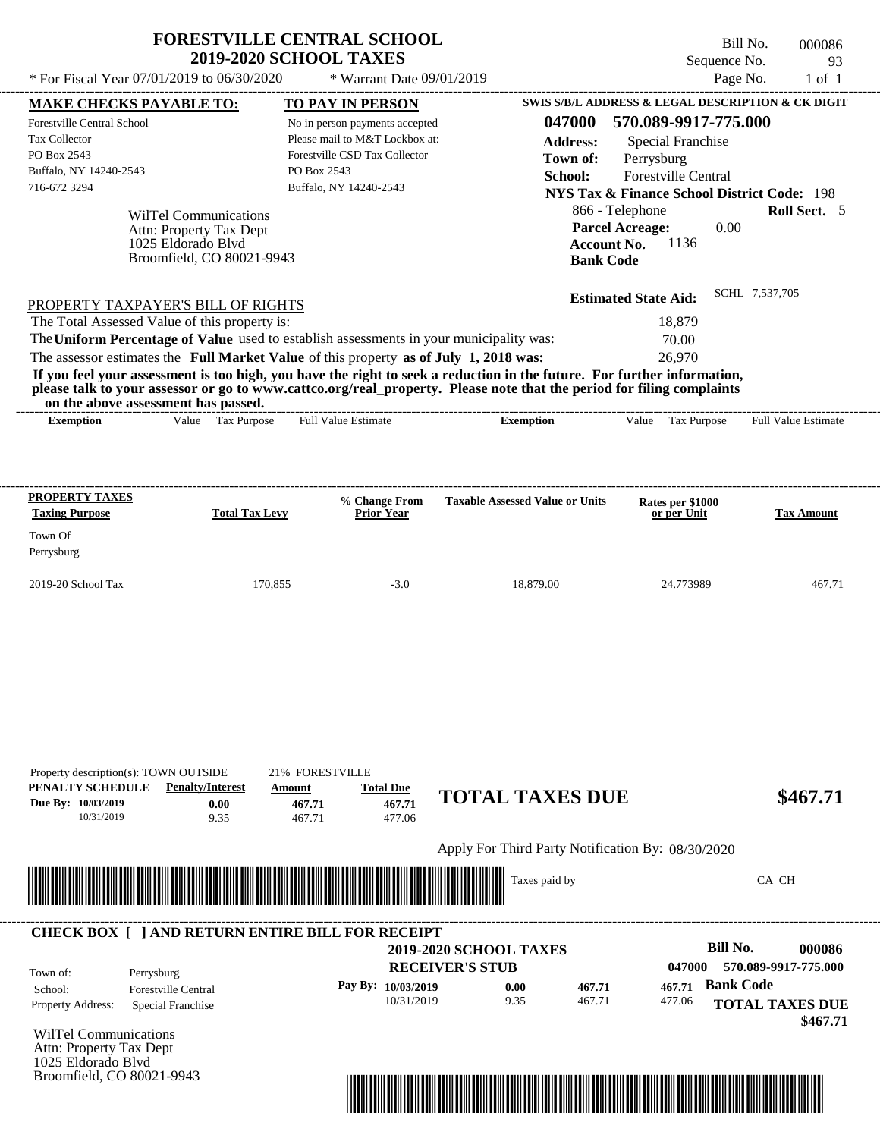| <b>FORESTVILLE CENTRAL SCHOOL</b>          |                             | Bill No.     | 000086 |
|--------------------------------------------|-----------------------------|--------------|--------|
| <b>2019-2020 SCHOOL TAXES</b>              |                             | Sequence No. | - 93   |
| * For Fiscal Year 07/01/2019 to 06/30/2020 | $*$ Warrant Date 09/01/2019 | Page No.     | 1 of 1 |

| <b>MAKE CHECKS PAYABLE TO:</b>                                                                                                                                                                                                                   |                                         | <b>TO PAY IN PERSON</b>                       |                                      |                                                   |                    | SWIS S/B/L ADDRESS & LEGAL DESCRIPTION & CK DIGIT      |                  |                            |
|--------------------------------------------------------------------------------------------------------------------------------------------------------------------------------------------------------------------------------------------------|-----------------------------------------|-----------------------------------------------|--------------------------------------|---------------------------------------------------|--------------------|--------------------------------------------------------|------------------|----------------------------|
| Forestville Central School                                                                                                                                                                                                                       |                                         | No in person payments accepted                |                                      |                                                   |                    | 047000 570.089-9917-775.000                            |                  |                            |
| Tax Collector                                                                                                                                                                                                                                    |                                         | Please mail to M&T Lockbox at:                |                                      |                                                   | <b>Address:</b>    | <b>Special Franchise</b>                               |                  |                            |
| PO Box 2543                                                                                                                                                                                                                                      |                                         | Forestville CSD Tax Collector                 |                                      |                                                   | Town of:           | Perrysburg                                             |                  |                            |
| Buffalo, NY 14240-2543                                                                                                                                                                                                                           |                                         | PO Box 2543                                   |                                      |                                                   | School:            | Forestville Central                                    |                  |                            |
| 716-672 3294                                                                                                                                                                                                                                     |                                         | Buffalo, NY 14240-2543                        |                                      |                                                   |                    | <b>NYS Tax &amp; Finance School District Code: 198</b> |                  |                            |
|                                                                                                                                                                                                                                                  | <b>WilTel Communications</b>            |                                               |                                      |                                                   |                    | 866 - Telephone                                        |                  | <b>Roll Sect.</b> 5        |
|                                                                                                                                                                                                                                                  | Attn: Property Tax Dept                 |                                               |                                      |                                                   |                    | <b>Parcel Acreage:</b>                                 | 0.00             |                            |
|                                                                                                                                                                                                                                                  | 1025 Eldorado Blvd                      |                                               |                                      |                                                   | <b>Account No.</b> | 1136                                                   |                  |                            |
|                                                                                                                                                                                                                                                  | Broomfield, CO 80021-9943               |                                               |                                      |                                                   | <b>Bank Code</b>   |                                                        |                  |                            |
|                                                                                                                                                                                                                                                  |                                         |                                               |                                      |                                                   |                    |                                                        | SCHL 7,537,705   |                            |
| PROPERTY TAXPAYER'S BILL OF RIGHTS                                                                                                                                                                                                               |                                         |                                               |                                      |                                                   |                    | <b>Estimated State Aid:</b>                            |                  |                            |
| The Total Assessed Value of this property is:                                                                                                                                                                                                    |                                         |                                               |                                      |                                                   |                    | 18,879                                                 |                  |                            |
| The Uniform Percentage of Value used to establish assessments in your municipality was:                                                                                                                                                          |                                         |                                               |                                      |                                                   |                    | 70.00                                                  |                  |                            |
| The assessor estimates the Full Market Value of this property as of July 1, 2018 was:                                                                                                                                                            |                                         |                                               |                                      |                                                   |                    | 26,970                                                 |                  |                            |
| If you feel your assessment is too high, you have the right to seek a reduction in the future. For further information,<br>please talk to your assessor or go to www.cattco.org/real_property. Please note that the period for filing complaints |                                         |                                               |                                      |                                                   |                    |                                                        |                  |                            |
| on the above assessment has passed.                                                                                                                                                                                                              |                                         |                                               |                                      |                                                   |                    |                                                        |                  |                            |
| <b>Exemption</b>                                                                                                                                                                                                                                 | Value Tax Purpose                       | <b>Full Value Estimate</b>                    |                                      | <b>Exemption</b>                                  |                    | Value Tax Purpose                                      |                  | <b>Full Value Estimate</b> |
|                                                                                                                                                                                                                                                  |                                         |                                               |                                      |                                                   |                    |                                                        |                  |                            |
| PROPERTY TAXES                                                                                                                                                                                                                                   |                                         |                                               |                                      |                                                   |                    |                                                        |                  |                            |
| <b>Taxing Purpose</b>                                                                                                                                                                                                                            | <b>Total Tax Levy</b>                   |                                               | % Change From<br><b>Prior Year</b>   | <b>Taxable Assessed Value or Units</b>            |                    | Rates per \$1000<br>or per Unit                        |                  | <b>Tax Amount</b>          |
| Town Of                                                                                                                                                                                                                                          |                                         |                                               |                                      |                                                   |                    |                                                        |                  |                            |
| Perrysburg                                                                                                                                                                                                                                       |                                         |                                               |                                      |                                                   |                    |                                                        |                  |                            |
| 2019-20 School Tax                                                                                                                                                                                                                               |                                         | 170,855                                       | $-3.0$                               | 18,879.00                                         |                    | 24.773989                                              |                  | 467.71                     |
|                                                                                                                                                                                                                                                  |                                         |                                               |                                      |                                                   |                    |                                                        |                  |                            |
| Property description(s): TOWN OUTSIDE<br>PENALTY SCHEDULE<br>Due By: 10/03/2019<br>10/31/2019                                                                                                                                                    | <b>Penalty/Interest</b><br>0.00<br>9.35 | 21% FORESTVILLE<br>Amount<br>467.71<br>467.71 | <b>Total Due</b><br>467.71<br>477.06 | <b>TOTAL TAXES DUE</b>                            |                    |                                                        |                  | \$467.71                   |
|                                                                                                                                                                                                                                                  |                                         |                                               |                                      | Apply For Third Party Notification By: 08/30/2020 |                    |                                                        |                  |                            |
|                                                                                                                                                                                                                                                  |                                         |                                               |                                      |                                                   |                    |                                                        |                  |                            |
|                                                                                                                                                                                                                                                  |                                         |                                               |                                      | Taxes paid by_                                    |                    |                                                        |                  | CA CH                      |
| <b>CHECK BOX [ ] AND RETURN ENTIRE BILL FOR RECEIPT</b>                                                                                                                                                                                          |                                         |                                               |                                      |                                                   |                    |                                                        |                  |                            |
|                                                                                                                                                                                                                                                  |                                         |                                               |                                      | <b>2019-2020 SCHOOL TAXES</b>                     |                    |                                                        | <b>Bill No.</b>  | 000086                     |
| Town of:<br>Perrysburg                                                                                                                                                                                                                           |                                         |                                               |                                      | <b>RECEIVER'S STUB</b>                            |                    | 047000                                                 |                  | 570.089-9917-775.000       |
| School:                                                                                                                                                                                                                                          | <b>Forestville Central</b>              |                                               | Pay By: 10/03/2019                   | 0.00                                              | 467.71             | 467.71                                                 | <b>Bank Code</b> |                            |
| Property Address:                                                                                                                                                                                                                                | Special Franchise                       |                                               | 10/31/2019                           | 9.35                                              | 467.71             | 477.06                                                 |                  | <b>TOTAL TAXES DUE</b>     |
|                                                                                                                                                                                                                                                  |                                         |                                               |                                      |                                                   |                    |                                                        |                  | \$467.71                   |
| WilTel Communications                                                                                                                                                                                                                            |                                         |                                               |                                      |                                                   |                    |                                                        |                  |                            |
| Attn: Property Tax Dept                                                                                                                                                                                                                          |                                         |                                               |                                      |                                                   |                    |                                                        |                  |                            |
| 1025 Eldorado Blvd                                                                                                                                                                                                                               |                                         |                                               |                                      |                                                   |                    |                                                        |                  |                            |
| Broomfield, CO 80021-9943                                                                                                                                                                                                                        |                                         |                                               |                                      |                                                   |                    |                                                        |                  |                            |

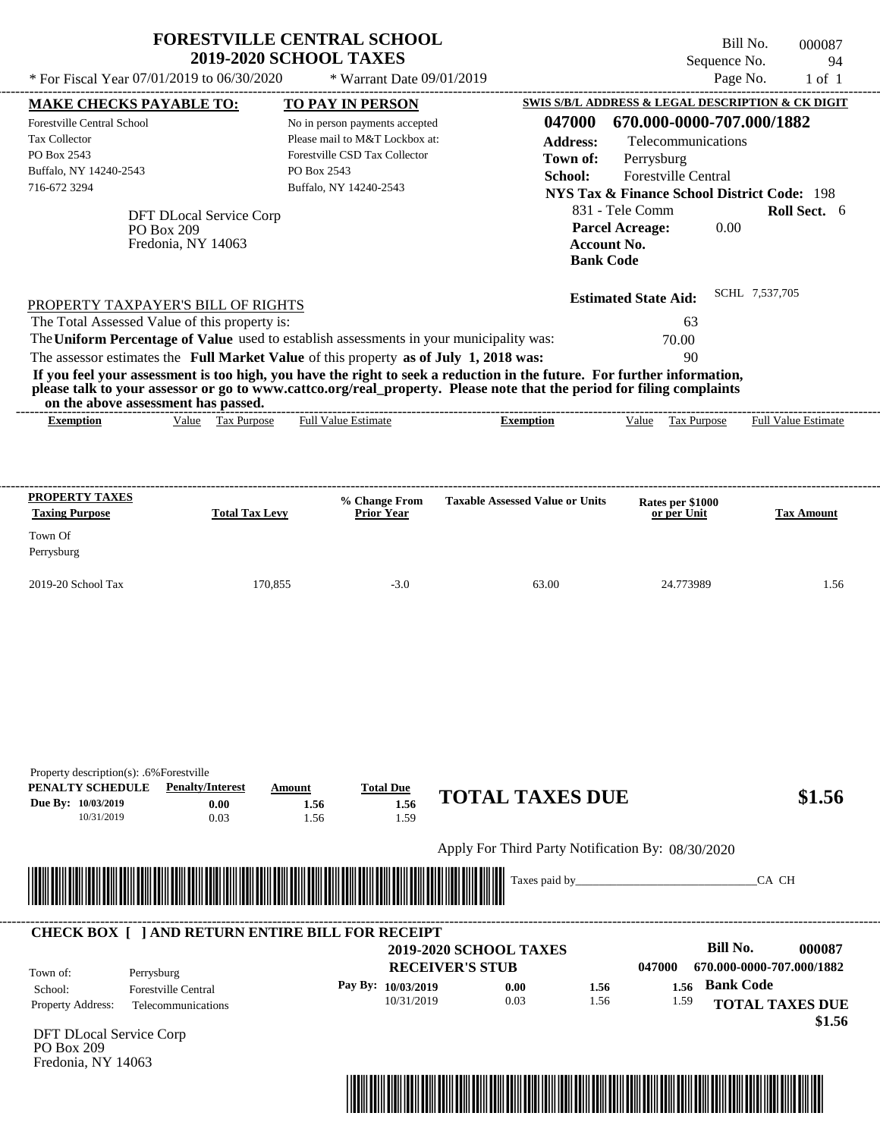|                                                                                                                           | * For Fiscal Year $07/01/2019$ to $06/30/2020$    | * Warrant Date 09/01/2019                                                                                                                  |                                                                                                                                                                                                                                                  | Page No.                                                                                                                                                                                            | $1$ of $1$                 |
|---------------------------------------------------------------------------------------------------------------------------|---------------------------------------------------|--------------------------------------------------------------------------------------------------------------------------------------------|--------------------------------------------------------------------------------------------------------------------------------------------------------------------------------------------------------------------------------------------------|-----------------------------------------------------------------------------------------------------------------------------------------------------------------------------------------------------|----------------------------|
| <b>MAKE CHECKS PAYABLE TO:</b>                                                                                            |                                                   | TO PAY IN PERSON                                                                                                                           |                                                                                                                                                                                                                                                  | SWIS S/B/L ADDRESS & LEGAL DESCRIPTION & CK DIGIT                                                                                                                                                   |                            |
| Forestville Central School<br><b>Tax Collector</b><br>PO Box 2543<br>Buffalo, NY 14240-2543<br>716-672 3294<br>PO Box 209 | DFT DLocal Service Corp<br>Fredonia, NY 14063     | No in person payments accepted<br>Please mail to M&T Lockbox at:<br>Forestville CSD Tax Collector<br>PO Box 2543<br>Buffalo, NY 14240-2543 | 047000<br><b>Address:</b><br>Town of:<br>School:<br><b>Account No.</b><br><b>Bank Code</b>                                                                                                                                                       | 670.000-0000-707.000/1882<br>Telecommunications<br>Perrysburg<br>Forestville Central<br><b>NYS Tax &amp; Finance School District Code: 198</b><br>831 - Tele Comm<br><b>Parcel Acreage:</b><br>0.00 | <b>Roll Sect.</b> 6        |
| PROPERTY TAXPAYER'S BILL OF RIGHTS                                                                                        |                                                   |                                                                                                                                            |                                                                                                                                                                                                                                                  | <b>Estimated State Aid:</b>                                                                                                                                                                         | SCHL 7,537,705             |
| The Total Assessed Value of this property is:                                                                             |                                                   |                                                                                                                                            |                                                                                                                                                                                                                                                  | 63                                                                                                                                                                                                  |                            |
| The Uniform Percentage of Value used to establish assessments in your municipality was:                                   |                                                   |                                                                                                                                            |                                                                                                                                                                                                                                                  | 70.00                                                                                                                                                                                               |                            |
| The assessor estimates the Full Market Value of this property as of July 1, 2018 was:                                     |                                                   |                                                                                                                                            | If you feel your assessment is too high, you have the right to seek a reduction in the future. For further information,<br>please talk to your assessor or go to www.cattco.org/real property. Please note that the period for filing complaints | 90                                                                                                                                                                                                  |                            |
| on the above assessment has passed.                                                                                       |                                                   |                                                                                                                                            |                                                                                                                                                                                                                                                  |                                                                                                                                                                                                     |                            |
| <b>Exemption</b>                                                                                                          | Value Tax Purpose                                 | <b>Full Value Estimate</b>                                                                                                                 | <b>Exemption</b>                                                                                                                                                                                                                                 | Value<br>Tax Purpose                                                                                                                                                                                | <b>Full Value Estimate</b> |
|                                                                                                                           |                                                   |                                                                                                                                            |                                                                                                                                                                                                                                                  |                                                                                                                                                                                                     |                            |
| <b>PROPERTY TAXES</b><br><b>Taxing Purpose</b><br>Town Of<br>Perrysburg                                                   | <b>Total Tax Levy</b>                             | % Change From<br><b>Prior Year</b>                                                                                                         | <b>Taxable Assessed Value or Units</b>                                                                                                                                                                                                           | Rates per \$1000<br>or per Unit                                                                                                                                                                     | <b>Tax Amount</b>          |
| 2019-20 School Tax                                                                                                        | 170,855                                           | $-3.0$                                                                                                                                     | 63.00                                                                                                                                                                                                                                            | 24.773989                                                                                                                                                                                           | 1.56                       |
| Property description(s): .6% Forestville<br>PENALTY SCHEDULE<br>Due By: 10/03/2019<br>10/31/2019                          | <b>Penalty/Interest</b><br>Amount<br>0.00<br>0.03 | <b>Total Due</b><br>1.56<br>1.56<br>1.59<br>1.56                                                                                           | <b>TOTAL TAXES DUE</b><br>Apply For Third Party Notification By: 08/30/2020                                                                                                                                                                      |                                                                                                                                                                                                     | \$1.56                     |
|                                                                                                                           |                                                   |                                                                                                                                            |                                                                                                                                                                                                                                                  |                                                                                                                                                                                                     |                            |



DFT DLocal Service Corp PO Box 209 Fredonia, NY 14063

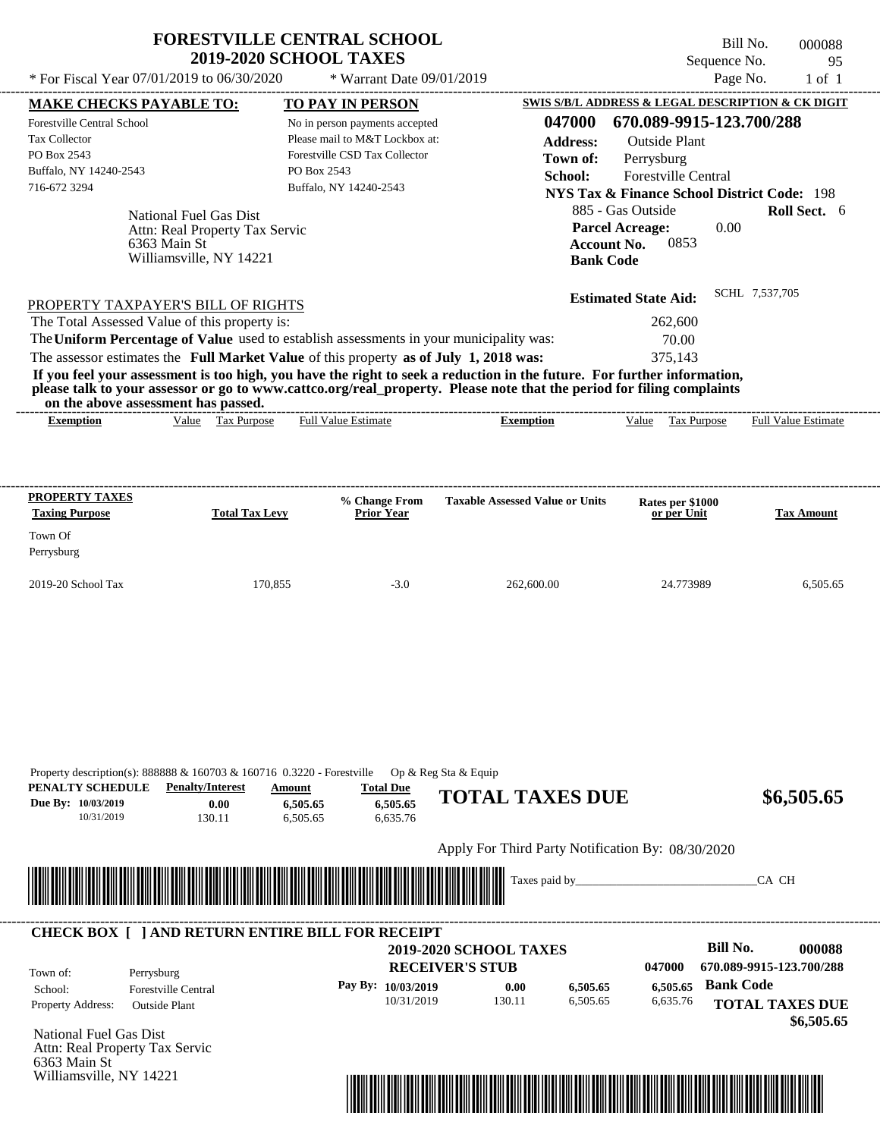| <b>FORESTVILLE CENTRAL SCHOOL</b> |  |
|-----------------------------------|--|
| <b>2019-2020 SCHOOL TAXES</b>     |  |

Williamsville, NY 14221

Bill No. 000088 Sequence No. 95

| * For Fiscal Year 07/01/2019 to 06/30/2020                                                                                                                                  |                                | * Warrant Date 09/01/2019                                        |                                                   |                                                     | Page No.<br>$1$ of $1$                                   |
|-----------------------------------------------------------------------------------------------------------------------------------------------------------------------------|--------------------------------|------------------------------------------------------------------|---------------------------------------------------|-----------------------------------------------------|----------------------------------------------------------|
| <b>MAKE CHECKS PAYABLE TO:</b>                                                                                                                                              | <b>TO PAY IN PERSON</b>        |                                                                  |                                                   |                                                     | SWIS S/B/L ADDRESS & LEGAL DESCRIPTION & CK DIGIT        |
| <b>Forestville Central School</b>                                                                                                                                           |                                | No in person payments accepted                                   | 047000                                            |                                                     | 670.089-9915-123.700/288                                 |
| Tax Collector<br>PO Box 2543                                                                                                                                                |                                | Please mail to M&T Lockbox at:<br>Forestville CSD Tax Collector  | <b>Address:</b>                                   | <b>Outside Plant</b>                                |                                                          |
| Buffalo, NY 14240-2543                                                                                                                                                      | PO Box 2543                    |                                                                  | Town of:                                          | Perrysburg                                          |                                                          |
| 716-672 3294                                                                                                                                                                | Buffalo, NY 14240-2543         |                                                                  | School:                                           | Forestville Central                                 |                                                          |
|                                                                                                                                                                             |                                |                                                                  |                                                   |                                                     | <b>NYS Tax &amp; Finance School District Code: 198</b>   |
| National Fuel Gas Dist<br>Attn: Real Property Tax Servic<br>6363 Main St<br>Williamsville, NY 14221                                                                         |                                |                                                                  | <b>Account No.</b><br><b>Bank Code</b>            | 885 - Gas Outside<br><b>Parcel Acreage:</b><br>0853 | Roll Sect. 6<br>0.00                                     |
| PROPERTY TAXPAYER'S BILL OF RIGHTS                                                                                                                                          |                                |                                                                  |                                                   | <b>Estimated State Aid:</b>                         | SCHL 7,537,705                                           |
| The Total Assessed Value of this property is:                                                                                                                               |                                |                                                                  |                                                   | 262,600                                             |                                                          |
| The Uniform Percentage of Value used to establish assessments in your municipality was:                                                                                     |                                |                                                                  |                                                   | 70.00                                               |                                                          |
| The assessor estimates the Full Market Value of this property as of July 1, 2018 was:                                                                                       |                                |                                                                  |                                                   | 375,143                                             |                                                          |
| If you feel your assessment is too high, you have the right to seek a reduction in the future. For further information,                                                     |                                |                                                                  |                                                   |                                                     |                                                          |
| please talk to your assessor or go to www.cattco.org/real_property. Please note that the period for filing complaints                                                       |                                |                                                                  |                                                   |                                                     |                                                          |
| on the above assessment has passed.<br>Value Tax Purpose<br><b>Exemption</b>                                                                                                | <b>Full Value Estimate</b>     |                                                                  | <b>Exemption</b>                                  | Tax Purpose<br>Value                                | <b>Full Value Estimate</b>                               |
| <b>PROPERTY TAXES</b>                                                                                                                                                       |                                | % Change From                                                    | <b>Taxable Assessed Value or Units</b>            | Rates per \$1000                                    |                                                          |
| <b>Taxing Purpose</b>                                                                                                                                                       | <b>Total Tax Levy</b>          | <b>Prior Year</b>                                                |                                                   | or per Unit                                         | <b>Tax Amount</b>                                        |
| Town Of                                                                                                                                                                     |                                |                                                                  |                                                   |                                                     |                                                          |
| Perrysburg                                                                                                                                                                  |                                |                                                                  |                                                   |                                                     |                                                          |
| 2019-20 School Tax                                                                                                                                                          | 170,855                        | $-3.0$                                                           | 262,600.00                                        | 24.773989                                           | 6,505.65                                                 |
| Property description(s): 888888 & 160703 & 160716 0.3220 - Forestville<br>PENALTY SCHEDULE<br><b>Penalty/Interest</b><br>Due By: 10/03/2019<br>0.00<br>10/31/2019<br>130.11 | Amount<br>6,505.65<br>6,505.65 | Op & Reg Sta & Equip<br><b>Total Due</b><br>6,505.65<br>6,635.76 | <b>TOTAL TAXES DUE</b>                            |                                                     | \$6,505.65                                               |
|                                                                                                                                                                             |                                |                                                                  | Apply For Third Party Notification By: 08/30/2020 |                                                     |                                                          |
|                                                                                                                                                                             |                                |                                                                  |                                                   |                                                     |                                                          |
|                                                                                                                                                                             |                                |                                                                  | Taxes paid by_                                    |                                                     | CA CH                                                    |
| <b>CHECK BOX [ ] AND RETURN ENTIRE BILL FOR RECEIPT</b>                                                                                                                     |                                |                                                                  |                                                   |                                                     |                                                          |
|                                                                                                                                                                             |                                |                                                                  | <b>2019-2020 SCHOOL TAXES</b>                     |                                                     | <b>Bill No.</b><br>000088                                |
| Town of:<br>Perrysburg                                                                                                                                                      |                                |                                                                  | <b>RECEIVER'S STUB</b>                            | 047000                                              | 670.089-9915-123.700/288                                 |
| School:<br><b>Forestville Central</b><br>Property Address:<br><b>Outside Plant</b>                                                                                          |                                | Pay By: 10/03/2019<br>10/31/2019                                 | 6,505.65<br>0.00<br>130.11<br>6,505.65            | 6,505.65<br>6,635.76                                | <b>Bank Code</b><br><b>TOTAL TAXES DUE</b><br>\$6,505.65 |
| <b>National Fuel Gas Dist</b><br>Attn: Real Property Tax Servic<br>6363 Main St                                                                                             |                                |                                                                  |                                                   |                                                     |                                                          |

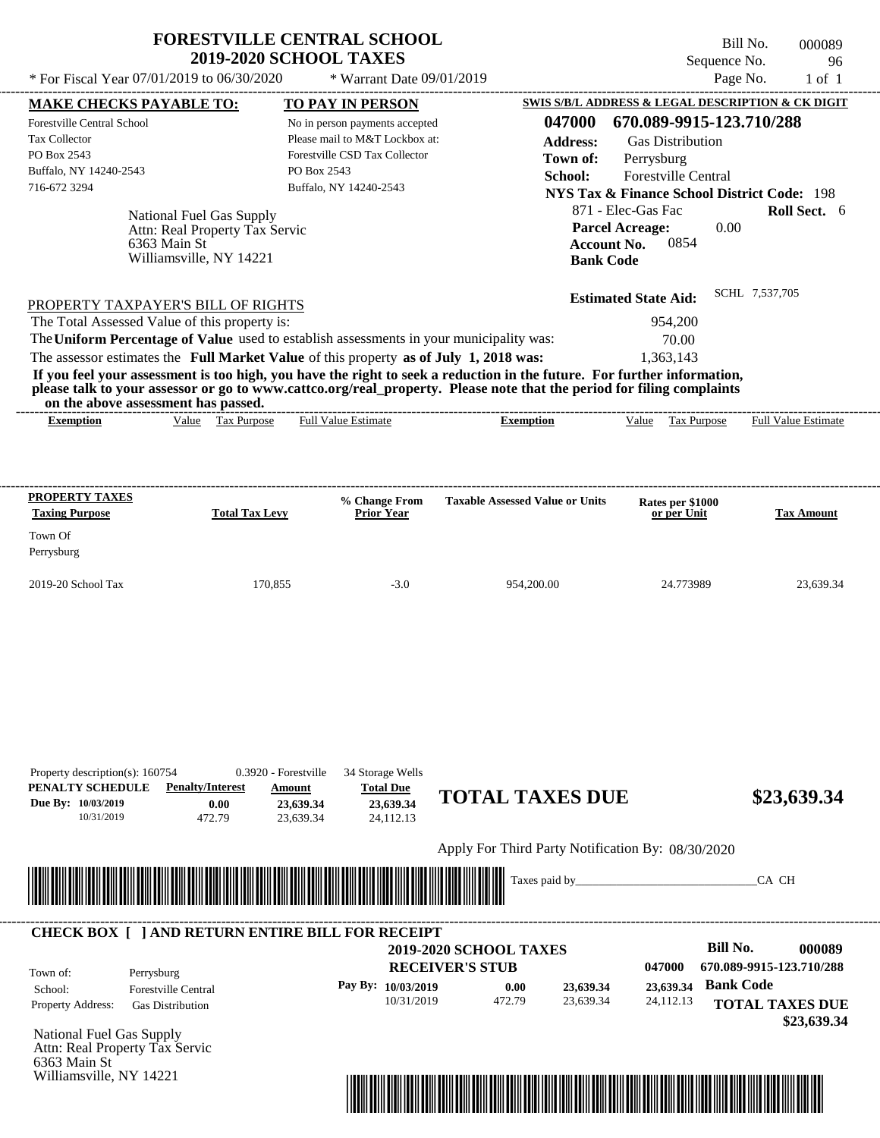| <b>FORESTVILLE CENTRAL SCHOOL</b> |
|-----------------------------------|
| <b>2019-2020 SCHOOL TAXES</b>     |

Bill No. 000089 Sequence No. 96

| <b>MAKE CHECKS PAYABLE TO:</b>                                                                                                                               |                                | <b>TO PAY IN PERSON</b>                          |                                                   | SWIS S/B/L ADDRESS & LEGAL DESCRIPTION & CK DIGIT                                  |                                       |
|--------------------------------------------------------------------------------------------------------------------------------------------------------------|--------------------------------|--------------------------------------------------|---------------------------------------------------|------------------------------------------------------------------------------------|---------------------------------------|
| <b>Forestville Central School</b>                                                                                                                            |                                | No in person payments accepted                   | 047000                                            | 670.089-9915-123.710/288                                                           |                                       |
| Tax Collector                                                                                                                                                |                                | Please mail to M&T Lockbox at:                   | <b>Address:</b>                                   | <b>Gas Distribution</b>                                                            |                                       |
| PO Box 2543<br>Buffalo, NY 14240-2543                                                                                                                        |                                | Forestville CSD Tax Collector<br>PO Box 2543     | Town of:                                          | Perrysburg                                                                         |                                       |
| 716-672 3294                                                                                                                                                 |                                | Buffalo, NY 14240-2543                           | School:                                           | Forestville Central                                                                |                                       |
|                                                                                                                                                              |                                |                                                  |                                                   | <b>NYS Tax &amp; Finance School District Code: 198</b>                             |                                       |
| National Fuel Gas Supply<br>Attn: Real Property Tax Servic<br>6363 Main St                                                                                   |                                |                                                  |                                                   | 871 - Elec-Gas Fac<br><b>Parcel Acreage:</b><br>0.00<br><b>Account No.</b><br>0854 | Roll Sect. 6                          |
| Williamsville, NY 14221                                                                                                                                      |                                |                                                  | <b>Bank Code</b>                                  |                                                                                    |                                       |
| PROPERTY TAXPAYER'S BILL OF RIGHTS                                                                                                                           |                                |                                                  |                                                   | <b>Estimated State Aid:</b>                                                        | SCHL 7,537,705                        |
| The Total Assessed Value of this property is:                                                                                                                |                                |                                                  |                                                   | 954,200                                                                            |                                       |
| The Uniform Percentage of Value used to establish assessments in your municipality was:                                                                      |                                |                                                  |                                                   | 70.00                                                                              |                                       |
| The assessor estimates the Full Market Value of this property as of July 1, 2018 was:                                                                        |                                |                                                  |                                                   | 1,363,143                                                                          |                                       |
| If you feel your assessment is too high, you have the right to seek a reduction in the future. For further information,                                      |                                |                                                  |                                                   |                                                                                    |                                       |
| please talk to your assessor or go to www.cattco.org/real_property. Please note that the period for filing complaints<br>on the above assessment has passed. |                                |                                                  |                                                   |                                                                                    |                                       |
| <b>Exemption</b>                                                                                                                                             | Value Tax Purpose              | <b>Full Value Estimate</b>                       | <b>Exemption</b>                                  | Tax Purpose<br>Value                                                               | <b>Full Value Estimate</b>            |
| <b>PROPERTY TAXES</b>                                                                                                                                        |                                |                                                  |                                                   |                                                                                    |                                       |
| <b>Taxing Purpose</b>                                                                                                                                        | <b>Total Tax Levy</b>          | % Change From<br><b>Prior Year</b>               | <b>Taxable Assessed Value or Units</b>            | Rates per \$1000<br>or per Unit                                                    | <b>Tax Amount</b>                     |
| Town Of                                                                                                                                                      |                                |                                                  |                                                   |                                                                                    |                                       |
| Perrysburg                                                                                                                                                   |                                |                                                  |                                                   |                                                                                    |                                       |
|                                                                                                                                                              | 170,855                        |                                                  |                                                   |                                                                                    |                                       |
| 2019-20 School Tax                                                                                                                                           |                                | $-3.0$                                           | 954,200.00                                        | 24.773989                                                                          | 23,639.34                             |
| Property description(s): 160754<br>PENALTY SCHEDULE<br><b>Penalty/Interest</b>                                                                               | 0.3920 - Forestville<br>Amount | 34 Storage Wells<br><b>Total Due</b>             | <b>TOTAL TAXES DUE</b>                            |                                                                                    |                                       |
| Due By: 10/03/2019<br>10/31/2019                                                                                                                             | 0.00<br>472.79                 | 23,639.34<br>23,639.34<br>23,639.34<br>24.112.13 |                                                   |                                                                                    | \$23,639.34                           |
|                                                                                                                                                              |                                |                                                  | Apply For Third Party Notification By: 08/30/2020 |                                                                                    |                                       |
|                                                                                                                                                              |                                |                                                  |                                                   |                                                                                    |                                       |
|                                                                                                                                                              |                                |                                                  | Taxes paid by_                                    |                                                                                    | CA CH                                 |
| <b>CHECK BOX [ ] AND RETURN ENTIRE BILL FOR RECEIPT</b>                                                                                                      |                                |                                                  |                                                   |                                                                                    |                                       |
|                                                                                                                                                              |                                |                                                  | <b>2019-2020 SCHOOL TAXES</b>                     | <b>Bill No.</b>                                                                    | 000089                                |
|                                                                                                                                                              |                                |                                                  | <b>RECEIVER'S STUB</b>                            | 047000                                                                             | 670.089-9915-123.710/288              |
| Town of:<br>Perrysburg                                                                                                                                       |                                |                                                  |                                                   |                                                                                    | <b>Bank Code</b>                      |
| <b>Forestville Central</b><br>School:                                                                                                                        |                                | Pay By: 10/03/2019<br>10/31/2019                 | 23,639.34<br>0.00<br>472.79<br>23,639.34          | 23,639.34<br>24,112.13                                                             |                                       |
| Property Address:<br><b>Gas Distribution</b>                                                                                                                 |                                |                                                  |                                                   |                                                                                    | <b>TOTAL TAXES DUE</b><br>\$23,639.34 |



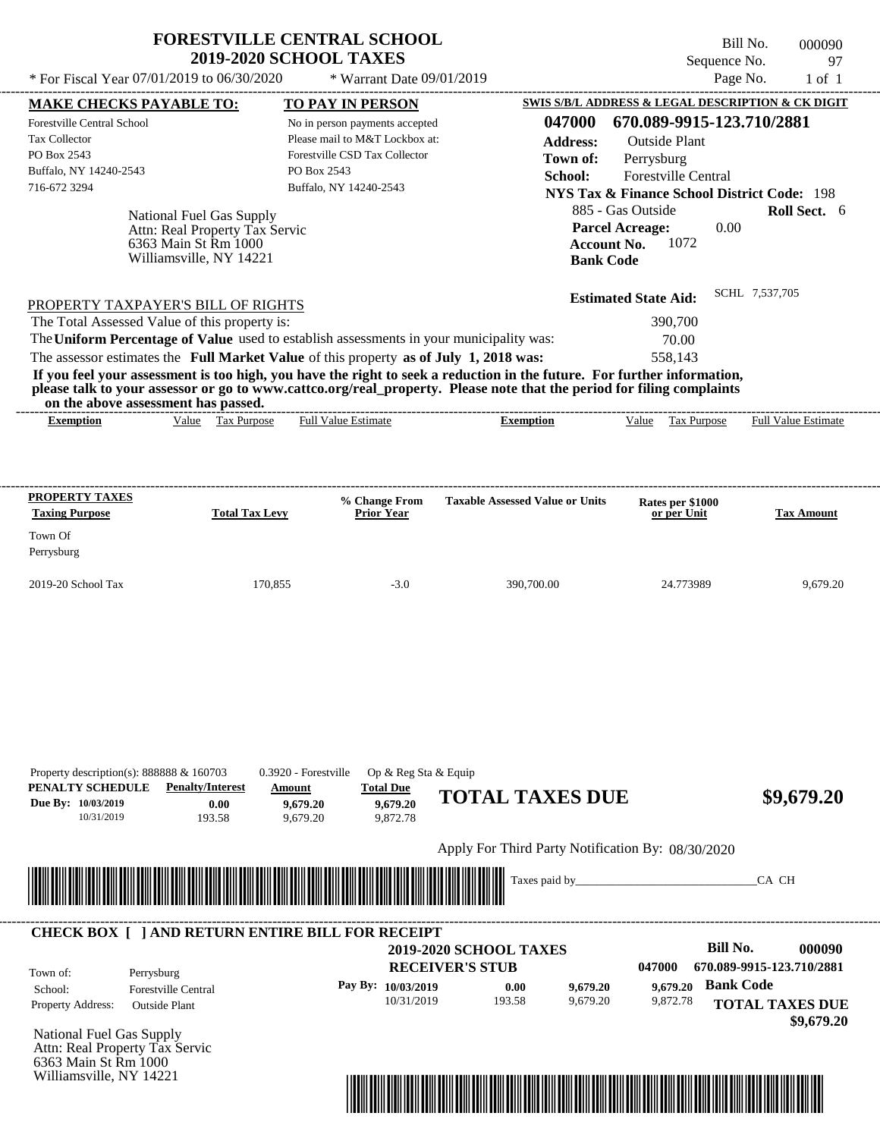| * For Fiscal Year $07/01/2019$ to $06/30/2020$                                      |                                |                       | <b>2019-2020 SCHOOL TAXES</b><br>* Warrant Date $09/01/2019$                                                                                                                                                                                                                                                                                                                                                                         |                                        |                        |                                                                  | Bill No.<br>Sequence No.<br>Page No. |                | 000090<br>97<br>$1$ of $1$ |
|-------------------------------------------------------------------------------------|--------------------------------|-----------------------|--------------------------------------------------------------------------------------------------------------------------------------------------------------------------------------------------------------------------------------------------------------------------------------------------------------------------------------------------------------------------------------------------------------------------------------|----------------------------------------|------------------------|------------------------------------------------------------------|--------------------------------------|----------------|----------------------------|
|                                                                                     |                                |                       |                                                                                                                                                                                                                                                                                                                                                                                                                                      |                                        |                        | <b>SWIS S/B/L ADDRESS &amp; LEGAL DESCRIPTION &amp; CK DIGIT</b> |                                      |                |                            |
| <b>MAKE CHECKS PAYABLE TO:</b>                                                      |                                |                       | TO PAY IN PERSON                                                                                                                                                                                                                                                                                                                                                                                                                     | 047000                                 |                        | 670.089-9915-123.710/2881                                        |                                      |                |                            |
| <b>Forestville Central School</b><br><b>Tax Collector</b>                           |                                |                       | No in person payments accepted<br>Please mail to M&T Lockbox at:                                                                                                                                                                                                                                                                                                                                                                     |                                        |                        |                                                                  |                                      |                |                            |
| PO Box 2543                                                                         |                                |                       | Forestville CSD Tax Collector                                                                                                                                                                                                                                                                                                                                                                                                        | <b>Address:</b>                        |                        | <b>Outside Plant</b>                                             |                                      |                |                            |
| Buffalo, NY 14240-2543                                                              |                                |                       | PO Box 2543                                                                                                                                                                                                                                                                                                                                                                                                                          | Town of:                               |                        | Perrysburg                                                       |                                      |                |                            |
| 716-672 3294                                                                        |                                |                       | Buffalo, NY 14240-2543                                                                                                                                                                                                                                                                                                                                                                                                               | School:                                |                        | Forestville Central                                              |                                      |                |                            |
|                                                                                     |                                |                       |                                                                                                                                                                                                                                                                                                                                                                                                                                      |                                        |                        | <b>NYS Tax &amp; Finance School District Code: 198</b>           |                                      |                |                            |
|                                                                                     | National Fuel Gas Supply       |                       |                                                                                                                                                                                                                                                                                                                                                                                                                                      |                                        | 885 - Gas Outside      |                                                                  |                                      |                | Roll Sect. 6               |
|                                                                                     | Attn: Real Property Tax Servic |                       |                                                                                                                                                                                                                                                                                                                                                                                                                                      |                                        | <b>Parcel Acreage:</b> |                                                                  | 0.00                                 |                |                            |
|                                                                                     | 6363 Main St Rm 1000           |                       |                                                                                                                                                                                                                                                                                                                                                                                                                                      |                                        | <b>Account No.</b>     | 1072                                                             |                                      |                |                            |
|                                                                                     | Williamsville, NY 14221        |                       |                                                                                                                                                                                                                                                                                                                                                                                                                                      |                                        | <b>Bank Code</b>       |                                                                  |                                      |                |                            |
| PROPERTY TAXPAYER'S BILL OF RIGHTS<br>The Total Assessed Value of this property is: |                                |                       |                                                                                                                                                                                                                                                                                                                                                                                                                                      |                                        |                        | <b>Estimated State Aid:</b><br>390,700                           |                                      | SCHL 7,537,705 |                            |
| on the above assessment has passed.                                                 |                                |                       | The Uniform Percentage of Value used to establish assessments in your municipality was:<br>The assessor estimates the Full Market Value of this property as of July 1, 2018 was:<br>If you feel your assessment is too high, you have the right to seek a reduction in the future. For further information,<br>please talk to your assessor or go to www.cattco.org/real_property. Please note that the period for filing complaints |                                        |                        | 70.00<br>558,143                                                 |                                      |                |                            |
| <b>Exemption</b>                                                                    | Value Tax Purpose              |                       | <b>Full Value Estimate</b>                                                                                                                                                                                                                                                                                                                                                                                                           | <b>Exemption</b>                       |                        | Value<br>Tax Purpose                                             |                                      |                | <b>Full Value Estimate</b> |
| PROPERTY TAXES<br><b>Taxing Purpose</b><br>Town Of                                  |                                | <b>Total Tax Levy</b> | % Change From<br><b>Prior Year</b>                                                                                                                                                                                                                                                                                                                                                                                                   | <b>Taxable Assessed Value or Units</b> |                        | Rates per \$1000<br>or per Unit                                  |                                      |                | <b>Tax Amount</b>          |
| Perrysburg                                                                          |                                |                       |                                                                                                                                                                                                                                                                                                                                                                                                                                      |                                        |                        |                                                                  |                                      |                |                            |

| PENALTY SCHEDULE<br>Due By: 10/03/2019<br>10/31/2019 | Property description(s): $888888 \& 160703$<br><b>Penalty/Interest</b><br>0.00<br>193.58 | 0.3920 - Forestville<br>Amount<br>9,679.20<br>9,679.20                                                                | Op & Reg Sta & Equip<br><b>Total Due</b><br>9,679.20<br>9,872.78 | <b>TOTAL TAXES DUE</b>                                  |                      |                      | \$9,679.20                                 |
|------------------------------------------------------|------------------------------------------------------------------------------------------|-----------------------------------------------------------------------------------------------------------------------|------------------------------------------------------------------|---------------------------------------------------------|----------------------|----------------------|--------------------------------------------|
|                                                      |                                                                                          |                                                                                                                       |                                                                  | Apply For Third Party Notification By: 08/30/2020       |                      |                      |                                            |
|                                                      | ▓                                                                                        | <u> Tanzania di Barattania di Barattania di Barattania di Barattania di Barattania di Barattania di Barattania di</u> |                                                                  |                                                         |                      |                      | CA CH                                      |
|                                                      | <b>CHECK BOX [ ] AND RETURN ENTIRE BILL FOR RECEIPT</b>                                  |                                                                                                                       |                                                                  |                                                         |                      |                      | Bill No.                                   |
| Town of:                                             | Perrysburg                                                                               |                                                                                                                       |                                                                  | <b>2019-2020 SCHOOL TAXES</b><br><b>RECEIVER'S STUB</b> |                      | 047000               | 000090<br>670.089-9915-123.710/2881        |
| School:<br>Property Address:                         | <b>Forestville Central</b><br><b>Outside Plant</b>                                       |                                                                                                                       | Pay By: 10/03/2019<br>10/31/2019                                 | 0.00<br>193.58                                          | 9,679.20<br>9,679.20 | 9,679.20<br>9,872.78 | <b>Bank Code</b><br><b>TOTAL TAXES DUE</b> |
|                                                      | National Fuel Gas Supply                                                                 |                                                                                                                       |                                                                  |                                                         |                      |                      | \$9,679.20                                 |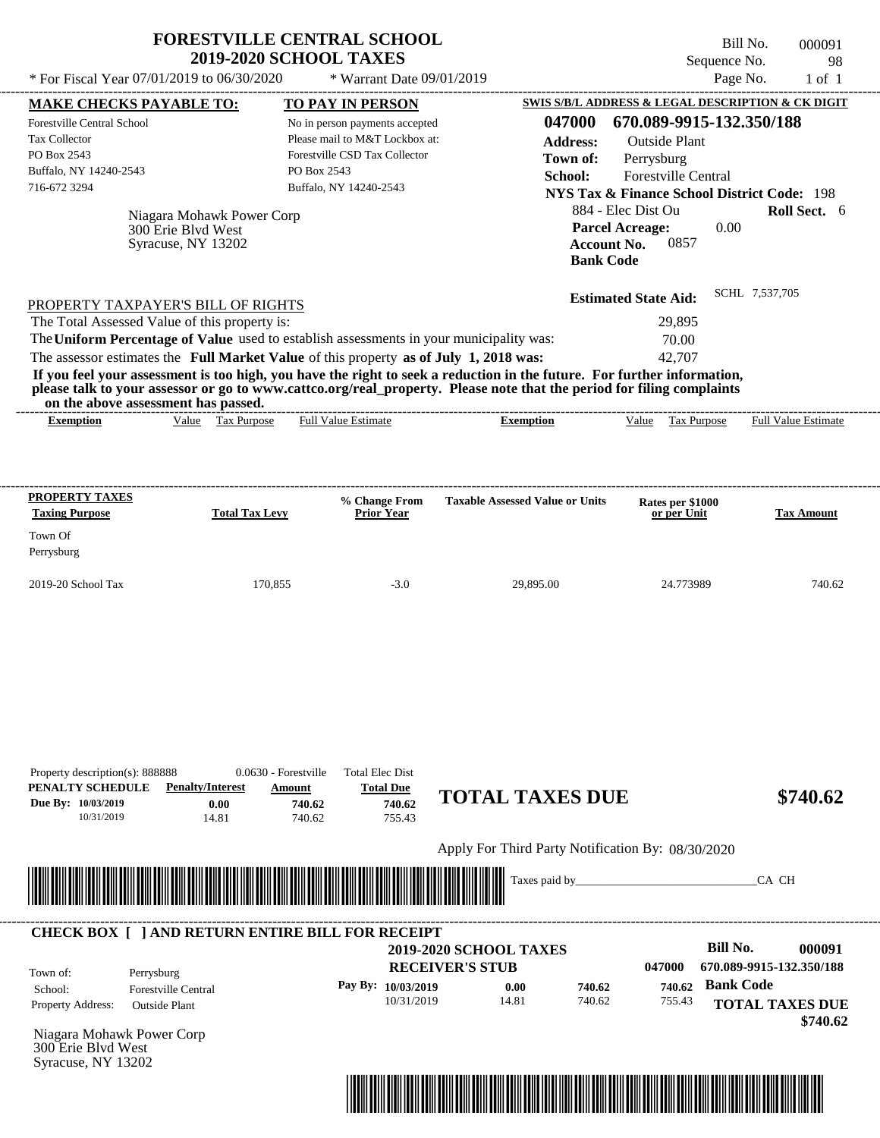|                                                                                                                                   | <b>FORESTVILLE CENTRAL SCHOOL</b><br><b>2019-2020 SCHOOL TAXES</b>                                                                         |                                                  | Sequence No.                                                                                                                                                                                            | Bill No.<br>000091<br>98   |
|-----------------------------------------------------------------------------------------------------------------------------------|--------------------------------------------------------------------------------------------------------------------------------------------|--------------------------------------------------|---------------------------------------------------------------------------------------------------------------------------------------------------------------------------------------------------------|----------------------------|
| * For Fiscal Year $07/01/2019$ to $06/30/2020$                                                                                    | * Warrant Date 09/01/2019                                                                                                                  |                                                  | Page No.                                                                                                                                                                                                | $1$ of $1$                 |
| <b>MAKE CHECKS PAYABLE TO:</b>                                                                                                    | <b>TO PAY IN PERSON</b>                                                                                                                    |                                                  | SWIS S/B/L ADDRESS & LEGAL DESCRIPTION & CK DIGIT                                                                                                                                                       |                            |
| Forestville Central School<br>Tax Collector<br>PO Box 2543<br>Buffalo, NY 14240-2543<br>716-672 3294<br>Niagara Mohawk Power Corp | No in person payments accepted<br>Please mail to M&T Lockbox at:<br>Forestville CSD Tax Collector<br>PO Box 2543<br>Buffalo, NY 14240-2543 | 047000<br><b>Address:</b><br>Town of:<br>School: | 670.089-9915-132.350/188<br><b>Outside Plant</b><br>Perrysburg<br>Forestville Central<br><b>NYS Tax &amp; Finance School District Code: 198</b><br>884 - Elec Dist Ou<br>0.00<br><b>Parcel Acreage:</b> | <b>Roll Sect.</b> 6        |
| 300 Erie Blvd West<br>Syracuse, NY 13202                                                                                          |                                                                                                                                            | <b>Bank Code</b>                                 | 0857<br><b>Account No.</b>                                                                                                                                                                              |                            |
| PROPERTY TAXPAYER'S BILL OF RIGHTS                                                                                                |                                                                                                                                            |                                                  | <b>Estimated State Aid:</b>                                                                                                                                                                             | SCHL 7.537.705             |
| The Total Assessed Value of this property is:                                                                                     |                                                                                                                                            |                                                  | 29,895                                                                                                                                                                                                  |                            |
| The Uniform Percentage of Value used to establish assessments in your municipality was:                                           |                                                                                                                                            |                                                  | 70.00                                                                                                                                                                                                   |                            |
| The assessor estimates the Full Market Value of this property as of July 1, 2018 was:                                             |                                                                                                                                            |                                                  | 42,707                                                                                                                                                                                                  |                            |
| please talk to your assessor or go to www.cattco.org/real_property. Please note that the period for filing complaints             |                                                                                                                                            |                                                  |                                                                                                                                                                                                         |                            |
| on the above assessment has passed.<br>Value Tax Purpose<br><b>Exemption</b>                                                      | <b>Full Value Estimate</b>                                                                                                                 | <b>Exemption</b>                                 | Value Tax Purpose                                                                                                                                                                                       | <b>Full Value Estimate</b> |
| <b>PROPERTY TAXES</b><br><b>Total Tax Levy</b><br><b>Taxing Purpose</b><br>Town Of                                                | <b>% Change From</b><br><b>Prior Year</b>                                                                                                  | <b>Taxable Assessed Value or Units</b>           | Rates per \$1000<br>or per Unit                                                                                                                                                                         | <b>Tax Amount</b>          |
| Perrysburg<br>2019-20 School Tax                                                                                                  | 170,855<br>$-3.0$                                                                                                                          | 29,895.00                                        | 24.773989                                                                                                                                                                                               | 740.62                     |

Apply For Third Party Notification By: 08/30/2020



## **RECEIVER'S STUB Bill No. 000091 2019-2020 SCHOOL TAXES Bank Code 0.00** Property Address: Outside Plant Perrysburg School: Forestville Central **TOTAL TAXES DUE \$740.62 047000 670.089-9915-132.350/188 Pay By: 10/03/2019** 10/31/2019 740.62 **740.62** 755.43 **740.62** Town of: **CHECK BOX [ ] AND RETURN ENTIRE BILL FOR RECEIPT**

Niagara Mohawk Power Corp 300 Erie Blvd West Syracuse, NY 13202

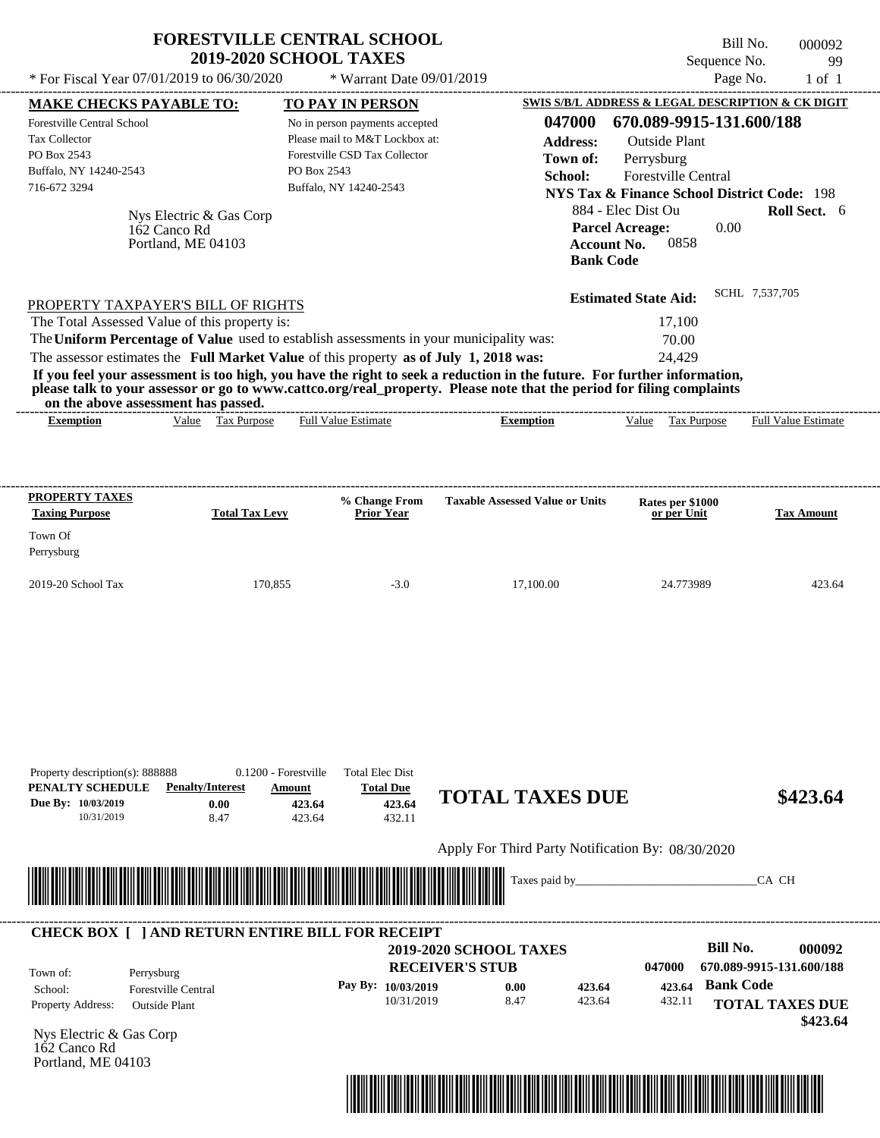|                                                           | * For Fiscal Year 07/01/2019 to 06/30/2020 | <b>2019-2020 SCHOOL TAXES</b><br>* Warrant Date 09/01/2019                                                                                                                                                                                       |                                        | Sequence No.<br>Page No.                               | 99<br>$1$ of $1$           |
|-----------------------------------------------------------|--------------------------------------------|--------------------------------------------------------------------------------------------------------------------------------------------------------------------------------------------------------------------------------------------------|----------------------------------------|--------------------------------------------------------|----------------------------|
| <b>MAKE CHECKS PAYABLE TO:</b>                            |                                            | <b>TO PAY IN PERSON</b>                                                                                                                                                                                                                          |                                        | SWIS S/B/L ADDRESS & LEGAL DESCRIPTION & CK DIGIT      |                            |
| <b>Forestville Central School</b>                         |                                            | No in person payments accepted                                                                                                                                                                                                                   | 047000                                 | 670.089-9915-131.600/188                               |                            |
| <b>Tax Collector</b>                                      |                                            | Please mail to M&T Lockbox at:                                                                                                                                                                                                                   | <b>Address:</b>                        | <b>Outside Plant</b>                                   |                            |
| PO Box 2543                                               |                                            | Forestville CSD Tax Collector                                                                                                                                                                                                                    | Town of:                               | Perrysburg                                             |                            |
| Buffalo, NY 14240-2543                                    |                                            | PO Box 2543                                                                                                                                                                                                                                      | School:                                | <b>Forestville Central</b>                             |                            |
| 716-672 3294                                              |                                            | Buffalo, NY 14240-2543                                                                                                                                                                                                                           |                                        | <b>NYS Tax &amp; Finance School District Code: 198</b> |                            |
|                                                           | Nys Electric & Gas Corp                    |                                                                                                                                                                                                                                                  |                                        | 884 - Elec Dist Ou                                     | Roll Sect. 6               |
|                                                           | 162 Canco Rd                               |                                                                                                                                                                                                                                                  |                                        | 0.00<br><b>Parcel Acreage:</b>                         |                            |
|                                                           | Portland, ME 04103                         |                                                                                                                                                                                                                                                  |                                        | 0858<br>Account No.                                    |                            |
|                                                           |                                            |                                                                                                                                                                                                                                                  | <b>Bank Code</b>                       |                                                        |                            |
|                                                           | PROPERTY TAXPAYER'S BILL OF RIGHTS         |                                                                                                                                                                                                                                                  |                                        | <b>Estimated State Aid:</b>                            | SCHL 7.537.705             |
|                                                           |                                            |                                                                                                                                                                                                                                                  |                                        |                                                        |                            |
|                                                           |                                            |                                                                                                                                                                                                                                                  |                                        | 17,100                                                 |                            |
| The Total Assessed Value of this property is:             |                                            | The Uniform Percentage of Value used to establish assessments in your municipality was:                                                                                                                                                          |                                        | 70.00                                                  |                            |
|                                                           |                                            | The assessor estimates the Full Market Value of this property as of July 1, 2018 was:                                                                                                                                                            |                                        | 24,429                                                 |                            |
|                                                           | on the above assessment has passed.        | If you feel your assessment is too high, you have the right to seek a reduction in the future. For further information,<br>please talk to your assessor or go to www.cattco.org/real property. Please note that the period for filing complaints |                                        |                                                        |                            |
| <b>Exemption</b>                                          | Tax Purpose<br>Value                       | <b>Full Value Estimate</b>                                                                                                                                                                                                                       | <b>Exemption</b>                       | Value<br><b>Tax Purpose</b>                            | <b>Full Value Estimate</b> |
| <b>PROPERTY TAXES</b><br><b>Taxing Purpose</b><br>Town Of | <b>Total Tax Levy</b>                      | % Change From<br><b>Prior Year</b>                                                                                                                                                                                                               | <b>Taxable Assessed Value or Units</b> | Rates per \$1000<br>or per Unit                        | <b>Tax Amount</b>          |
| Perrysburg                                                |                                            |                                                                                                                                                                                                                                                  |                                        |                                                        |                            |

| PENALTY SCHEDULE         | <b>Penalty/Interest</b>                                 | Amount                                                                                                                | <b>Total Due</b>   |                                                   |        |        |                          |                        |
|--------------------------|---------------------------------------------------------|-----------------------------------------------------------------------------------------------------------------------|--------------------|---------------------------------------------------|--------|--------|--------------------------|------------------------|
| Due By: 10/03/2019       | 0.00                                                    | 423.64                                                                                                                | 423.64             | <b>TOTAL TAXES DUE</b>                            |        |        |                          | \$423.64               |
| 10/31/2019               | 8.47                                                    | 423.64                                                                                                                | 432.11             |                                                   |        |        |                          |                        |
|                          |                                                         |                                                                                                                       |                    | Apply For Third Party Notification By: 08/30/2020 |        |        |                          |                        |
|                          |                                                         |                                                                                                                       |                    | Taxes paid by                                     |        |        |                          | CA CH                  |
|                          |                                                         | <u> Harry Harry Harry Harry Harry Harry Harry Harry Harry Harry Harry Harry Harry Harry Harry Harry Harry Harry H</u> |                    |                                                   |        |        |                          |                        |
|                          |                                                         |                                                                                                                       |                    |                                                   |        |        |                          |                        |
|                          | <b>CHECK BOX     AND RETURN ENTIRE BILL FOR RECEIPT</b> |                                                                                                                       |                    |                                                   |        |        |                          |                        |
|                          |                                                         |                                                                                                                       |                    | <b>2019-2020 SCHOOL TAXES</b>                     |        |        | Bill No.                 | 000092                 |
| Town of:                 | Perrysburg                                              |                                                                                                                       |                    | <b>RECEIVER'S STUB</b>                            |        | 047000 | 670.089-9915-131.600/188 |                        |
| School:                  | <b>Forestville Central</b>                              |                                                                                                                       | Pay By: 10/03/2019 | 0.00                                              | 423.64 | 423.64 | <b>Bank Code</b>         |                        |
| <b>Property Address:</b> | <b>Outside Plant</b>                                    |                                                                                                                       | 10/31/2019         | 8.47                                              | 423.64 | 432.11 |                          | <b>TOTAL TAXES DUE</b> |

Nys Electric & Gas Corp 162 Canco Rd Portland, ME 04103

Property description(s): 888888 0.1200 - Forestville Total Elec Dist



**TOTAL TAXES DUE**

 **\$423.64**